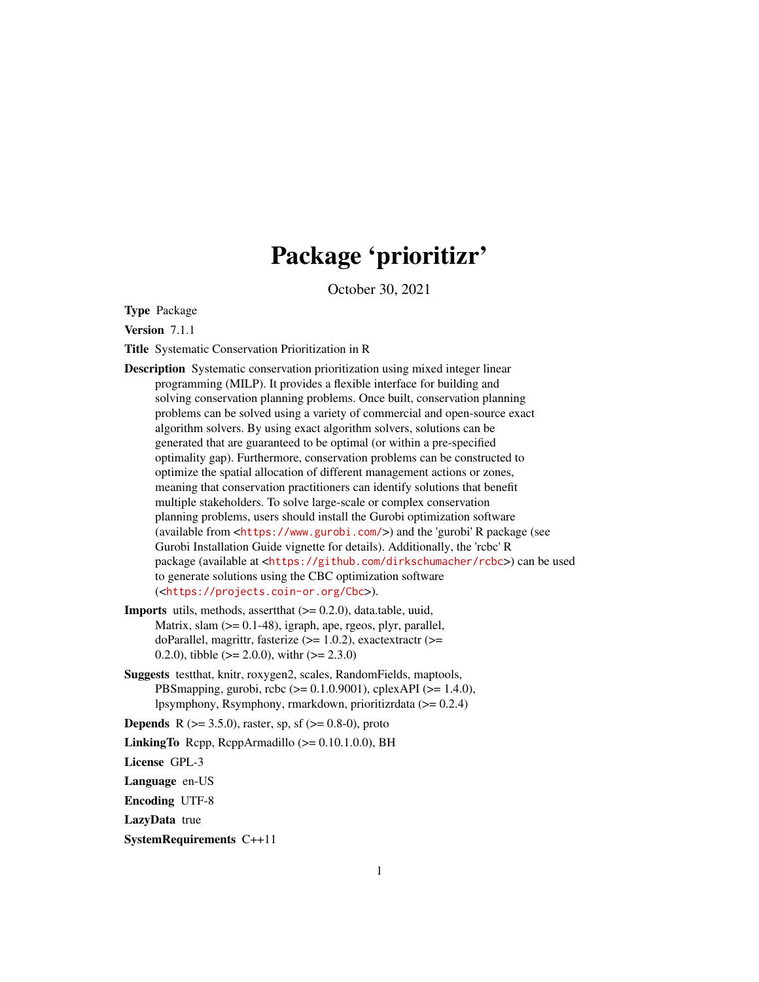# Package 'prioritizr'

October 30, 2021

<span id="page-0-0"></span>Type Package

Version 7.1.1

Title Systematic Conservation Prioritization in R

- Description Systematic conservation prioritization using mixed integer linear programming (MILP). It provides a flexible interface for building and solving conservation planning problems. Once built, conservation planning problems can be solved using a variety of commercial and open-source exact algorithm solvers. By using exact algorithm solvers, solutions can be generated that are guaranteed to be optimal (or within a pre-specified optimality gap). Furthermore, conservation problems can be constructed to optimize the spatial allocation of different management actions or zones, meaning that conservation practitioners can identify solutions that benefit multiple stakeholders. To solve large-scale or complex conservation planning problems, users should install the Gurobi optimization software (available from <<https://www.gurobi.com/>>) and the 'gurobi' R package (see Gurobi Installation Guide vignette for details). Additionally, the 'rcbc' R package (available at <<https://github.com/dirkschumacher/rcbc>>) can be used to generate solutions using the CBC optimization software (<<https://projects.coin-or.org/Cbc>>).
- **Imports** utils, methods, assert that  $(>= 0.2.0)$ , data.table, uuid, Matrix, slam  $(>= 0.1-48)$ , igraph, ape, rgeos, plyr, parallel, doParallel, magrittr, fasterize (>= 1.0.2), exactextractr (>= 0.2.0), tibble ( $>= 2.0.0$ ), with  $(>= 2.3.0)$
- Suggests testthat, knitr, roxygen2, scales, RandomFields, maptools, PBSmapping, gurobi, rcbc (>= 0.1.0.9001), cplexAPI (>= 1.4.0), lpsymphony, Rsymphony, rmarkdown, prioritizrdata (>= 0.2.4)

**Depends** R ( $>= 3.5.0$ ), raster, sp, sf ( $>= 0.8-0$ ), proto

LinkingTo Rcpp, RcppArmadillo  $(>= 0.10.1.0.0)$ , BH

License GPL-3

Language en-US

Encoding UTF-8

LazyData true

SystemRequirements C++11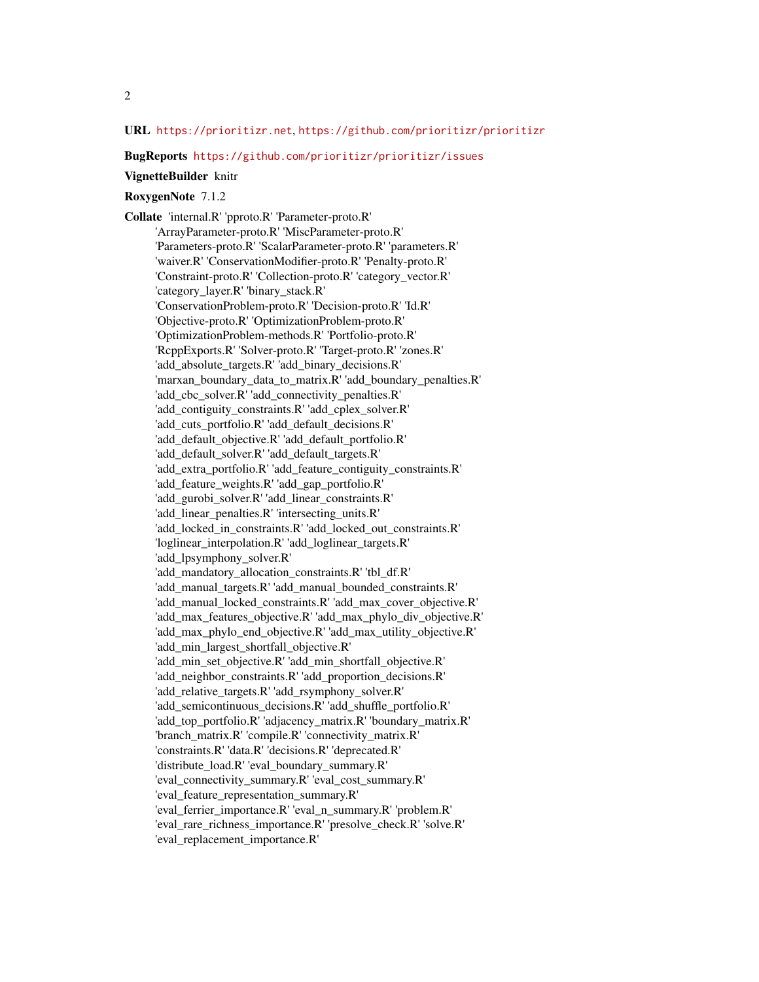# URL <https://prioritizr.net>, <https://github.com/prioritizr/prioritizr>

#### BugReports <https://github.com/prioritizr/prioritizr/issues>

#### VignetteBuilder knitr

# RoxygenNote 7.1.2

Collate 'internal.R' 'pproto.R' 'Parameter-proto.R' 'ArrayParameter-proto.R' 'MiscParameter-proto.R' 'Parameters-proto.R' 'ScalarParameter-proto.R' 'parameters.R' 'waiver.R' 'ConservationModifier-proto.R' 'Penalty-proto.R' 'Constraint-proto.R' 'Collection-proto.R' 'category\_vector.R' 'category\_layer.R' 'binary\_stack.R' 'ConservationProblem-proto.R' 'Decision-proto.R' 'Id.R' 'Objective-proto.R' 'OptimizationProblem-proto.R' 'OptimizationProblem-methods.R' 'Portfolio-proto.R' 'RcppExports.R' 'Solver-proto.R' 'Target-proto.R' 'zones.R' 'add\_absolute\_targets.R' 'add\_binary\_decisions.R' 'marxan\_boundary\_data\_to\_matrix.R' 'add\_boundary\_penalties.R' 'add\_cbc\_solver.R' 'add\_connectivity\_penalties.R' 'add\_contiguity\_constraints.R' 'add\_cplex\_solver.R' 'add\_cuts\_portfolio.R' 'add\_default\_decisions.R' 'add\_default\_objective.R' 'add\_default\_portfolio.R' 'add\_default\_solver.R' 'add\_default\_targets.R' 'add\_extra\_portfolio.R' 'add\_feature\_contiguity\_constraints.R' 'add\_feature\_weights.R' 'add\_gap\_portfolio.R' 'add\_gurobi\_solver.R' 'add\_linear\_constraints.R' 'add\_linear\_penalties.R' 'intersecting\_units.R' 'add\_locked\_in\_constraints.R' 'add\_locked\_out\_constraints.R' 'loglinear\_interpolation.R' 'add\_loglinear\_targets.R' 'add\_lpsymphony\_solver.R' 'add\_mandatory\_allocation\_constraints.R' 'tbl\_df.R' 'add\_manual\_targets.R' 'add\_manual\_bounded\_constraints.R' 'add\_manual\_locked\_constraints.R' 'add\_max\_cover\_objective.R' 'add\_max\_features\_objective.R' 'add\_max\_phylo\_div\_objective.R' 'add\_max\_phylo\_end\_objective.R' 'add\_max\_utility\_objective.R' 'add\_min\_largest\_shortfall\_objective.R' 'add\_min\_set\_objective.R' 'add\_min\_shortfall\_objective.R' 'add\_neighbor\_constraints.R' 'add\_proportion\_decisions.R' 'add\_relative\_targets.R' 'add\_rsymphony\_solver.R' 'add\_semicontinuous\_decisions.R' 'add\_shuffle\_portfolio.R' 'add\_top\_portfolio.R' 'adjacency\_matrix.R' 'boundary\_matrix.R' 'branch\_matrix.R' 'compile.R' 'connectivity\_matrix.R' 'constraints.R' 'data.R' 'decisions.R' 'deprecated.R' 'distribute\_load.R' 'eval\_boundary\_summary.R' 'eval\_connectivity\_summary.R' 'eval\_cost\_summary.R' 'eval feature representation summary.R' 'eval\_ferrier\_importance.R' 'eval\_n\_summary.R' 'problem.R' 'eval\_rare\_richness\_importance.R' 'presolve\_check.R' 'solve.R' 'eval\_replacement\_importance.R'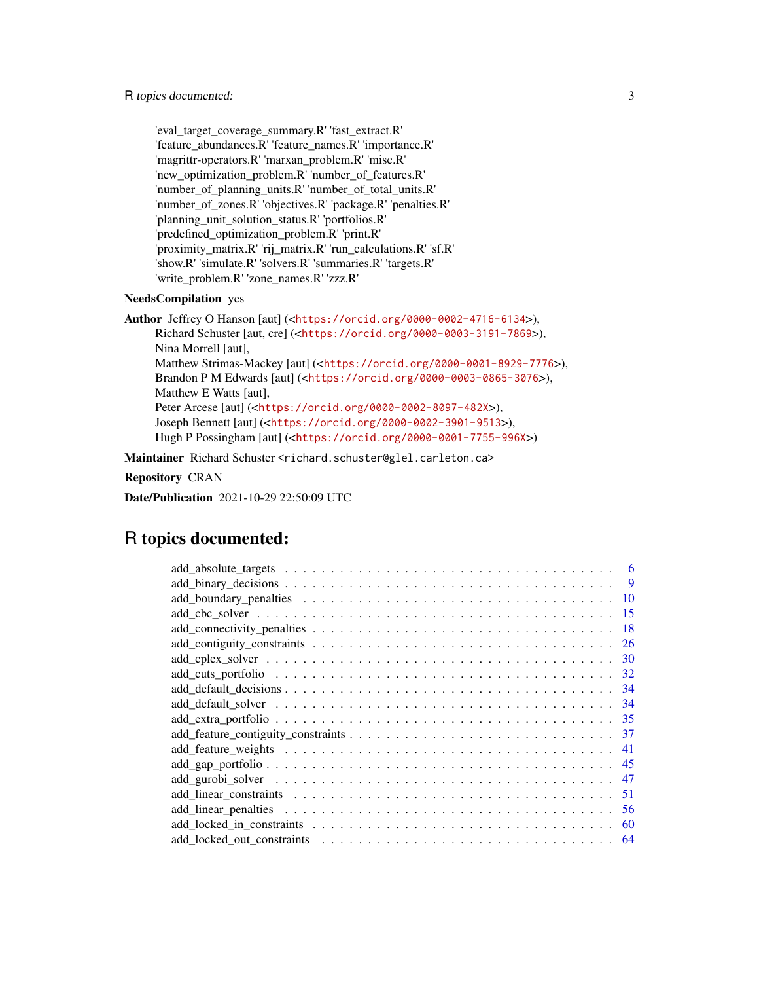'eval\_target\_coverage\_summary.R' 'fast\_extract.R' 'feature\_abundances.R' 'feature\_names.R' 'importance.R' 'magrittr-operators.R' 'marxan\_problem.R' 'misc.R' 'new\_optimization\_problem.R' 'number\_of\_features.R' 'number\_of\_planning\_units.R' 'number\_of\_total\_units.R' 'number\_of\_zones.R' 'objectives.R' 'package.R' 'penalties.R' 'planning\_unit\_solution\_status.R' 'portfolios.R' 'predefined\_optimization\_problem.R' 'print.R' 'proximity\_matrix.R' 'rij\_matrix.R' 'run\_calculations.R' 'sf.R' 'show.R' 'simulate.R' 'solvers.R' 'summaries.R' 'targets.R' 'write\_problem.R' 'zone\_names.R' 'zzz.R'

# NeedsCompilation yes

```
Author Jeffrey O Hanson [aut] (<https://orcid.org/0000-0002-4716-6134>),
     Richard Schuster [aut, cre] (<https://orcid.org/0000-0003-3191-7869>),
     Nina Morrell [aut],
     Matthew Strimas-Mackey [aut] (<https://orcid.org/0000-0001-8929-7776>),
     Brandon P M Edwards [aut] (<https://orcid.org/0000-0003-0865-3076>),
     Matthew E Watts [aut],
     Peter Arcese [aut] (<https://orcid.org/0000-0002-8097-482X>),
     Joseph Bennett [aut] (<https://orcid.org/0000-0002-3901-9513>),
     Hugh P Possingham [aut] (<https://orcid.org/0000-0001-7755-996X>)
```
Maintainer Richard Schuster <richard.schuster@glel.carleton.ca>

Repository CRAN

Date/Publication 2021-10-29 22:50:09 UTC

# R topics documented:

| 6   |
|-----|
| 9   |
| -10 |
| 15  |
| 18  |
| 26  |
| 30  |
| 32  |
| -34 |
| -34 |
| -35 |
| 37  |
| 41  |
|     |
| 47  |
| 51  |
| 56  |
| 60  |
| 64  |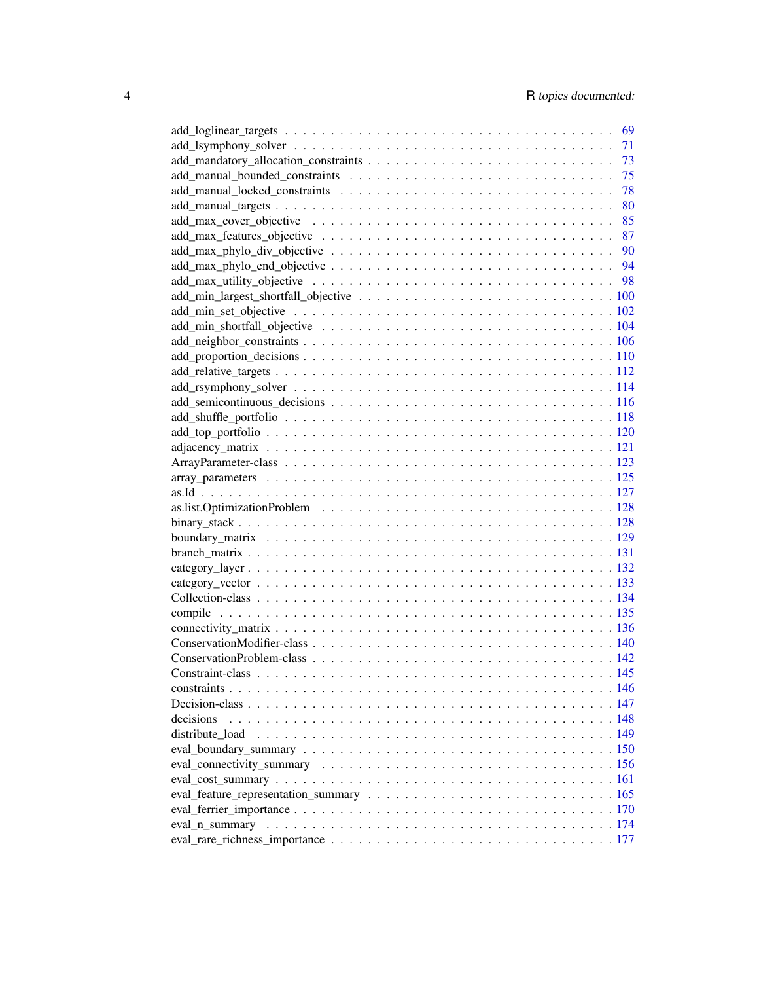|           | 69 |
|-----------|----|
|           | 71 |
|           | 73 |
|           | 75 |
|           | 78 |
|           | 80 |
|           | 85 |
|           |    |
|           |    |
|           |    |
|           |    |
|           |    |
|           |    |
|           |    |
|           |    |
|           |    |
|           |    |
|           |    |
|           |    |
|           |    |
|           |    |
|           |    |
|           |    |
|           |    |
|           |    |
|           |    |
|           |    |
|           |    |
|           |    |
|           |    |
|           |    |
|           |    |
|           |    |
|           |    |
|           |    |
|           |    |
|           |    |
|           |    |
|           |    |
| decisions |    |
|           |    |
|           |    |
|           |    |
|           |    |
|           |    |
|           |    |
|           |    |
|           |    |
|           |    |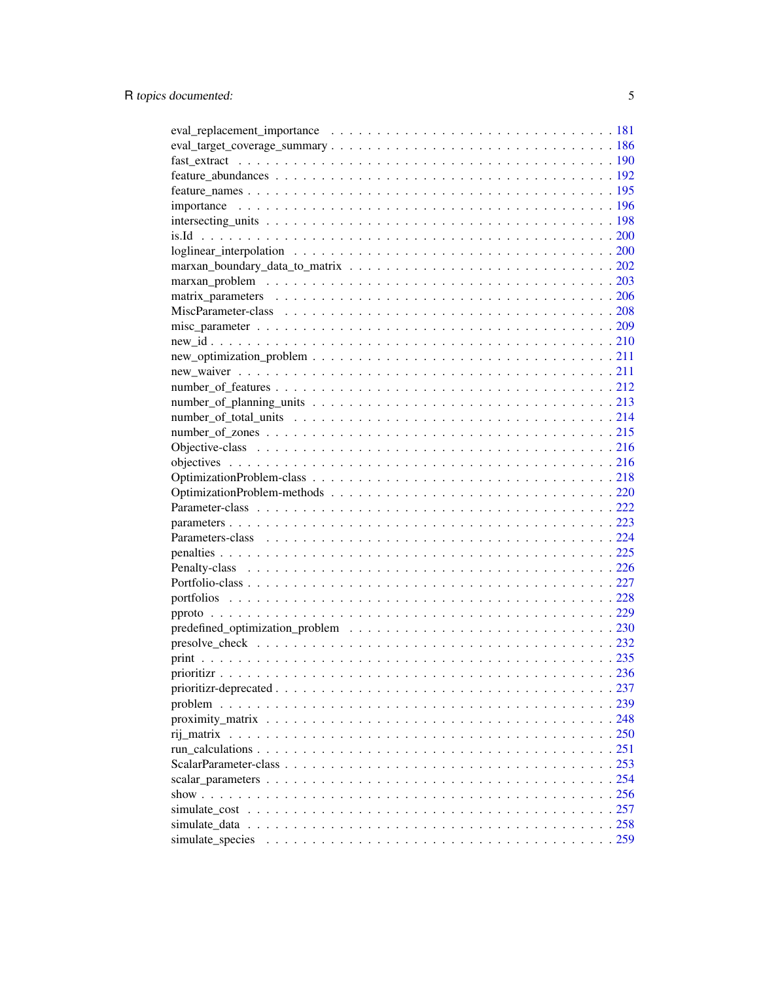| $new\_optimization\_problem \ldots \ldots \ldots \ldots \ldots \ldots \ldots \ldots \ldots \ldots 211$ |  |
|--------------------------------------------------------------------------------------------------------|--|
|                                                                                                        |  |
|                                                                                                        |  |
|                                                                                                        |  |
|                                                                                                        |  |
|                                                                                                        |  |
|                                                                                                        |  |
|                                                                                                        |  |
|                                                                                                        |  |
|                                                                                                        |  |
|                                                                                                        |  |
|                                                                                                        |  |
|                                                                                                        |  |
|                                                                                                        |  |
|                                                                                                        |  |
|                                                                                                        |  |
|                                                                                                        |  |
|                                                                                                        |  |
|                                                                                                        |  |
|                                                                                                        |  |
|                                                                                                        |  |
|                                                                                                        |  |
|                                                                                                        |  |
|                                                                                                        |  |
|                                                                                                        |  |
|                                                                                                        |  |
|                                                                                                        |  |
|                                                                                                        |  |
|                                                                                                        |  |
|                                                                                                        |  |
|                                                                                                        |  |
|                                                                                                        |  |
|                                                                                                        |  |
| simulate species                                                                                       |  |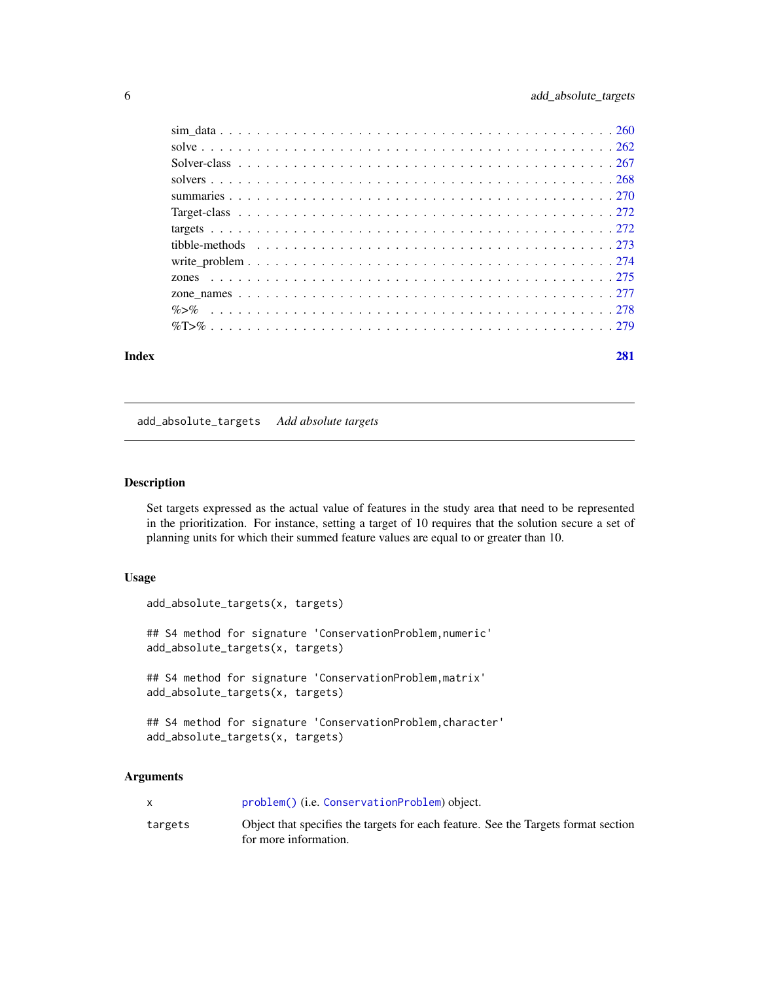<span id="page-5-0"></span>

#### **Index** [281](#page-280-0)

add\_absolute\_targets *Add absolute targets*

# Description

Set targets expressed as the actual value of features in the study area that need to be represented in the prioritization. For instance, setting a target of 10 requires that the solution secure a set of planning units for which their summed feature values are equal to or greater than 10.

#### Usage

add\_absolute\_targets(x, targets) ## S4 method for signature 'ConservationProblem, numeric' add\_absolute\_targets(x, targets)

## S4 method for signature 'ConservationProblem,matrix' add\_absolute\_targets(x, targets)

## S4 method for signature 'ConservationProblem, character' add\_absolute\_targets(x, targets)

# Arguments

|         | problem() (i.e. ConservationProblem) object.                                       |
|---------|------------------------------------------------------------------------------------|
| targets | Object that specifies the targets for each feature. See the Targets format section |
|         | for more information.                                                              |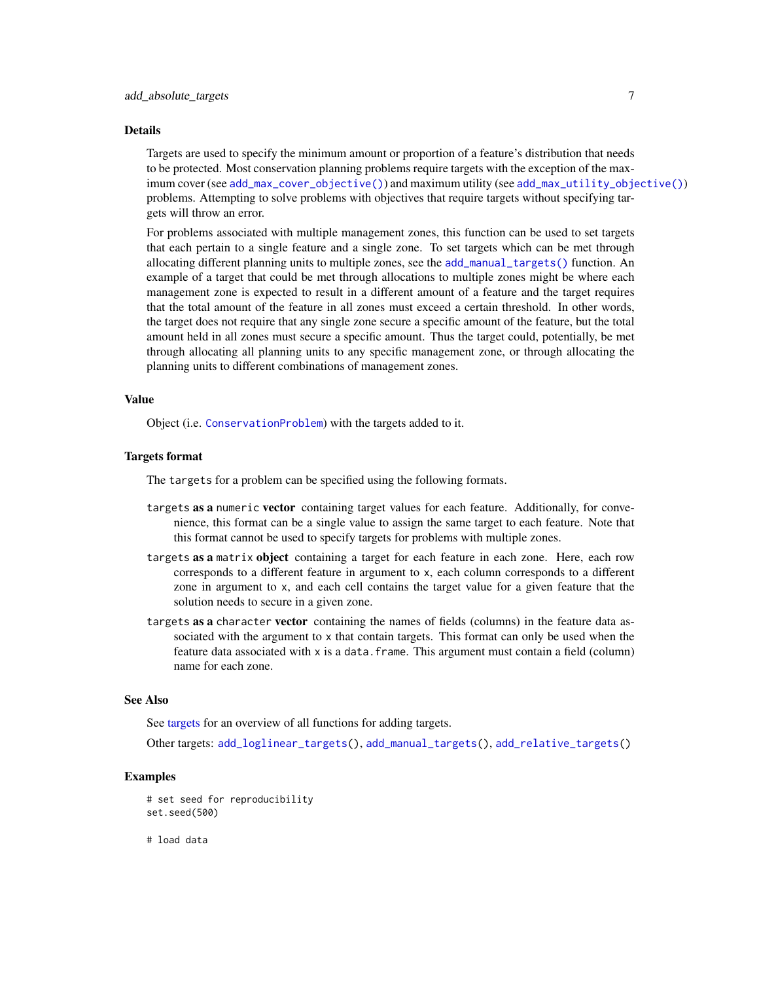#### Details

Targets are used to specify the minimum amount or proportion of a feature's distribution that needs to be protected. Most conservation planning problems require targets with the exception of the maximum cover (see [add\\_max\\_cover\\_objective\(\)](#page-84-1)) and maximum utility (see [add\\_max\\_utility\\_objective\(\)](#page-97-1)) problems. Attempting to solve problems with objectives that require targets without specifying targets will throw an error.

For problems associated with multiple management zones, this function can be used to set targets that each pertain to a single feature and a single zone. To set targets which can be met through allocating different planning units to multiple zones, see the [add\\_manual\\_targets\(\)](#page-79-1) function. An example of a target that could be met through allocations to multiple zones might be where each management zone is expected to result in a different amount of a feature and the target requires that the total amount of the feature in all zones must exceed a certain threshold. In other words, the target does not require that any single zone secure a specific amount of the feature, but the total amount held in all zones must secure a specific amount. Thus the target could, potentially, be met through allocating all planning units to any specific management zone, or through allocating the planning units to different combinations of management zones.

#### Value

Object (i.e. [ConservationProblem](#page-141-1)) with the targets added to it.

# Targets format

The targets for a problem can be specified using the following formats.

- targets as a numeric vector containing target values for each feature. Additionally, for convenience, this format can be a single value to assign the same target to each feature. Note that this format cannot be used to specify targets for problems with multiple zones.
- targets as a matrix object containing a target for each feature in each zone. Here, each row corresponds to a different feature in argument to x, each column corresponds to a different zone in argument to x, and each cell contains the target value for a given feature that the solution needs to secure in a given zone.
- targets as a character vector containing the names of fields (columns) in the feature data associated with the argument to x that contain targets. This format can only be used when the feature data associated with x is a data.frame. This argument must contain a field (column) name for each zone.

#### See Also

See [targets](#page-271-1) for an overview of all functions for adding targets.

Other targets: [add\\_loglinear\\_targets\(](#page-68-1)), [add\\_manual\\_targets\(](#page-79-1)), [add\\_relative\\_targets\(](#page-111-1))

#### Examples

```
# set seed for reproducibility
set.seed(500)
```
# load data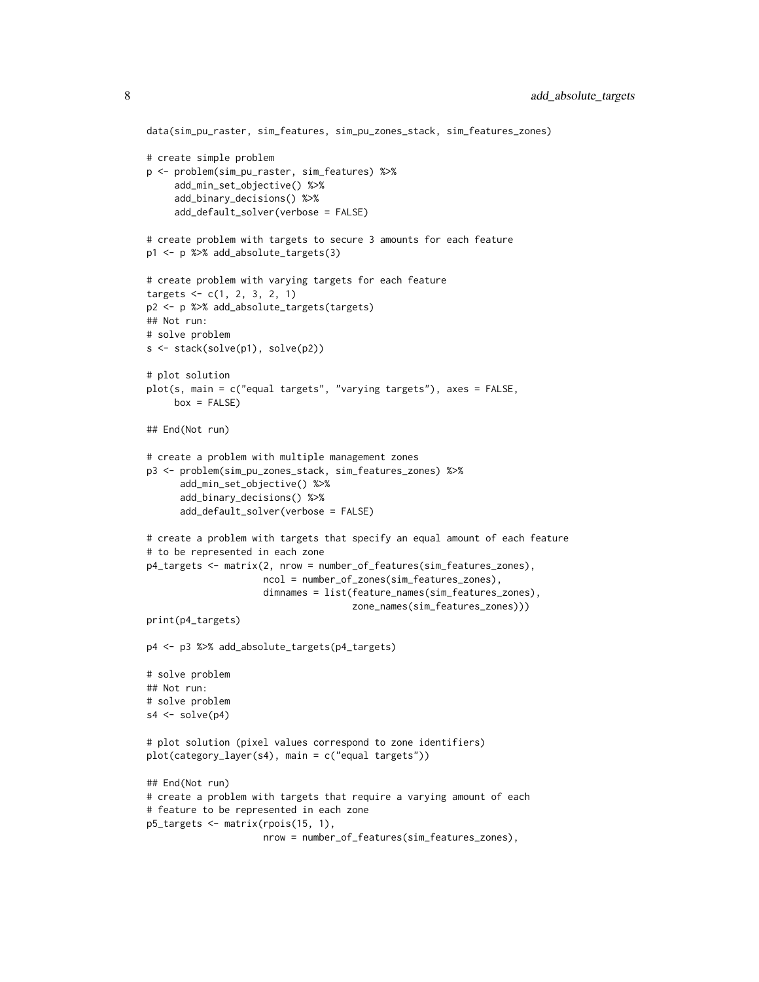```
data(sim_pu_raster, sim_features, sim_pu_zones_stack, sim_features_zones)
# create simple problem
p <- problem(sim_pu_raster, sim_features) %>%
     add_min_set_objective() %>%
     add_binary_decisions() %>%
     add_default_solver(verbose = FALSE)
# create problem with targets to secure 3 amounts for each feature
p1 <- p %>% add_absolute_targets(3)
# create problem with varying targets for each feature
targets < -c(1, 2, 3, 2, 1)p2 <- p %>% add_absolute_targets(targets)
## Not run:
# solve problem
s <- stack(solve(p1), solve(p2))
# plot solution
plot(s, main = c("equal targets", "varying targets"), axes = FALSE,
     box = FALSE)## End(Not run)
# create a problem with multiple management zones
p3 <- problem(sim_pu_zones_stack, sim_features_zones) %>%
      add_min_set_objective() %>%
      add_binary_decisions() %>%
      add_default_solver(verbose = FALSE)
# create a problem with targets that specify an equal amount of each feature
# to be represented in each zone
p4_targets <- matrix(2, nrow = number_of_features(sim_features_zones),
                     ncol = number_of_zones(sim_features_zones),
                     dimnames = list(feature_names(sim_features_zones),
                                     zone_names(sim_features_zones)))
print(p4_targets)
p4 <- p3 %>% add_absolute_targets(p4_targets)
# solve problem
## Not run:
# solve problem
s4 \leftarrow solve(p4)# plot solution (pixel values correspond to zone identifiers)
plot(category_layer(s4), main = c("equal targets"))
## End(Not run)
# create a problem with targets that require a varying amount of each
# feature to be represented in each zone
p5_targets <- matrix(rpois(15, 1),
                     nrow = number_of_features(sim_features_zones),
```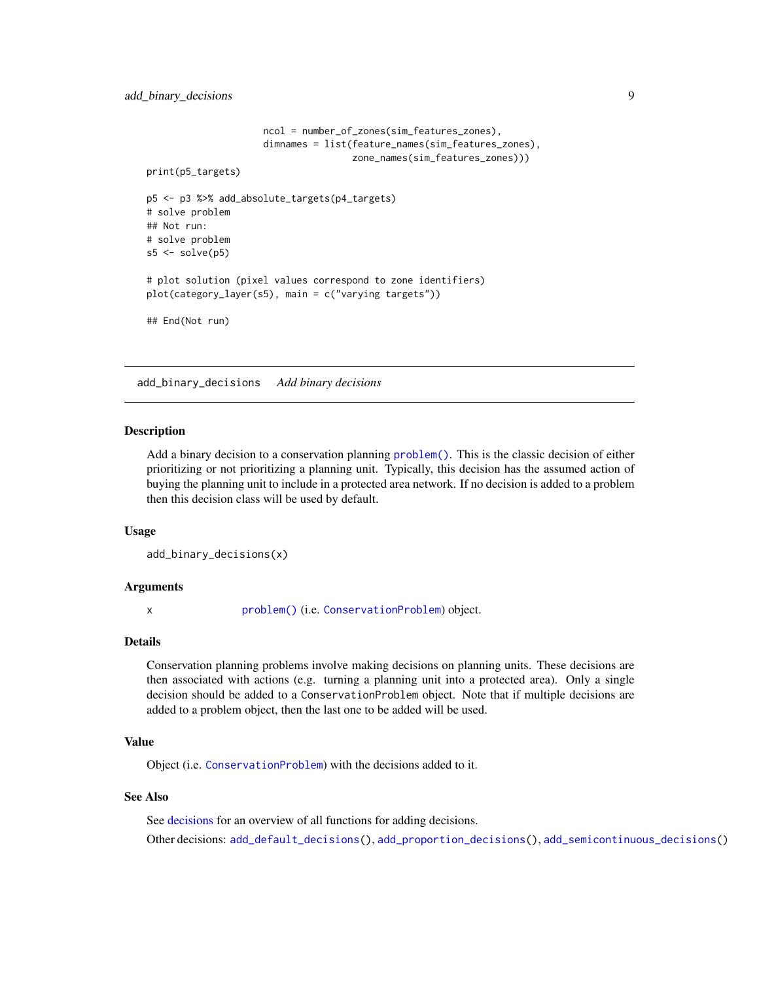```
ncol = number_of_zones(sim_features_zones),
                     dimnames = list(feature_names(sim_features_zones),
                                     zone_names(sim_features_zones)))
print(p5_targets)
p5 <- p3 %>% add_absolute_targets(p4_targets)
# solve problem
## Not run:
# solve problem
s5 \leq solve(p5)# plot solution (pixel values correspond to zone identifiers)
plot(category_layer(s5), main = c("varying targets"))
## End(Not run)
```
<span id="page-8-1"></span>add\_binary\_decisions *Add binary decisions*

#### **Description**

Add a binary decision to a conservation planning [problem\(\)](#page-238-1). This is the classic decision of either prioritizing or not prioritizing a planning unit. Typically, this decision has the assumed action of buying the planning unit to include in a protected area network. If no decision is added to a problem then this decision class will be used by default.

#### Usage

```
add_binary_decisions(x)
```
#### Arguments

x [problem\(\)](#page-238-1) (i.e. [ConservationProblem](#page-141-1)) object.

#### Details

Conservation planning problems involve making decisions on planning units. These decisions are then associated with actions (e.g. turning a planning unit into a protected area). Only a single decision should be added to a ConservationProblem object. Note that if multiple decisions are added to a problem object, then the last one to be added will be used.

#### Value

Object (i.e. [ConservationProblem](#page-141-1)) with the decisions added to it.

#### See Also

See [decisions](#page-147-1) for an overview of all functions for adding decisions.

Other decisions: [add\\_default\\_decisions\(](#page-33-1)), [add\\_proportion\\_decisions\(](#page-109-1)), [add\\_semicontinuous\\_decisions\(](#page-115-1))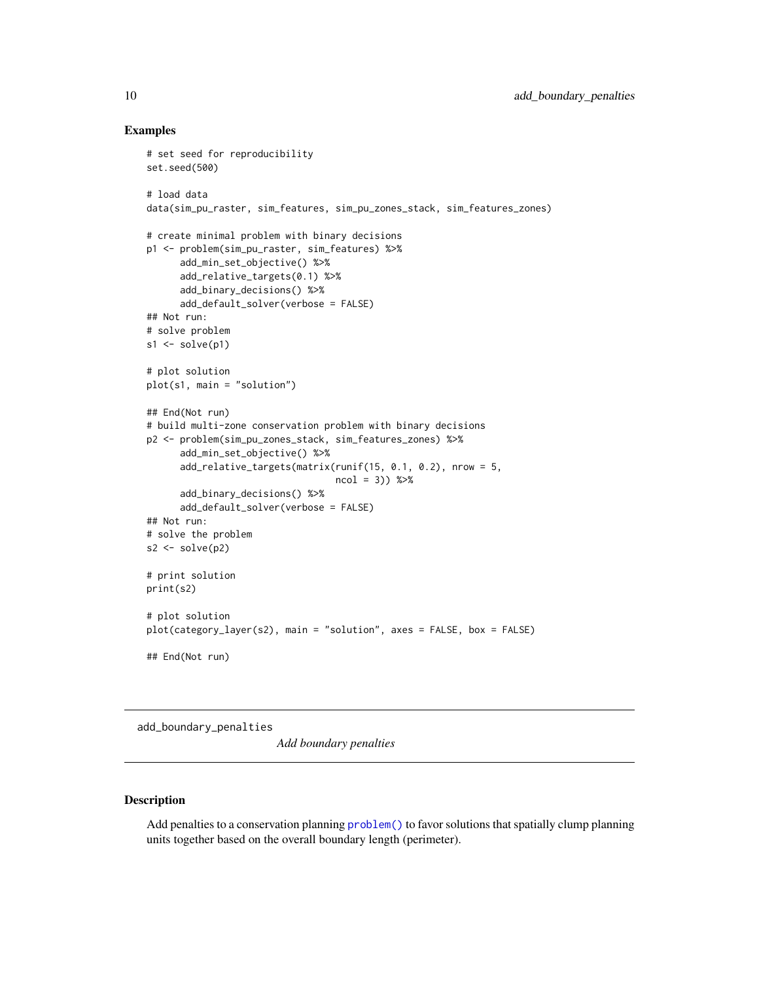# Examples

```
# set seed for reproducibility
set.seed(500)
# load data
data(sim_pu_raster, sim_features, sim_pu_zones_stack, sim_features_zones)
# create minimal problem with binary decisions
p1 <- problem(sim_pu_raster, sim_features) %>%
      add_min_set_objective() %>%
      add_relative_targets(0.1) %>%
      add_binary_decisions() %>%
      add_default_solver(verbose = FALSE)
## Not run:
# solve problem
s1 \leftarrow solve(p1)# plot solution
plot(s1, main = "solution")
## End(Not run)
# build multi-zone conservation problem with binary decisions
p2 <- problem(sim_pu_zones_stack, sim_features_zones) %>%
      add_min_set_objective() %>%
      add_relative_targets(matrix(runif(15, 0.1, 0.2), nrow = 5,
                                  ncol = 3)) %>%
      add_binary_decisions() %>%
      add_default_solver(verbose = FALSE)
## Not run:
# solve the problem
s2 \leftarrow solve(p2)# print solution
print(s2)
# plot solution
plot(category_layer(s2), main = "solution", axes = FALSE, box = FALSE)
## End(Not run)
```

```
add_boundary_penalties
```
*Add boundary penalties*

# Description

Add penalties to a conservation planning [problem\(\)](#page-238-1) to favor solutions that spatially clump planning units together based on the overall boundary length (perimeter).

<span id="page-9-0"></span>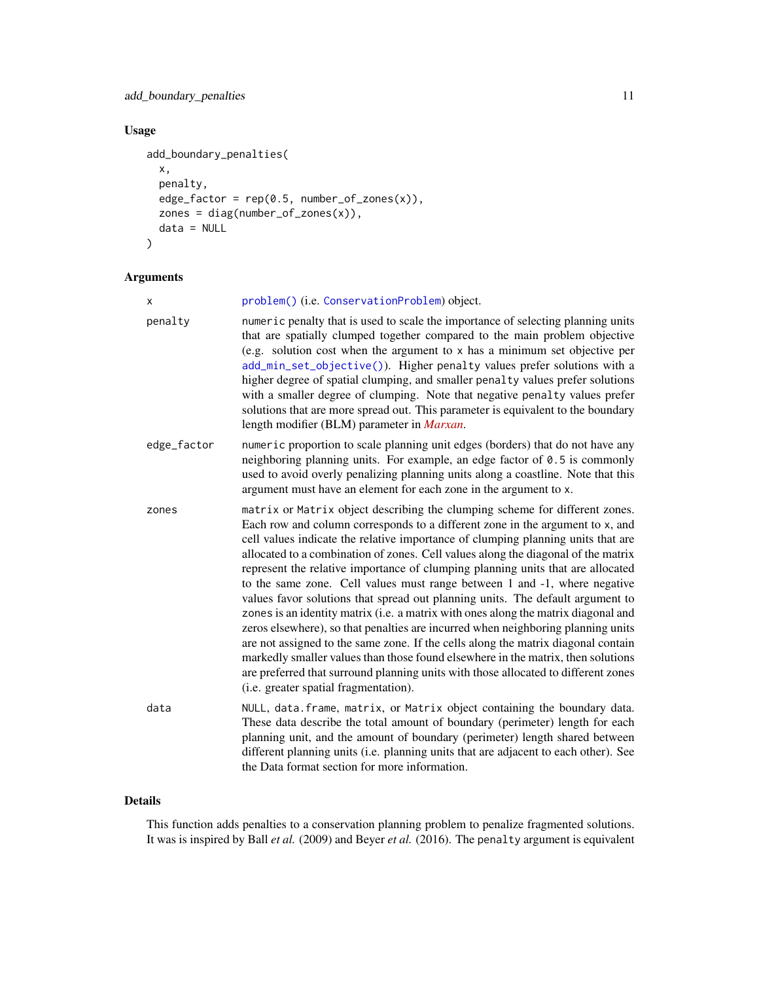# add\_boundary\_penalties 11

# Usage

```
add_boundary_penalties(
 x,
 penalty,
 edge_factor = rep(0.5, number_of_zones(x)),zones = diag(number_of_zones(x)),
 data = NULL
)
```
# Arguments

| X           | problem() (i.e. ConservationProblem) object.                                                                                                                                                                                                                                                                                                                                                                                                                                                                                                                                                                                                                                                                                                                                                                                                                                                                                                                                                                                                                              |
|-------------|---------------------------------------------------------------------------------------------------------------------------------------------------------------------------------------------------------------------------------------------------------------------------------------------------------------------------------------------------------------------------------------------------------------------------------------------------------------------------------------------------------------------------------------------------------------------------------------------------------------------------------------------------------------------------------------------------------------------------------------------------------------------------------------------------------------------------------------------------------------------------------------------------------------------------------------------------------------------------------------------------------------------------------------------------------------------------|
| penalty     | numeric penalty that is used to scale the importance of selecting planning units<br>that are spatially clumped together compared to the main problem objective<br>(e.g. solution cost when the argument to x has a minimum set objective per<br>add_min_set_objective()). Higher penalty values prefer solutions with a<br>higher degree of spatial clumping, and smaller penalty values prefer solutions<br>with a smaller degree of clumping. Note that negative penalty values prefer<br>solutions that are more spread out. This parameter is equivalent to the boundary<br>length modifier (BLM) parameter in Marxan.                                                                                                                                                                                                                                                                                                                                                                                                                                                |
| edge_factor | numeric proportion to scale planning unit edges (borders) that do not have any<br>neighboring planning units. For example, an edge factor of $0.5$ is commonly<br>used to avoid overly penalizing planning units along a coastline. Note that this<br>argument must have an element for each zone in the argument to x.                                                                                                                                                                                                                                                                                                                                                                                                                                                                                                                                                                                                                                                                                                                                                   |
| zones       | matrix or Matrix object describing the clumping scheme for different zones.<br>Each row and column corresponds to a different zone in the argument to x, and<br>cell values indicate the relative importance of clumping planning units that are<br>allocated to a combination of zones. Cell values along the diagonal of the matrix<br>represent the relative importance of clumping planning units that are allocated<br>to the same zone. Cell values must range between 1 and -1, where negative<br>values favor solutions that spread out planning units. The default argument to<br>zones is an identity matrix (i.e. a matrix with ones along the matrix diagonal and<br>zeros elsewhere), so that penalties are incurred when neighboring planning units<br>are not assigned to the same zone. If the cells along the matrix diagonal contain<br>markedly smaller values than those found elsewhere in the matrix, then solutions<br>are preferred that surround planning units with those allocated to different zones<br>(i.e. greater spatial fragmentation). |
| data        | NULL, data. frame, matrix, or Matrix object containing the boundary data.<br>These data describe the total amount of boundary (perimeter) length for each<br>planning unit, and the amount of boundary (perimeter) length shared between<br>different planning units (i.e. planning units that are adjacent to each other). See<br>the Data format section for more information.                                                                                                                                                                                                                                                                                                                                                                                                                                                                                                                                                                                                                                                                                          |

# Details

This function adds penalties to a conservation planning problem to penalize fragmented solutions. It was is inspired by Ball *et al.* (2009) and Beyer *et al.* (2016). The penalty argument is equivalent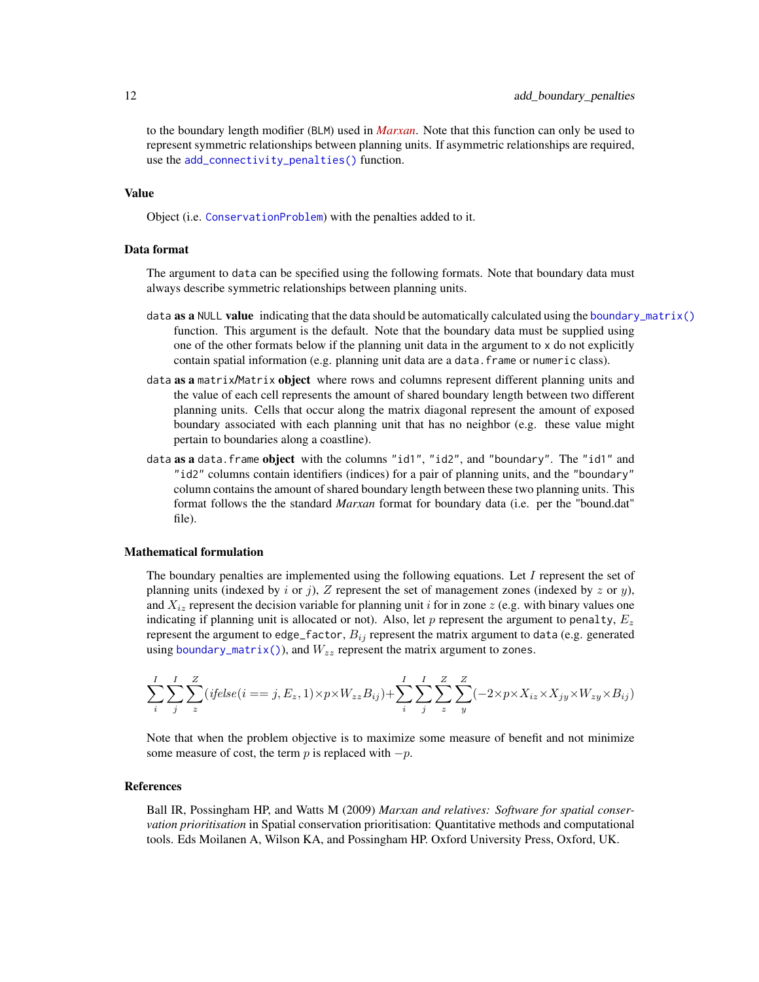to the boundary length modifier (BLM) used in *[Marxan](https://marxansolutions.org)*. Note that this function can only be used to represent symmetric relationships between planning units. If asymmetric relationships are required, use the [add\\_connectivity\\_penalties\(\)](#page-17-1) function.

#### Value

Object (i.e. [ConservationProblem](#page-141-1)) with the penalties added to it.

#### Data format

The argument to data can be specified using the following formats. Note that boundary data must always describe symmetric relationships between planning units.

- data **as a** NULL **value** indicating that the data should be automatically calculated using the [boundary\\_matrix\(\)](#page-128-1) function. This argument is the default. Note that the boundary data must be supplied using one of the other formats below if the planning unit data in the argument to x do not explicitly contain spatial information (e.g. planning unit data are a data.frame or numeric class).
- data as a matrix/Matrix object where rows and columns represent different planning units and the value of each cell represents the amount of shared boundary length between two different planning units. Cells that occur along the matrix diagonal represent the amount of exposed boundary associated with each planning unit that has no neighbor (e.g. these value might pertain to boundaries along a coastline).
- data as a data. frame object with the columns "id1", "id2", and "boundary". The "id1" and "id2" columns contain identifiers (indices) for a pair of planning units, and the "boundary" column contains the amount of shared boundary length between these two planning units. This format follows the the standard *Marxan* format for boundary data (i.e. per the "bound.dat" file).

#### Mathematical formulation

The boundary penalties are implemented using the following equations. Let  $I$  represent the set of planning units (indexed by i or j), Z represent the set of management zones (indexed by z or y), and  $X_{iz}$  represent the decision variable for planning unit i for in zone z (e.g. with binary values one indicating if planning unit is allocated or not). Also, let  $p$  represent the argument to penalty,  $E_z$ represent the argument to edge\_factor,  $B_{ij}$  represent the matrix argument to data (e.g. generated using [boundary\\_matrix\(\)](#page-128-1)), and  $W_{zz}$  represent the matrix argument to zones.

$$
\sum_{i}^{I} \sum_{j}^{I} \sum_{z}^{Z} (ifelse(i == j, E_z, 1) \times p \times W_{zz}B_{ij}) + \sum_{i}^{I} \sum_{j}^{I} \sum_{z}^{Z} \sum_{y}^{Z} (-2 \times p \times X_{iz} \times X_{jy} \times W_{zy} \times B_{ij})
$$

Note that when the problem objective is to maximize some measure of benefit and not minimize some measure of cost, the term p is replaced with  $-p$ .

#### References

Ball IR, Possingham HP, and Watts M (2009) *Marxan and relatives: Software for spatial conservation prioritisation* in Spatial conservation prioritisation: Quantitative methods and computational tools. Eds Moilanen A, Wilson KA, and Possingham HP. Oxford University Press, Oxford, UK.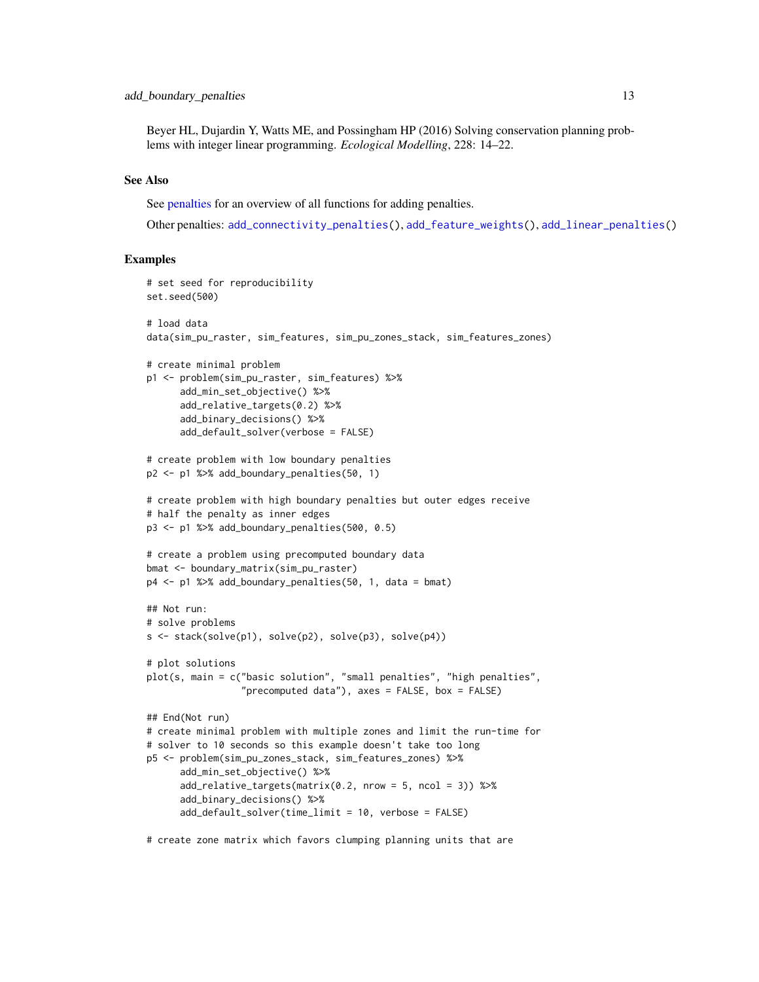Beyer HL, Dujardin Y, Watts ME, and Possingham HP (2016) Solving conservation planning problems with integer linear programming. *Ecological Modelling*, 228: 14–22.

#### See Also

See [penalties](#page-224-1) for an overview of all functions for adding penalties.

Other penalties: [add\\_connectivity\\_penalties\(](#page-17-1)), [add\\_feature\\_weights\(](#page-40-1)), [add\\_linear\\_penalties\(](#page-55-1))

#### Examples

```
# set seed for reproducibility
set.seed(500)
# load data
data(sim_pu_raster, sim_features, sim_pu_zones_stack, sim_features_zones)
# create minimal problem
p1 <- problem(sim_pu_raster, sim_features) %>%
      add_min_set_objective() %>%
      add_relative_targets(0.2) %>%
      add_binary_decisions() %>%
      add_default_solver(verbose = FALSE)
# create problem with low boundary penalties
p2 <- p1 %>% add_boundary_penalties(50, 1)
# create problem with high boundary penalties but outer edges receive
# half the penalty as inner edges
p3 <- p1 %>% add_boundary_penalties(500, 0.5)
# create a problem using precomputed boundary data
bmat <- boundary_matrix(sim_pu_raster)
p4 <- p1 %>% add_boundary_penalties(50, 1, data = bmat)
## Not run:
# solve problems
s <- stack(solve(p1), solve(p2), solve(p3), solve(p4))
# plot solutions
plot(s, main = c("basic solution", "small penalties", "high penalties",
                 "precomputed data"), axes = FALSE, box = FALSE)
## End(Not run)
# create minimal problem with multiple zones and limit the run-time for
# solver to 10 seconds so this example doesn't take too long
p5 <- problem(sim_pu_zones_stack, sim_features_zones) %>%
      add_min_set_objective() %>%
      add\_relative\_targets(maxrix(0.2, nrow = 5, ncol = 3)) %>%
      add_binary_decisions() %>%
      add_default_solver(time_limit = 10, verbose = FALSE)
```
# create zone matrix which favors clumping planning units that are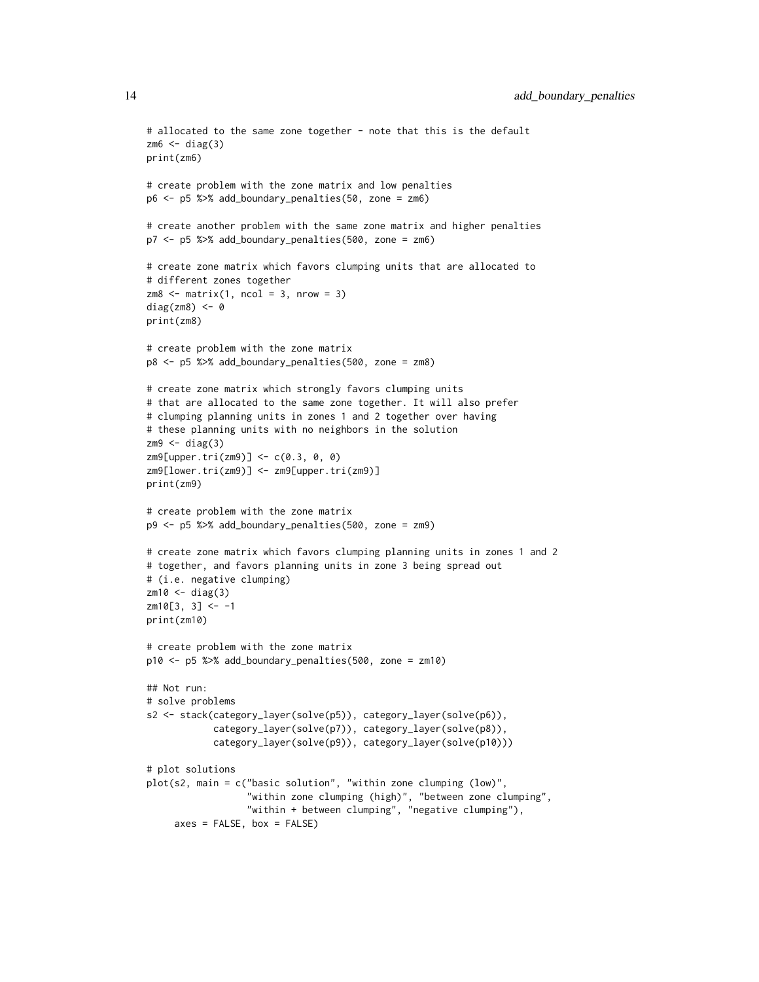```
# allocated to the same zone together - note that this is the default
z<sub>m6</sub> < - diag(3)print(zm6)
# create problem with the zone matrix and low penalties
p6 <- p5 %>% add_boundary_penalties(50, zone = zm6)
# create another problem with the same zone matrix and higher penalties
p7 <- p5 %>% add_boundary_penalties(500, zone = zm6)
# create zone matrix which favors clumping units that are allocated to
# different zones together
z \text{ m8} \leq \text{matrix}(1, \text{ ncol} = 3, \text{ nrow} = 3)diag(zm8) <-0print(zm8)
# create problem with the zone matrix
p8 <- p5 %>% add_boundary_penalties(500, zone = zm8)
# create zone matrix which strongly favors clumping units
# that are allocated to the same zone together. It will also prefer
# clumping planning units in zones 1 and 2 together over having
# these planning units with no neighbors in the solution
zm9 < - diag(3)
zm9[upper.tri(zm9)] <- c(0.3, 0, 0)
zm9[lower.tri(zm9)] <- zm9[upper.tri(zm9)]
print(zm9)
# create problem with the zone matrix
p9 <- p5 %>% add_boundary_penalties(500, zone = zm9)
# create zone matrix which favors clumping planning units in zones 1 and 2
# together, and favors planning units in zone 3 being spread out
# (i.e. negative clumping)
z<sup>m10</sup> < - diag(3)z \mod 3, 3] <- -1
print(zm10)
# create problem with the zone matrix
p10 <- p5 %>% add_boundary_penalties(500, zone = zm10)
## Not run:
# solve problems
s2 <- stack(category_layer(solve(p5)), category_layer(solve(p6)),
            category_layer(solve(p7)), category_layer(solve(p8)),
            category_layer(solve(p9)), category_layer(solve(p10)))
# plot solutions
plot(s2, main = c("basic solution", "within zone clumping (low)",
                   "within zone clumping (high)", "between zone clumping",
                  "within + between clumping", "negative clumping"),
     axes = FALSE, box = FALSE)
```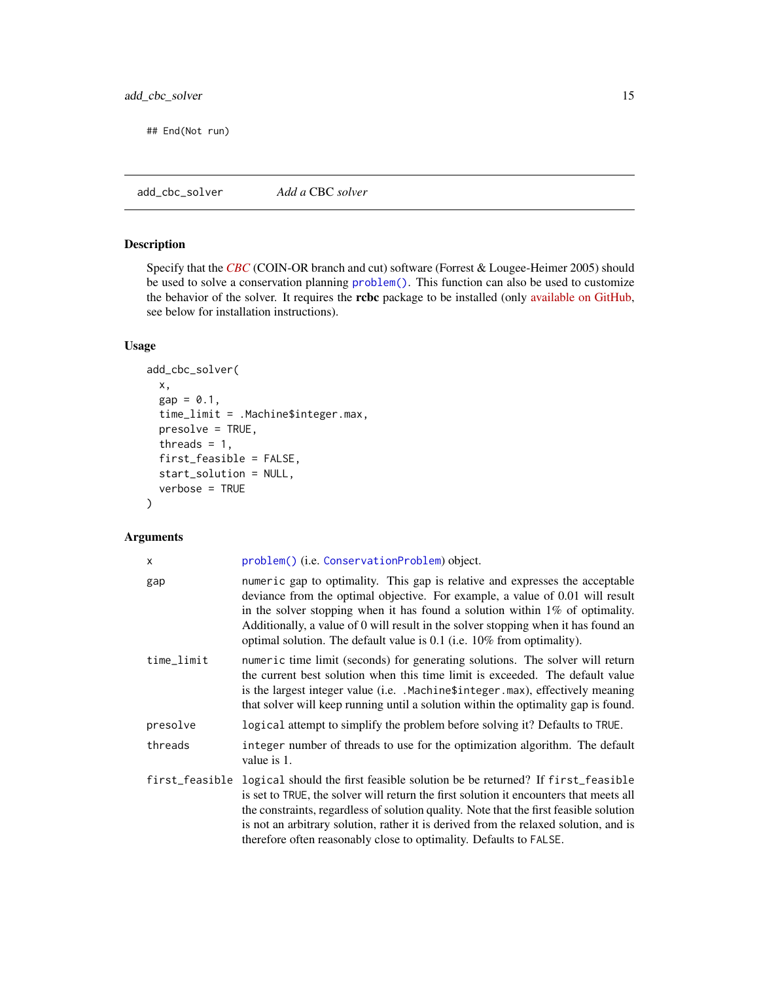<span id="page-14-0"></span>## End(Not run)

<span id="page-14-1"></span>add\_cbc\_solver *Add a* CBC *solver*

# Description

Specify that the *[CBC](https://projects.coin-or.org/Cbc)* (COIN-OR branch and cut) software (Forrest & Lougee-Heimer 2005) should be used to solve a conservation planning [problem\(\)](#page-238-1). This function can also be used to customize the behavior of the solver. It requires the rcbc package to be installed (only [available on GitHub,](https://github.com/dirkschumacher/rcbc) see below for installation instructions).

# Usage

```
add_cbc_solver(
  x,
 gap = 0.1,time_limit = .Machine$integer.max,
 presolve = TRUE,
  threads = 1,
 first_feasible = FALSE,
  start_solution = NULL,
  verbose = TRUE
)
```
# Arguments

| x          | problem() (i.e. ConservationProblem) object.                                                                                                                                                                                                                                                                                                                                                                                                  |
|------------|-----------------------------------------------------------------------------------------------------------------------------------------------------------------------------------------------------------------------------------------------------------------------------------------------------------------------------------------------------------------------------------------------------------------------------------------------|
| gap        | numeric gap to optimality. This gap is relative and expresses the acceptable<br>deviance from the optimal objective. For example, a value of 0.01 will result<br>in the solver stopping when it has found a solution within $1\%$ of optimality.<br>Additionally, a value of 0 will result in the solver stopping when it has found an<br>optimal solution. The default value is $0.1$ (i.e. $10\%$ from optimality).                         |
| time_limit | numeric time limit (seconds) for generating solutions. The solver will return<br>the current best solution when this time limit is exceeded. The default value<br>is the largest integer value (i.e. . Machine\$integer.max), effectively meaning<br>that solver will keep running until a solution within the optimality gap is found.                                                                                                       |
| presolve   | logical attempt to simplify the problem before solving it? Defaults to TRUE.                                                                                                                                                                                                                                                                                                                                                                  |
| threads    | integer number of threads to use for the optimization algorithm. The default<br>value is 1.                                                                                                                                                                                                                                                                                                                                                   |
|            | first_feasible logical should the first feasible solution be be returned? If first_feasible<br>is set to TRUE, the solver will return the first solution it encounters that meets all<br>the constraints, regardless of solution quality. Note that the first feasible solution<br>is not an arbitrary solution, rather it is derived from the relaxed solution, and is<br>therefore often reasonably close to optimality. Defaults to FALSE. |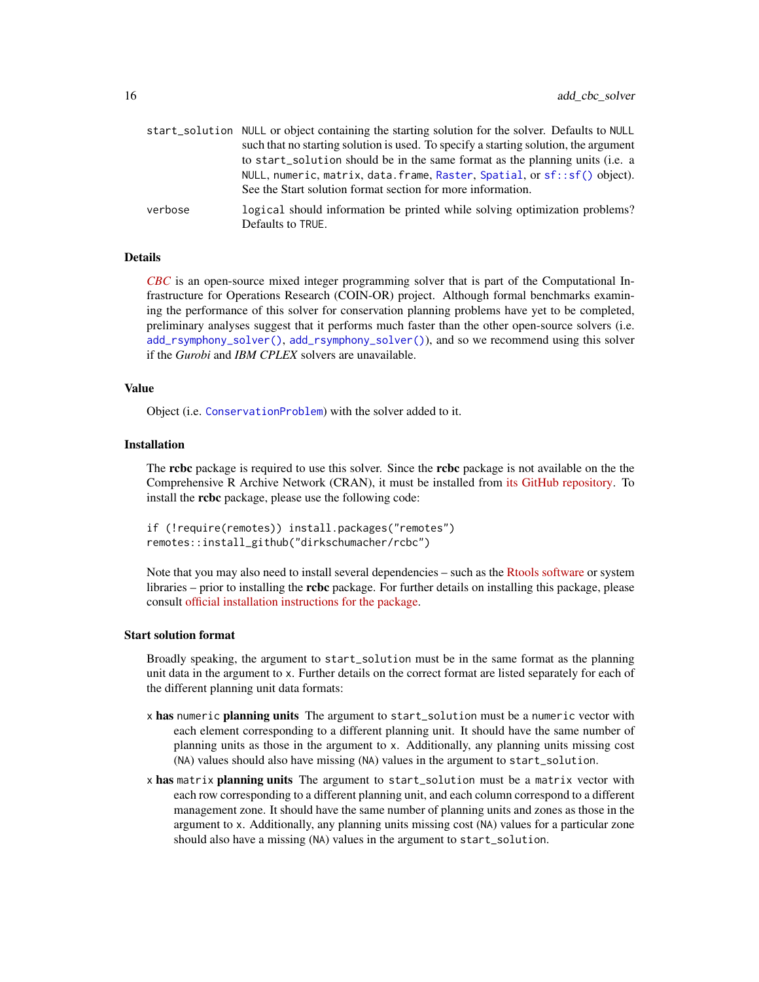|         | start_solution NULL or object containing the starting solution for the solver. Defaults to NULL |
|---------|-------------------------------------------------------------------------------------------------|
|         | such that no starting solution is used. To specify a starting solution, the argument            |
|         | to start_solution should be in the same format as the planning units (i.e. a                    |
|         | NULL, numeric, matrix, data. frame, Raster, Spatial, or sf:: sf() object).                      |
|         | See the Start solution format section for more information.                                     |
| verbose | logical should information be printed while solving optimization problems?                      |
|         | Defaults to TRUE.                                                                               |

#### Details

*[CBC](https://projects.coin-or.org/Cbc)* is an open-source mixed integer programming solver that is part of the Computational Infrastructure for Operations Research (COIN-OR) project. Although formal benchmarks examining the performance of this solver for conservation planning problems have yet to be completed, preliminary analyses suggest that it performs much faster than the other open-source solvers (i.e. [add\\_rsymphony\\_solver\(\)](#page-113-1), [add\\_rsymphony\\_solver\(\)](#page-113-1)), and so we recommend using this solver if the *Gurobi* and *IBM CPLEX* solvers are unavailable.

# Value

Object (i.e. [ConservationProblem](#page-141-1)) with the solver added to it.

#### Installation

The **rcbc** package is required to use this solver. Since the **rcbc** package is not available on the the Comprehensive R Archive Network (CRAN), it must be installed from [its GitHub repository.](https://github.com/dirkschumacher/rcbc) To install the rcbc package, please use the following code:

```
if (!require(remotes)) install.packages("remotes")
remotes::install_github("dirkschumacher/rcbc")
```
Note that you may also need to install several dependencies – such as the [Rtools software](https://cran.r-project.org/bin/windows/Rtools/) or system libraries – prior to installing the **rcbc** package. For further details on installing this package, please consult [official installation instructions for the package.](https://dirkschumacher.github.io/rcbc/)

#### Start solution format

Broadly speaking, the argument to start\_solution must be in the same format as the planning unit data in the argument to x. Further details on the correct format are listed separately for each of the different planning unit data formats:

- x has numeric planning units The argument to start\_solution must be a numeric vector with each element corresponding to a different planning unit. It should have the same number of planning units as those in the argument to x. Additionally, any planning units missing cost (NA) values should also have missing (NA) values in the argument to start\_solution.
- x has matrix planning units The argument to start\_solution must be a matrix vector with each row corresponding to a different planning unit, and each column correspond to a different management zone. It should have the same number of planning units and zones as those in the argument to x. Additionally, any planning units missing cost (NA) values for a particular zone should also have a missing (NA) values in the argument to start\_solution.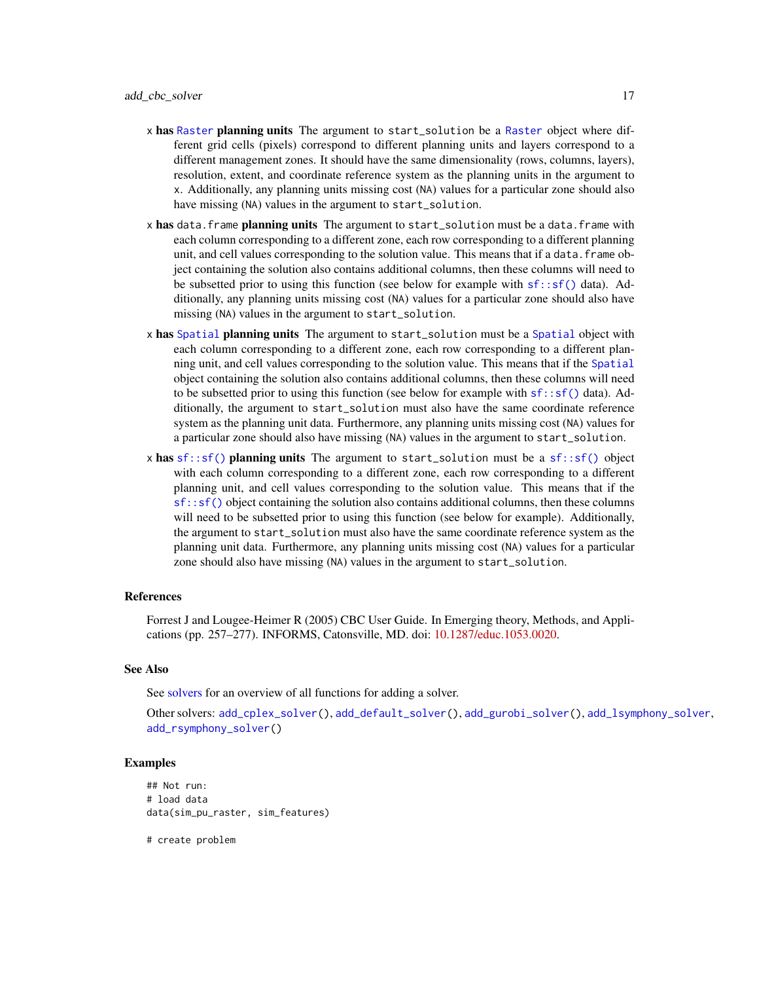- x has [Raster](#page-0-0) planning units The argument to start\_solution be a Raster object where different grid cells (pixels) correspond to different planning units and layers correspond to a different management zones. It should have the same dimensionality (rows, columns, layers), resolution, extent, and coordinate reference system as the planning units in the argument to x. Additionally, any planning units missing cost (NA) values for a particular zone should also have missing (NA) values in the argument to start\_solution.
- x has data.frame planning units The argument to start\_solution must be a data.frame with each column corresponding to a different zone, each row corresponding to a different planning unit, and cell values corresponding to the solution value. This means that if a data.frame object containing the solution also contains additional columns, then these columns will need to be subsetted prior to using this function (see below for example with  $sf::sf()$  data). Additionally, any planning units missing cost (NA) values for a particular zone should also have missing (NA) values in the argument to start\_solution.
- x has [Spatial](#page-0-0) planning units The argument to start\_solution must be a Spatial object with each column corresponding to a different zone, each row corresponding to a different planning unit, and cell values corresponding to the solution value. This means that if the [Spatial](#page-0-0) object containing the solution also contains additional columns, then these columns will need to be subsetted prior to using this function (see below for example with  $sf::sf()$  data). Additionally, the argument to start\_solution must also have the same coordinate reference system as the planning unit data. Furthermore, any planning units missing cost (NA) values for a particular zone should also have missing (NA) values in the argument to start\_solution.
- x has  $sf::sf()$  planning units The argument to start\_solution must be a  $sf::sf()$  object with each column corresponding to a different zone, each row corresponding to a different planning unit, and cell values corresponding to the solution value. This means that if the [sf::sf\(\)](#page-0-0) object containing the solution also contains additional columns, then these columns will need to be subsetted prior to using this function (see below for example). Additionally, the argument to start\_solution must also have the same coordinate reference system as the planning unit data. Furthermore, any planning units missing cost (NA) values for a particular zone should also have missing (NA) values in the argument to start\_solution.

#### References

Forrest J and Lougee-Heimer R (2005) CBC User Guide. In Emerging theory, Methods, and Applications (pp. 257–277). INFORMS, Catonsville, MD. doi: [10.1287/educ.1053.0020.](https://doi.org/10.1287/educ.1053.0020)

#### See Also

See [solvers](#page-267-1) for an overview of all functions for adding a solver.

Other solvers: [add\\_cplex\\_solver\(](#page-29-1)), [add\\_default\\_solver\(](#page-33-2)), [add\\_gurobi\\_solver\(](#page-46-1)), [add\\_lsymphony\\_solver](#page-70-1), [add\\_rsymphony\\_solver\(](#page-113-1))

#### Examples

```
## Not run:
# load data
data(sim_pu_raster, sim_features)
```
# create problem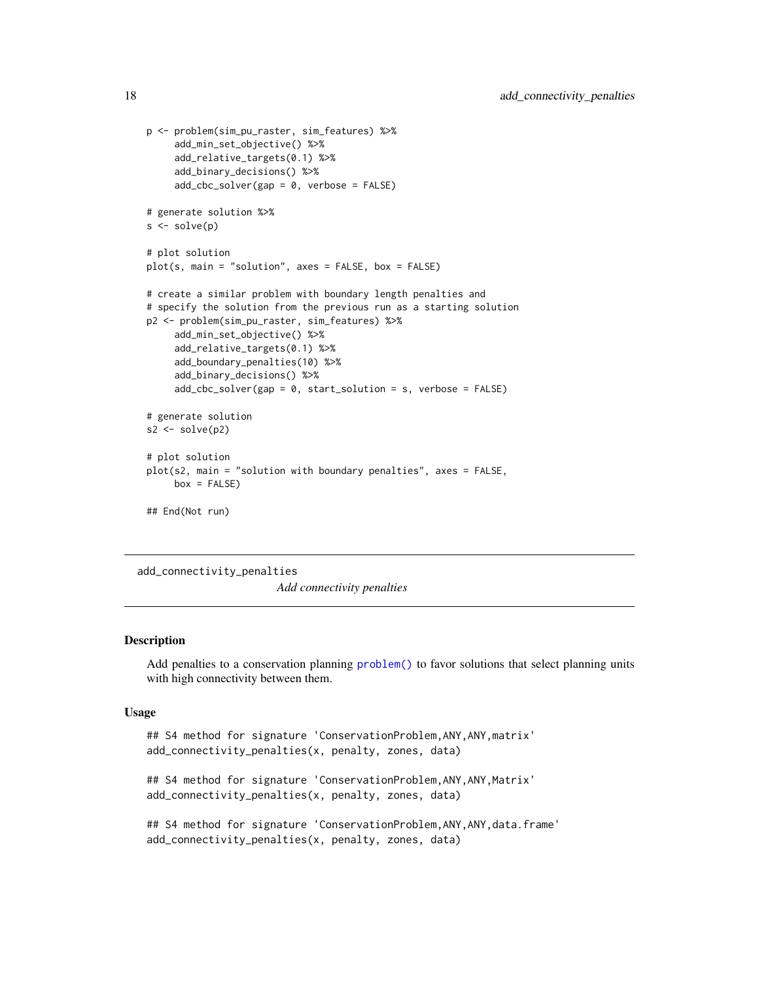```
p <- problem(sim_pu_raster, sim_features) %>%
     add_min_set_objective() %>%
     add_relative_targets(0.1) %>%
     add_binary_decisions() %>%
     add_cbc_solver(gap = 0, verbose = FALSE)
# generate solution %>%
s \leftarrow solve(p)# plot solution
plot(s, main = "solution", axes = FALSE, box = FALSE)
# create a similar problem with boundary length penalties and
# specify the solution from the previous run as a starting solution
p2 <- problem(sim_pu_raster, sim_features) %>%
     add_min_set_objective() %>%
     add_relative_targets(0.1) %>%
     add_boundary_penalties(10) %>%
     add_binary_decisions() %>%
     add\_cbc\_solver(gap = 0, start\_solution = s, verbose = FALSE)# generate solution
s2 \leftarrow solve(p2)# plot solution
plot(s2, main = "solution with boundary penalties", axes = FALSE,
     box = FALSE)## End(Not run)
```
<span id="page-17-1"></span>add\_connectivity\_penalties *Add connectivity penalties*

# Description

Add penalties to a conservation planning [problem\(\)](#page-238-1) to favor solutions that select planning units with high connectivity between them.

#### Usage

```
## S4 method for signature 'ConservationProblem,ANY,ANY,matrix'
add_connectivity_penalties(x, penalty, zones, data)
```
## S4 method for signature 'ConservationProblem, ANY, ANY, Matrix' add\_connectivity\_penalties(x, penalty, zones, data)

```
## S4 method for signature 'ConservationProblem,ANY,ANY,data.frame'
add_connectivity_penalties(x, penalty, zones, data)
```
<span id="page-17-0"></span>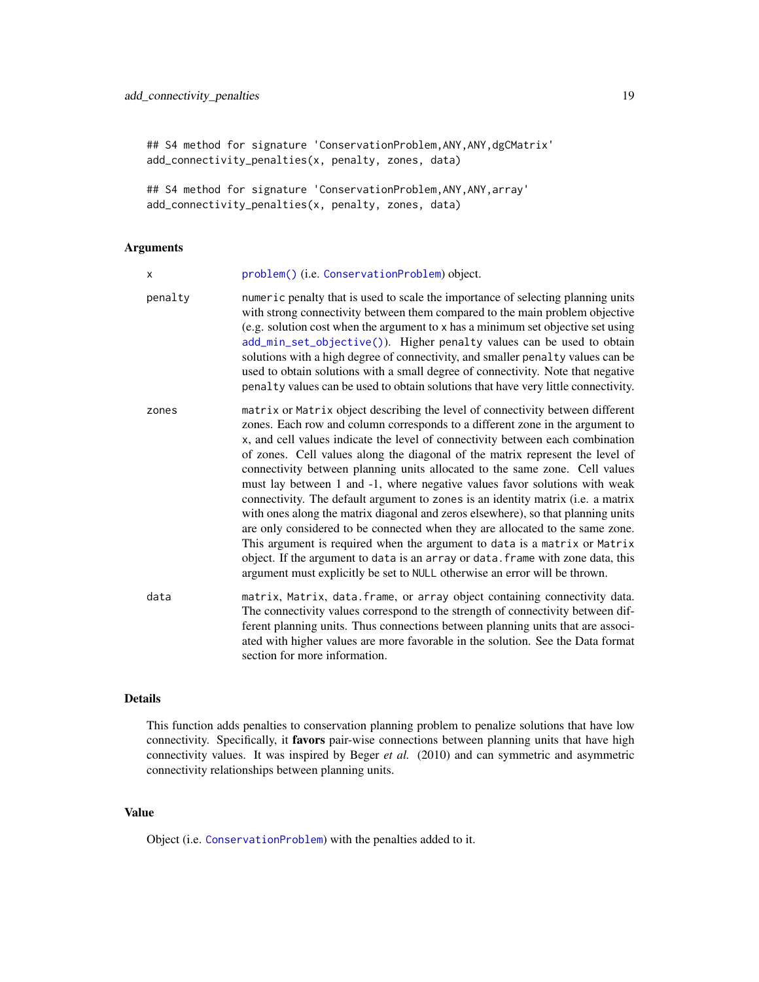```
## S4 method for signature 'ConservationProblem, ANY, ANY, dgCMatrix'
add_connectivity_penalties(x, penalty, zones, data)
```

```
## S4 method for signature 'ConservationProblem, ANY, ANY, array'
add_connectivity_penalties(x, penalty, zones, data)
```
# Arguments

| X       | problem() (i.e. ConservationProblem) object.                                                                                                                                                                                                                                                                                                                                                                                                                                                                                                                                                                                                                                                                                                                                                                                                                                                                                                                                                           |
|---------|--------------------------------------------------------------------------------------------------------------------------------------------------------------------------------------------------------------------------------------------------------------------------------------------------------------------------------------------------------------------------------------------------------------------------------------------------------------------------------------------------------------------------------------------------------------------------------------------------------------------------------------------------------------------------------------------------------------------------------------------------------------------------------------------------------------------------------------------------------------------------------------------------------------------------------------------------------------------------------------------------------|
| penalty | numeric penalty that is used to scale the importance of selecting planning units<br>with strong connectivity between them compared to the main problem objective<br>(e.g. solution cost when the argument to x has a minimum set objective set using<br>add_min_set_objective()). Higher penalty values can be used to obtain<br>solutions with a high degree of connectivity, and smaller penalty values can be<br>used to obtain solutions with a small degree of connectivity. Note that negative<br>penalty values can be used to obtain solutions that have very little connectivity.                                                                                                                                                                                                                                                                                                                                                                                                             |
| zones   | matrix or Matrix object describing the level of connectivity between different<br>zones. Each row and column corresponds to a different zone in the argument to<br>x, and cell values indicate the level of connectivity between each combination<br>of zones. Cell values along the diagonal of the matrix represent the level of<br>connectivity between planning units allocated to the same zone. Cell values<br>must lay between 1 and -1, where negative values favor solutions with weak<br>connectivity. The default argument to zones is an identity matrix (i.e. a matrix<br>with ones along the matrix diagonal and zeros elsewhere), so that planning units<br>are only considered to be connected when they are allocated to the same zone.<br>This argument is required when the argument to data is a matrix or Matrix<br>object. If the argument to data is an array or data. frame with zone data, this<br>argument must explicitly be set to NULL otherwise an error will be thrown. |
| data    | matrix, Matrix, data. frame, or array object containing connectivity data.<br>The connectivity values correspond to the strength of connectivity between dif-<br>ferent planning units. Thus connections between planning units that are associ-<br>ated with higher values are more favorable in the solution. See the Data format<br>section for more information.                                                                                                                                                                                                                                                                                                                                                                                                                                                                                                                                                                                                                                   |

# Details

This function adds penalties to conservation planning problem to penalize solutions that have low connectivity. Specifically, it favors pair-wise connections between planning units that have high connectivity values. It was inspired by Beger *et al.* (2010) and can symmetric and asymmetric connectivity relationships between planning units.

# Value

Object (i.e. [ConservationProblem](#page-141-1)) with the penalties added to it.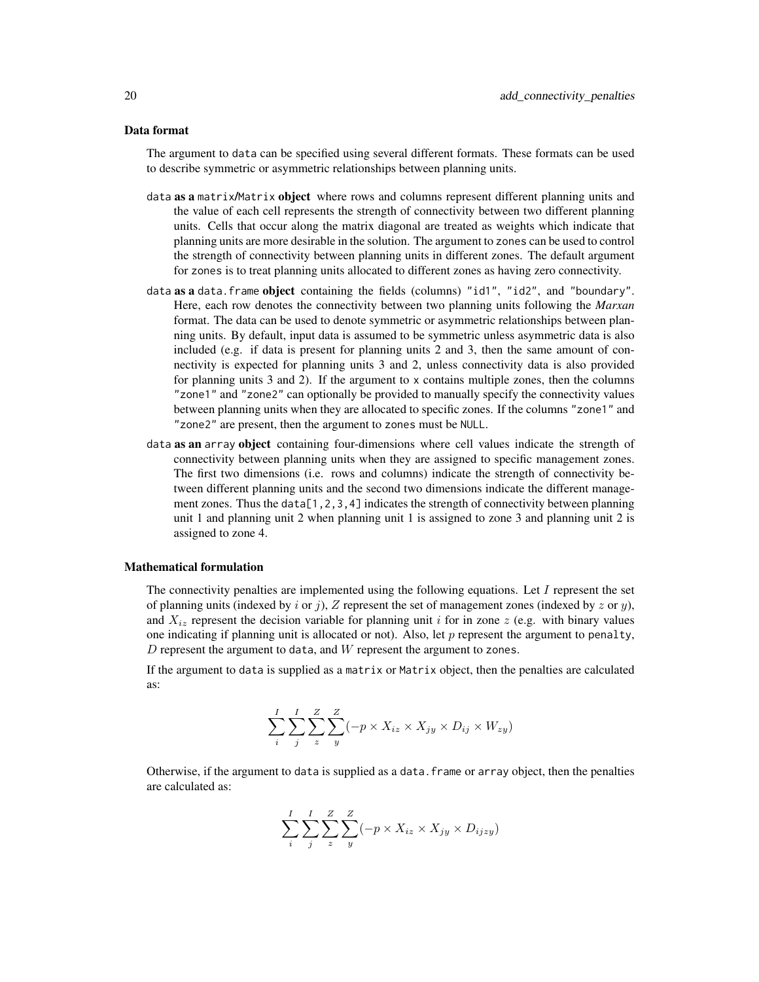# Data format

The argument to data can be specified using several different formats. These formats can be used to describe symmetric or asymmetric relationships between planning units.

- data as a matrix/Matrix object where rows and columns represent different planning units and the value of each cell represents the strength of connectivity between two different planning units. Cells that occur along the matrix diagonal are treated as weights which indicate that planning units are more desirable in the solution. The argument to zones can be used to control the strength of connectivity between planning units in different zones. The default argument for zones is to treat planning units allocated to different zones as having zero connectivity.
- data as a data. frame object containing the fields (columns) "id1", "id2", and "boundary". Here, each row denotes the connectivity between two planning units following the *Marxan* format. The data can be used to denote symmetric or asymmetric relationships between planning units. By default, input data is assumed to be symmetric unless asymmetric data is also included (e.g. if data is present for planning units 2 and 3, then the same amount of connectivity is expected for planning units 3 and 2, unless connectivity data is also provided for planning units 3 and 2). If the argument to x contains multiple zones, then the columns "zone1" and "zone2" can optionally be provided to manually specify the connectivity values between planning units when they are allocated to specific zones. If the columns "zone1" and "zone2" are present, then the argument to zones must be NULL.
- data as an array object containing four-dimensions where cell values indicate the strength of connectivity between planning units when they are assigned to specific management zones. The first two dimensions (i.e. rows and columns) indicate the strength of connectivity between different planning units and the second two dimensions indicate the different management zones. Thus the data[1,2,3,4] indicates the strength of connectivity between planning unit 1 and planning unit 2 when planning unit 1 is assigned to zone 3 and planning unit 2 is assigned to zone 4.

# Mathematical formulation

The connectivity penalties are implemented using the following equations. Let  $I$  represent the set of planning units (indexed by i or j), Z represent the set of management zones (indexed by z or y), and  $X_{iz}$  represent the decision variable for planning unit i for in zone z (e.g. with binary values one indicating if planning unit is allocated or not). Also, let  $p$  represent the argument to penalty,  $D$  represent the argument to data, and  $W$  represent the argument to zones.

If the argument to data is supplied as a matrix or Matrix object, then the penalties are calculated as:

$$
\sum_{i}^{I} \sum_{j}^{I} \sum_{z}^{Z} \sum_{y}^{Z} (-p \times X_{iz} \times X_{jy} \times D_{ij} \times W_{zy})
$$

Otherwise, if the argument to data is supplied as a data.frame or array object, then the penalties are calculated as:

$$
\sum_{i}^{I} \sum_{j}^{I} \sum_{z}^{Z} \sum_{y}^{Z} (-p \times X_{iz} \times X_{jy} \times D_{ijzy})
$$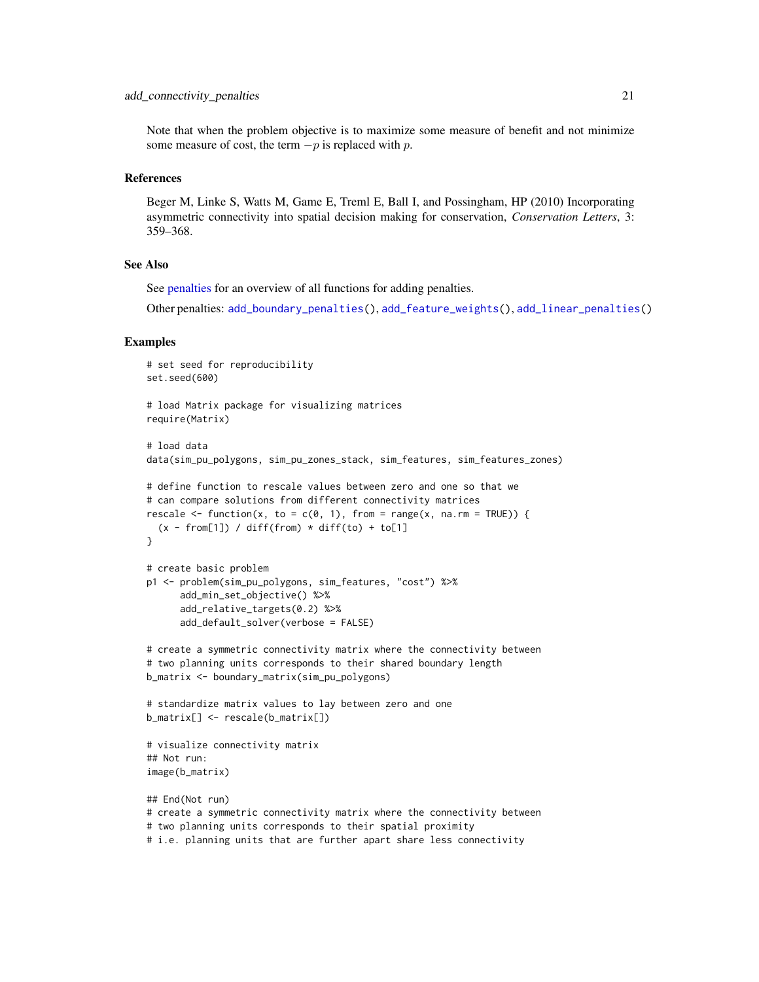#### add\_connectivity\_penalties 21

Note that when the problem objective is to maximize some measure of benefit and not minimize some measure of cost, the term  $-p$  is replaced with p.

#### References

Beger M, Linke S, Watts M, Game E, Treml E, Ball I, and Possingham, HP (2010) Incorporating asymmetric connectivity into spatial decision making for conservation, *Conservation Letters*, 3: 359–368.

#### See Also

See [penalties](#page-224-1) for an overview of all functions for adding penalties.

Other penalties: [add\\_boundary\\_penalties\(](#page-9-1)), [add\\_feature\\_weights\(](#page-40-1)), [add\\_linear\\_penalties\(](#page-55-1))

#### Examples

```
# set seed for reproducibility
set.seed(600)
# load Matrix package for visualizing matrices
require(Matrix)
# load data
data(sim_pu_polygons, sim_pu_zones_stack, sim_features, sim_features_zones)
# define function to rescale values between zero and one so that we
# can compare solutions from different connectivity matrices
rescale \leq function(x, to = c(0, 1), from = range(x, na.rm = TRUE)) {
  (x - from[1]) / diff(from) * diff(to) + to[1]}
# create basic problem
p1 <- problem(sim_pu_polygons, sim_features, "cost") %>%
      add_min_set_objective() %>%
      add_relative_targets(0.2) %>%
      add_default_solver(verbose = FALSE)
# create a symmetric connectivity matrix where the connectivity between
# two planning units corresponds to their shared boundary length
b_matrix <- boundary_matrix(sim_pu_polygons)
# standardize matrix values to lay between zero and one
b_matrix[] <- rescale(b_matrix[])
# visualize connectivity matrix
## Not run:
image(b_matrix)
## End(Not run)
# create a symmetric connectivity matrix where the connectivity between
# two planning units corresponds to their spatial proximity
```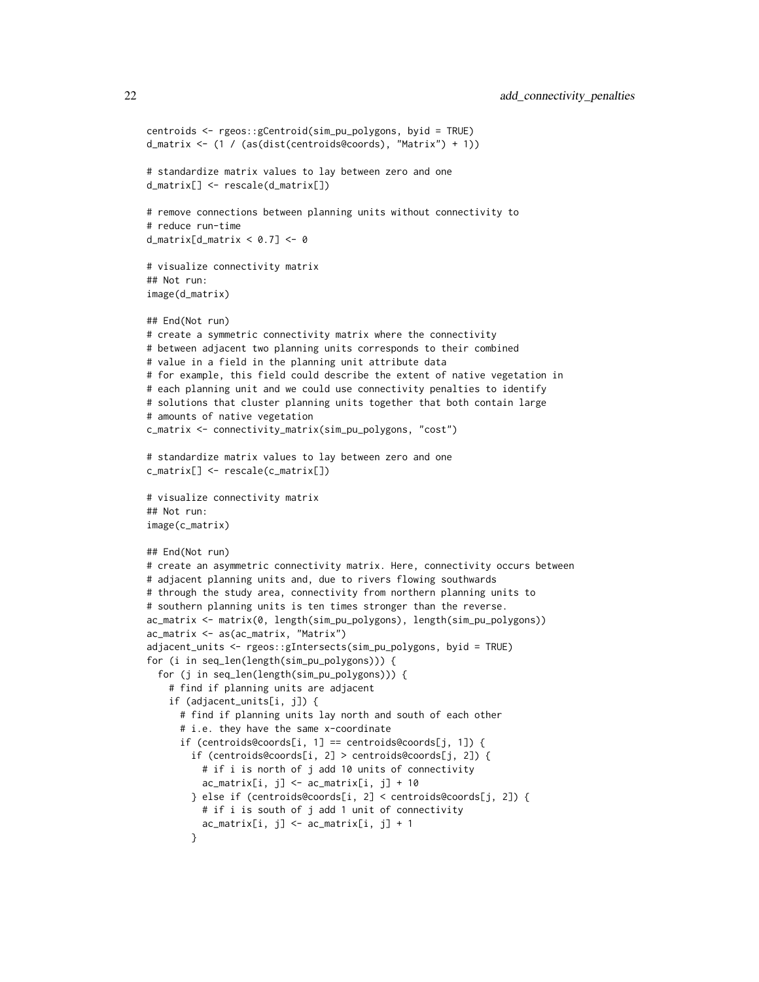```
centroids <- rgeos::gCentroid(sim_pu_polygons, byid = TRUE)
d_matrix <- (1 / (as(dist(centroids@coords), "Matrix") + 1))
# standardize matrix values to lay between zero and one
d_matrix[] <- rescale(d_matrix[])
# remove connections between planning units without connectivity to
# reduce run-time
d_matrix[d_matrix < 0.7] < -0# visualize connectivity matrix
## Not run:
image(d_matrix)
## End(Not run)
# create a symmetric connectivity matrix where the connectivity
# between adjacent two planning units corresponds to their combined
# value in a field in the planning unit attribute data
# for example, this field could describe the extent of native vegetation in
# each planning unit and we could use connectivity penalties to identify
# solutions that cluster planning units together that both contain large
# amounts of native vegetation
c_matrix <- connectivity_matrix(sim_pu_polygons, "cost")
# standardize matrix values to lay between zero and one
c_matrix[] <- rescale(c_matrix[])
# visualize connectivity matrix
## Not run:
image(c_matrix)
## End(Not run)
# create an asymmetric connectivity matrix. Here, connectivity occurs between
# adjacent planning units and, due to rivers flowing southwards
# through the study area, connectivity from northern planning units to
# southern planning units is ten times stronger than the reverse.
ac_matrix <- matrix(0, length(sim_pu_polygons), length(sim_pu_polygons))
ac_matrix <- as(ac_matrix, "Matrix")
adjacent_units <- rgeos::gIntersects(sim_pu_polygons, byid = TRUE)
for (i in seq_len(length(sim_pu_polygons))) {
 for (j in seq_len(length(sim_pu_polygons))) {
    # find if planning units are adjacent
    if (adjacent_units[i, j]) {
     # find if planning units lay north and south of each other
      # i.e. they have the same x-coordinate
     if (centroids@coords[i, 1] == centroids@coords[j, 1]) {
        if (centroids@coords[i, 2] > centroids@coords[j, 2]) {
          # if i is north of j add 10 units of connectivity
         ac_matrix[i, j] < -ac_matrix[i, j] + 10} else if (centroids@coords[i, 2] < centroids@coords[j, 2]) {
         # if i is south of j add 1 unit of connectivity
         ac_matrix[i, j] < -ac_matrix[i, j] + 1}
```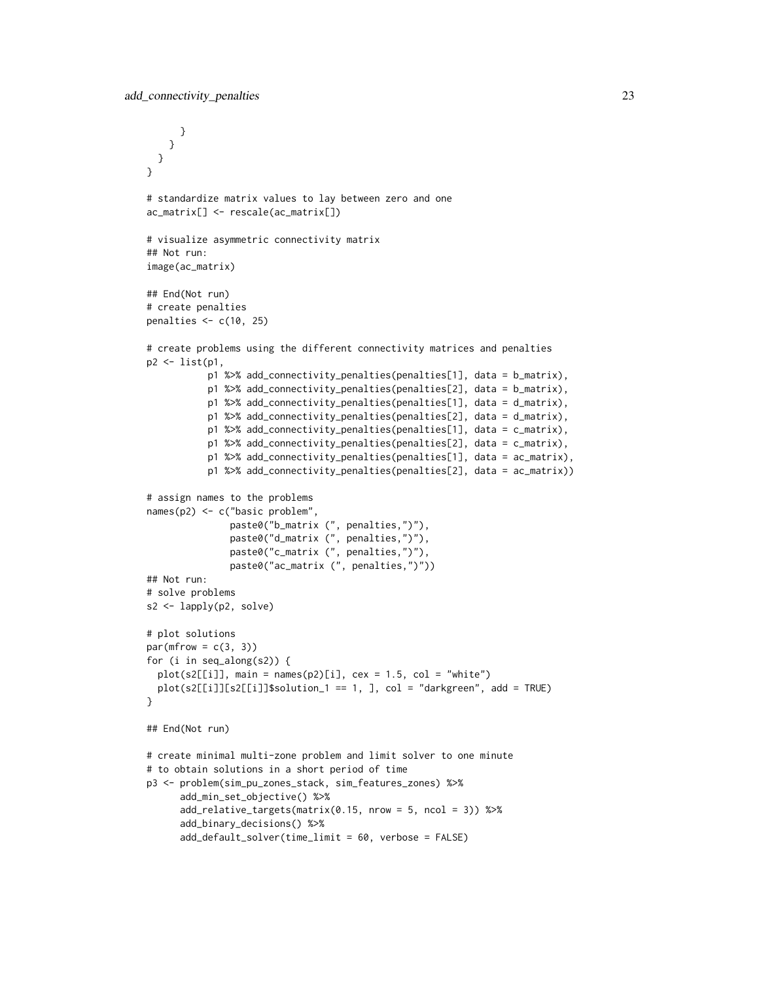```
}
   }
 }
}
# standardize matrix values to lay between zero and one
ac_matrix[] <- rescale(ac_matrix[])
# visualize asymmetric connectivity matrix
## Not run:
image(ac_matrix)
## End(Not run)
# create penalties
penalties <- c(10, 25)
# create problems using the different connectivity matrices and penalties
p2 <- list(p1,
           p1 %>% add_connectivity_penalties(penalties[1], data = b_matrix),
           p1 %>% add_connectivity_penalties(penalties[2], data = b_matrix),
           p1 %>% add_connectivity_penalties(penalties[1], data = d_matrix),
           p1 %>% add_connectivity_penalties(penalties[2], data = d_matrix),
           p1 %>% add_connectivity_penalties(penalties[1], data = c_matrix),
           p1 %>% add_connectivity_penalties(penalties[2], data = c_matrix),
           p1 %>% add_connectivity_penalties(penalties[1], data = ac_matrix),
           p1 %>% add_connectivity_penalties(penalties[2], data = ac_matrix))
# assign names to the problems
names(p2) <- c("basic problem",
               paste0("b_matrix (", penalties,")"),
               paste0("d_matrix (", penalties,")"),
               paste0("c_matrix (", penalties,")"),
               paste0("ac_matrix (", penalties,")"))
## Not run:
# solve problems
s2 <- lapply(p2, solve)
# plot solutions
par(mfrow = c(3, 3))for (i in seq_along(s2)) {
 plot(s2[[i]], main = names(p2)[i], cex = 1.5, col = "white")
 plot(s2[[i]][s2[[i]]$solution_1 == 1, ], col = "darkgreen", add = TRUE)
}
## End(Not run)
# create minimal multi-zone problem and limit solver to one minute
# to obtain solutions in a short period of time
p3 <- problem(sim_pu_zones_stack, sim_features_zones) %>%
      add_min_set_objective() %>%
      add_relative_targets(matrix(0.15, nrow = 5, ncol = 3)) %>%
      add_binary_decisions() %>%
      add_default_solver(time_limit = 60, verbose = FALSE)
```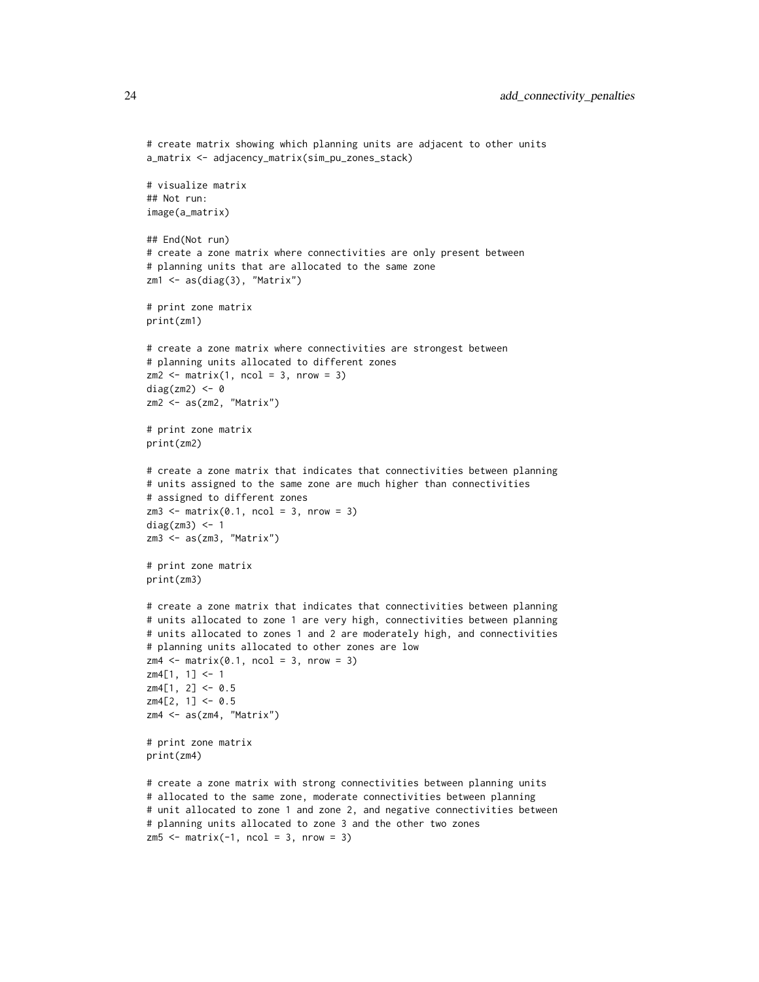```
# create matrix showing which planning units are adjacent to other units
a_matrix <- adjacency_matrix(sim_pu_zones_stack)
# visualize matrix
## Not run:
image(a_matrix)
## End(Not run)
# create a zone matrix where connectivities are only present between
# planning units that are allocated to the same zone
zm1 <- as(diag(3), "Matrix")
# print zone matrix
print(zm1)
# create a zone matrix where connectivities are strongest between
# planning units allocated to different zones
zm2 \leq -\text{matrix}(1, \text{ncol} = 3, \text{nrow} = 3)diag(zm2) <- 0
zm2 <- as(zm2, "Matrix")
# print zone matrix
print(zm2)
# create a zone matrix that indicates that connectivities between planning
# units assigned to the same zone are much higher than connectivities
# assigned to different zones
zm3 \leq -\text{matrix}(0.1, \text{ncol} = 3, \text{nrow} = 3)diag(zm3) <- 1
zm3 <- as(zm3, "Matrix")
# print zone matrix
print(zm3)
# create a zone matrix that indicates that connectivities between planning
# units allocated to zone 1 are very high, connectivities between planning
# units allocated to zones 1 and 2 are moderately high, and connectivities
# planning units allocated to other zones are low
zm4 \leq -\text{matrix}(0.1, \text{ncol} = 3, \text{nrow} = 3)zm4[1, 1] <- 1
zm4[1, 2] <- 0.5
zm4[2, 1] <- 0.5
zm4 <- as(zm4, "Matrix")
# print zone matrix
print(zm4)
# create a zone matrix with strong connectivities between planning units
# allocated to the same zone, moderate connectivities between planning
# unit allocated to zone 1 and zone 2, and negative connectivities between
# planning units allocated to zone 3 and the other two zones
z<sub>m5</sub> < - matrix(-1, ncol = 3, nrow = 3)
```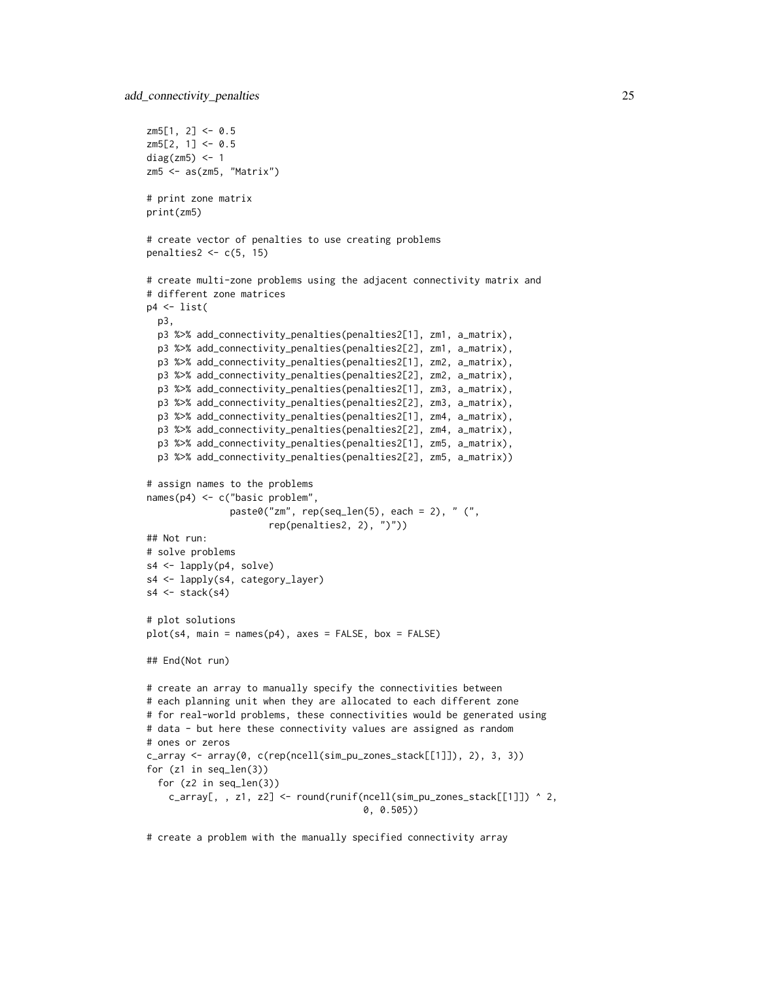```
z m 5[1, 2] < -0.5z<sub>m5</sub>[2, 1] < -0.5diag(zm5) <- 1
z<sub>m5</sub> < -as(z<sub>m5</sub>, "Matrix")# print zone matrix
print(zm5)
# create vector of penalties to use creating problems
penalties2 < -c(5, 15)# create multi-zone problems using the adjacent connectivity matrix and
# different zone matrices
p4 \leftarrow list(p3,
  p3 %>% add_connectivity_penalties(penalties2[1], zm1, a_matrix),
  p3 %>% add_connectivity_penalties(penalties2[2], zm1, a_matrix),
  p3 %>% add_connectivity_penalties(penalties2[1], zm2, a_matrix),
  p3 %>% add_connectivity_penalties(penalties2[2], zm2, a_matrix),
  p3 %>% add_connectivity_penalties(penalties2[1], zm3, a_matrix),
  p3 %>% add_connectivity_penalties(penalties2[2], zm3, a_matrix),
  p3 %>% add_connectivity_penalties(penalties2[1], zm4, a_matrix),
  p3 %>% add_connectivity_penalties(penalties2[2], zm4, a_matrix),
  p3 %>% add_connectivity_penalties(penalties2[1], zm5, a_matrix),
  p3 %>% add_connectivity_penalties(penalties2[2], zm5, a_matrix))
# assign names to the problems
names(p4) <- c("basic problem",
               paste0("zm", rep(seq_len(5), each = 2), " (",
                      rep(penalties2, 2), ")"))
## Not run:
# solve problems
s4 <- lapply(p4, solve)
s4 <- lapply(s4, category_layer)
s4 \leftarrow \text{stack}(s4)# plot solutions
plot(s4, main = names(p4), axes = FALSE, box = FALSE)## End(Not run)
# create an array to manually specify the connectivities between
# each planning unit when they are allocated to each different zone
# for real-world problems, these connectivities would be generated using
# data - but here these connectivity values are assigned as random
# ones or zeros
c_array <- array(0, c(rep(ncell(sim_pu_zones_stack[[1]]), 2), 3, 3))
for (z1 in seq_len(3))
  for (z2 in seq_len(3))
    c_array[, , z1, z2] <- round(runif(ncell(sim_pu_zones_stack[[1]]) ^ 2,
                                        0, 0.505))
```
# create a problem with the manually specified connectivity array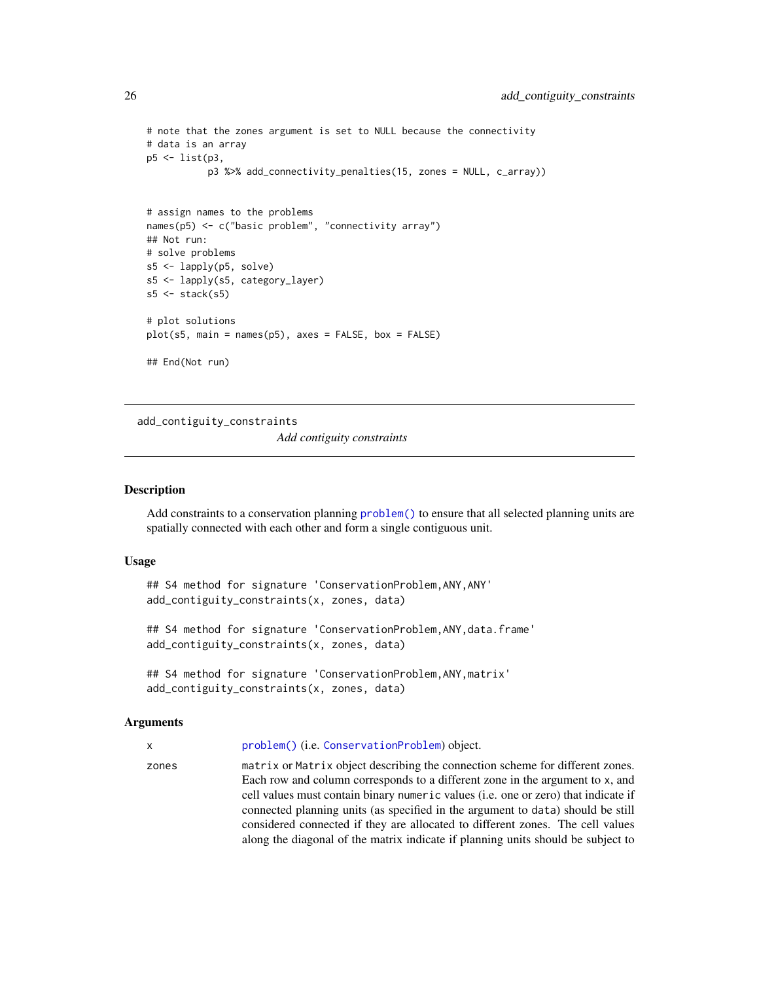```
# note that the zones argument is set to NULL because the connectivity
# data is an array
p5 <- list(p3,
           p3 %>% add_connectivity_penalties(15, zones = NULL, c_array))
# assign names to the problems
names(p5) <- c("basic problem", "connectivity array")
## Not run:
# solve problems
s5 <- lapply(p5, solve)
s5 <- lapply(s5, category_layer)
s5 \leftarrow \text{stack}(s5)# plot solutions
plot(s5, main = names(p5), axes = FALSE, box = FALSE)
## End(Not run)
```
add\_contiguity\_constraints

*Add contiguity constraints*

#### Description

Add constraints to a conservation planning [problem\(\)](#page-238-1) to ensure that all selected planning units are spatially connected with each other and form a single contiguous unit.

#### Usage

```
## S4 method for signature 'ConservationProblem,ANY,ANY'
add_contiguity_constraints(x, zones, data)
```
## S4 method for signature 'ConservationProblem,ANY,data.frame' add\_contiguity\_constraints(x, zones, data)

```
## S4 method for signature 'ConservationProblem,ANY,matrix'
add_contiguity_constraints(x, zones, data)
```
#### Arguments

x [problem\(\)](#page-238-1) (i.e. [ConservationProblem](#page-141-1)) object.

zones matrix or Matrix object describing the connection scheme for different zones. Each row and column corresponds to a different zone in the argument to x, and cell values must contain binary numeric values (i.e. one or zero) that indicate if connected planning units (as specified in the argument to data) should be still considered connected if they are allocated to different zones. The cell values along the diagonal of the matrix indicate if planning units should be subject to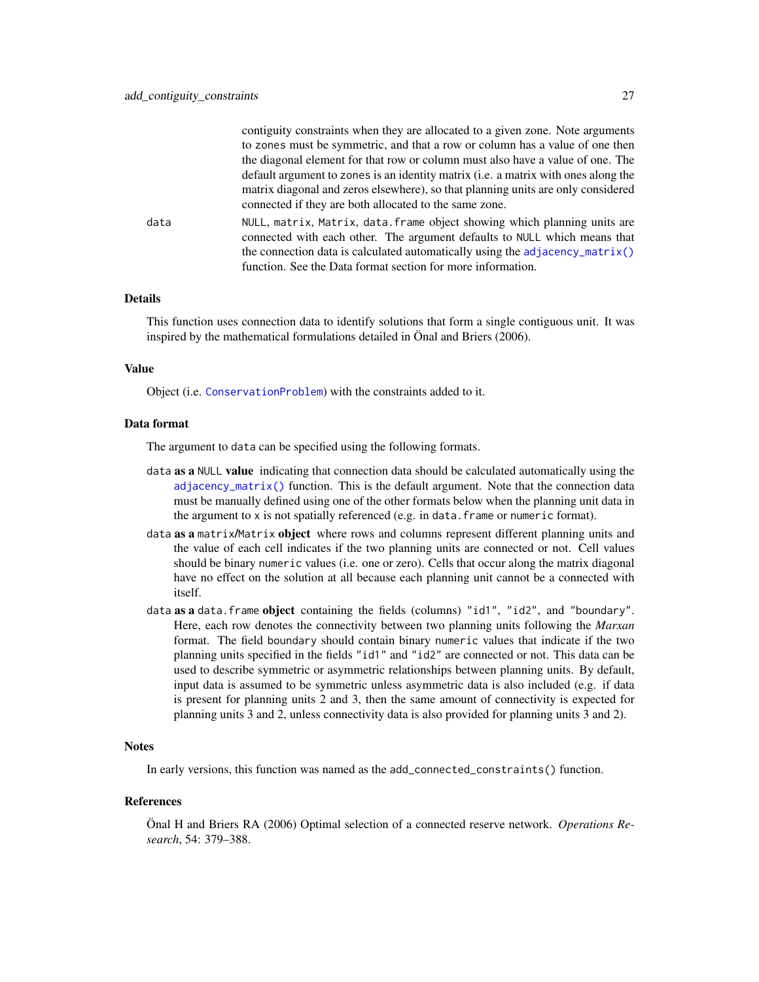|      | contiguity constraints when they are anocated to a given zone. Note arguments                                                                          |
|------|--------------------------------------------------------------------------------------------------------------------------------------------------------|
|      | to zones must be symmetric, and that a row or column has a value of one then                                                                           |
|      | the diagonal element for that row or column must also have a value of one. The                                                                         |
|      | default argument to zones is an identity matrix (i.e. a matrix with ones along the                                                                     |
|      | matrix diagonal and zeros elsewhere), so that planning units are only considered                                                                       |
|      | connected if they are both allocated to the same zone.                                                                                                 |
| data | NULL, matrix, Matrix, data. frame object showing which planning units are<br>connected with each other. The argument defaults to NULL which means that |
|      | the connection data is calculated automatically using the adjacency_matrix()                                                                           |
|      |                                                                                                                                                        |
|      | function. See the Data format section for more information.                                                                                            |
|      |                                                                                                                                                        |

contiguity constraints when they are allocated to a given zone. Note arguments

#### Details

This function uses connection data to identify solutions that form a single contiguous unit. It was inspired by the mathematical formulations detailed in Önal and Briers (2006).

#### Value

Object (i.e. [ConservationProblem](#page-141-1)) with the constraints added to it.

# Data format

The argument to data can be specified using the following formats.

- data as a NULL value indicating that connection data should be calculated automatically using the  $adjacency_matrix()$  function. This is the default argument. Note that the connection data must be manually defined using one of the other formats below when the planning unit data in the argument to x is not spatially referenced (e.g. in data.frame or numeric format).
- data as a matrix/Matrix object where rows and columns represent different planning units and the value of each cell indicates if the two planning units are connected or not. Cell values should be binary numeric values (i.e. one or zero). Cells that occur along the matrix diagonal have no effect on the solution at all because each planning unit cannot be a connected with itself.
- data as a data. frame object containing the fields (columns) "id1", "id2", and "boundary". Here, each row denotes the connectivity between two planning units following the *Marxan* format. The field boundary should contain binary numeric values that indicate if the two planning units specified in the fields "id1" and "id2" are connected or not. This data can be used to describe symmetric or asymmetric relationships between planning units. By default, input data is assumed to be symmetric unless asymmetric data is also included (e.g. if data is present for planning units 2 and 3, then the same amount of connectivity is expected for planning units 3 and 2, unless connectivity data is also provided for planning units 3 and 2).

#### **Notes**

In early versions, this function was named as the add\_connected\_constraints() function.

#### References

Önal H and Briers RA (2006) Optimal selection of a connected reserve network. *Operations Research*, 54: 379–388.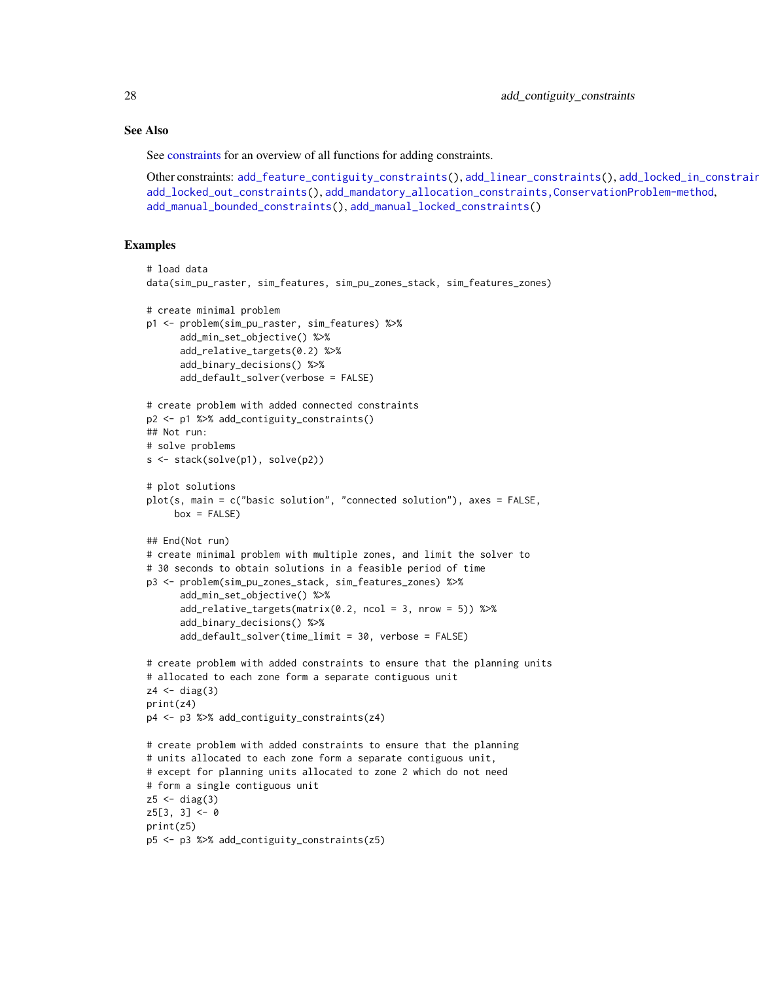#### See Also

See [constraints](#page-145-1) for an overview of all functions for adding constraints.

```
Other constraints: add_feature_contiguity_constraints(), add_linear_constraints(), add_locked_in_constraints(),
add_locked_out_constraints(), add_mandatory_allocation_constraints,ConservationProblem-method,
add_manual_bounded_constraints(), add_manual_locked_constraints()
```
## Examples

```
# load data
data(sim_pu_raster, sim_features, sim_pu_zones_stack, sim_features_zones)
# create minimal problem
p1 <- problem(sim_pu_raster, sim_features) %>%
      add_min_set_objective() %>%
      add_relative_targets(0.2) %>%
      add_binary_decisions() %>%
      add_default_solver(verbose = FALSE)
# create problem with added connected constraints
p2 <- p1 %>% add_contiguity_constraints()
## Not run:
# solve problems
s <- stack(solve(p1), solve(p2))
# plot solutions
plot(s, main = c("basic solution", "connected solution"), axes = FALSE,
     box = FALSE)## End(Not run)
# create minimal problem with multiple zones, and limit the solver to
# 30 seconds to obtain solutions in a feasible period of time
p3 <- problem(sim_pu_zones_stack, sim_features_zones) %>%
      add_min_set_objective() %>%
      add\_relative\_targets(maxrix(0.2, ncol = 3, nrow = 5)) %>%
      add_binary_decisions() %>%
      add_default_solver(time_limit = 30, verbose = FALSE)
# create problem with added constraints to ensure that the planning units
# allocated to each zone form a separate contiguous unit
z4 \leftarrow diag(3)print(z4)
p4 <- p3 %>% add_contiguity_constraints(z4)
# create problem with added constraints to ensure that the planning
# units allocated to each zone form a separate contiguous unit,
# except for planning units allocated to zone 2 which do not need
# form a single contiguous unit
z5 < - diag(3)
z5[3, 3] < -0print(z5)
p5 <- p3 %>% add_contiguity_constraints(z5)
```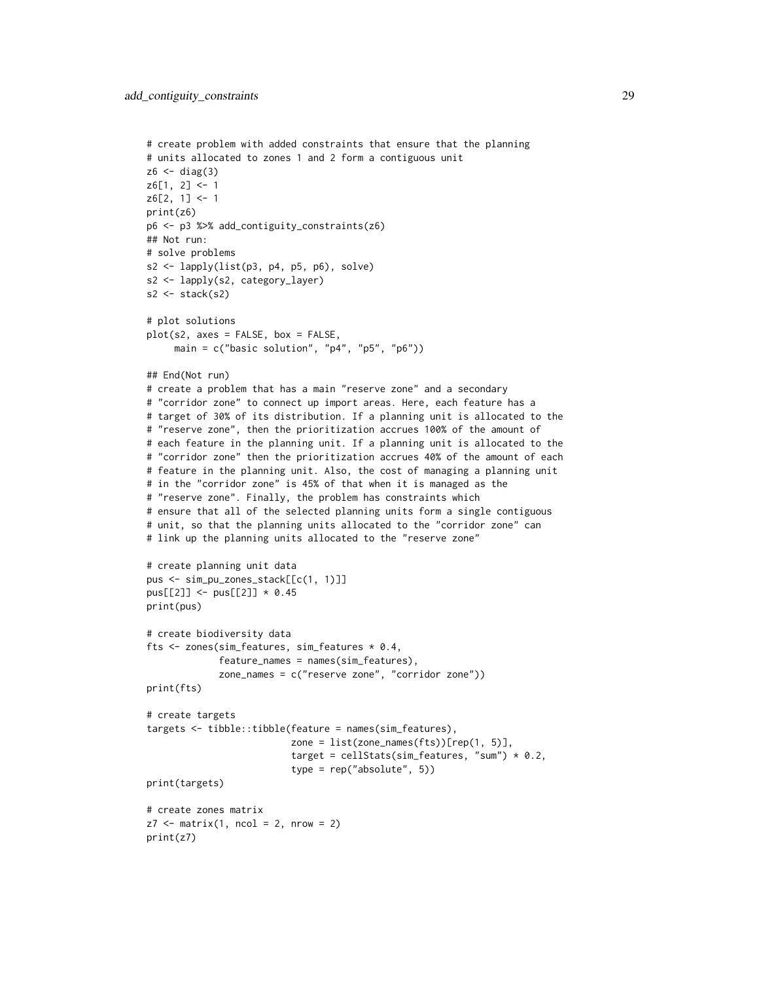```
# create problem with added constraints that ensure that the planning
# units allocated to zones 1 and 2 form a contiguous unit
z6 < - diag(3)
z6[1, 2] < -1z6[2, 1] < -1print(z6)
p6 <- p3 %>% add_contiguity_constraints(z6)
## Not run:
# solve problems
s2 \leftarrow \text{lapply}(\text{list}(p3, p4, p5, p6), \text{solve})s2 <- lapply(s2, category_layer)
s2 \leftarrow \text{stack}(s2)# plot solutions
plot(s2, axes = FALSE, box = FALSE,
     main = c("basic solution", "p4", "p5", "p6"))
## End(Not run)
# create a problem that has a main "reserve zone" and a secondary
# "corridor zone" to connect up import areas. Here, each feature has a
# target of 30% of its distribution. If a planning unit is allocated to the
# "reserve zone", then the prioritization accrues 100% of the amount of
# each feature in the planning unit. If a planning unit is allocated to the
# "corridor zone" then the prioritization accrues 40% of the amount of each
# feature in the planning unit. Also, the cost of managing a planning unit
# in the "corridor zone" is 45% of that when it is managed as the
# "reserve zone". Finally, the problem has constraints which
# ensure that all of the selected planning units form a single contiguous
# unit, so that the planning units allocated to the "corridor zone" can
# link up the planning units allocated to the "reserve zone"
# create planning unit data
pus <- sim_pu_zones_stack[[c(1, 1)]]
pus[[2]] <- pus[[2]] * 0.45
print(pus)
# create biodiversity data
fts <- zones(sim_features, sim_features * 0.4,
             feature_names = names(sim_features),
             zone_names = c("reserve zone", "corridor zone"))
print(fts)
# create targets
targets <- tibble::tibble(feature = names(sim_features),
                          zone = list(zone_names(fts))[rep(1, 5)],target = cellStats(sim_features, "sum") * 0.2,
                           type = rep("absolute", 5))
print(targets)
# create zones matrix
z7 \le matrix(1, ncol = 2, nrow = 2)
print(z7)
```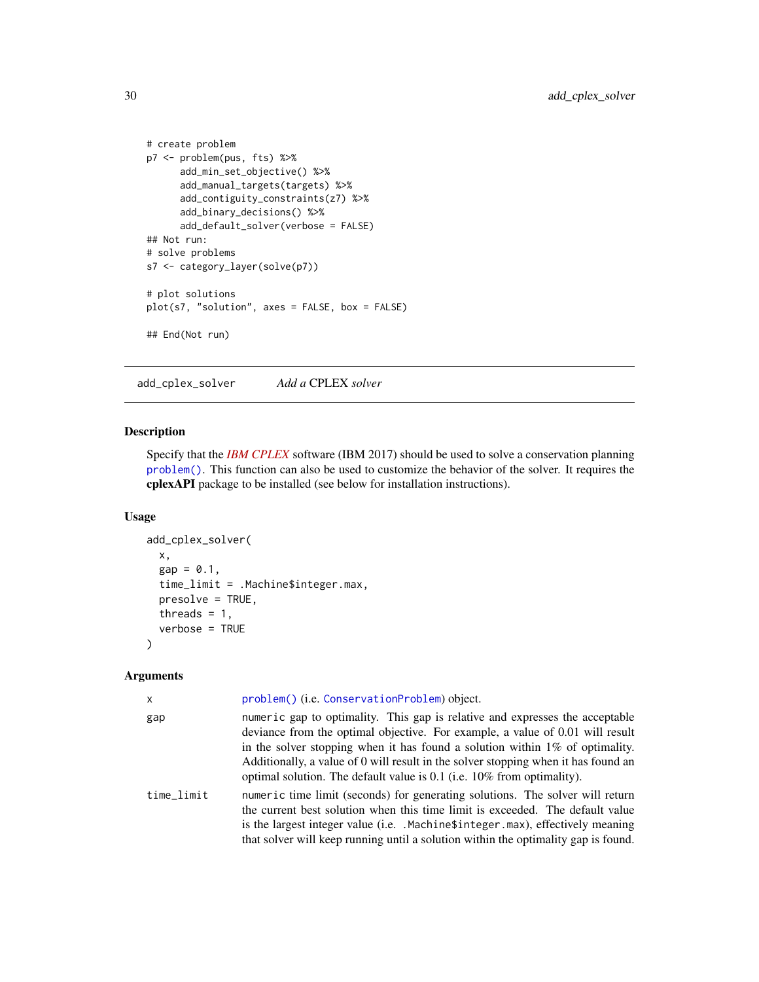```
# create problem
p7 <- problem(pus, fts) %>%
     add_min_set_objective() %>%
     add_manual_targets(targets) %>%
     add_contiguity_constraints(z7) %>%
     add_binary_decisions() %>%
     add_default_solver(verbose = FALSE)
## Not run:
# solve problems
s7 <- category_layer(solve(p7))
# plot solutions
plot(s7, "solution", axes = FALSE, box = FALSE)
## End(Not run)
```
<span id="page-29-1"></span>add\_cplex\_solver *Add a* CPLEX *solver*

# Description

Specify that the *[IBM CPLEX](https://www.ibm.com/analytics/cplex-optimizer)* software (IBM 2017) should be used to solve a conservation planning [problem\(\)](#page-238-1). This function can also be used to customize the behavior of the solver. It requires the cplexAPI package to be installed (see below for installation instructions).

#### Usage

```
add_cplex_solver(
  x,
  gap = 0.1,time_limit = .Machine$integer.max,
  presolve = TRUE,
  threads = 1,
  verbose = TRUE
)
```
## Arguments

| $\mathsf{x}$ | problem() (i.e. ConservationProblem) object.                                                                                                                                                                                                                                                                                                                                                                          |
|--------------|-----------------------------------------------------------------------------------------------------------------------------------------------------------------------------------------------------------------------------------------------------------------------------------------------------------------------------------------------------------------------------------------------------------------------|
| gap          | numeric gap to optimality. This gap is relative and expresses the acceptable<br>deviance from the optimal objective. For example, a value of 0.01 will result<br>in the solver stopping when it has found a solution within $1\%$ of optimality.<br>Additionally, a value of 0 will result in the solver stopping when it has found an<br>optimal solution. The default value is $0.1$ (i.e. $10\%$ from optimality). |
| time_limit   | numeric time limit (seconds) for generating solutions. The solver will return<br>the current best solution when this time limit is exceeded. The default value<br>is the largest integer value (i.e. . Machine \$integer max), effectively meaning<br>that solver will keep running until a solution within the optimality gap is found.                                                                              |

<span id="page-29-0"></span>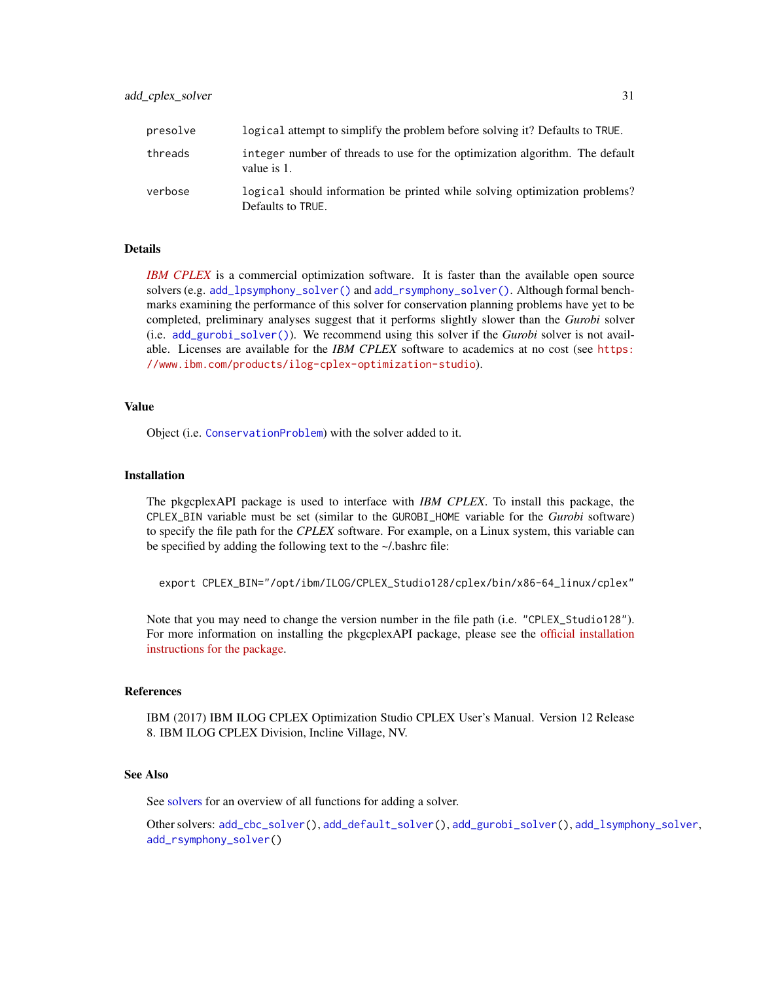| presolve | logical attempt to simplify the problem before solving it? Defaults to TRUE.                    |
|----------|-------------------------------------------------------------------------------------------------|
| threads  | integer number of threads to use for the optimization algorithm. The default<br>value is 1.     |
| verbose  | logical should information be printed while solving optimization problems?<br>Defaults to TRUE. |

#### Details

*[IBM CPLEX](https://www.ibm.com/analytics/cplex-optimizer)* is a commercial optimization software. It is faster than the available open source solvers (e.g. [add\\_lpsymphony\\_solver\(\)](#page-70-2) and [add\\_rsymphony\\_solver\(\)](#page-113-1). Although formal benchmarks examining the performance of this solver for conservation planning problems have yet to be completed, preliminary analyses suggest that it performs slightly slower than the *Gurobi* solver (i.e. [add\\_gurobi\\_solver\(\)](#page-46-1)). We recommend using this solver if the *Gurobi* solver is not available. Licenses are available for the *IBM CPLEX* software to academics at no cost (see [https:](https://www.ibm.com/products/ilog-cplex-optimization-studio) [//www.ibm.com/products/ilog-cplex-optimization-studio](https://www.ibm.com/products/ilog-cplex-optimization-studio)).

#### Value

Object (i.e. [ConservationProblem](#page-141-1)) with the solver added to it.

#### Installation

The pkgcplexAPI package is used to interface with *IBM CPLEX*. To install this package, the CPLEX\_BIN variable must be set (similar to the GUROBI\_HOME variable for the *Gurobi* software) to specify the file path for the *CPLEX* software. For example, on a Linux system, this variable can be specified by adding the following text to the ~/.bashrc file:

export CPLEX\_BIN="/opt/ibm/ILOG/CPLEX\_Studio128/cplex/bin/x86-64\_linux/cplex"

Note that you may need to change the version number in the file path (i.e. "CPLEX\_Studio128"). For more information on installing the pkgcplexAPI package, please see the [official installation](https://CRAN.R-project.org/package=cplexAPI/INSTALL) [instructions for the package.](https://CRAN.R-project.org/package=cplexAPI/INSTALL)

#### References

IBM (2017) IBM ILOG CPLEX Optimization Studio CPLEX User's Manual. Version 12 Release 8. IBM ILOG CPLEX Division, Incline Village, NV.

#### See Also

See [solvers](#page-267-1) for an overview of all functions for adding a solver.

Other solvers: [add\\_cbc\\_solver\(](#page-14-1)), [add\\_default\\_solver\(](#page-33-2)), [add\\_gurobi\\_solver\(](#page-46-1)), [add\\_lsymphony\\_solver](#page-70-1), [add\\_rsymphony\\_solver\(](#page-113-1))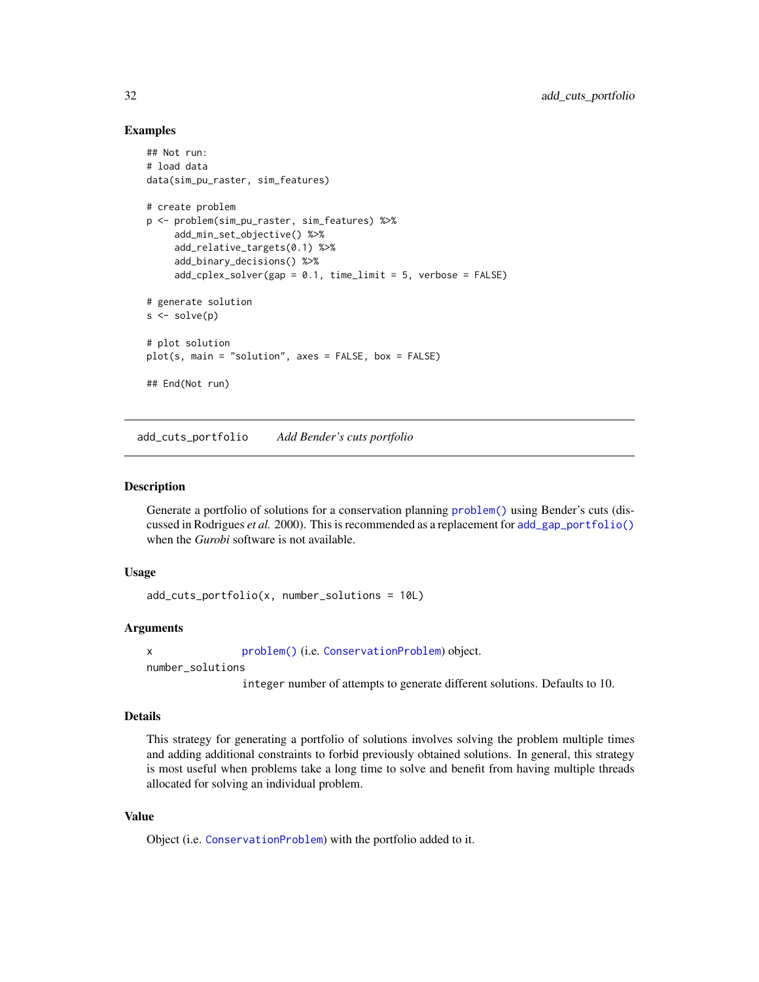#### Examples

```
## Not run:
# load data
data(sim_pu_raster, sim_features)
# create problem
p <- problem(sim_pu_raster, sim_features) %>%
     add_min_set_objective() %>%
     add_relative_targets(0.1) %>%
     add_binary_decisions() %>%
     add_cplex_solver(gap = 0.1, time_limit = 5, verbose = FALSE)
# generate solution
s \leftarrow solve(p)# plot solution
plot(s, main = "solution", axes = FALSE, box = FALSE)## End(Not run)
```
<span id="page-31-1"></span>add\_cuts\_portfolio *Add Bender's cuts portfolio*

#### Description

Generate a portfolio of solutions for a conservation planning [problem\(\)](#page-238-1) using Bender's cuts (discussed in Rodrigues *et al.* 2000). This is recommended as a replacement for [add\\_gap\\_portfolio\(\)](#page-44-1) when the *Gurobi* software is not available.

#### Usage

```
add_cuts_portfolio(x, number_solutions = 10L)
```
### Arguments

x [problem\(\)](#page-238-1) (i.e. [ConservationProblem](#page-141-1)) object.

number\_solutions

integer number of attempts to generate different solutions. Defaults to 10.

# Details

This strategy for generating a portfolio of solutions involves solving the problem multiple times and adding additional constraints to forbid previously obtained solutions. In general, this strategy is most useful when problems take a long time to solve and benefit from having multiple threads allocated for solving an individual problem.

# Value

Object (i.e. [ConservationProblem](#page-141-1)) with the portfolio added to it.

<span id="page-31-0"></span>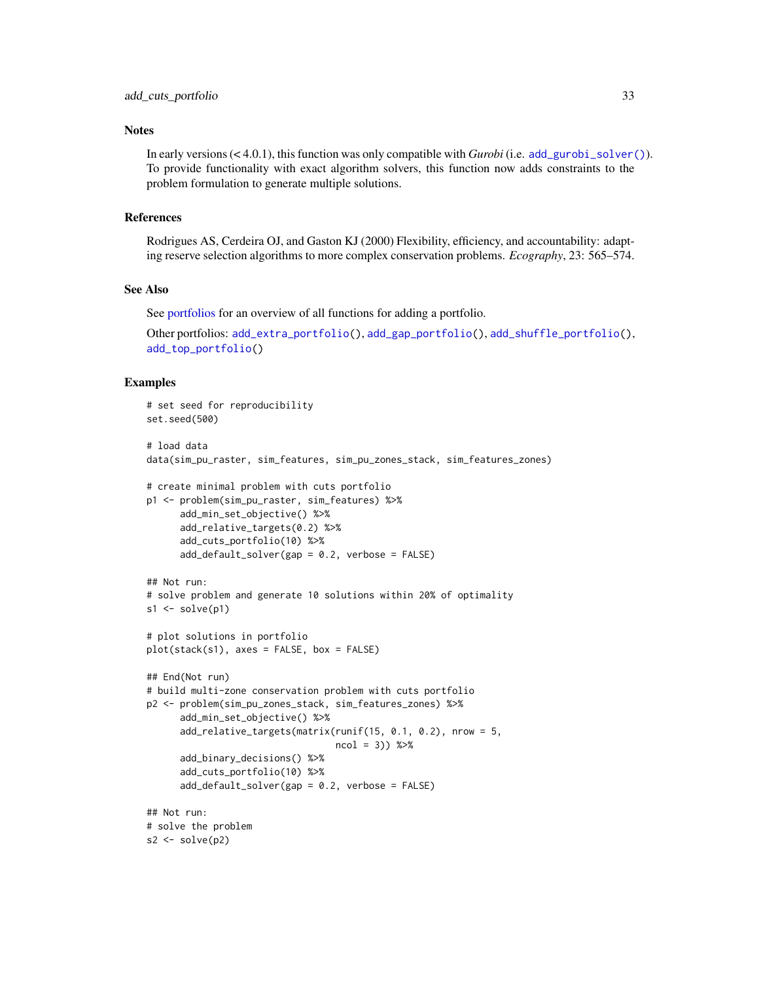#### **Notes**

In early versions (< 4.0.1), this function was only compatible with *Gurobi* (i.e. [add\\_gurobi\\_solver\(\)](#page-46-1)). To provide functionality with exact algorithm solvers, this function now adds constraints to the problem formulation to generate multiple solutions.

# References

Rodrigues AS, Cerdeira OJ, and Gaston KJ (2000) Flexibility, efficiency, and accountability: adapting reserve selection algorithms to more complex conservation problems. *Ecography*, 23: 565–574.

#### See Also

See [portfolios](#page-227-1) for an overview of all functions for adding a portfolio.

```
Other portfolios: add_extra_portfolio(), add_gap_portfolio(), add_shuffle_portfolio(),
add_top_portfolio()
```
#### Examples

```
# set seed for reproducibility
set.seed(500)
# load data
data(sim_pu_raster, sim_features, sim_pu_zones_stack, sim_features_zones)
# create minimal problem with cuts portfolio
p1 <- problem(sim_pu_raster, sim_features) %>%
      add_min_set_objective() %>%
      add_relative_targets(0.2) %>%
      add_cuts_portfolio(10) %>%
      add_default_solver(gap = 0.2, verbose = FALSE)
## Not run:
# solve problem and generate 10 solutions within 20% of optimality
s1 \leftarrow solve(p1)# plot solutions in portfolio
plot(stack(s1), axes = FALSE, box = FALSE)
## End(Not run)
# build multi-zone conservation problem with cuts portfolio
p2 <- problem(sim_pu_zones_stack, sim_features_zones) %>%
      add_min_set_objective() %>%
      add_relative_targets(matrix(runif(15, 0.1, 0.2), nrow = 5,
                                   ncol = 3) %>%
      add_binary_decisions() %>%
      add_cuts_portfolio(10) %>%
      add_default_solver(gap = 0.2, verbose = FALSE)
## Not run:
# solve the problem
s2 \leftarrow solve(p2)
```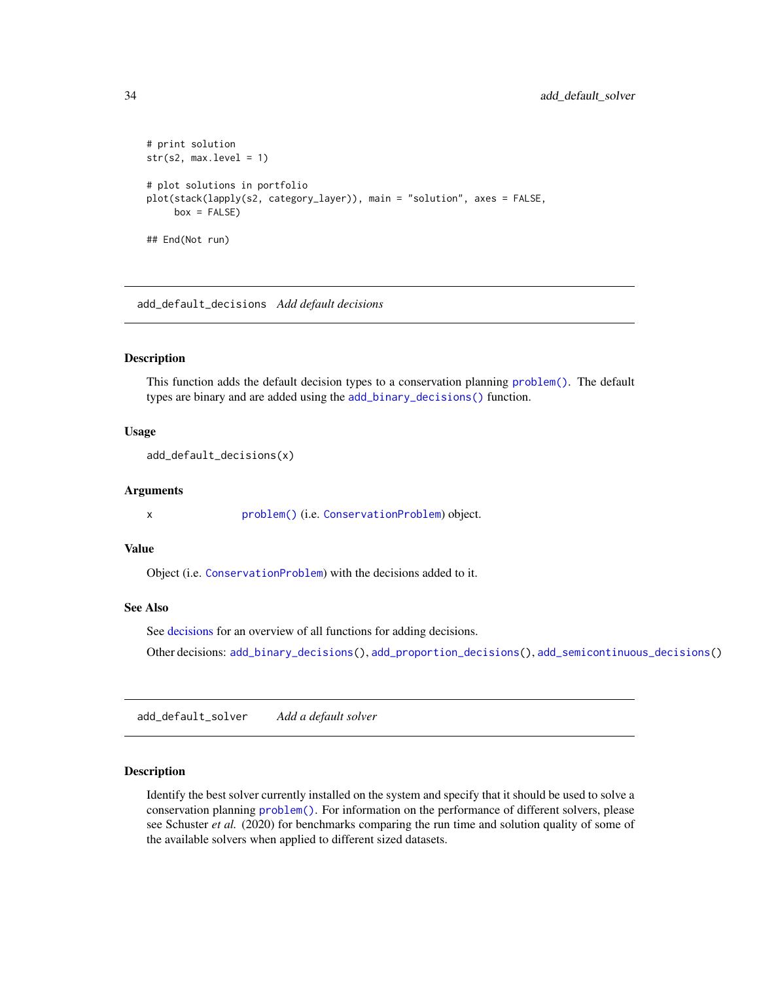```
# print solution
str(s2, max.level = 1)# plot solutions in portfolio
plot(stack(lapply(s2, category_layer)), main = "solution", axes = FALSE,
    box = FALSE)## End(Not run)
```
<span id="page-33-1"></span>add\_default\_decisions *Add default decisions*

#### Description

This function adds the default decision types to a conservation planning [problem\(\)](#page-238-1). The default types are binary and are added using the [add\\_binary\\_decisions\(\)](#page-8-1) function.

#### Usage

```
add_default_decisions(x)
```
## Arguments

x [problem\(\)](#page-238-1) (i.e. [ConservationProblem](#page-141-1)) object.

#### Value

Object (i.e. [ConservationProblem](#page-141-1)) with the decisions added to it.

# See Also

See [decisions](#page-147-1) for an overview of all functions for adding decisions.

Other decisions: [add\\_binary\\_decisions\(](#page-8-1)), [add\\_proportion\\_decisions\(](#page-109-1)), [add\\_semicontinuous\\_decisions\(](#page-115-1))

<span id="page-33-2"></span>add\_default\_solver *Add a default solver*

#### Description

Identify the best solver currently installed on the system and specify that it should be used to solve a conservation planning [problem\(\)](#page-238-1). For information on the performance of different solvers, please see Schuster *et al.* (2020) for benchmarks comparing the run time and solution quality of some of the available solvers when applied to different sized datasets.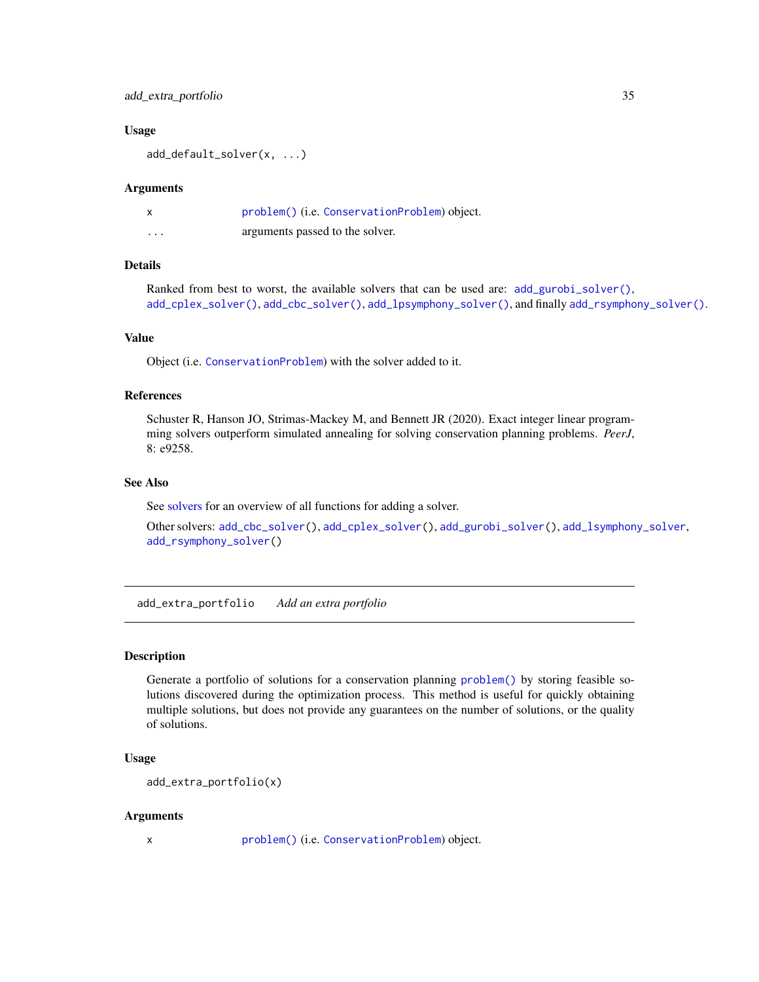# <span id="page-34-0"></span>add\_extra\_portfolio 35

#### Usage

add\_default\_solver(x, ...)

#### **Arguments**

|          | problem() (i.e. ConservationProblem) object. |
|----------|----------------------------------------------|
| $\cdots$ | arguments passed to the solver.              |

# Details

Ranked from best to worst, the available solvers that can be used are: [add\\_gurobi\\_solver\(\)](#page-46-1), [add\\_cplex\\_solver\(\)](#page-29-1), [add\\_cbc\\_solver\(\)](#page-14-1), [add\\_lpsymphony\\_solver\(\)](#page-70-2), and finally [add\\_rsymphony\\_solver\(\)](#page-113-1).

#### Value

Object (i.e. [ConservationProblem](#page-141-1)) with the solver added to it.

#### References

Schuster R, Hanson JO, Strimas-Mackey M, and Bennett JR (2020). Exact integer linear programming solvers outperform simulated annealing for solving conservation planning problems. *PeerJ*, 8: e9258.

# See Also

See [solvers](#page-267-1) for an overview of all functions for adding a solver.

Other solvers: [add\\_cbc\\_solver\(](#page-14-1)), [add\\_cplex\\_solver\(](#page-29-1)), [add\\_gurobi\\_solver\(](#page-46-1)), [add\\_lsymphony\\_solver](#page-70-1), [add\\_rsymphony\\_solver\(](#page-113-1))

<span id="page-34-1"></span>add\_extra\_portfolio *Add an extra portfolio*

#### Description

Generate a portfolio of solutions for a conservation planning [problem\(\)](#page-238-1) by storing feasible solutions discovered during the optimization process. This method is useful for quickly obtaining multiple solutions, but does not provide any guarantees on the number of solutions, or the quality of solutions.

#### Usage

```
add_extra_portfolio(x)
```
#### Arguments

x [problem\(\)](#page-238-1) (i.e. [ConservationProblem](#page-141-1)) object.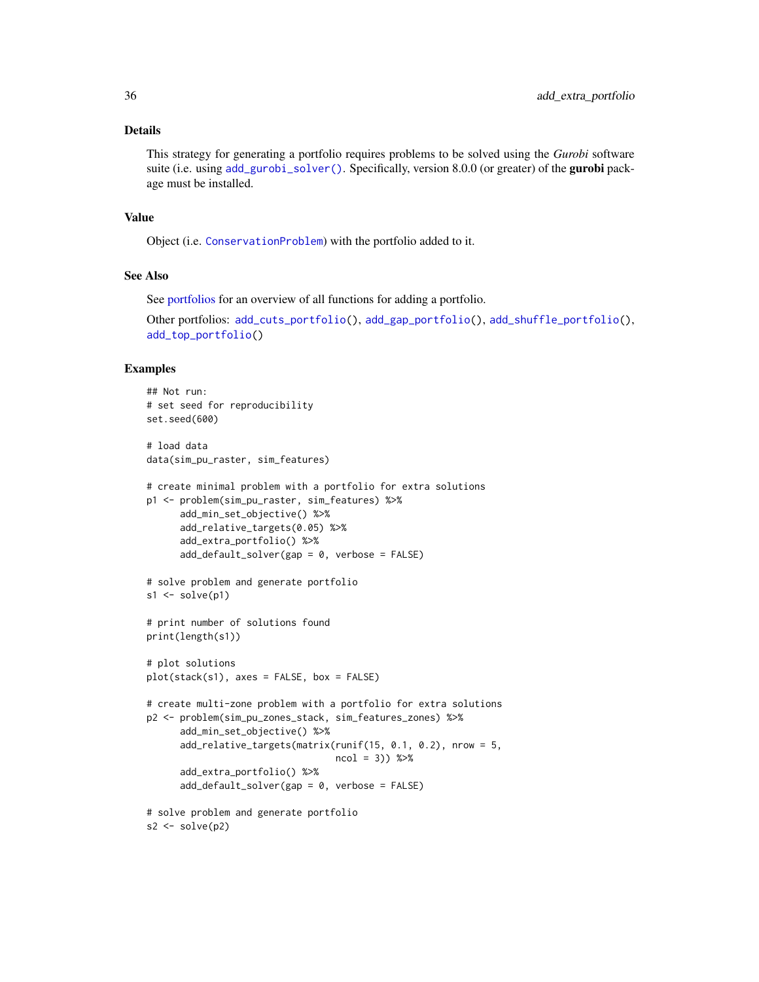# Details

This strategy for generating a portfolio requires problems to be solved using the *Gurobi* software suite (i.e. using [add\\_gurobi\\_solver\(\)](#page-46-1). Specifically, version 8.0.0 (or greater) of the **gurobi** package must be installed.

# Value

Object (i.e. [ConservationProblem](#page-141-1)) with the portfolio added to it.

#### See Also

See [portfolios](#page-227-1) for an overview of all functions for adding a portfolio.

Other portfolios: [add\\_cuts\\_portfolio\(](#page-31-1)), [add\\_gap\\_portfolio\(](#page-44-1)), [add\\_shuffle\\_portfolio\(](#page-117-1)), [add\\_top\\_portfolio\(](#page-119-1))

#### Examples

```
## Not run:
# set seed for reproducibility
set.seed(600)
# load data
data(sim_pu_raster, sim_features)
# create minimal problem with a portfolio for extra solutions
p1 <- problem(sim_pu_raster, sim_features) %>%
      add_min_set_objective() %>%
      add_relative_targets(0.05) %>%
      add_extra_portfolio() %>%
      add_default_solver(gap = 0, verbose = FALSE)
# solve problem and generate portfolio
s1 \leftarrow solve(p1)# print number of solutions found
print(length(s1))
# plot solutions
plot(stack(s1), axes = FALSE, box = FALSE)
# create multi-zone problem with a portfolio for extra solutions
p2 <- problem(sim_pu_zones_stack, sim_features_zones) %>%
      add_min_set_objective() %>%
      add_relative_targets(matrix(runif(15, 0.1, 0.2), nrow = 5,
                                   ncol = 3) %>%
      add_extra_portfolio() %>%
      add_default_solver(gap = 0, verbose = FALSE)
# solve problem and generate portfolio
s2 \leftarrow solve(p2)
```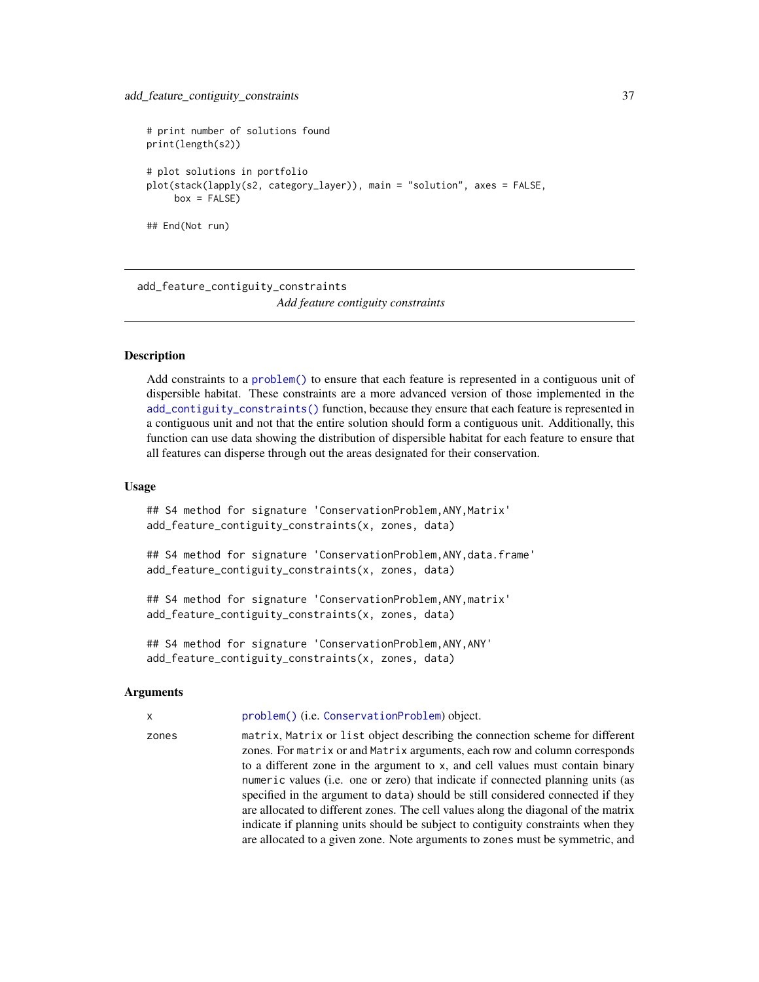```
# print number of solutions found
print(length(s2))
# plot solutions in portfolio
plot(stack(lapply(s2, category_layer)), main = "solution", axes = FALSE,
    box = FALSE)## End(Not run)
```
<span id="page-36-0"></span>add\_feature\_contiguity\_constraints *Add feature contiguity constraints*

# Description

Add constraints to a [problem\(\)](#page-238-0) to ensure that each feature is represented in a contiguous unit of dispersible habitat. These constraints are a more advanced version of those implemented in the [add\\_contiguity\\_constraints\(\)](#page-25-0) function, because they ensure that each feature is represented in a contiguous unit and not that the entire solution should form a contiguous unit. Additionally, this function can use data showing the distribution of dispersible habitat for each feature to ensure that all features can disperse through out the areas designated for their conservation.

#### Usage

## S4 method for signature 'ConservationProblem, ANY, Matrix' add\_feature\_contiguity\_constraints(x, zones, data)

## S4 method for signature 'ConservationProblem,ANY,data.frame' add\_feature\_contiguity\_constraints(x, zones, data)

## S4 method for signature 'ConservationProblem,ANY,matrix' add\_feature\_contiguity\_constraints(x, zones, data)

## S4 method for signature 'ConservationProblem,ANY,ANY' add\_feature\_contiguity\_constraints(x, zones, data)

## Arguments

x [problem\(\)](#page-238-0) (i.e. [ConservationProblem](#page-141-0)) object.

zones matrix, Matrix or list object describing the connection scheme for different zones. For matrix or and Matrix arguments, each row and column corresponds to a different zone in the argument to x, and cell values must contain binary numeric values (i.e. one or zero) that indicate if connected planning units (as specified in the argument to data) should be still considered connected if they are allocated to different zones. The cell values along the diagonal of the matrix indicate if planning units should be subject to contiguity constraints when they are allocated to a given zone. Note arguments to zones must be symmetric, and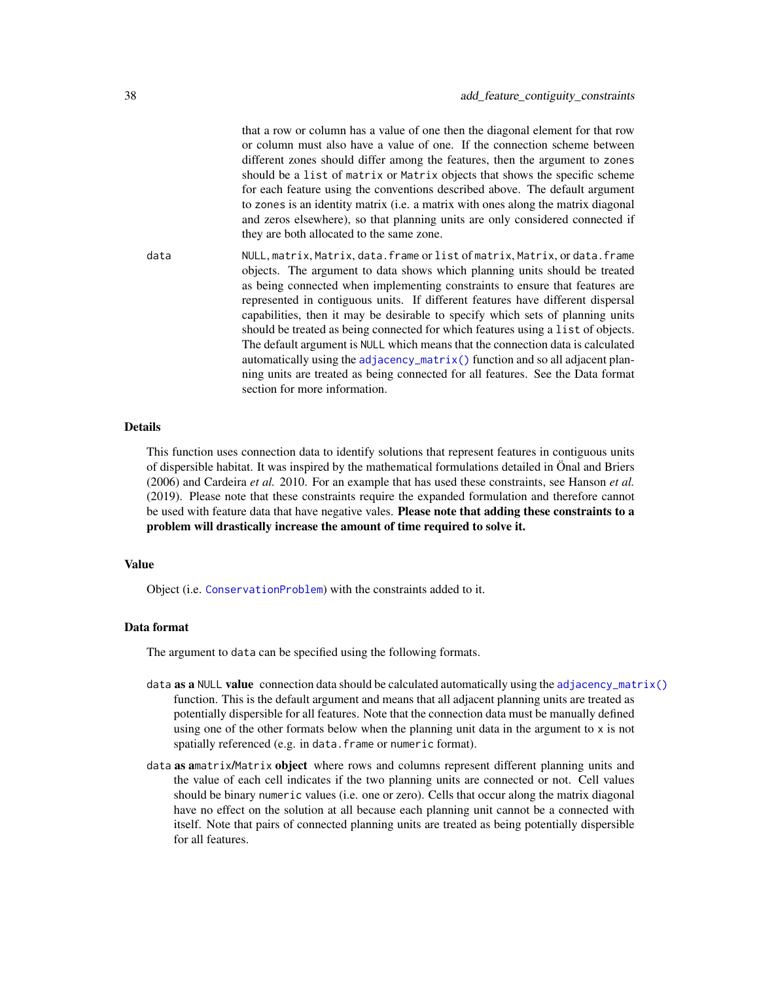that a row or column has a value of one then the diagonal element for that row or column must also have a value of one. If the connection scheme between different zones should differ among the features, then the argument to zones should be a list of matrix or Matrix objects that shows the specific scheme for each feature using the conventions described above. The default argument to zones is an identity matrix (i.e. a matrix with ones along the matrix diagonal and zeros elsewhere), so that planning units are only considered connected if they are both allocated to the same zone.

data NULL, matrix, Matrix, data.frame or list of matrix, Matrix, or data.frame objects. The argument to data shows which planning units should be treated as being connected when implementing constraints to ensure that features are represented in contiguous units. If different features have different dispersal capabilities, then it may be desirable to specify which sets of planning units should be treated as being connected for which features using a list of objects. The default argument is NULL which means that the connection data is calculated automatically using the  $adjacency_matrix()$  function and so all adjacent planning units are treated as being connected for all features. See the Data format section for more information.

# Details

This function uses connection data to identify solutions that represent features in contiguous units of dispersible habitat. It was inspired by the mathematical formulations detailed in Önal and Briers (2006) and Cardeira *et al.* 2010. For an example that has used these constraints, see Hanson *et al.* (2019). Please note that these constraints require the expanded formulation and therefore cannot be used with feature data that have negative vales. Please note that adding these constraints to a problem will drastically increase the amount of time required to solve it.

# Value

Object (i.e. [ConservationProblem](#page-141-0)) with the constraints added to it.

# Data format

The argument to data can be specified using the following formats.

- data **as a** NULL **value** connection data should be calculated automatically using the [adjacency\\_matrix\(\)](#page-120-0) function. This is the default argument and means that all adjacent planning units are treated as potentially dispersible for all features. Note that the connection data must be manually defined using one of the other formats below when the planning unit data in the argument to  $x$  is not spatially referenced (e.g. in data.frame or numeric format).
- data as amatrix/Matrix object where rows and columns represent different planning units and the value of each cell indicates if the two planning units are connected or not. Cell values should be binary numeric values (i.e. one or zero). Cells that occur along the matrix diagonal have no effect on the solution at all because each planning unit cannot be a connected with itself. Note that pairs of connected planning units are treated as being potentially dispersible for all features.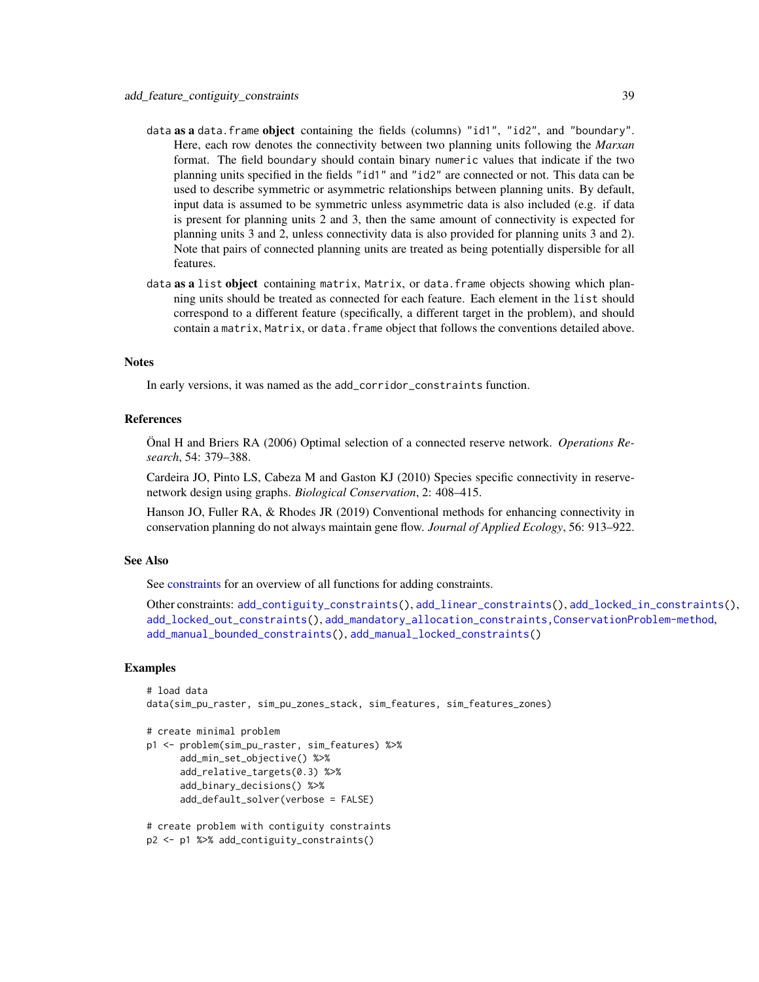- data as a data. frame object containing the fields (columns) "id1", "id2", and "boundary". Here, each row denotes the connectivity between two planning units following the *Marxan* format. The field boundary should contain binary numeric values that indicate if the two planning units specified in the fields "id1" and "id2" are connected or not. This data can be used to describe symmetric or asymmetric relationships between planning units. By default, input data is assumed to be symmetric unless asymmetric data is also included (e.g. if data is present for planning units 2 and 3, then the same amount of connectivity is expected for planning units 3 and 2, unless connectivity data is also provided for planning units 3 and 2). Note that pairs of connected planning units are treated as being potentially dispersible for all features.
- data as a list object containing matrix, Matrix, or data. frame objects showing which planning units should be treated as connected for each feature. Each element in the list should correspond to a different feature (specifically, a different target in the problem), and should contain a matrix, Matrix, or data. frame object that follows the conventions detailed above.

# Notes

In early versions, it was named as the add\_corridor\_constraints function.

# References

Önal H and Briers RA (2006) Optimal selection of a connected reserve network. *Operations Research*, 54: 379–388.

Cardeira JO, Pinto LS, Cabeza M and Gaston KJ (2010) Species specific connectivity in reservenetwork design using graphs. *Biological Conservation*, 2: 408–415.

Hanson JO, Fuller RA, & Rhodes JR (2019) Conventional methods for enhancing connectivity in conservation planning do not always maintain gene flow. *Journal of Applied Ecology*, 56: 913–922.

# See Also

See [constraints](#page-145-0) for an overview of all functions for adding constraints.

```
Other constraints: add_contiguity_constraints(), add_linear_constraints(), add_locked_in_constraints(),
add_locked_out_constraints(), add_mandatory_allocation_constraints,ConservationProblem-method,
add_manual_bounded_constraints(), add_manual_locked_constraints()
```

```
# load data
data(sim_pu_raster, sim_pu_zones_stack, sim_features, sim_features_zones)
```

```
# create minimal problem
```

```
p1 <- problem(sim_pu_raster, sim_features) %>%
     add_min_set_objective() %>%
     add_relative_targets(0.3) %>%
     add_binary_decisions() %>%
     add_default_solver(verbose = FALSE)
```

```
# create problem with contiguity constraints
p2 <- p1 %>% add_contiguity_constraints()
```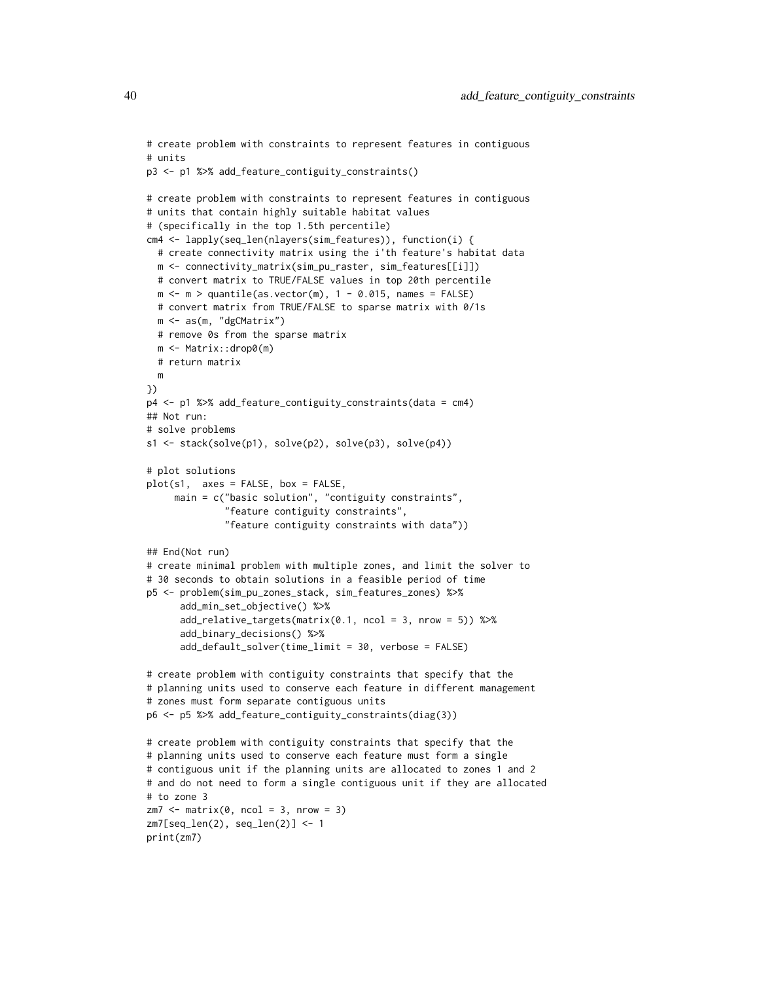```
# create problem with constraints to represent features in contiguous
# units
p3 <- p1 %>% add_feature_contiguity_constraints()
# create problem with constraints to represent features in contiguous
# units that contain highly suitable habitat values
# (specifically in the top 1.5th percentile)
cm4 <- lapply(seq_len(nlayers(sim_features)), function(i) {
  # create connectivity matrix using the i'th feature's habitat data
  m <- connectivity_matrix(sim_pu_raster, sim_features[[i]])
  # convert matrix to TRUE/FALSE values in top 20th percentile
  m \leq m > quantile(as.vector(m), 1 - 0.015, names = FALSE)
  # convert matrix from TRUE/FALSE to sparse matrix with 0/1s
  m <- as(m, "dgCMatrix")
  # remove 0s from the sparse matrix
  m <- Matrix::drop0(m)
  # return matrix
  m
})
p4 <- p1 %>% add_feature_contiguity_constraints(data = cm4)
## Not run:
# solve problems
s1 <- stack(solve(p1), solve(p2), solve(p3), solve(p4))
# plot solutions
plot(s1, axes = FALSE, box = FALSE,
     main = c("basic solution", "contiguity constraints",
              "feature contiguity constraints",
              "feature contiguity constraints with data"))
## End(Not run)
# create minimal problem with multiple zones, and limit the solver to
# 30 seconds to obtain solutions in a feasible period of time
p5 <- problem(sim_pu_zones_stack, sim_features_zones) %>%
      add_min_set_objective() %>%
      add_relative_targets(matrix(0.1, ncol = 3, nrow = 5)) %>%
      add_binary_decisions() %>%
      add_default_solver(time_limit = 30, verbose = FALSE)
# create problem with contiguity constraints that specify that the
# planning units used to conserve each feature in different management
# zones must form separate contiguous units
p6 <- p5 %>% add_feature_contiguity_constraints(diag(3))
# create problem with contiguity constraints that specify that the
# planning units used to conserve each feature must form a single
# contiguous unit if the planning units are allocated to zones 1 and 2
# and do not need to form a single contiguous unit if they are allocated
# to zone 3
zm7 < - matrix(0, ncol = 3, nrow = 3)
zm7[seq_len(2), seq_len(2)] <- 1
print(zm7)
```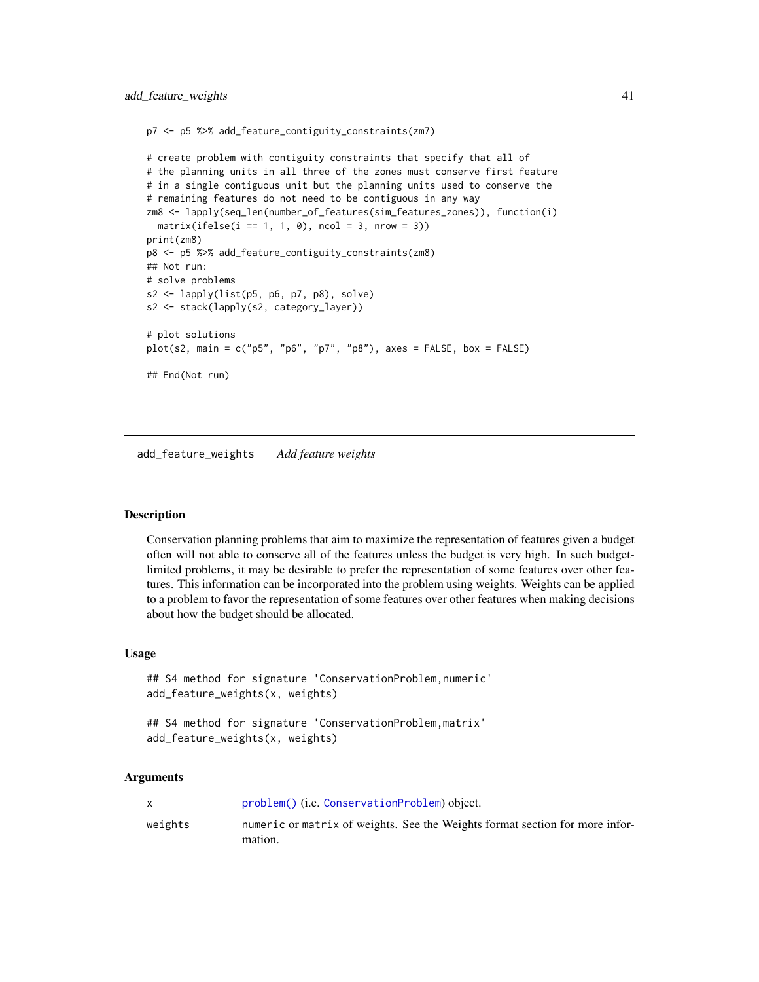```
p7 <- p5 %>% add_feature_contiguity_constraints(zm7)
```

```
# create problem with contiguity constraints that specify that all of
# the planning units in all three of the zones must conserve first feature
# in a single contiguous unit but the planning units used to conserve the
# remaining features do not need to be contiguous in any way
zm8 <- lapply(seq_len(number_of_features(sim_features_zones)), function(i)
  matrix(ifelse(i == 1, 1, 0), ncol = 3, nrow = 3))print(zm8)
p8 <- p5 %>% add_feature_contiguity_constraints(zm8)
## Not run:
# solve problems
s2 <- lapply(list(p5, p6, p7, p8), solve)
s2 <- stack(lapply(s2, category_layer))
# plot solutions
plot(s2, main = c("p5", "p6", "p7", "p8"), axes = FALSE, box = FALSE)
## End(Not run)
```
<span id="page-40-0"></span>add\_feature\_weights *Add feature weights*

# Description

Conservation planning problems that aim to maximize the representation of features given a budget often will not able to conserve all of the features unless the budget is very high. In such budgetlimited problems, it may be desirable to prefer the representation of some features over other features. This information can be incorporated into the problem using weights. Weights can be applied to a problem to favor the representation of some features over other features when making decisions about how the budget should be allocated.

# Usage

```
## S4 method for signature 'ConservationProblem, numeric'
add_feature_weights(x, weights)
```

```
## S4 method for signature 'ConservationProblem,matrix'
add_feature_weights(x, weights)
```
# Arguments

|         | problem() (i.e. ConservationProblem) object.                                            |
|---------|-----------------------------------------------------------------------------------------|
| weights | numeric or matrix of weights. See the Weights format section for more infor-<br>mation. |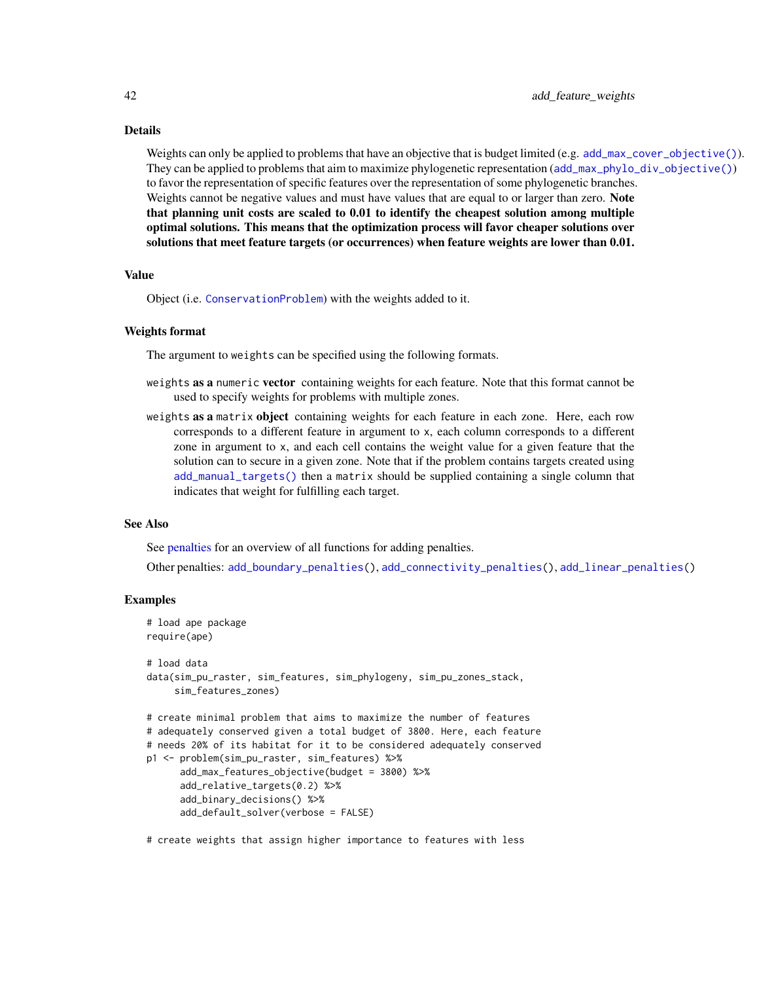# Details

Weights can only be applied to problems that have an objective that is budget limited (e.g. [add\\_max\\_cover\\_objective\(\)](#page-84-0)). They can be applied to problems that aim to maximize phylogenetic representation ([add\\_max\\_phylo\\_div\\_objective\(\)](#page-89-0)) to favor the representation of specific features over the representation of some phylogenetic branches. Weights cannot be negative values and must have values that are equal to or larger than zero. Note that planning unit costs are scaled to 0.01 to identify the cheapest solution among multiple optimal solutions. This means that the optimization process will favor cheaper solutions over solutions that meet feature targets (or occurrences) when feature weights are lower than 0.01.

# Value

Object (i.e. [ConservationProblem](#page-141-0)) with the weights added to it.

# Weights format

The argument to weights can be specified using the following formats.

- weights as a numeric vector containing weights for each feature. Note that this format cannot be used to specify weights for problems with multiple zones.
- weights as a matrix object containing weights for each feature in each zone. Here, each row corresponds to a different feature in argument to x, each column corresponds to a different zone in argument to x, and each cell contains the weight value for a given feature that the solution can to secure in a given zone. Note that if the problem contains targets created using [add\\_manual\\_targets\(\)](#page-79-0) then a matrix should be supplied containing a single column that indicates that weight for fulfilling each target.

# See Also

See [penalties](#page-224-0) for an overview of all functions for adding penalties.

Other penalties: [add\\_boundary\\_penalties\(](#page-9-0)), [add\\_connectivity\\_penalties\(](#page-17-0)), [add\\_linear\\_penalties\(](#page-55-0))

# Examples

```
# load ape package
require(ape)
# load data
data(sim_pu_raster, sim_features, sim_phylogeny, sim_pu_zones_stack,
     sim_features_zones)
# create minimal problem that aims to maximize the number of features
# adequately conserved given a total budget of 3800. Here, each feature
# needs 20% of its habitat for it to be considered adequately conserved
p1 <- problem(sim_pu_raster, sim_features) %>%
      add_max_features_objective(budget = 3800) %>%
      add_relative_targets(0.2) %>%
      add_binary_decisions() %>%
      add_default_solver(verbose = FALSE)
```
# create weights that assign higher importance to features with less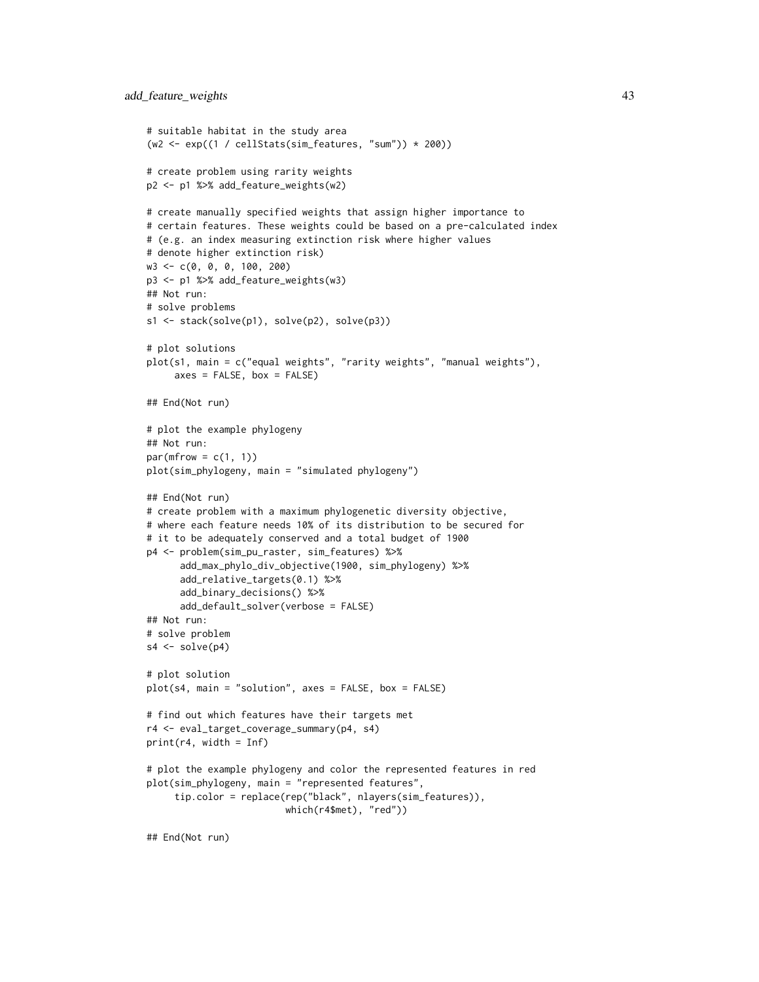```
# suitable habitat in the study area
(w2 \leq exp((1 / cellStats(sim_features, "sum")) * 200))# create problem using rarity weights
p2 <- p1 %>% add_feature_weights(w2)
# create manually specified weights that assign higher importance to
# certain features. These weights could be based on a pre-calculated index
# (e.g. an index measuring extinction risk where higher values
# denote higher extinction risk)
w3 <- c(0, 0, 0, 100, 200)
p3 <- p1 %>% add_feature_weights(w3)
## Not run:
# solve problems
s1 <- stack(solve(p1), solve(p2), solve(p3))
# plot solutions
plot(s1, main = c("equal weights", "rarity weights", "manual weights"),
     axes = FALSE, box = FALSE)## End(Not run)
# plot the example phylogeny
## Not run:
par(mfrow = c(1, 1))plot(sim_phylogeny, main = "simulated phylogeny")
## End(Not run)
# create problem with a maximum phylogenetic diversity objective,
# where each feature needs 10% of its distribution to be secured for
# it to be adequately conserved and a total budget of 1900
p4 <- problem(sim_pu_raster, sim_features) %>%
      add_max_phylo_div_objective(1900, sim_phylogeny) %>%
      add_relative_targets(0.1) %>%
      add_binary_decisions() %>%
      add_default_solver(verbose = FALSE)
## Not run:
# solve problem
s4 \leftarrow solve(p4)# plot solution
plot(s4, main = "solution", axes = FALSE, box = FALSE)
# find out which features have their targets met
r4 <- eval_target_coverage_summary(p4, s4)
print(r4, width = Inf)# plot the example phylogeny and color the represented features in red
plot(sim_phylogeny, main = "represented features",
     tip.color = replace(rep("black", nlayers(sim_features)),
                         which(r4$met), "red"))
## End(Not run)
```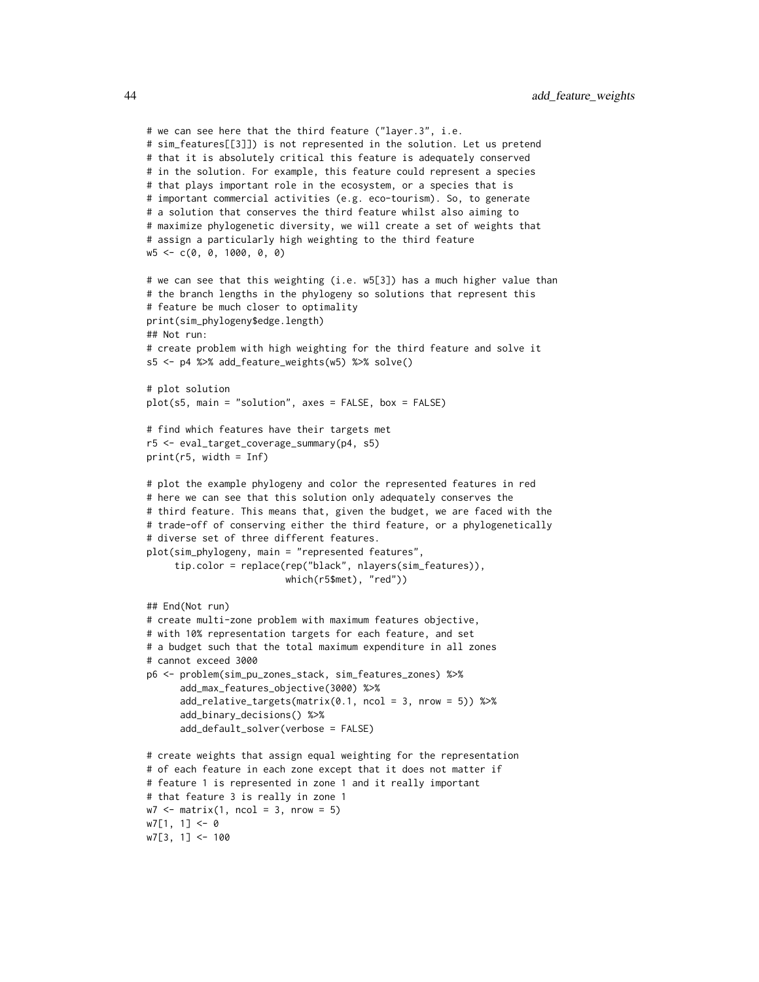```
# we can see here that the third feature ("layer.3", i.e.
# sim_features[[3]]) is not represented in the solution. Let us pretend
# that it is absolutely critical this feature is adequately conserved
# in the solution. For example, this feature could represent a species
# that plays important role in the ecosystem, or a species that is
# important commercial activities (e.g. eco-tourism). So, to generate
# a solution that conserves the third feature whilst also aiming to
# maximize phylogenetic diversity, we will create a set of weights that
# assign a particularly high weighting to the third feature
w5 <- c(0, 0, 1000, 0, 0)
# we can see that this weighting (i.e. w5[3]) has a much higher value than
# the branch lengths in the phylogeny so solutions that represent this
# feature be much closer to optimality
print(sim_phylogeny$edge.length)
## Not run:
# create problem with high weighting for the third feature and solve it
s5 <- p4 %>% add_feature_weights(w5) %>% solve()
# plot solution
plot(s5, main = "solution", axes = FALSE, box = FALSE)
# find which features have their targets met
r5 <- eval_target_coverage_summary(p4, s5)
print(r5, width = Inf)
# plot the example phylogeny and color the represented features in red
# here we can see that this solution only adequately conserves the
# third feature. This means that, given the budget, we are faced with the
# trade-off of conserving either the third feature, or a phylogenetically
# diverse set of three different features.
plot(sim_phylogeny, main = "represented features",
     tip.color = replace(rep("black", nlayers(sim_features)),
                         which(r5$met), "red"))
## End(Not run)
# create multi-zone problem with maximum features objective,
# with 10% representation targets for each feature, and set
# a budget such that the total maximum expenditure in all zones
# cannot exceed 3000
p6 <- problem(sim_pu_zones_stack, sim_features_zones) %>%
      add_max_features_objective(3000) %>%
      add_relative_targets(matrix(0.1, ncol = 3, nrow = 5)) %>%
      add_binary_decisions() %>%
      add_default_solver(verbose = FALSE)
# create weights that assign equal weighting for the representation
# of each feature in each zone except that it does not matter if
# feature 1 is represented in zone 1 and it really important
# that feature 3 is really in zone 1
w7 \le matrix(1, ncol = 3, nrow = 5)
w7[1, 1] < -0w7[3, 1] <- 100
```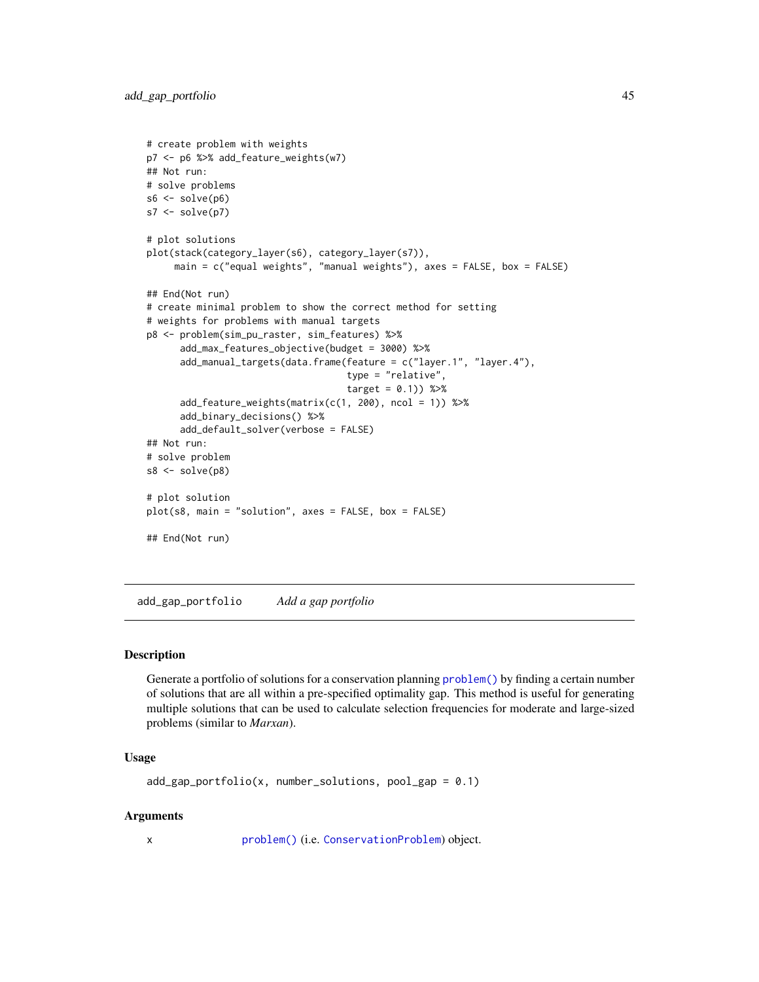```
# create problem with weights
p7 <- p6 %>% add_feature_weights(w7)
## Not run:
# solve problems
s6 \leftarrow solve(p6)s7 \leftarrow solve(p7)# plot solutions
plot(stack(category_layer(s6), category_layer(s7)),
     main = c("equal weights", "manual weights"), axes = FALSE, box = FALSE)
## End(Not run)
# create minimal problem to show the correct method for setting
# weights for problems with manual targets
p8 <- problem(sim_pu_raster, sim_features) %>%
      add_max_features_objective(budget = 3000) %>%
      add_manual_targets(data.frame(feature = c("layer.1", "layer.4"),
                                     type = "relative",
                                     target = 0.1) %>%
      add_feature_weights(matrix(c(1, 200), ncol = 1)) %>%
      add_binary_decisions() %>%
      add_default_solver(verbose = FALSE)
## Not run:
# solve problem
s8 \leftarrow solve(p8)# plot solution
plot(s8, main = "solution", axes = FALSE, box = FALSE)
## End(Not run)
```
add\_gap\_portfolio *Add a gap portfolio*

# **Description**

Generate a portfolio of solutions for a conservation planning [problem\(\)](#page-238-0) by finding a certain number of solutions that are all within a pre-specified optimality gap. This method is useful for generating multiple solutions that can be used to calculate selection frequencies for moderate and large-sized problems (similar to *Marxan*).

# Usage

```
add\_gap\_portfolio(x, number\_solutions, pool\_gap = 0.1)
```
# Arguments

x [problem\(\)](#page-238-0) (i.e. [ConservationProblem](#page-141-0)) object.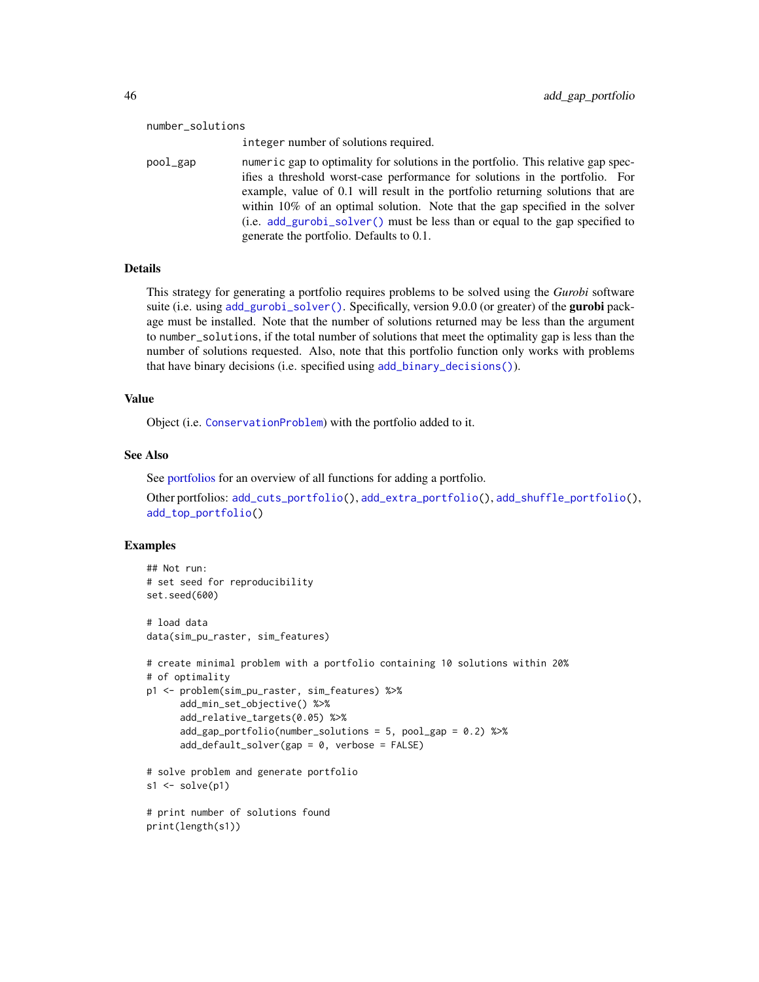#### number\_solutions

integer number of solutions required.

pool\_gap numeric gap to optimality for solutions in the portfolio. This relative gap specifies a threshold worst-case performance for solutions in the portfolio. For example, value of 0.1 will result in the portfolio returning solutions that are within 10% of an optimal solution. Note that the gap specified in the solver (i.e. [add\\_gurobi\\_solver\(\)](#page-46-0) must be less than or equal to the gap specified to generate the portfolio. Defaults to 0.1.

# Details

This strategy for generating a portfolio requires problems to be solved using the *Gurobi* software suite (i.e. using [add\\_gurobi\\_solver\(\)](#page-46-0). Specifically, version 9.0.0 (or greater) of the **gurobi** package must be installed. Note that the number of solutions returned may be less than the argument to number\_solutions, if the total number of solutions that meet the optimality gap is less than the number of solutions requested. Also, note that this portfolio function only works with problems that have binary decisions (i.e. specified using [add\\_binary\\_decisions\(\)](#page-8-0)).

## Value

Object (i.e. [ConservationProblem](#page-141-0)) with the portfolio added to it.

# See Also

See [portfolios](#page-227-0) for an overview of all functions for adding a portfolio.

Other portfolios: [add\\_cuts\\_portfolio\(](#page-31-0)), [add\\_extra\\_portfolio\(](#page-34-0)), [add\\_shuffle\\_portfolio\(](#page-117-0)), [add\\_top\\_portfolio\(](#page-119-0))

```
## Not run:
# set seed for reproducibility
set.seed(600)
# load data
data(sim_pu_raster, sim_features)
# create minimal problem with a portfolio containing 10 solutions within 20%
# of optimality
p1 <- problem(sim_pu_raster, sim_features) %>%
      add_min_set_objective() %>%
      add_relative_targets(0.05) %>%
      add_gap_portfolio(number_solutions = 5, pool_gap = 0.2) %>%
      add_default_solver(gap = 0, verbose = FALSE)
# solve problem and generate portfolio
s1 \leftarrow solve(p1)# print number of solutions found
print(length(s1))
```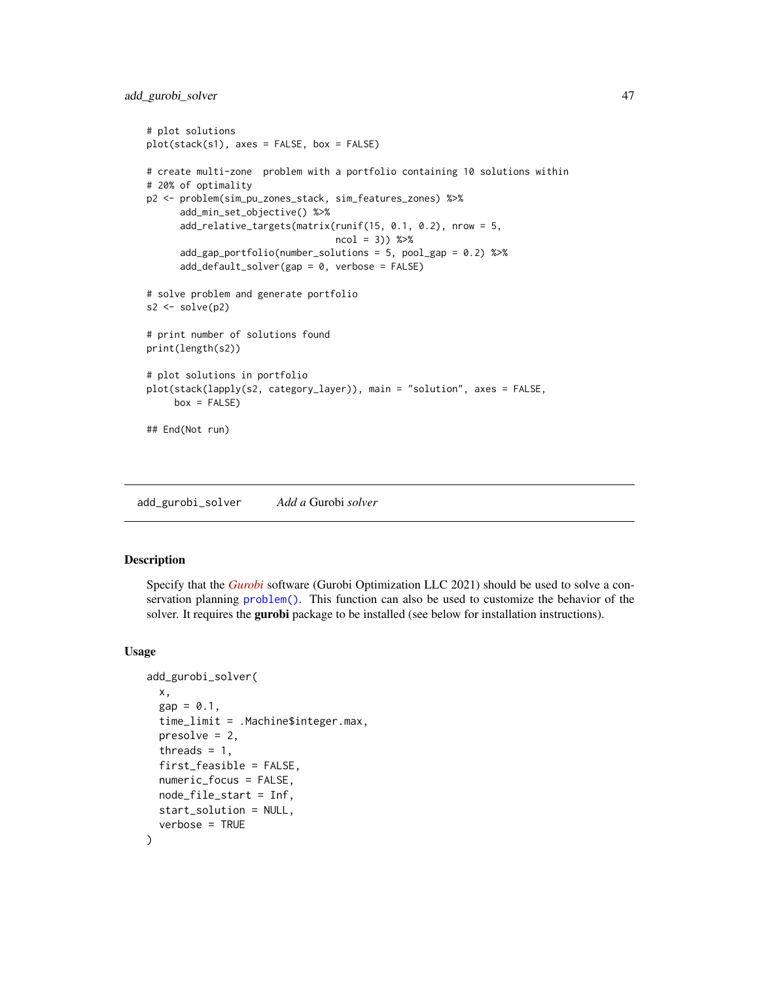```
# plot solutions
plot(stack(s1), axes = FALSE, box = FALSE)
# create multi-zone problem with a portfolio containing 10 solutions within
# 20% of optimality
p2 <- problem(sim_pu_zones_stack, sim_features_zones) %>%
      add_min_set_objective() %>%
      add_relative_targets(matrix(runif(15, 0.1, 0.2), nrow = 5,
                                  ncol = 3) %>%
     add_gap_portfolio(number_solutions = 5, pool_gap = 0.2) %>%
      add_default_solver(gap = 0, verbose = FALSE)
# solve problem and generate portfolio
s2 \leftarrow solve(p2)# print number of solutions found
print(length(s2))
# plot solutions in portfolio
plot(stack(lapply(s2, category_layer)), main = "solution", axes = FALSE,
     box = FALSE)## End(Not run)
```
<span id="page-46-0"></span>add\_gurobi\_solver *Add a* Gurobi *solver*

# Description

Specify that the *[Gurobi](https://www.gurobi.com/)* software (Gurobi Optimization LLC 2021) should be used to solve a conservation planning [problem\(\)](#page-238-0). This function can also be used to customize the behavior of the solver. It requires the gurobi package to be installed (see below for installation instructions).

# Usage

```
add_gurobi_solver(
  x,
  gap = 0.1,time_limit = .Machine$integer.max,
 presolve = 2,
  threads = 1,
  first_feasible = FALSE,
  numeric_focus = FALSE,
 node_file_start = Inf,
  start_solution = NULL,
  verbose = TRUE
)
```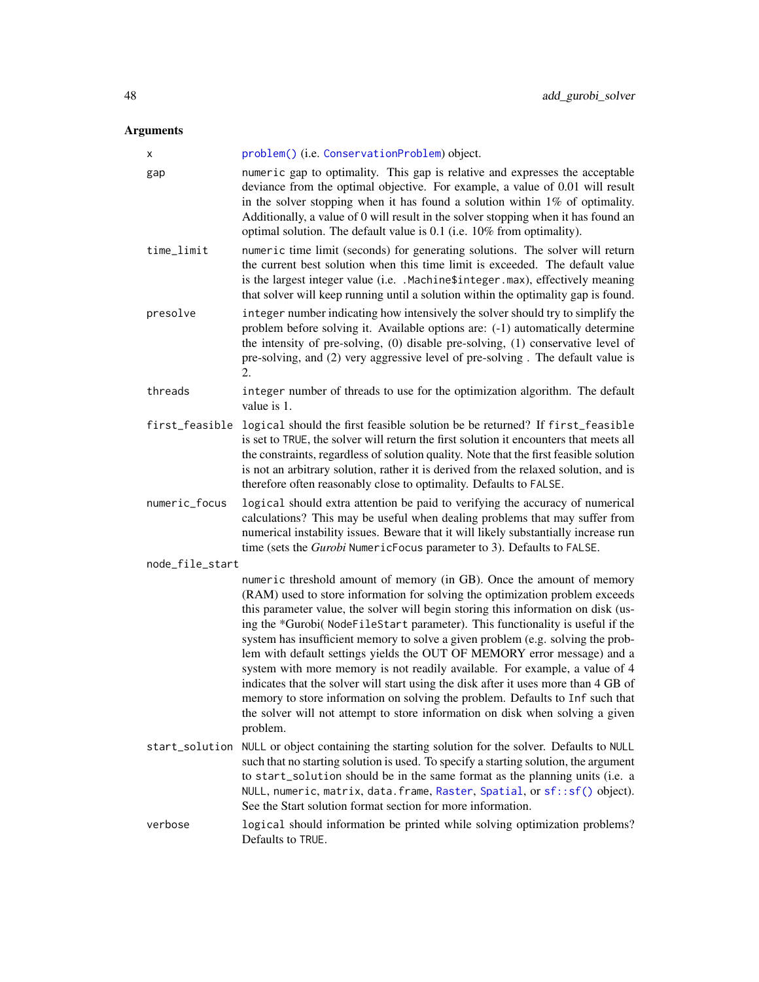# Arguments

| х               | problem() (i.e. ConservationProblem) object.                                                                                                                                                                                                                                                                                                                                                                                                                                                                                                                                                                                                                                                                                                                                                                                                  |
|-----------------|-----------------------------------------------------------------------------------------------------------------------------------------------------------------------------------------------------------------------------------------------------------------------------------------------------------------------------------------------------------------------------------------------------------------------------------------------------------------------------------------------------------------------------------------------------------------------------------------------------------------------------------------------------------------------------------------------------------------------------------------------------------------------------------------------------------------------------------------------|
| gap             | numeric gap to optimality. This gap is relative and expresses the acceptable<br>deviance from the optimal objective. For example, a value of 0.01 will result<br>in the solver stopping when it has found a solution within $1\%$ of optimality.<br>Additionally, a value of 0 will result in the solver stopping when it has found an<br>optimal solution. The default value is 0.1 (i.e. 10% from optimality).                                                                                                                                                                                                                                                                                                                                                                                                                              |
| time_limit      | numeric time limit (seconds) for generating solutions. The solver will return<br>the current best solution when this time limit is exceeded. The default value<br>is the largest integer value (i.e. .Machine\$integer.max), effectively meaning<br>that solver will keep running until a solution within the optimality gap is found.                                                                                                                                                                                                                                                                                                                                                                                                                                                                                                        |
| presolve        | integer number indicating how intensively the solver should try to simplify the<br>problem before solving it. Available options are: (-1) automatically determine<br>the intensity of pre-solving, (0) disable pre-solving, (1) conservative level of<br>pre-solving, and (2) very aggressive level of pre-solving. The default value is<br>2.                                                                                                                                                                                                                                                                                                                                                                                                                                                                                                |
| threads         | integer number of threads to use for the optimization algorithm. The default<br>value is 1.                                                                                                                                                                                                                                                                                                                                                                                                                                                                                                                                                                                                                                                                                                                                                   |
| first_feasible  | logical should the first feasible solution be be returned? If first_feasible<br>is set to TRUE, the solver will return the first solution it encounters that meets all<br>the constraints, regardless of solution quality. Note that the first feasible solution<br>is not an arbitrary solution, rather it is derived from the relaxed solution, and is<br>therefore often reasonably close to optimality. Defaults to FALSE.                                                                                                                                                                                                                                                                                                                                                                                                                |
| numeric_focus   | logical should extra attention be paid to verifying the accuracy of numerical<br>calculations? This may be useful when dealing problems that may suffer from<br>numerical instability issues. Beware that it will likely substantially increase run<br>time (sets the Gurobi NumericFocus parameter to 3). Defaults to FALSE.                                                                                                                                                                                                                                                                                                                                                                                                                                                                                                                 |
| node_file_start |                                                                                                                                                                                                                                                                                                                                                                                                                                                                                                                                                                                                                                                                                                                                                                                                                                               |
|                 | numeric threshold amount of memory (in GB). Once the amount of memory<br>(RAM) used to store information for solving the optimization problem exceeds<br>this parameter value, the solver will begin storing this information on disk (us-<br>ing the *Gurobi(NodeFileStart parameter). This functionality is useful if the<br>system has insufficient memory to solve a given problem (e.g. solving the prob-<br>lem with default settings yields the OUT OF MEMORY error message) and a<br>system with more memory is not readily available. For example, a value of 4<br>indicates that the solver will start using the disk after it uses more than 4 GB of<br>memory to store information on solving the problem. Defaults to Inf such that<br>the solver will not attempt to store information on disk when solving a given<br>problem. |
| start_solution  | NULL or object containing the starting solution for the solver. Defaults to NULL<br>such that no starting solution is used. To specify a starting solution, the argument<br>to start_solution should be in the same format as the planning units (i.e. a<br>NULL, numeric, matrix, data. frame, Raster, Spatial, or sf:: sf() object).<br>See the Start solution format section for more information.                                                                                                                                                                                                                                                                                                                                                                                                                                         |
| verbose         | logical should information be printed while solving optimization problems?<br>Defaults to TRUE.                                                                                                                                                                                                                                                                                                                                                                                                                                                                                                                                                                                                                                                                                                                                               |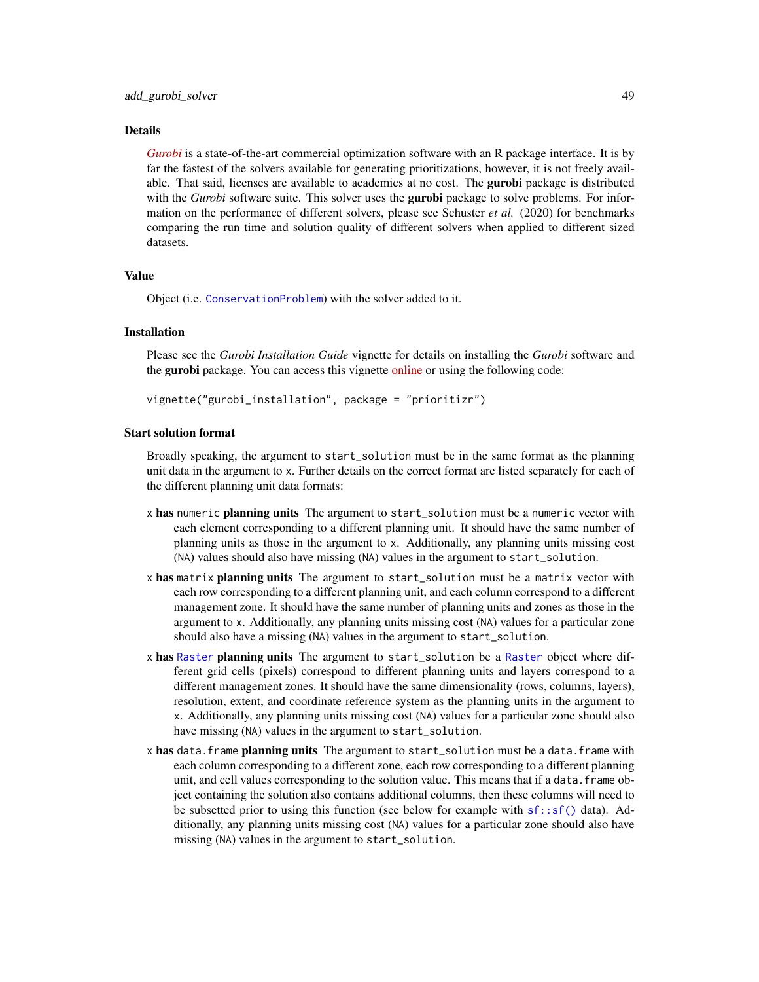# add\_gurobi\_solver 49

# Details

*[Gurobi](https://www.gurobi.com/)* is a state-of-the-art commercial optimization software with an R package interface. It is by far the fastest of the solvers available for generating prioritizations, however, it is not freely available. That said, licenses are available to academics at no cost. The **gurobi** package is distributed with the *Gurobi* software suite. This solver uses the **gurobi** package to solve problems. For information on the performance of different solvers, please see Schuster *et al.* (2020) for benchmarks comparing the run time and solution quality of different solvers when applied to different sized datasets.

# Value

Object (i.e. [ConservationProblem](#page-141-0)) with the solver added to it.

# Installation

Please see the *Gurobi Installation Guide* vignette for details on installing the *Gurobi* software and the gurobi package. You can access this vignette [online](https://prioritizr.net/articles/gurobi_installation.html) or using the following code:

vignette("gurobi\_installation", package = "prioritizr")

# Start solution format

Broadly speaking, the argument to start\_solution must be in the same format as the planning unit data in the argument to x. Further details on the correct format are listed separately for each of the different planning unit data formats:

- x has numeric planning units The argument to start\_solution must be a numeric vector with each element corresponding to a different planning unit. It should have the same number of planning units as those in the argument to x. Additionally, any planning units missing cost (NA) values should also have missing (NA) values in the argument to start\_solution.
- x has matrix planning units The argument to start\_solution must be a matrix vector with each row corresponding to a different planning unit, and each column correspond to a different management zone. It should have the same number of planning units and zones as those in the argument to x. Additionally, any planning units missing cost (NA) values for a particular zone should also have a missing (NA) values in the argument to start\_solution.
- x has [Raster](#page-0-0) planning units The argument to start\_solution be a Raster object where different grid cells (pixels) correspond to different planning units and layers correspond to a different management zones. It should have the same dimensionality (rows, columns, layers), resolution, extent, and coordinate reference system as the planning units in the argument to x. Additionally, any planning units missing cost (NA) values for a particular zone should also have missing (NA) values in the argument to start\_solution.
- x has data.frame planning units The argument to start\_solution must be a data.frame with each column corresponding to a different zone, each row corresponding to a different planning unit, and cell values corresponding to the solution value. This means that if a data.frame object containing the solution also contains additional columns, then these columns will need to be subsetted prior to using this function (see below for example with  $sf::sf()$  data). Additionally, any planning units missing cost (NA) values for a particular zone should also have missing (NA) values in the argument to start\_solution.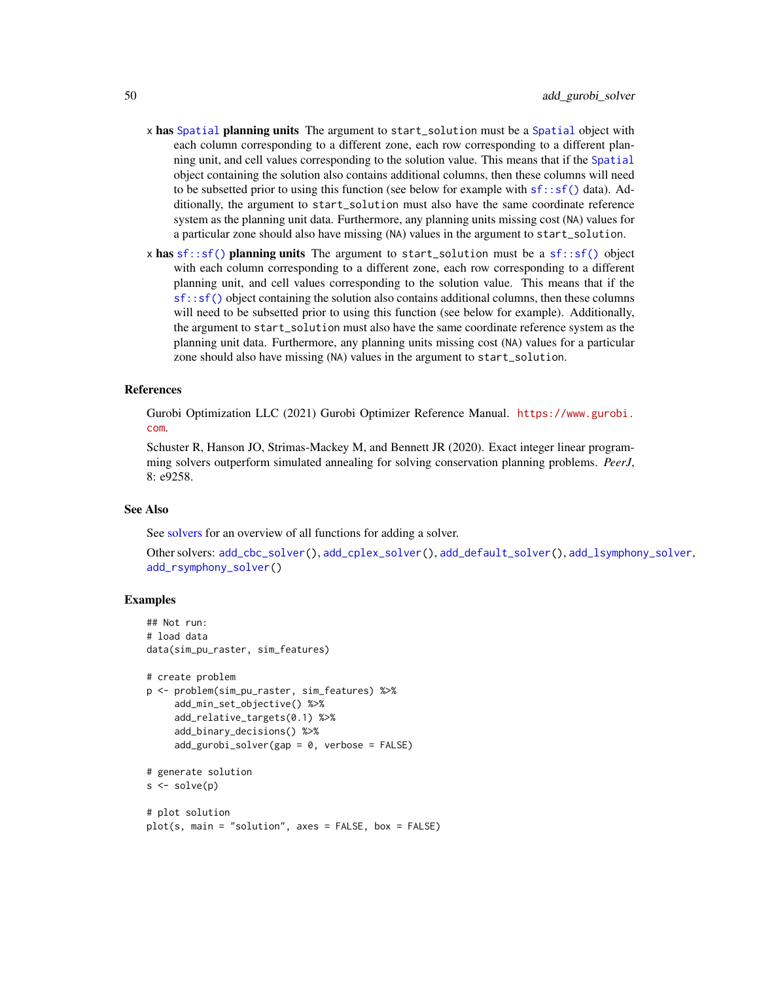- x has [Spatial](#page-0-0) planning units The argument to start\_solution must be a Spatial object with each column corresponding to a different zone, each row corresponding to a different planning unit, and cell values corresponding to the solution value. This means that if the [Spatial](#page-0-0) object containing the solution also contains additional columns, then these columns will need to be subsetted prior to using this function (see below for example with  $sf::sf()$  data). Additionally, the argument to start\_solution must also have the same coordinate reference system as the planning unit data. Furthermore, any planning units missing cost (NA) values for a particular zone should also have missing (NA) values in the argument to start\_solution.
- x has  $sf::sf()$  planning units The argument to start\_solution must be a  $sf::sf()$  object with each column corresponding to a different zone, each row corresponding to a different planning unit, and cell values corresponding to the solution value. This means that if the [sf::sf\(\)](#page-0-0) object containing the solution also contains additional columns, then these columns will need to be subsetted prior to using this function (see below for example). Additionally, the argument to start\_solution must also have the same coordinate reference system as the planning unit data. Furthermore, any planning units missing cost (NA) values for a particular zone should also have missing (NA) values in the argument to start\_solution.

# References

Gurobi Optimization LLC (2021) Gurobi Optimizer Reference Manual. [https://www.gurobi.](https://www.gurobi.com) [com](https://www.gurobi.com).

Schuster R, Hanson JO, Strimas-Mackey M, and Bennett JR (2020). Exact integer linear programming solvers outperform simulated annealing for solving conservation planning problems. *PeerJ*, 8: e9258.

## See Also

See [solvers](#page-267-0) for an overview of all functions for adding a solver.

```
Other solvers: add_cbc_solver(), add_cplex_solver(), add_default_solver(), add_lsymphony_solver,
add_rsymphony_solver()
```

```
## Not run:
# load data
data(sim_pu_raster, sim_features)
# create problem
p <- problem(sim_pu_raster, sim_features) %>%
     add_min_set_objective() %>%
     add_relative_targets(0.1) %>%
     add_binary_decisions() %>%
     add\_gurobi\_solver(gap = 0, verbose = FALSE)# generate solution
s \leftarrow solve(p)# plot solution
plot(s, main = "solution", axes = FALSE, box = FALSE)
```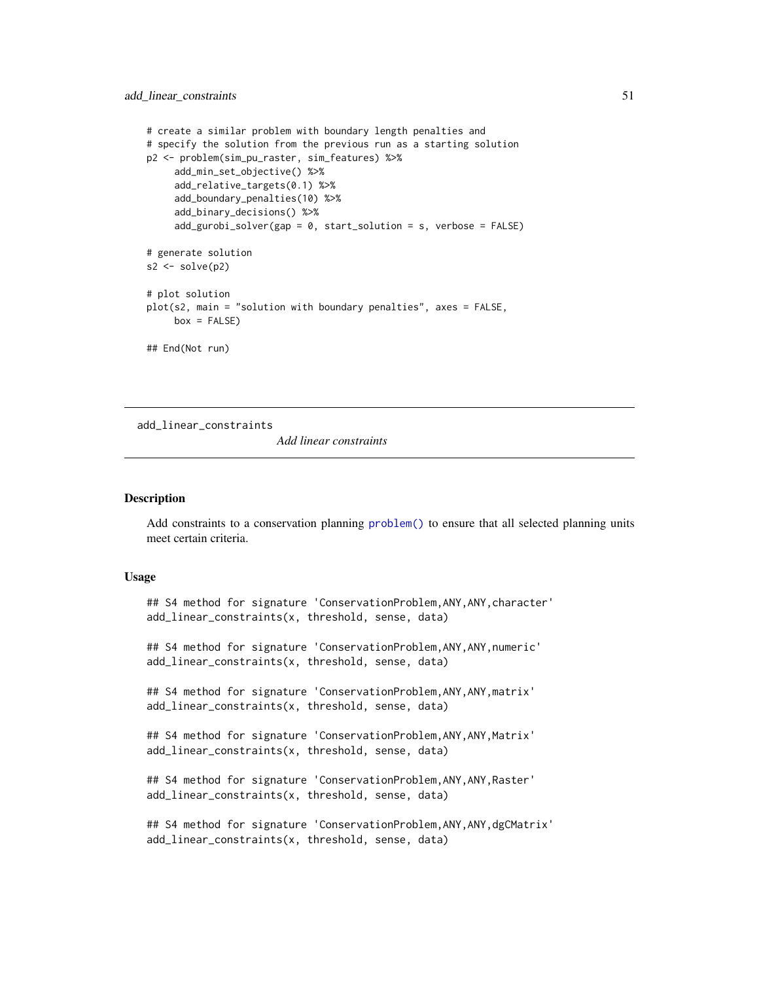```
# create a similar problem with boundary length penalties and
# specify the solution from the previous run as a starting solution
p2 <- problem(sim_pu_raster, sim_features) %>%
     add_min_set_objective() %>%
     add_relative_targets(0.1) %>%
     add_boundary_penalties(10) %>%
     add_binary_decisions() %>%
     add_gurobi_solver(gap = 0, start_solution = s, verbose = FALSE)
# generate solution
s2 \leftarrow solve(p2)# plot solution
plot(s2, main = "solution with boundary penalties", axes = FALSE,
     box = FALSE)## End(Not run)
```
<span id="page-50-0"></span>add\_linear\_constraints

*Add linear constraints*

# Description

Add constraints to a conservation planning [problem\(\)](#page-238-0) to ensure that all selected planning units meet certain criteria.

# Usage

## S4 method for signature 'ConservationProblem,ANY,ANY,character' add\_linear\_constraints(x, threshold, sense, data)

## S4 method for signature 'ConservationProblem,ANY,ANY,numeric' add\_linear\_constraints(x, threshold, sense, data)

## S4 method for signature 'ConservationProblem,ANY,ANY,matrix' add\_linear\_constraints(x, threshold, sense, data)

## S4 method for signature 'ConservationProblem, ANY, ANY, Matrix' add\_linear\_constraints(x, threshold, sense, data)

## S4 method for signature 'ConservationProblem,ANY,ANY,Raster' add\_linear\_constraints(x, threshold, sense, data)

## S4 method for signature 'ConservationProblem, ANY, ANY, dgCMatrix' add\_linear\_constraints(x, threshold, sense, data)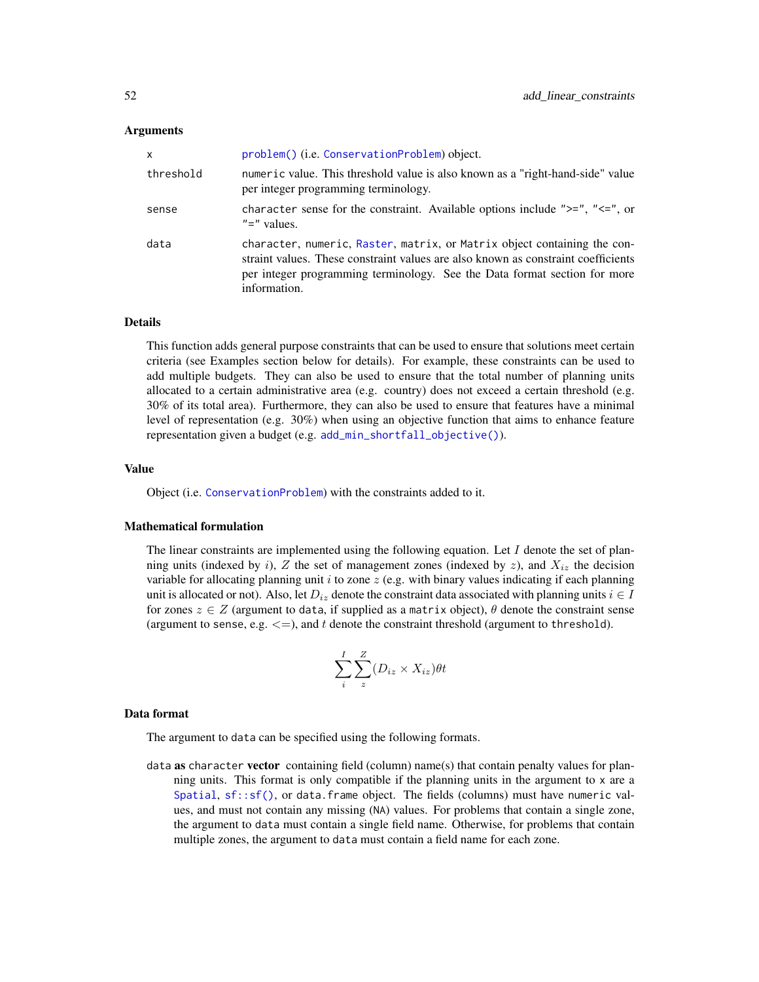# Arguments

| X         | problem() (i.e. ConservationProblem) object.                                                                                                                                                                                                               |
|-----------|------------------------------------------------------------------------------------------------------------------------------------------------------------------------------------------------------------------------------------------------------------|
| threshold | numeric value. This threshold value is also known as a "right-hand-side" value<br>per integer programming terminology.                                                                                                                                     |
| sense     | character sense for the constraint. Available options include " $>=$ ", " $<=$ ", or<br>$"='$ values.                                                                                                                                                      |
| data      | character, numeric, Raster, matrix, or Matrix object containing the con-<br>straint values. These constraint values are also known as constraint coefficients<br>per integer programming terminology. See the Data format section for more<br>information. |

# Details

This function adds general purpose constraints that can be used to ensure that solutions meet certain criteria (see Examples section below for details). For example, these constraints can be used to add multiple budgets. They can also be used to ensure that the total number of planning units allocated to a certain administrative area (e.g. country) does not exceed a certain threshold (e.g. 30% of its total area). Furthermore, they can also be used to ensure that features have a minimal level of representation (e.g. 30%) when using an objective function that aims to enhance feature representation given a budget (e.g. [add\\_min\\_shortfall\\_objective\(\)](#page-103-0)).

# Value

Object (i.e. [ConservationProblem](#page-141-0)) with the constraints added to it.

# Mathematical formulation

The linear constraints are implemented using the following equation. Let  $I$  denote the set of planning units (indexed by i), Z the set of management zones (indexed by z), and  $X_{iz}$  the decision variable for allocating planning unit  $i$  to zone  $z$  (e.g. with binary values indicating if each planning unit is allocated or not). Also, let  $D_{iz}$  denote the constraint data associated with planning units  $i \in I$ for zones  $z \in Z$  (argument to data, if supplied as a matrix object),  $\theta$  denote the constraint sense (argument to sense, e.g.  $\langle = \rangle$ , and t denote the constraint threshold (argument to threshold).

$$
\sum_{i}^{I}\sum_{z}^{Z}(D_{iz}\times X_{iz})\theta t
$$

# Data format

The argument to data can be specified using the following formats.

data as character vector containing field (column) name(s) that contain penalty values for planning units. This format is only compatible if the planning units in the argument to x are a [Spatial](#page-0-0),  $sf::sf()$ , or data. frame object. The fields (columns) must have numeric values, and must not contain any missing (NA) values. For problems that contain a single zone, the argument to data must contain a single field name. Otherwise, for problems that contain multiple zones, the argument to data must contain a field name for each zone.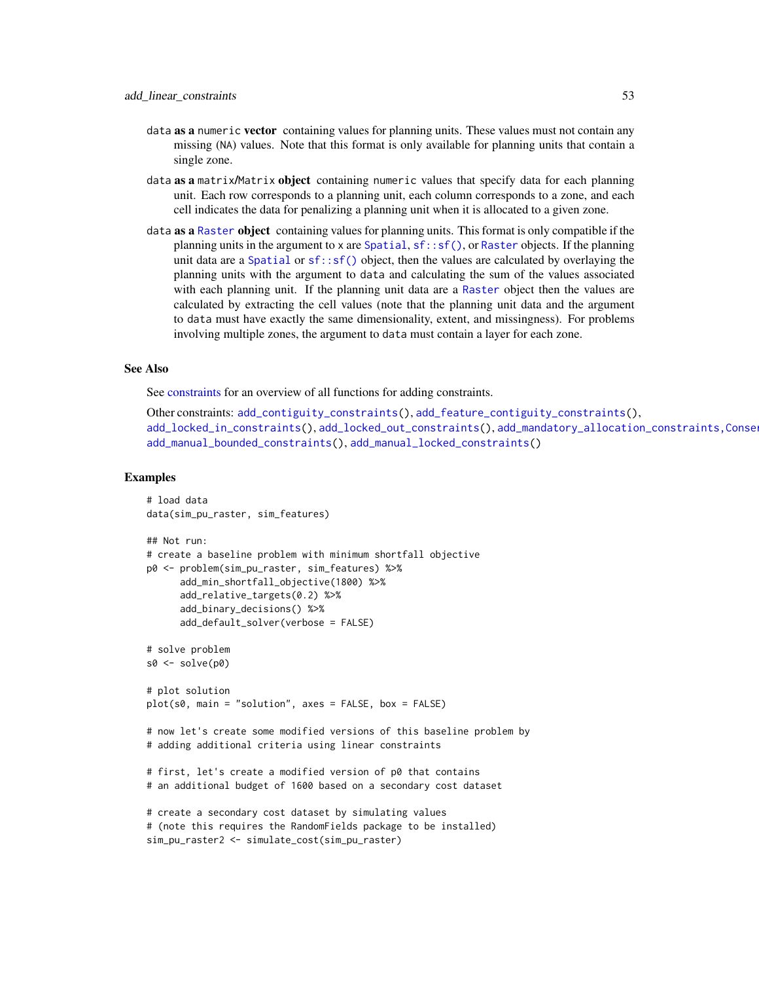- data as a numeric vector containing values for planning units. These values must not contain any missing (NA) values. Note that this format is only available for planning units that contain a single zone.
- data as a matrix/Matrix object containing numeric values that specify data for each planning unit. Each row corresponds to a planning unit, each column corresponds to a zone, and each cell indicates the data for penalizing a planning unit when it is allocated to a given zone.
- data as a [Raster](#page-0-0) object containing values for planning units. This format is only compatible if the planning units in the argument to x are [Spatial](#page-0-0),  $sf::sf()$ , or [Raster](#page-0-0) objects. If the planning unit data are a [Spatial](#page-0-0) or [sf::sf\(\)](#page-0-0) object, then the values are calculated by overlaying the planning units with the argument to data and calculating the sum of the values associated with each planning unit. If the planning unit data are a [Raster](#page-0-0) object then the values are calculated by extracting the cell values (note that the planning unit data and the argument to data must have exactly the same dimensionality, extent, and missingness). For problems involving multiple zones, the argument to data must contain a layer for each zone.

# See Also

See [constraints](#page-145-0) for an overview of all functions for adding constraints.

```
Other constraints: add_contiguity_constraints(), add_feature_contiguity_constraints(),
add_locked_in_constraints(add_locked_out_constraints(), add_mandatory_allocation_constraints,Conse
add_manual_bounded_constraints(), add_manual_locked_constraints()
```

```
# load data
data(sim_pu_raster, sim_features)
## Not run:
# create a baseline problem with minimum shortfall objective
p0 <- problem(sim_pu_raster, sim_features) %>%
      add_min_shortfall_objective(1800) %>%
      add_relative_targets(0.2) %>%
      add_binary_decisions() %>%
      add_default_solver(verbose = FALSE)
# solve problem
s0 \leq -solve(p0)# plot solution
plot(s0, main = "solution", axes = FALSE, box = FALSE)# now let's create some modified versions of this baseline problem by
# adding additional criteria using linear constraints
# first, let's create a modified version of p0 that contains
# an additional budget of 1600 based on a secondary cost dataset
# create a secondary cost dataset by simulating values
# (note this requires the RandomFields package to be installed)
```

```
sim_pu_raster2 <- simulate_cost(sim_pu_raster)
```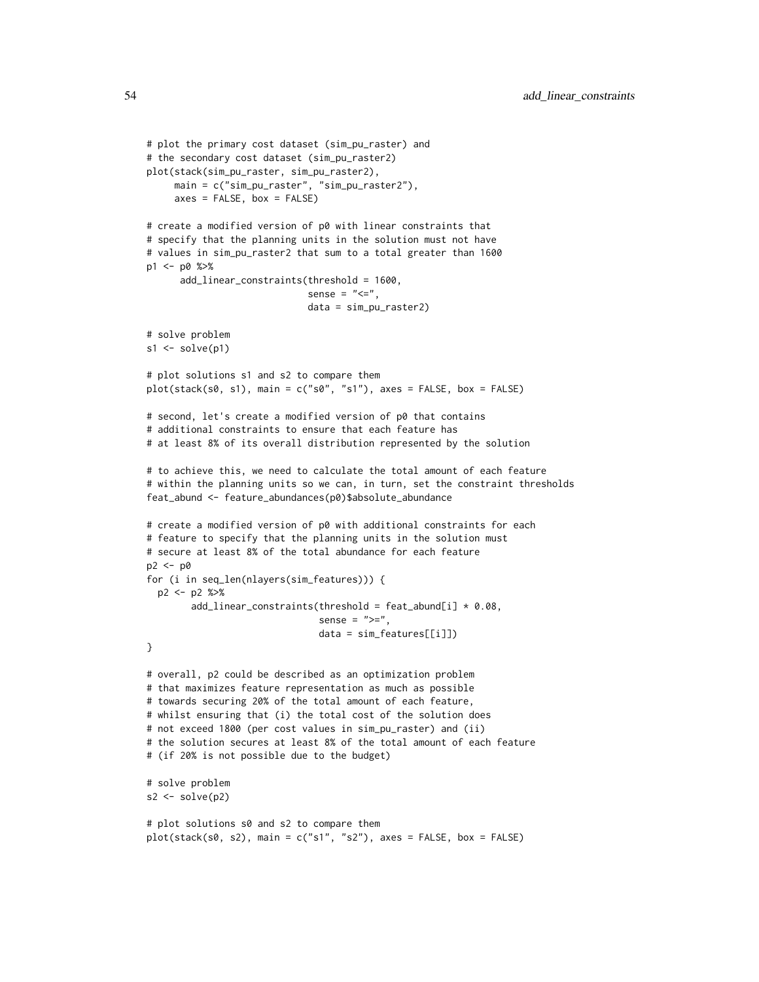```
# plot the primary cost dataset (sim_pu_raster) and
# the secondary cost dataset (sim_pu_raster2)
plot(stack(sim_pu_raster, sim_pu_raster2),
    main = c("sim_pu_raster", "sim_pu_raster2"),
     axes = FALSE, box = FALSE)# create a modified version of p0 with linear constraints that
# specify that the planning units in the solution must not have
# values in sim_pu_raster2 that sum to a total greater than 1600
p1 <- p0 %>%
      add_linear_constraints(threshold = 1600,
                             sense = "<=",
                             data = sim_pu_raster2)
# solve problem
s1 \leftarrow solve(p1)# plot solutions s1 and s2 to compare them
plot(stat(s0, s1), main = c("s0", "s1"), axes = FALSE, box = FALSE)# second, let's create a modified version of p0 that contains
# additional constraints to ensure that each feature has
# at least 8% of its overall distribution represented by the solution
# to achieve this, we need to calculate the total amount of each feature
# within the planning units so we can, in turn, set the constraint thresholds
feat_abund <- feature_abundances(p0)$absolute_abundance
# create a modified version of p0 with additional constraints for each
# feature to specify that the planning units in the solution must
# secure at least 8% of the total abundance for each feature
p2 <- p0
for (i in seq_len(nlayers(sim_features))) {
 p2 <- p2 %>%
        add\_linear\_constraints(this) = feat\_abund[i] * 0.08,sense = ">=",
                               data = sim_features[[i]])
}
# overall, p2 could be described as an optimization problem
# that maximizes feature representation as much as possible
# towards securing 20% of the total amount of each feature,
# whilst ensuring that (i) the total cost of the solution does
# not exceed 1800 (per cost values in sim_pu_raster) and (ii)
# the solution secures at least 8% of the total amount of each feature
# (if 20% is not possible due to the budget)
# solve problem
s2 \leftarrow solve(p2)# plot solutions s0 and s2 to compare them
```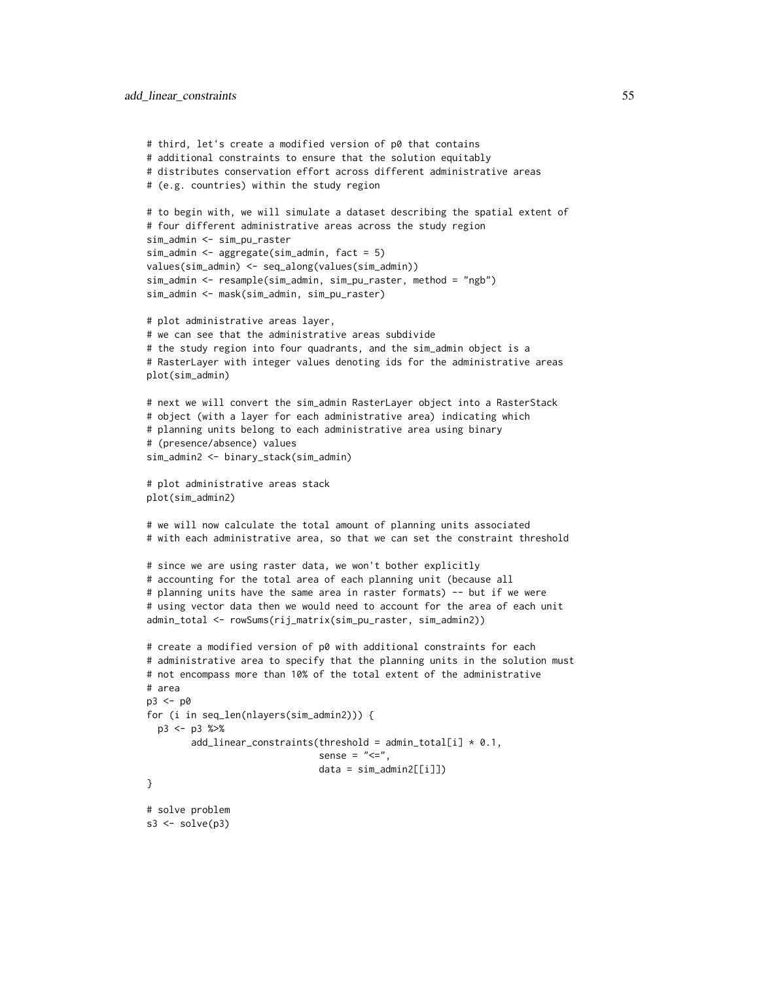```
# third, let's create a modified version of p0 that contains
# additional constraints to ensure that the solution equitably
# distributes conservation effort across different administrative areas
# (e.g. countries) within the study region
# to begin with, we will simulate a dataset describing the spatial extent of
# four different administrative areas across the study region
sim_admin <- sim_pu_raster
sim_admin <- aggregate(sim_admin, fact = 5)
values(sim_admin) <- seq_along(values(sim_admin))
sim_admin <- resample(sim_admin, sim_pu_raster, method = "ngb")
sim_admin <- mask(sim_admin, sim_pu_raster)
# plot administrative areas layer,
# we can see that the administrative areas subdivide
# the study region into four quadrants, and the sim_admin object is a
# RasterLayer with integer values denoting ids for the administrative areas
plot(sim_admin)
# next we will convert the sim_admin RasterLayer object into a RasterStack
# object (with a layer for each administrative area) indicating which
# planning units belong to each administrative area using binary
# (presence/absence) values
sim_admin2 <- binary_stack(sim_admin)
# plot administrative areas stack
plot(sim_admin2)
# we will now calculate the total amount of planning units associated
# with each administrative area, so that we can set the constraint threshold
# since we are using raster data, we won't bother explicitly
# accounting for the total area of each planning unit (because all
# planning units have the same area in raster formats) -- but if we were
# using vector data then we would need to account for the area of each unit
admin_total <- rowSums(rij_matrix(sim_pu_raster, sim_admin2))
# create a modified version of p0 with additional constraints for each
# administrative area to specify that the planning units in the solution must
# not encompass more than 10% of the total extent of the administrative
# area
p3 <- p0
for (i in seq_len(nlayers(sim_admin2))) {
 p3 <- p3 %>%
       add\_linear\_constraints(this) = admin\_total[i] * 0.1,sense = "<=",data = sim\_admin2[[i]]}
# solve problem
s3 \leq solve(p3)
```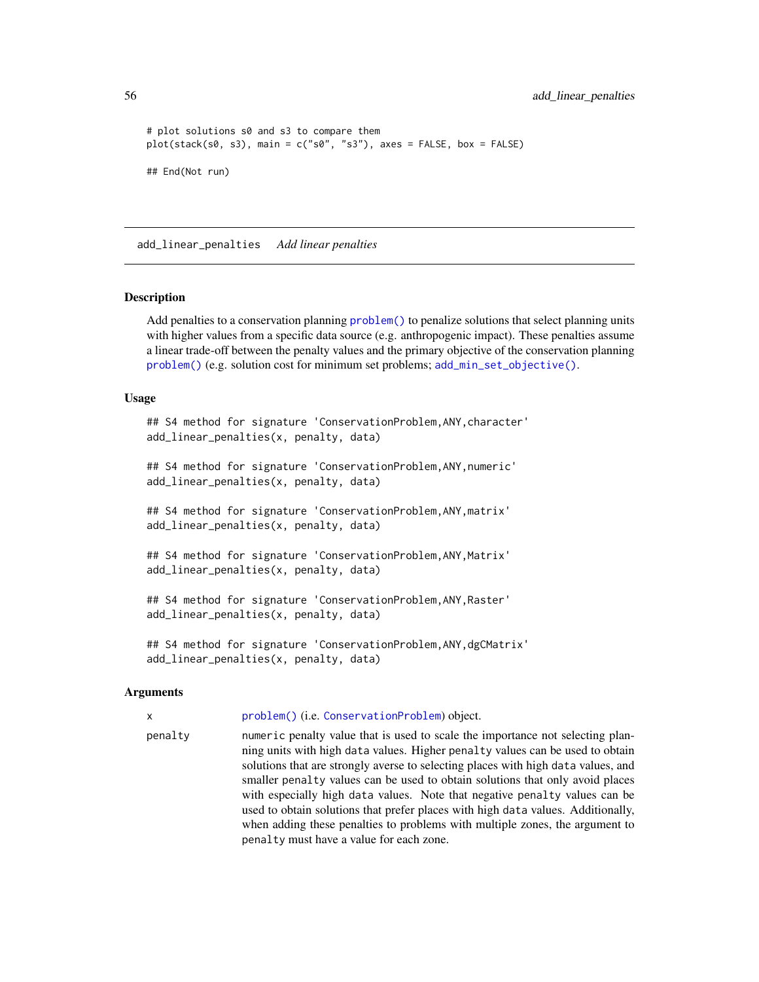```
# plot solutions s0 and s3 to compare them
plot(stack(s0, s3), main = c("s0", "s3"), axes = FALSE, box = FALSE)
## End(Not run)
```
<span id="page-55-0"></span>add\_linear\_penalties *Add linear penalties*

#### Description

Add penalties to a conservation planning [problem\(\)](#page-238-0) to penalize solutions that select planning units with higher values from a specific data source (e.g. anthropogenic impact). These penalties assume a linear trade-off between the penalty values and the primary objective of the conservation planning [problem\(\)](#page-238-0) (e.g. solution cost for minimum set problems; [add\\_min\\_set\\_objective\(\)](#page-101-0).

#### Usage

```
## S4 method for signature 'ConservationProblem,ANY,character'
add_linear_penalties(x, penalty, data)
```
## S4 method for signature 'ConservationProblem,ANY,numeric' add\_linear\_penalties(x, penalty, data)

## S4 method for signature 'ConservationProblem,ANY,matrix' add\_linear\_penalties(x, penalty, data)

```
## S4 method for signature 'ConservationProblem, ANY, Matrix'
add_linear_penalties(x, penalty, data)
```

```
## S4 method for signature 'ConservationProblem,ANY,Raster'
add_linear_penalties(x, penalty, data)
```
## S4 method for signature 'ConservationProblem,ANY,dgCMatrix' add\_linear\_penalties(x, penalty, data)

# Arguments

x [problem\(\)](#page-238-0) (i.e. [ConservationProblem](#page-141-0)) object.

penalty numeric penalty value that is used to scale the importance not selecting planning units with high data values. Higher penalty values can be used to obtain solutions that are strongly averse to selecting places with high data values, and smaller penalty values can be used to obtain solutions that only avoid places with especially high data values. Note that negative penalty values can be used to obtain solutions that prefer places with high data values. Additionally, when adding these penalties to problems with multiple zones, the argument to penalty must have a value for each zone.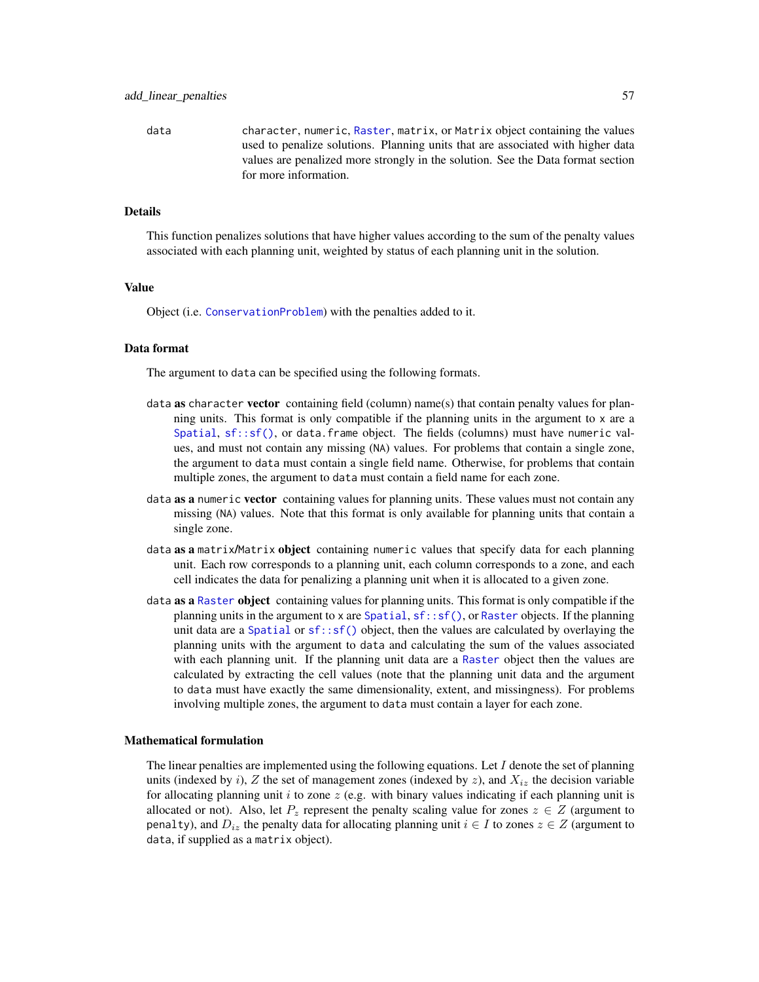data character, numeric, [Raster](#page-0-0), matrix, or Matrix object containing the values used to penalize solutions. Planning units that are associated with higher data values are penalized more strongly in the solution. See the Data format section for more information.

# Details

This function penalizes solutions that have higher values according to the sum of the penalty values associated with each planning unit, weighted by status of each planning unit in the solution.

#### Value

Object (i.e. [ConservationProblem](#page-141-0)) with the penalties added to it.

# Data format

The argument to data can be specified using the following formats.

- data as character vector containing field (column) name(s) that contain penalty values for planning units. This format is only compatible if the planning units in the argument to x are a [Spatial](#page-0-0),  $sf::sf()$ , or data. frame object. The fields (columns) must have numeric values, and must not contain any missing (NA) values. For problems that contain a single zone, the argument to data must contain a single field name. Otherwise, for problems that contain multiple zones, the argument to data must contain a field name for each zone.
- data as a numeric vector containing values for planning units. These values must not contain any missing (NA) values. Note that this format is only available for planning units that contain a single zone.
- data **as a** matrix/Matrix **object** containing numeric values that specify data for each planning unit. Each row corresponds to a planning unit, each column corresponds to a zone, and each cell indicates the data for penalizing a planning unit when it is allocated to a given zone.
- data as a [Raster](#page-0-0) object containing values for planning units. This format is only compatible if the planning units in the argument to x are [Spatial](#page-0-0),  $sf::sf()$ , or [Raster](#page-0-0) objects. If the planning unit data are a [Spatial](#page-0-0) or  $sf::sf()$  object, then the values are calculated by overlaying the planning units with the argument to data and calculating the sum of the values associated with each planning unit. If the planning unit data are a [Raster](#page-0-0) object then the values are calculated by extracting the cell values (note that the planning unit data and the argument to data must have exactly the same dimensionality, extent, and missingness). For problems involving multiple zones, the argument to data must contain a layer for each zone.

## Mathematical formulation

The linear penalties are implemented using the following equations. Let I denote the set of planning units (indexed by i), Z the set of management zones (indexed by z), and  $X_{iz}$  the decision variable for allocating planning unit i to zone  $z$  (e.g. with binary values indicating if each planning unit is allocated or not). Also, let  $P_z$  represent the penalty scaling value for zones  $z \in Z$  (argument to penalty), and  $D_{iz}$  the penalty data for allocating planning unit  $i \in I$  to zones  $z \in Z$  (argument to data, if supplied as a matrix object).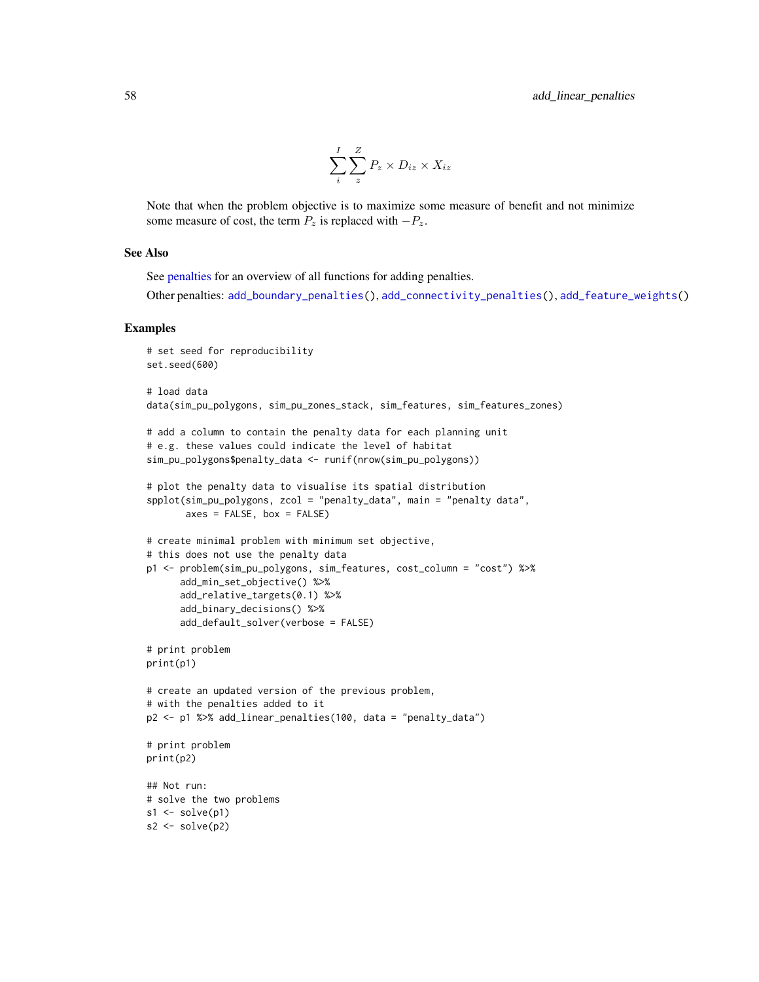$$
\sum_{i}^{I} \sum_{z}^{Z} P_{z} \times D_{iz} \times X_{iz}
$$

Note that when the problem objective is to maximize some measure of benefit and not minimize some measure of cost, the term  $P_z$  is replaced with  $-P_z$ .

# See Also

See [penalties](#page-224-0) for an overview of all functions for adding penalties.

Other penalties: [add\\_boundary\\_penalties\(](#page-9-0)), [add\\_connectivity\\_penalties\(](#page-17-0)), [add\\_feature\\_weights\(](#page-40-0))

```
# set seed for reproducibility
set.seed(600)
# load data
data(sim_pu_polygons, sim_pu_zones_stack, sim_features, sim_features_zones)
# add a column to contain the penalty data for each planning unit
# e.g. these values could indicate the level of habitat
sim_pu_polygons$penalty_data <- runif(nrow(sim_pu_polygons))
# plot the penalty data to visualise its spatial distribution
spplot(sim_pu_polygons, zcol = "penalty_data", main = "penalty data",
       axes = FALSE, box = FALSE)# create minimal problem with minimum set objective,
# this does not use the penalty data
p1 <- problem(sim_pu_polygons, sim_features, cost_column = "cost") %>%
      add_min_set_objective() %>%
      add_relative_targets(0.1) %>%
     add_binary_decisions() %>%
     add_default_solver(verbose = FALSE)
# print problem
print(p1)
# create an updated version of the previous problem,
# with the penalties added to it
p2 <- p1 %>% add_linear_penalties(100, data = "penalty_data")
# print problem
print(p2)
## Not run:
# solve the two problems
s1 \leftarrow solve(p1)s2 <- solve(p2)
```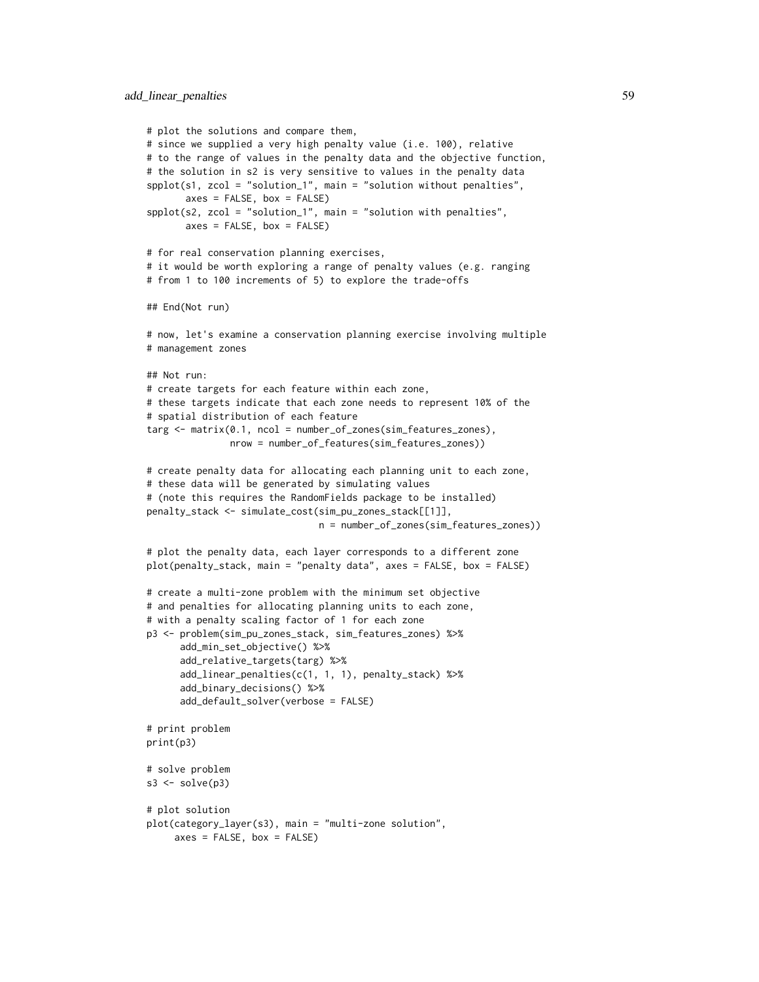```
# plot the solutions and compare them,
# since we supplied a very high penalty value (i.e. 100), relative
# to the range of values in the penalty data and the objective function,
# the solution in s2 is very sensitive to values in the penalty data
spplot(s1, zcol = "solution_1", main = "solution without penalties",
      axes = FALSE, box = FALSE)spplot(s2, zcol = "solution_1", main = "solution with penalties",
      axes = FALSE, box = FALSE)# for real conservation planning exercises,
# it would be worth exploring a range of penalty values (e.g. ranging
# from 1 to 100 increments of 5) to explore the trade-offs
## End(Not run)
# now, let's examine a conservation planning exercise involving multiple
# management zones
## Not run:
# create targets for each feature within each zone,
# these targets indicate that each zone needs to represent 10% of the
# spatial distribution of each feature
targ <- matrix(0.1, ncol = number_of_zones(sim_features_zones),
               nrow = number_of_features(sim_features_zones))
# create penalty data for allocating each planning unit to each zone,
# these data will be generated by simulating values
# (note this requires the RandomFields package to be installed)
penalty_stack <- simulate_cost(sim_pu_zones_stack[[1]],
                               n = number_of_zones(sim_features_zones))
# plot the penalty data, each layer corresponds to a different zone
plot(penalty_stack, main = "penalty data", axes = FALSE, box = FALSE)
# create a multi-zone problem with the minimum set objective
# and penalties for allocating planning units to each zone,
# with a penalty scaling factor of 1 for each zone
p3 <- problem(sim_pu_zones_stack, sim_features_zones) %>%
      add_min_set_objective() %>%
      add_relative_targets(targ) %>%
      add_linear_penalties(c(1, 1, 1), penalty_stack) %>%
      add_binary_decisions() %>%
      add_default_solver(verbose = FALSE)
# print problem
print(p3)
# solve problem
s3 \leq solve(p3)# plot solution
plot(category_layer(s3), main = "multi-zone solution",
     axes = FALSE, box = FALSE)
```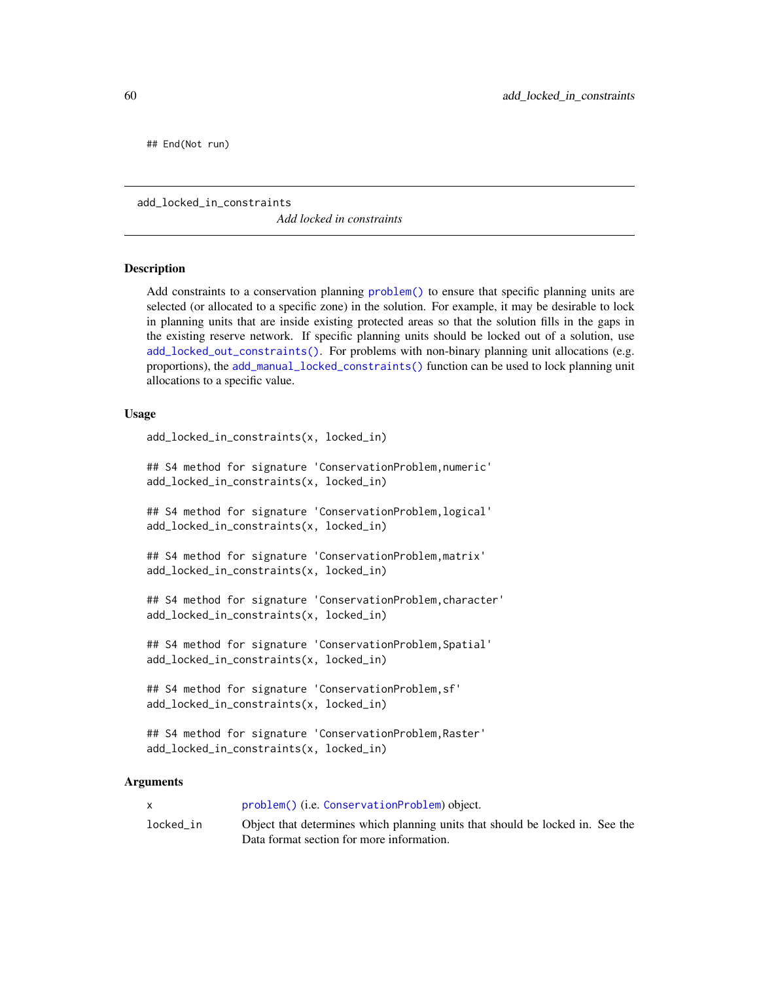## End(Not run)

<span id="page-59-0"></span>add\_locked\_in\_constraints

*Add locked in constraints*

# **Description**

Add constraints to a conservation planning [problem\(\)](#page-238-0) to ensure that specific planning units are selected (or allocated to a specific zone) in the solution. For example, it may be desirable to lock in planning units that are inside existing protected areas so that the solution fills in the gaps in the existing reserve network. If specific planning units should be locked out of a solution, use [add\\_locked\\_out\\_constraints\(\)](#page-63-0). For problems with non-binary planning unit allocations (e.g. proportions), the [add\\_manual\\_locked\\_constraints\(\)](#page-77-0) function can be used to lock planning unit allocations to a specific value.

# Usage

```
add_locked_in_constraints(x, locked_in)
```

```
## S4 method for signature 'ConservationProblem,numeric'
add_locked_in_constraints(x, locked_in)
```
## S4 method for signature 'ConservationProblem,logical' add\_locked\_in\_constraints(x, locked\_in)

```
## S4 method for signature 'ConservationProblem,matrix'
add_locked_in_constraints(x, locked_in)
```

```
## S4 method for signature 'ConservationProblem,character'
add_locked_in_constraints(x, locked_in)
```
## S4 method for signature 'ConservationProblem, Spatial' add\_locked\_in\_constraints(x, locked\_in)

```
## S4 method for signature 'ConservationProblem,sf'
add_locked_in_constraints(x, locked_in)
```

```
## S4 method for signature 'ConservationProblem,Raster'
add_locked_in_constraints(x, locked_in)
```
#### Arguments

|           | problem() (i.e. ConservationProblem) object.                                                                               |
|-----------|----------------------------------------------------------------------------------------------------------------------------|
| locked in | Object that determines which planning units that should be locked in. See the<br>Data format section for more information. |
|           |                                                                                                                            |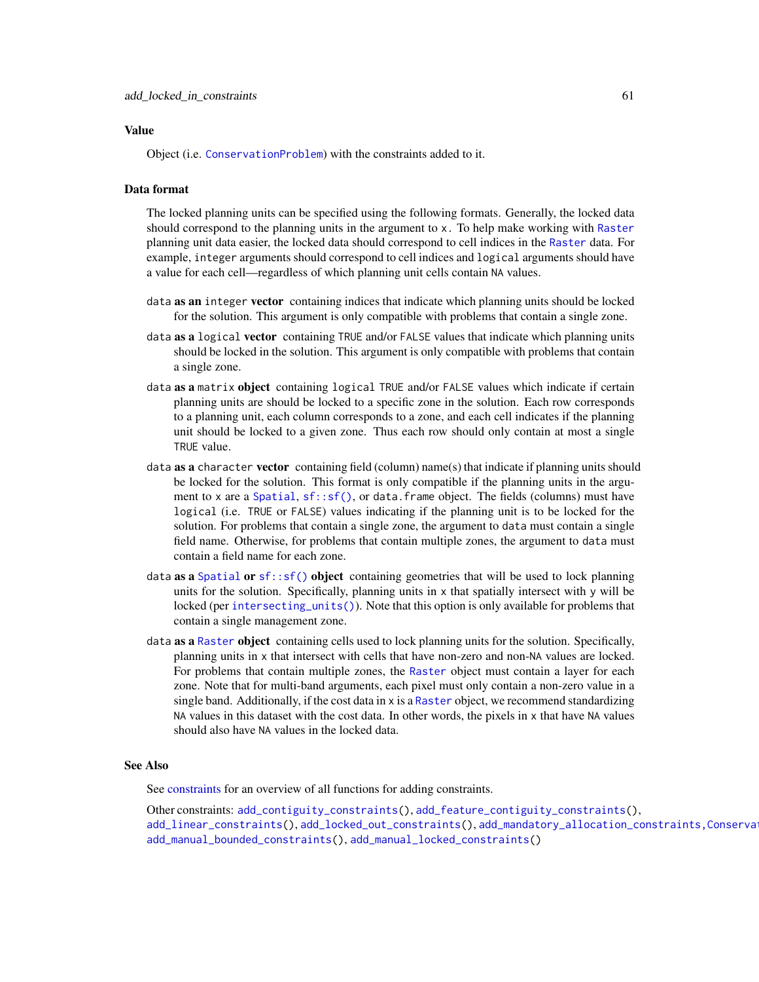# Value

Object (i.e. [ConservationProblem](#page-141-0)) with the constraints added to it.

# Data format

The locked planning units can be specified using the following formats. Generally, the locked data should correspond to the planning units in the argument to x. To help make working with [Raster](#page-0-0) planning unit data easier, the locked data should correspond to cell indices in the [Raster](#page-0-0) data. For example, integer arguments should correspond to cell indices and logical arguments should have a value for each cell—regardless of which planning unit cells contain NA values.

- data as an integer vector containing indices that indicate which planning units should be locked for the solution. This argument is only compatible with problems that contain a single zone.
- data as a logical vector containing TRUE and/or FALSE values that indicate which planning units should be locked in the solution. This argument is only compatible with problems that contain a single zone.
- data as a matrix object containing logical TRUE and/or FALSE values which indicate if certain planning units are should be locked to a specific zone in the solution. Each row corresponds to a planning unit, each column corresponds to a zone, and each cell indicates if the planning unit should be locked to a given zone. Thus each row should only contain at most a single TRUE value.
- data **as a** character **vector** containing field (column) name(s) that indicate if planning units should be locked for the solution. This format is only compatible if the planning units in the argu-ment to x are a [Spatial](#page-0-0),  $sf::sf()$ , or data. frame object. The fields (columns) must have logical (i.e. TRUE or FALSE) values indicating if the planning unit is to be locked for the solution. For problems that contain a single zone, the argument to data must contain a single field name. Otherwise, for problems that contain multiple zones, the argument to data must contain a field name for each zone.
- data as a [Spatial](#page-0-0) or  $sf::sf()$  object containing geometries that will be used to lock planning units for the solution. Specifically, planning units in x that spatially intersect with y will be locked (per [intersecting\\_units\(\)](#page-197-0)). Note that this option is only available for problems that contain a single management zone.
- data as a [Raster](#page-0-0) object containing cells used to lock planning units for the solution. Specifically, planning units in x that intersect with cells that have non-zero and non-NA values are locked. For problems that contain multiple zones, the [Raster](#page-0-0) object must contain a layer for each zone. Note that for multi-band arguments, each pixel must only contain a non-zero value in a single band. Additionally, if the cost data in x is a [Raster](#page-0-0) object, we recommend standardizing NA values in this dataset with the cost data. In other words, the pixels in x that have NA values should also have NA values in the locked data.

# See Also

See [constraints](#page-145-0) for an overview of all functions for adding constraints.

Other constraints: [add\\_contiguity\\_constraints\(](#page-25-0)), [add\\_feature\\_contiguity\\_constraints\(](#page-36-0)), [add\\_linear\\_constraints\(](#page-50-0)), [add\\_locked\\_out\\_constraints\(](#page-63-0)), add\_mandatory\_allocation\_constraints,Conserva [add\\_manual\\_bounded\\_constraints\(](#page-74-0)), [add\\_manual\\_locked\\_constraints\(](#page-77-0))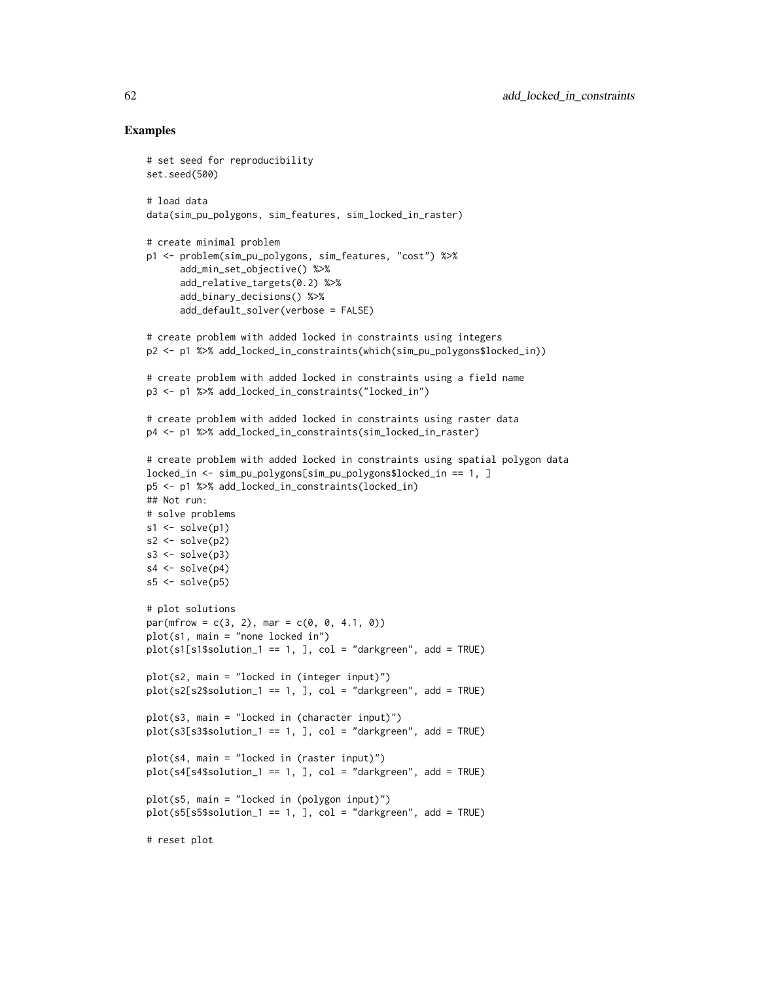```
# set seed for reproducibility
set.seed(500)
# load data
data(sim_pu_polygons, sim_features, sim_locked_in_raster)
# create minimal problem
p1 <- problem(sim_pu_polygons, sim_features, "cost") %>%
      add_min_set_objective() %>%
      add_relative_targets(0.2) %>%
      add_binary_decisions() %>%
      add_default_solver(verbose = FALSE)
# create problem with added locked in constraints using integers
p2 <- p1 %>% add_locked_in_constraints(which(sim_pu_polygons$locked_in))
# create problem with added locked in constraints using a field name
p3 <- p1 %>% add_locked_in_constraints("locked_in")
# create problem with added locked in constraints using raster data
p4 <- p1 %>% add_locked_in_constraints(sim_locked_in_raster)
# create problem with added locked in constraints using spatial polygon data
locked_in <- sim_pu_polygons[sim_pu_polygons$locked_in == 1, ]
p5 <- p1 %>% add_locked_in_constraints(locked_in)
## Not run:
# solve problems
s1 \leftarrow solve(p1)s2 \leftarrow solve(p2)s3 \leftarrow solve(p3)s4 \leftarrow solve(p4)s5 \leq -solve(p5)# plot solutions
par(mfrow = c(3, 2), mar = c(0, 0, 4.1, 0))plot(s1, main = "none locked in")
plot(s1[s1$solution_1 == 1, ], col = "darkgreen", add = TRUE)
plot(s2, main = "locked in (integer input)")
plot(s2[s2$solution_1 == 1, ], col = "darkgreen", add = TRUE)plot(s3, main = "locked in (character input)")
plot(s3[s3$solution_1 == 1, ], col = "darkgreen", add = TRUE)
plot(s4, main = "locked in (raster input)")
plot(s4[s4$solution_1 == 1, ], col = "darkgreen", add = TRUE)plot(s5, main = "locked in (polygon input)")
plot(s5[s5$solution_1 == 1, 1, col = "darkgreen", add = TRUE)# reset plot
```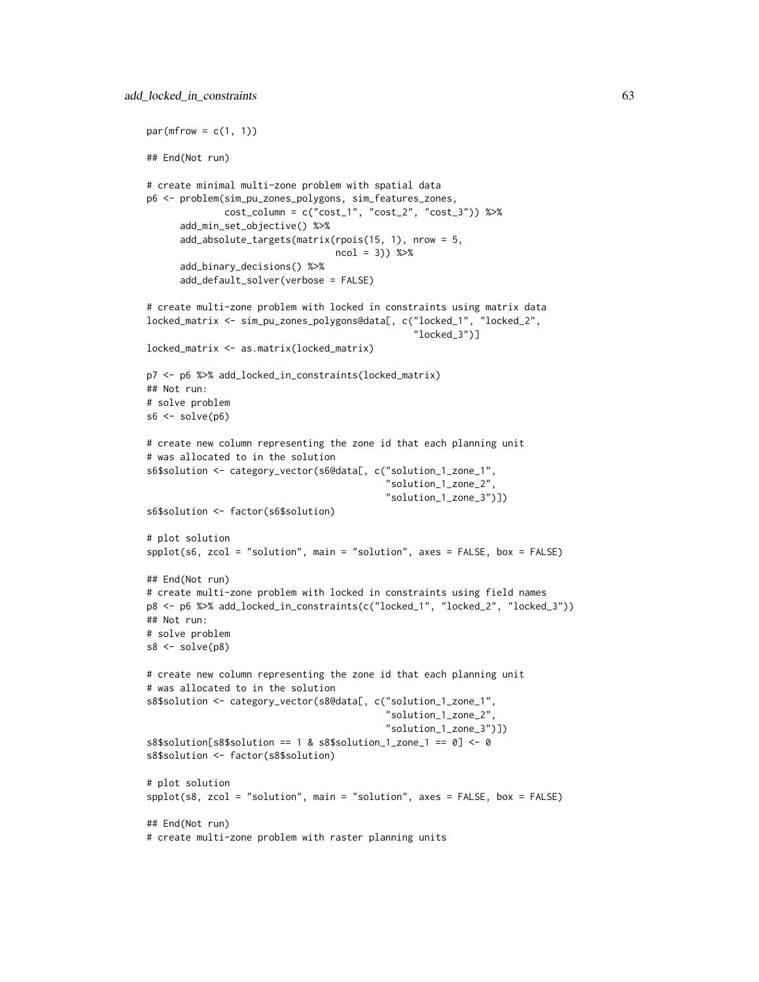```
par(mfrow = c(1, 1))## End(Not run)
# create minimal multi-zone problem with spatial data
p6 <- problem(sim_pu_zones_polygons, sim_features_zones,
              cost_column = c("cost_1", "cost_2", "cost_3")) %>%
      add_min_set_objective() %>%
      add_absolute_targets(matrix(rpois(15, 1), nrow = 5,
                                  ncol = 3) %>%
      add_binary_decisions() %>%
      add_default_solver(verbose = FALSE)
# create multi-zone problem with locked in constraints using matrix data
locked_matrix <- sim_pu_zones_polygons@data[, c("locked_1", "locked_2",
                                                 "locked_3")]
locked_matrix <- as.matrix(locked_matrix)
p7 <- p6 %>% add_locked_in_constraints(locked_matrix)
## Not run:
# solve problem
s6 \leq solve(p6)# create new column representing the zone id that each planning unit
# was allocated to in the solution
s6$solution <- category_vector(s6@data[, c("solution_1_zone_1",
                                            "solution_1_zone_2",
                                           "solution_1_zone_3")])
s6$solution <- factor(s6$solution)
# plot solution
splot(s6, zcol = "solution", main = "solution", axes = FALSE, box = FALSE)## End(Not run)
# create multi-zone problem with locked in constraints using field names
p8 <- p6 %>% add_locked_in_constraints(c("locked_1", "locked_2", "locked_3"))
## Not run:
# solve problem
s8 \leftarrow solve(p8)# create new column representing the zone id that each planning unit
# was allocated to in the solution
s8$solution <- category_vector(s8@data[, c("solution_1_zone_1",
                                           "solution_1_zone_2",
                                           "solution_1_zone_3")])
s8$solution[s8$solution = 1 & s8$solution_1 zone_1 == 0] < -0s8$solution <- factor(s8$solution)
# plot solution
spplot(s8, zcol = "solution", main = "solution", axes = FALSE, box = FALSE)
## End(Not run)
# create multi-zone problem with raster planning units
```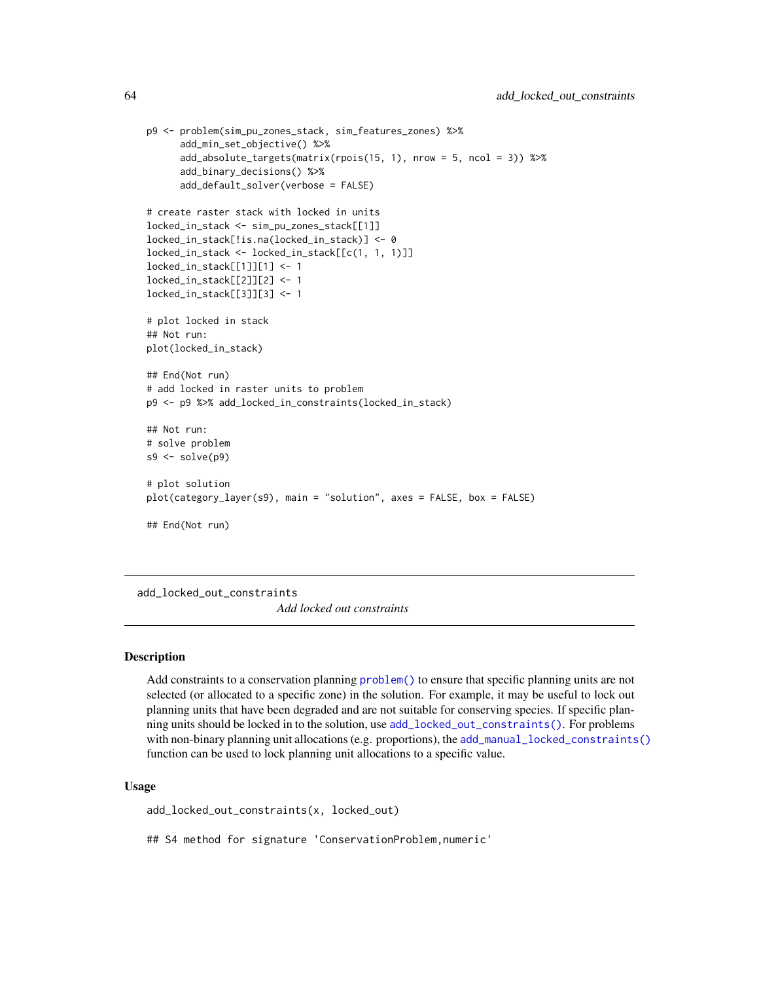```
p9 <- problem(sim_pu_zones_stack, sim_features_zones) %>%
      add_min_set_objective() %>%
      add_absolute_targets(matrix(rpois(15, 1), nrow = 5, ncol = 3)) %>%
      add_binary_decisions() %>%
      add_default_solver(verbose = FALSE)
# create raster stack with locked in units
locked_in_stack <- sim_pu_zones_stack[[1]]
locked_in_stack[!is.na(locked_in_stack)] <- 0
locked_in_stack <- locked_in_stack[[c(1, 1, 1)]]
locked_in_stack[[1]][1] <- 1
locked_in_stack[[2]][2] <- 1
locked_in_stack[[3]][3] <- 1
# plot locked in stack
## Not run:
plot(locked_in_stack)
## End(Not run)
# add locked in raster units to problem
p9 <- p9 %>% add_locked_in_constraints(locked_in_stack)
## Not run:
# solve problem
s9 \leftarrow solve(p9)# plot solution
plot(category_layer(s9), main = "solution", axes = FALSE, box = FALSE)
## End(Not run)
```
<span id="page-63-0"></span>add\_locked\_out\_constraints *Add locked out constraints*

# Description

Add constraints to a conservation planning [problem\(\)](#page-238-0) to ensure that specific planning units are not selected (or allocated to a specific zone) in the solution. For example, it may be useful to lock out planning units that have been degraded and are not suitable for conserving species. If specific planning units should be locked in to the solution, use [add\\_locked\\_out\\_constraints\(\)](#page-63-0). For problems with non-binary planning unit allocations (e.g. proportions), the [add\\_manual\\_locked\\_constraints\(\)](#page-77-0) function can be used to lock planning unit allocations to a specific value.

## Usage

add\_locked\_out\_constraints(x, locked\_out)

## S4 method for signature 'ConservationProblem, numeric'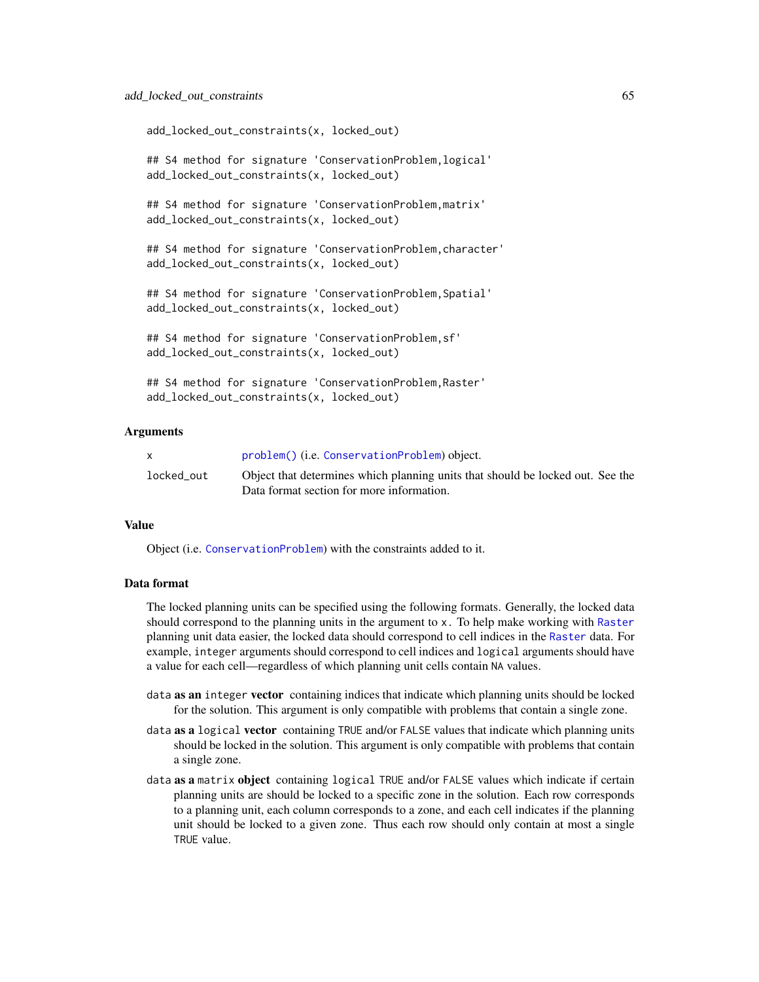add\_locked\_out\_constraints(x, locked\_out)

## S4 method for signature 'ConservationProblem,logical' add\_locked\_out\_constraints(x, locked\_out)

## S4 method for signature 'ConservationProblem,matrix' add\_locked\_out\_constraints(x, locked\_out)

## S4 method for signature 'ConservationProblem,character' add\_locked\_out\_constraints(x, locked\_out)

## S4 method for signature 'ConservationProblem, Spatial' add\_locked\_out\_constraints(x, locked\_out)

```
## S4 method for signature 'ConservationProblem,sf'
add_locked_out_constraints(x, locked_out)
```

```
## S4 method for signature 'ConservationProblem,Raster'
add_locked_out_constraints(x, locked_out)
```
# Arguments

|            | problem() (i.e. ConservationProblem) object.                                   |
|------------|--------------------------------------------------------------------------------|
| locked out | Object that determines which planning units that should be locked out. See the |
|            | Data format section for more information.                                      |

# Value

Object (i.e. [ConservationProblem](#page-141-0)) with the constraints added to it.

# Data format

The locked planning units can be specified using the following formats. Generally, the locked data should correspond to the planning units in the argument to x. To help make working with [Raster](#page-0-0) planning unit data easier, the locked data should correspond to cell indices in the [Raster](#page-0-0) data. For example, integer arguments should correspond to cell indices and logical arguments should have a value for each cell—regardless of which planning unit cells contain NA values.

- data as an integer vector containing indices that indicate which planning units should be locked for the solution. This argument is only compatible with problems that contain a single zone.
- data as a logical vector containing TRUE and/or FALSE values that indicate which planning units should be locked in the solution. This argument is only compatible with problems that contain a single zone.
- data as a matrix object containing logical TRUE and/or FALSE values which indicate if certain planning units are should be locked to a specific zone in the solution. Each row corresponds to a planning unit, each column corresponds to a zone, and each cell indicates if the planning unit should be locked to a given zone. Thus each row should only contain at most a single TRUE value.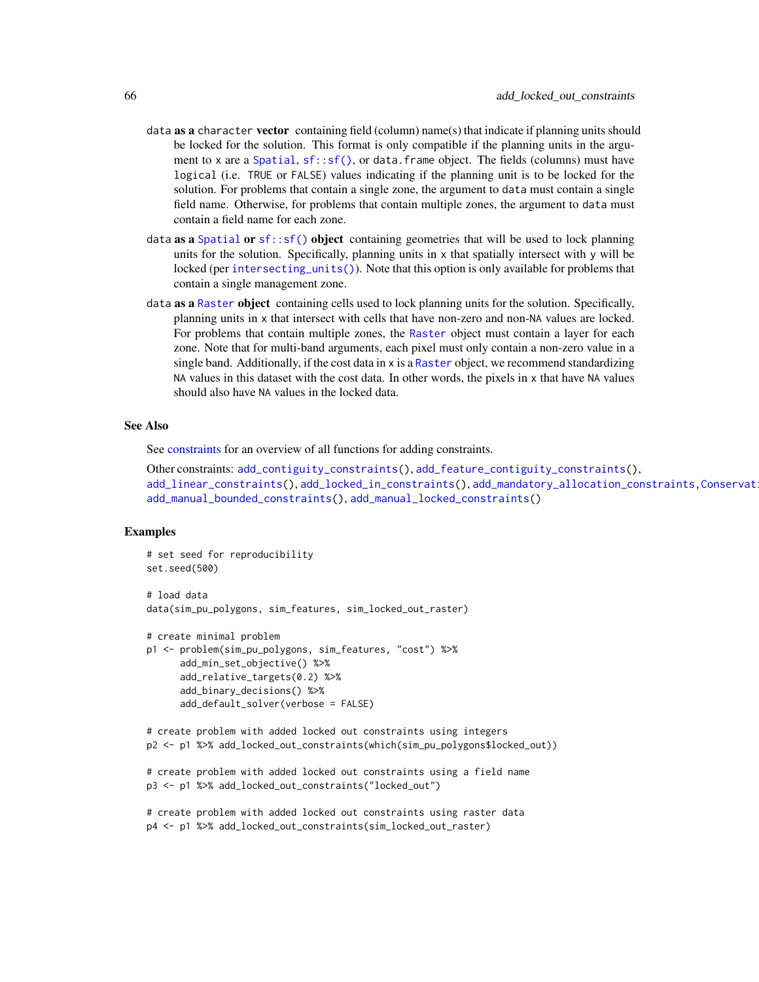- data **as a** character **vector** containing field (column) name(s) that indicate if planning units should be locked for the solution. This format is only compatible if the planning units in the argu-ment to x are a [Spatial](#page-0-0),  $sf::sf()$ , or data. frame object. The fields (columns) must have logical (i.e. TRUE or FALSE) values indicating if the planning unit is to be locked for the solution. For problems that contain a single zone, the argument to data must contain a single field name. Otherwise, for problems that contain multiple zones, the argument to data must contain a field name for each zone.
- data as a [Spatial](#page-0-0) or  $sf:sf()$  object containing geometries that will be used to lock planning units for the solution. Specifically, planning units in  $x$  that spatially intersect with y will be locked (per [intersecting\\_units\(\)](#page-197-0)). Note that this option is only available for problems that contain a single management zone.
- data as a [Raster](#page-0-0) object containing cells used to lock planning units for the solution. Specifically, planning units in x that intersect with cells that have non-zero and non-NA values are locked. For problems that contain multiple zones, the [Raster](#page-0-0) object must contain a layer for each zone. Note that for multi-band arguments, each pixel must only contain a non-zero value in a single band. Additionally, if the cost data in  $x$  is a [Raster](#page-0-0) object, we recommend standardizing NA values in this dataset with the cost data. In other words, the pixels in x that have NA values should also have NA values in the locked data.

# See Also

See [constraints](#page-145-0) for an overview of all functions for adding constraints.

Other constraints: [add\\_contiguity\\_constraints\(](#page-25-0)), [add\\_feature\\_contiguity\\_constraints\(](#page-36-0)), [add\\_linear\\_constraints\(](#page-50-0)), [add\\_locked\\_in\\_constraints\(](#page-59-0)), add\_mandatory\_allocation\_constraints,Conservat [add\\_manual\\_bounded\\_constraints\(](#page-74-0)), [add\\_manual\\_locked\\_constraints\(](#page-77-0))

```
# set seed for reproducibility
set.seed(500)
# load data
data(sim_pu_polygons, sim_features, sim_locked_out_raster)
# create minimal problem
```

```
p1 <- problem(sim_pu_polygons, sim_features, "cost") %>%
     add_min_set_objective() %>%
     add_relative_targets(0.2) %>%
     add_binary_decisions() %>%
     add_default_solver(verbose = FALSE)
```

```
# create problem with added locked out constraints using integers
p2 <- p1 %>% add_locked_out_constraints(which(sim_pu_polygons$locked_out))
```

```
# create problem with added locked out constraints using a field name
p3 <- p1 %>% add_locked_out_constraints("locked_out")
```

```
# create problem with added locked out constraints using raster data
p4 <- p1 %>% add_locked_out_constraints(sim_locked_out_raster)
```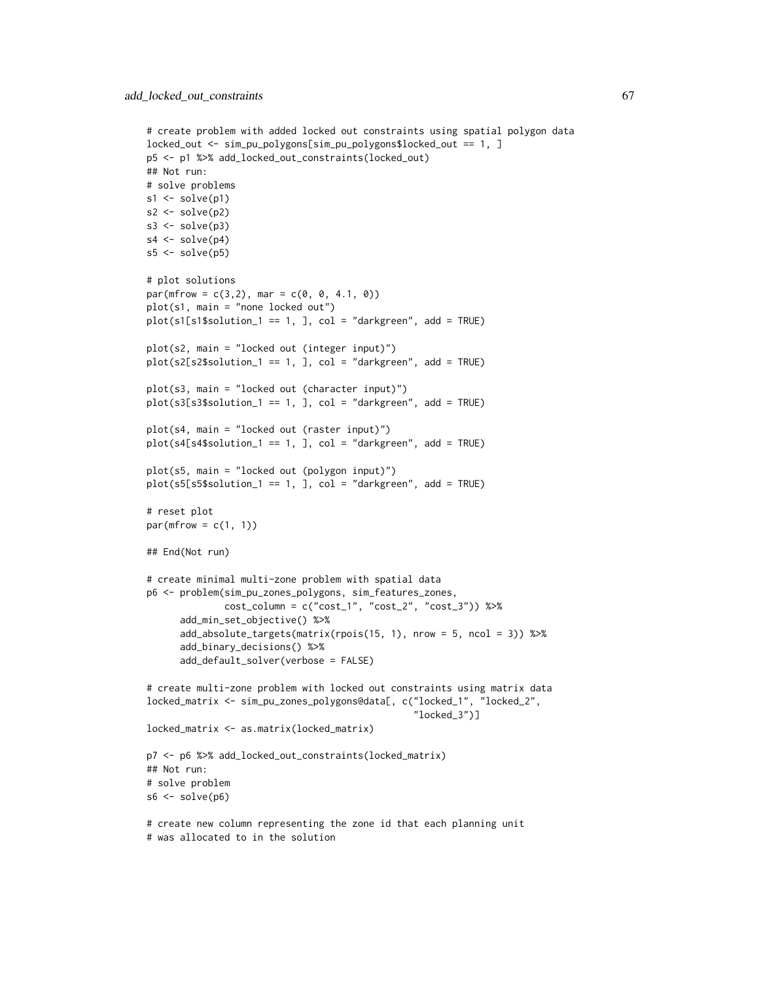```
# create problem with added locked out constraints using spatial polygon data
locked_out <- sim_pu_polygons[sim_pu_polygons$locked_out == 1, ]
p5 <- p1 %>% add_locked_out_constraints(locked_out)
## Not run:
# solve problems
s1 \leftarrow solve(p1)s2 \leftarrow solve(p2)s3 \leftarrow solve(p3)s4 \leftarrow solve(p4)s5 <- solve(p5)
# plot solutions
par(mfrow = c(3, 2), mar = c(0, 0, 4.1, 0))plot(s1, main = "none locked out")
plot(s1[s1$solution_1 == 1, 1, col = "darkgreen", add = TRUE)plot(s2, main = "locked out (integer input)")
plot(s2[s2$solution_1 == 1, ], col = "darkgreen", add = TRUE)plot(s3, main = "locked out (character input)")
plot(s3[s3$solution_1 == 1, ], col = "darkgreen", add = TRUE)plot(s4, main = "locked out (raster input)")
plot(s4[s4$solution_1 == 1, ], col = "darkgreen", add = TRUE)
plot(s5, main = "locked out (polygon input)")
plot(s5[s5$solution_1 == 1, ], col = "darkgreen", add = TRUE)# reset plot
par(mfrow = c(1, 1))## End(Not run)
# create minimal multi-zone problem with spatial data
p6 <- problem(sim_pu_zones_polygons, sim_features_zones,
              cost_column = c("cost_1", "cost_2", "cost_3")) %>%
      add_min_set_objective() %>%
      add_absolute_targets(matrix(rpois(15, 1), nrow = 5, ncol = 3)) %>%
      add_binary_decisions() %>%
      add_default_solver(verbose = FALSE)
# create multi-zone problem with locked out constraints using matrix data
locked_matrix <- sim_pu_zones_polygons@data[, c("locked_1", "locked_2",
                                                 "locked_3")]
locked_matrix <- as.matrix(locked_matrix)
p7 <- p6 %>% add_locked_out_constraints(locked_matrix)
## Not run:
# solve problem
s6 \leftarrow solve(p6)# create new column representing the zone id that each planning unit
# was allocated to in the solution
```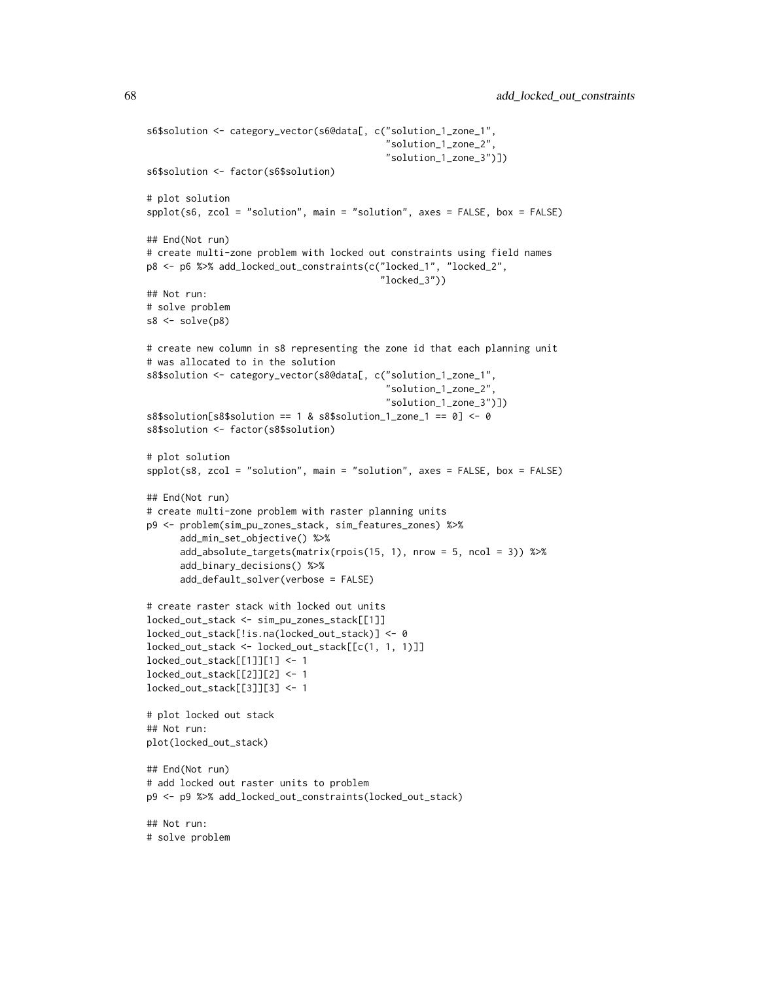```
s6$solution <- category_vector(s6@data[, c("solution_1_zone_1",
                                           "solution_1_zone_2",
                                           "solution_1_zone_3")])
s6$solution <- factor(s6$solution)
# plot solution
spplot(s6, zcol = "solution", main = "solution", axes = FALSE, box = FALSE)
## End(Not run)
# create multi-zone problem with locked out constraints using field names
p8 <- p6 %>% add_locked_out_constraints(c("locked_1", "locked_2",
                                          "locked_3"))
## Not run:
# solve problem
s8 \leftarrow solve(p8)# create new column in s8 representing the zone id that each planning unit
# was allocated to in the solution
s8$solution <- category_vector(s8@data[, c("solution_1_zone_1",
                                           "solution_1_zone_2",
                                           "solution_1_zone_3")])
s8$solution[s8$solution == 1 & s8$solution_1_zone_1 == 0] <- 0
s8$solution <- factor(s8$solution)
# plot solution
spplot(s8, zcol = "solution", main = "solution", axes = FALSE, box = FALSE)
## End(Not run)
# create multi-zone problem with raster planning units
p9 <- problem(sim_pu_zones_stack, sim_features_zones) %>%
      add_min_set_objective() %>%
      add_absolute_targets(matrix(rpois(15, 1), nrow = 5, ncol = 3)) %>%
      add_binary_decisions() %>%
      add_default_solver(verbose = FALSE)
# create raster stack with locked out units
locked_out_stack <- sim_pu_zones_stack[[1]]
locked_out_stack[!is.na(locked_out_stack)] <- 0
locked_out_stack <- locked_out_stack[[c(1, 1, 1)]]
locked_out_stack[[1]][1] <- 1
locked_out_stack[[2]][2] <- 1
locked_out_stack[[3]][3] <- 1
# plot locked out stack
## Not run:
plot(locked_out_stack)
## End(Not run)
# add locked out raster units to problem
p9 <- p9 %>% add_locked_out_constraints(locked_out_stack)
## Not run:
# solve problem
```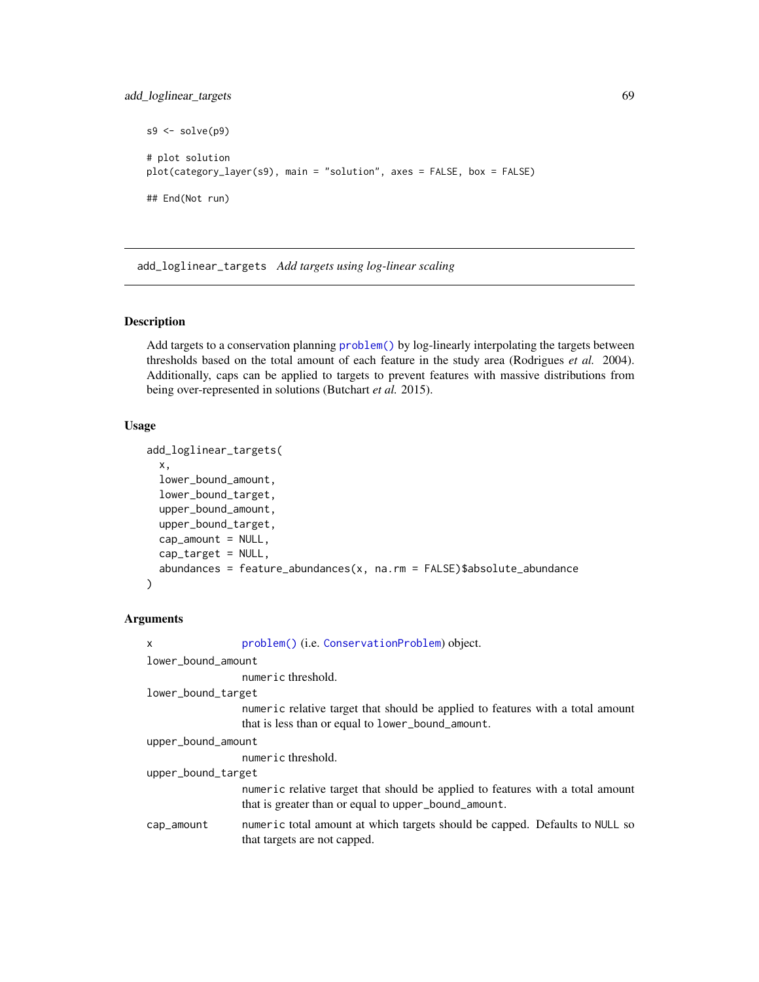```
s9 \leftarrow solve(p9)# plot solution
plot(category_layer(s9), main = "solution", axes = FALSE, box = FALSE)
## End(Not run)
```
add\_loglinear\_targets *Add targets using log-linear scaling*

# **Description**

Add targets to a conservation planning [problem\(\)](#page-238-0) by log-linearly interpolating the targets between thresholds based on the total amount of each feature in the study area (Rodrigues *et al.* 2004). Additionally, caps can be applied to targets to prevent features with massive distributions from being over-represented in solutions (Butchart *et al.* 2015).

# Usage

```
add_loglinear_targets(
 x,
  lower_bound_amount,
  lower_bound_target,
  upper_bound_amount,
  upper_bound_target,
  cap\_amount = NULL,cap_target = NULL,
  abundances = feature_abundances(x, na.rm = FALSE)$absolute_abundance
)
```
# Arguments

```
x problem() (i.e. ConservationProblem) object.
lower_bound_amount
                 numeric threshold.
lower_bound_target
                 numeric relative target that should be applied to features with a total amount
                 that is less than or equal to lower_bound_amount.
upper_bound_amount
                 numeric threshold.
upper_bound_target
                 numeric relative target that should be applied to features with a total amount
                 that is greater than or equal to upper_bound_amount.
cap_amount numeric total amount at which targets should be capped. Defaults to NULL so
                 that targets are not capped.
```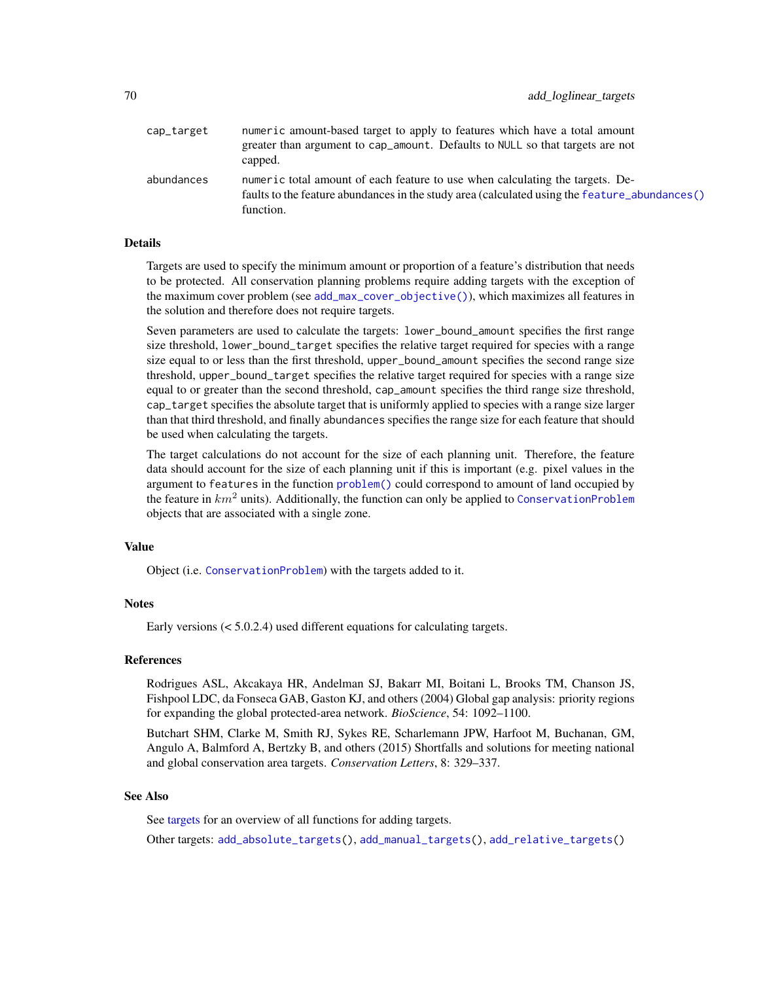| cap_target | numeric amount-based target to apply to features which have a total amount<br>greater than argument to cap_amount. Defaults to NULL so that targets are not<br>capped.                      |
|------------|---------------------------------------------------------------------------------------------------------------------------------------------------------------------------------------------|
| abundances | numeric total amount of each feature to use when calculating the targets. De-<br>faults to the feature abundances in the study area (calculated using the feature_abundances()<br>function. |

# Details

Targets are used to specify the minimum amount or proportion of a feature's distribution that needs to be protected. All conservation planning problems require adding targets with the exception of the maximum cover problem (see [add\\_max\\_cover\\_objective\(\)](#page-84-0)), which maximizes all features in the solution and therefore does not require targets.

Seven parameters are used to calculate the targets: lower\_bound\_amount specifies the first range size threshold, lower\_bound\_target specifies the relative target required for species with a range size equal to or less than the first threshold, upper\_bound\_amount specifies the second range size threshold, upper\_bound\_target specifies the relative target required for species with a range size equal to or greater than the second threshold, cap\_amount specifies the third range size threshold, cap\_target specifies the absolute target that is uniformly applied to species with a range size larger than that third threshold, and finally abundances specifies the range size for each feature that should be used when calculating the targets.

The target calculations do not account for the size of each planning unit. Therefore, the feature data should account for the size of each planning unit if this is important (e.g. pixel values in the argument to features in the function [problem\(\)](#page-238-0) could correspond to amount of land occupied by the feature in  $km^2$  units). Additionally, the function can only be applied to [ConservationProblem](#page-141-0) objects that are associated with a single zone.

# Value

Object (i.e. [ConservationProblem](#page-141-0)) with the targets added to it.

# **Notes**

Early versions (< 5.0.2.4) used different equations for calculating targets.

# References

Rodrigues ASL, Akcakaya HR, Andelman SJ, Bakarr MI, Boitani L, Brooks TM, Chanson JS, Fishpool LDC, da Fonseca GAB, Gaston KJ, and others (2004) Global gap analysis: priority regions for expanding the global protected-area network. *BioScience*, 54: 1092–1100.

Butchart SHM, Clarke M, Smith RJ, Sykes RE, Scharlemann JPW, Harfoot M, Buchanan, GM, Angulo A, Balmford A, Bertzky B, and others (2015) Shortfalls and solutions for meeting national and global conservation area targets. *Conservation Letters*, 8: 329–337.

# See Also

See [targets](#page-271-0) for an overview of all functions for adding targets.

Other targets: [add\\_absolute\\_targets\(](#page-5-0)), [add\\_manual\\_targets\(](#page-79-0)), [add\\_relative\\_targets\(](#page-111-0))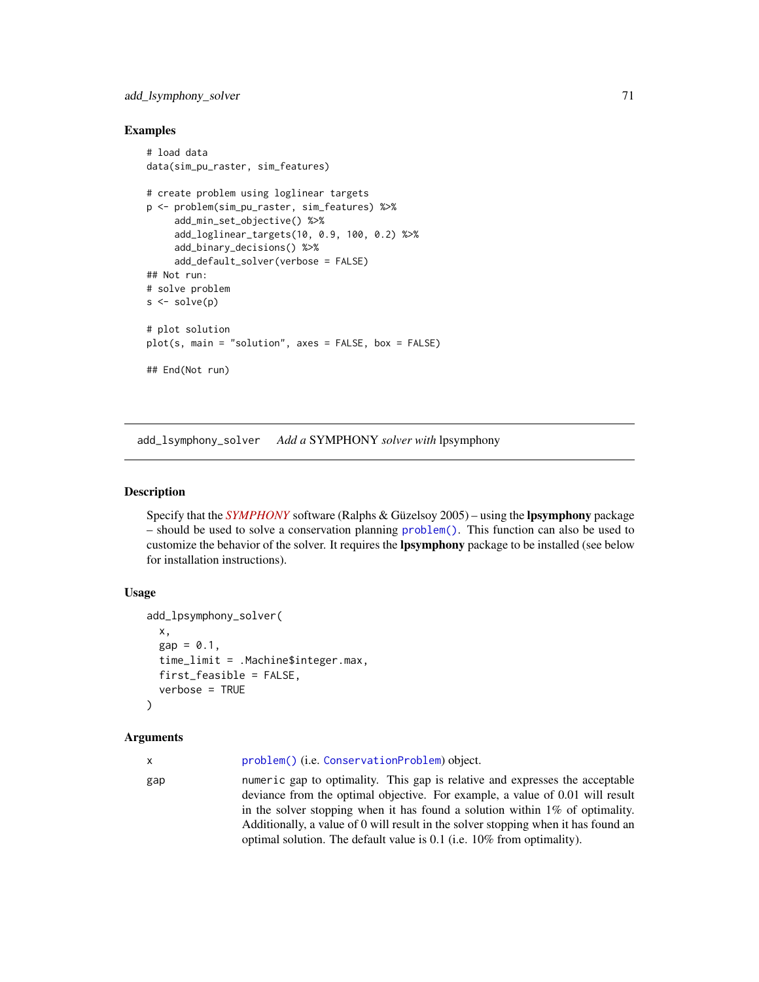# add\_lsymphony\_solver 71

# Examples

```
# load data
data(sim_pu_raster, sim_features)
# create problem using loglinear targets
p <- problem(sim_pu_raster, sim_features) %>%
     add_min_set_objective() %>%
     add_loglinear_targets(10, 0.9, 100, 0.2) %>%
     add_binary_decisions() %>%
     add_default_solver(verbose = FALSE)
## Not run:
# solve problem
s \leftarrow solve(p)# plot solution
plot(s, main = "solution", axes = FALSE, box = FALSE)## End(Not run)
```
<span id="page-70-0"></span>add\_lsymphony\_solver *Add a* SYMPHONY *solver with* lpsymphony

# **Description**

Specify that the *[SYMPHONY](https://projects.coin-or.org/SYMPHONY)* software (Ralphs & Güzelsoy 2005) – using the lpsymphony package – should be used to solve a conservation planning [problem\(\)](#page-238-0). This function can also be used to customize the behavior of the solver. It requires the lpsymphony package to be installed (see below for installation instructions).

# Usage

```
add_lpsymphony_solver(
  x,
  gap = 0.1,time_limit = .Machine$integer.max,
  first_feasible = FALSE,
  verbose = TRUE
\lambda
```
# Arguments

x [problem\(\)](#page-238-0) (i.e. [ConservationProblem](#page-141-0)) object.

gap numeric gap to optimality. This gap is relative and expresses the acceptable deviance from the optimal objective. For example, a value of 0.01 will result in the solver stopping when it has found a solution within 1% of optimality. Additionally, a value of 0 will result in the solver stopping when it has found an optimal solution. The default value is 0.1 (i.e. 10% from optimality).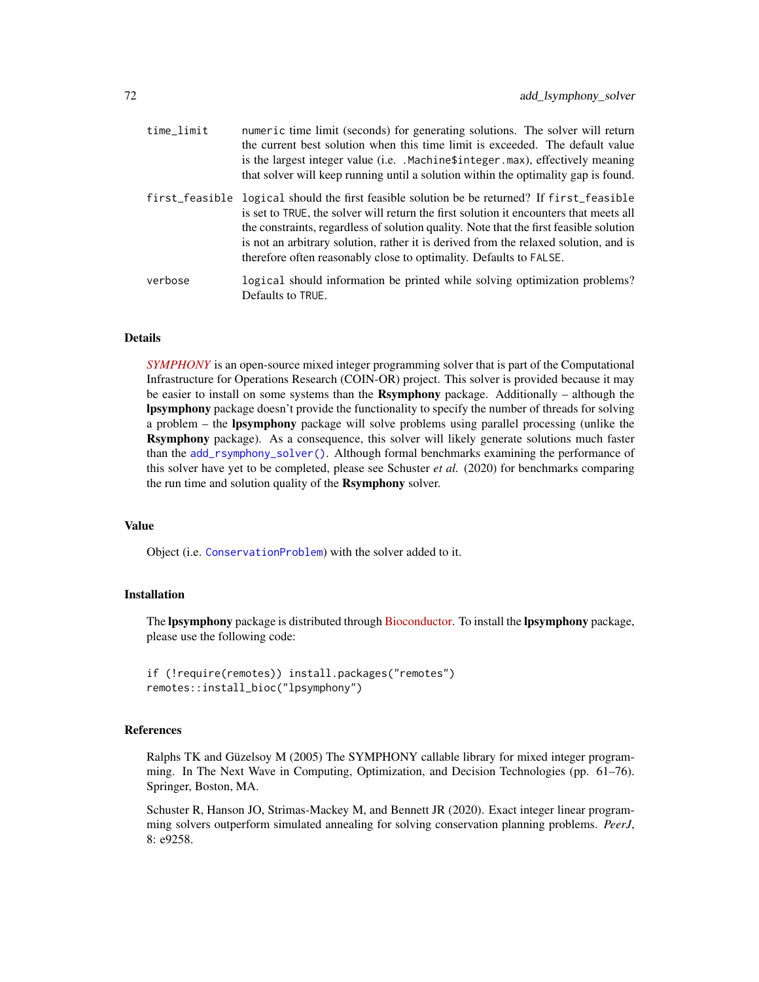| time_limit | numeric time limit (seconds) for generating solutions. The solver will return<br>the current best solution when this time limit is exceeded. The default value<br>is the largest integer value (i.e. . Machine \$integer . max), effectively meaning<br>that solver will keep running until a solution within the optimality gap is found.                                                                                                    |
|------------|-----------------------------------------------------------------------------------------------------------------------------------------------------------------------------------------------------------------------------------------------------------------------------------------------------------------------------------------------------------------------------------------------------------------------------------------------|
|            | first_feasible logical should the first feasible solution be be returned? If first_feasible<br>is set to TRUE, the solver will return the first solution it encounters that meets all<br>the constraints, regardless of solution quality. Note that the first feasible solution<br>is not an arbitrary solution, rather it is derived from the relaxed solution, and is<br>therefore often reasonably close to optimality. Defaults to FALSE. |
| verbose    | logical should information be printed while solving optimization problems?<br>Defaults to TRUE.                                                                                                                                                                                                                                                                                                                                               |

# Details

*[SYMPHONY](https://projects.coin-or.org/SYMPHONY)* is an open-source mixed integer programming solver that is part of the Computational Infrastructure for Operations Research (COIN-OR) project. This solver is provided because it may be easier to install on some systems than the **Rsymphony** package. Additionally – although the lpsymphony package doesn't provide the functionality to specify the number of threads for solving a problem – the lpsymphony package will solve problems using parallel processing (unlike the Rsymphony package). As a consequence, this solver will likely generate solutions much faster than the [add\\_rsymphony\\_solver\(\)](#page-113-0). Although formal benchmarks examining the performance of this solver have yet to be completed, please see Schuster *et al.* (2020) for benchmarks comparing the run time and solution quality of the Rsymphony solver.

## Value

Object (i.e. [ConservationProblem](#page-141-0)) with the solver added to it.

# Installation

The **lpsymphony** package is distributed through **Bioconductor**. To install the **lpsymphony** package, please use the following code:

```
if (!require(remotes)) install.packages("remotes")
remotes::install_bioc("lpsymphony")
```
# References

Ralphs TK and Güzelsoy M (2005) The SYMPHONY callable library for mixed integer programming. In The Next Wave in Computing, Optimization, and Decision Technologies (pp. 61–76). Springer, Boston, MA.

Schuster R, Hanson JO, Strimas-Mackey M, and Bennett JR (2020). Exact integer linear programming solvers outperform simulated annealing for solving conservation planning problems. *PeerJ*, 8: e9258.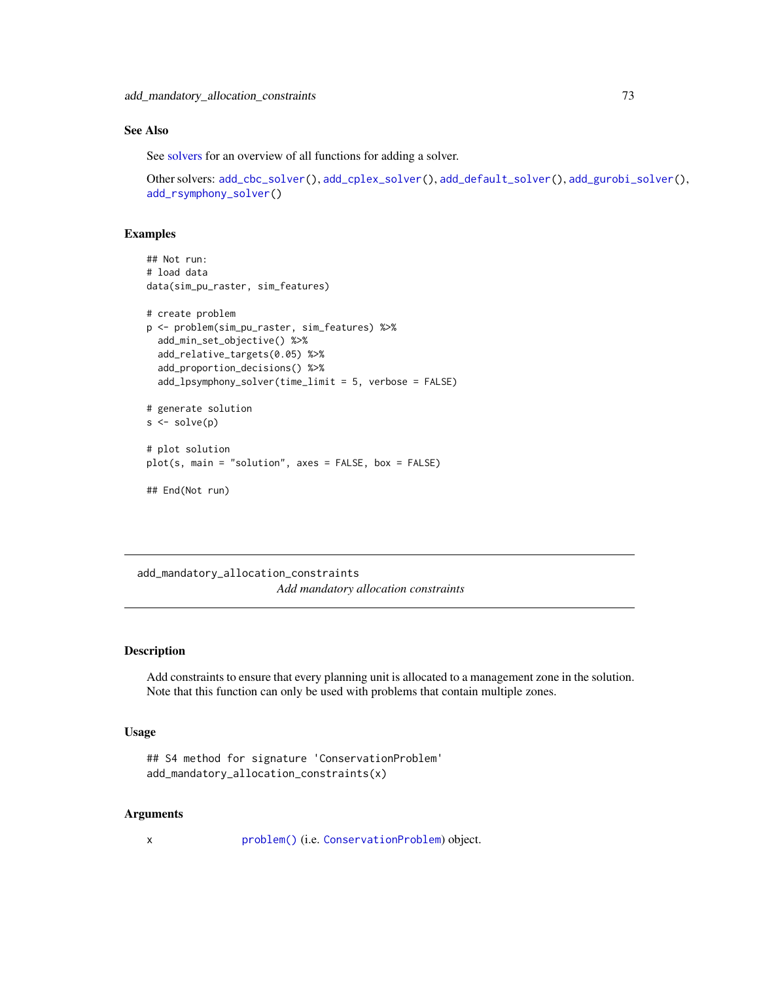# See Also

See [solvers](#page-267-0) for an overview of all functions for adding a solver.

```
Other solvers: add_cbc_solver(), add_cplex_solver(), add_default_solver(), add_gurobi_solver(),
add_rsymphony_solver()
```
# Examples

```
## Not run:
# load data
data(sim_pu_raster, sim_features)
# create problem
p <- problem(sim_pu_raster, sim_features) %>%
 add_min_set_objective() %>%
 add_relative_targets(0.05) %>%
 add_proportion_decisions() %>%
 add_lpsymphony_solver(time_limit = 5, verbose = FALSE)
# generate solution
s \leftarrow solve(p)# plot solution
plot(s, main = "solution", axes = FALSE, box = FALSE)
## End(Not run)
```
add\_mandatory\_allocation\_constraints *Add mandatory allocation constraints*

### Description

Add constraints to ensure that every planning unit is allocated to a management zone in the solution. Note that this function can only be used with problems that contain multiple zones.

### Usage

```
## S4 method for signature 'ConservationProblem'
add_mandatory_allocation_constraints(x)
```
### Arguments

x [problem\(\)](#page-238-0) (i.e. [ConservationProblem](#page-141-0)) object.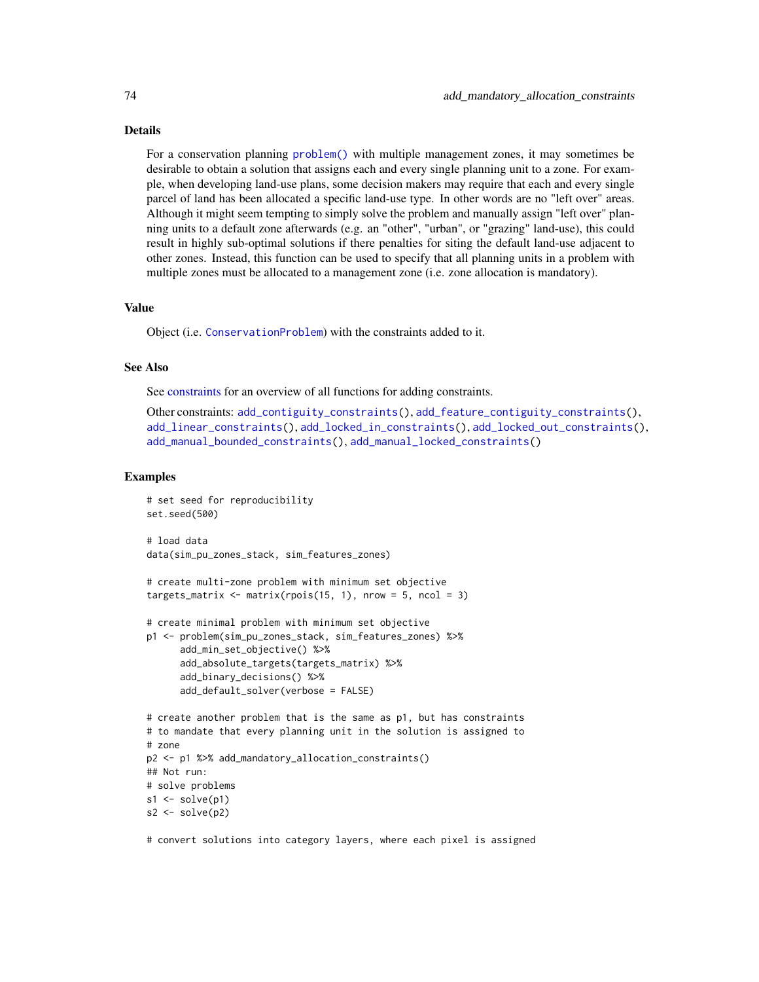### Details

For a conservation planning [problem\(\)](#page-238-0) with multiple management zones, it may sometimes be desirable to obtain a solution that assigns each and every single planning unit to a zone. For example, when developing land-use plans, some decision makers may require that each and every single parcel of land has been allocated a specific land-use type. In other words are no "left over" areas. Although it might seem tempting to simply solve the problem and manually assign "left over" planning units to a default zone afterwards (e.g. an "other", "urban", or "grazing" land-use), this could result in highly sub-optimal solutions if there penalties for siting the default land-use adjacent to other zones. Instead, this function can be used to specify that all planning units in a problem with multiple zones must be allocated to a management zone (i.e. zone allocation is mandatory).

### Value

Object (i.e. [ConservationProblem](#page-141-0)) with the constraints added to it.

## See Also

See [constraints](#page-145-0) for an overview of all functions for adding constraints.

Other constraints: [add\\_contiguity\\_constraints\(](#page-25-0)), [add\\_feature\\_contiguity\\_constraints\(](#page-36-0)), [add\\_linear\\_constraints\(](#page-50-0)), [add\\_locked\\_in\\_constraints\(](#page-59-0)), [add\\_locked\\_out\\_constraints\(](#page-63-0)), [add\\_manual\\_bounded\\_constraints\(](#page-74-0)), [add\\_manual\\_locked\\_constraints\(](#page-77-0))

## Examples

```
# set seed for reproducibility
set.seed(500)
# load data
data(sim_pu_zones_stack, sim_features_zones)
# create multi-zone problem with minimum set objective
targets_matrix \leq matrix(rpois(15, 1), nrow = 5, ncol = 3)
# create minimal problem with minimum set objective
p1 <- problem(sim_pu_zones_stack, sim_features_zones) %>%
      add_min_set_objective() %>%
      add_absolute_targets(targets_matrix) %>%
      add_binary_decisions() %>%
      add_default_solver(verbose = FALSE)
# create another problem that is the same as p1, but has constraints
# to mandate that every planning unit in the solution is assigned to
# zone
p2 <- p1 %>% add_mandatory_allocation_constraints()
## Not run:
# solve problems
s1 \leftarrow solve(p1)s2 \leftarrow solve(p2)
```
# convert solutions into category layers, where each pixel is assigned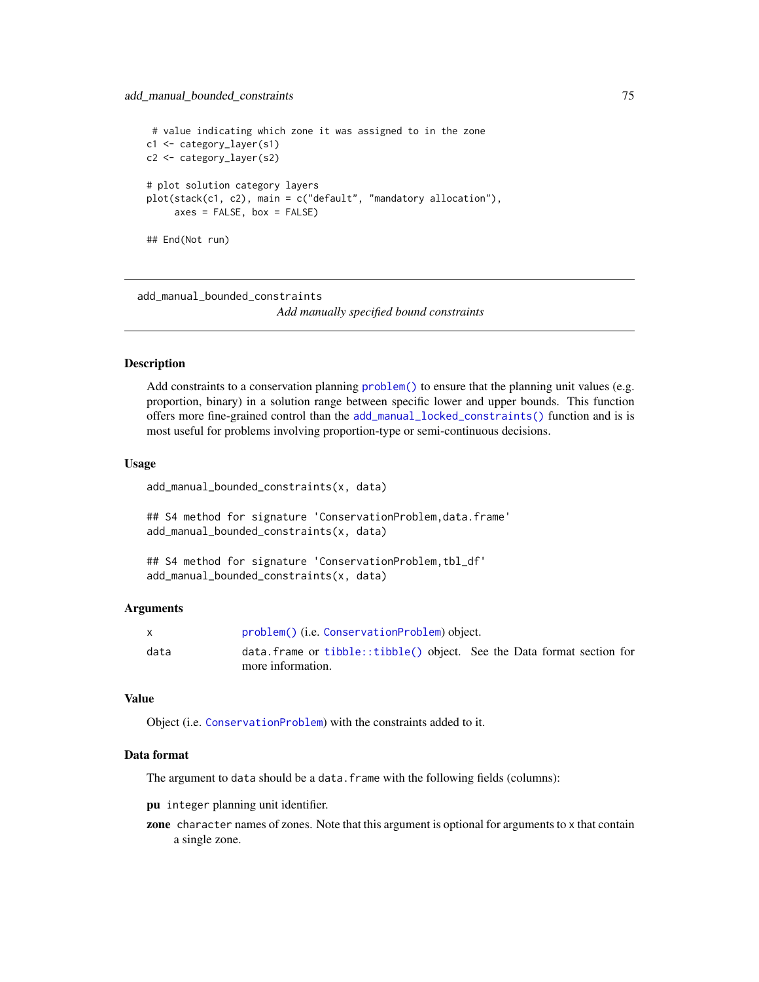```
# value indicating which zone it was assigned to in the zone
c1 <- category_layer(s1)
c2 <- category_layer(s2)
# plot solution category layers
plot(stack(c1, c2), main = c("default", "mandatory allocation"),
     axes = FALSE, box = FALSE)## End(Not run)
```
<span id="page-74-0"></span>add\_manual\_bounded\_constraints

*Add manually specified bound constraints*

### **Description**

Add constraints to a conservation planning [problem\(\)](#page-238-0) to ensure that the planning unit values (e.g. proportion, binary) in a solution range between specific lower and upper bounds. This function offers more fine-grained control than the [add\\_manual\\_locked\\_constraints\(\)](#page-77-0) function and is is most useful for problems involving proportion-type or semi-continuous decisions.

#### Usage

add\_manual\_bounded\_constraints(x, data)

## S4 method for signature 'ConservationProblem, data.frame' add\_manual\_bounded\_constraints(x, data)

## S4 method for signature 'ConservationProblem, tbl\_df' add\_manual\_bounded\_constraints(x, data)

### Arguments

|      | problem() (i.e. ConservationProblem) object.                                |  |
|------|-----------------------------------------------------------------------------|--|
| data | $data.$ frame or $tibble::tibble()$ object. See the Data format section for |  |
|      | more information.                                                           |  |

# Value

Object (i.e. [ConservationProblem](#page-141-0)) with the constraints added to it.

### Data format

The argument to data should be a data. frame with the following fields (columns):

pu integer planning unit identifier.

zone character names of zones. Note that this argument is optional for arguments to x that contain a single zone.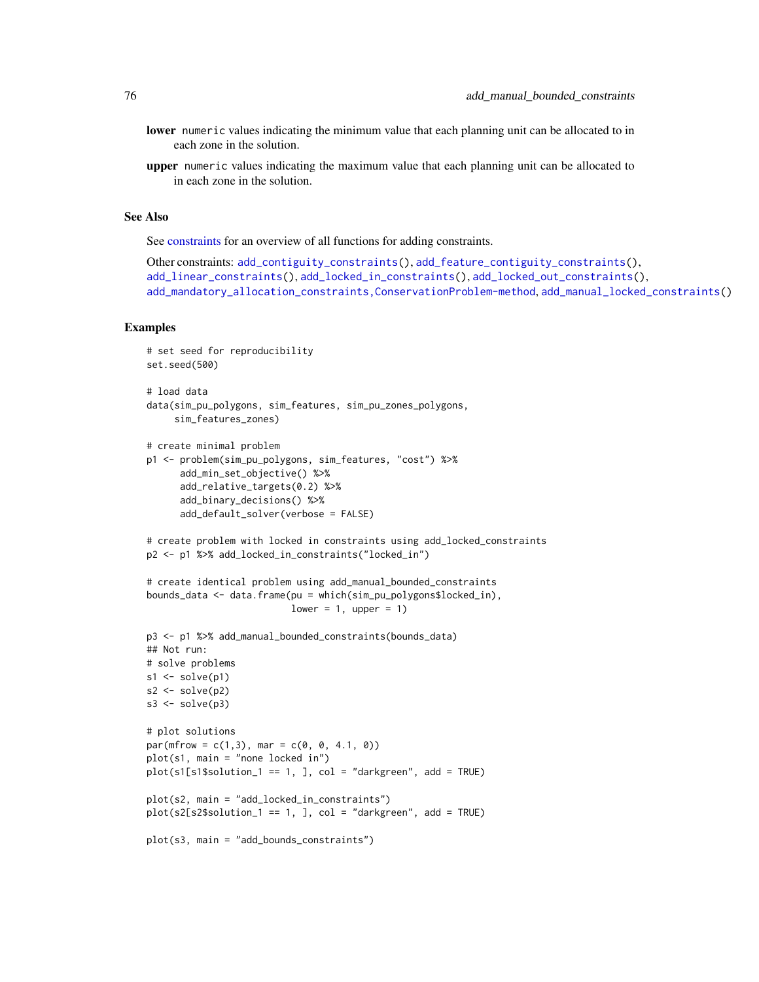- lower numeric values indicating the minimum value that each planning unit can be allocated to in each zone in the solution.
- upper numeric values indicating the maximum value that each planning unit can be allocated to in each zone in the solution.

## See Also

See [constraints](#page-145-0) for an overview of all functions for adding constraints.

```
Other constraints: add_contiguity_constraints(), add_feature_contiguity_constraints(),
add_linear_constraints(), add_locked_in_constraints(), add_locked_out_constraints(),
add_mandatory_allocation_constraints,ConservationProblem-method, add_manual_locked_constraints()
```

```
# set seed for reproducibility
set.seed(500)
# load data
data(sim_pu_polygons, sim_features, sim_pu_zones_polygons,
     sim_features_zones)
# create minimal problem
p1 <- problem(sim_pu_polygons, sim_features, "cost") %>%
      add_min_set_objective() %>%
      add_relative_targets(0.2) %>%
      add_binary_decisions() %>%
      add_default_solver(verbose = FALSE)
# create problem with locked in constraints using add_locked_constraints
p2 <- p1 %>% add_locked_in_constraints("locked_in")
# create identical problem using add_manual_bounded_constraints
bounds_data <- data.frame(pu = which(sim_pu_polygons$locked_in),
                          lower = 1, upper = 1)p3 <- p1 %>% add_manual_bounded_constraints(bounds_data)
## Not run:
# solve problems
s1 \leftarrow solve(p1)s2 \leftarrow solve(p2)s3 \leftarrow solve(p3)# plot solutions
par(mfrow = c(1,3), mar = c(0, 0, 4.1, 0))plot(s1, main = "none locked in")
plot(s1[s1$solution_1 == 1, 1, col = "darkgreen", add = TRUE)plot(s2, main = "add_locked_in_constraints")
plot(s2[s2$solution_1 == 1, ], col = "darkgreen", add = TRUE)
plot(s3, main = "add_bounds_constraints")
```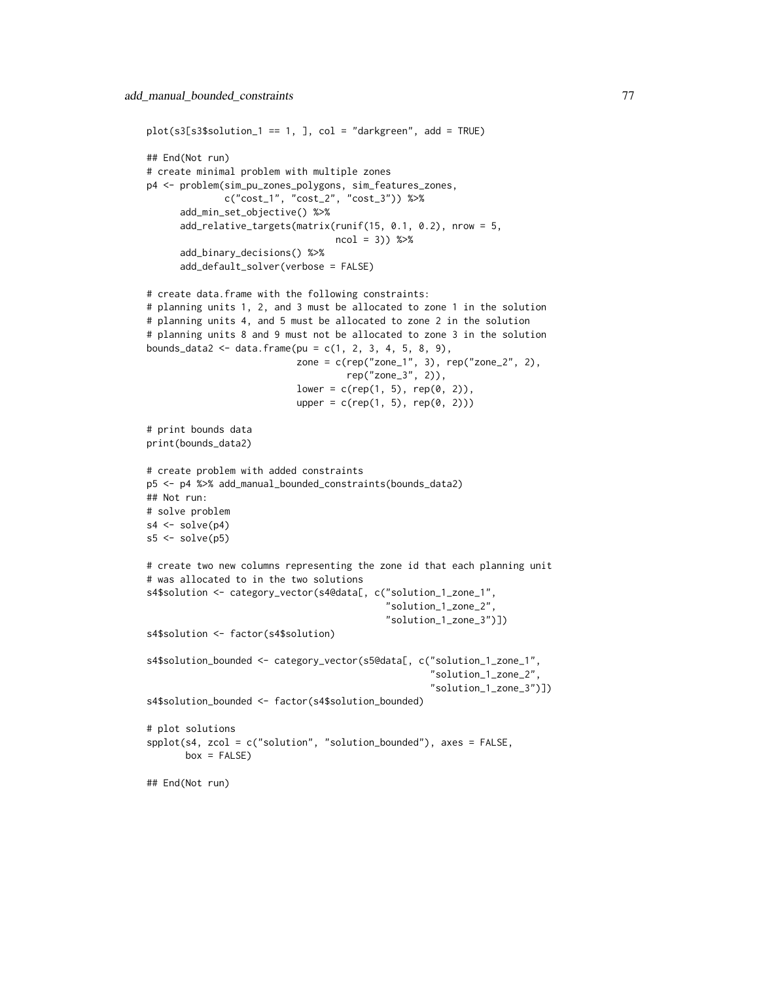```
plot(s3[s3$solution_1 == 1, ], col = "darkgreen", add = TRUE)## End(Not run)
# create minimal problem with multiple zones
p4 <- problem(sim_pu_zones_polygons, sim_features_zones,
              c("cost_1", "cost_2", "cost_3")) %>%
      add_min_set_objective() %>%
      add_relative_targets(matrix(runif(15, 0.1, 0.2), nrow = 5,
                                  ncol = 3)) %>%
      add_binary_decisions() %>%
      add_default_solver(verbose = FALSE)
# create data.frame with the following constraints:
# planning units 1, 2, and 3 must be allocated to zone 1 in the solution
# planning units 4, and 5 must be allocated to zone 2 in the solution
# planning units 8 and 9 must not be allocated to zone 3 in the solution
bounds_data2 <- data.frame(pu = c(1, 2, 3, 4, 5, 8, 9),
                           zone = c(rep("zone_1", 3), rep("zone_2", 2),rep("zone_3", 2)),
                           lower = c(rep(1, 5), rep(0, 2)),upper = c(rep(1, 5), rep(0, 2)))# print bounds data
print(bounds_data2)
# create problem with added constraints
p5 <- p4 %>% add_manual_bounded_constraints(bounds_data2)
## Not run:
# solve problem
s4 \leftarrow solve(p4)s5 \leftarrow solve(p5)# create two new columns representing the zone id that each planning unit
# was allocated to in the two solutions
s4$solution <- category_vector(s4@data[, c("solution_1_zone_1",
                                            "solution_1_zone_2",
                                            "solution_1_zone_3")])
s4$solution <- factor(s4$solution)
s4$solution_bounded <- category_vector(s5@data[, c("solution_1_zone_1",
                                                    "solution_1_zone_2",
                                                    "solution_1_zone_3")])
s4$solution_bounded <- factor(s4$solution_bounded)
# plot solutions
splot(s4, zcol = c("solution", "solution\_bounded"), axes = FALSE,box = FALSE)## End(Not run)
```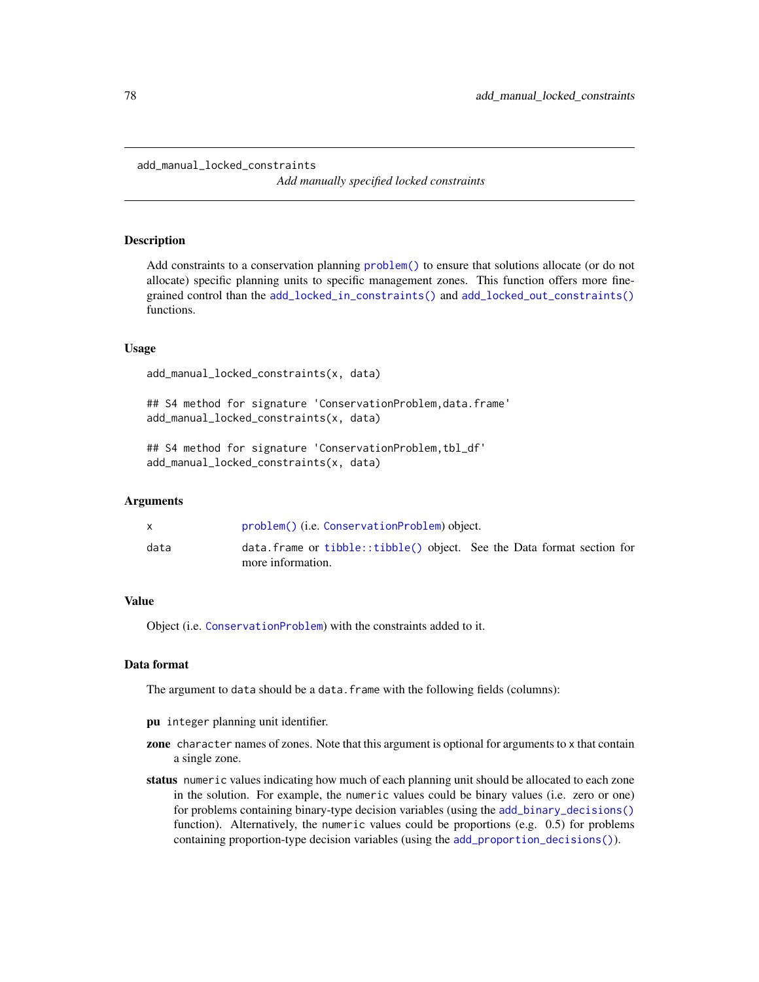#### <span id="page-77-0"></span>add\_manual\_locked\_constraints

*Add manually specified locked constraints*

### Description

Add constraints to a conservation planning [problem\(\)](#page-238-0) to ensure that solutions allocate (or do not allocate) specific planning units to specific management zones. This function offers more finegrained control than the [add\\_locked\\_in\\_constraints\(\)](#page-59-0) and [add\\_locked\\_out\\_constraints\(\)](#page-63-0) functions.

### Usage

add\_manual\_locked\_constraints(x, data)

## S4 method for signature 'ConservationProblem,data.frame' add\_manual\_locked\_constraints(x, data)

## S4 method for signature 'ConservationProblem, tbl\_df' add\_manual\_locked\_constraints(x, data)

# Arguments

|      | problem() (i.e. ConservationProblem) object.                                                 |  |
|------|----------------------------------------------------------------------------------------------|--|
| data | data. frame or tibble::tibble() object. See the Data format section for<br>more information. |  |

# Value

Object (i.e. [ConservationProblem](#page-141-0)) with the constraints added to it.

# Data format

The argument to data should be a data.frame with the following fields (columns):

- pu integer planning unit identifier.
- zone character names of zones. Note that this argument is optional for arguments to x that contain a single zone.
- status numeric values indicating how much of each planning unit should be allocated to each zone in the solution. For example, the numeric values could be binary values (i.e. zero or one) for problems containing binary-type decision variables (using the [add\\_binary\\_decisions\(\)](#page-8-0) function). Alternatively, the numeric values could be proportions (e.g. 0.5) for problems containing proportion-type decision variables (using the [add\\_proportion\\_decisions\(\)](#page-109-0)).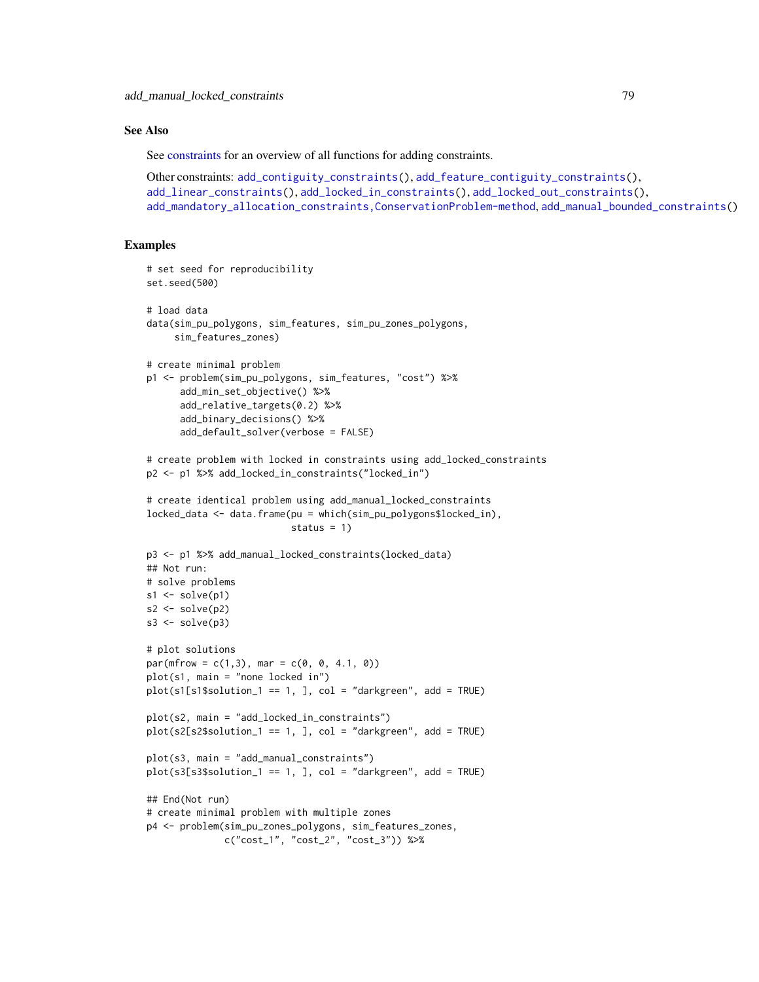# See Also

See [constraints](#page-145-0) for an overview of all functions for adding constraints.

```
Other constraints: add_contiguity_constraints(), add_feature_contiguity_constraints(),
add_linear_constraints(), add_locked_in_constraints(), add_locked_out_constraints(),
add_mandatory_allocation_constraints,ConservationProblem-method, add_manual_bounded_constraints()
```

```
# set seed for reproducibility
set.seed(500)
# load data
data(sim_pu_polygons, sim_features, sim_pu_zones_polygons,
     sim_features_zones)
# create minimal problem
p1 <- problem(sim_pu_polygons, sim_features, "cost") %>%
      add_min_set_objective() %>%
      add_relative_targets(0.2) %>%
      add_binary_decisions() %>%
      add_default_solver(verbose = FALSE)
# create problem with locked in constraints using add_locked_constraints
p2 <- p1 %>% add_locked_in_constraints("locked_in")
# create identical problem using add_manual_locked_constraints
locked_data <- data.frame(pu = which(sim_pu_polygons$locked_in),
                          status = 1)
p3 <- p1 %>% add_manual_locked_constraints(locked_data)
## Not run:
# solve problems
s1 \leftarrow solve(p1)s2 \leftarrow solve(p2)s3 \leftarrow solve(p3)# plot solutions
par(mfrow = c(1,3), mar = c(0, 0, 4.1, 0))plot(s1, main = "none locked in")
plot(s1[s1$solution_1 == 1, ], col = "darkgreen", add = TRUE)plot(s2, main = "add_locked_in_constraints")
plot(s2[s2$solution_1 == 1, ], col = "darkgreen", add = TRUE)
plot(s3, main = "add_manual_constraints")
plot(s3[s3$solution_1 == 1, 1, col = "darkgreen", add = TRUE)## End(Not run)
# create minimal problem with multiple zones
p4 <- problem(sim_pu_zones_polygons, sim_features_zones,
              c("cost_1", "cost_2", "cost_3")) %>%
```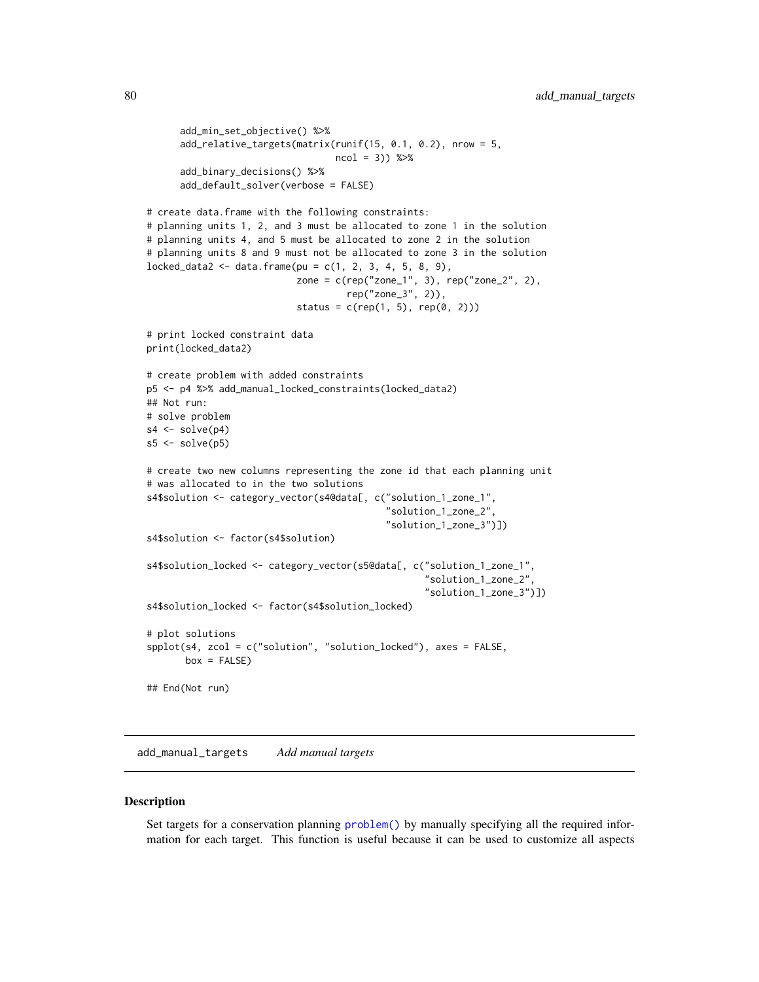```
add_min_set_objective() %>%
      add_relative_targets(matrix(runif(15, 0.1, 0.2), nrow = 5,
                                  ncol = 3) %>%
      add_binary_decisions() %>%
      add_default_solver(verbose = FALSE)
# create data.frame with the following constraints:
# planning units 1, 2, and 3 must be allocated to zone 1 in the solution
# planning units 4, and 5 must be allocated to zone 2 in the solution
# planning units 8 and 9 must not be allocated to zone 3 in the solution
locked_data2 \leq data frame(pu = c(1, 2, 3, 4, 5, 8, 9),zone = c(rep("zone_1", 3), rep("zone_2", 2),
                                    rep("zone_3", 2)),
                           status = c(rep(1, 5), rep(0, 2)))# print locked constraint data
print(locked_data2)
# create problem with added constraints
p5 <- p4 %>% add_manual_locked_constraints(locked_data2)
## Not run:
# solve problem
s4 \leftarrow solve(p4)s5 \leq solve(p5)# create two new columns representing the zone id that each planning unit
# was allocated to in the two solutions
s4$solution <- category_vector(s4@data[, c("solution_1_zone_1",
                                            "solution_1_zone_2",
                                            "solution_1_zone_3")])
s4$solution <- factor(s4$solution)
s4$solution_locked <- category_vector(s5@data[, c("solution_1_zone_1",
                                                   "solution_1_zone_2",
                                                   "solution_1_zone_3")])
s4$solution_locked <- factor(s4$solution_locked)
# plot solutions
spplot(s4, zcol = c("solution", "solution_locked"), axes = FALSE,
       box = FALSE)## End(Not run)
```
<span id="page-79-0"></span>add\_manual\_targets *Add manual targets*

#### Description

Set targets for a conservation planning [problem\(\)](#page-238-0) by manually specifying all the required information for each target. This function is useful because it can be used to customize all aspects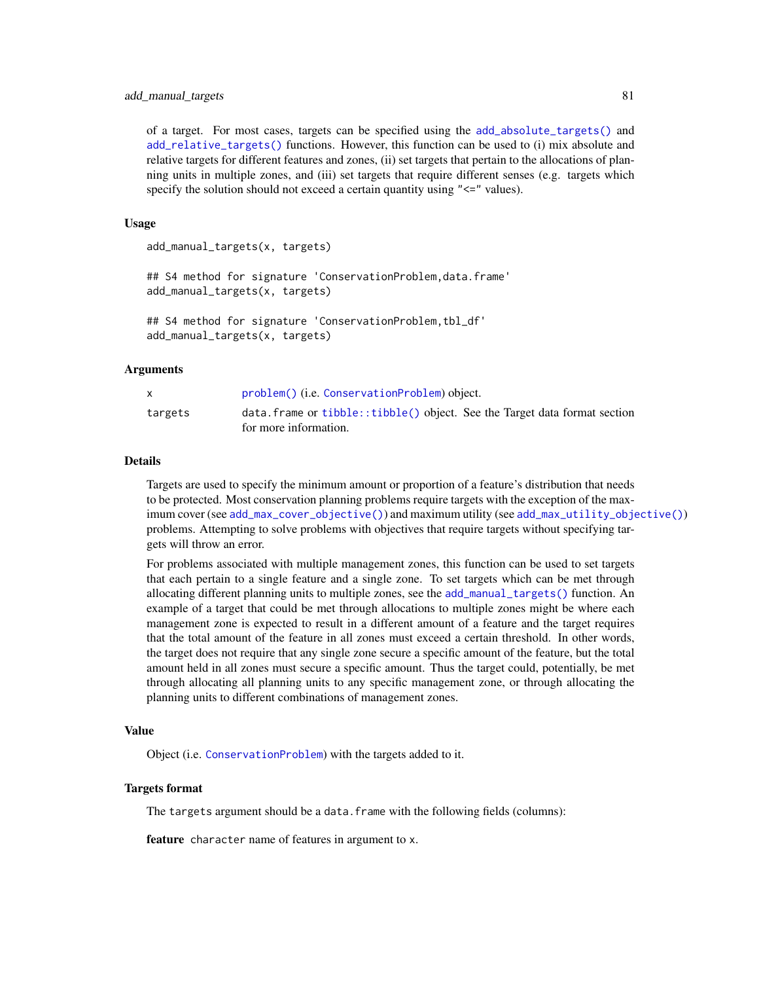## add\_manual\_targets 81

of a target. For most cases, targets can be specified using the [add\\_absolute\\_targets\(\)](#page-5-0) and [add\\_relative\\_targets\(\)](#page-111-0) functions. However, this function can be used to (i) mix absolute and relative targets for different features and zones, (ii) set targets that pertain to the allocations of planning units in multiple zones, and (iii) set targets that require different senses (e.g. targets which specify the solution should not exceed a certain quantity using " $\leq$ " values).

# Usage

add\_manual\_targets(x, targets) ## S4 method for signature 'ConservationProblem, data.frame' add\_manual\_targets(x, targets) ## S4 method for signature 'ConservationProblem, tbl\_df' add\_manual\_targets(x, targets)

#### Arguments

|         | problem() (i.e. ConservationProblem) object.                                                            |
|---------|---------------------------------------------------------------------------------------------------------|
| targets | $data.$ frame or $tibble::tibble()$ object. See the Target data format section<br>for more information. |

#### Details

Targets are used to specify the minimum amount or proportion of a feature's distribution that needs to be protected. Most conservation planning problems require targets with the exception of the maximum cover (see [add\\_max\\_cover\\_objective\(\)](#page-84-0)) and maximum utility (see [add\\_max\\_utility\\_objective\(\)](#page-97-0)) problems. Attempting to solve problems with objectives that require targets without specifying targets will throw an error.

For problems associated with multiple management zones, this function can be used to set targets that each pertain to a single feature and a single zone. To set targets which can be met through allocating different planning units to multiple zones, see the [add\\_manual\\_targets\(\)](#page-79-0) function. An example of a target that could be met through allocations to multiple zones might be where each management zone is expected to result in a different amount of a feature and the target requires that the total amount of the feature in all zones must exceed a certain threshold. In other words, the target does not require that any single zone secure a specific amount of the feature, but the total amount held in all zones must secure a specific amount. Thus the target could, potentially, be met through allocating all planning units to any specific management zone, or through allocating the planning units to different combinations of management zones.

# Value

Object (i.e. [ConservationProblem](#page-141-0)) with the targets added to it.

#### Targets format

The targets argument should be a data.frame with the following fields (columns):

feature character name of features in argument to x.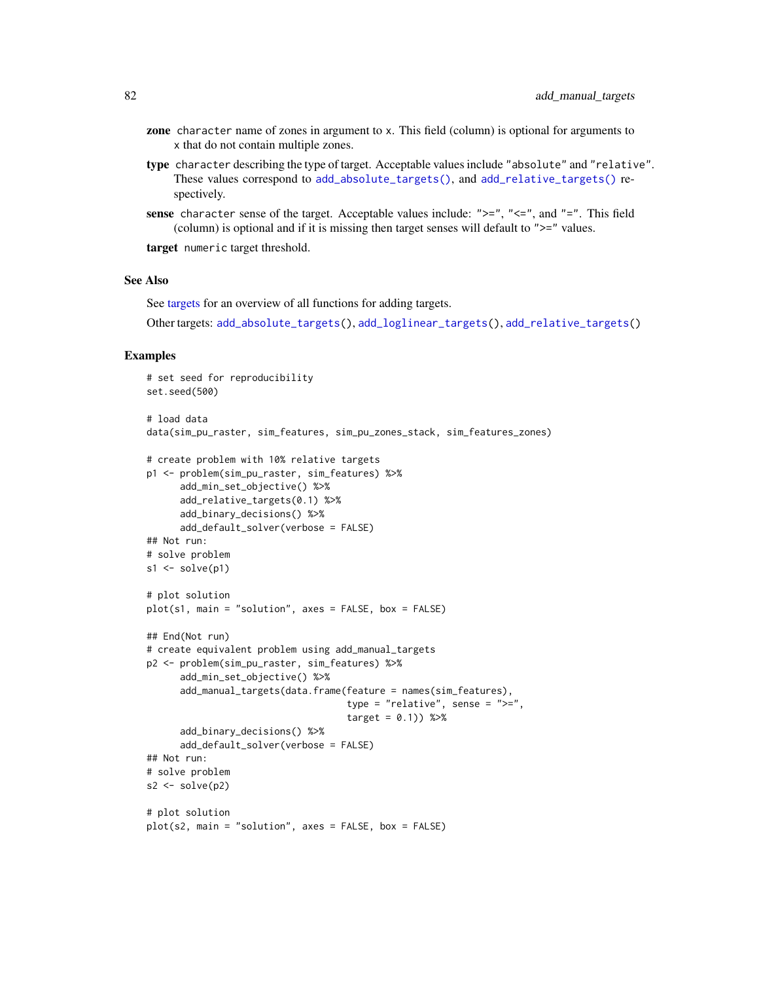- zone character name of zones in argument to x. This field (column) is optional for arguments to x that do not contain multiple zones.
- type character describing the type of target. Acceptable values include "absolute" and "relative". These values correspond to [add\\_absolute\\_targets\(\)](#page-5-0), and [add\\_relative\\_targets\(\)](#page-111-0) respectively.
- sense character sense of the target. Acceptable values include: " $>=$ ", " $<=$ ", and " $=$ ". This field (column) is optional and if it is missing then target senses will default to ">=" values.

target numeric target threshold.

### See Also

See [targets](#page-271-0) for an overview of all functions for adding targets.

Other targets: [add\\_absolute\\_targets\(](#page-5-0)), [add\\_loglinear\\_targets\(](#page-68-0)), [add\\_relative\\_targets\(](#page-111-0))

```
# set seed for reproducibility
set.seed(500)
# load data
data(sim_pu_raster, sim_features, sim_pu_zones_stack, sim_features_zones)
# create problem with 10% relative targets
p1 <- problem(sim_pu_raster, sim_features) %>%
      add_min_set_objective() %>%
      add_relative_targets(0.1) %>%
      add_binary_decisions() %>%
      add_default_solver(verbose = FALSE)
## Not run:
# solve problem
s1 \leftarrow solve(p1)# plot solution
plot(s1, main = "solution", axes = FALSE, box = FALSE)
## End(Not run)
# create equivalent problem using add_manual_targets
p2 <- problem(sim_pu_raster, sim_features) %>%
      add_min_set_objective() %>%
      add_manual_targets(data.frame(feature = names(sim_features),
                                    type = "relative", sense = ">=",
                                     target = 0.1) %>%
      add_binary_decisions() %>%
      add_default_solver(verbose = FALSE)
## Not run:
# solve problem
s2 \leftarrow solve(p2)# plot solution
plot(s2, main = "solution", axes = FALSE, box = FALSE)
```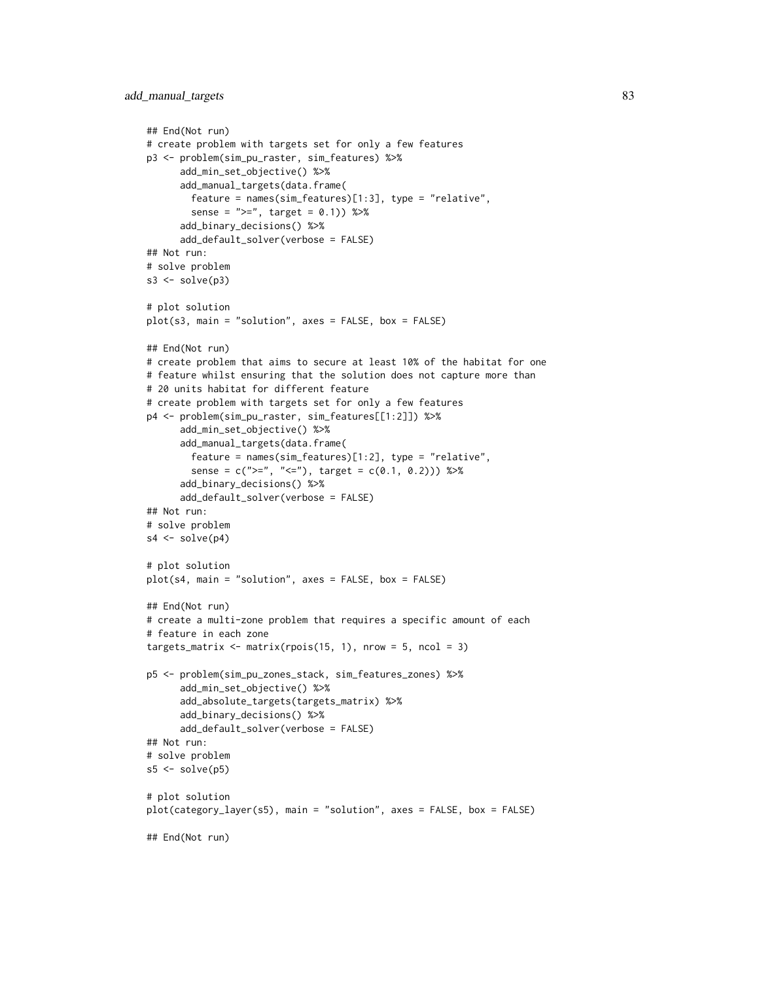```
## End(Not run)
# create problem with targets set for only a few features
p3 <- problem(sim_pu_raster, sim_features) %>%
      add_min_set_objective() %>%
      add_manual_targets(data.frame(
       feature = names(sim_features)[1:3], type = "relative",
        sense = ">=", target = 0.1) %>%
      add_binary_decisions() %>%
      add_default_solver(verbose = FALSE)
## Not run:
# solve problem
s3 \leq -solve(p3)# plot solution
plot(s3, main = "solution", axes = FALSE, box = FALSE)
## End(Not run)
# create problem that aims to secure at least 10% of the habitat for one
# feature whilst ensuring that the solution does not capture more than
# 20 units habitat for different feature
# create problem with targets set for only a few features
p4 <- problem(sim_pu_raster, sim_features[[1:2]]) %>%
      add_min_set_objective() %>%
      add_manual_targets(data.frame(
        feature = names(sim_features)[1:2], type = "relative",
        sense = c(">=", "<="), target = c(0.1, 0.2)) %>%
      add_binary_decisions() %>%
      add_default_solver(verbose = FALSE)
## Not run:
# solve problem
s4 \leftarrow solve(p4)# plot solution
plot(s4, main = "solution", axes = FALSE, box = FALSE)
## End(Not run)
# create a multi-zone problem that requires a specific amount of each
# feature in each zone
targets_matrix <- matrix(rpois(15, 1), nrow = 5, ncol = 3)
p5 <- problem(sim_pu_zones_stack, sim_features_zones) %>%
      add_min_set_objective() %>%
      add_absolute_targets(targets_matrix) %>%
      add_binary_decisions() %>%
      add_default_solver(verbose = FALSE)
## Not run:
# solve problem
s5 \leq solve(p5)# plot solution
plot(category_layer(s5), main = "solution", axes = FALSE, box = FALSE)
## End(Not run)
```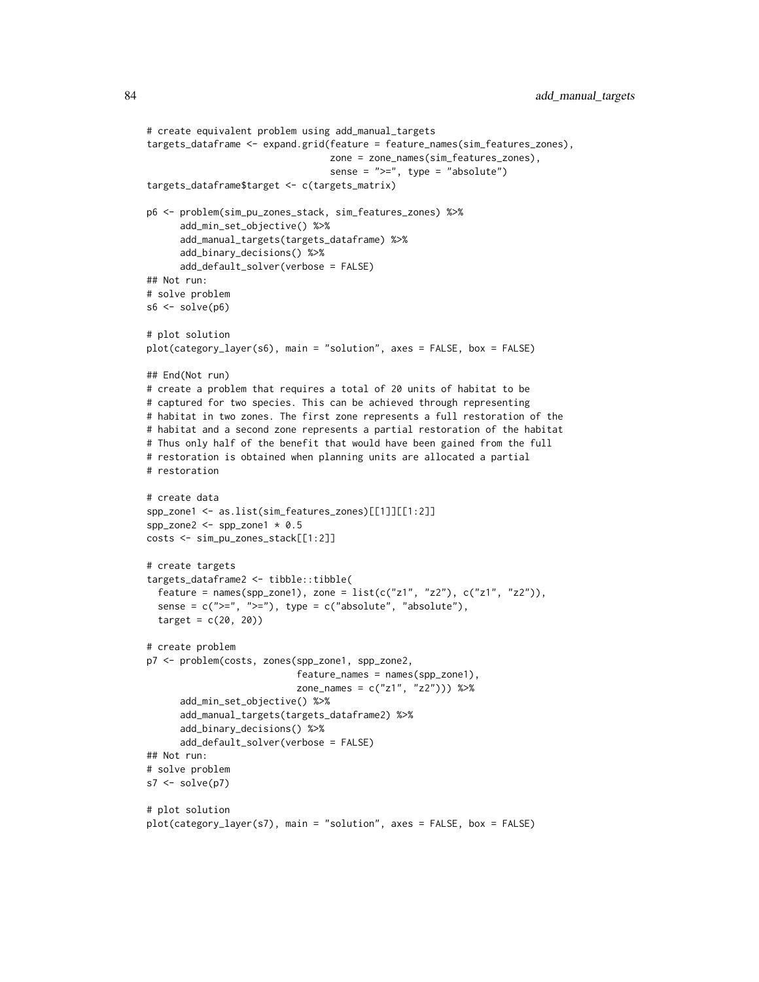```
# create equivalent problem using add_manual_targets
targets_dataframe <- expand.grid(feature = feature_names(sim_features_zones),
                                 zone = zone_names(sim_features_zones),
                                 sense = ">=", type = "absolute")
targets_dataframe$target <- c(targets_matrix)
p6 <- problem(sim_pu_zones_stack, sim_features_zones) %>%
      add_min_set_objective() %>%
      add_manual_targets(targets_dataframe) %>%
      add_binary_decisions() %>%
      add_default_solver(verbose = FALSE)
## Not run:
# solve problem
s6 \leftarrow solve(p6)# plot solution
plot(category_layer(s6), main = "solution", axes = FALSE, box = FALSE)
## End(Not run)
# create a problem that requires a total of 20 units of habitat to be
# captured for two species. This can be achieved through representing
# habitat in two zones. The first zone represents a full restoration of the
# habitat and a second zone represents a partial restoration of the habitat
# Thus only half of the benefit that would have been gained from the full
# restoration is obtained when planning units are allocated a partial
# restoration
# create data
spp_zone1 <- as.list(sim_features_zones)[[1]][[1:2]]
spp_zone2 <- spp_zone1 * 0.5
costs <- sim_pu_zones_stack[[1:2]]
# create targets
targets_dataframe2 <- tibble::tibble(
  feature = names(spp_zone1), zone = list(c("z1", "z2"), c("z1", "z2")),
  sense = c(">=", ">="), type = c("absolute", "absolute"),target = c(20, 20)# create problem
p7 <- problem(costs, zones(spp_zone1, spp_zone2,
                           feature\_names = names(spp\_zone1),
                           zone_names = c("z1", "z2"))) %>%
      add_min_set_objective() %>%
      add_manual_targets(targets_dataframe2) %>%
      add_binary_decisions() %>%
      add_default_solver(verbose = FALSE)
## Not run:
# solve problem
s7 < -solve(p7)# plot solution
plot(category_layer(s7), main = "solution", axes = FALSE, box = FALSE)
```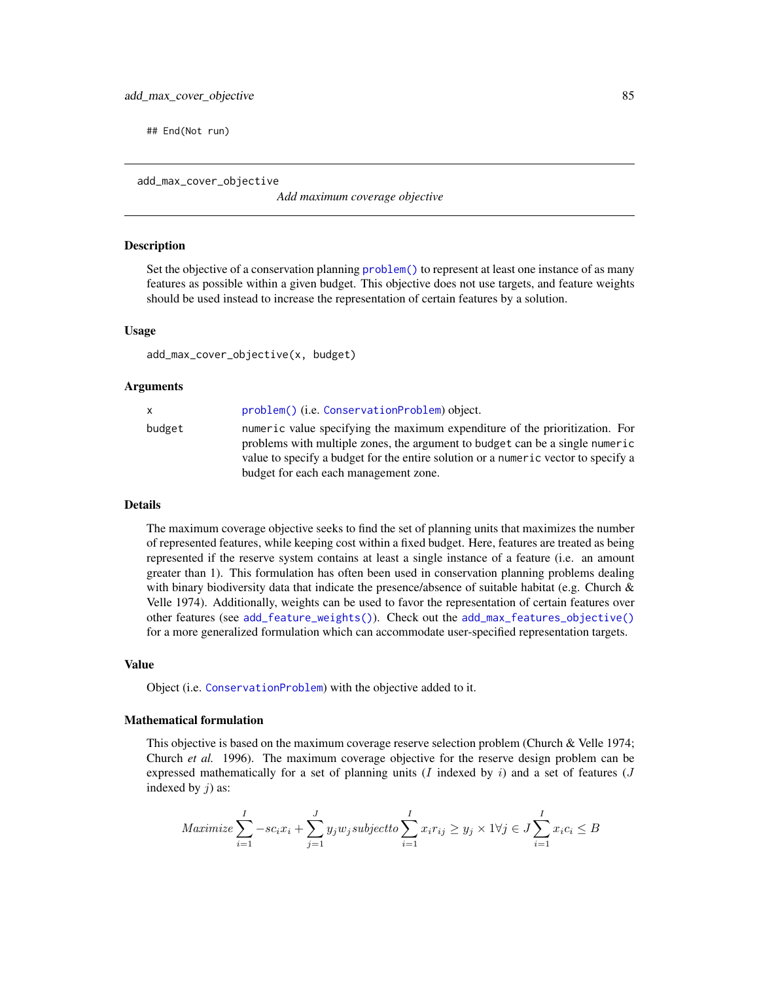## End(Not run)

<span id="page-84-0"></span>add\_max\_cover\_objective

*Add maximum coverage objective*

# Description

Set the objective of a conservation planning [problem\(\)](#page-238-0) to represent at least one instance of as many features as possible within a given budget. This objective does not use targets, and feature weights should be used instead to increase the representation of certain features by a solution.

### Usage

```
add_max_cover_objective(x, budget)
```
### Arguments

| x.     | problem() (i.e. ConservationProblem) object.                                                                                                                                                                                                                                               |
|--------|--------------------------------------------------------------------------------------------------------------------------------------------------------------------------------------------------------------------------------------------------------------------------------------------|
| budget | numeric value specifying the maximum expenditure of the prioritization. For<br>problems with multiple zones, the argument to budget can be a single numeric<br>value to specify a budget for the entire solution or a numeric vector to specify a<br>budget for each each management zone. |

# Details

The maximum coverage objective seeks to find the set of planning units that maximizes the number of represented features, while keeping cost within a fixed budget. Here, features are treated as being represented if the reserve system contains at least a single instance of a feature (i.e. an amount greater than 1). This formulation has often been used in conservation planning problems dealing with binary biodiversity data that indicate the presence/absence of suitable habitat (e.g. Church & Velle 1974). Additionally, weights can be used to favor the representation of certain features over other features (see [add\\_feature\\_weights\(\)](#page-40-0)). Check out the [add\\_max\\_features\\_objective\(\)](#page-86-0) for a more generalized formulation which can accommodate user-specified representation targets.

### Value

Object (i.e. [ConservationProblem](#page-141-0)) with the objective added to it.

## Mathematical formulation

This objective is based on the maximum coverage reserve selection problem (Church & Velle 1974; Church *et al.* 1996). The maximum coverage objective for the reserve design problem can be expressed mathematically for a set of planning units  $(I \text{ indexed by } i)$  and a set of features  $(J \text{ } I)$ indexed by  $j$ ) as:

$$
Maximize \sum_{i=1}^{I} -sc_i x_i + \sum_{j=1}^{J} y_j w_j subject to \sum_{i=1}^{I} x_i r_{ij} \ge y_j \times 1 \forall j \in J \sum_{i=1}^{I} x_i c_i \le B
$$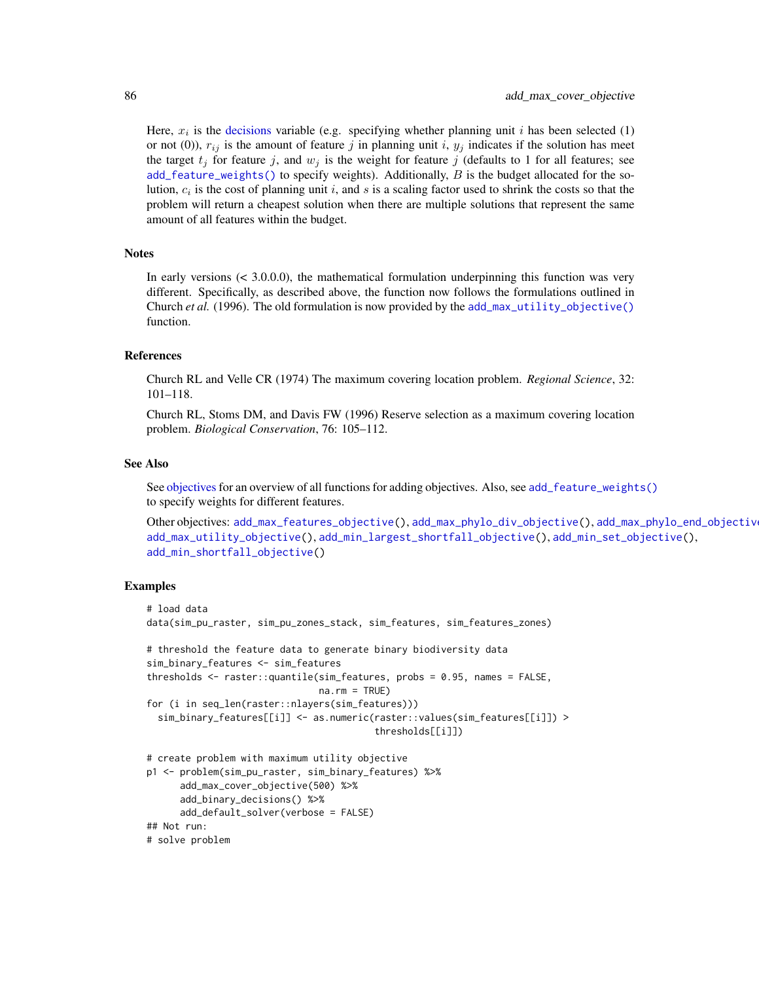Here,  $x_i$  is the [decisions](#page-147-0) variable (e.g. specifying whether planning unit i has been selected (1) or not (0)),  $r_{ij}$  is the amount of feature j in planning unit i,  $y_i$  indicates if the solution has meet the target  $t_j$  for feature j, and  $w_j$  is the weight for feature j (defaults to 1 for all features; see [add\\_feature\\_weights\(\)](#page-40-0) to specify weights). Additionally,  $B$  is the budget allocated for the solution,  $c_i$  is the cost of planning unit i, and s is a scaling factor used to shrink the costs so that the problem will return a cheapest solution when there are multiple solutions that represent the same amount of all features within the budget.

## **Notes**

In early versions  $(< 3.0.0.0)$ , the mathematical formulation underpinning this function was very different. Specifically, as described above, the function now follows the formulations outlined in Church *et al.* (1996). The old formulation is now provided by the [add\\_max\\_utility\\_objective\(\)](#page-97-0) function.

#### References

Church RL and Velle CR (1974) The maximum covering location problem. *Regional Science*, 32: 101–118.

Church RL, Stoms DM, and Davis FW (1996) Reserve selection as a maximum covering location problem. *Biological Conservation*, 76: 105–112.

#### See Also

See [objectives](#page-215-0) for an overview of all functions for adding objectives. Also, see [add\\_feature\\_weights\(\)](#page-40-0) to specify weights for different features.

```
Other objectives: add_max_features_objective(), add_max_phylo_div_objective(), add_max_phylo_end_objective(),
add_max_utility_objective(), add_min_largest_shortfall_objective(), add_min_set_objective(),
add_min_shortfall_objective()
```

```
# load data
data(sim_pu_raster, sim_pu_zones_stack, sim_features, sim_features_zones)
# threshold the feature data to generate binary biodiversity data
sim_binary_features <- sim_features
thresholds <- raster::quantile(sim_features, probs = 0.95, names = FALSE,
                               na.rm = TRUE)
for (i in seq_len(raster::nlayers(sim_features)))
 sim_binary_features[[i]] <- as.numeric(raster::values(sim_features[[i]]) >
                                         thresholds[[i]])
# create problem with maximum utility objective
p1 <- problem(sim_pu_raster, sim_binary_features) %>%
      add_max_cover_objective(500) %>%
      add_binary_decisions() %>%
     add_default_solver(verbose = FALSE)
## Not run:
# solve problem
```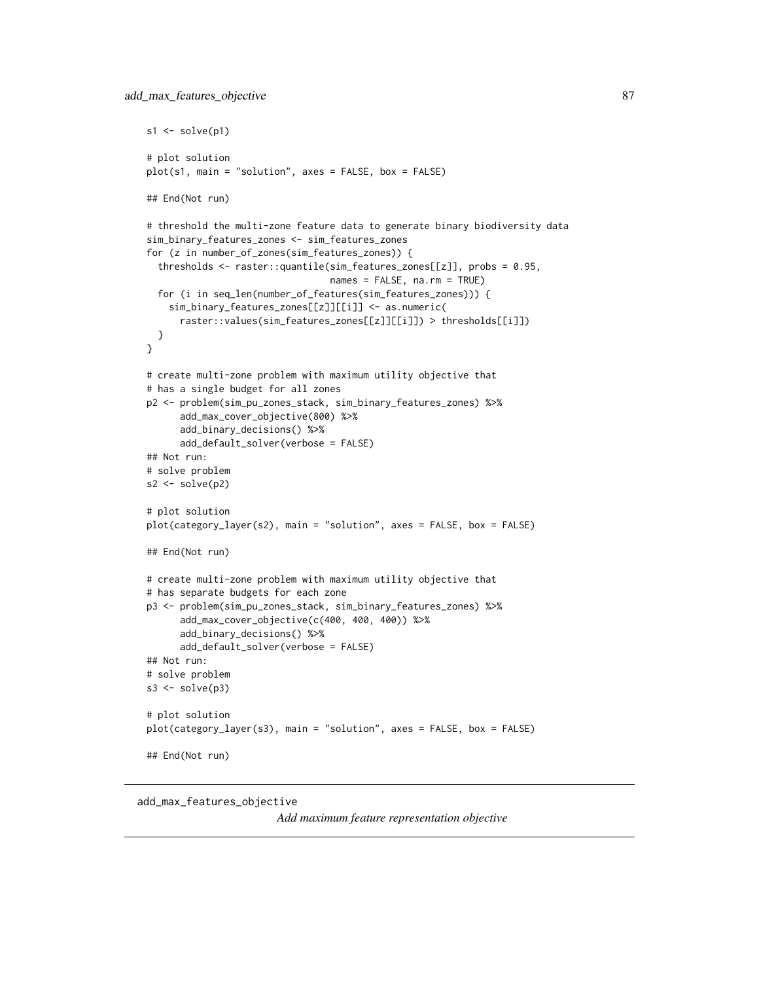```
s1 \leftarrow solve(p1)# plot solution
plot(s1, main = "solution", axes = FALSE, box = FALSE)
## End(Not run)
# threshold the multi-zone feature data to generate binary biodiversity data
sim_binary_features_zones <- sim_features_zones
for (z in number_of_zones(sim_features_zones)) {
 thresholds <- raster::quantile(sim_features_zones[[z]], probs = 0.95,
                                 names = FALSE, na.rm = TRUE)
 for (i in seq_len(number_of_features(sim_features_zones))) {
    sim_binary_features_zones[[z]][[i]] <- as.numeric(
      raster::values(sim_features_zones[[z]][[i]]) > thresholds[[i]])
 }
}
# create multi-zone problem with maximum utility objective that
# has a single budget for all zones
p2 <- problem(sim_pu_zones_stack, sim_binary_features_zones) %>%
      add_max_cover_objective(800) %>%
      add_binary_decisions() %>%
      add_default_solver(verbose = FALSE)
## Not run:
# solve problem
s2 \leftarrow solve(p2)# plot solution
plot(category_layer(s2), main = "solution", axes = FALSE, box = FALSE)
## End(Not run)
# create multi-zone problem with maximum utility objective that
# has separate budgets for each zone
p3 <- problem(sim_pu_zones_stack, sim_binary_features_zones) %>%
      add_max_cover_objective(c(400, 400, 400)) %>%
      add_binary_decisions() %>%
      add_default_solver(verbose = FALSE)
## Not run:
# solve problem
s3 \leq solve(p3)# plot solution
plot(category_layer(s3), main = "solution", axes = FALSE, box = FALSE)
## End(Not run)
```

```
add_max_features_objective
```
*Add maximum feature representation objective*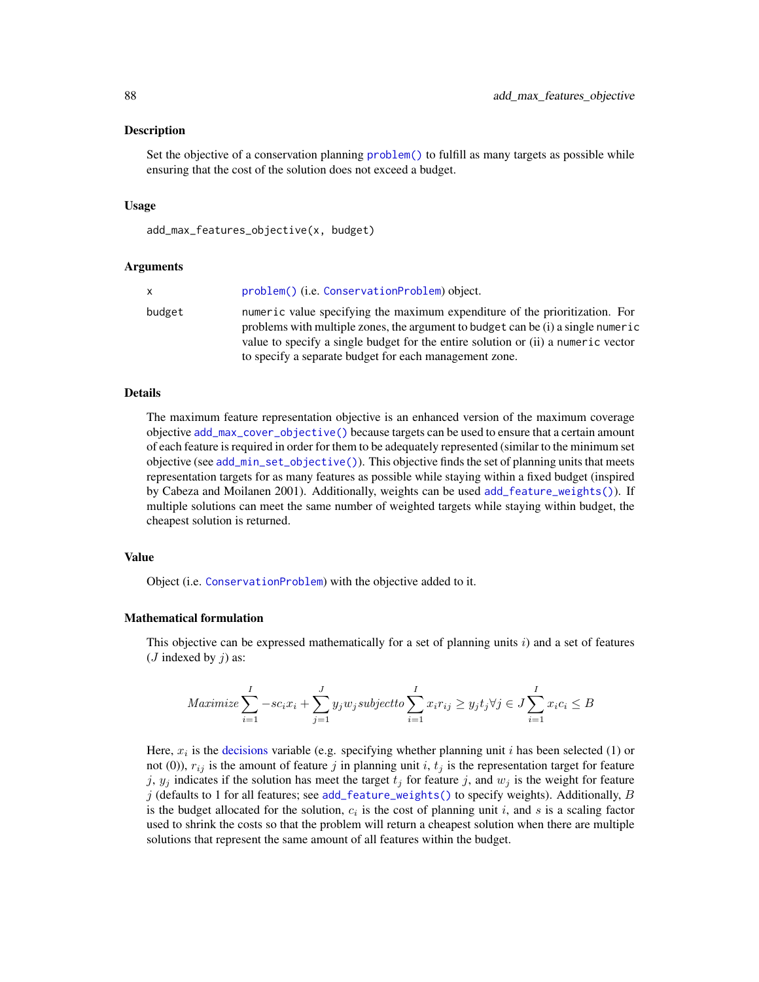### Description

Set the objective of a conservation planning [problem\(\)](#page-238-0) to fulfill as many targets as possible while ensuring that the cost of the solution does not exceed a budget.

# Usage

```
add_max_features_objective(x, budget)
```
# Arguments

| x.     | problem() (i.e. ConservationProblem) object.                                                                                                                                                                                                                                                                   |
|--------|----------------------------------------------------------------------------------------------------------------------------------------------------------------------------------------------------------------------------------------------------------------------------------------------------------------|
| budget | numeric value specifying the maximum expenditure of the prioritization. For<br>problems with multiple zones, the argument to budget can be (i) a single numeric<br>value to specify a single budget for the entire solution or (ii) a numeric vector<br>to specify a separate budget for each management zone. |

## Details

The maximum feature representation objective is an enhanced version of the maximum coverage objective [add\\_max\\_cover\\_objective\(\)](#page-84-0) because targets can be used to ensure that a certain amount of each feature is required in order for them to be adequately represented (similar to the minimum set objective (see [add\\_min\\_set\\_objective\(\)](#page-101-0)). This objective finds the set of planning units that meets representation targets for as many features as possible while staying within a fixed budget (inspired by Cabeza and Moilanen 2001). Additionally, weights can be used [add\\_feature\\_weights\(\)](#page-40-0)). If multiple solutions can meet the same number of weighted targets while staying within budget, the cheapest solution is returned.

# Value

Object (i.e. [ConservationProblem](#page-141-0)) with the objective added to it.

### Mathematical formulation

This objective can be expressed mathematically for a set of planning units  $i$ ) and a set of features (*J* indexed by  $i$ ) as:

$$
Maximize \sum_{i=1}^{I} -sc_i x_i + \sum_{j=1}^{J} y_j w_j subject to \sum_{i=1}^{I} x_i r_{ij} \geq y_j t_j \forall j \in J \sum_{i=1}^{I} x_i c_i \leq B
$$

Here,  $x_i$  is the [decisions](#page-147-0) variable (e.g. specifying whether planning unit i has been selected (1) or not (0)),  $r_{ij}$  is the amount of feature j in planning unit i,  $t_j$  is the representation target for feature j,  $y_j$  indicates if the solution has meet the target  $t_j$  for feature j, and  $w_j$  is the weight for feature j (defaults to 1 for all features; see [add\\_feature\\_weights\(\)](#page-40-0) to specify weights). Additionally, B is the budget allocated for the solution,  $c_i$  is the cost of planning unit i, and s is a scaling factor used to shrink the costs so that the problem will return a cheapest solution when there are multiple solutions that represent the same amount of all features within the budget.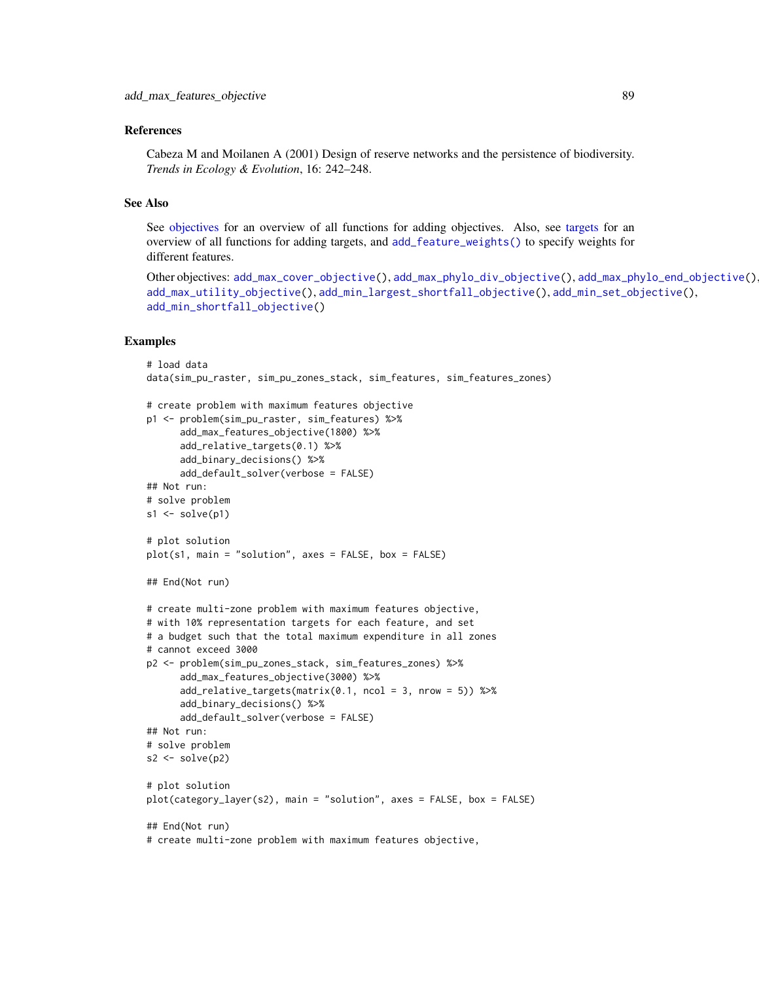# References

Cabeza M and Moilanen A (2001) Design of reserve networks and the persistence of biodiversity. *Trends in Ecology & Evolution*, 16: 242–248.

# See Also

See [objectives](#page-215-0) for an overview of all functions for adding objectives. Also, see [targets](#page-271-0) for an overview of all functions for adding targets, and [add\\_feature\\_weights\(\)](#page-40-0) to specify weights for different features.

```
Other objectives: add_max_cover_objective(), add_max_phylo_div_objective(), add_max_phylo_end_objective(),
add_max_utility_objective(), add_min_largest_shortfall_objective(), add_min_set_objective(),
add_min_shortfall_objective()
```

```
# load data
data(sim_pu_raster, sim_pu_zones_stack, sim_features, sim_features_zones)
# create problem with maximum features objective
p1 <- problem(sim_pu_raster, sim_features) %>%
      add_max_features_objective(1800) %>%
      add_relative_targets(0.1) %>%
      add_binary_decisions() %>%
      add_default_solver(verbose = FALSE)
## Not run:
# solve problem
s1 \leftarrow solve(p1)# plot solution
plot(s1, main = "solution", axes = FALSE, box = FALSE)
## End(Not run)
# create multi-zone problem with maximum features objective,
# with 10% representation targets for each feature, and set
# a budget such that the total maximum expenditure in all zones
# cannot exceed 3000
p2 <- problem(sim_pu_zones_stack, sim_features_zones) %>%
      add_max_features_objective(3000) %>%
      add\_relative\_targets(maxrix(0.1, ncol = 3, nrow = 5)) %>%
      add_binary_decisions() %>%
      add_default_solver(verbose = FALSE)
## Not run:
# solve problem
s2 \leftarrow solve(p2)# plot solution
plot(category_layer(s2), main = "solution", axes = FALSE, box = FALSE)
## End(Not run)
# create multi-zone problem with maximum features objective,
```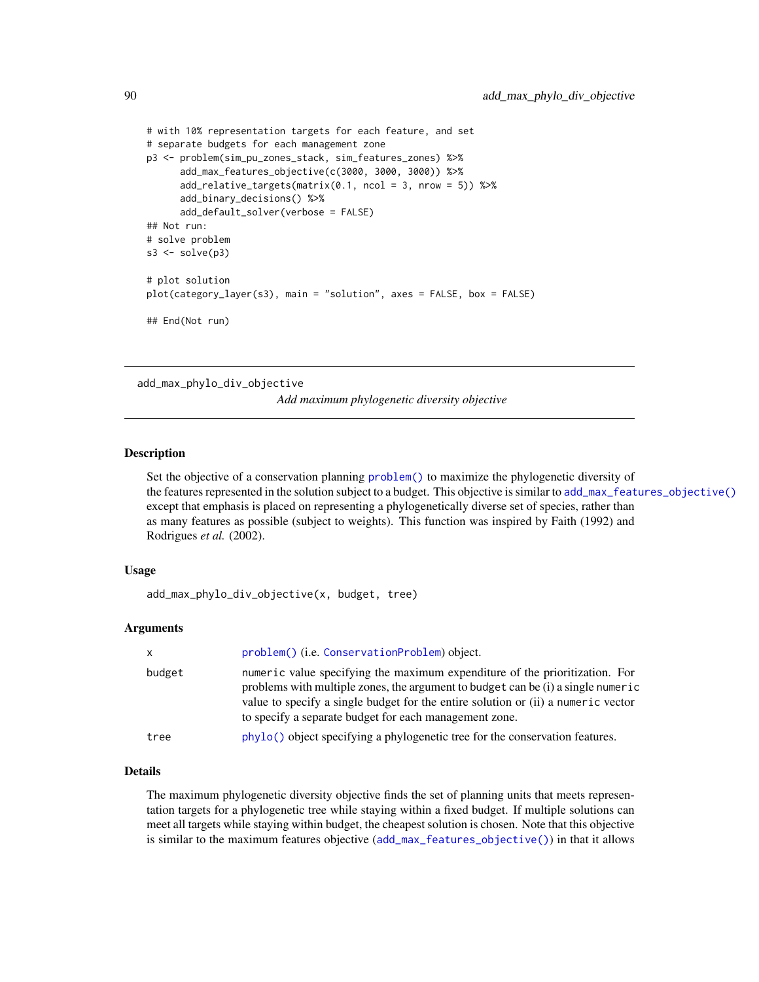```
# with 10% representation targets for each feature, and set
# separate budgets for each management zone
p3 <- problem(sim_pu_zones_stack, sim_features_zones) %>%
     add_max_features_objective(c(3000, 3000, 3000)) %>%
      add_relative_targets(matrix(0.1, ncol = 3, nrow = 5)) %>%
      add_binary_decisions() %>%
     add_default_solver(verbose = FALSE)
## Not run:
# solve problem
s3 \leq solve(p3)# plot solution
plot(category_layer(s3), main = "solution", axes = FALSE, box = FALSE)
## End(Not run)
```
<span id="page-89-0"></span>add\_max\_phylo\_div\_objective

*Add maximum phylogenetic diversity objective*

### Description

Set the objective of a conservation planning [problem\(\)](#page-238-0) to maximize the phylogenetic diversity of the features represented in the solution subject to a budget. This objective is similar to [add\\_max\\_features\\_objective\(\)](#page-86-0) except that emphasis is placed on representing a phylogenetically diverse set of species, rather than as many features as possible (subject to weights). This function was inspired by Faith (1992) and Rodrigues *et al.* (2002).

### Usage

add\_max\_phylo\_div\_objective(x, budget, tree)

## Arguments

| problem() (i.e. ConservationProblem) object.                                                                                                                                                                                                                                                                   |
|----------------------------------------------------------------------------------------------------------------------------------------------------------------------------------------------------------------------------------------------------------------------------------------------------------------|
| numeric value specifying the maximum expenditure of the prioritization. For<br>problems with multiple zones, the argument to budget can be (i) a single numeric<br>value to specify a single budget for the entire solution or (ii) a numeric vector<br>to specify a separate budget for each management zone. |
| phylo() object specifying a phylogenetic tree for the conservation features.                                                                                                                                                                                                                                   |
|                                                                                                                                                                                                                                                                                                                |

# Details

The maximum phylogenetic diversity objective finds the set of planning units that meets representation targets for a phylogenetic tree while staying within a fixed budget. If multiple solutions can meet all targets while staying within budget, the cheapest solution is chosen. Note that this objective is similar to the maximum features objective ([add\\_max\\_features\\_objective\(\)](#page-86-0)) in that it allows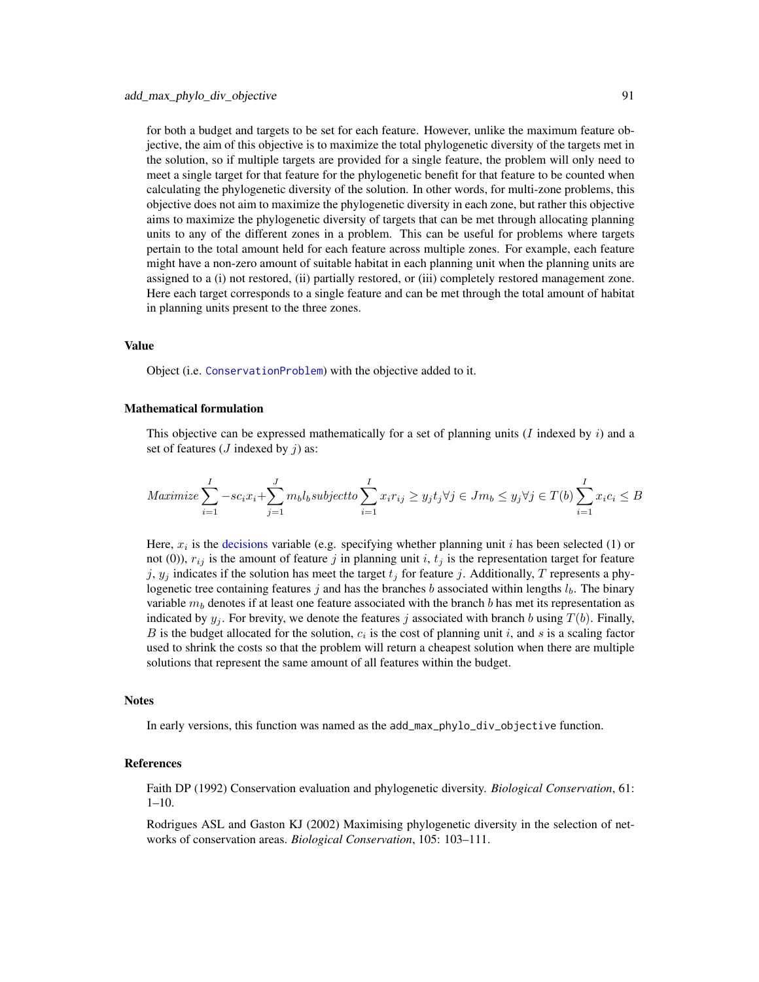for both a budget and targets to be set for each feature. However, unlike the maximum feature objective, the aim of this objective is to maximize the total phylogenetic diversity of the targets met in the solution, so if multiple targets are provided for a single feature, the problem will only need to meet a single target for that feature for the phylogenetic benefit for that feature to be counted when calculating the phylogenetic diversity of the solution. In other words, for multi-zone problems, this objective does not aim to maximize the phylogenetic diversity in each zone, but rather this objective aims to maximize the phylogenetic diversity of targets that can be met through allocating planning units to any of the different zones in a problem. This can be useful for problems where targets pertain to the total amount held for each feature across multiple zones. For example, each feature might have a non-zero amount of suitable habitat in each planning unit when the planning units are assigned to a (i) not restored, (ii) partially restored, or (iii) completely restored management zone. Here each target corresponds to a single feature and can be met through the total amount of habitat in planning units present to the three zones.

### Value

Object (i.e. [ConservationProblem](#page-141-0)) with the objective added to it.

### Mathematical formulation

This objective can be expressed mathematically for a set of planning units  $(I \text{ indexed by } i)$  and a set of features ( $J$  indexed by  $j$ ) as:

$$
Maximize \sum_{i=1}^{I} -sc_i x_i + \sum_{j=1}^{J} m_b l_b subject to \sum_{i=1}^{I} x_i r_{ij} \ge y_j t_j \forall j \in Jm_b \le y_j \forall j \in T(b) \sum_{i=1}^{I} x_i c_i \le B
$$

Here,  $x_i$  is the [decisions](#page-147-0) variable (e.g. specifying whether planning unit i has been selected (1) or not (0)),  $r_{ij}$  is the amount of feature j in planning unit i,  $t_j$  is the representation target for feature j,  $y_j$  indicates if the solution has meet the target  $t_j$  for feature j. Additionally, T represents a phylogenetic tree containing features j and has the branches b associated within lengths  $l<sub>b</sub>$ . The binary variable  $m<sub>b</sub>$  denotes if at least one feature associated with the branch b has met its representation as indicated by  $y_i$ . For brevity, we denote the features j associated with branch b using  $T(b)$ . Finally, B is the budget allocated for the solution,  $c_i$  is the cost of planning unit i, and s is a scaling factor used to shrink the costs so that the problem will return a cheapest solution when there are multiple solutions that represent the same amount of all features within the budget.

### **Notes**

In early versions, this function was named as the add\_max\_phylo\_div\_objective function.

### References

Faith DP (1992) Conservation evaluation and phylogenetic diversity. *Biological Conservation*, 61: 1–10.

Rodrigues ASL and Gaston KJ (2002) Maximising phylogenetic diversity in the selection of networks of conservation areas. *Biological Conservation*, 105: 103–111.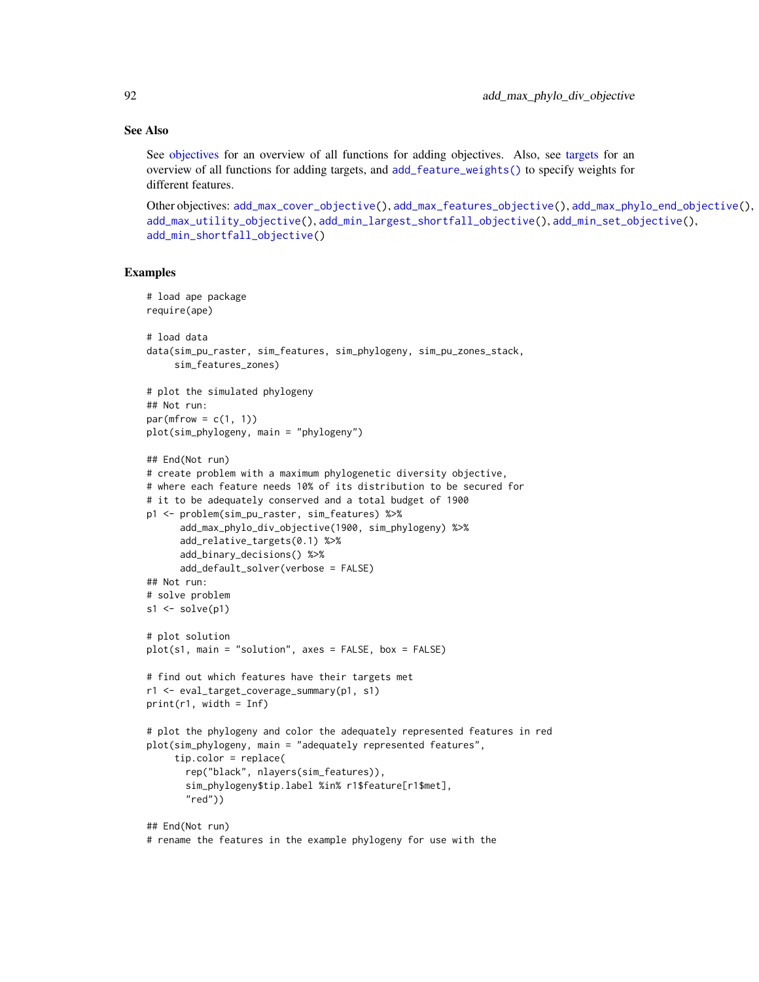# See Also

See [objectives](#page-215-0) for an overview of all functions for adding objectives. Also, see [targets](#page-271-0) for an overview of all functions for adding targets, and [add\\_feature\\_weights\(\)](#page-40-0) to specify weights for different features.

```
Other objectives: add_max_cover_objective(), add_max_features_objective(), add_max_phylo_end_objective(),
add_max_utility_objective(), add_min_largest_shortfall_objective(), add_min_set_objective(),
add_min_shortfall_objective()
```

```
# load ape package
require(ape)
# load data
data(sim_pu_raster, sim_features, sim_phylogeny, sim_pu_zones_stack,
     sim_features_zones)
# plot the simulated phylogeny
## Not run:
par(mfrow = c(1, 1))plot(sim_phylogeny, main = "phylogeny")
## End(Not run)
# create problem with a maximum phylogenetic diversity objective,
# where each feature needs 10% of its distribution to be secured for
# it to be adequately conserved and a total budget of 1900
p1 <- problem(sim_pu_raster, sim_features) %>%
      add_max_phylo_div_objective(1900, sim_phylogeny) %>%
      add_relative_targets(0.1) %>%
      add_binary_decisions() %>%
      add_default_solver(verbose = FALSE)
## Not run:
# solve problem
s1 \leftarrow solve(p1)# plot solution
plot(s1, main = "solution", axes = FALSE, box = FALSE)
# find out which features have their targets met
r1 <- eval_target_coverage_summary(p1, s1)
print(r1, width = Inf)# plot the phylogeny and color the adequately represented features in red
plot(sim_phylogeny, main = "adequately represented features",
     tip.color = replace(
       rep("black", nlayers(sim_features)),
       sim_phylogeny$tip.label %in% r1$feature[r1$met],
       "red")## End(Not run)
# rename the features in the example phylogeny for use with the
```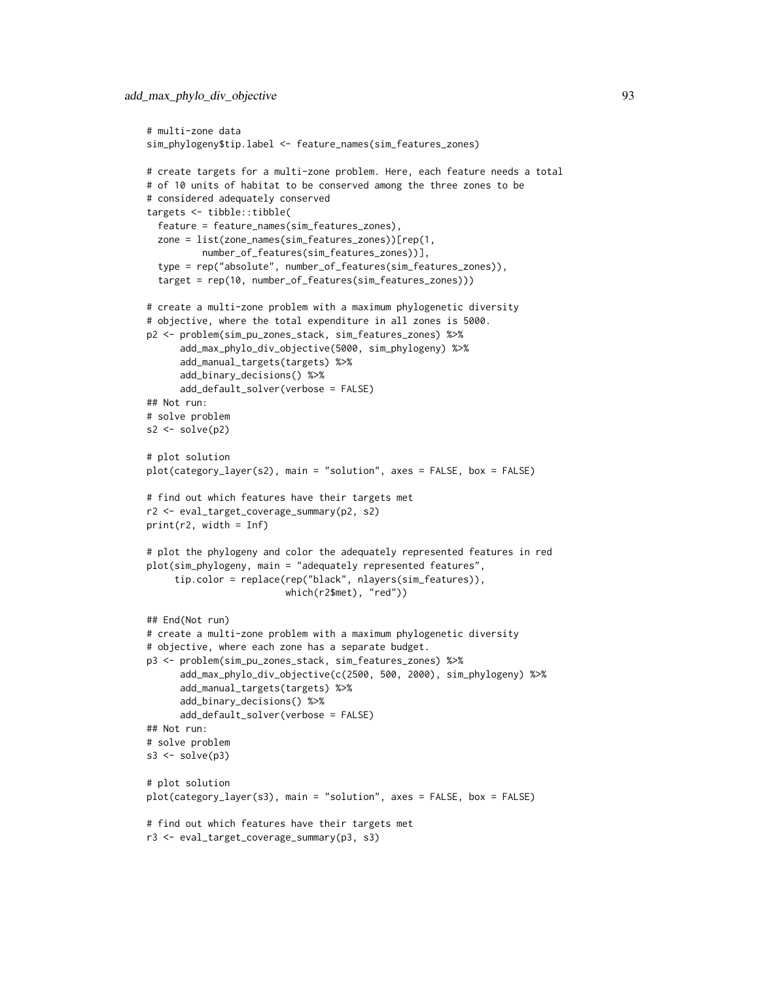```
# multi-zone data
sim_phylogeny$tip.label <- feature_names(sim_features_zones)
# create targets for a multi-zone problem. Here, each feature needs a total
# of 10 units of habitat to be conserved among the three zones to be
# considered adequately conserved
targets <- tibble::tibble(
 feature = feature_names(sim_features_zones),
 zone = list(zone_names(sim_features_zones))[rep(1,
          number_of_features(sim_features_zones))],
 type = rep("absolute", number_of_features(sim_features_zones)),
 target = rep(10, number_of_features(sim_features_zones)))
# create a multi-zone problem with a maximum phylogenetic diversity
# objective, where the total expenditure in all zones is 5000.
p2 <- problem(sim_pu_zones_stack, sim_features_zones) %>%
      add_max_phylo_div_objective(5000, sim_phylogeny) %>%
      add_manual_targets(targets) %>%
      add_binary_decisions() %>%
      add_default_solver(verbose = FALSE)
## Not run:
# solve problem
s2 \leftarrow solve(p2)# plot solution
plot(category_layer(s2), main = "solution", axes = FALSE, box = FALSE)
# find out which features have their targets met
r2 <- eval_target_coverage_summary(p2, s2)
print(r2, width = Inf)
# plot the phylogeny and color the adequately represented features in red
plot(sim_phylogeny, main = "adequately represented features",
     tip.color = replace(rep("black", nlayers(sim_features)),
                         which(r2$met), "red"))
## End(Not run)
# create a multi-zone problem with a maximum phylogenetic diversity
# objective, where each zone has a separate budget.
p3 <- problem(sim_pu_zones_stack, sim_features_zones) %>%
      add_max_phylo_div_objective(c(2500, 500, 2000), sim_phylogeny) %>%
      add_manual_targets(targets) %>%
     add_binary_decisions() %>%
      add_default_solver(verbose = FALSE)
## Not run:
# solve problem
s3 \leq solve(p3)# plot solution
plot(category_layer(s3), main = "solution", axes = FALSE, box = FALSE)
# find out which features have their targets met
r3 <- eval_target_coverage_summary(p3, s3)
```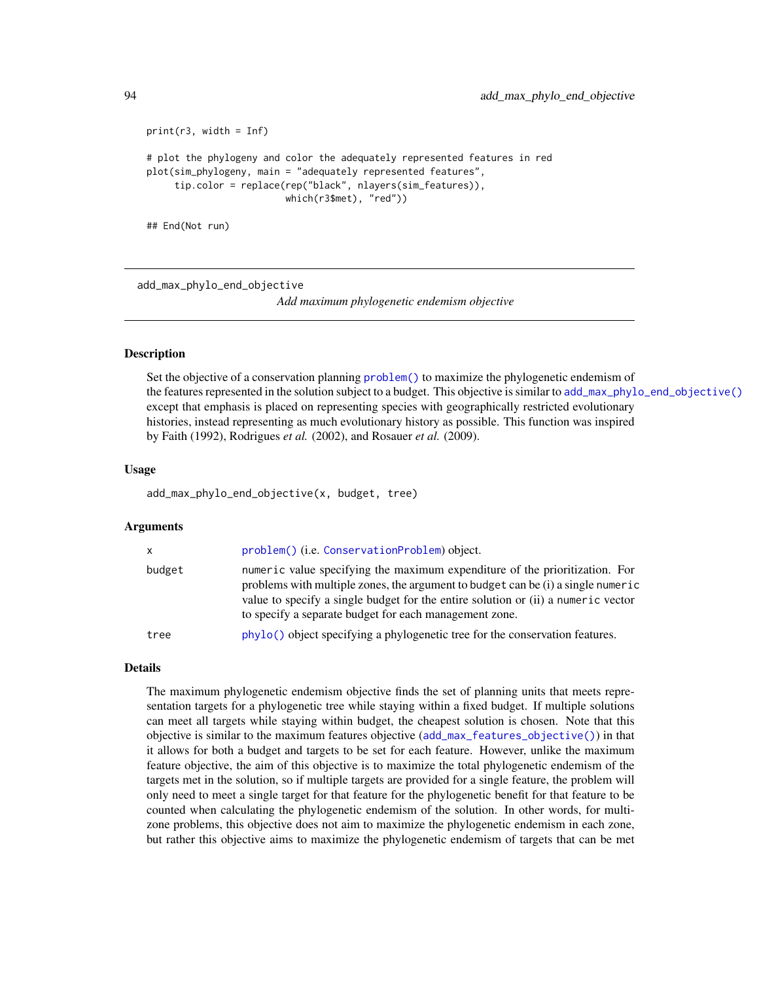```
print(r3, width = Inf)
# plot the phylogeny and color the adequately represented features in red
plot(sim_phylogeny, main = "adequately represented features",
     tip.color = replace(rep("black", nlayers(sim_features)),
                         which(r3$met), "red"))
## End(Not run)
```
<span id="page-93-0"></span>add\_max\_phylo\_end\_objective

*Add maximum phylogenetic endemism objective*

# **Description**

Set the objective of a conservation planning [problem\(\)](#page-238-0) to maximize the phylogenetic endemism of the features represented in the solution subject to a budget. This objective is similar to [add\\_max\\_phylo\\_end\\_objective\(\)](#page-93-0) except that emphasis is placed on representing species with geographically restricted evolutionary histories, instead representing as much evolutionary history as possible. This function was inspired by Faith (1992), Rodrigues *et al.* (2002), and Rosauer *et al.* (2009).

## Usage

add\_max\_phylo\_end\_objective(x, budget, tree)

# Arguments

| $\mathsf{x}$ | problem() (i.e. ConservationProblem) object.                                                                                                                                                                                                                                                                   |
|--------------|----------------------------------------------------------------------------------------------------------------------------------------------------------------------------------------------------------------------------------------------------------------------------------------------------------------|
| budget       | numeric value specifying the maximum expenditure of the prioritization. For<br>problems with multiple zones, the argument to budget can be (i) a single numeric<br>value to specify a single budget for the entire solution or (ii) a numeric vector<br>to specify a separate budget for each management zone. |
| tree         | phylo() object specifying a phylogenetic tree for the conservation features.                                                                                                                                                                                                                                   |

# Details

The maximum phylogenetic endemism objective finds the set of planning units that meets representation targets for a phylogenetic tree while staying within a fixed budget. If multiple solutions can meet all targets while staying within budget, the cheapest solution is chosen. Note that this objective is similar to the maximum features objective ([add\\_max\\_features\\_objective\(\)](#page-86-0)) in that it allows for both a budget and targets to be set for each feature. However, unlike the maximum feature objective, the aim of this objective is to maximize the total phylogenetic endemism of the targets met in the solution, so if multiple targets are provided for a single feature, the problem will only need to meet a single target for that feature for the phylogenetic benefit for that feature to be counted when calculating the phylogenetic endemism of the solution. In other words, for multizone problems, this objective does not aim to maximize the phylogenetic endemism in each zone, but rather this objective aims to maximize the phylogenetic endemism of targets that can be met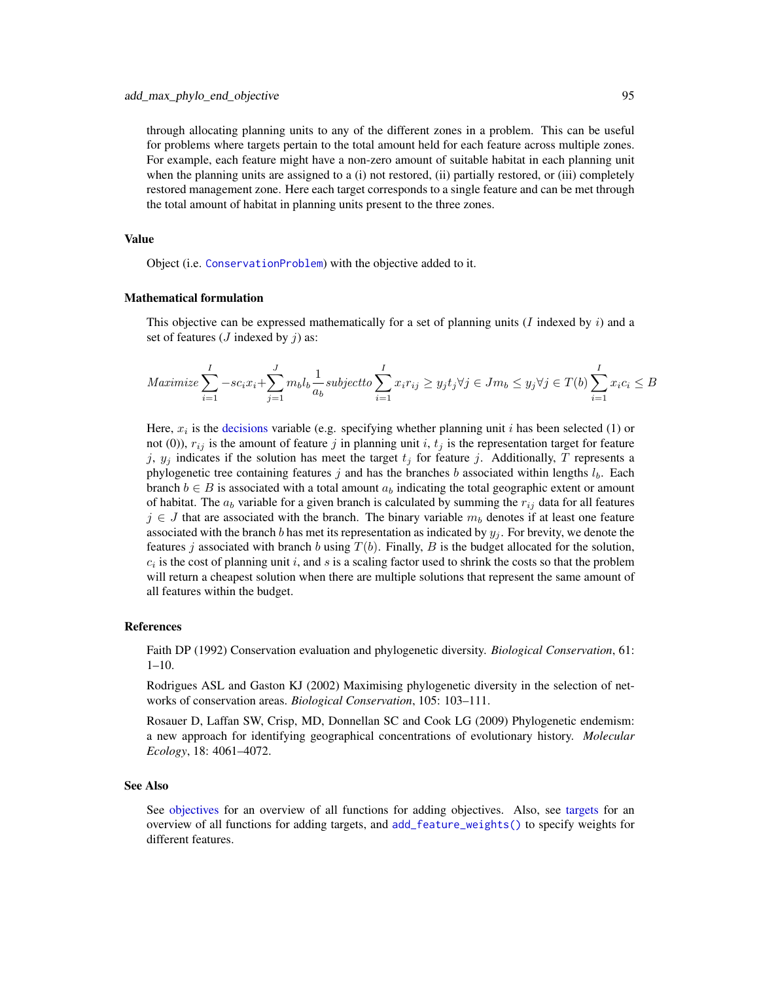through allocating planning units to any of the different zones in a problem. This can be useful for problems where targets pertain to the total amount held for each feature across multiple zones. For example, each feature might have a non-zero amount of suitable habitat in each planning unit when the planning units are assigned to a (i) not restored, (ii) partially restored, or (iii) completely restored management zone. Here each target corresponds to a single feature and can be met through the total amount of habitat in planning units present to the three zones.

# Value

Object (i.e. [ConservationProblem](#page-141-0)) with the objective added to it.

# Mathematical formulation

This objective can be expressed mathematically for a set of planning units (I indexed by  $i$ ) and a set of features ( $J$  indexed by  $\dot{\jmath}$ ) as:

$$
Maximize \sum_{i=1}^{I} -sc_i x_i + \sum_{j=1}^{J} m_b l_b \frac{1}{a_b} subject to \sum_{i=1}^{I} x_i r_{ij} \ge y_j t_j \forall j \in Jm_b \le y_j \forall j \in T(b) \sum_{i=1}^{I} x_i c_i \le B
$$

Here,  $x_i$  is the [decisions](#page-147-0) variable (e.g. specifying whether planning unit i has been selected (1) or not (0)),  $r_{ij}$  is the amount of feature j in planning unit i,  $t_j$  is the representation target for feature j,  $y_j$  indicates if the solution has meet the target  $t_j$  for feature j. Additionally, T represents a phylogenetic tree containing features j and has the branches b associated within lengths  $l_b$ . Each branch  $b \in B$  is associated with a total amount  $a_b$  indicating the total geographic extent or amount of habitat. The  $a_b$  variable for a given branch is calculated by summing the  $r_{ij}$  data for all features  $j \in J$  that are associated with the branch. The binary variable  $m_b$  denotes if at least one feature associated with the branch b has met its representation as indicated by  $y_j$ . For brevity, we denote the features j associated with branch b using  $T(b)$ . Finally, B is the budget allocated for the solution,  $c_i$  is the cost of planning unit i, and s is a scaling factor used to shrink the costs so that the problem will return a cheapest solution when there are multiple solutions that represent the same amount of all features within the budget.

### References

Faith DP (1992) Conservation evaluation and phylogenetic diversity. *Biological Conservation*, 61:  $1-10.$ 

Rodrigues ASL and Gaston KJ (2002) Maximising phylogenetic diversity in the selection of networks of conservation areas. *Biological Conservation*, 105: 103–111.

Rosauer D, Laffan SW, Crisp, MD, Donnellan SC and Cook LG (2009) Phylogenetic endemism: a new approach for identifying geographical concentrations of evolutionary history. *Molecular Ecology*, 18: 4061–4072.

#### See Also

See [objectives](#page-215-0) for an overview of all functions for adding objectives. Also, see [targets](#page-271-0) for an overview of all functions for adding targets, and [add\\_feature\\_weights\(\)](#page-40-0) to specify weights for different features.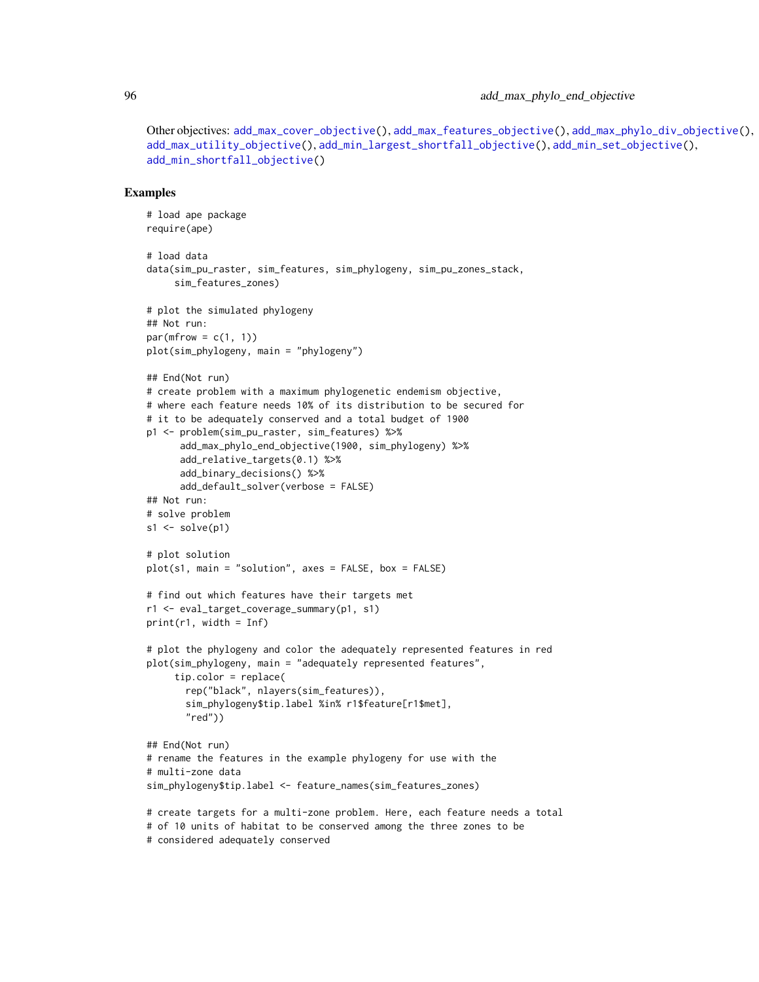Other objectives: [add\\_max\\_cover\\_objective\(](#page-84-0)), [add\\_max\\_features\\_objective\(](#page-86-0)), [add\\_max\\_phylo\\_div\\_objective\(](#page-89-0)), [add\\_max\\_utility\\_objective\(](#page-97-0)), [add\\_min\\_largest\\_shortfall\\_objective\(](#page-99-0)), [add\\_min\\_set\\_objective\(](#page-101-0)), [add\\_min\\_shortfall\\_objective\(](#page-103-0))

```
# load ape package
require(ape)
# load data
data(sim_pu_raster, sim_features, sim_phylogeny, sim_pu_zones_stack,
     sim_features_zones)
# plot the simulated phylogeny
## Not run:
par(mfrow = c(1, 1))plot(sim_phylogeny, main = "phylogeny")
## End(Not run)
# create problem with a maximum phylogenetic endemism objective,
# where each feature needs 10% of its distribution to be secured for
# it to be adequately conserved and a total budget of 1900
p1 <- problem(sim_pu_raster, sim_features) %>%
      add_max_phylo_end_objective(1900, sim_phylogeny) %>%
      add_relative_targets(0.1) %>%
      add_binary_decisions() %>%
      add_default_solver(verbose = FALSE)
## Not run:
# solve problem
s1 \leftarrow solve(p1)# plot solution
plot(s1, main = "solution", axes = FALSE, box = FALSE)
# find out which features have their targets met
r1 <- eval_target_coverage_summary(p1, s1)
print(r1, width = Inf)# plot the phylogeny and color the adequately represented features in red
plot(sim_phylogeny, main = "adequately represented features",
     tip.color = replace(
       rep("black", nlayers(sim_features)),
       sim_phylogeny$tip.label %in% r1$feature[r1$met],
       "red"))
## End(Not run)
# rename the features in the example phylogeny for use with the
# multi-zone data
sim_phylogeny$tip.label <- feature_names(sim_features_zones)
# create targets for a multi-zone problem. Here, each feature needs a total
# of 10 units of habitat to be conserved among the three zones to be
# considered adequately conserved
```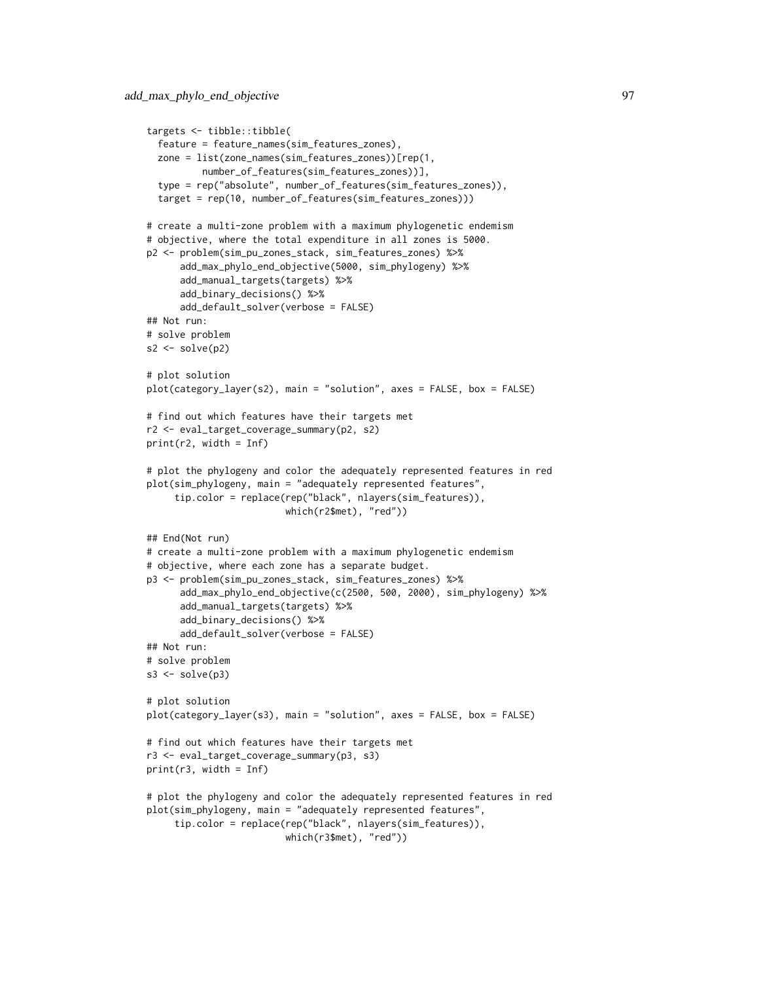```
targets <- tibble::tibble(
 feature = feature_names(sim_features_zones),
 zone = list(zone_names(sim_features_zones))[rep(1,
         number_of_features(sim_features_zones))],
 type = rep("absolute", number_of_features(sim_features_zones)),
 target = rep(10, number_of_features(sim_features_zones)))
# create a multi-zone problem with a maximum phylogenetic endemism
# objective, where the total expenditure in all zones is 5000.
p2 <- problem(sim_pu_zones_stack, sim_features_zones) %>%
      add_max_phylo_end_objective(5000, sim_phylogeny) %>%
      add_manual_targets(targets) %>%
      add_binary_decisions() %>%
      add_default_solver(verbose = FALSE)
## Not run:
# solve problem
s2 \leftarrow solve(p2)# plot solution
plot(category_layer(s2), main = "solution", axes = FALSE, box = FALSE)
# find out which features have their targets met
r2 <- eval_target_coverage_summary(p2, s2)
print(r2, width = Inf)
# plot the phylogeny and color the adequately represented features in red
plot(sim_phylogeny, main = "adequately represented features",
     tip.color = replace(rep("black", nlayers(sim_features)),
                         which(r2$met), "red"))
## End(Not run)
# create a multi-zone problem with a maximum phylogenetic endemism
# objective, where each zone has a separate budget.
p3 <- problem(sim_pu_zones_stack, sim_features_zones) %>%
      add_max_phylo_end_objective(c(2500, 500, 2000), sim_phylogeny) %>%
      add_manual_targets(targets) %>%
      add_binary_decisions() %>%
      add_default_solver(verbose = FALSE)
## Not run:
# solve problem
s3 \leftarrow solve(p3)# plot solution
plot(category_layer(s3), main = "solution", axes = FALSE, box = FALSE)
# find out which features have their targets met
r3 <- eval_target_coverage_summary(p3, s3)
print(r3, width = Inf)# plot the phylogeny and color the adequately represented features in red
plot(sim_phylogeny, main = "adequately represented features",
     tip.color = replace(rep("black", nlayers(sim_features)),
                         which(r3$met), "red"))
```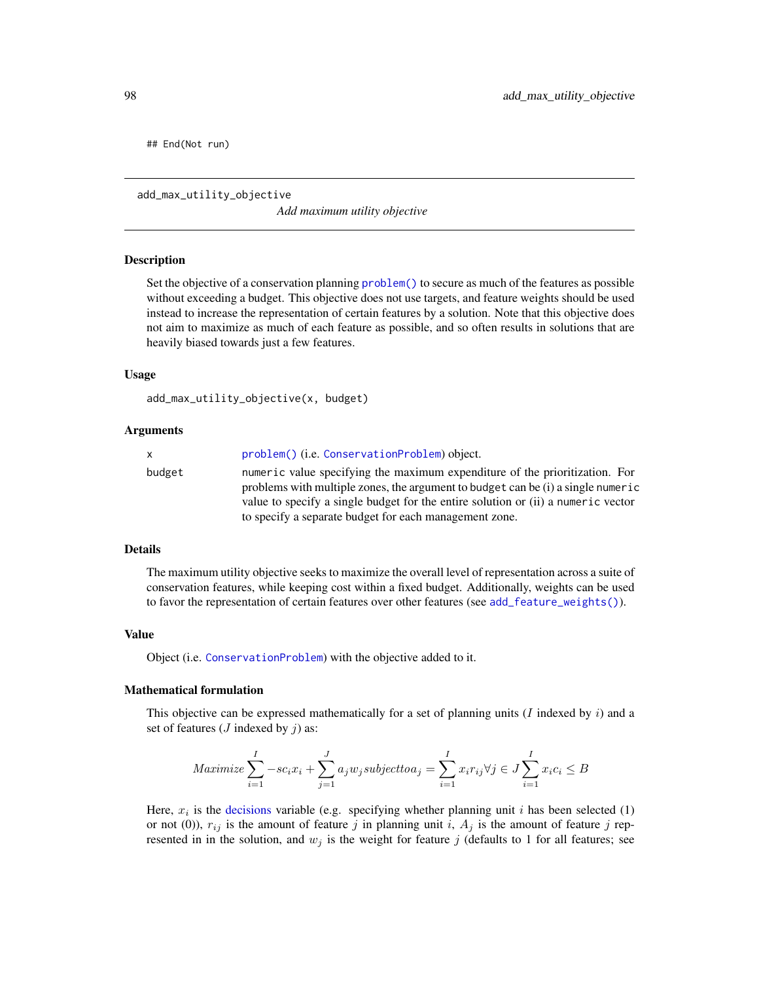## End(Not run)

<span id="page-97-0"></span>add\_max\_utility\_objective

*Add maximum utility objective*

#### Description

Set the objective of a conservation planning [problem\(\)](#page-238-0) to secure as much of the features as possible without exceeding a budget. This objective does not use targets, and feature weights should be used instead to increase the representation of certain features by a solution. Note that this objective does not aim to maximize as much of each feature as possible, and so often results in solutions that are heavily biased towards just a few features.

## Usage

```
add_max_utility_objective(x, budget)
```
## Arguments

| x.     | problem() (i.e. ConservationProblem) object.                                                                                                                                                                                                                                                                   |
|--------|----------------------------------------------------------------------------------------------------------------------------------------------------------------------------------------------------------------------------------------------------------------------------------------------------------------|
| budget | numeric value specifying the maximum expenditure of the prioritization. For<br>problems with multiple zones, the argument to budget can be (i) a single numeric<br>value to specify a single budget for the entire solution or (ii) a numeric vector<br>to specify a separate budget for each management zone. |
|        |                                                                                                                                                                                                                                                                                                                |

# Details

The maximum utility objective seeks to maximize the overall level of representation across a suite of conservation features, while keeping cost within a fixed budget. Additionally, weights can be used to favor the representation of certain features over other features (see [add\\_feature\\_weights\(\)](#page-40-0)).

#### Value

Object (i.e. [ConservationProblem](#page-141-0)) with the objective added to it.

# Mathematical formulation

This objective can be expressed mathematically for a set of planning units  $(I \text{ indexed by } i)$  and a set of features ( $J$  indexed by  $j$ ) as:

$$
Maximize \sum_{i=1}^{I} -sc_i x_i + \sum_{j=1}^{J} a_j w_j subject to a_j = \sum_{i=1}^{I} x_i r_{ij} \forall j \in J \sum_{i=1}^{I} x_i c_i \le B
$$

Here,  $x_i$  is the [decisions](#page-147-0) variable (e.g. specifying whether planning unit i has been selected (1) or not (0)),  $r_{ij}$  is the amount of feature j in planning unit i,  $A_j$  is the amount of feature j represented in in the solution, and  $w_i$  is the weight for feature j (defaults to 1 for all features; see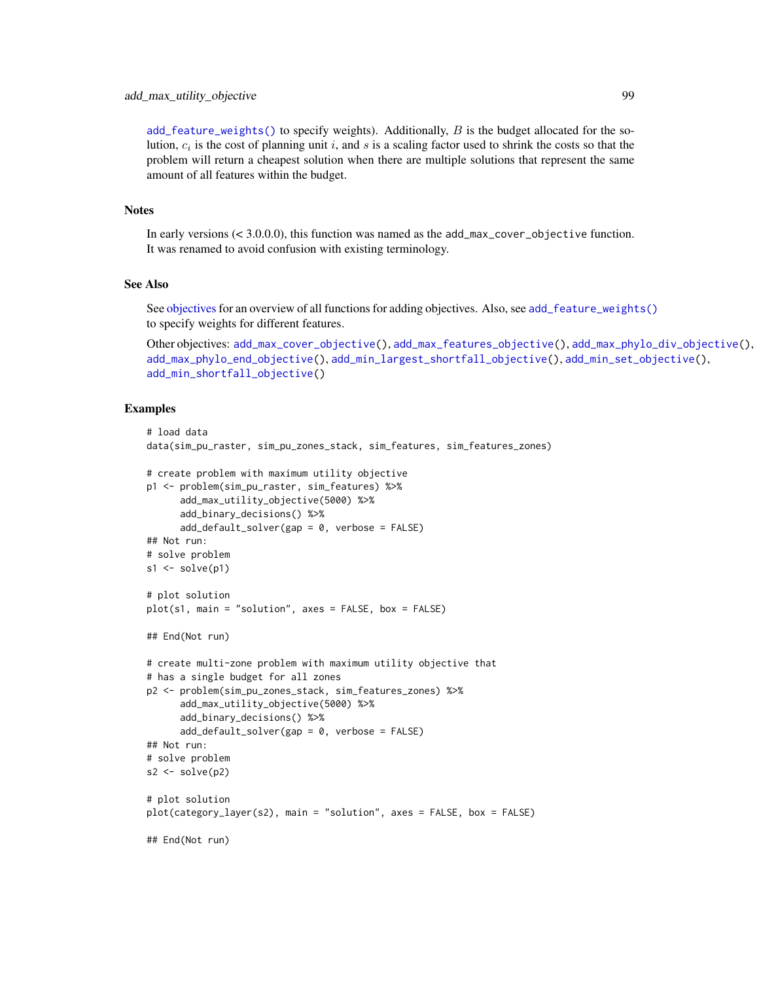[add\\_feature\\_weights\(\)](#page-40-0) to specify weights). Additionally,  $B$  is the budget allocated for the solution,  $c_i$  is the cost of planning unit i, and s is a scaling factor used to shrink the costs so that the problem will return a cheapest solution when there are multiple solutions that represent the same amount of all features within the budget.

### **Notes**

In early versions (< 3.0.0.0), this function was named as the add\_max\_cover\_objective function. It was renamed to avoid confusion with existing terminology.

# See Also

See [objectives](#page-215-0) for an overview of all functions for adding objectives. Also, see [add\\_feature\\_weights\(\)](#page-40-0) to specify weights for different features.

```
Other objectives: add_max_cover_objective(), add_max_features_objective(), add_max_phylo_div_objective(),
add_max_phylo_end_objective(), add_min_largest_shortfall_objective(), add_min_set_objective(),
add_min_shortfall_objective()
```

```
# load data
data(sim_pu_raster, sim_pu_zones_stack, sim_features, sim_features_zones)
# create problem with maximum utility objective
p1 <- problem(sim_pu_raster, sim_features) %>%
      add_max_utility_objective(5000) %>%
      add_binary_decisions() %>%
      add_default_solver(gap = 0, verbose = FALSE)
## Not run:
# solve problem
s1 \leftarrow solve(p1)# plot solution
plot(s1, main = "solution", axes = FALSE, box = FALSE)
## End(Not run)
# create multi-zone problem with maximum utility objective that
# has a single budget for all zones
p2 <- problem(sim_pu_zones_stack, sim_features_zones) %>%
      add_max_utility_objective(5000) %>%
      add_binary_decisions() %>%
      add_default_solver(gap = 0, verbose = FALSE)
## Not run:
# solve problem
s2 \leftarrow solve(p2)# plot solution
plot(category_layer(s2), main = "solution", axes = FALSE, box = FALSE)
## End(Not run)
```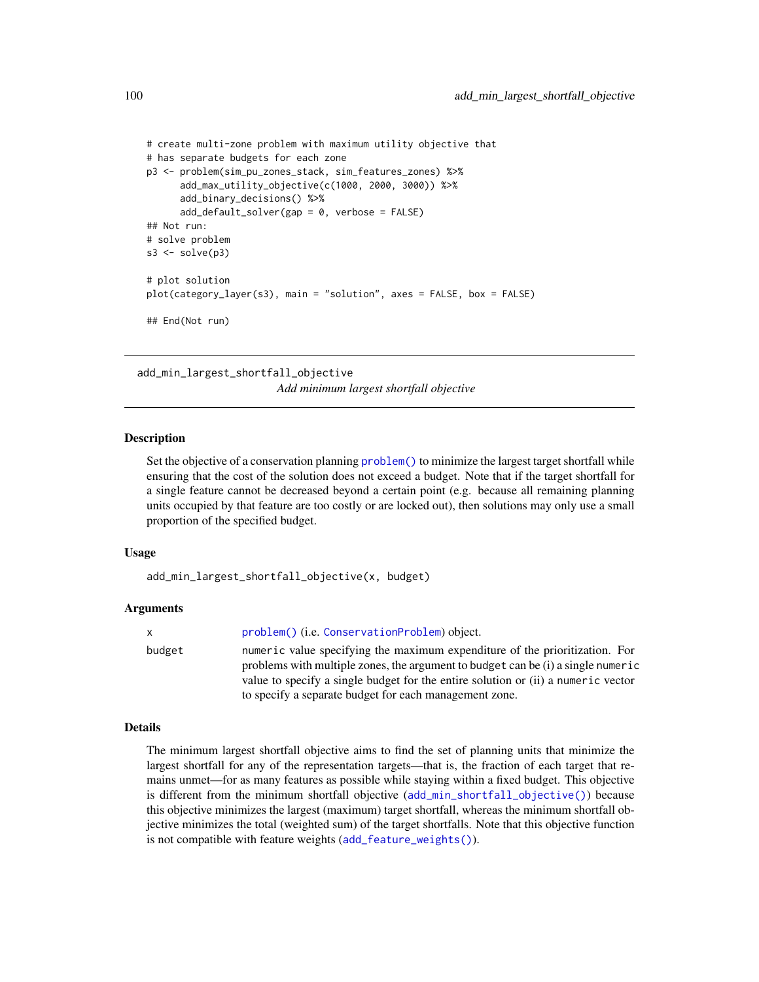```
# create multi-zone problem with maximum utility objective that
# has separate budgets for each zone
p3 <- problem(sim_pu_zones_stack, sim_features_zones) %>%
      add_max_utility_objective(c(1000, 2000, 3000)) %>%
      add_binary_decisions() %>%
      add_default_solver(gap = 0, verbose = FALSE)
## Not run:
# solve problem
s3 \leq solve(p3)# plot solution
plot(category_layer(s3), main = "solution", axes = FALSE, box = FALSE)
## End(Not run)
```
<span id="page-99-0"></span>add\_min\_largest\_shortfall\_objective *Add minimum largest shortfall objective*

# **Description**

Set the objective of a conservation planning problem () to minimize the largest target shortfall while ensuring that the cost of the solution does not exceed a budget. Note that if the target shortfall for a single feature cannot be decreased beyond a certain point (e.g. because all remaining planning units occupied by that feature are too costly or are locked out), then solutions may only use a small proportion of the specified budget.

# Usage

```
add_min_largest_shortfall_objective(x, budget)
```
# Arguments

x [problem\(\)](#page-238-0) (i.e. [ConservationProblem](#page-141-0)) object. budget numeric value specifying the maximum expenditure of the prioritization. For problems with multiple zones, the argument to budget can be (i) a single numeric value to specify a single budget for the entire solution or (ii) a numeric vector to specify a separate budget for each management zone.

# Details

The minimum largest shortfall objective aims to find the set of planning units that minimize the largest shortfall for any of the representation targets—that is, the fraction of each target that remains unmet—for as many features as possible while staying within a fixed budget. This objective is different from the minimum shortfall objective ([add\\_min\\_shortfall\\_objective\(\)](#page-103-0)) because this objective minimizes the largest (maximum) target shortfall, whereas the minimum shortfall objective minimizes the total (weighted sum) of the target shortfalls. Note that this objective function is not compatible with feature weights ([add\\_feature\\_weights\(\)](#page-40-0)).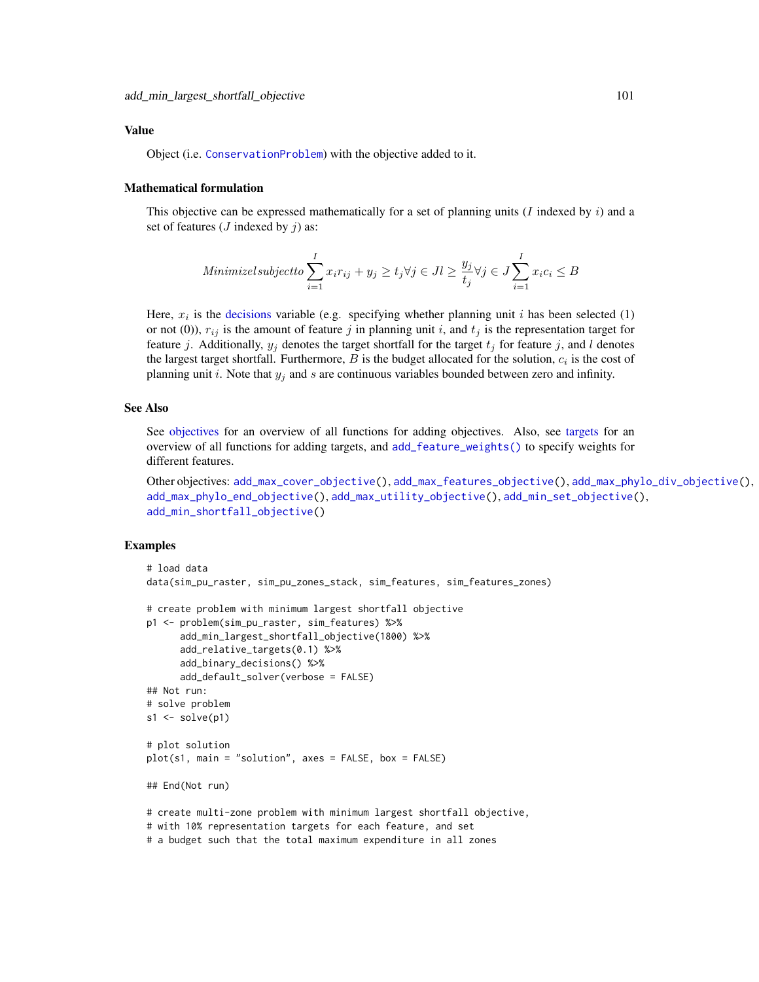## Value

Object (i.e. [ConservationProblem](#page-141-0)) with the objective added to it.

# Mathematical formulation

This objective can be expressed mathematically for a set of planning units (I indexed by  $i$ ) and a set of features ( $J$  indexed by  $\dot{\eta}$ ) as:

Minimized subject to 
$$
\sum_{i=1}^{I} x_i r_{ij} + y_j \ge t_j \forall j \in J \ge \frac{y_j}{t_j} \forall j \in J \sum_{i=1}^{I} x_i c_i \le B
$$

Here,  $x_i$  is the [decisions](#page-147-0) variable (e.g. specifying whether planning unit i has been selected (1) or not (0)),  $r_{ij}$  is the amount of feature j in planning unit i, and  $t_j$  is the representation target for feature j. Additionally,  $y_j$  denotes the target shortfall for the target  $t_j$  for feature j, and l denotes the largest target shortfall. Furthermore,  $B$  is the budget allocated for the solution,  $c_i$  is the cost of planning unit i. Note that  $y_j$  and s are continuous variables bounded between zero and infinity.

# See Also

See [objectives](#page-215-0) for an overview of all functions for adding objectives. Also, see [targets](#page-271-0) for an overview of all functions for adding targets, and [add\\_feature\\_weights\(\)](#page-40-0) to specify weights for different features.

```
Other objectives: add_max_cover_objective(), add_max_features_objective(), add_max_phylo_div_objective(),
add_max_phylo_end_objective(), add_max_utility_objective(), add_min_set_objective(),
add_min_shortfall_objective()
```

```
# load data
data(sim_pu_raster, sim_pu_zones_stack, sim_features, sim_features_zones)
# create problem with minimum largest shortfall objective
p1 <- problem(sim_pu_raster, sim_features) %>%
      add_min_largest_shortfall_objective(1800) %>%
      add_relative_targets(0.1) %>%
      add_binary_decisions() %>%
      add_default_solver(verbose = FALSE)
## Not run:
# solve problem
s1 \leftarrow solve(p1)# plot solution
plot(s1, main = "solution", axes = FALSE, box = FALSE)
## End(Not run)
# create multi-zone problem with minimum largest shortfall objective,
# with 10% representation targets for each feature, and set
# a budget such that the total maximum expenditure in all zones
```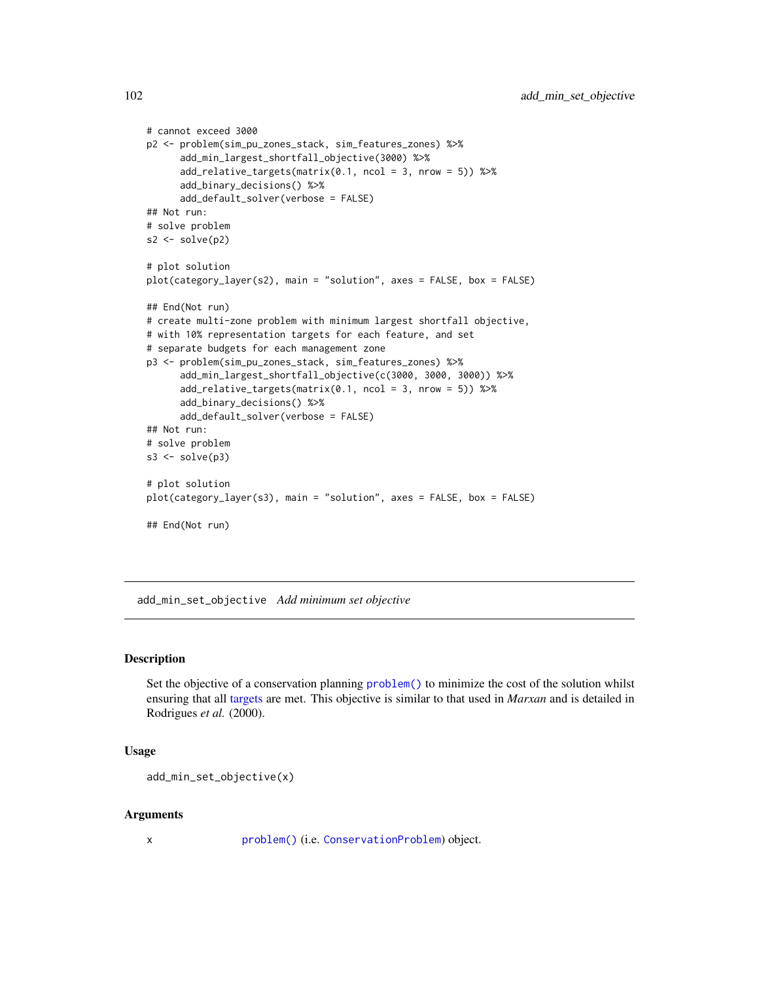```
# cannot exceed 3000
p2 <- problem(sim_pu_zones_stack, sim_features_zones) %>%
      add_min_largest_shortfall_objective(3000) %>%
      add\_relative\_targets(maxrix(0.1, ncol = 3, nrow = 5)) %>%
      add_binary_decisions() %>%
      add_default_solver(verbose = FALSE)
## Not run:
# solve problem
s2 \leftarrow solve(p2)# plot solution
plot(category_layer(s2), main = "solution", axes = FALSE, box = FALSE)
## End(Not run)
# create multi-zone problem with minimum largest shortfall objective,
# with 10% representation targets for each feature, and set
# separate budgets for each management zone
p3 <- problem(sim_pu_zones_stack, sim_features_zones) %>%
      add_min_largest_shortfall_objective(c(3000, 3000, 3000)) %>%
      add_relative_targets(matrix(0.1, ncol = 3, nrow = 5)) %>%
      add_binary_decisions() %>%
      add_default_solver(verbose = FALSE)
## Not run:
# solve problem
s3 \leq -solve(p3)# plot solution
plot(category_layer(s3), main = "solution", axes = FALSE, box = FALSE)
## End(Not run)
```
<span id="page-101-0"></span>add\_min\_set\_objective *Add minimum set objective*

## Description

Set the objective of a conservation planning [problem\(\)](#page-238-0) to minimize the cost of the solution whilst ensuring that all [targets](#page-271-0) are met. This objective is similar to that used in *Marxan* and is detailed in Rodrigues *et al.* (2000).

## Usage

```
add_min_set_objective(x)
```
#### Arguments

x [problem\(\)](#page-238-0) (i.e. [ConservationProblem](#page-141-0)) object.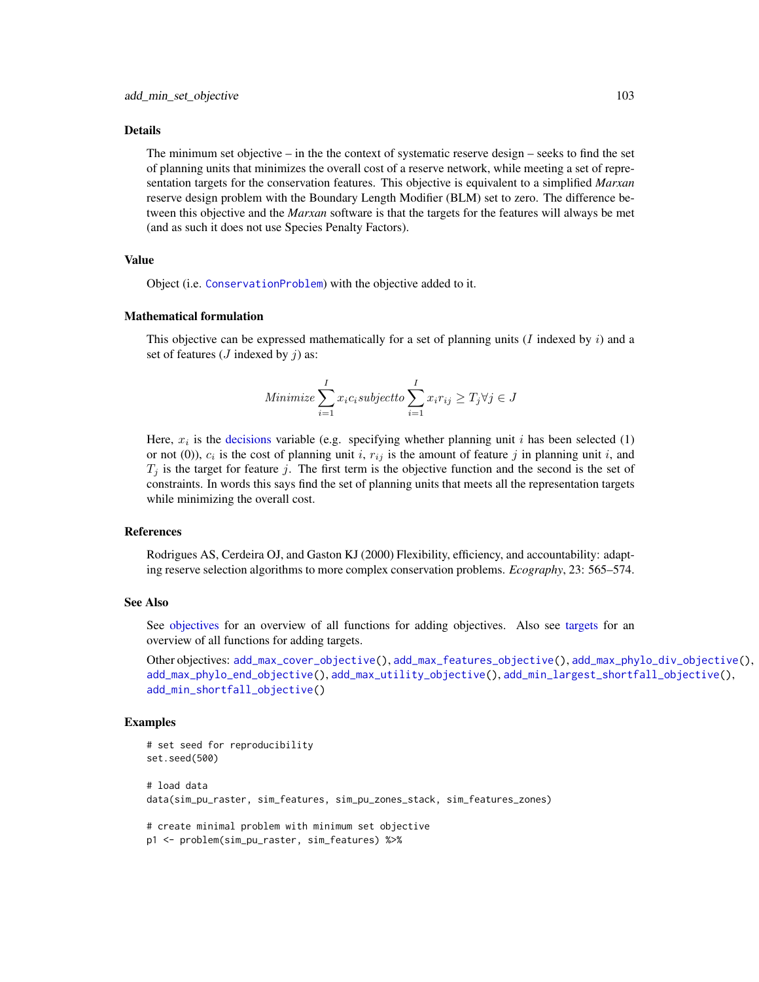### Details

The minimum set objective – in the the context of systematic reserve design – seeks to find the set of planning units that minimizes the overall cost of a reserve network, while meeting a set of representation targets for the conservation features. This objective is equivalent to a simplified *Marxan* reserve design problem with the Boundary Length Modifier (BLM) set to zero. The difference between this objective and the *Marxan* software is that the targets for the features will always be met (and as such it does not use Species Penalty Factors).

### Value

Object (i.e. [ConservationProblem](#page-141-0)) with the objective added to it.

### Mathematical formulation

This objective can be expressed mathematically for a set of planning units  $(I \text{ indexed by } i)$  and a set of features ( $J$  indexed by  $j$ ) as:

Minimize 
$$
\sum_{i=1}^{I} x_i c_i
$$
subject to  $\sum_{i=1}^{I} x_i r_{ij} \geq T_j \forall j \in J$ 

Here,  $x_i$  is the [decisions](#page-147-0) variable (e.g. specifying whether planning unit i has been selected (1) or not (0)),  $c_i$  is the cost of planning unit i,  $r_{ij}$  is the amount of feature j in planning unit i, and  $T_j$  is the target for feature j. The first term is the objective function and the second is the set of constraints. In words this says find the set of planning units that meets all the representation targets while minimizing the overall cost.

# References

Rodrigues AS, Cerdeira OJ, and Gaston KJ (2000) Flexibility, efficiency, and accountability: adapting reserve selection algorithms to more complex conservation problems. *Ecography*, 23: 565–574.

### See Also

See [objectives](#page-215-0) for an overview of all functions for adding objectives. Also see [targets](#page-271-0) for an overview of all functions for adding targets.

Other objectives: [add\\_max\\_cover\\_objective\(](#page-84-0)), [add\\_max\\_features\\_objective\(](#page-86-0)), [add\\_max\\_phylo\\_div\\_objective\(](#page-89-0)), [add\\_max\\_phylo\\_end\\_objective\(](#page-93-0)), [add\\_max\\_utility\\_objective\(](#page-97-0)), [add\\_min\\_largest\\_shortfall\\_objective\(](#page-99-0)), [add\\_min\\_shortfall\\_objective\(](#page-103-0))

```
# set seed for reproducibility
set.seed(500)
# load data
data(sim_pu_raster, sim_features, sim_pu_zones_stack, sim_features_zones)
# create minimal problem with minimum set objective
```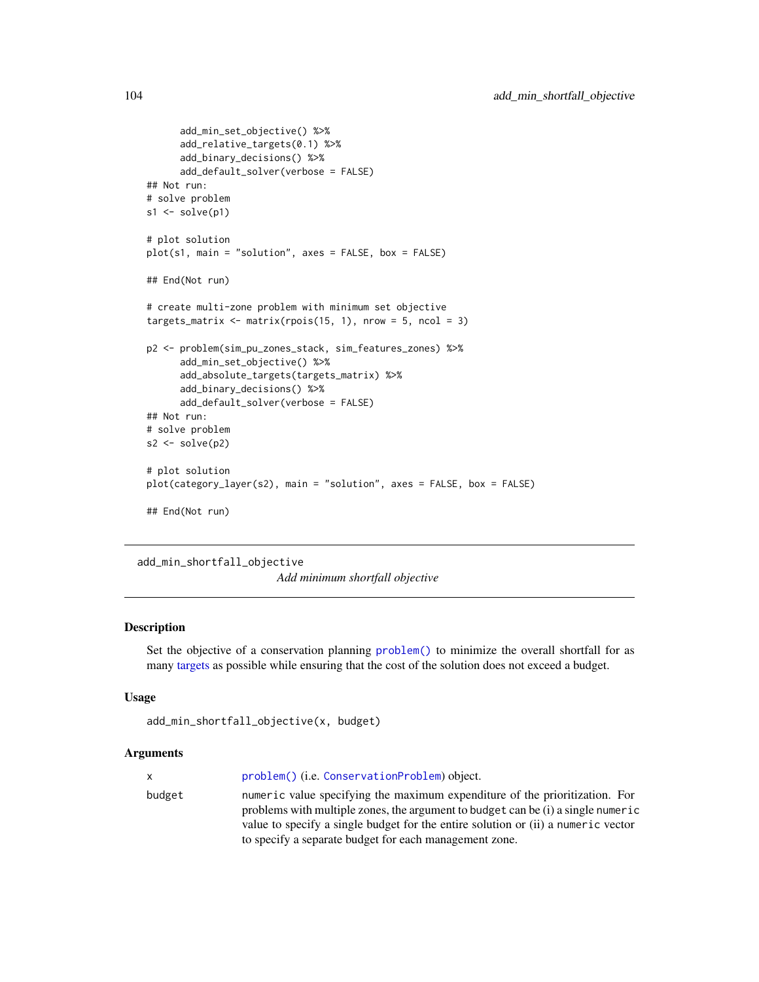```
add_min_set_objective() %>%
      add_relative_targets(0.1) %>%
      add_binary_decisions() %>%
      add_default_solver(verbose = FALSE)
## Not run:
# solve problem
s1 \leftarrow solve(p1)# plot solution
plot(s1, main = "solution", axes = FALSE, box = FALSE)
## End(Not run)
# create multi-zone problem with minimum set objective
targets_matrix \leq matrix(rpois(15, 1), nrow = 5, ncol = 3)
p2 <- problem(sim_pu_zones_stack, sim_features_zones) %>%
      add_min_set_objective() %>%
      add_absolute_targets(targets_matrix) %>%
      add_binary_decisions() %>%
      add_default_solver(verbose = FALSE)
## Not run:
# solve problem
s2 <- solve(p2)
# plot solution
plot(category_layer(s2), main = "solution", axes = FALSE, box = FALSE)
## End(Not run)
```
<span id="page-103-0"></span>add\_min\_shortfall\_objective

*Add minimum shortfall objective*

# Description

Set the objective of a conservation planning [problem\(\)](#page-238-0) to minimize the overall shortfall for as many [targets](#page-271-0) as possible while ensuring that the cost of the solution does not exceed a budget.

# Usage

```
add_min_shortfall_objective(x, budget)
```
## **Arguments**

|        | problem() (i.e. ConservationProblem) object.                                                                                                                    |
|--------|-----------------------------------------------------------------------------------------------------------------------------------------------------------------|
| X      |                                                                                                                                                                 |
| budget | numeric value specifying the maximum expenditure of the prioritization. For<br>problems with multiple zones, the argument to budget can be (i) a single numeric |
|        | value to specify a single budget for the entire solution or (ii) a numeric vector                                                                               |
|        | to specify a separate budget for each management zone.                                                                                                          |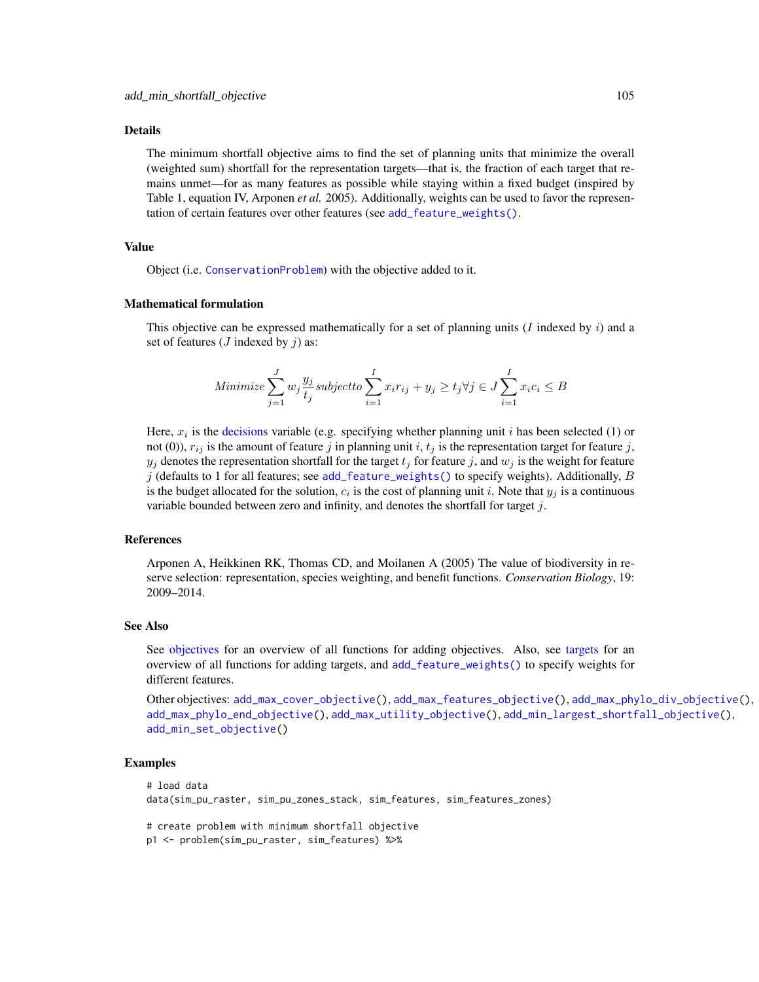### Details

The minimum shortfall objective aims to find the set of planning units that minimize the overall (weighted sum) shortfall for the representation targets—that is, the fraction of each target that remains unmet—for as many features as possible while staying within a fixed budget (inspired by Table 1, equation IV, Arponen *et al.* 2005). Additionally, weights can be used to favor the representation of certain features over other features (see [add\\_feature\\_weights\(\)](#page-40-0).

# Value

Object (i.e. [ConservationProblem](#page-141-0)) with the objective added to it.

#### Mathematical formulation

This objective can be expressed mathematically for a set of planning units  $(I \text{ indexed by } i)$  and a set of features ( $J$  indexed by  $j$ ) as:

Minimize 
$$
\sum_{j=1}^{J} w_j \frac{y_j}{t_j}
$$
 subject to  $\sum_{i=1}^{I} x_i r_{ij} + y_j \ge t_j \forall j \in J$   $\sum_{i=1}^{I} x_i c_i \le B$ 

Here,  $x_i$  is the [decisions](#page-147-0) variable (e.g. specifying whether planning unit i has been selected (1) or not (0)),  $r_{ij}$  is the amount of feature j in planning unit i,  $t_j$  is the representation target for feature j,  $y_j$  denotes the representation shortfall for the target  $t_j$  for feature j, and  $w_j$  is the weight for feature j (defaults to 1 for all features; see [add\\_feature\\_weights\(\)](#page-40-0) to specify weights). Additionally, B is the budget allocated for the solution,  $c_i$  is the cost of planning unit i. Note that  $y_j$  is a continuous variable bounded between zero and infinity, and denotes the shortfall for target  $j$ .

# References

Arponen A, Heikkinen RK, Thomas CD, and Moilanen A (2005) The value of biodiversity in reserve selection: representation, species weighting, and benefit functions. *Conservation Biology*, 19: 2009–2014.

# See Also

See [objectives](#page-215-0) for an overview of all functions for adding objectives. Also, see [targets](#page-271-0) for an overview of all functions for adding targets, and [add\\_feature\\_weights\(\)](#page-40-0) to specify weights for different features.

```
Other objectives: add_max_cover_objective(), add_max_features_objective(), add_max_phylo_div_objective(),
add_max_phylo_end_objective(), add_max_utility_objective(), add_min_largest_shortfall_objective(),
add_min_set_objective()
```

```
# load data
data(sim_pu_raster, sim_pu_zones_stack, sim_features, sim_features_zones)
# create problem with minimum shortfall objective
p1 <- problem(sim_pu_raster, sim_features) %>%
```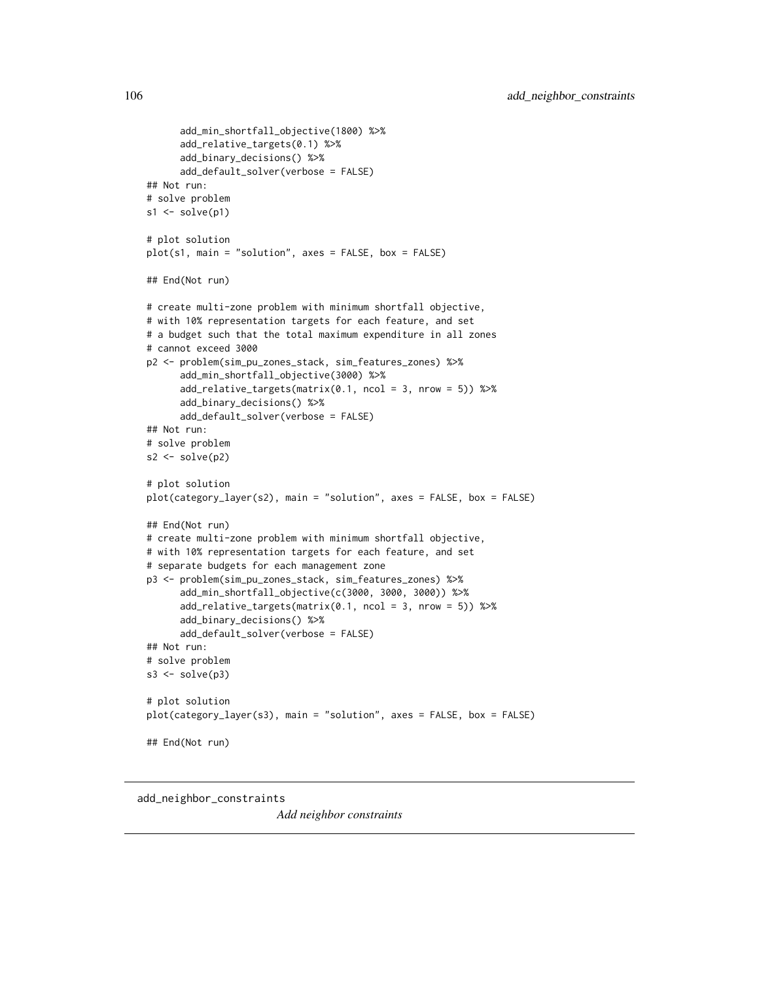```
add_min_shortfall_objective(1800) %>%
      add_relative_targets(0.1) %>%
      add_binary_decisions() %>%
      add_default_solver(verbose = FALSE)
## Not run:
# solve problem
s1 \leftarrow solve(p1)# plot solution
plot(s1, main = "solution", axes = FALSE, box = FALSE)
## End(Not run)
# create multi-zone problem with minimum shortfall objective,
# with 10% representation targets for each feature, and set
# a budget such that the total maximum expenditure in all zones
# cannot exceed 3000
p2 <- problem(sim_pu_zones_stack, sim_features_zones) %>%
      add_min_shortfall_objective(3000) %>%
      add_relative_targets(matrix(0.1, ncol = 3, nrow = 5)) %>%
      add_binary_decisions() %>%
      add_default_solver(verbose = FALSE)
## Not run:
# solve problem
s2 \leftarrow solve(p2)# plot solution
plot(category_layer(s2), main = "solution", axes = FALSE, box = FALSE)
## End(Not run)
# create multi-zone problem with minimum shortfall objective,
# with 10% representation targets for each feature, and set
# separate budgets for each management zone
p3 <- problem(sim_pu_zones_stack, sim_features_zones) %>%
      add_min_shortfall_objective(c(3000, 3000, 3000)) %>%
      add_relative_targets(matrix(0.1, ncol = 3, nrow = 5)) %>%
      add_binary_decisions() %>%
      add_default_solver(verbose = FALSE)
## Not run:
# solve problem
s3 \leftarrow solve(p3)# plot solution
plot(category_layer(s3), main = "solution", axes = FALSE, box = FALSE)
## End(Not run)
```
add\_neighbor\_constraints

*Add neighbor constraints*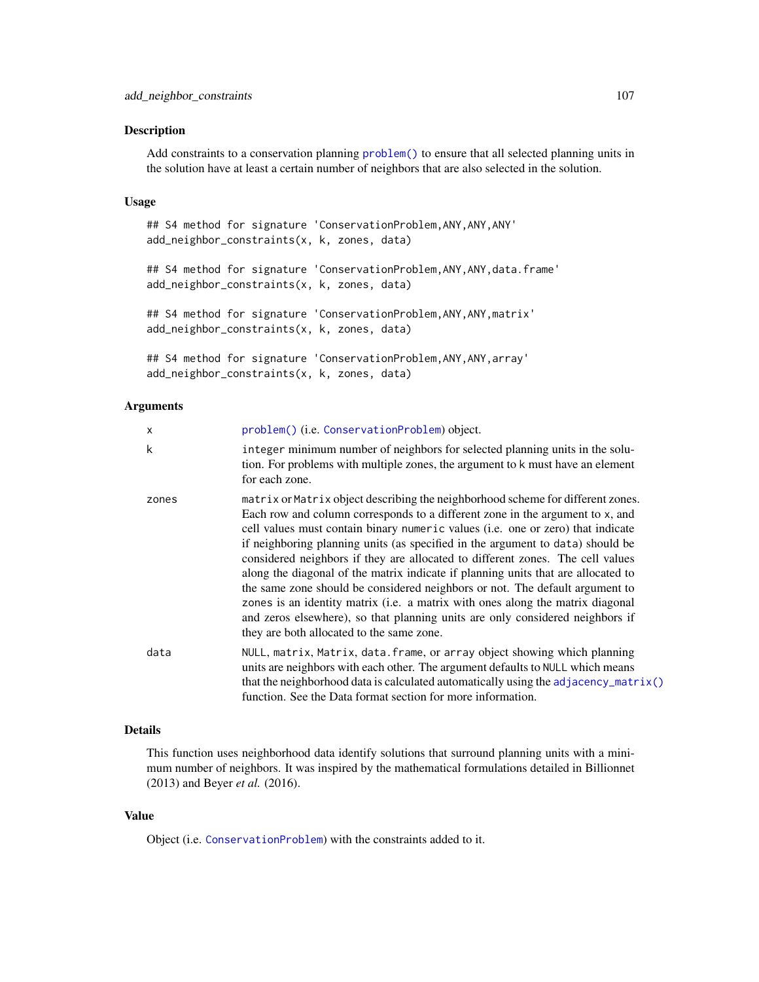### Description

Add constraints to a conservation planning [problem\(\)](#page-238-0) to ensure that all selected planning units in the solution have at least a certain number of neighbors that are also selected in the solution.

## Usage

```
## S4 method for signature 'ConservationProblem, ANY, ANY, ANY'
add_neighbor_constraints(x, k, zones, data)
## S4 method for signature 'ConservationProblem, ANY, ANY, data.frame'
add_neighbor_constraints(x, k, zones, data)
## S4 method for signature 'ConservationProblem, ANY, ANY, matrix'
add_neighbor_constraints(x, k, zones, data)
## S4 method for signature 'ConservationProblem,ANY,ANY,array'
add_neighbor_constraints(x, k, zones, data)
```
# Arguments

| X     | problem() (i.e. ConservationProblem) object.                                                                                                                                                                                                                                                                                                                                                                                                                                                                                                                                                                                                                                                                                                                                                                 |
|-------|--------------------------------------------------------------------------------------------------------------------------------------------------------------------------------------------------------------------------------------------------------------------------------------------------------------------------------------------------------------------------------------------------------------------------------------------------------------------------------------------------------------------------------------------------------------------------------------------------------------------------------------------------------------------------------------------------------------------------------------------------------------------------------------------------------------|
| k     | integer minimum number of neighbors for selected planning units in the solu-<br>tion. For problems with multiple zones, the argument to k must have an element<br>for each zone.                                                                                                                                                                                                                                                                                                                                                                                                                                                                                                                                                                                                                             |
| zones | matrix or Matrix object describing the neighborhood scheme for different zones.<br>Each row and column corresponds to a different zone in the argument to x, and<br>cell values must contain binary numeric values (i.e. one or zero) that indicate<br>if neighboring planning units (as specified in the argument to data) should be<br>considered neighbors if they are allocated to different zones. The cell values<br>along the diagonal of the matrix indicate if planning units that are allocated to<br>the same zone should be considered neighbors or not. The default argument to<br>zones is an identity matrix (i.e. a matrix with ones along the matrix diagonal<br>and zeros elsewhere), so that planning units are only considered neighbors if<br>they are both allocated to the same zone. |
| data  | NULL, matrix, Matrix, data. frame, or array object showing which planning<br>units are neighbors with each other. The argument defaults to NULL which means<br>that the neighborhood data is calculated automatically using the adjacency_matrix()<br>function. See the Data format section for more information.                                                                                                                                                                                                                                                                                                                                                                                                                                                                                            |

# Details

This function uses neighborhood data identify solutions that surround planning units with a minimum number of neighbors. It was inspired by the mathematical formulations detailed in Billionnet (2013) and Beyer *et al.* (2016).

# Value

Object (i.e. [ConservationProblem](#page-141-0)) with the constraints added to it.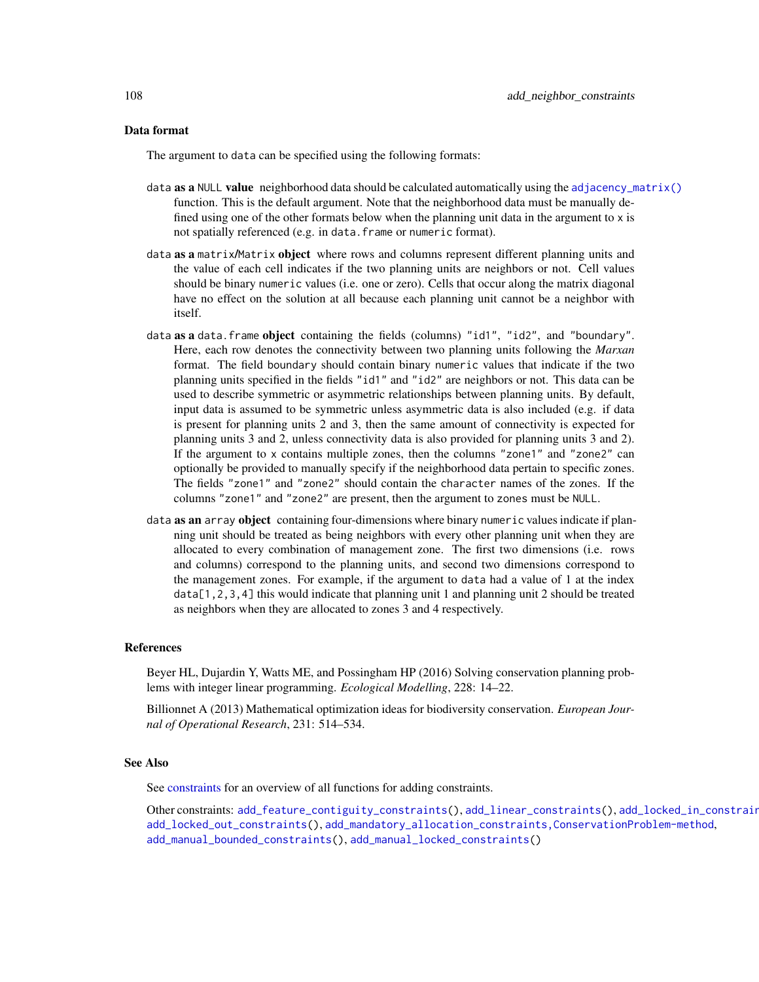### Data format

The argument to data can be specified using the following formats:

- data as a NULL value neighborhood data should be calculated automatically using the [adjacency\\_matrix\(\)](#page-120-0) function. This is the default argument. Note that the neighborhood data must be manually defined using one of the other formats below when the planning unit data in the argument to x is not spatially referenced (e.g. in data. frame or numeric format).
- data as a matrix/Matrix object where rows and columns represent different planning units and the value of each cell indicates if the two planning units are neighbors or not. Cell values should be binary numeric values (i.e. one or zero). Cells that occur along the matrix diagonal have no effect on the solution at all because each planning unit cannot be a neighbor with itself.
- data as a data. frame object containing the fields (columns) "id1", "id2", and "boundary". Here, each row denotes the connectivity between two planning units following the *Marxan* format. The field boundary should contain binary numeric values that indicate if the two planning units specified in the fields "id1" and "id2" are neighbors or not. This data can be used to describe symmetric or asymmetric relationships between planning units. By default, input data is assumed to be symmetric unless asymmetric data is also included (e.g. if data is present for planning units 2 and 3, then the same amount of connectivity is expected for planning units 3 and 2, unless connectivity data is also provided for planning units 3 and 2). If the argument to x contains multiple zones, then the columns "zone1" and "zone2" can optionally be provided to manually specify if the neighborhood data pertain to specific zones. The fields "zone1" and "zone2" should contain the character names of the zones. If the columns "zone1" and "zone2" are present, then the argument to zones must be NULL.
- data as an array object containing four-dimensions where binary numeric values indicate if planning unit should be treated as being neighbors with every other planning unit when they are allocated to every combination of management zone. The first two dimensions (i.e. rows and columns) correspond to the planning units, and second two dimensions correspond to the management zones. For example, if the argument to data had a value of 1 at the index data[1,2,3,4] this would indicate that planning unit 1 and planning unit 2 should be treated as neighbors when they are allocated to zones 3 and 4 respectively.

#### References

Beyer HL, Dujardin Y, Watts ME, and Possingham HP (2016) Solving conservation planning problems with integer linear programming. *Ecological Modelling*, 228: 14–22.

Billionnet A (2013) Mathematical optimization ideas for biodiversity conservation. *European Journal of Operational Research*, 231: 514–534.

### See Also

See [constraints](#page-145-0) for an overview of all functions for adding constraints.

Other constraints: [add\\_feature\\_contiguity\\_constraints\(](#page-36-0)), [add\\_linear\\_constraints\(](#page-50-0)), [add\\_locked\\_in\\_constraints\(](#page-59-0)), [add\\_locked\\_out\\_constraints\(](#page-63-0)), [add\\_mandatory\\_allocation\\_constraints,ConservationProblem-method](#page-0-0), [add\\_manual\\_bounded\\_constraints\(](#page-74-0)), [add\\_manual\\_locked\\_constraints\(](#page-77-0))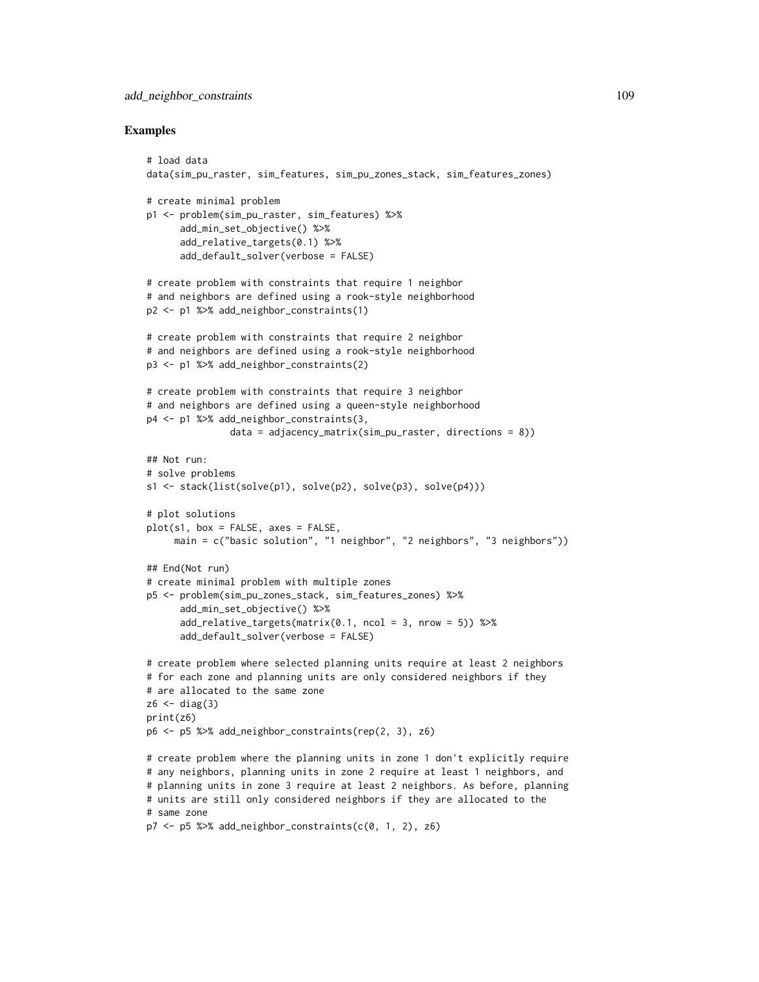```
# load data
data(sim_pu_raster, sim_features, sim_pu_zones_stack, sim_features_zones)
# create minimal problem
p1 <- problem(sim_pu_raster, sim_features) %>%
      add_min_set_objective() %>%
      add_relative_targets(0.1) %>%
      add_default_solver(verbose = FALSE)
# create problem with constraints that require 1 neighbor
# and neighbors are defined using a rook-style neighborhood
p2 <- p1 %>% add_neighbor_constraints(1)
# create problem with constraints that require 2 neighbor
# and neighbors are defined using a rook-style neighborhood
p3 <- p1 %>% add_neighbor_constraints(2)
# create problem with constraints that require 3 neighbor
# and neighbors are defined using a queen-style neighborhood
p4 <- p1 %>% add_neighbor_constraints(3,
               data = adjacency_matrix(sim_pu_raster, directions = 8))
## Not run:
# solve problems
s1 <- stack(list(solve(p1), solve(p2), solve(p3), solve(p4)))
# plot solutions
plot(s1, box = FALSE, axes = FALSE,main = c("basic solution", "1 neighbor", "2 neighbors", "3 neighbors"))
## End(Not run)
# create minimal problem with multiple zones
p5 <- problem(sim_pu_zones_stack, sim_features_zones) %>%
      add_min_set_objective() %>%
      add\_relative\_targets(maxrix(0.1, ncol = 3, nrow = 5)) %>%
      add_default_solver(verbose = FALSE)
# create problem where selected planning units require at least 2 neighbors
# for each zone and planning units are only considered neighbors if they
# are allocated to the same zone
z6 \leftarrow diag(3)print(z6)
p6 <- p5 %>% add_neighbor_constraints(rep(2, 3), z6)
# create problem where the planning units in zone 1 don't explicitly require
# any neighbors, planning units in zone 2 require at least 1 neighbors, and
# planning units in zone 3 require at least 2 neighbors. As before, planning
# units are still only considered neighbors if they are allocated to the
# same zone
p7 \leq -p5 %>% add_neighbor_constraints(c(0, 1, 2), z6)
```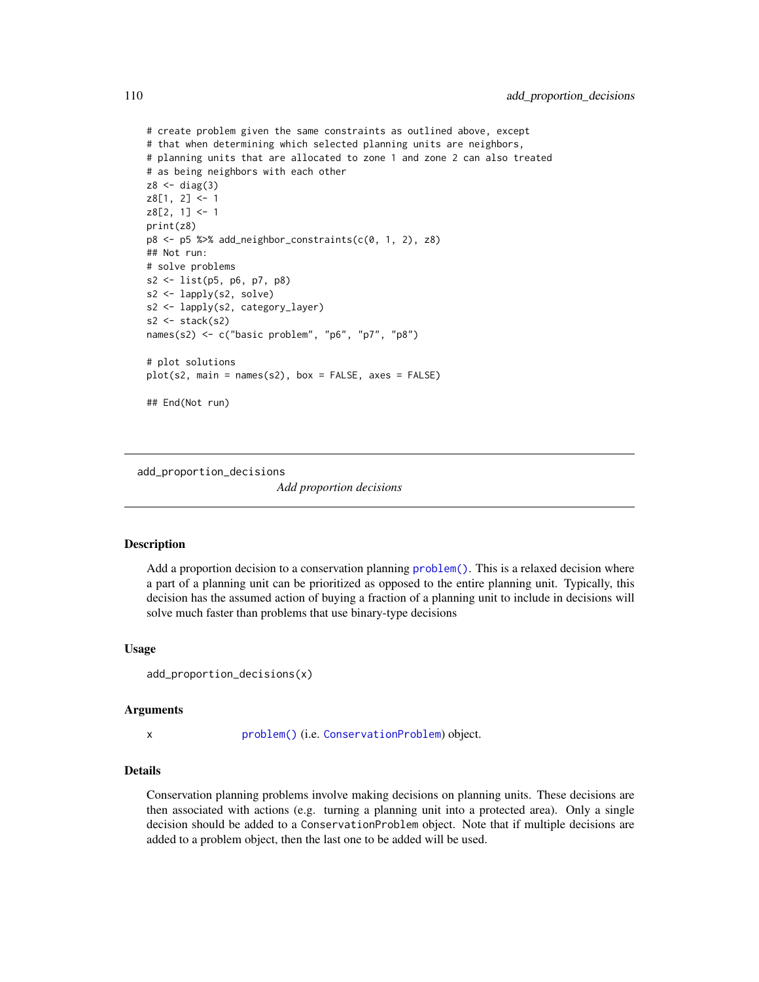```
# create problem given the same constraints as outlined above, except
# that when determining which selected planning units are neighbors,
# planning units that are allocated to zone 1 and zone 2 can also treated
# as being neighbors with each other
z8 < - diag(3)
z8[1, 2] <- 1
z8[2, 1] <- 1
print(z8)
p8 <- p5 %>% add_neighbor_constraints(c(0, 1, 2), z8)
## Not run:
# solve problems
s2 <- list(p5, p6, p7, p8)
s2 <- lapply(s2, solve)
s2 <- lapply(s2, category_layer)
s2 \leftarrow \text{stack}(s2)names(s2) <- c("basic problem", "p6", "p7", "p8")
# plot solutions
plot(s2, main = names(s2), box = FALSE, axes = FALSE)## End(Not run)
```
<span id="page-109-0"></span>add\_proportion\_decisions

*Add proportion decisions*

#### Description

Add a proportion decision to a conservation planning [problem\(\)](#page-238-0). This is a relaxed decision where a part of a planning unit can be prioritized as opposed to the entire planning unit. Typically, this decision has the assumed action of buying a fraction of a planning unit to include in decisions will solve much faster than problems that use binary-type decisions

#### Usage

```
add_proportion_decisions(x)
```
#### Arguments

x [problem\(\)](#page-238-0) (i.e. [ConservationProblem](#page-141-0)) object.

# Details

Conservation planning problems involve making decisions on planning units. These decisions are then associated with actions (e.g. turning a planning unit into a protected area). Only a single decision should be added to a ConservationProblem object. Note that if multiple decisions are added to a problem object, then the last one to be added will be used.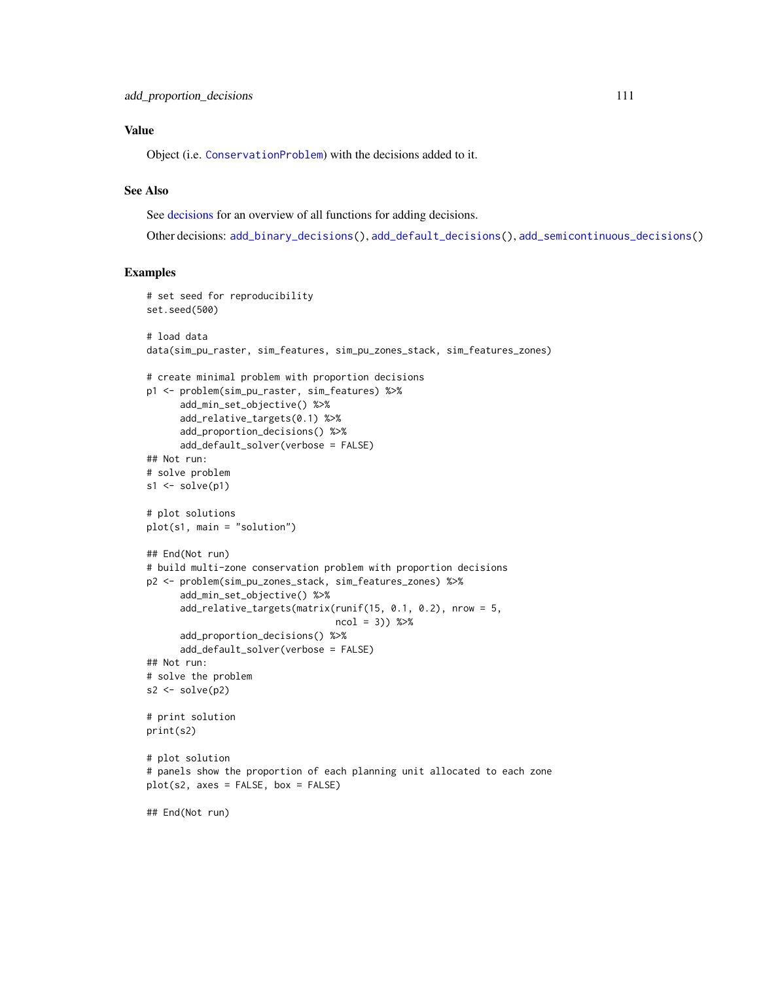# Value

Object (i.e. [ConservationProblem](#page-141-0)) with the decisions added to it.

# See Also

See [decisions](#page-147-0) for an overview of all functions for adding decisions.

Other decisions: [add\\_binary\\_decisions\(](#page-8-0)), [add\\_default\\_decisions\(](#page-33-0)), [add\\_semicontinuous\\_decisions\(](#page-115-0))

```
# set seed for reproducibility
set.seed(500)
# load data
data(sim_pu_raster, sim_features, sim_pu_zones_stack, sim_features_zones)
# create minimal problem with proportion decisions
p1 <- problem(sim_pu_raster, sim_features) %>%
      add_min_set_objective() %>%
      add_relative_targets(0.1) %>%
      add_proportion_decisions() %>%
      add_default_solver(verbose = FALSE)
## Not run:
# solve problem
s1 \leftarrow solve(p1)# plot solutions
plot(s1, main = "solution")
## End(Not run)
# build multi-zone conservation problem with proportion decisions
p2 <- problem(sim_pu_zones_stack, sim_features_zones) %>%
      add_min_set_objective() %>%
      add_relative_targets(matrix(runif(15, 0.1, 0.2), nrow = 5,
                                  ncol = 3)) %>%
      add_proportion_decisions() %>%
      add_default_solver(verbose = FALSE)
## Not run:
# solve the problem
s2 \leftarrow solve(p2)# print solution
print(s2)
# plot solution
# panels show the proportion of each planning unit allocated to each zone
plot(s2, axes = FALSE, box = FALSE)
## End(Not run)
```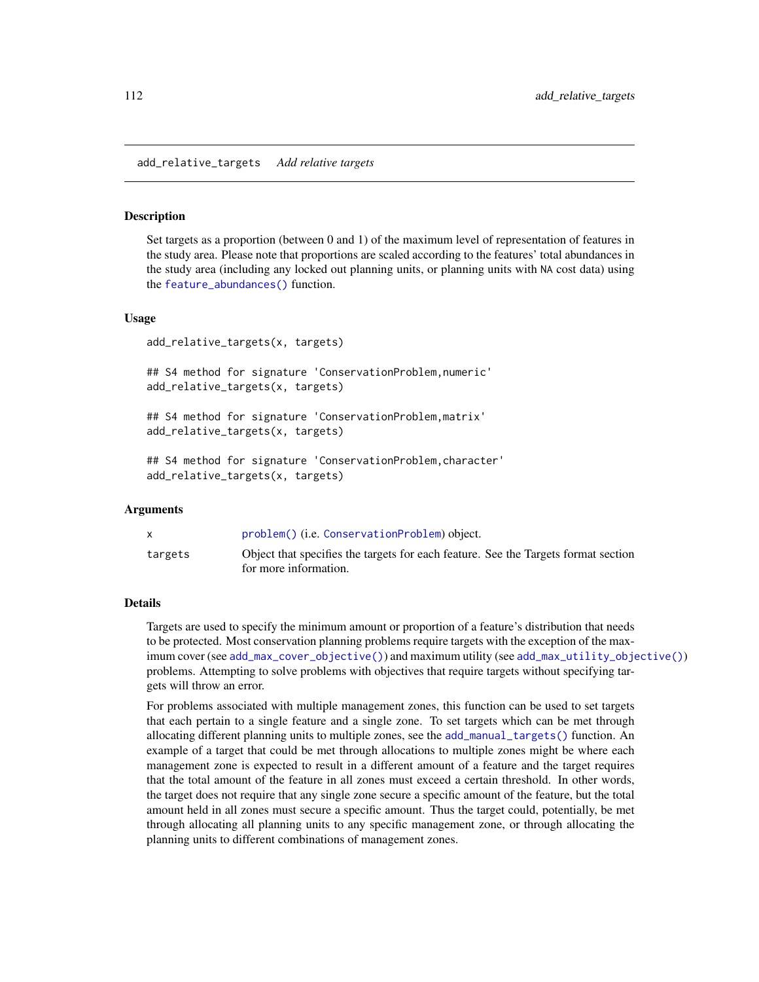add\_relative\_targets *Add relative targets*

#### Description

Set targets as a proportion (between 0 and 1) of the maximum level of representation of features in the study area. Please note that proportions are scaled according to the features' total abundances in the study area (including any locked out planning units, or planning units with NA cost data) using the [feature\\_abundances\(\)](#page-191-0) function.

## Usage

add\_relative\_targets(x, targets)

## S4 method for signature 'ConservationProblem,numeric' add\_relative\_targets(x, targets)

## S4 method for signature 'ConservationProblem,matrix' add\_relative\_targets(x, targets)

## S4 method for signature 'ConservationProblem,character' add\_relative\_targets(x, targets)

## Arguments

|         | problem() (i.e. ConservationProblem) object.                                                                |
|---------|-------------------------------------------------------------------------------------------------------------|
| targets | Object that specifies the targets for each feature. See the Targets format section<br>for more information. |

## Details

Targets are used to specify the minimum amount or proportion of a feature's distribution that needs to be protected. Most conservation planning problems require targets with the exception of the maximum cover (see [add\\_max\\_cover\\_objective\(\)](#page-84-0)) and maximum utility (see [add\\_max\\_utility\\_objective\(\)](#page-97-0)) problems. Attempting to solve problems with objectives that require targets without specifying targets will throw an error.

For problems associated with multiple management zones, this function can be used to set targets that each pertain to a single feature and a single zone. To set targets which can be met through allocating different planning units to multiple zones, see the [add\\_manual\\_targets\(\)](#page-79-0) function. An example of a target that could be met through allocations to multiple zones might be where each management zone is expected to result in a different amount of a feature and the target requires that the total amount of the feature in all zones must exceed a certain threshold. In other words, the target does not require that any single zone secure a specific amount of the feature, but the total amount held in all zones must secure a specific amount. Thus the target could, potentially, be met through allocating all planning units to any specific management zone, or through allocating the planning units to different combinations of management zones.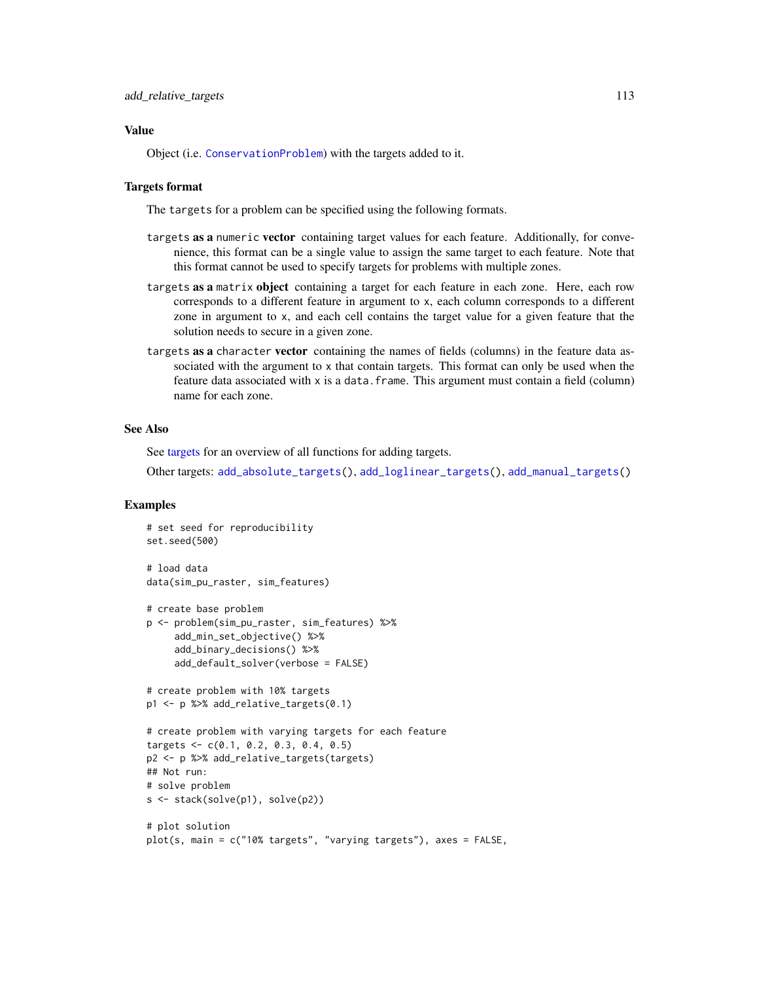# Value

Object (i.e. [ConservationProblem](#page-141-0)) with the targets added to it.

#### Targets format

The targets for a problem can be specified using the following formats.

- targets as a numeric vector containing target values for each feature. Additionally, for convenience, this format can be a single value to assign the same target to each feature. Note that this format cannot be used to specify targets for problems with multiple zones.
- targets as a matrix object containing a target for each feature in each zone. Here, each row corresponds to a different feature in argument to x, each column corresponds to a different zone in argument to x, and each cell contains the target value for a given feature that the solution needs to secure in a given zone.
- targets as a character vector containing the names of fields (columns) in the feature data associated with the argument to x that contain targets. This format can only be used when the feature data associated with x is a data. frame. This argument must contain a field (column) name for each zone.

# See Also

See [targets](#page-271-0) for an overview of all functions for adding targets.

Other targets: [add\\_absolute\\_targets\(](#page-5-0)), [add\\_loglinear\\_targets\(](#page-68-0)), [add\\_manual\\_targets\(](#page-79-0))

```
# set seed for reproducibility
set.seed(500)
# load data
data(sim_pu_raster, sim_features)
# create base problem
p <- problem(sim_pu_raster, sim_features) %>%
     add_min_set_objective() %>%
     add_binary_decisions() %>%
     add_default_solver(verbose = FALSE)
# create problem with 10% targets
p1 <- p %>% add_relative_targets(0.1)
# create problem with varying targets for each feature
targets <- c(0.1, 0.2, 0.3, 0.4, 0.5)
p2 <- p %>% add_relative_targets(targets)
## Not run:
# solve problem
s <- stack(solve(p1), solve(p2))
# plot solution
plot(s, main = c("10% targets", "varying targets"), axes = FALSE,
```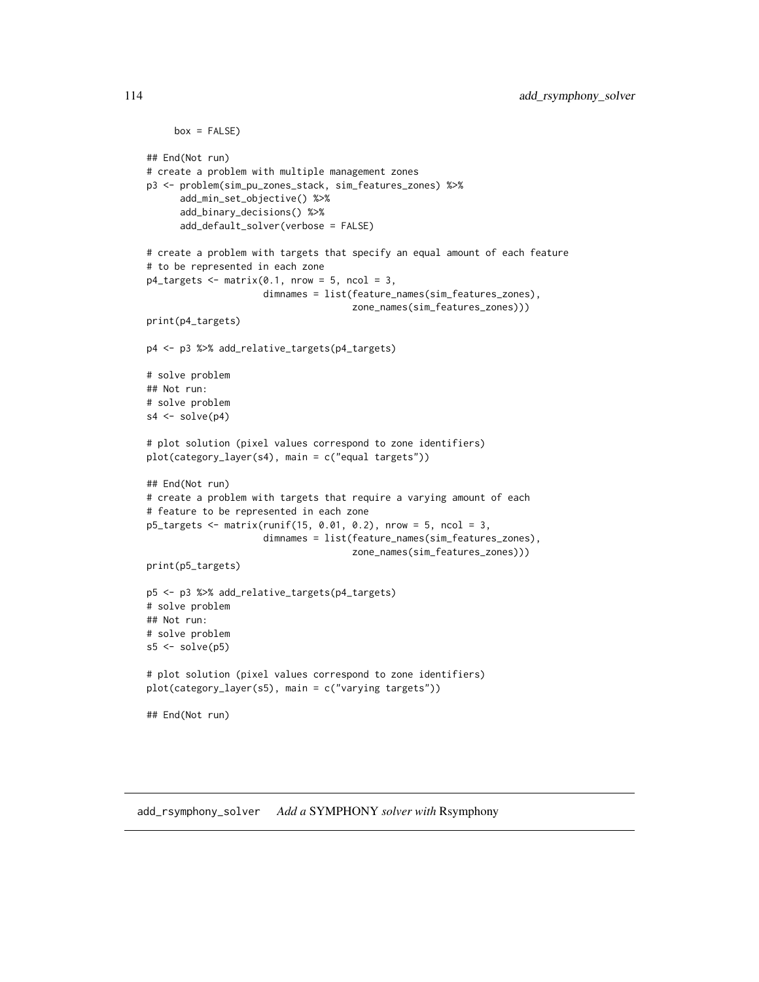```
box = FALSE)## End(Not run)
# create a problem with multiple management zones
p3 <- problem(sim_pu_zones_stack, sim_features_zones) %>%
      add_min_set_objective() %>%
      add_binary_decisions() %>%
      add_default_solver(verbose = FALSE)
# create a problem with targets that specify an equal amount of each feature
# to be represented in each zone
p4_targets <- matrix(0.1, nrow = 5, ncol = 3,
                     dimnames = list(feature_names(sim_features_zones),
                                     zone_names(sim_features_zones)))
print(p4_targets)
p4 <- p3 %>% add_relative_targets(p4_targets)
# solve problem
## Not run:
# solve problem
s4 \leftarrow solve(p4)# plot solution (pixel values correspond to zone identifiers)
plot(category_layer(s4), main = c("equal targets"))
## End(Not run)
# create a problem with targets that require a varying amount of each
# feature to be represented in each zone
p5_targets <- matrix(runif(15, 0.01, 0.2), nrow = 5, ncol = 3,
                     dimnames = list(feature_names(sim_features_zones),
                                     zone_names(sim_features_zones)))
print(p5_targets)
p5 <- p3 %>% add_relative_targets(p4_targets)
# solve problem
## Not run:
# solve problem
s5 \leq solve(p5)# plot solution (pixel values correspond to zone identifiers)
plot(category_layer(s5), main = c("varying targets"))
## End(Not run)
```
add\_rsymphony\_solver *Add a* SYMPHONY *solver with* Rsymphony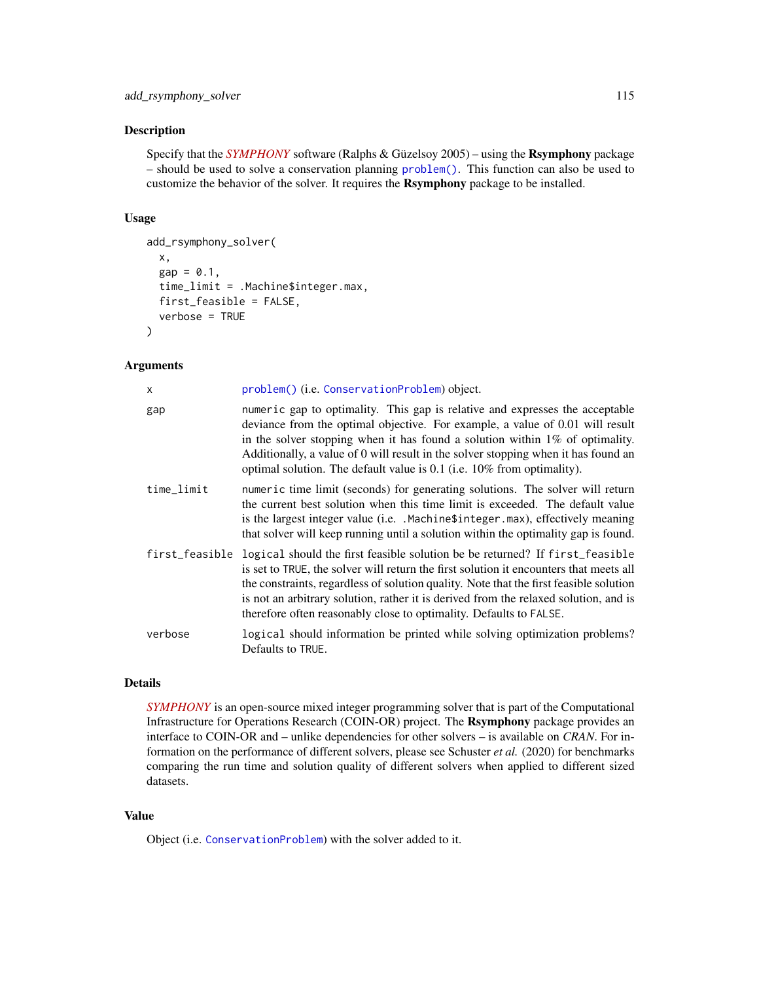#### Description

Specify that the *[SYMPHONY](https://projects.coin-or.org/SYMPHONY)* software (Ralphs & Güzelsoy 2005) – using the Rsymphony package – should be used to solve a conservation planning [problem\(\)](#page-238-0). This function can also be used to customize the behavior of the solver. It requires the Rsymphony package to be installed.

## Usage

```
add_rsymphony_solver(
  x,
  gap = 0.1,time_limit = .Machine$integer.max,
  first_feasible = FALSE,
  verbose = TRUE
\lambda
```
# Arguments

| X              | problem() (i.e. ConservationProblem) object.                                                                                                                                                                                                                                                                                                                                                                                   |
|----------------|--------------------------------------------------------------------------------------------------------------------------------------------------------------------------------------------------------------------------------------------------------------------------------------------------------------------------------------------------------------------------------------------------------------------------------|
| gap            | numeric gap to optimality. This gap is relative and expresses the acceptable<br>deviance from the optimal objective. For example, a value of 0.01 will result<br>in the solver stopping when it has found a solution within $1\%$ of optimality.<br>Additionally, a value of 0 will result in the solver stopping when it has found an<br>optimal solution. The default value is 0.1 (i.e. 10% from optimality).               |
| time limit     | numeric time limit (seconds) for generating solutions. The solver will return<br>the current best solution when this time limit is exceeded. The default value<br>is the largest integer value (i.e. . Machine\$integer.max), effectively meaning<br>that solver will keep running until a solution within the optimality gap is found.                                                                                        |
| first_feasible | logical should the first feasible solution be be returned? If first_feasible<br>is set to TRUE, the solver will return the first solution it encounters that meets all<br>the constraints, regardless of solution quality. Note that the first feasible solution<br>is not an arbitrary solution, rather it is derived from the relaxed solution, and is<br>therefore often reasonably close to optimality. Defaults to FALSE. |
| verbose        | logical should information be printed while solving optimization problems?<br>Defaults to TRUE.                                                                                                                                                                                                                                                                                                                                |

# Details

*[SYMPHONY](https://projects.coin-or.org/SYMPHONY)* is an open-source mixed integer programming solver that is part of the Computational Infrastructure for Operations Research (COIN-OR) project. The Rsymphony package provides an interface to COIN-OR and – unlike dependencies for other solvers – is available on *CRAN*. For information on the performance of different solvers, please see Schuster *et al.* (2020) for benchmarks comparing the run time and solution quality of different solvers when applied to different sized datasets.

# Value

Object (i.e. [ConservationProblem](#page-141-0)) with the solver added to it.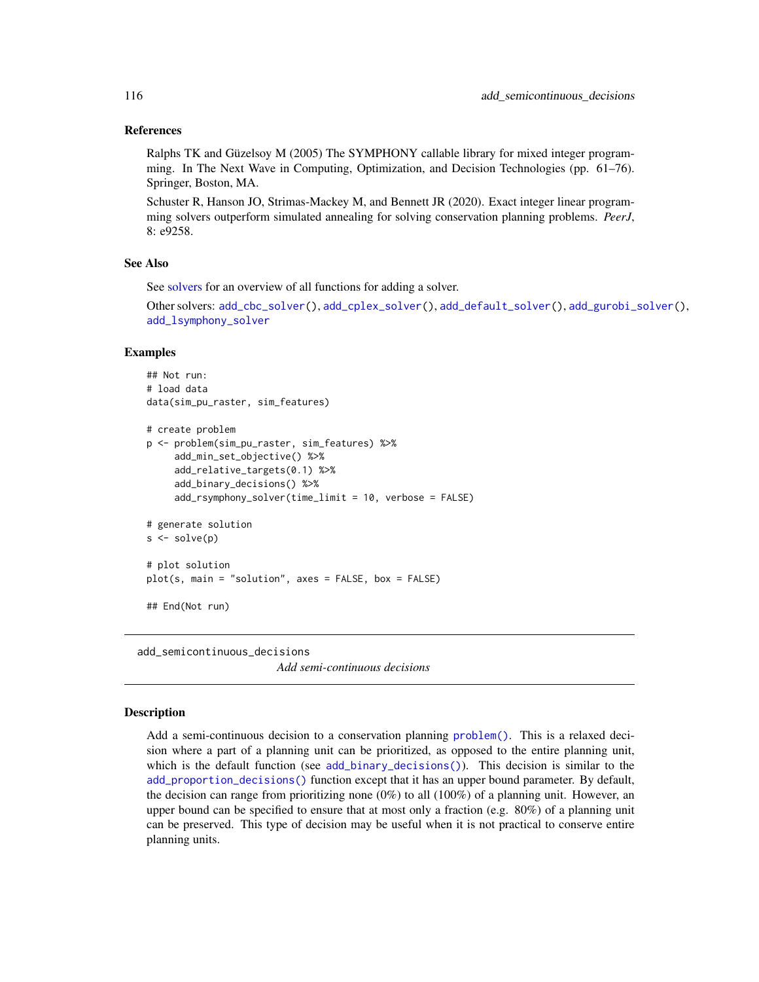#### References

Ralphs TK and Güzelsoy M (2005) The SYMPHONY callable library for mixed integer programming. In The Next Wave in Computing, Optimization, and Decision Technologies (pp. 61–76). Springer, Boston, MA.

Schuster R, Hanson JO, Strimas-Mackey M, and Bennett JR (2020). Exact integer linear programming solvers outperform simulated annealing for solving conservation planning problems. *PeerJ*, 8: e9258.

### See Also

See [solvers](#page-267-0) for an overview of all functions for adding a solver.

Other solvers: [add\\_cbc\\_solver\(](#page-14-0)), [add\\_cplex\\_solver\(](#page-29-0)), [add\\_default\\_solver\(](#page-33-1)), [add\\_gurobi\\_solver\(](#page-46-0)), [add\\_lsymphony\\_solver](#page-70-0)

## Examples

```
## Not run:
# load data
data(sim_pu_raster, sim_features)
# create problem
p <- problem(sim_pu_raster, sim_features) %>%
     add_min_set_objective() %>%
     add_relative_targets(0.1) %>%
     add_binary_decisions() %>%
     add_rsymphony_solver(time_limit = 10, verbose = FALSE)
# generate solution
s \leftarrow solve(p)# plot solution
plot(s, main = "solution", axes = FALSE, box = FALSE)
## End(Not run)
```
<span id="page-115-0"></span>add\_semicontinuous\_decisions *Add semi-continuous decisions*

## Description

Add a semi-continuous decision to a conservation planning [problem\(\)](#page-238-0). This is a relaxed decision where a part of a planning unit can be prioritized, as opposed to the entire planning unit, which is the default function (see [add\\_binary\\_decisions\(\)](#page-8-0)). This decision is similar to the [add\\_proportion\\_decisions\(\)](#page-109-0) function except that it has an upper bound parameter. By default, the decision can range from prioritizing none  $(0%)$  to all  $(100%)$  of a planning unit. However, an upper bound can be specified to ensure that at most only a fraction (e.g. 80%) of a planning unit can be preserved. This type of decision may be useful when it is not practical to conserve entire planning units.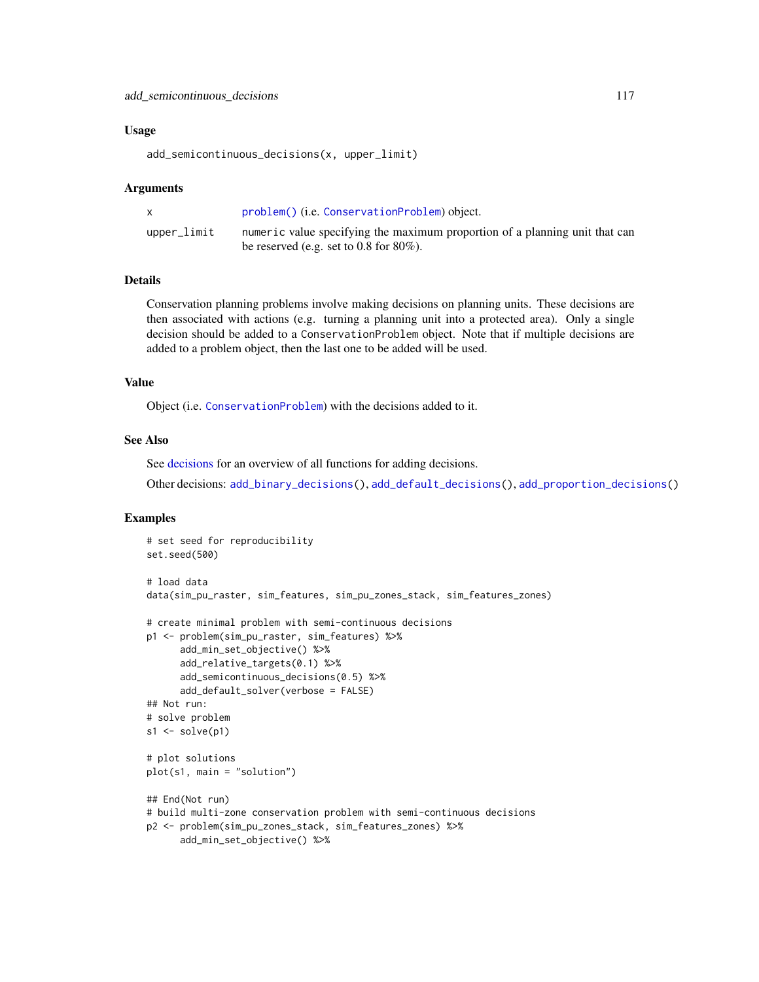# add\_semicontinuous\_decisions 117

#### Usage

add\_semicontinuous\_decisions(x, upper\_limit)

#### Arguments

|             | problem() (i.e. ConservationProblem) object.                                |
|-------------|-----------------------------------------------------------------------------|
| upper_limit | numeric value specifying the maximum proportion of a planning unit that can |
|             | be reserved (e.g. set to $0.8$ for $80\%$ ).                                |

## Details

Conservation planning problems involve making decisions on planning units. These decisions are then associated with actions (e.g. turning a planning unit into a protected area). Only a single decision should be added to a ConservationProblem object. Note that if multiple decisions are added to a problem object, then the last one to be added will be used.

## Value

Object (i.e. [ConservationProblem](#page-141-0)) with the decisions added to it.

## See Also

See [decisions](#page-147-0) for an overview of all functions for adding decisions.

Other decisions: [add\\_binary\\_decisions\(](#page-8-0)), [add\\_default\\_decisions\(](#page-33-0)), [add\\_proportion\\_decisions\(](#page-109-0))

```
# set seed for reproducibility
set.seed(500)
# load data
data(sim_pu_raster, sim_features, sim_pu_zones_stack, sim_features_zones)
# create minimal problem with semi-continuous decisions
p1 <- problem(sim_pu_raster, sim_features) %>%
      add_min_set_objective() %>%
      add_relative_targets(0.1) %>%
      add_semicontinuous_decisions(0.5) %>%
      add_default_solver(verbose = FALSE)
## Not run:
# solve problem
s1 \leftarrow solve(p1)# plot solutions
plot(s1, main = "solution")
## End(Not run)
# build multi-zone conservation problem with semi-continuous decisions
p2 <- problem(sim_pu_zones_stack, sim_features_zones) %>%
      add_min_set_objective() %>%
```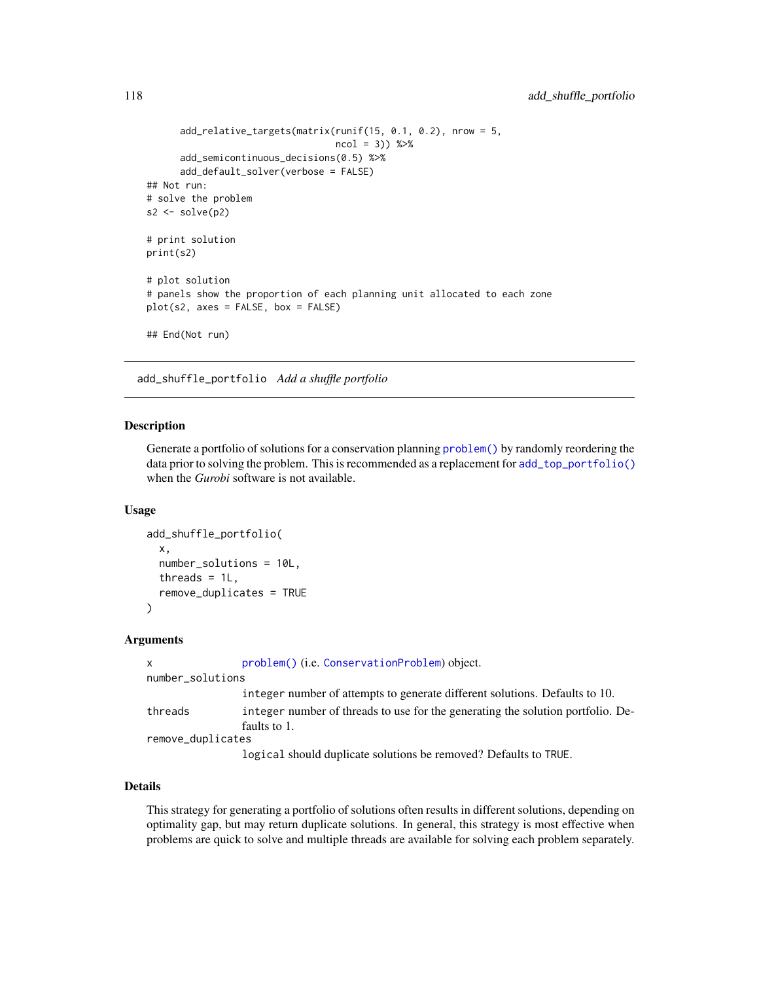```
add_relative_targets(matrix(runif(15, 0.1, 0.2), nrow = 5,
                                  ncol = 3) %>%
      add_semicontinuous_decisions(0.5) %>%
      add_default_solver(verbose = FALSE)
## Not run:
# solve the problem
s2 \leftarrow solve(p2)# print solution
print(s2)
# plot solution
# panels show the proportion of each planning unit allocated to each zone
plot(s2, axes = FALSE, box = FALSE)## End(Not run)
```
<span id="page-117-0"></span>add\_shuffle\_portfolio *Add a shuffle portfolio*

#### **Description**

Generate a portfolio of solutions for a conservation planning [problem\(\)](#page-238-0) by randomly reordering the data prior to solving the problem. This is recommended as a replacement for [add\\_top\\_portfolio\(\)](#page-119-0) when the *Gurobi* software is not available.

#### Usage

```
add_shuffle_portfolio(
  x,
  number_solutions = 10L,
  threads = 1L,
  remove_duplicates = TRUE
)
```
## Arguments

```
x problem() (i.e. ConservationProblem) object.
number_solutions
                 integer number of attempts to generate different solutions. Defaults to 10.
threads integer number of threads to use for the generating the solution portfolio. De-
                 faults to 1.
remove_duplicates
                 logical should duplicate solutions be removed? Defaults to TRUE.
```
# Details

This strategy for generating a portfolio of solutions often results in different solutions, depending on optimality gap, but may return duplicate solutions. In general, this strategy is most effective when problems are quick to solve and multiple threads are available for solving each problem separately.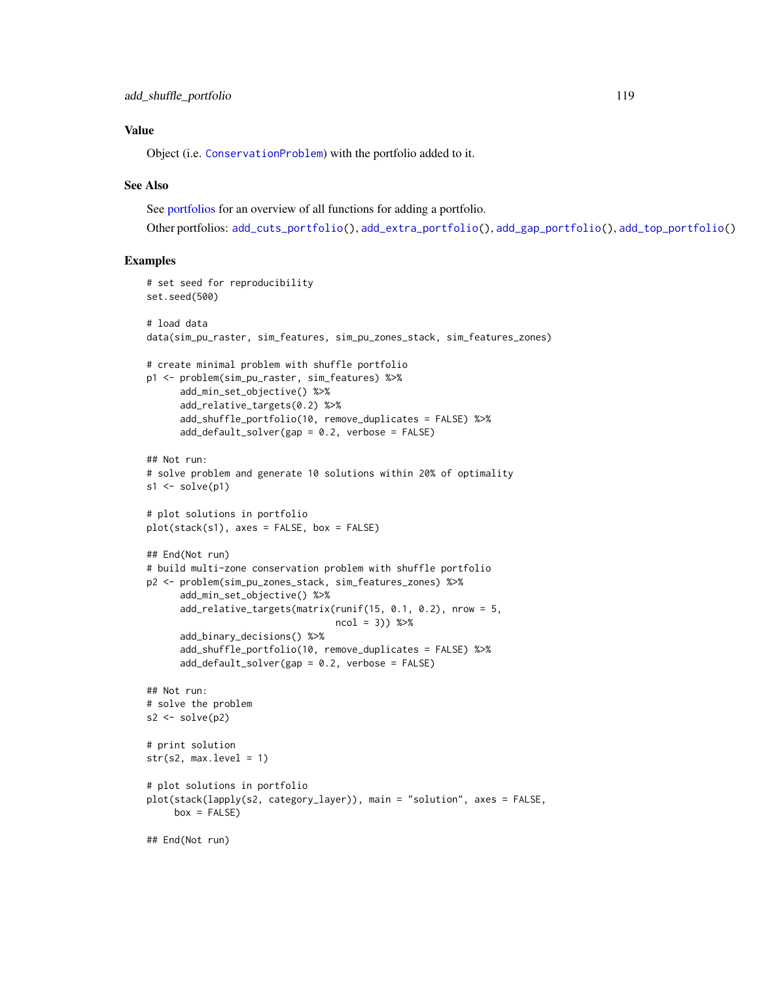# Value

Object (i.e. [ConservationProblem](#page-141-0)) with the portfolio added to it.

# See Also

See [portfolios](#page-227-0) for an overview of all functions for adding a portfolio.

Other portfolios: [add\\_cuts\\_portfolio\(](#page-31-0)), [add\\_extra\\_portfolio\(](#page-34-0)), [add\\_gap\\_portfolio\(](#page-44-0)), [add\\_top\\_portfolio\(](#page-119-0))

```
# set seed for reproducibility
set.seed(500)
# load data
data(sim_pu_raster, sim_features, sim_pu_zones_stack, sim_features_zones)
# create minimal problem with shuffle portfolio
p1 <- problem(sim_pu_raster, sim_features) %>%
     add_min_set_objective() %>%
      add_relative_targets(0.2) %>%
      add_shuffle_portfolio(10, remove_duplicates = FALSE) %>%
      add_default_solver(gap = 0.2, verbose = FALSE)
## Not run:
# solve problem and generate 10 solutions within 20% of optimality
s1 \leftarrow solve(p1)# plot solutions in portfolio
plot(stack(s1), axes = FALSE, box = FALSE)
## End(Not run)
# build multi-zone conservation problem with shuffle portfolio
p2 <- problem(sim_pu_zones_stack, sim_features_zones) %>%
      add_min_set_objective() %>%
     add_relative_targets(matrix(runif(15, 0.1, 0.2), nrow = 5,
                                  ncol = 3)) %>%
     add_binary_decisions() %>%
      add_shuffle_portfolio(10, remove_duplicates = FALSE) %>%
      add_default_solver(gap = 0.2, verbose = FALSE)
## Not run:
# solve the problem
s2 <- solve(p2)
# print solution
str(s2, max.level = 1)# plot solutions in portfolio
plot(stack(lapply(s2, category_layer)), main = "solution", axes = FALSE,
    box = FALSE)## End(Not run)
```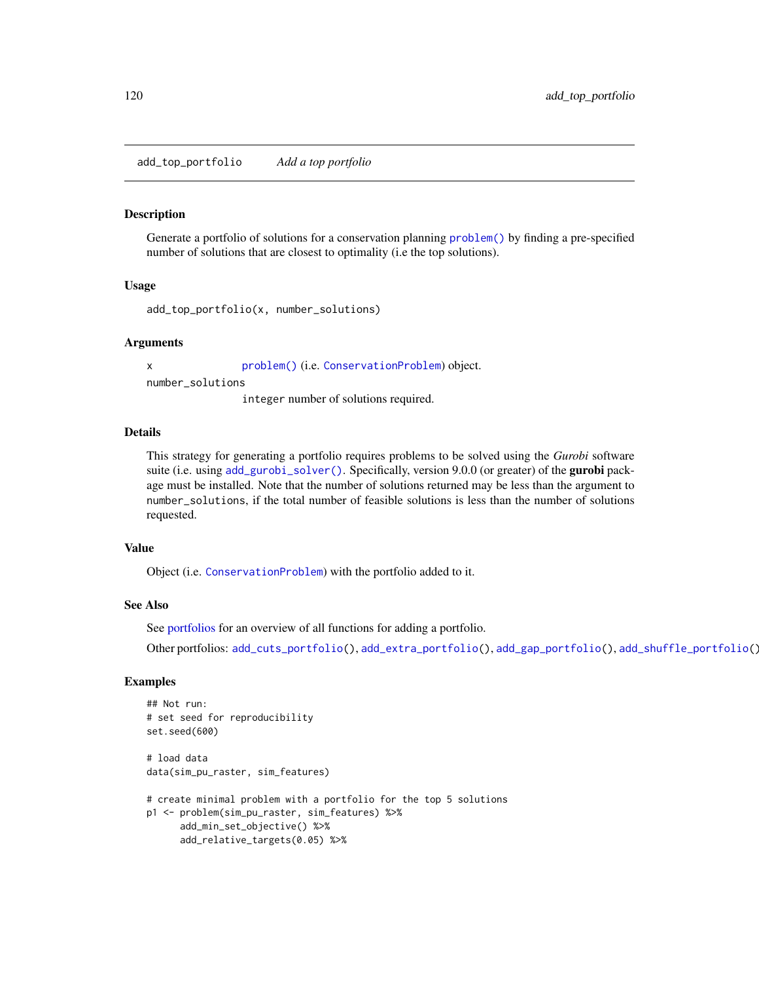<span id="page-119-0"></span>add\_top\_portfolio *Add a top portfolio*

#### Description

Generate a portfolio of solutions for a conservation planning [problem\(\)](#page-238-0) by finding a pre-specified number of solutions that are closest to optimality (i.e the top solutions).

## Usage

```
add_top_portfolio(x, number_solutions)
```
#### Arguments

x [problem\(\)](#page-238-0) (i.e. [ConservationProblem](#page-141-0)) object. number\_solutions

integer number of solutions required.

#### Details

This strategy for generating a portfolio requires problems to be solved using the *Gurobi* software suite (i.e. using [add\\_gurobi\\_solver\(\)](#page-46-0). Specifically, version 9.0.0 (or greater) of the **gurobi** package must be installed. Note that the number of solutions returned may be less than the argument to number\_solutions, if the total number of feasible solutions is less than the number of solutions requested.

## Value

Object (i.e. [ConservationProblem](#page-141-0)) with the portfolio added to it.

## See Also

See [portfolios](#page-227-0) for an overview of all functions for adding a portfolio.

Other portfolios: [add\\_cuts\\_portfolio\(](#page-31-0)), [add\\_extra\\_portfolio\(](#page-34-0)), [add\\_gap\\_portfolio\(](#page-44-0)), [add\\_shuffle\\_portfolio\(](#page-117-0))

```
## Not run:
# set seed for reproducibility
set.seed(600)
# load data
data(sim_pu_raster, sim_features)
# create minimal problem with a portfolio for the top 5 solutions
p1 <- problem(sim_pu_raster, sim_features) %>%
     add_min_set_objective() %>%
     add_relative_targets(0.05) %>%
```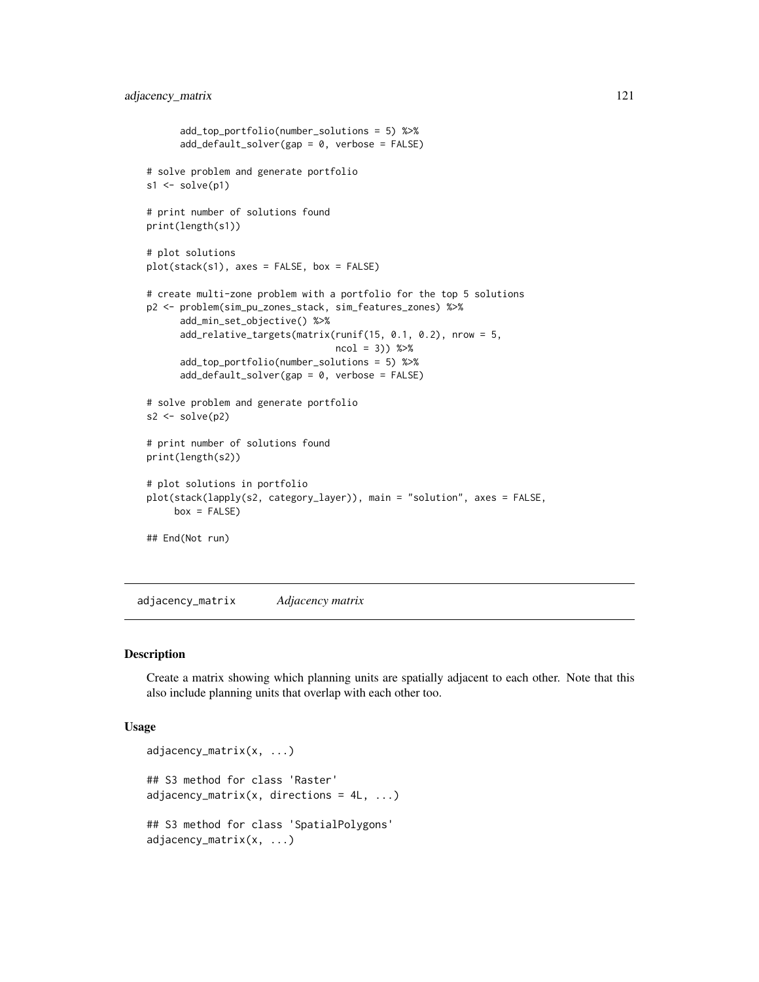```
add_top_portfolio(number_solutions = 5) %>%
      add_default_solver(gap = 0, verbose = FALSE)
# solve problem and generate portfolio
s1 \leftarrow solve(p1)# print number of solutions found
print(length(s1))
# plot solutions
plot(stack(s1), axes = FALSE, box = FALSE)
# create multi-zone problem with a portfolio for the top 5 solutions
p2 <- problem(sim_pu_zones_stack, sim_features_zones) %>%
      add_min_set_objective() %>%
      add_relative_targets(matrix(runif(15, 0.1, 0.2), nrow = 5,
                                  ncol = 3)) %>%
      add_top_portfolio(number_solutions = 5) %>%
      add_default_solver(gap = 0, verbose = FALSE)
# solve problem and generate portfolio
s2 \leftarrow solve(p2)# print number of solutions found
print(length(s2))
# plot solutions in portfolio
plot(stack(lapply(s2, category_layer)), main = "solution", axes = FALSE,
     box = FALSE)## End(Not run)
```
adjacency\_matrix *Adjacency matrix*

#### Description

Create a matrix showing which planning units are spatially adjacent to each other. Note that this also include planning units that overlap with each other too.

#### Usage

```
adjacency_matrix(x, ...)
## S3 method for class 'Raster'
adjacency_matrix(x, directions = 4L, ...)
## S3 method for class 'SpatialPolygons'
adjacency_matrix(x, ...)
```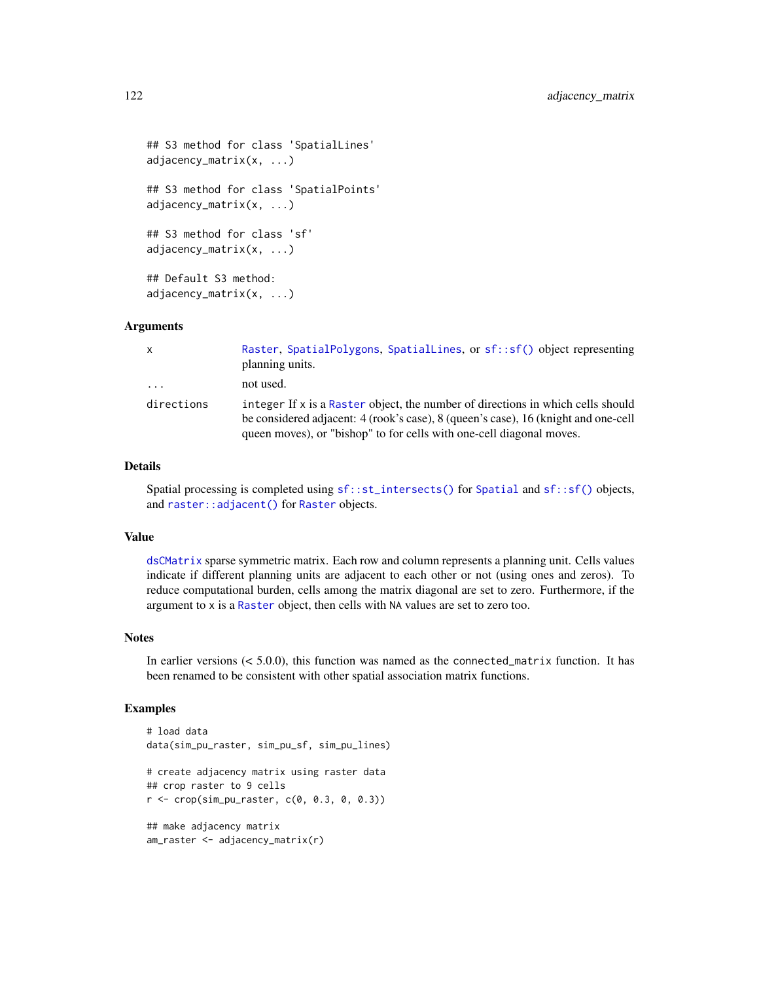```
## S3 method for class 'SpatialLines'
adjacency_matrix(x, ...)
## S3 method for class 'SpatialPoints'
adjacency_matrix(x, ...)
## S3 method for class 'sf'
adjacency_matrix(x, ...)
## Default S3 method:
adjacency_matrix(x, ...)
```
# Arguments

| $\mathsf{x}$ | Raster, SpatialPolygons, SpatialLines, or sf::sf() object representing<br>planning units.                                                                                                                                                     |
|--------------|-----------------------------------------------------------------------------------------------------------------------------------------------------------------------------------------------------------------------------------------------|
| .            | not used.                                                                                                                                                                                                                                     |
| directions   | integer If x is a Raster object, the number of directions in which cells should<br>be considered adjacent: 4 (rook's case), 8 (queen's case), 16 (knight and one-cell<br>queen moves), or "bishop" to for cells with one-cell diagonal moves. |

# Details

Spatial processing is completed using [sf::st\\_intersects\(\)](#page-0-0) for [Spatial](#page-0-0) and [sf::sf\(\)](#page-0-0) objects, and [raster::adjacent\(\)](#page-0-0) for [Raster](#page-0-0) objects.

#### Value

[dsCMatrix](#page-0-0) sparse symmetric matrix. Each row and column represents a planning unit. Cells values indicate if different planning units are adjacent to each other or not (using ones and zeros). To reduce computational burden, cells among the matrix diagonal are set to zero. Furthermore, if the argument to x is a [Raster](#page-0-0) object, then cells with NA values are set to zero too.

# **Notes**

In earlier versions  $(< 5.0.0$ ), this function was named as the connected\_matrix function. It has been renamed to be consistent with other spatial association matrix functions.

```
# load data
data(sim_pu_raster, sim_pu_sf, sim_pu_lines)
# create adjacency matrix using raster data
## crop raster to 9 cells
r < - crop(sim_pu_raster, c(0, 0.3, 0, 0.3))
## make adjacency matrix
am_raster <- adjacency_matrix(r)
```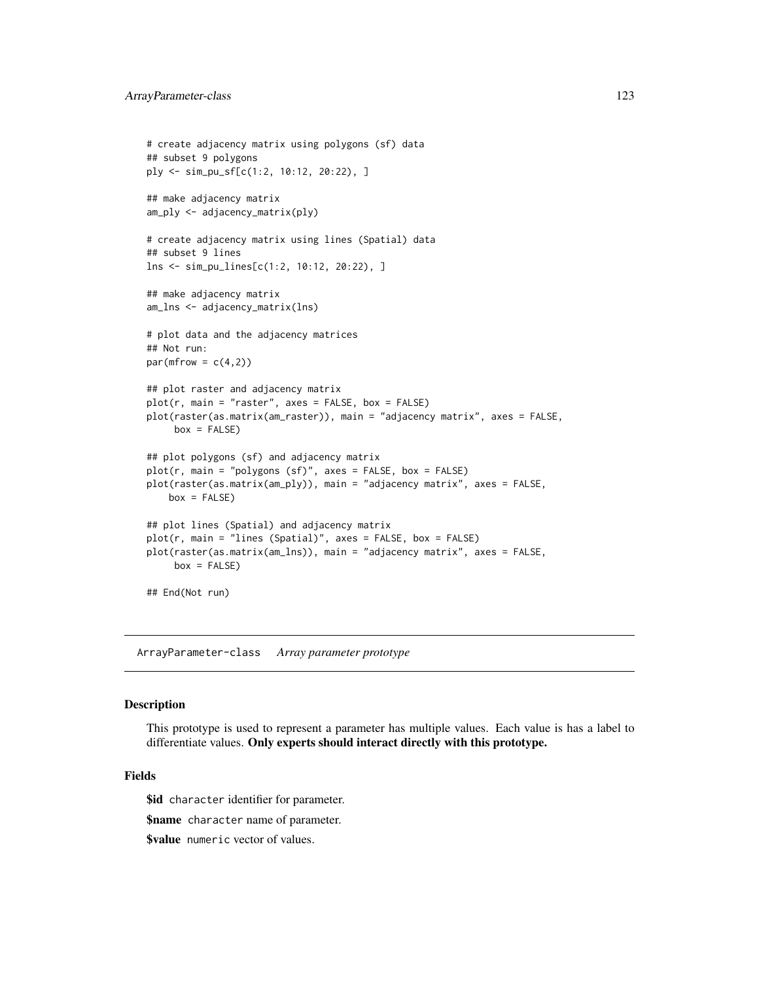```
# create adjacency matrix using polygons (sf) data
## subset 9 polygons
ply <- sim_pu_sf[c(1:2, 10:12, 20:22), ]
## make adjacency matrix
am_ply <- adjacency_matrix(ply)
# create adjacency matrix using lines (Spatial) data
## subset 9 lines
lns <- sim_pu_lines[c(1:2, 10:12, 20:22), ]
## make adjacency matrix
am_lns <- adjacency_matrix(lns)
# plot data and the adjacency matrices
## Not run:
par(mfrow = c(4,2))## plot raster and adjacency matrix
plot(r, main = "raster", axes = FALSE, box = FALSE)
plot(raster(as.matrix(am_raster)), main = "adjacency matrix", axes = FALSE,
    box = FALSE)## plot polygons (sf) and adjacency matrix
plot(r, main = "polygons (sf)", axes = FALSE, box = FALSE)
plot(raster(as.matrix(am_ply)), main = "adjacency matrix", axes = FALSE,
   box = FALSE)## plot lines (Spatial) and adjacency matrix
plot(r, main = "lines (Spatial)", axes = FALSE, box = FALSE)
plot(raster(as.matrix(am_lns)), main = "adjacency matrix", axes = FALSE,
    box = FALSE)## End(Not run)
```
<span id="page-122-0"></span>ArrayParameter-class *Array parameter prototype*

#### Description

This prototype is used to represent a parameter has multiple values. Each value is has a label to differentiate values. Only experts should interact directly with this prototype.

## Fields

\$id character identifier for parameter.

**\$name** character name of parameter.

\$value numeric vector of values.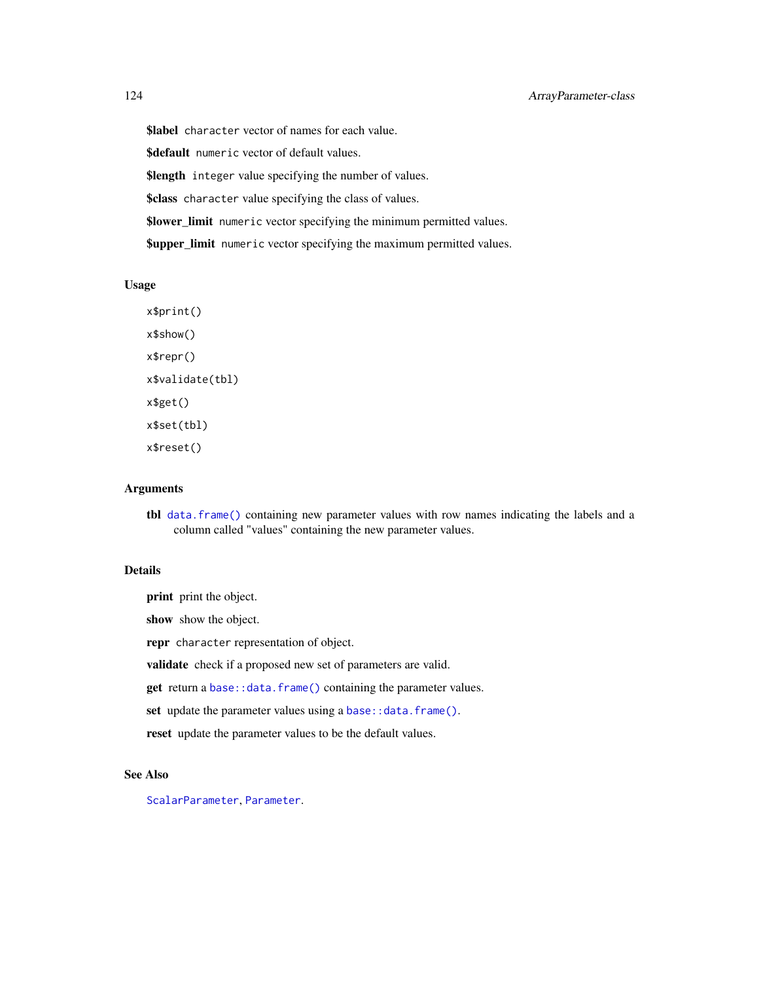\$label character vector of names for each value.

\$default numeric vector of default values.

**\$length** integer value specifying the number of values.

\$class character value specifying the class of values.

\$lower\_limit numeric vector specifying the minimum permitted values.

**\$upper\_limit** numeric vector specifying the maximum permitted values.

# Usage

```
x$print()
x$show()
x$repr()
x$validate(tbl)
x$get()
x$set(tbl)
x$reset()
```
#### Arguments

tbl [data.frame\(\)](#page-0-0) containing new parameter values with row names indicating the labels and a column called "values" containing the new parameter values.

# Details

print print the object.

show show the object.

repr character representation of object.

validate check if a proposed new set of parameters are valid.

get return a [base::data.frame\(\)](#page-0-0) containing the parameter values.

set update the parameter values using a [base::data.frame\(\)](#page-0-0).

reset update the parameter values to be the default values.

#### See Also

[ScalarParameter](#page-252-0), [Parameter](#page-221-0).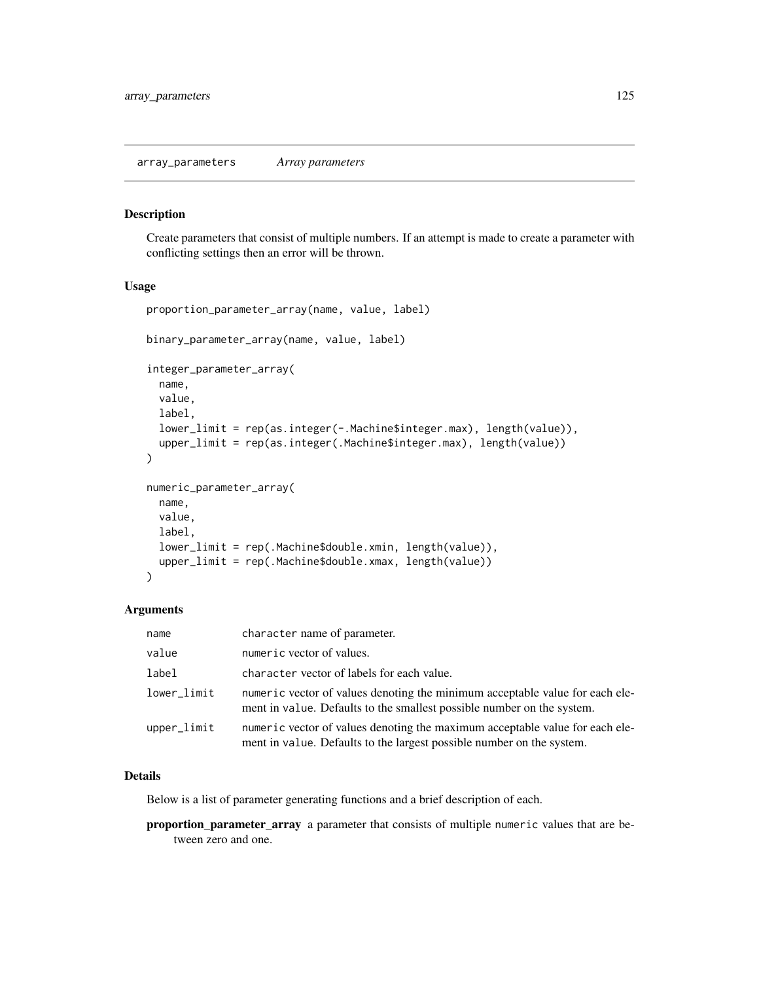#### Description

Create parameters that consist of multiple numbers. If an attempt is made to create a parameter with conflicting settings then an error will be thrown.

# Usage

```
proportion_parameter_array(name, value, label)
binary_parameter_array(name, value, label)
integer_parameter_array(
 name,
 value,
  label,
  lower_limit = rep(as.integer(-.Machine$integer.max), length(value)),
  upper_limit = rep(as.integer(.Machine$integer.max), length(value))
)
numeric_parameter_array(
 name,
 value,
 label,
 lower_limit = rep(.Machine$double.xmin, length(value)),
 upper_limit = rep(.Machine$double.xmax, length(value))
)
```
## Arguments

| name          | character name of parameter.                                                                                                                           |
|---------------|--------------------------------------------------------------------------------------------------------------------------------------------------------|
| value         | numeric vector of values.                                                                                                                              |
| label         | character vector of labels for each value.                                                                                                             |
| lower_limit   | numeric vector of values denoting the minimum acceptable value for each ele-<br>ment in value. Defaults to the smallest possible number on the system. |
| $upper$ limit | numeric vector of values denoting the maximum acceptable value for each ele-<br>ment in value. Defaults to the largest possible number on the system.  |

# Details

Below is a list of parameter generating functions and a brief description of each.

proportion\_parameter\_array a parameter that consists of multiple numeric values that are between zero and one.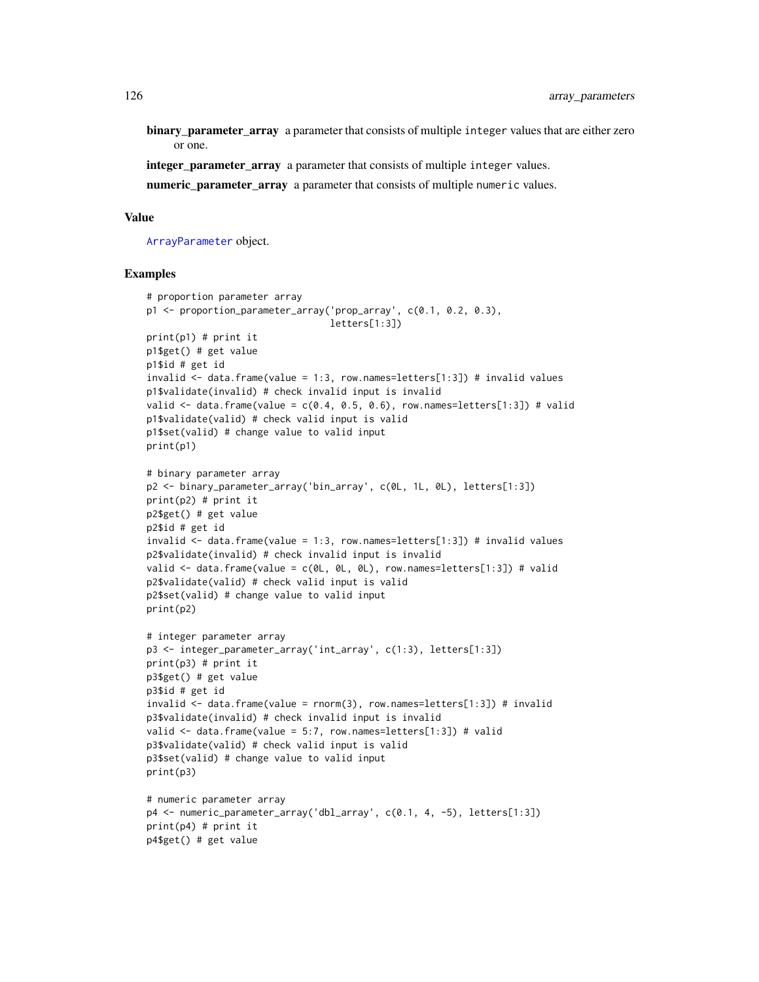binary\_parameter\_array a parameter that consists of multiple integer values that are either zero or one.

integer\_parameter\_array a parameter that consists of multiple integer values.

numeric\_parameter\_array a parameter that consists of multiple numeric values.

# Value

[ArrayParameter](#page-122-0) object.

```
# proportion parameter array
p1 <- proportion_parameter_array('prop_array', c(0.1, 0.2, 0.3),
                                 letters[1:3])
print(p1) # print it
p1$get() # get value
p1$id # get id
invalid \leq data.frame(value = 1:3, row.names=letters[1:3]) # invalid values
p1$validate(invalid) # check invalid input is invalid
valid \le data.frame(value = c(0.4, 0.5, 0.6), row.names=letters[1:3]) # valid
p1$validate(valid) # check valid input is valid
p1$set(valid) # change value to valid input
print(p1)
# binary parameter array
p2 <- binary_parameter_array('bin_array', c(0L, 1L, 0L), letters[1:3])
print(p2) # print it
p2$get() # get value
p2$id # get id
invalid \leq data.frame(value = 1:3, row.names=letters[1:3]) # invalid values
p2$validate(invalid) # check invalid input is invalid
valid <- data.frame(value = c(0L, 0L, 0L), row.names=letters[1:3]) # valid
p2$validate(valid) # check valid input is valid
p2$set(valid) # change value to valid input
print(p2)
# integer parameter array
p3 <- integer_parameter_array('int_array', c(1:3), letters[1:3])
print(p3) # print it
p3$get() # get value
p3$id # get id
invalid <- data.frame(value = rnorm(3), row.names=letters[1:3]) # invalid
p3$validate(invalid) # check invalid input is invalid
valid <- data.frame(value = 5:7, row.names=letters[1:3]) # valid
p3$validate(valid) # check valid input is valid
p3$set(valid) # change value to valid input
print(p3)
# numeric parameter array
p4 <- numeric_parameter_array('dbl_array', c(0.1, 4, -5), letters[1:3])
print(p4) # print it
p4$get() # get value
```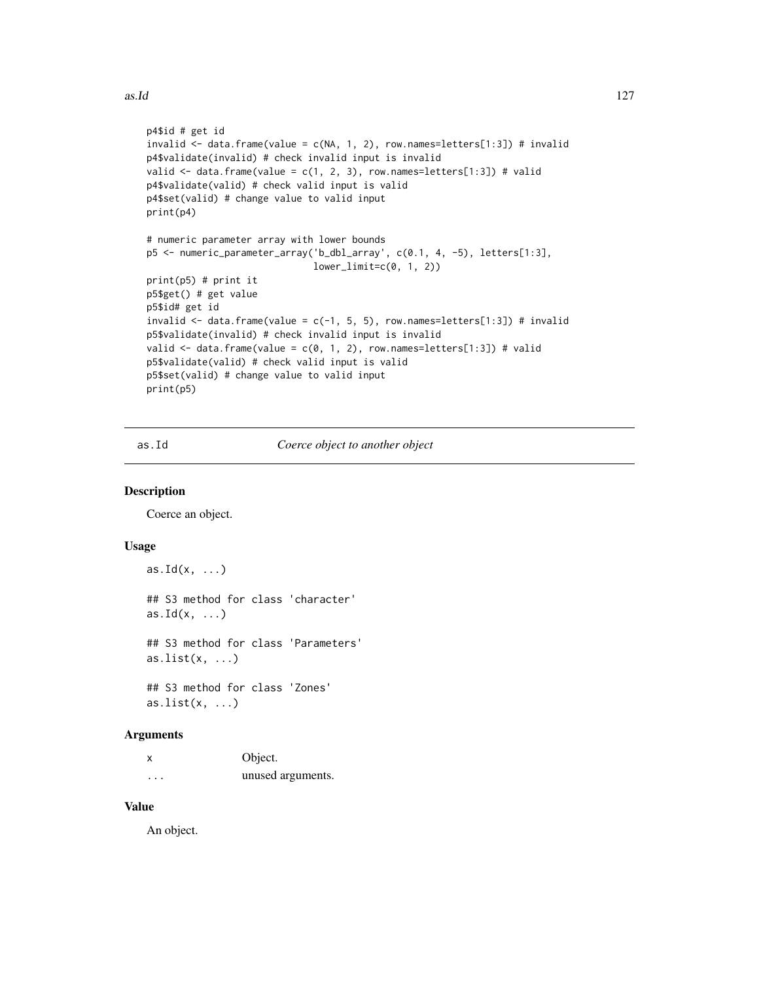```
p4$id # get id
invalid <- data.frame(value = c(NA, 1, 2), row.names=letters[1:3]) # invalid
p4$validate(invalid) # check invalid input is invalid
valid \leq data.frame(value = c(1, 2, 3), row.names=letters[1:3]) # valid
p4$validate(valid) # check valid input is valid
p4$set(valid) # change value to valid input
print(p4)
# numeric parameter array with lower bounds
p5 <- numeric_parameter_array('b_dbl_array', c(0.1, 4, -5), letters[1:3],
                              lower_limit=c(0, 1, 2))
print(p5) # print it
p5$get() # get value
p5$id# get id
invalid <- data.frame(value = c(-1, 5, 5), row.names=letters[1:3]) # invalid
p5$validate(invalid) # check invalid input is invalid
valid <- data.frame(value = c(0, 1, 2), row.names=letters[1:3]) # valid
p5$validate(valid) # check valid input is valid
p5$set(valid) # change value to valid input
print(p5)
```
as.Id *Coerce object to another object*

# Description

Coerce an object.

#### Usage

```
as.Id(x, \ldots)## S3 method for class 'character'
as.Id(x, \ldots)## S3 method for class 'Parameters'
as.list(x, \ldots)## S3 method for class 'Zones'
as.list(x, \ldots)
```
# Arguments

| x        | Object.           |
|----------|-------------------|
| $\cdots$ | unused arguments. |

# Value

An object.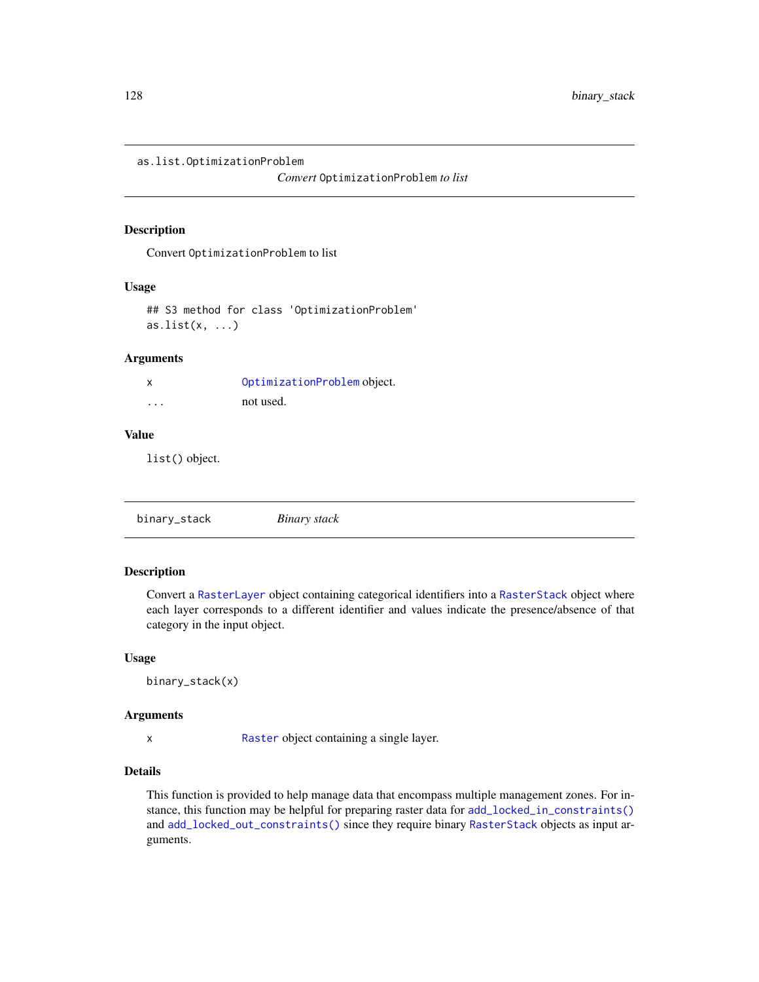as.list.OptimizationProblem

*Convert* OptimizationProblem *to list*

#### Description

Convert OptimizationProblem to list

#### Usage

```
## S3 method for class 'OptimizationProblem'
as.list(x, \ldots)
```
# Arguments

| X | OptimizationProblem object. |
|---|-----------------------------|
| . | not used.                   |

#### Value

list() object.

<span id="page-127-0"></span>

| binary_stack | Binary stack |  |
|--------------|--------------|--|
|              |              |  |

# Description

Convert a [RasterLayer](#page-0-0) object containing categorical identifiers into a [RasterStack](#page-0-0) object where each layer corresponds to a different identifier and values indicate the presence/absence of that category in the input object.

#### Usage

binary\_stack(x)

## Arguments

x [Raster](#page-0-0) object containing a single layer.

# Details

This function is provided to help manage data that encompass multiple management zones. For instance, this function may be helpful for preparing raster data for [add\\_locked\\_in\\_constraints\(\)](#page-59-0) and [add\\_locked\\_out\\_constraints\(\)](#page-63-0) since they require binary [RasterStack](#page-0-0) objects as input arguments.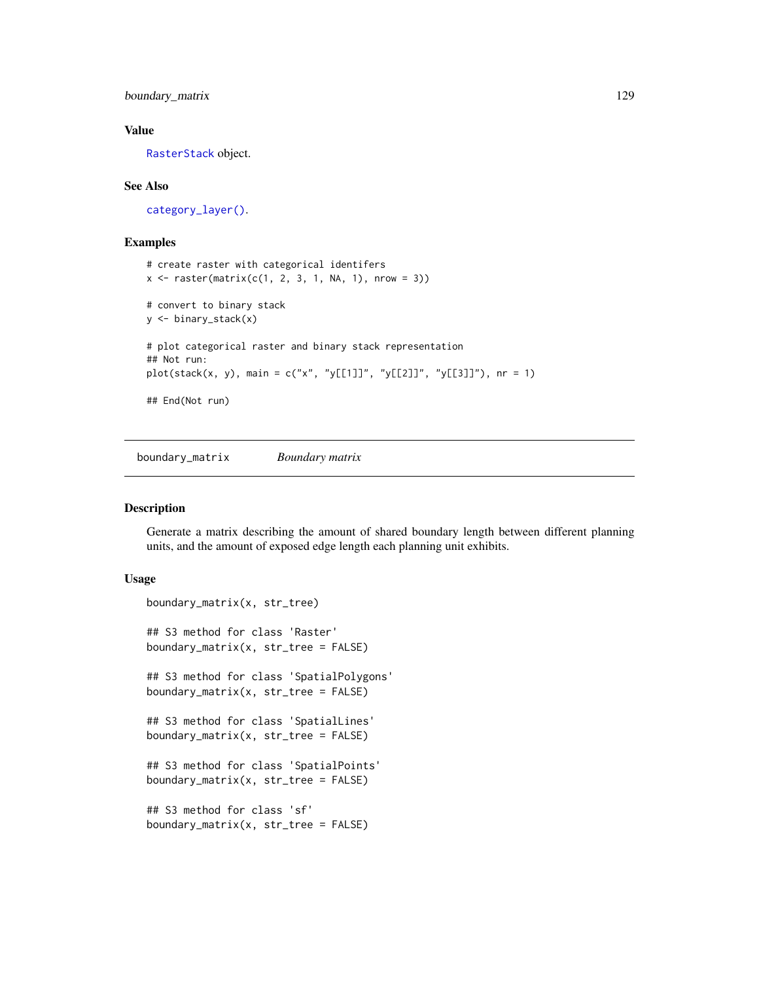boundary\_matrix 129

## Value

[RasterStack](#page-0-0) object.

## See Also

[category\\_layer\(\)](#page-131-0).

# Examples

```
# create raster with categorical identifers
x \leq -raster(matrix(c(1, 2, 3, 1, NA, 1), nrow = 3))# convert to binary stack
y <- binary_stack(x)
# plot categorical raster and binary stack representation
## Not run:
plot(stack(x, y), main = c("x", "y[[1]]", "y[[2]]", "y[[3]]"), nr = 1)
## End(Not run)
```
<span id="page-128-0"></span>boundary\_matrix *Boundary matrix*

# Description

Generate a matrix describing the amount of shared boundary length between different planning units, and the amount of exposed edge length each planning unit exhibits.

# Usage

```
boundary_matrix(x, str_tree)
## S3 method for class 'Raster'
boundary_matrix(x, str\_tree = FALSE)
## S3 method for class 'SpatialPolygons'
boundary_matrix(x, str_tree = FALSE)
## S3 method for class 'SpatialLines'
boundary_matrix(x, str_tree = FALSE)
## S3 method for class 'SpatialPoints'
boundary_matrix(x, str_tree = FALSE)
## S3 method for class 'sf'
boundary_matrix(x, str\_tree = FALSE)
```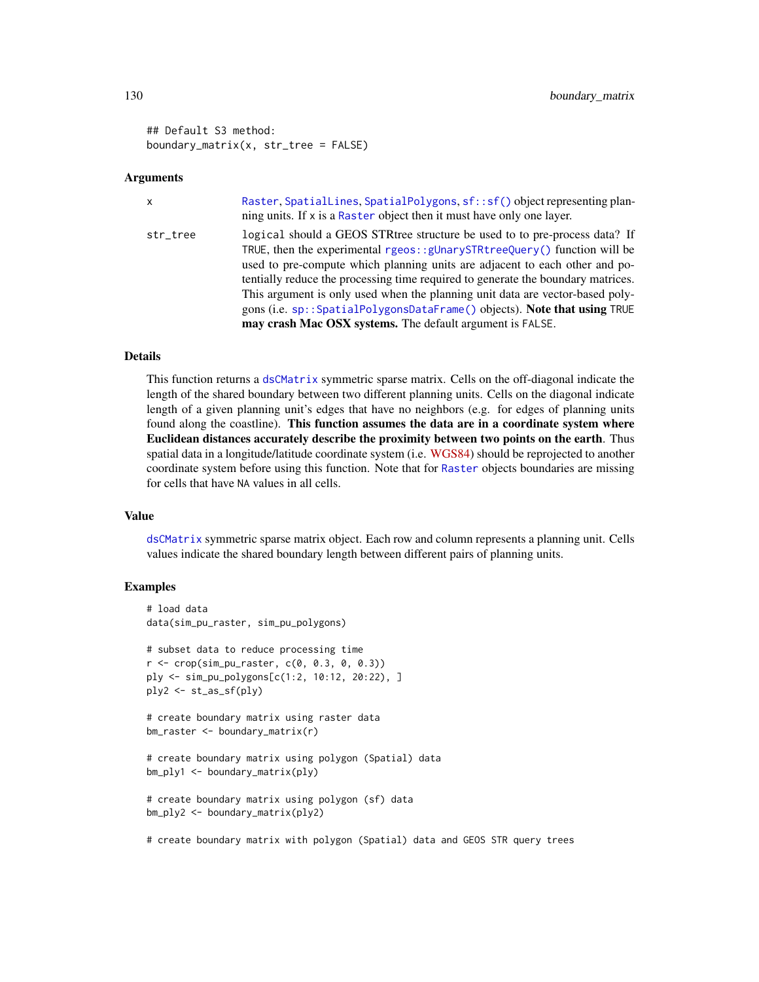## Default S3 method: boundary\_matrix(x,  $str\_tree = FALSE$ )

#### **Arguments**

| $\mathsf{x}$ | Raster, SpatialLines, SpatialPolygons, sf::sf() object representing plan-<br>ning units. If x is a Raster object then it must have only one layer.                                                                                                                                                                                                                                                                                                                                                                                                         |
|--------------|------------------------------------------------------------------------------------------------------------------------------------------------------------------------------------------------------------------------------------------------------------------------------------------------------------------------------------------------------------------------------------------------------------------------------------------------------------------------------------------------------------------------------------------------------------|
| str_tree     | logical should a GEOS STR tree structure be used to to pre-process data? If<br>TRUE, then the experimental rgeos: : $g$ UnarySTRtreeQuery() function will be<br>used to pre-compute which planning units are adjacent to each other and po-<br>tentially reduce the processing time required to generate the boundary matrices.<br>This argument is only used when the planning unit data are vector-based poly-<br>gons (i.e. sp:: SpatialPolygonsDataFrame() objects). Note that using TRUE<br>may crash Mac OSX systems. The default argument is FALSE. |

#### Details

This function returns a [dsCMatrix](#page-0-0) symmetric sparse matrix. Cells on the off-diagonal indicate the length of the shared boundary between two different planning units. Cells on the diagonal indicate length of a given planning unit's edges that have no neighbors (e.g. for edges of planning units found along the coastline). This function assumes the data are in a coordinate system where Euclidean distances accurately describe the proximity between two points on the earth. Thus spatial data in a longitude/latitude coordinate system (i.e. [WGS84\)](https://spatialreference.org/ref/epsg/wgs-84/) should be reprojected to another coordinate system before using this function. Note that for [Raster](#page-0-0) objects boundaries are missing for cells that have NA values in all cells.

#### Value

[dsCMatrix](#page-0-0) symmetric sparse matrix object. Each row and column represents a planning unit. Cells values indicate the shared boundary length between different pairs of planning units.

# **Examples**

```
# load data
data(sim_pu_raster, sim_pu_polygons)
# subset data to reduce processing time
r <- crop(sim_pu_raster, c(0, 0.3, 0, 0.3))
ply <- sim_pu_polygons[c(1:2, 10:12, 20:22), ]
ply2 <- st_as_sf(ply)
# create boundary matrix using raster data
bm_raster <- boundary_matrix(r)
# create boundary matrix using polygon (Spatial) data
bm_ply1 <- boundary_matrix(ply)
# create boundary matrix using polygon (sf) data
bm_ply2 <- boundary_matrix(ply2)
```
# create boundary matrix with polygon (Spatial) data and GEOS STR query trees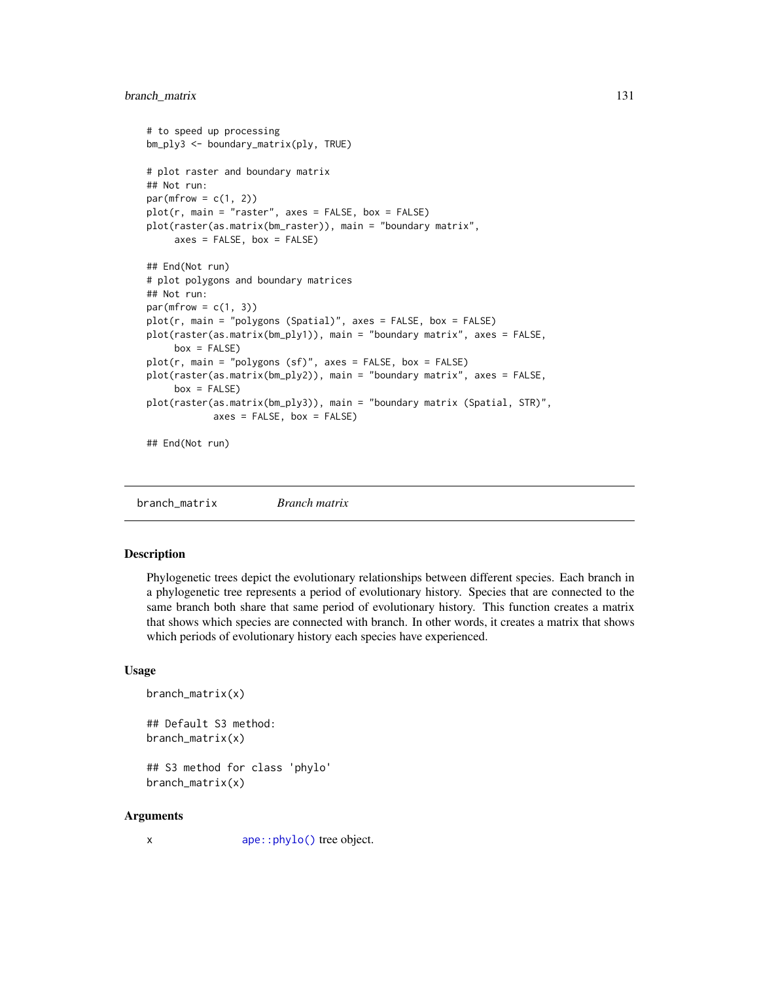# branch\_matrix 131

```
# to speed up processing
bm_ply3 <- boundary_matrix(ply, TRUE)
# plot raster and boundary matrix
## Not run:
par(mfrow = c(1, 2))plot(r, main = "raster", axes = FALSE, box = FALSE)plot(raster(as.matrix(bm_raster)), main = "boundary matrix",
     axes = FALSE, box = FALSE)## End(Not run)
# plot polygons and boundary matrices
## Not run:
par(mfrow = c(1, 3))plot(r, main = "polygons (Spatial)", axes = FALSE, box = FALSE)
plot(raster(as.matrix(bm_ply1)), main = "boundary matrix", axes = FALSE,
     box = FALSE)plot(r, main = "polygons (sf)", axes = FALSE, box = FALSE)
plot(raster(as.matrix(bm_ply2)), main = "boundary matrix", axes = FALSE,
     box = FALSE)plot(raster(as.matrix(bm_ply3)), main = "boundary matrix (Spatial, STR)",
           axes = FALSE, box = FALSE)## End(Not run)
```
branch\_matrix *Branch matrix*

# Description

Phylogenetic trees depict the evolutionary relationships between different species. Each branch in a phylogenetic tree represents a period of evolutionary history. Species that are connected to the same branch both share that same period of evolutionary history. This function creates a matrix that shows which species are connected with branch. In other words, it creates a matrix that shows which periods of evolutionary history each species have experienced.

#### Usage

```
branch_matrix(x)
```
## Default S3 method: branch\_matrix(x)

## S3 method for class 'phylo' branch\_matrix(x)

#### Arguments

x [ape::phylo\(\)](#page-0-0) tree object.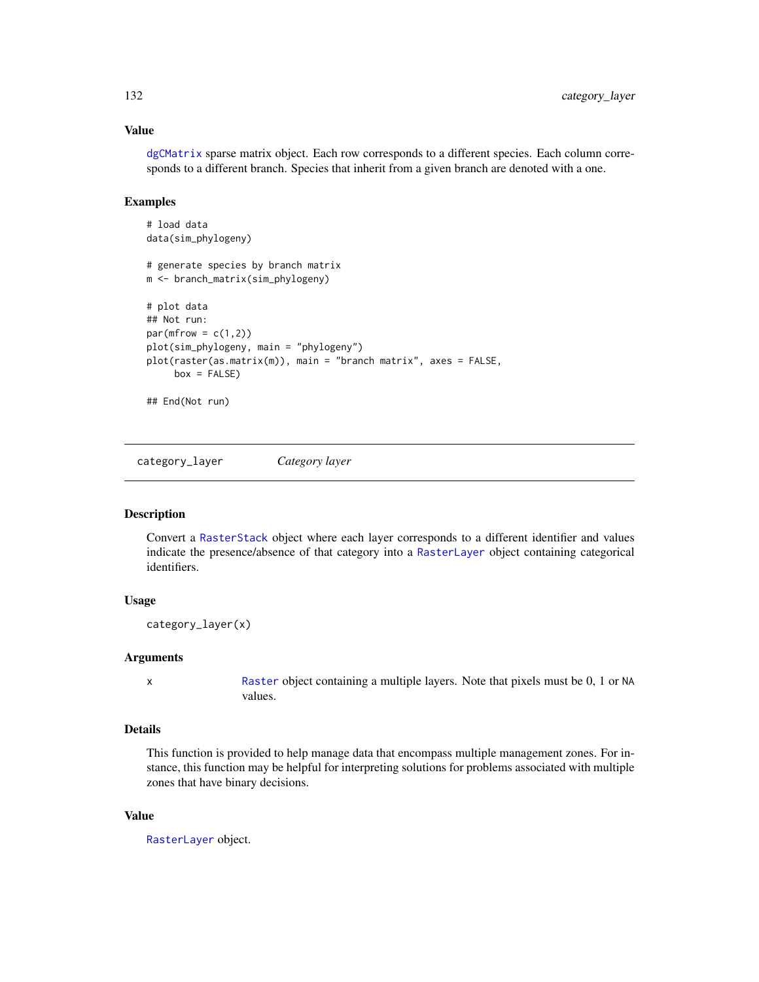# Value

[dgCMatrix](#page-0-0) sparse matrix object. Each row corresponds to a different species. Each column corresponds to a different branch. Species that inherit from a given branch are denoted with a one.

# Examples

```
# load data
data(sim_phylogeny)
# generate species by branch matrix
m <- branch_matrix(sim_phylogeny)
# plot data
## Not run:
par(mfrow = c(1,2))plot(sim_phylogeny, main = "phylogeny")
plot(raster(as.matrix(m)), main = "branch matrix", axes = FALSE,
     box = FALSE)## End(Not run)
```
<span id="page-131-0"></span>category\_layer *Category layer*

#### Description

Convert a [RasterStack](#page-0-0) object where each layer corresponds to a different identifier and values indicate the presence/absence of that category into a [RasterLayer](#page-0-0) object containing categorical identifiers.

# Usage

category\_layer(x)

#### Arguments

x [Raster](#page-0-0) object containing a multiple layers. Note that pixels must be 0, 1 or NA values.

# Details

This function is provided to help manage data that encompass multiple management zones. For instance, this function may be helpful for interpreting solutions for problems associated with multiple zones that have binary decisions.

# Value

[RasterLayer](#page-0-0) object.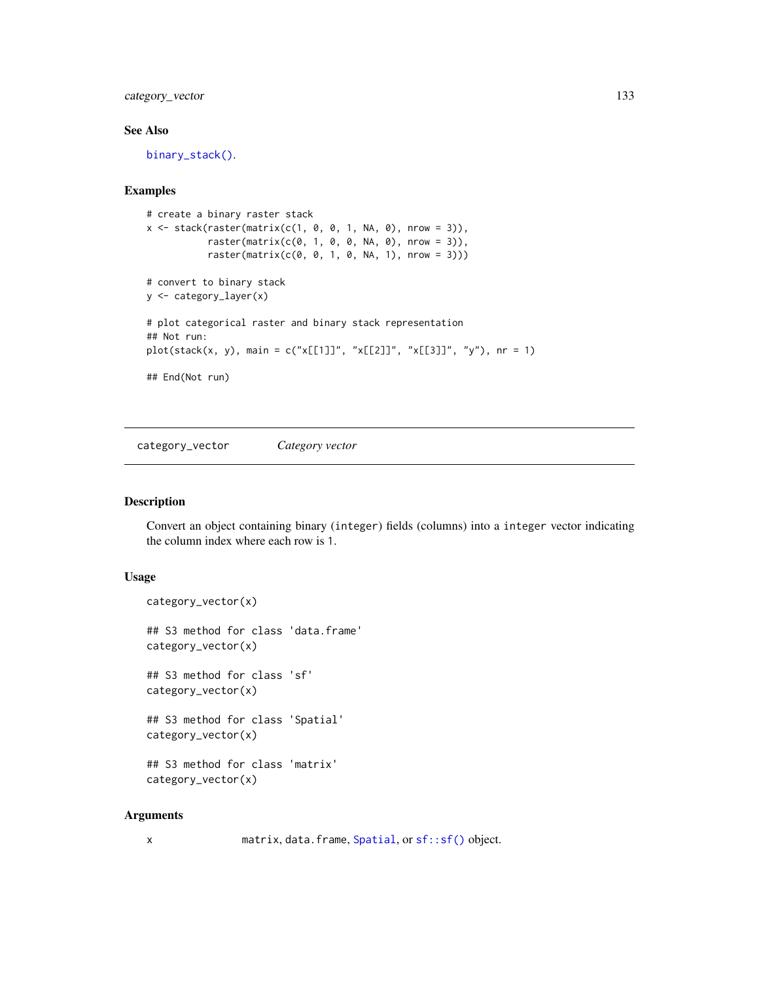category\_vector 133

# See Also

[binary\\_stack\(\)](#page-127-0).

# Examples

```
# create a binary raster stack
x \le - stack(raster(matrix(c(1, 0, 0, 1, NA, 0), nrow = 3)),
           raster(matrix(c(0, 1, 0, 0, NA, 0), nrow = 3)),raster(matrix(c(0, 0, 1, 0, NA, 1), nrow = 3)))# convert to binary stack
y <- category_layer(x)
# plot categorical raster and binary stack representation
## Not run:
plot(stack(x, y), main = c("x[[1]]", "x[[2]]", "x[[3]]", "y"), nr = 1)
## End(Not run)
```
category\_vector *Category vector*

# Description

Convert an object containing binary (integer) fields (columns) into a integer vector indicating the column index where each row is 1.

## Usage

```
category_vector(x)
## S3 method for class 'data.frame'
category_vector(x)
## S3 method for class 'sf'
category_vector(x)
## S3 method for class 'Spatial'
category_vector(x)
## S3 method for class 'matrix'
category_vector(x)
```
#### Arguments

x matrix, data.frame, [Spatial](#page-0-0), or [sf::sf\(\)](#page-0-0) object.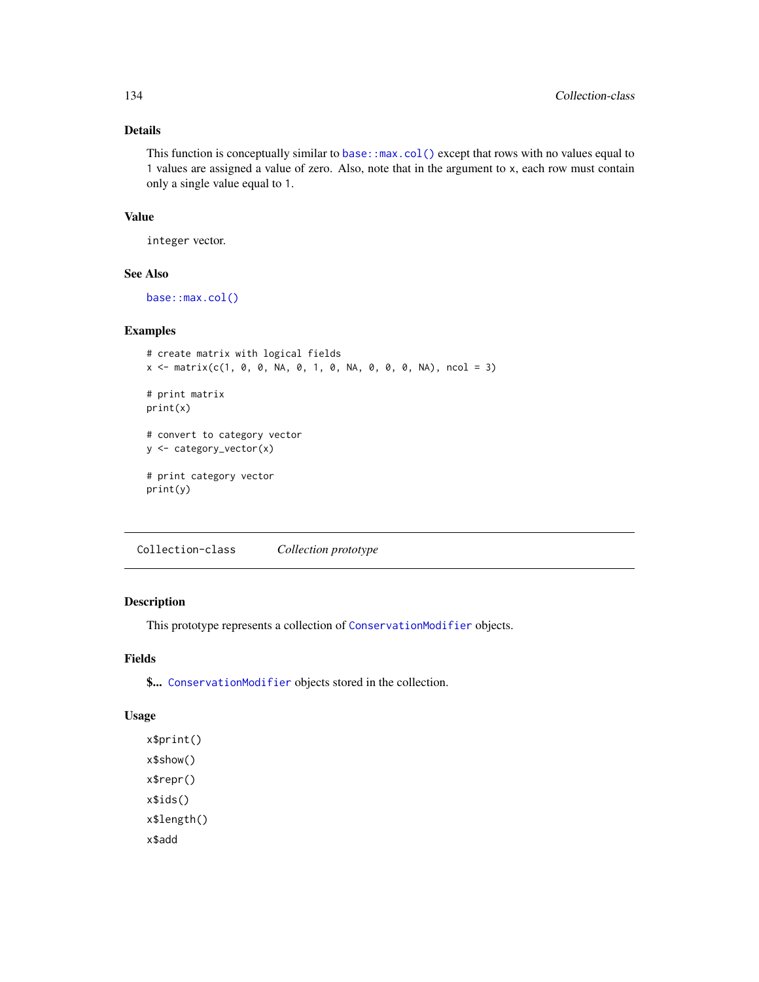# Details

This function is conceptually similar to base: :  $max.col()$  except that rows with no values equal to 1 values are assigned a value of zero. Also, note that in the argument to x, each row must contain only a single value equal to 1.

# Value

integer vector.

# See Also

[base::max.col\(\)](#page-0-0)

#### Examples

```
# create matrix with logical fields
x \le matrix(c(1, 0, 0, NA, 0, 1, 0, NA, 0, 0, 0, NA), ncol = 3)
# print matrix
print(x)
# convert to category vector
y <- category_vector(x)
# print category vector
print(y)
```
<span id="page-133-0"></span>Collection-class *Collection prototype*

# Description

This prototype represents a collection of [ConservationModifier](#page-139-0) objects.

# Fields

\$... [ConservationModifier](#page-139-0) objects stored in the collection.

# Usage

x\$print() x\$show() x\$repr() x\$ids() x\$length() x\$add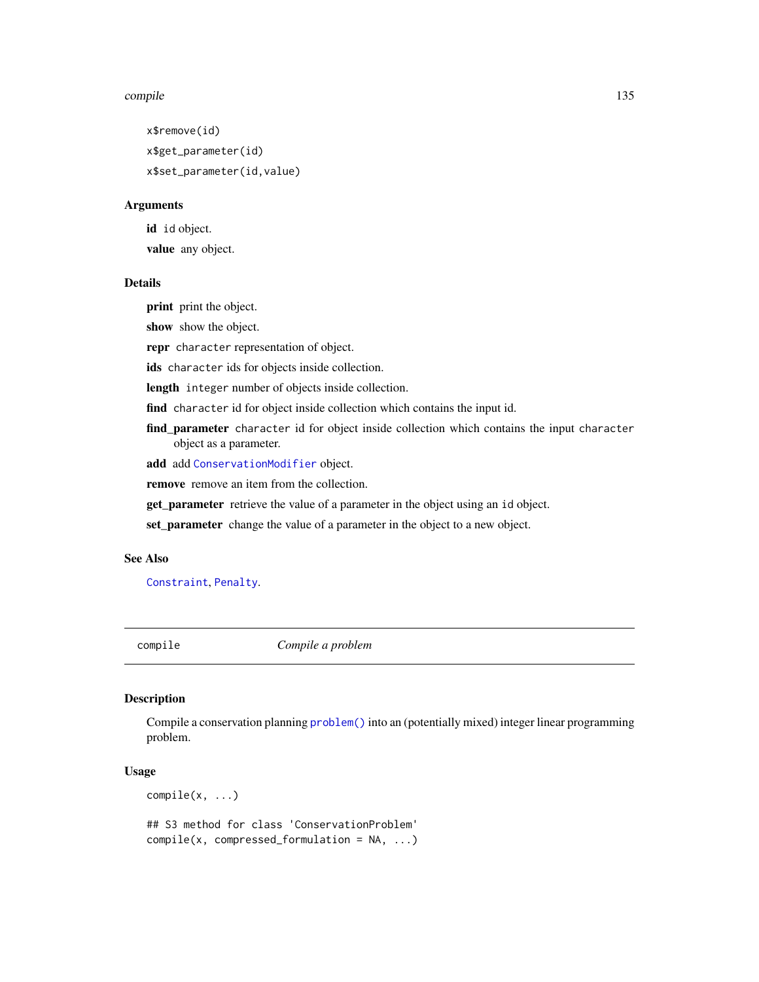#### compile that the compile the compile of the compile of the compile of the compile of the compile of the compile of the compile of the compile of the compile of the compile of the compile of the compile of the compile of th

x\$remove(id) x\$get\_parameter(id) x\$set\_parameter(id,value)

## Arguments

id id object. value any object.

#### Details

print print the object.

show show the object.

repr character representation of object.

ids character ids for objects inside collection.

length integer number of objects inside collection.

find character id for object inside collection which contains the input id.

find\_parameter character id for object inside collection which contains the input character object as a parameter.

add add [ConservationModifier](#page-139-0) object.

remove remove an item from the collection.

get\_parameter retrieve the value of a parameter in the object using an id object.

set\_parameter change the value of a parameter in the object to a new object.

# See Also

[Constraint](#page-144-0), [Penalty](#page-225-0).

compile *Compile a problem*

#### Description

Compile a conservation planning [problem\(\)](#page-238-0) into an (potentially mixed) integer linear programming problem.

#### Usage

compile(x, ...)

## S3 method for class 'ConservationProblem' compile(x, compressed\_formulation = NA, ...)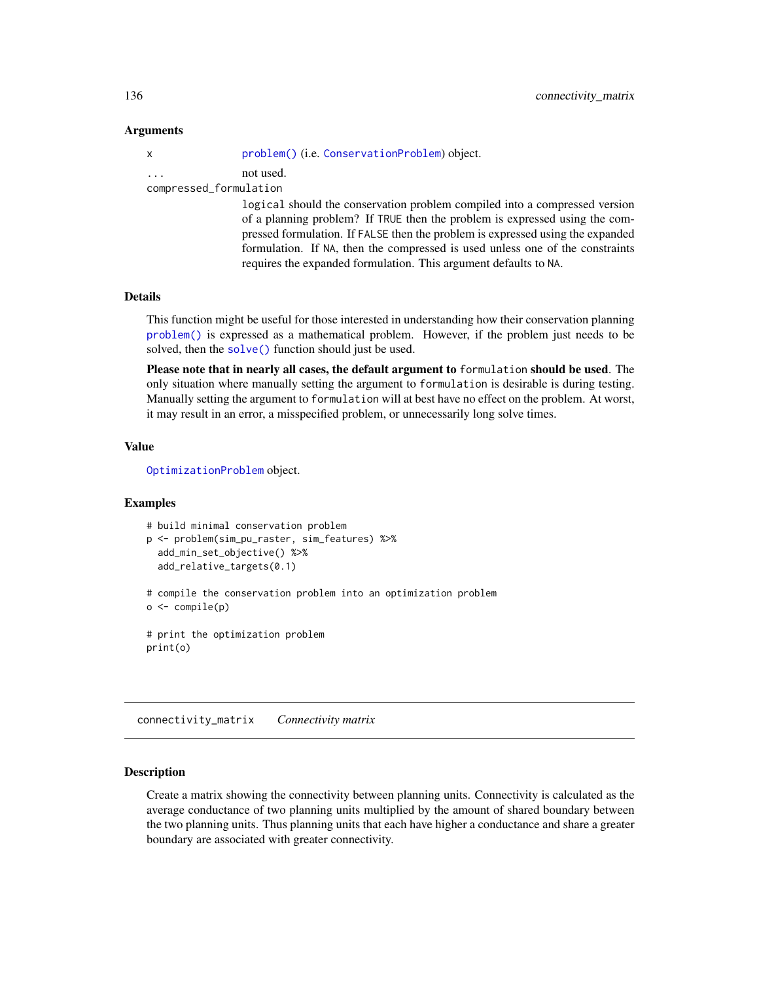## Arguments

| $\mathsf{X}$            | problem() (i.e. ConservationProblem) object.               |
|-------------------------|------------------------------------------------------------|
| $\cdot$ $\cdot$ $\cdot$ | not used.                                                  |
| compressed_formulation  |                                                            |
|                         | logical should the conservation problem compiled into a co |

logical should the conservation problem compiled into a compressed version of a planning problem? If TRUE then the problem is expressed using the compressed formulation. If FALSE then the problem is expressed using the expanded formulation. If NA, then the compressed is used unless one of the constraints requires the expanded formulation. This argument defaults to NA.

# **Details**

This function might be useful for those interested in understanding how their conservation planning [problem\(\)](#page-238-0) is expressed as a mathematical problem. However, if the problem just needs to be solved, then the [solve\(\)](#page-261-0) function should just be used.

Please note that in nearly all cases, the default argument to formulation should be used. The only situation where manually setting the argument to formulation is desirable is during testing. Manually setting the argument to formulation will at best have no effect on the problem. At worst, it may result in an error, a misspecified problem, or unnecessarily long solve times.

#### Value

[OptimizationProblem](#page-217-0) object.

#### Examples

```
# build minimal conservation problem
p <- problem(sim_pu_raster, sim_features) %>%
 add_min_set_objective() %>%
 add_relative_targets(0.1)
# compile the conservation problem into an optimization problem
```

```
o <- compile(p)
```
# print the optimization problem print(o)

connectivity\_matrix *Connectivity matrix*

## Description

Create a matrix showing the connectivity between planning units. Connectivity is calculated as the average conductance of two planning units multiplied by the amount of shared boundary between the two planning units. Thus planning units that each have higher a conductance and share a greater boundary are associated with greater connectivity.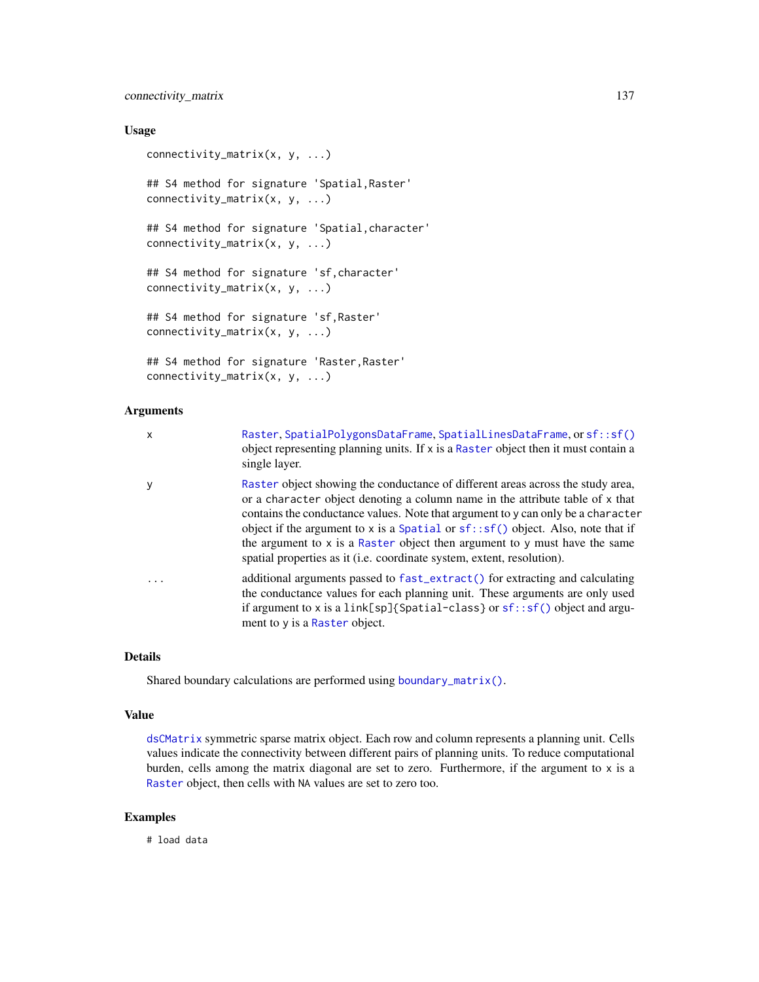# connectivity\_matrix 137

## Usage

```
connectivity_matrix(x, y, ...)
## S4 method for signature 'Spatial,Raster'
connectivity_matrix(x, y, ...)
## S4 method for signature 'Spatial,character'
connectivity_matrix(x, y, ...)
## S4 method for signature 'sf,character'
connectivity_matrix(x, y, ...)
## S4 method for signature 'sf,Raster'
connectivity_matrix(x, y, ...)
## S4 method for signature 'Raster, Raster'
connectivity_matrix(x, y, ...)
```
# Arguments

| X | Raster, SpatialPolygonsDataFrame, SpatialLinesDataFrame, or sf::sf()<br>object representing planning units. If x is a Raster object then it must contain a<br>single layer.                                                                                                                                                                                                                                                                                                                       |
|---|---------------------------------------------------------------------------------------------------------------------------------------------------------------------------------------------------------------------------------------------------------------------------------------------------------------------------------------------------------------------------------------------------------------------------------------------------------------------------------------------------|
| у | Raster object showing the conductance of different areas across the study area,<br>or a character object denoting a column name in the attribute table of x that<br>contains the conductance values. Note that argument to y can only be a character<br>object if the argument to x is a Spatial or $sf::sf()$ object. Also, note that if<br>the argument to x is a Raster object then argument to y must have the same<br>spatial properties as it (i.e. coordinate system, extent, resolution). |
| . | additional arguments passed to fast_extract() for extracting and calculating<br>the conductance values for each planning unit. These arguments are only used<br>if argument to x is a link[sp]{Spatial-class} or $sf::sf()$ object and argu-<br>ment to y is a Raster object.                                                                                                                                                                                                                     |

#### Details

Shared boundary calculations are performed using [boundary\\_matrix\(\)](#page-128-0).

## Value

[dsCMatrix](#page-0-0) symmetric sparse matrix object. Each row and column represents a planning unit. Cells values indicate the connectivity between different pairs of planning units. To reduce computational burden, cells among the matrix diagonal are set to zero. Furthermore, if the argument to x is a [Raster](#page-0-0) object, then cells with NA values are set to zero too.

# Examples

# load data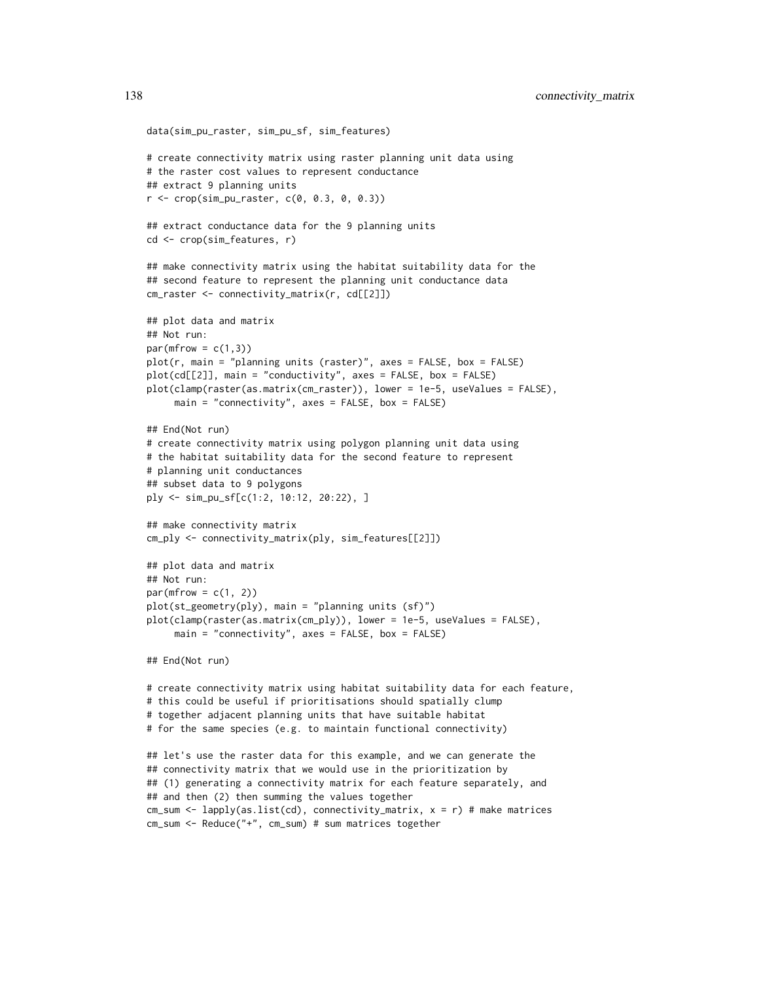```
data(sim_pu_raster, sim_pu_sf, sim_features)
# create connectivity matrix using raster planning unit data using
# the raster cost values to represent conductance
## extract 9 planning units
r <- crop(sim_pu_raster, c(0, 0.3, 0, 0.3))
## extract conductance data for the 9 planning units
cd <- crop(sim_features, r)
## make connectivity matrix using the habitat suitability data for the
## second feature to represent the planning unit conductance data
cm_raster <- connectivity_matrix(r, cd[[2]])
## plot data and matrix
## Not run:
par(mfrow = c(1,3))plot(r, main = "planning units (raster)", axes = FALSE, box = FALSE)
plot(cd[[2]], main = "conductivity", axes = FALSE, box = FALSE)
plot(clamp(raster(as.matrix(cm_raster)), lower = 1e-5, useValues = FALSE),
     main = "connectivity", axes = FALSE, box = FALSE)
## End(Not run)
# create connectivity matrix using polygon planning unit data using
# the habitat suitability data for the second feature to represent
# planning unit conductances
## subset data to 9 polygons
ply <- sim_pu_sf[c(1:2, 10:12, 20:22), ]
## make connectivity matrix
cm_ply <- connectivity_matrix(ply, sim_features[[2]])
## plot data and matrix
## Not run:
par(mfrow = c(1, 2))plot(st_geometry(ply), main = "planning units (sf)")
plot(clamp(raster(as.matrix(cm_ply)), lower = 1e-5, useValues = FALSE),
     main = "connectivity", axes = FALSE, box = FALSE)
## End(Not run)
# create connectivity matrix using habitat suitability data for each feature,
# this could be useful if prioritisations should spatially clump
# together adjacent planning units that have suitable habitat
# for the same species (e.g. to maintain functional connectivity)
## let's use the raster data for this example, and we can generate the
## connectivity matrix that we would use in the prioritization by
## (1) generating a connectivity matrix for each feature separately, and
## and then (2) then summing the values together
cm_sum <- lapply(as.list(cd), connectivity_matrix, x = r) # make matrices
cm_sum <- Reduce("+", cm_sum) # sum matrices together
```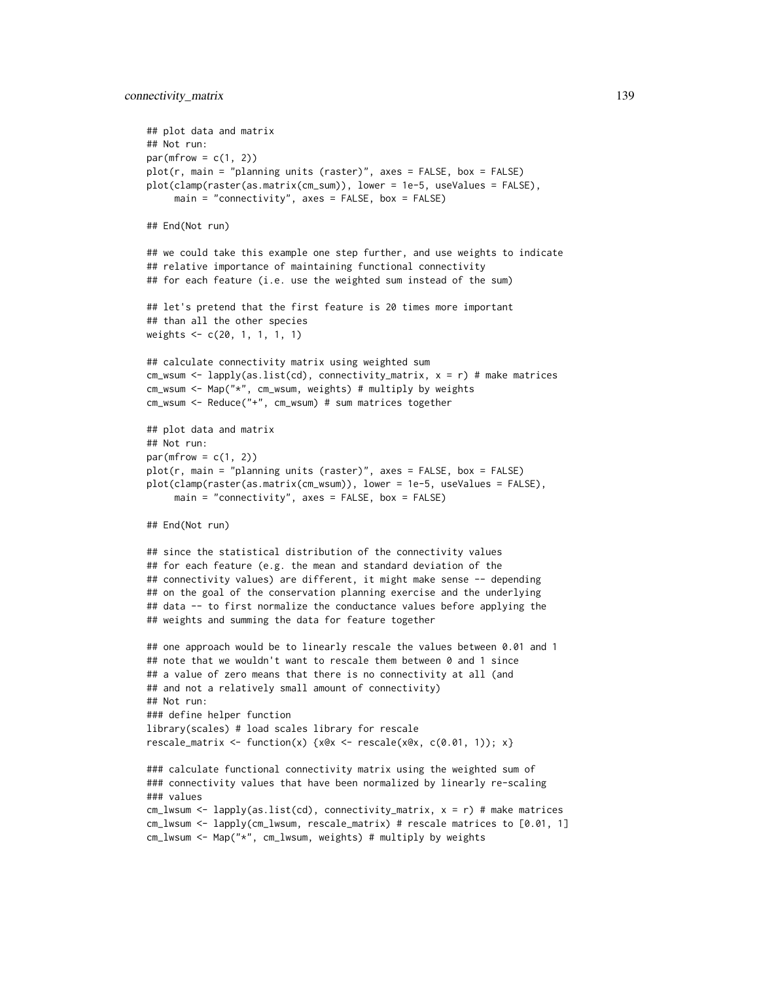```
## plot data and matrix
## Not run:
par(mfrow = c(1, 2))plot(r, main = "planning units (raster)", axes = FALSE, box = FALSE)
plot(clamp(raster(as.matrix(cm_sum)), lower = 1e-5, useValues = FALSE),
     main = "connectivity", axes = FALSE, box = FALSE)## End(Not run)
## we could take this example one step further, and use weights to indicate
## relative importance of maintaining functional connectivity
## for each feature (i.e. use the weighted sum instead of the sum)
## let's pretend that the first feature is 20 times more important
## than all the other species
weights <- c(20, 1, 1, 1, 1)
## calculate connectivity matrix using weighted sum
cm_wsum <- lapply(as.list(cd), connectivity_matrix, x = r) # make matrices
cm_wsum <- Map("*", cm_wsum, weights) # multiply by weights
cm_wsum <- Reduce("+", cm_wsum) # sum matrices together
## plot data and matrix
## Not run:
par(mfrow = c(1, 2))plot(r, main = "planning units (raster)", axes = FALSE, box = FALSE)
plot(clamp(raster(as.matrix(cm_wsum)), lower = 1e-5, useValues = FALSE),
     main = "connectivity", axes = FALSE, box = FALSE)## End(Not run)
## since the statistical distribution of the connectivity values
## for each feature (e.g. the mean and standard deviation of the
## connectivity values) are different, it might make sense -- depending
## on the goal of the conservation planning exercise and the underlying
## data -- to first normalize the conductance values before applying the
## weights and summing the data for feature together
## one approach would be to linearly rescale the values between 0.01 and 1
## note that we wouldn't want to rescale them between 0 and 1 since
## a value of zero means that there is no connectivity at all (and
## and not a relatively small amount of connectivity)
## Not run:
### define helper function
library(scales) # load scales library for rescale
rescale_matrix <- function(x) {x@x <- rescale(x@x, c(0.01, 1)); x}
### calculate functional connectivity matrix using the weighted sum of
### connectivity values that have been normalized by linearly re-scaling
### values
cm_lwsum <- lapply(as.list(cd), connectivity_matrix, x = r) # make matrices
cm_lwsum <- lapply(cm_lwsum, rescale_matrix) # rescale matrices to [0.01, 1]
cm_lwsum <- Map("*", cm_lwsum, weights) # multiply by weights
```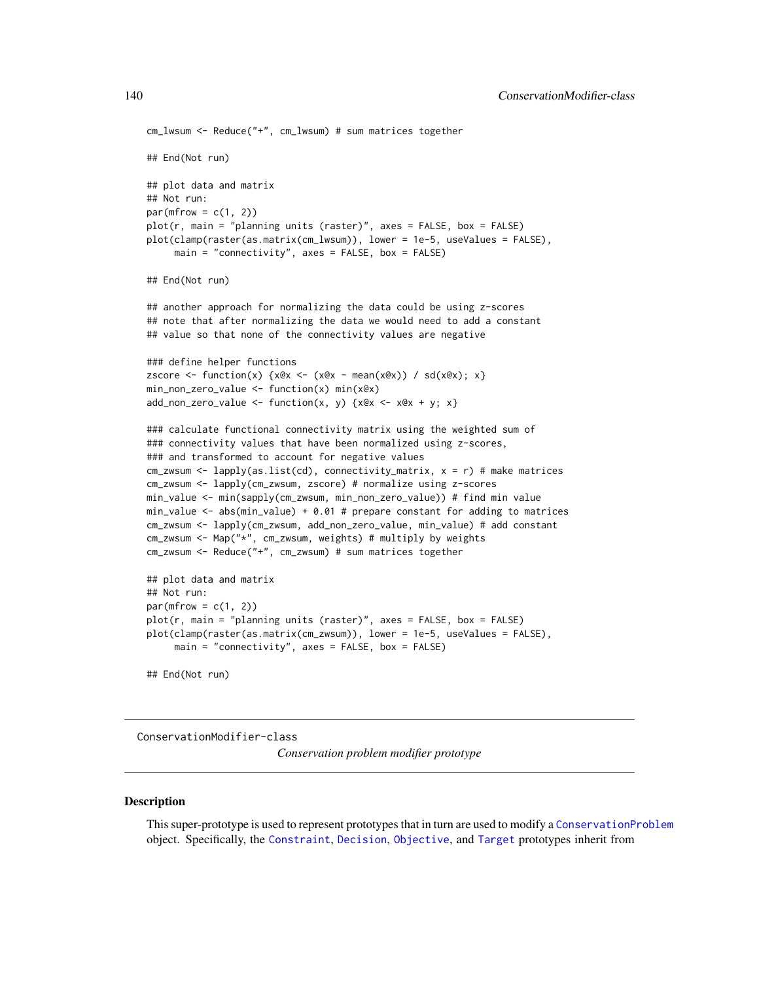```
cm_lwsum <- Reduce("+", cm_lwsum) # sum matrices together
## End(Not run)
## plot data and matrix
## Not run:
par(mfrow = c(1, 2))plot(r, main = "planning units (raster)", axes = FALSE, box = FALSE)
plot(clamp(raster(as.matrix(cm_lwsum)), lower = 1e-5, useValues = FALSE),
     main = "connectivity", axes = FALSE, box = FALSE)## End(Not run)
## another approach for normalizing the data could be using z-scores
## note that after normalizing the data we would need to add a constant
## value so that none of the connectivity values are negative
### define helper functions
zscore \le function(x) {x@x \le (x@x - mean(x@x)) / sd(x@x); x}
min_non_zero_value <- function(x) min(x@x)
add\_non\_zero\_value \leq function(x, y) \{x@x \leq x@x + y; x\}### calculate functional connectivity matrix using the weighted sum of
### connectivity values that have been normalized using z-scores,
### and transformed to account for negative values
cm_zwsum <- lapply(as.list(cd), connectivity_matrix, x = r) # make matrices
cm_zwsum <- lapply(cm_zwsum, zscore) # normalize using z-scores
min_value <- min(sapply(cm_zwsum, min_non_zero_value)) # find min value
min_value <- abs(min_value) + 0.01 # prepare constant for adding to matrices
cm_zwsum <- lapply(cm_zwsum, add_non_zero_value, min_value) # add constant
cm_zwsum <- Map("*", cm_zwsum, weights) # multiply by weights
cm_zwsum <- Reduce("+", cm_zwsum) # sum matrices together
## plot data and matrix
## Not run:
par(mfrow = c(1, 2))plot(r, main = "planning units (raster)", axes = FALSE, box = FALSE)
plot(clamp(raster(as.matrix(cm_zwsum)), lower = 1e-5, useValues = FALSE),
     main = "connectivity", axes = FALSE, box = FALSE)## End(Not run)
```
<span id="page-139-0"></span>ConservationModifier-class *Conservation problem modifier prototype*

#### **Description**

This super-prototype is used to represent prototypes that in turn are used to modify a [ConservationProblem](#page-141-0) object. Specifically, the [Constraint](#page-144-0), [Decision](#page-146-0), [Objective](#page-215-0), and [Target](#page-271-1) prototypes inherit from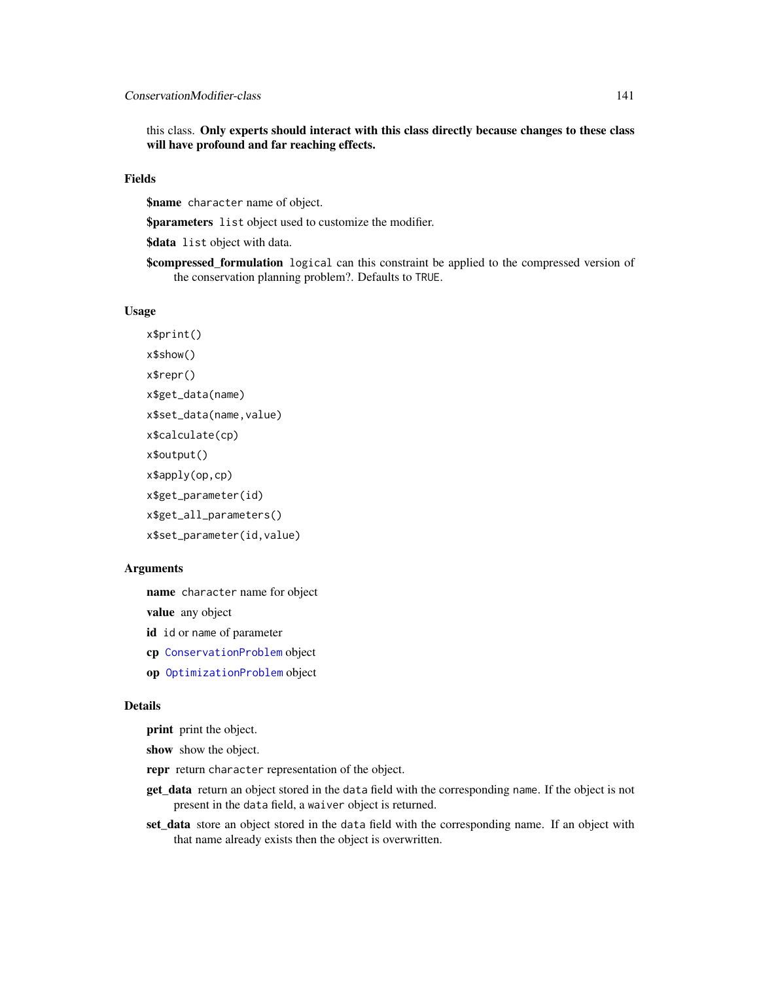this class. Only experts should interact with this class directly because changes to these class will have profound and far reaching effects.

## Fields

\$name character name of object.

**\$parameters** list object used to customize the modifier.

\$data list object with data.

**\$compressed\_formulation** logical can this constraint be applied to the compressed version of the conservation planning problem?. Defaults to TRUE.

## Usage

```
x$print()
x$show()
x$repr()
x$get_data(name)
x$set_data(name,value)
x$calculate(cp)
x$output()
x$apply(op,cp)
x$get_parameter(id)
x$get_all_parameters()
x$set_parameter(id,value)
```
#### Arguments

name character name for object

value any object

id id or name of parameter

- cp [ConservationProblem](#page-141-0) object
- op [OptimizationProblem](#page-217-0) object

#### Details

print print the object.

show show the object.

- repr return character representation of the object.
- get\_data return an object stored in the data field with the corresponding name. If the object is not present in the data field, a waiver object is returned.
- set\_data store an object stored in the data field with the corresponding name. If an object with that name already exists then the object is overwritten.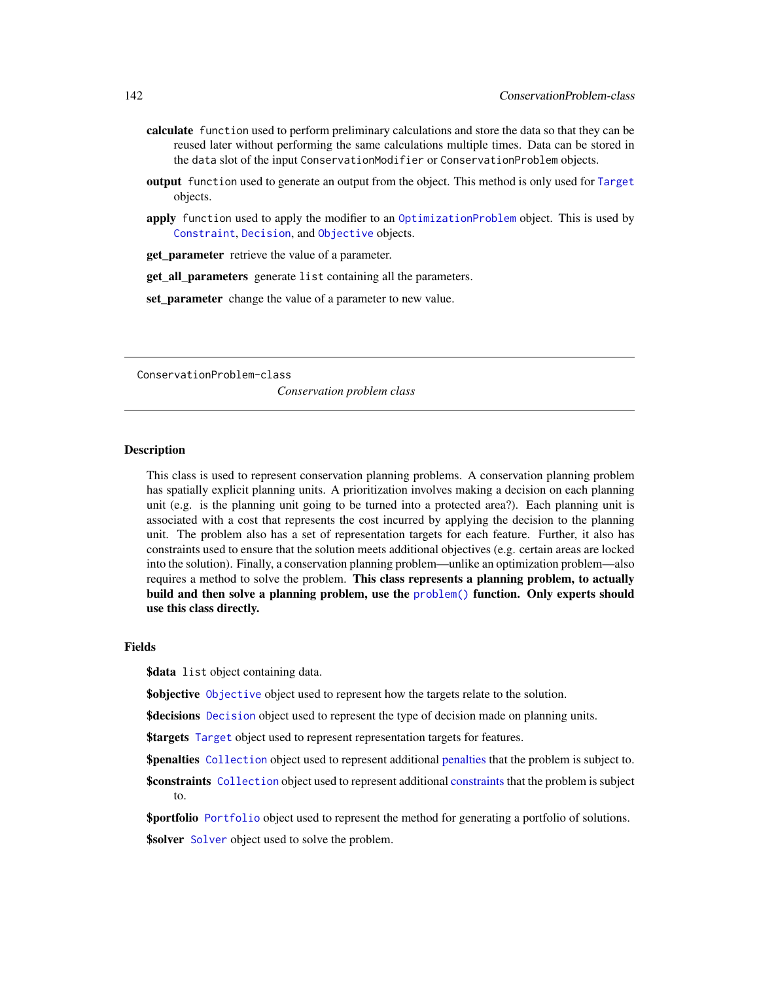- calculate function used to perform preliminary calculations and store the data so that they can be reused later without performing the same calculations multiple times. Data can be stored in the data slot of the input ConservationModifier or ConservationProblem objects.
- output function used to generate an output from the object. This method is only used for [Target](#page-271-1) objects.
- apply function used to apply the modifier to an [OptimizationProblem](#page-217-0) object. This is used by [Constraint](#page-144-0), [Decision](#page-146-0), and [Objective](#page-215-0) objects.
- get parameter retrieve the value of a parameter.

get\_all\_parameters generate list containing all the parameters.

set\_parameter change the value of a parameter to new value.

<span id="page-141-0"></span>ConservationProblem-class

*Conservation problem class*

# Description

This class is used to represent conservation planning problems. A conservation planning problem has spatially explicit planning units. A prioritization involves making a decision on each planning unit (e.g. is the planning unit going to be turned into a protected area?). Each planning unit is associated with a cost that represents the cost incurred by applying the decision to the planning unit. The problem also has a set of representation targets for each feature. Further, it also has constraints used to ensure that the solution meets additional objectives (e.g. certain areas are locked into the solution). Finally, a conservation planning problem—unlike an optimization problem—also requires a method to solve the problem. This class represents a planning problem, to actually build and then solve a planning problem, use the [problem\(\)](#page-238-0) function. Only experts should use this class directly.

#### Fields

**\$data** list object containing data.

\$objective [Objective](#page-215-0) object used to represent how the targets relate to the solution.

**\$decisions** [Decision](#page-146-0) object used to represent the type of decision made on planning units.

\$targets [Target](#page-271-1) object used to represent representation targets for features.

**\$[penalties](#page-224-0)** [Collection](#page-133-0) object used to represent additional penalties that the problem is subject to.

**\$[constraints](#page-145-0)** [Collection](#page-133-0) object used to represent additional constraints that the problem is subject to.

\$portfolio [Portfolio](#page-226-0) object used to represent the method for generating a portfolio of solutions. \$solver [Solver](#page-266-0) object used to solve the problem.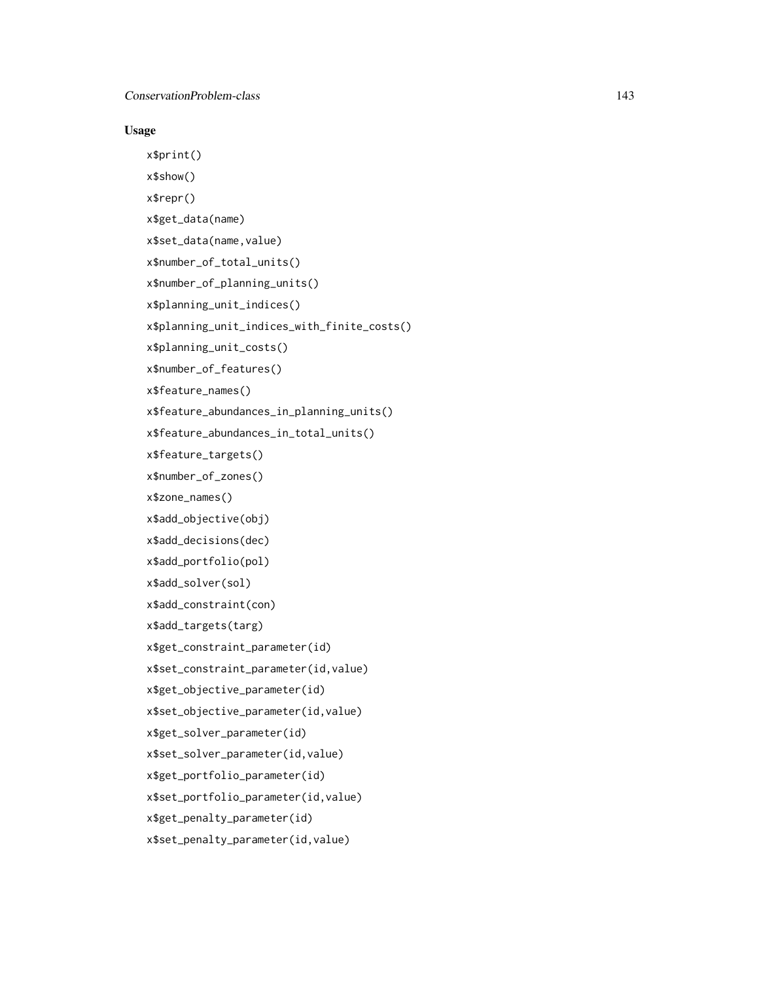# Usage

```
x$print()
x$show()
x$repr()
x$get_data(name)
x$set_data(name,value)
x$number_of_total_units()
x$number_of_planning_units()
x$planning_unit_indices()
x$planning_unit_indices_with_finite_costs()
x$planning_unit_costs()
x$number_of_features()
x$feature_names()
x$feature_abundances_in_planning_units()
x$feature_abundances_in_total_units()
x$feature_targets()
x$number_of_zones()
x$zone_names()
x$add_objective(obj)
x$add_decisions(dec)
x$add_portfolio(pol)
x$add_solver(sol)
x$add_constraint(con)
x$add_targets(targ)
x$get_constraint_parameter(id)
x$set_constraint_parameter(id,value)
x$get_objective_parameter(id)
x$set_objective_parameter(id,value)
x$get_solver_parameter(id)
x$set_solver_parameter(id,value)
x$get_portfolio_parameter(id)
x$set_portfolio_parameter(id,value)
x$get_penalty_parameter(id)
x$set_penalty_parameter(id,value)
```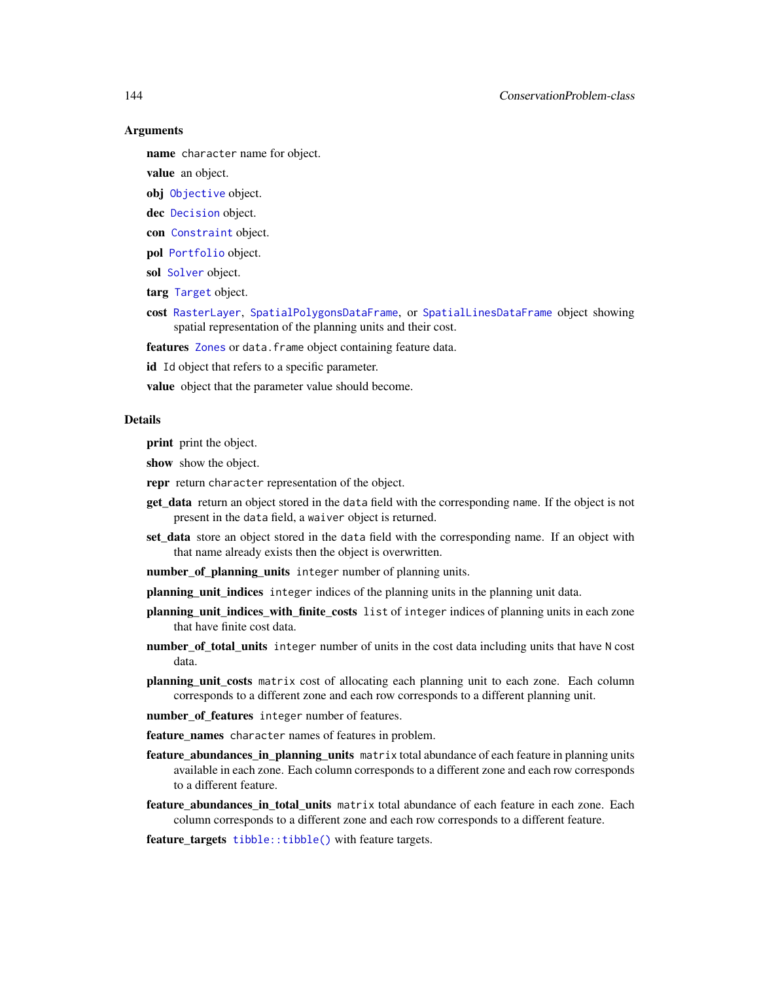## 144 ConservationProblem-class

## Arguments

name character name for object.

value an object.

obj [Objective](#page-215-0) object.

- dec [Decision](#page-146-0) object.
- con [Constraint](#page-144-0) object.
- pol [Portfolio](#page-226-0) object.
- sol [Solver](#page-266-0) object.
- targ [Target](#page-271-1) object.
- cost [RasterLayer](#page-0-0), [SpatialPolygonsDataFrame](#page-0-0), or [SpatialLinesDataFrame](#page-0-0) object showing spatial representation of the planning units and their cost.

features [Zones](#page-274-0) or data. frame object containing feature data.

id Id object that refers to a specific parameter.

value object that the parameter value should become.

#### Details

print print the object.

show show the object.

- repr return character representation of the object.
- get\_data return an object stored in the data field with the corresponding name. If the object is not present in the data field, a waiver object is returned.
- set\_data store an object stored in the data field with the corresponding name. If an object with that name already exists then the object is overwritten.
- number\_of\_planning\_units integer number of planning units.
- planning\_unit\_indices integer indices of the planning units in the planning unit data.
- planning\_unit\_indices\_with\_finite\_costs list of integer indices of planning units in each zone that have finite cost data.
- number\_of\_total\_units integer number of units in the cost data including units that have N cost data.
- planning\_unit\_costs matrix cost of allocating each planning unit to each zone. Each column corresponds to a different zone and each row corresponds to a different planning unit.
- number\_of\_features integer number of features.
- feature\_names character names of features in problem.
- feature\_abundances\_in\_planning\_units matrix total abundance of each feature in planning units available in each zone. Each column corresponds to a different zone and each row corresponds to a different feature.
- feature\_abundances\_in\_total\_units matrix total abundance of each feature in each zone. Each column corresponds to a different zone and each row corresponds to a different feature.
- feature\_targets [tibble::tibble\(\)](#page-0-0) with feature targets.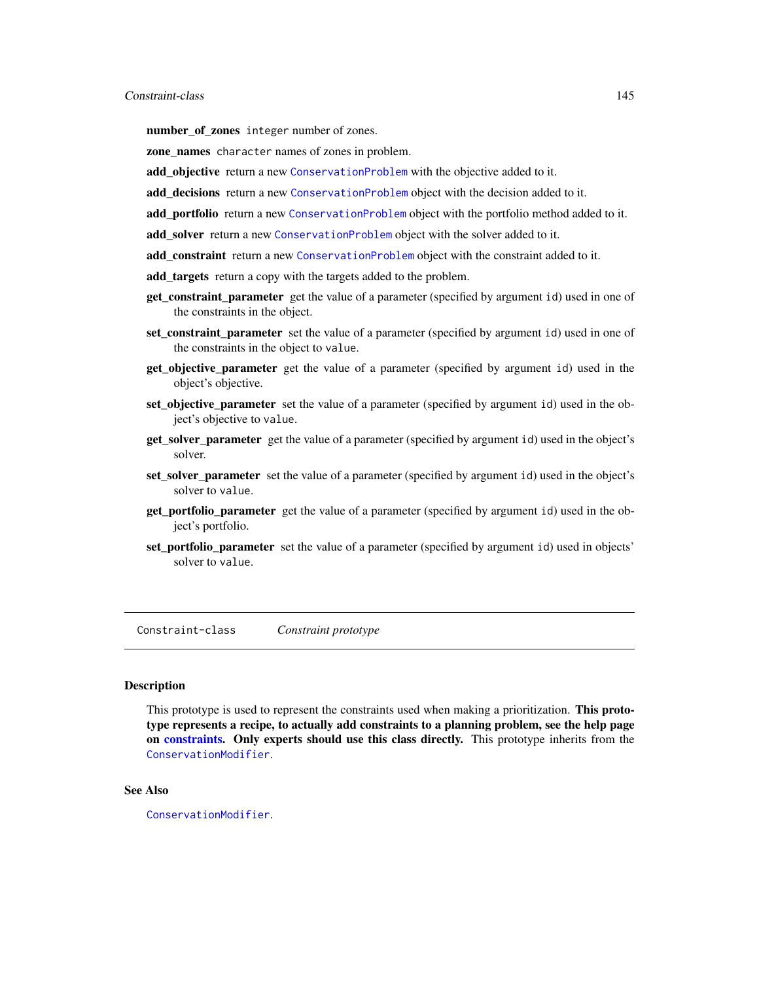# Constraint-class 145

number\_of\_zones integer number of zones.

zone names character names of zones in problem.

- add objective return a new [ConservationProblem](#page-141-0) with the objective added to it.
- add\_decisions return a new [ConservationProblem](#page-141-0) object with the decision added to it.
- add portfolio return a new [ConservationProblem](#page-141-0) object with the portfolio method added to it.
- add\_solver return a new [ConservationProblem](#page-141-0) object with the solver added to it.
- add constraint return a new [ConservationProblem](#page-141-0) object with the constraint added to it.
- add\_targets return a copy with the targets added to the problem.
- get\_constraint\_parameter get the value of a parameter (specified by argument id) used in one of the constraints in the object.
- set\_constraint\_parameter set the value of a parameter (specified by argument id) used in one of the constraints in the object to value.
- get\_objective\_parameter get the value of a parameter (specified by argument id) used in the object's objective.
- set\_objective\_parameter set the value of a parameter (specified by argument id) used in the object's objective to value.
- get\_solver\_parameter get the value of a parameter (specified by argument id) used in the object's solver.
- set\_solver\_parameter set the value of a parameter (specified by argument id) used in the object's solver to value.
- get\_portfolio\_parameter get the value of a parameter (specified by argument id) used in the object's portfolio.
- set portfolio parameter set the value of a parameter (specified by argument id) used in objects' solver to value.

Constraint-class *Constraint prototype*

# Description

This prototype is used to represent the constraints used when making a prioritization. This prototype represents a recipe, to actually add constraints to a planning problem, see the help page on [constraints.](#page-145-0) Only experts should use this class directly. This prototype inherits from the [ConservationModifier](#page-139-0).

# See Also

[ConservationModifier](#page-139-0).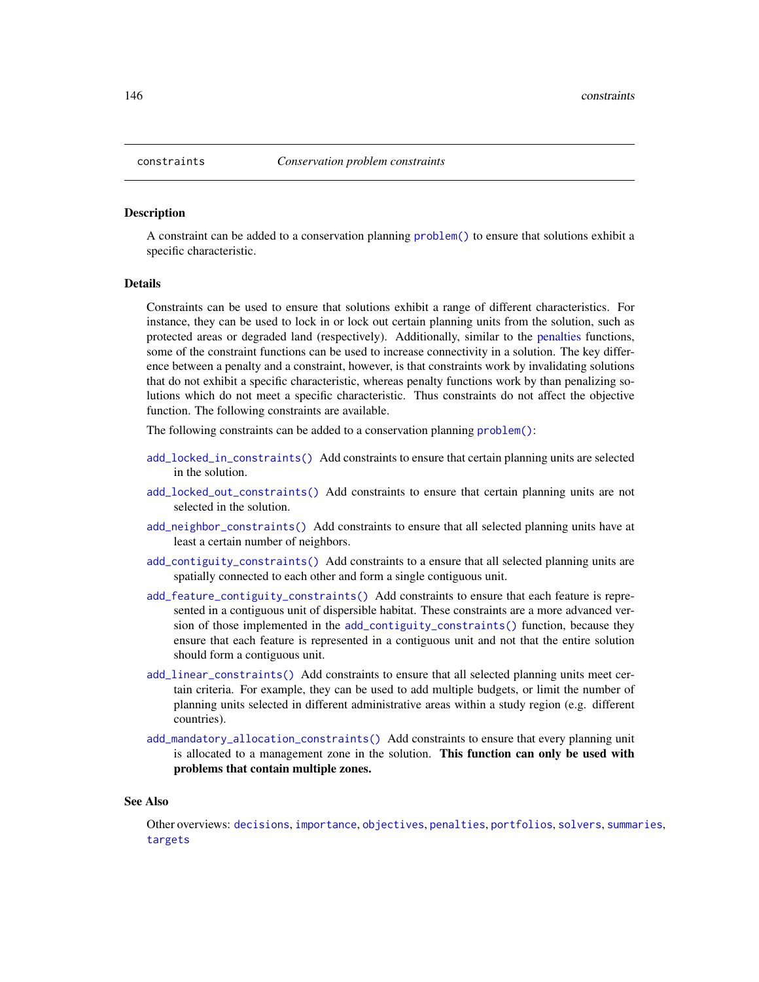#### <span id="page-145-0"></span>**Description**

A constraint can be added to a conservation planning [problem\(\)](#page-238-0) to ensure that solutions exhibit a specific characteristic.

## Details

Constraints can be used to ensure that solutions exhibit a range of different characteristics. For instance, they can be used to lock in or lock out certain planning units from the solution, such as protected areas or degraded land (respectively). Additionally, similar to the [penalties](#page-224-0) functions, some of the constraint functions can be used to increase connectivity in a solution. The key difference between a penalty and a constraint, however, is that constraints work by invalidating solutions that do not exhibit a specific characteristic, whereas penalty functions work by than penalizing solutions which do not meet a specific characteristic. Thus constraints do not affect the objective function. The following constraints are available.

The following constraints can be added to a conservation planning [problem\(\)](#page-238-0):

- [add\\_locked\\_in\\_constraints\(\)](#page-59-0) Add constraints to ensure that certain planning units are selected in the solution.
- [add\\_locked\\_out\\_constraints\(\)](#page-63-0) Add constraints to ensure that certain planning units are not selected in the solution.
- [add\\_neighbor\\_constraints\(\)](#page-105-0) Add constraints to ensure that all selected planning units have at least a certain number of neighbors.
- [add\\_contiguity\\_constraints\(\)](#page-25-0) Add constraints to a ensure that all selected planning units are spatially connected to each other and form a single contiguous unit.
- [add\\_feature\\_contiguity\\_constraints\(\)](#page-36-0) Add constraints to ensure that each feature is represented in a contiguous unit of dispersible habitat. These constraints are a more advanced version of those implemented in the [add\\_contiguity\\_constraints\(\)](#page-25-0) function, because they ensure that each feature is represented in a contiguous unit and not that the entire solution should form a contiguous unit.
- [add\\_linear\\_constraints\(\)](#page-50-0) Add constraints to ensure that all selected planning units meet certain criteria. For example, they can be used to add multiple budgets, or limit the number of planning units selected in different administrative areas within a study region (e.g. different countries).
- [add\\_mandatory\\_allocation\\_constraints\(\)](#page-72-0) Add constraints to ensure that every planning unit is allocated to a management zone in the solution. This function can only be used with problems that contain multiple zones.

#### See Also

Other overviews: [decisions](#page-147-0), [importance](#page-195-0), [objectives](#page-215-0), [penalties](#page-224-0), [portfolios](#page-227-0), [solvers](#page-267-0), [summaries](#page-269-0), [targets](#page-271-0)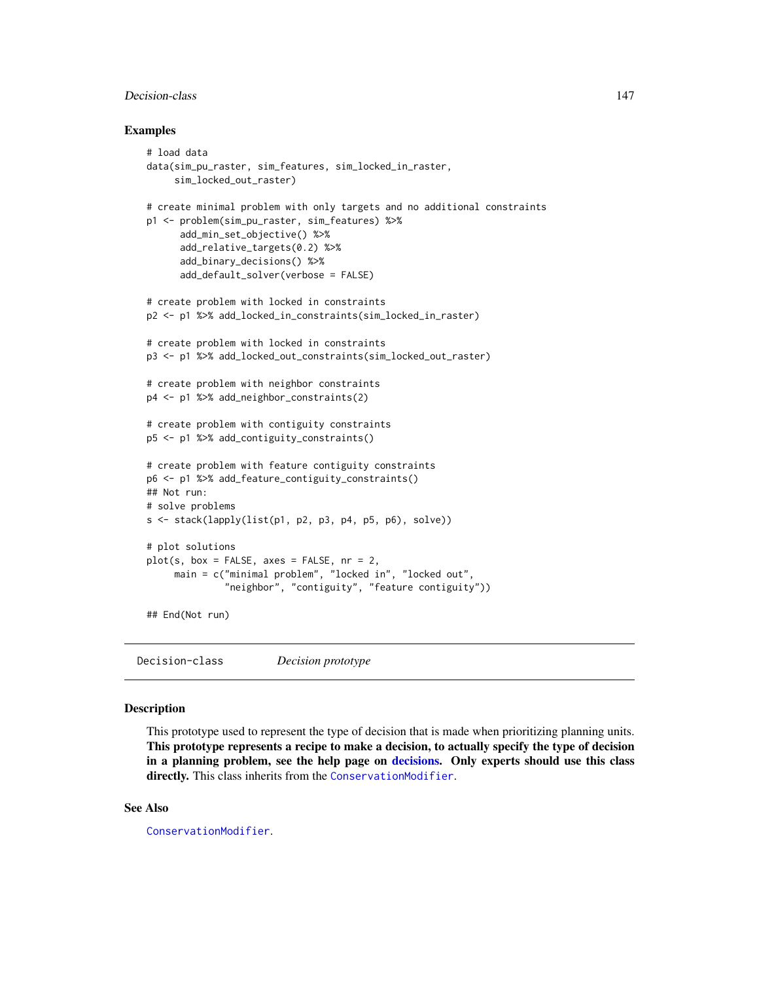# Decision-class 147

## Examples

```
# load data
data(sim_pu_raster, sim_features, sim_locked_in_raster,
     sim_locked_out_raster)
# create minimal problem with only targets and no additional constraints
p1 <- problem(sim_pu_raster, sim_features) %>%
      add_min_set_objective() %>%
      add_relative_targets(0.2) %>%
      add_binary_decisions() %>%
      add_default_solver(verbose = FALSE)
# create problem with locked in constraints
p2 <- p1 %>% add_locked_in_constraints(sim_locked_in_raster)
# create problem with locked in constraints
p3 <- p1 %>% add_locked_out_constraints(sim_locked_out_raster)
# create problem with neighbor constraints
p4 <- p1 %>% add_neighbor_constraints(2)
# create problem with contiguity constraints
p5 <- p1 %>% add_contiguity_constraints()
# create problem with feature contiguity constraints
p6 <- p1 %>% add_feature_contiguity_constraints()
## Not run:
# solve problems
s \leftarrow \text{stack}(\text{lapping}(\text{list}(p1, p2, p3, p4, p5, p6), \text{solve}))# plot solutions
plot(s, box = FALSE, axes = FALSE, nr = 2,main = c("minimal problem", "locked in", "locked out",
              "neighbor", "contiguity", "feature contiguity"))
## End(Not run)
```
Decision-class *Decision prototype*

# Description

This prototype used to represent the type of decision that is made when prioritizing planning units. This prototype represents a recipe to make a decision, to actually specify the type of decision in a planning problem, see the help page on [decisions.](#page-147-0) Only experts should use this class directly. This class inherits from the [ConservationModifier](#page-139-0).

## See Also

[ConservationModifier](#page-139-0).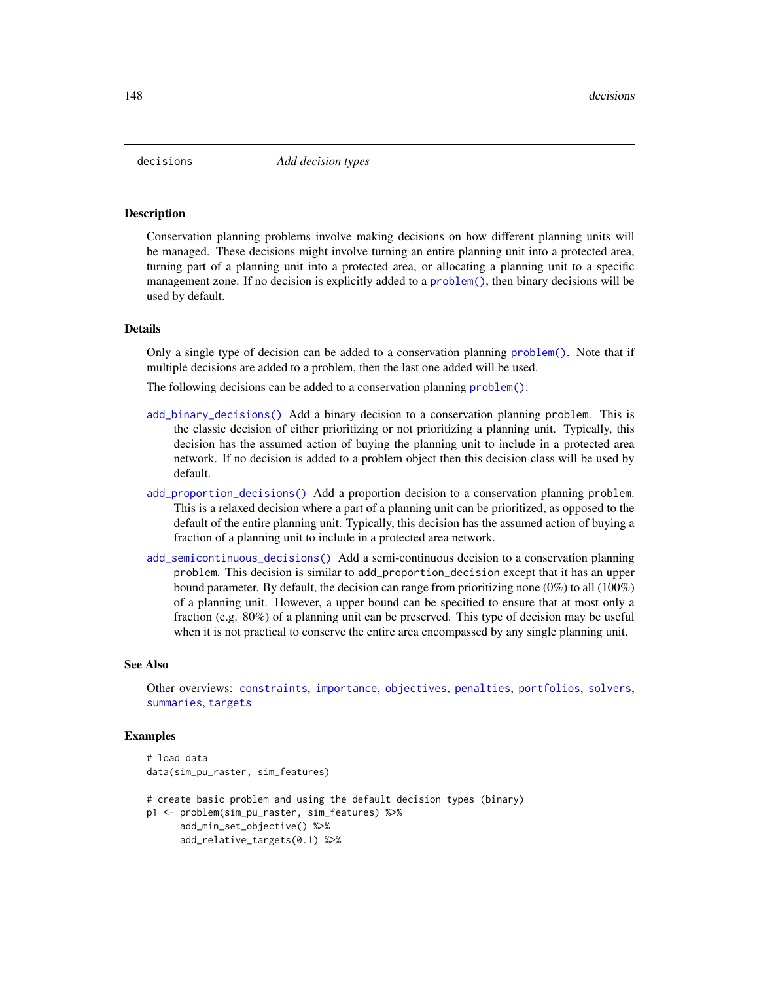<span id="page-147-0"></span>

#### **Description**

Conservation planning problems involve making decisions on how different planning units will be managed. These decisions might involve turning an entire planning unit into a protected area, turning part of a planning unit into a protected area, or allocating a planning unit to a specific management zone. If no decision is explicitly added to a [problem\(\)](#page-238-0), then binary decisions will be used by default.

#### Details

Only a single type of decision can be added to a conservation planning [problem\(\)](#page-238-0). Note that if multiple decisions are added to a problem, then the last one added will be used.

The following decisions can be added to a conservation planning [problem\(\)](#page-238-0):

- [add\\_binary\\_decisions\(\)](#page-8-0) Add a binary decision to a conservation planning problem. This is the classic decision of either prioritizing or not prioritizing a planning unit. Typically, this decision has the assumed action of buying the planning unit to include in a protected area network. If no decision is added to a problem object then this decision class will be used by default.
- [add\\_proportion\\_decisions\(\)](#page-109-0) Add a proportion decision to a conservation planning problem. This is a relaxed decision where a part of a planning unit can be prioritized, as opposed to the default of the entire planning unit. Typically, this decision has the assumed action of buying a fraction of a planning unit to include in a protected area network.
- [add\\_semicontinuous\\_decisions\(\)](#page-115-0) Add a semi-continuous decision to a conservation planning problem. This decision is similar to add\_proportion\_decision except that it has an upper bound parameter. By default, the decision can range from prioritizing none (0%) to all (100%) of a planning unit. However, a upper bound can be specified to ensure that at most only a fraction (e.g. 80%) of a planning unit can be preserved. This type of decision may be useful when it is not practical to conserve the entire area encompassed by any single planning unit.

## See Also

Other overviews: [constraints](#page-145-0), [importance](#page-195-0), [objectives](#page-215-0), [penalties](#page-224-0), [portfolios](#page-227-0), [solvers](#page-267-0), [summaries](#page-269-0), [targets](#page-271-0)

```
# load data
data(sim_pu_raster, sim_features)
# create basic problem and using the default decision types (binary)
p1 <- problem(sim_pu_raster, sim_features) %>%
     add_min_set_objective() %>%
     add_relative_targets(0.1) %>%
```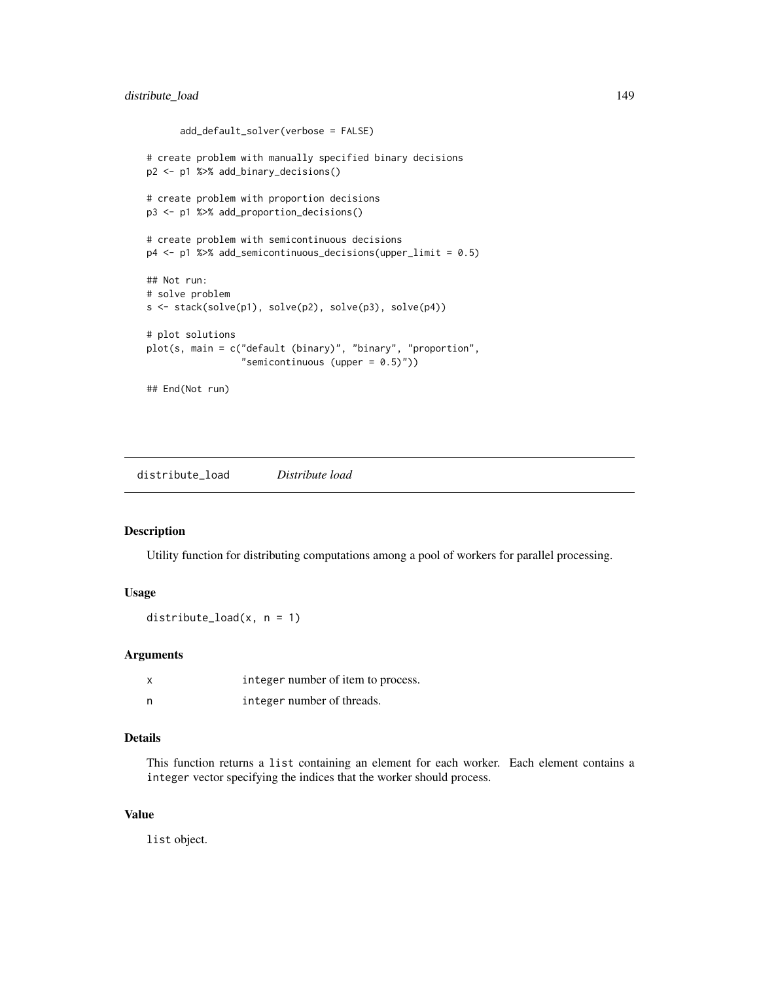```
add_default_solver(verbose = FALSE)
# create problem with manually specified binary decisions
p2 <- p1 %>% add_binary_decisions()
# create problem with proportion decisions
p3 <- p1 %>% add_proportion_decisions()
# create problem with semicontinuous decisions
p4 <- p1 %>% add_semicontinuous_decisions(upper_limit = 0.5)
## Not run:
# solve problem
s <- stack(solve(p1), solve(p2), solve(p3), solve(p4))
# plot solutions
plot(s, main = c("default (binary)", "binary", "proportion",
                 "semicontinuous (upper = 0.5)"))
## End(Not run)
```
distribute\_load *Distribute load*

# Description

Utility function for distributing computations among a pool of workers for parallel processing.

# Usage

```
distribute_load(x, n = 1)
```
# Arguments

| x | integer number of item to process. |
|---|------------------------------------|
| n | integer number of threads.         |

# Details

This function returns a list containing an element for each worker. Each element contains a integer vector specifying the indices that the worker should process.

## Value

list object.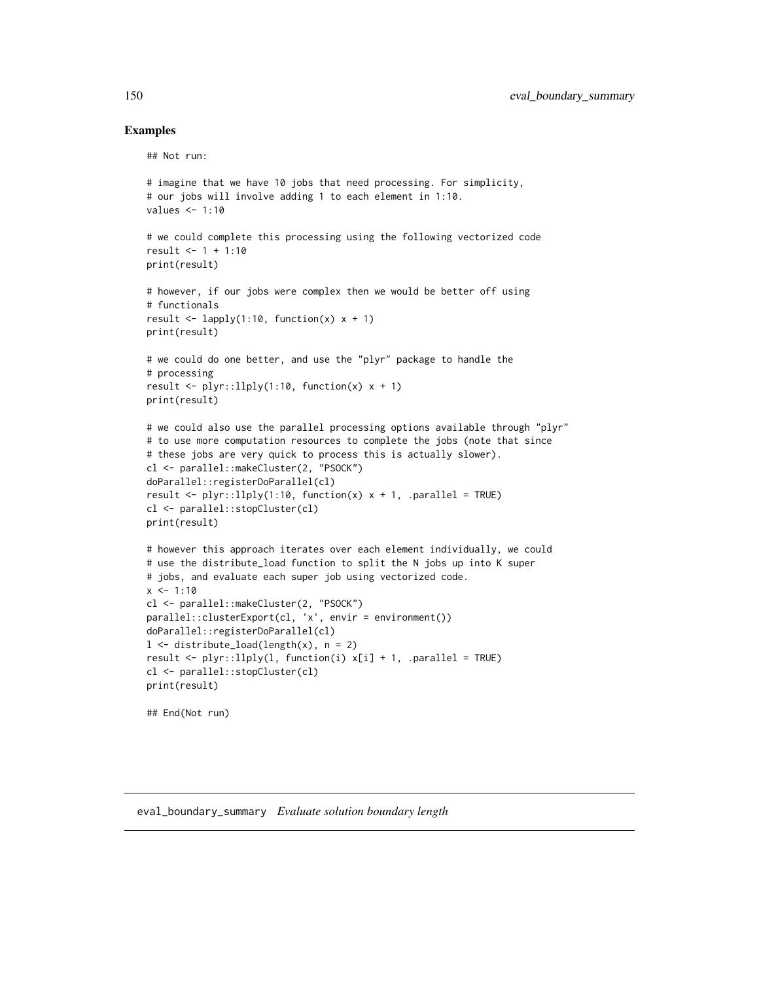# Examples

```
## Not run:
```

```
# imagine that we have 10 jobs that need processing. For simplicity,
# our jobs will involve adding 1 to each element in 1:10.
values <- 1:10
# we could complete this processing using the following vectorized code
result <- 1 + 1:10
print(result)
# however, if our jobs were complex then we would be better off using
# functionals
result \leq lapply(1:10, function(x) x + 1)
print(result)
# we could do one better, and use the "plyr" package to handle the
# processing
result \le plyr::llply(1:10, function(x) x + 1)
print(result)
# we could also use the parallel processing options available through "plyr"
# to use more computation resources to complete the jobs (note that since
# these jobs are very quick to process this is actually slower).
cl <- parallel::makeCluster(2, "PSOCK")
doParallel::registerDoParallel(cl)
result \le plyr::llply(1:10, function(x) x + 1, .parallel = TRUE)
cl <- parallel::stopCluster(cl)
print(result)
# however this approach iterates over each element individually, we could
# use the distribute_load function to split the N jobs up into K super
# jobs, and evaluate each super job using vectorized code.
x \le -1:10cl <- parallel::makeCluster(2, "PSOCK")
parallel::clusterExport(cl, 'x', envir = environment())
doParallel::registerDoParallel(cl)
l <- distribute_load(length(x), n = 2)
result \le plyr::llply(1, function(i) x[i] + 1, .parallel = TRUE)
cl <- parallel::stopCluster(cl)
print(result)
## End(Not run)
```
<span id="page-149-0"></span>eval\_boundary\_summary *Evaluate solution boundary length*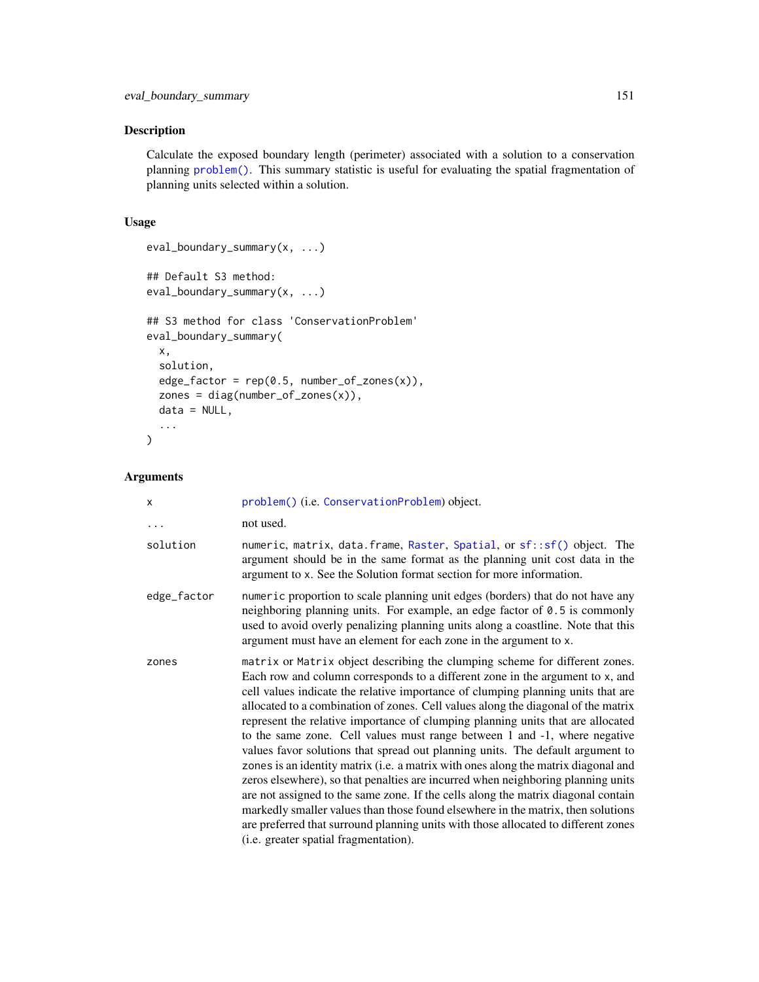# Description

Calculate the exposed boundary length (perimeter) associated with a solution to a conservation planning [problem\(\)](#page-238-0). This summary statistic is useful for evaluating the spatial fragmentation of planning units selected within a solution.

# Usage

```
eval_boundary_summary(x, ...)
## Default S3 method:
eval_boundary_summary(x, ...)
## S3 method for class 'ConservationProblem'
eval_boundary_summary(
 x,
  solution,
 edge_factor = rep(0.5, number_of_zones(x)),zones = diag(number_of_zones(x)),
 data = NULL,...
)
```
# Arguments

| X           | problem() (i.e. ConservationProblem) object.                                                                                                                                                                                                                                                                                                                                                                                                                                                                                                                                                                                                                                                                                                                                                                                                                                                                                                                                                                                                                              |
|-------------|---------------------------------------------------------------------------------------------------------------------------------------------------------------------------------------------------------------------------------------------------------------------------------------------------------------------------------------------------------------------------------------------------------------------------------------------------------------------------------------------------------------------------------------------------------------------------------------------------------------------------------------------------------------------------------------------------------------------------------------------------------------------------------------------------------------------------------------------------------------------------------------------------------------------------------------------------------------------------------------------------------------------------------------------------------------------------|
|             | not used.                                                                                                                                                                                                                                                                                                                                                                                                                                                                                                                                                                                                                                                                                                                                                                                                                                                                                                                                                                                                                                                                 |
| solution    | numeric, matrix, data. frame, Raster, Spatial, or sf:: sf() object. The<br>argument should be in the same format as the planning unit cost data in the<br>argument to x. See the Solution format section for more information.                                                                                                                                                                                                                                                                                                                                                                                                                                                                                                                                                                                                                                                                                                                                                                                                                                            |
| edge_factor | numeric proportion to scale planning unit edges (borders) that do not have any<br>neighboring planning units. For example, an edge factor of 0.5 is commonly<br>used to avoid overly penalizing planning units along a coastline. Note that this<br>argument must have an element for each zone in the argument to x.                                                                                                                                                                                                                                                                                                                                                                                                                                                                                                                                                                                                                                                                                                                                                     |
| zones       | matrix or Matrix object describing the clumping scheme for different zones.<br>Each row and column corresponds to a different zone in the argument to x, and<br>cell values indicate the relative importance of clumping planning units that are<br>allocated to a combination of zones. Cell values along the diagonal of the matrix<br>represent the relative importance of clumping planning units that are allocated<br>to the same zone. Cell values must range between 1 and -1, where negative<br>values favor solutions that spread out planning units. The default argument to<br>zones is an identity matrix (i.e. a matrix with ones along the matrix diagonal and<br>zeros elsewhere), so that penalties are incurred when neighboring planning units<br>are not assigned to the same zone. If the cells along the matrix diagonal contain<br>markedly smaller values than those found elsewhere in the matrix, then solutions<br>are preferred that surround planning units with those allocated to different zones<br>(i.e. greater spatial fragmentation). |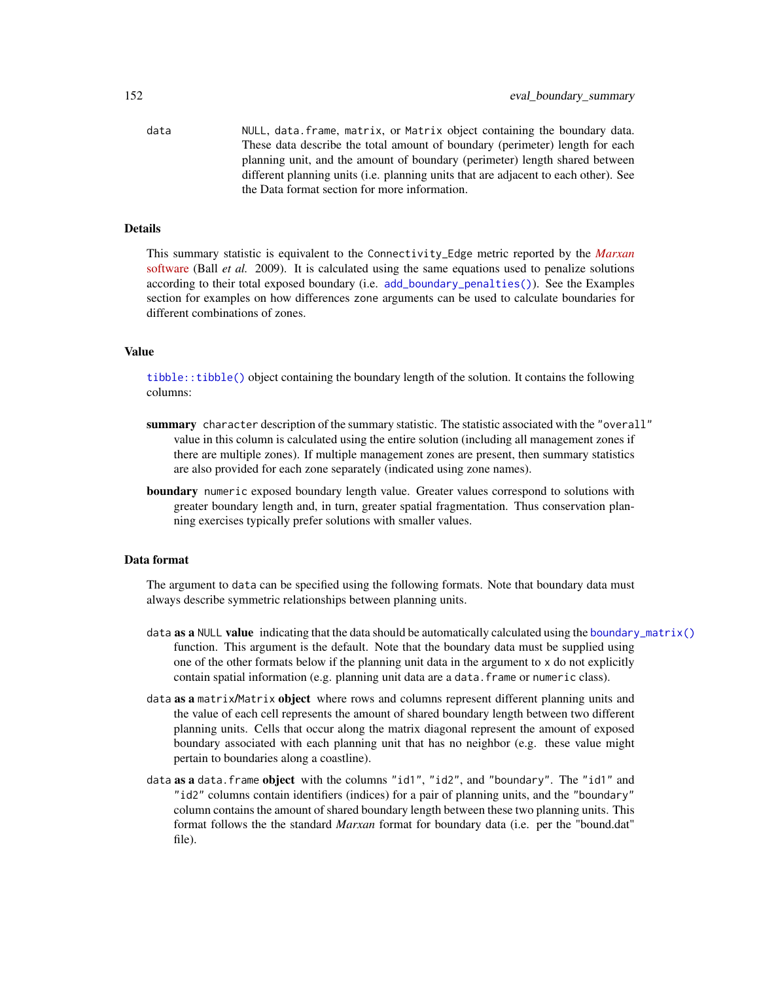data NULL, data.frame, matrix, or Matrix object containing the boundary data. These data describe the total amount of boundary (perimeter) length for each planning unit, and the amount of boundary (perimeter) length shared between different planning units (i.e. planning units that are adjacent to each other). See the Data format section for more information.

# Details

This summary statistic is equivalent to the Connectivity\_Edge metric reported by the *[Marxan](https://marxansolutions.org)* [software](https://marxansolutions.org) (Ball *et al.* 2009). It is calculated using the same equations used to penalize solutions according to their total exposed boundary (i.e. [add\\_boundary\\_penalties\(\)](#page-9-0)). See the Examples section for examples on how differences zone arguments can be used to calculate boundaries for different combinations of zones.

## Value

[tibble::tibble\(\)](#page-0-0) object containing the boundary length of the solution. It contains the following columns:

- summary character description of the summary statistic. The statistic associated with the "overall" value in this column is calculated using the entire solution (including all management zones if there are multiple zones). If multiple management zones are present, then summary statistics are also provided for each zone separately (indicated using zone names).
- **boundary** numeric exposed boundary length value. Greater values correspond to solutions with greater boundary length and, in turn, greater spatial fragmentation. Thus conservation planning exercises typically prefer solutions with smaller values.

## Data format

The argument to data can be specified using the following formats. Note that boundary data must always describe symmetric relationships between planning units.

- data as a NULL value indicating that the data should be automatically calculated using the [boundary\\_matrix\(\)](#page-128-0) function. This argument is the default. Note that the boundary data must be supplied using one of the other formats below if the planning unit data in the argument to x do not explicitly contain spatial information (e.g. planning unit data are a data.frame or numeric class).
- data as a matrix/Matrix object where rows and columns represent different planning units and the value of each cell represents the amount of shared boundary length between two different planning units. Cells that occur along the matrix diagonal represent the amount of exposed boundary associated with each planning unit that has no neighbor (e.g. these value might pertain to boundaries along a coastline).
- data as a data. frame object with the columns "id1", "id2", and "boundary". The "id1" and "id2" columns contain identifiers (indices) for a pair of planning units, and the "boundary" column contains the amount of shared boundary length between these two planning units. This format follows the the standard *Marxan* format for boundary data (i.e. per the "bound.dat" file).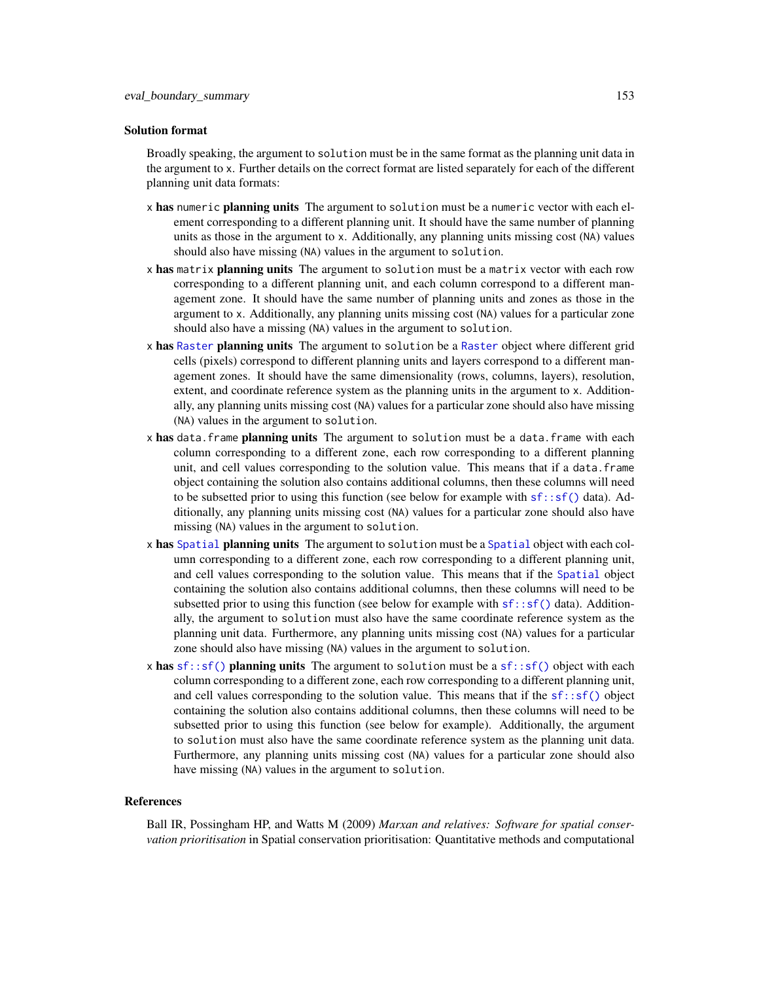## Solution format

Broadly speaking, the argument to solution must be in the same format as the planning unit data in the argument to x. Further details on the correct format are listed separately for each of the different planning unit data formats:

- x has numeric planning units The argument to solution must be a numeric vector with each element corresponding to a different planning unit. It should have the same number of planning units as those in the argument to x. Additionally, any planning units missing cost (NA) values should also have missing (NA) values in the argument to solution.
- x has matrix planning units The argument to solution must be a matrix vector with each row corresponding to a different planning unit, and each column correspond to a different management zone. It should have the same number of planning units and zones as those in the argument to x. Additionally, any planning units missing cost (NA) values for a particular zone should also have a missing (NA) values in the argument to solution.
- x has [Raster](#page-0-0) planning units The argument to solution be a Raster object where different grid cells (pixels) correspond to different planning units and layers correspond to a different management zones. It should have the same dimensionality (rows, columns, layers), resolution, extent, and coordinate reference system as the planning units in the argument to x. Additionally, any planning units missing cost (NA) values for a particular zone should also have missing (NA) values in the argument to solution.
- x has data. frame planning units The argument to solution must be a data. frame with each column corresponding to a different zone, each row corresponding to a different planning unit, and cell values corresponding to the solution value. This means that if a data.frame object containing the solution also contains additional columns, then these columns will need to be subsetted prior to using this function (see below for example with  $sf::sf()$  data). Additionally, any planning units missing cost (NA) values for a particular zone should also have missing (NA) values in the argument to solution.
- x has [Spatial](#page-0-0) planning units The argument to solution must be a Spatial object with each column corresponding to a different zone, each row corresponding to a different planning unit, and cell values corresponding to the solution value. This means that if the [Spatial](#page-0-0) object containing the solution also contains additional columns, then these columns will need to be subsetted prior to using this function (see below for example with  $sf::sf()$  data). Additionally, the argument to solution must also have the same coordinate reference system as the planning unit data. Furthermore, any planning units missing cost (NA) values for a particular zone should also have missing (NA) values in the argument to solution.
- x has  $sf::sf()$  planning units The argument to solution must be a  $sf::sf()$  object with each column corresponding to a different zone, each row corresponding to a different planning unit, and cell values corresponding to the solution value. This means that if the  $sf::sf()$  object containing the solution also contains additional columns, then these columns will need to be subsetted prior to using this function (see below for example). Additionally, the argument to solution must also have the same coordinate reference system as the planning unit data. Furthermore, any planning units missing cost (NA) values for a particular zone should also have missing (NA) values in the argument to solution.

#### References

Ball IR, Possingham HP, and Watts M (2009) *Marxan and relatives: Software for spatial conservation prioritisation* in Spatial conservation prioritisation: Quantitative methods and computational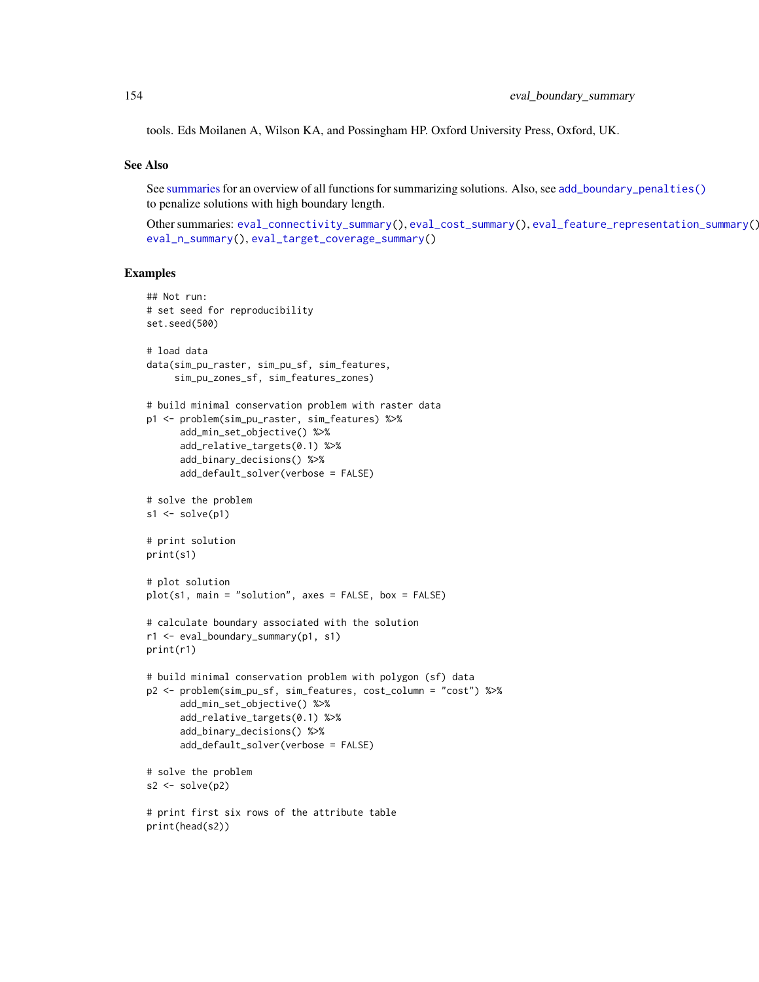tools. Eds Moilanen A, Wilson KA, and Possingham HP. Oxford University Press, Oxford, UK.

# See Also

See [summaries](#page-269-0) for an overview of all functions for summarizing solutions. Also, see [add\\_boundary\\_penalties\(\)](#page-9-0) to penalize solutions with high boundary length.

Other summaries: [eval\\_connectivity\\_summary\(](#page-155-0)), [eval\\_cost\\_summary\(](#page-160-0)), [eval\\_feature\\_representation\\_summary\(](#page-164-0)), [eval\\_n\\_summary\(](#page-173-0)), [eval\\_target\\_coverage\\_summary\(](#page-185-0))

```
## Not run:
# set seed for reproducibility
set.seed(500)
# load data
data(sim_pu_raster, sim_pu_sf, sim_features,
     sim_pu_zones_sf, sim_features_zones)
# build minimal conservation problem with raster data
p1 <- problem(sim_pu_raster, sim_features) %>%
      add_min_set_objective() %>%
      add_relative_targets(0.1) %>%
      add_binary_decisions() %>%
      add_default_solver(verbose = FALSE)
# solve the problem
s1 \leftarrow solve(p1)# print solution
print(s1)
# plot solution
plot(s1, main = "solution", axes = FALSE, box = FALSE)
# calculate boundary associated with the solution
r1 <- eval_boundary_summary(p1, s1)
print(r1)
# build minimal conservation problem with polygon (sf) data
p2 <- problem(sim_pu_sf, sim_features, cost_column = "cost") %>%
      add_min_set_objective() %>%
      add_relative_targets(0.1) %>%
      add_binary_decisions() %>%
      add_default_solver(verbose = FALSE)
# solve the problem
s2 \leftarrow solve(p2)# print first six rows of the attribute table
print(head(s2))
```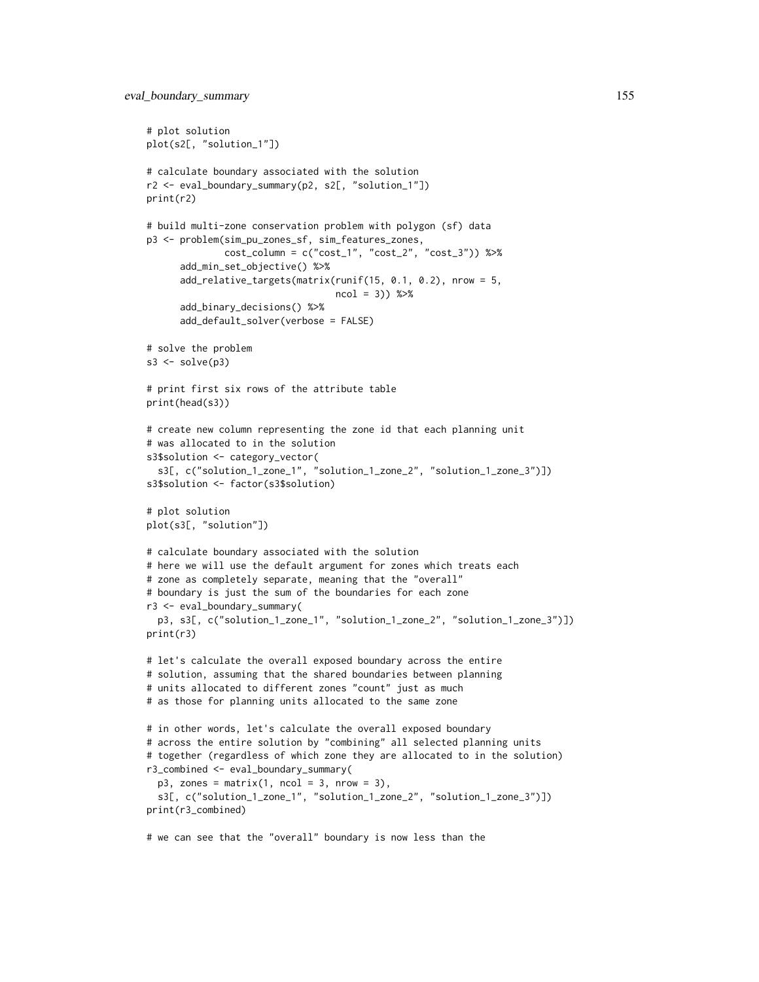```
# plot solution
plot(s2[, "solution_1"])
# calculate boundary associated with the solution
r2 <- eval_boundary_summary(p2, s2[, "solution_1"])
print(r2)
# build multi-zone conservation problem with polygon (sf) data
p3 <- problem(sim_pu_zones_sf, sim_features_zones,
              cost\_column = c("cost_1", "cost_2", "cost_3")) %>%
      add_min_set_objective() %>%
      add_relative_targets(matrix(runif(15, 0.1, 0.2), nrow = 5,
                                  ncol = 3) %>%
      add_binary_decisions() %>%
      add_default_solver(verbose = FALSE)
# solve the problem
s3 \leq -solve(p3)# print first six rows of the attribute table
print(head(s3))
# create new column representing the zone id that each planning unit
# was allocated to in the solution
s3$solution <- category_vector(
  s3[, c("solution_1_zone_1", "solution_1_zone_2", "solution_1_zone_3")])
s3$solution <- factor(s3$solution)
# plot solution
plot(s3[, "solution"])
# calculate boundary associated with the solution
# here we will use the default argument for zones which treats each
# zone as completely separate, meaning that the "overall"
# boundary is just the sum of the boundaries for each zone
r3 <- eval_boundary_summary(
 p3, s3[, c("solution_1_zone_1", "solution_1_zone_2", "solution_1_zone_3")])
print(r3)
# let's calculate the overall exposed boundary across the entire
# solution, assuming that the shared boundaries between planning
# units allocated to different zones "count" just as much
# as those for planning units allocated to the same zone
# in other words, let's calculate the overall exposed boundary
# across the entire solution by "combining" all selected planning units
# together (regardless of which zone they are allocated to in the solution)
r3_combined <- eval_boundary_summary(
 p3, zones = matrix(1, \text{ ncol} = 3, \text{ nrow} = 3),
 s3[, c("solution_1_zone_1", "solution_1_zone_2", "solution_1_zone_3")])
print(r3_combined)
# we can see that the "overall" boundary is now less than the
```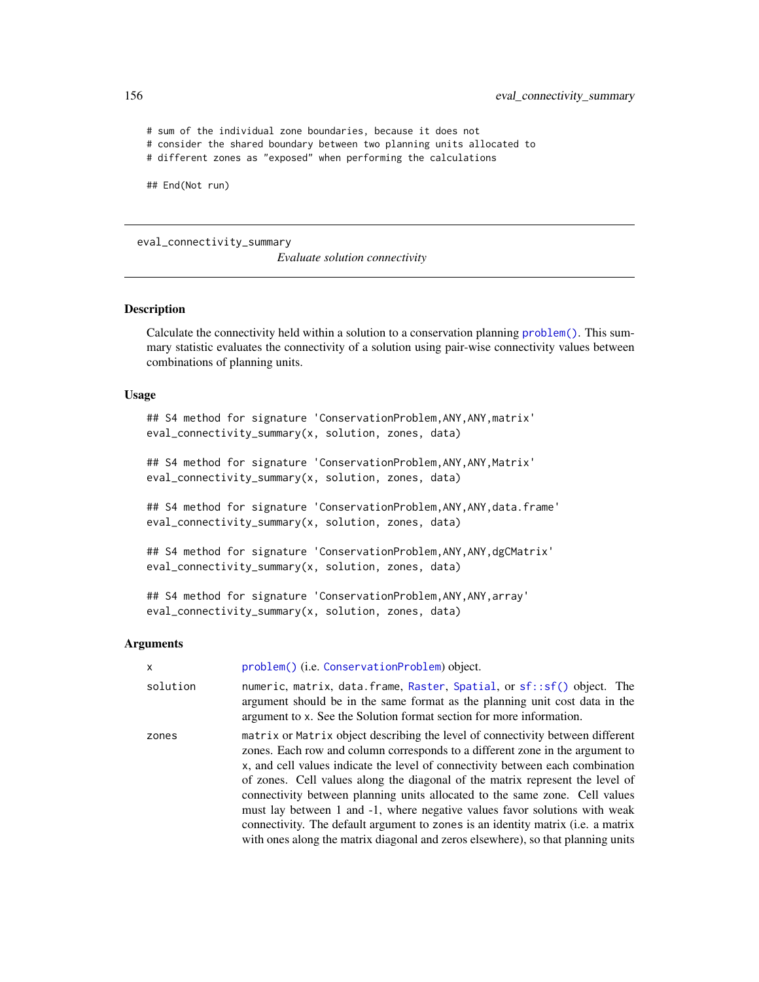# sum of the individual zone boundaries, because it does not # consider the shared boundary between two planning units allocated to # different zones as "exposed" when performing the calculations ## End(Not run)

<span id="page-155-0"></span>eval\_connectivity\_summary

*Evaluate solution connectivity*

# Description

Calculate the connectivity held within a solution to a conservation planning [problem\(\)](#page-238-0). This summary statistic evaluates the connectivity of a solution using pair-wise connectivity values between combinations of planning units.

## Usage

```
## S4 method for signature 'ConservationProblem, ANY, ANY, matrix'
eval_connectivity_summary(x, solution, zones, data)
```

```
## S4 method for signature 'ConservationProblem, ANY, ANY, Matrix'
eval_connectivity_summary(x, solution, zones, data)
```
## S4 method for signature 'ConservationProblem,ANY,ANY,data.frame' eval\_connectivity\_summary(x, solution, zones, data)

```
## S4 method for signature 'ConservationProblem, ANY, ANY, dgCMatrix'
eval_connectivity_summary(x, solution, zones, data)
```

```
## S4 method for signature 'ConservationProblem, ANY, ANY, array'
eval_connectivity_summary(x, solution, zones, data)
```
## Arguments

| x        | problem() (i.e. ConservationProblem) object.                                                                                                                                                                                                                                                                                                                                                                                                                                                                                                                                                                                                                                    |
|----------|---------------------------------------------------------------------------------------------------------------------------------------------------------------------------------------------------------------------------------------------------------------------------------------------------------------------------------------------------------------------------------------------------------------------------------------------------------------------------------------------------------------------------------------------------------------------------------------------------------------------------------------------------------------------------------|
| solution | numeric, matrix, data.frame, Raster, Spatial, or sf::sf() object. The<br>argument should be in the same format as the planning unit cost data in the<br>argument to x. See the Solution format section for more information.                                                                                                                                                                                                                                                                                                                                                                                                                                                    |
| zones    | matrix or Matrix object describing the level of connectivity between different<br>zones. Each row and column corresponds to a different zone in the argument to<br>x, and cell values indicate the level of connectivity between each combination<br>of zones. Cell values along the diagonal of the matrix represent the level of<br>connectivity between planning units allocated to the same zone. Cell values<br>must lay between 1 and -1, where negative values favor solutions with weak<br>connectivity. The default argument to zones is an identity matrix ( <i>i.e.</i> a matrix<br>with ones along the matrix diagonal and zeros elsewhere), so that planning units |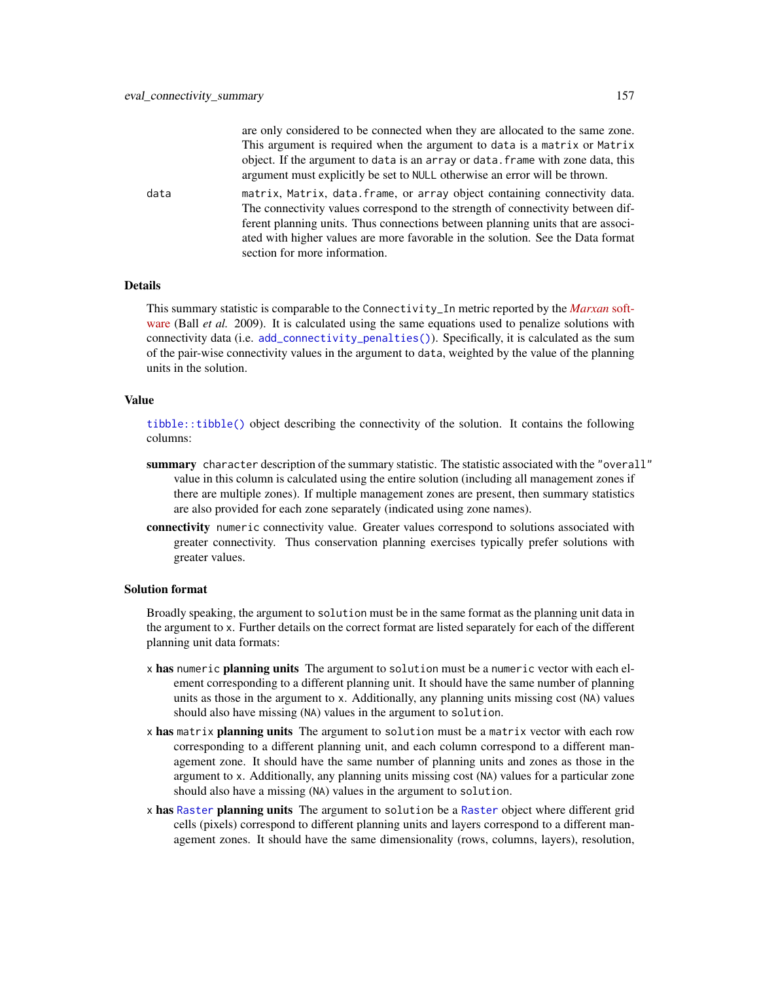are only considered to be connected when they are allocated to the same zone. This argument is required when the argument to data is a matrix or Matrix object. If the argument to data is an array or data.frame with zone data, this argument must explicitly be set to NULL otherwise an error will be thrown.

data matrix, Matrix, data.frame, or array object containing connectivity data. The connectivity values correspond to the strength of connectivity between different planning units. Thus connections between planning units that are associated with higher values are more favorable in the solution. See the Data format section for more information.

# Details

This summary statistic is comparable to the Connectivity\_In metric reported by the *[Marxan](https://marxansolutions.org)* soft[ware](https://marxansolutions.org) (Ball *et al.* 2009). It is calculated using the same equations used to penalize solutions with connectivity data (i.e. [add\\_connectivity\\_penalties\(\)](#page-17-0)). Specifically, it is calculated as the sum of the pair-wise connectivity values in the argument to data, weighted by the value of the planning units in the solution.

## Value

[tibble::tibble\(\)](#page-0-0) object describing the connectivity of the solution. It contains the following columns:

- summary character description of the summary statistic. The statistic associated with the "overall" value in this column is calculated using the entire solution (including all management zones if there are multiple zones). If multiple management zones are present, then summary statistics are also provided for each zone separately (indicated using zone names).
- connectivity numeric connectivity value. Greater values correspond to solutions associated with greater connectivity. Thus conservation planning exercises typically prefer solutions with greater values.

## Solution format

Broadly speaking, the argument to solution must be in the same format as the planning unit data in the argument to x. Further details on the correct format are listed separately for each of the different planning unit data formats:

- x has numeric planning units The argument to solution must be a numeric vector with each element corresponding to a different planning unit. It should have the same number of planning units as those in the argument to x. Additionally, any planning units missing cost (NA) values should also have missing (NA) values in the argument to solution.
- x has matrix planning units The argument to solution must be a matrix vector with each row corresponding to a different planning unit, and each column correspond to a different management zone. It should have the same number of planning units and zones as those in the argument to x. Additionally, any planning units missing cost (NA) values for a particular zone should also have a missing (NA) values in the argument to solution.
- x has [Raster](#page-0-0) planning units The argument to solution be a Raster object where different grid cells (pixels) correspond to different planning units and layers correspond to a different management zones. It should have the same dimensionality (rows, columns, layers), resolution,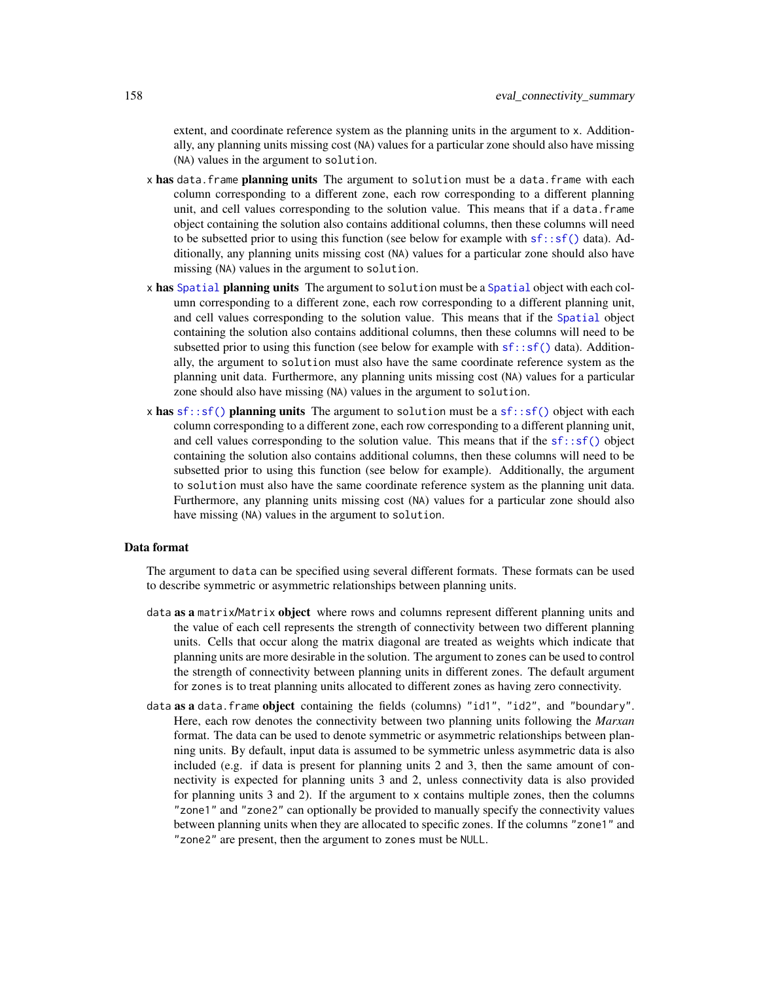extent, and coordinate reference system as the planning units in the argument to x. Additionally, any planning units missing cost (NA) values for a particular zone should also have missing (NA) values in the argument to solution.

- x has data. frame planning units The argument to solution must be a data. frame with each column corresponding to a different zone, each row corresponding to a different planning unit, and cell values corresponding to the solution value. This means that if a data.frame object containing the solution also contains additional columns, then these columns will need to be subsetted prior to using this function (see below for example with  $sf::sf()$  data). Additionally, any planning units missing cost (NA) values for a particular zone should also have missing (NA) values in the argument to solution.
- x has [Spatial](#page-0-0) planning units The argument to solution must be a Spatial object with each column corresponding to a different zone, each row corresponding to a different planning unit, and cell values corresponding to the solution value. This means that if the [Spatial](#page-0-0) object containing the solution also contains additional columns, then these columns will need to be subsetted prior to using this function (see below for example with  $sf::sf()$  data). Additionally, the argument to solution must also have the same coordinate reference system as the planning unit data. Furthermore, any planning units missing cost (NA) values for a particular zone should also have missing (NA) values in the argument to solution.
- x has  $sf::sf()$  planning units The argument to solution must be a  $sf::sf()$  object with each column corresponding to a different zone, each row corresponding to a different planning unit, and cell values corresponding to the solution value. This means that if the  $sf::sf()$  object containing the solution also contains additional columns, then these columns will need to be subsetted prior to using this function (see below for example). Additionally, the argument to solution must also have the same coordinate reference system as the planning unit data. Furthermore, any planning units missing cost (NA) values for a particular zone should also have missing (NA) values in the argument to solution.

# Data format

The argument to data can be specified using several different formats. These formats can be used to describe symmetric or asymmetric relationships between planning units.

- data as a matrix/Matrix object where rows and columns represent different planning units and the value of each cell represents the strength of connectivity between two different planning units. Cells that occur along the matrix diagonal are treated as weights which indicate that planning units are more desirable in the solution. The argument to zones can be used to control the strength of connectivity between planning units in different zones. The default argument for zones is to treat planning units allocated to different zones as having zero connectivity.
- data as a data.frame object containing the fields (columns) "id1", "id2", and "boundary". Here, each row denotes the connectivity between two planning units following the *Marxan* format. The data can be used to denote symmetric or asymmetric relationships between planning units. By default, input data is assumed to be symmetric unless asymmetric data is also included (e.g. if data is present for planning units 2 and 3, then the same amount of connectivity is expected for planning units 3 and 2, unless connectivity data is also provided for planning units 3 and 2). If the argument to x contains multiple zones, then the columns "zone1" and "zone2" can optionally be provided to manually specify the connectivity values between planning units when they are allocated to specific zones. If the columns "zone1" and "zone2" are present, then the argument to zones must be NULL.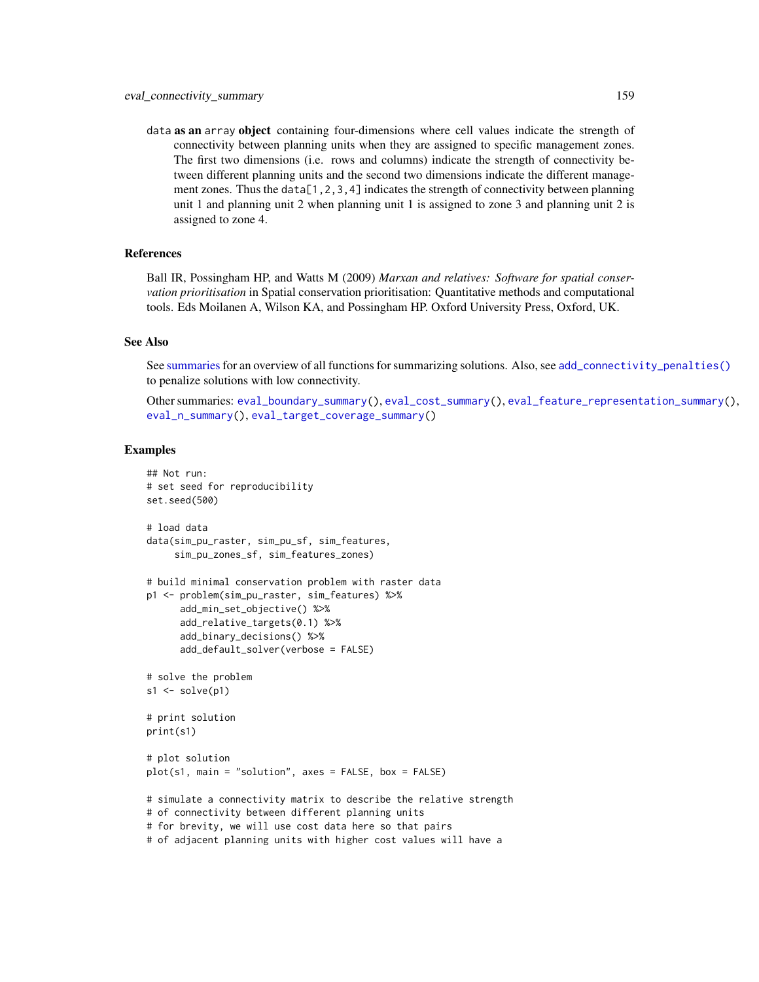data as an array object containing four-dimensions where cell values indicate the strength of connectivity between planning units when they are assigned to specific management zones. The first two dimensions (i.e. rows and columns) indicate the strength of connectivity between different planning units and the second two dimensions indicate the different management zones. Thus the data $[1,2,3,4]$  indicates the strength of connectivity between planning unit 1 and planning unit 2 when planning unit 1 is assigned to zone 3 and planning unit 2 is assigned to zone 4.

# References

Ball IR, Possingham HP, and Watts M (2009) *Marxan and relatives: Software for spatial conservation prioritisation* in Spatial conservation prioritisation: Quantitative methods and computational tools. Eds Moilanen A, Wilson KA, and Possingham HP. Oxford University Press, Oxford, UK.

## See Also

See [summaries](#page-269-0) for an overview of all functions for summarizing solutions. Also, see [add\\_connectivity\\_penalties\(\)](#page-17-0) to penalize solutions with low connectivity.

Other summaries: [eval\\_boundary\\_summary\(](#page-149-0)), [eval\\_cost\\_summary\(](#page-160-0)), [eval\\_feature\\_representation\\_summary\(](#page-164-0)), [eval\\_n\\_summary\(](#page-173-0)), [eval\\_target\\_coverage\\_summary\(](#page-185-0))

```
## Not run:
# set seed for reproducibility
set.seed(500)
# load data
data(sim_pu_raster, sim_pu_sf, sim_features,
     sim_pu_zones_sf, sim_features_zones)
# build minimal conservation problem with raster data
p1 <- problem(sim_pu_raster, sim_features) %>%
      add_min_set_objective() %>%
      add_relative_targets(0.1) %>%
      add_binary_decisions() %>%
      add_default_solver(verbose = FALSE)
# solve the problem
s1 \leftarrow solve(p1)# print solution
print(s1)
# plot solution
plot(s1, main = "solution", axes = FALSE, box = FALSE)
# simulate a connectivity matrix to describe the relative strength
# of connectivity between different planning units
# for brevity, we will use cost data here so that pairs
# of adjacent planning units with higher cost values will have a
```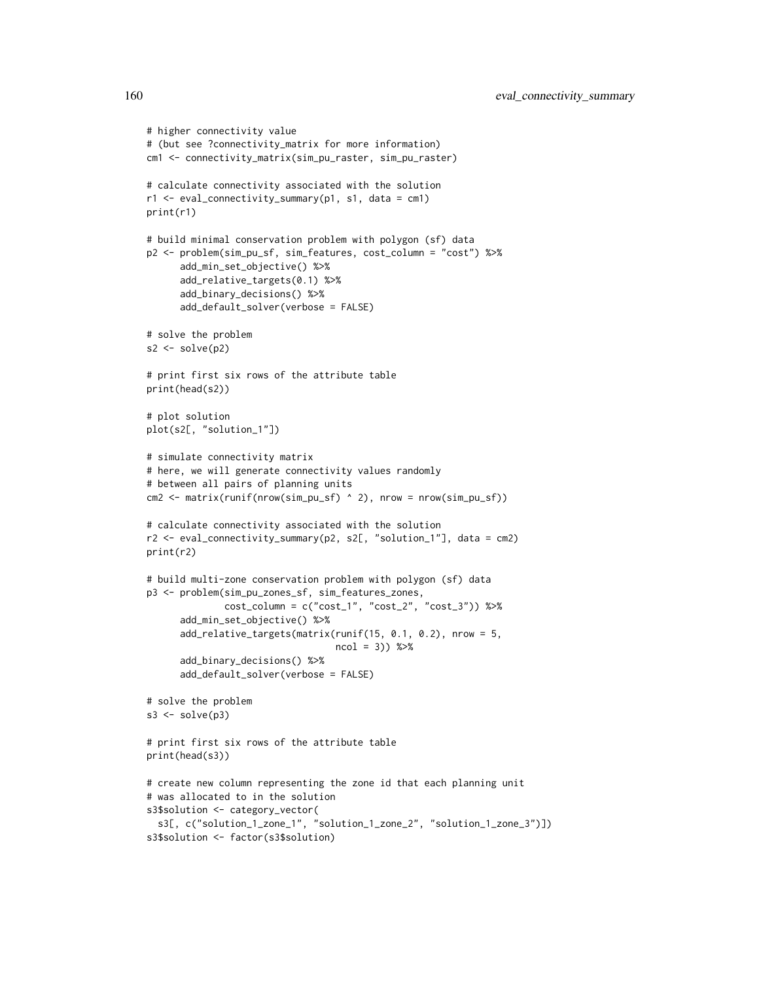```
# higher connectivity value
# (but see ?connectivity_matrix for more information)
cm1 <- connectivity_matrix(sim_pu_raster, sim_pu_raster)
# calculate connectivity associated with the solution
r1 <- eval_connectivity_summary(p1, s1, data = cm1)
print(r1)
# build minimal conservation problem with polygon (sf) data
p2 <- problem(sim_pu_sf, sim_features, cost_column = "cost") %>%
      add_min_set_objective() %>%
      add_relative_targets(0.1) %>%
      add_binary_decisions() %>%
      add_default_solver(verbose = FALSE)
# solve the problem
s2 \leftarrow solve(p2)# print first six rows of the attribute table
print(head(s2))
# plot solution
plot(s2[, "solution_1"])
# simulate connectivity matrix
# here, we will generate connectivity values randomly
# between all pairs of planning units
cm2 <- matrix(runif(nrow(sim_pu_sf) ^ 2), nrow = nrow(sim_pu_sf))
# calculate connectivity associated with the solution
r2 <- eval_connectivity_summary(p2, s2[, "solution_1"], data = cm2)
print(r2)
# build multi-zone conservation problem with polygon (sf) data
p3 <- problem(sim_pu_zones_sf, sim_features_zones,
              cost_column = c("cost_1", "cost_2", "cost_3")) %>%
      add_min_set_objective() %>%
      add_relative_targets(matrix(runif(15, 0.1, 0.2), nrow = 5,
                                  ncol = 3) %>%
      add_binary_decisions() %>%
      add_default_solver(verbose = FALSE)
# solve the problem
s3 \leq solve(p3)# print first six rows of the attribute table
print(head(s3))
# create new column representing the zone id that each planning unit
# was allocated to in the solution
s3$solution <- category_vector(
  s3[, c("solution_1_zone_1", "solution_1_zone_2", "solution_1_zone_3")])
s3$solution <- factor(s3$solution)
```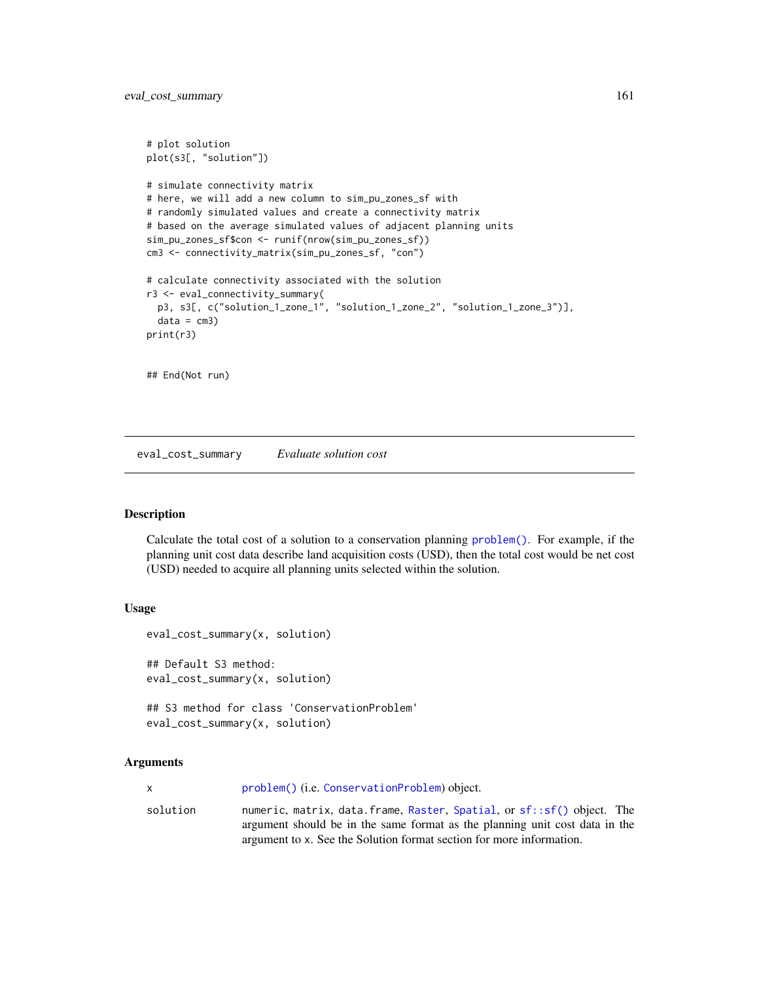```
# plot solution
plot(s3[, "solution"])
# simulate connectivity matrix
# here, we will add a new column to sim_pu_zones_sf with
# randomly simulated values and create a connectivity matrix
# based on the average simulated values of adjacent planning units
sim_pu_zones_sf$con <- runif(nrow(sim_pu_zones_sf))
cm3 <- connectivity_matrix(sim_pu_zones_sf, "con")
# calculate connectivity associated with the solution
r3 <- eval_connectivity_summary(
 p3, s3[, c("solution_1_zone_1", "solution_1_zone_2", "solution_1_zone_3")],
 data = cm3)print(r3)
## End(Not run)
```
<span id="page-160-0"></span>eval\_cost\_summary *Evaluate solution cost*

## Description

Calculate the total cost of a solution to a conservation planning [problem\(\)](#page-238-0). For example, if the planning unit cost data describe land acquisition costs (USD), then the total cost would be net cost (USD) needed to acquire all planning units selected within the solution.

## Usage

```
eval_cost_summary(x, solution)
## Default S3 method:
eval_cost_summary(x, solution)
## S3 method for class 'ConservationProblem'
```

```
eval_cost_summary(x, solution)
```
# Arguments

|          | problem() (i.e. ConservationProblem) object.                                                                                                         |
|----------|------------------------------------------------------------------------------------------------------------------------------------------------------|
| solution | numeric, matrix, data.frame, Raster, Spatial, or sf::sf() object. The<br>argument should be in the same format as the planning unit cost data in the |
|          | argument to x. See the Solution format section for more information.                                                                                 |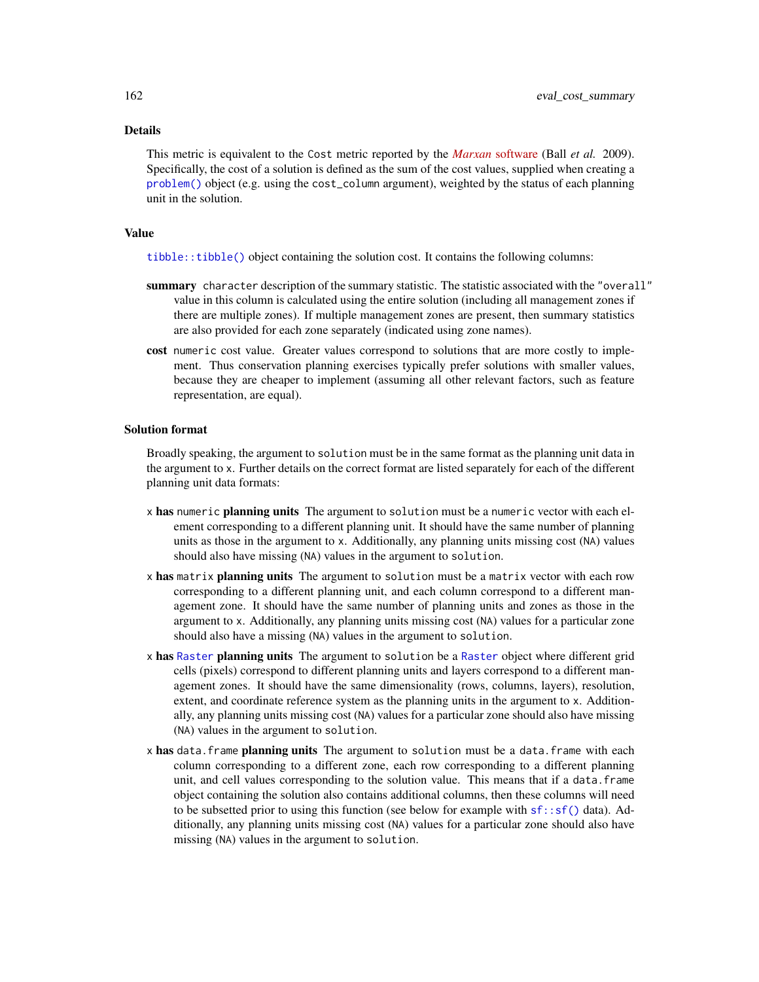# Details

This metric is equivalent to the Cost metric reported by the *Marxan* [software](https://marxansolutions.org) (Ball *et al.* 2009). Specifically, the cost of a solution is defined as the sum of the cost values, supplied when creating a [problem\(\)](#page-238-0) object (e.g. using the cost\_column argument), weighted by the status of each planning unit in the solution.

# Value

[tibble::tibble\(\)](#page-0-0) object containing the solution cost. It contains the following columns:

- summary character description of the summary statistic. The statistic associated with the "overall" value in this column is calculated using the entire solution (including all management zones if there are multiple zones). If multiple management zones are present, then summary statistics are also provided for each zone separately (indicated using zone names).
- cost numeric cost value. Greater values correspond to solutions that are more costly to implement. Thus conservation planning exercises typically prefer solutions with smaller values, because they are cheaper to implement (assuming all other relevant factors, such as feature representation, are equal).

# Solution format

Broadly speaking, the argument to solution must be in the same format as the planning unit data in the argument to x. Further details on the correct format are listed separately for each of the different planning unit data formats:

- x has numeric planning units The argument to solution must be a numeric vector with each element corresponding to a different planning unit. It should have the same number of planning units as those in the argument to x. Additionally, any planning units missing cost (NA) values should also have missing (NA) values in the argument to solution.
- x has matrix planning units The argument to solution must be a matrix vector with each row corresponding to a different planning unit, and each column correspond to a different management zone. It should have the same number of planning units and zones as those in the argument to x. Additionally, any planning units missing cost (NA) values for a particular zone should also have a missing (NA) values in the argument to solution.
- x has [Raster](#page-0-0) planning units The argument to solution be a Raster object where different grid cells (pixels) correspond to different planning units and layers correspond to a different management zones. It should have the same dimensionality (rows, columns, layers), resolution, extent, and coordinate reference system as the planning units in the argument to x. Additionally, any planning units missing cost (NA) values for a particular zone should also have missing (NA) values in the argument to solution.
- x has data.frame planning units The argument to solution must be a data.frame with each column corresponding to a different zone, each row corresponding to a different planning unit, and cell values corresponding to the solution value. This means that if a data.frame object containing the solution also contains additional columns, then these columns will need to be subsetted prior to using this function (see below for example with  $sf::sf()$  data). Additionally, any planning units missing cost (NA) values for a particular zone should also have missing (NA) values in the argument to solution.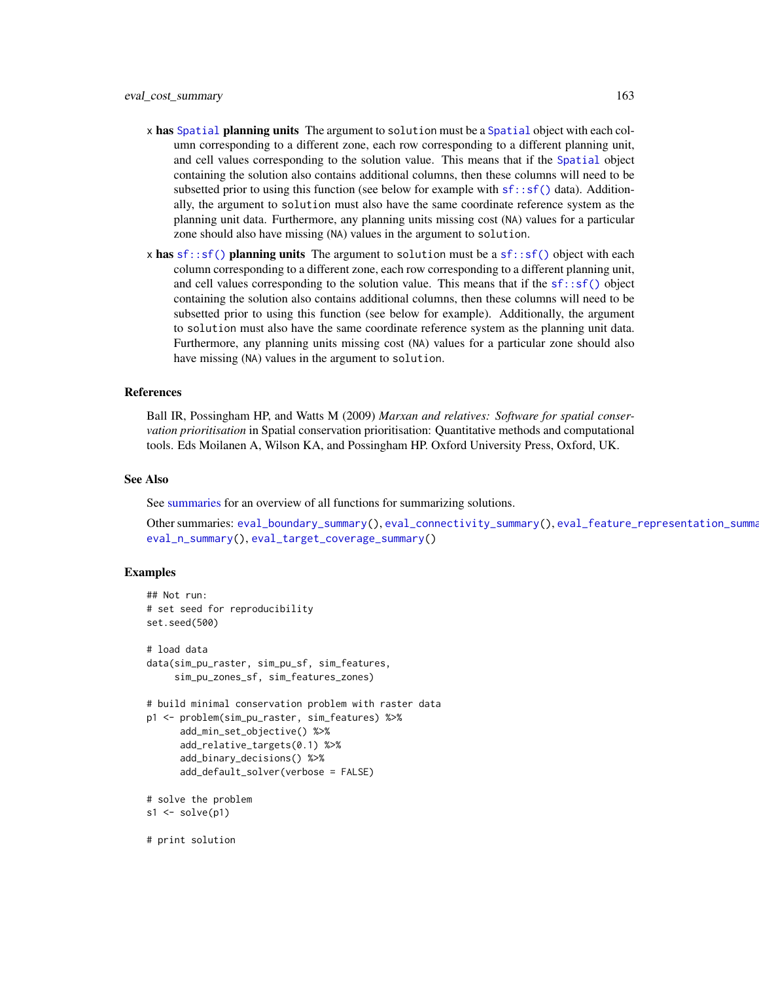- x has [Spatial](#page-0-0) planning units The argument to solution must be a Spatial object with each column corresponding to a different zone, each row corresponding to a different planning unit, and cell values corresponding to the solution value. This means that if the [Spatial](#page-0-0) object containing the solution also contains additional columns, then these columns will need to be subsetted prior to using this function (see below for example with  $sf::sf()$  data). Additionally, the argument to solution must also have the same coordinate reference system as the planning unit data. Furthermore, any planning units missing cost (NA) values for a particular zone should also have missing (NA) values in the argument to solution.
- x has [sf::sf\(\)](#page-0-0) planning units The argument to solution must be a sf::sf() object with each column corresponding to a different zone, each row corresponding to a different planning unit, and cell values corresponding to the solution value. This means that if the  $sf::sf()$  object containing the solution also contains additional columns, then these columns will need to be subsetted prior to using this function (see below for example). Additionally, the argument to solution must also have the same coordinate reference system as the planning unit data. Furthermore, any planning units missing cost (NA) values for a particular zone should also have missing (NA) values in the argument to solution.

#### References

Ball IR, Possingham HP, and Watts M (2009) *Marxan and relatives: Software for spatial conservation prioritisation* in Spatial conservation prioritisation: Quantitative methods and computational tools. Eds Moilanen A, Wilson KA, and Possingham HP. Oxford University Press, Oxford, UK.

# See Also

See [summaries](#page-269-0) for an overview of all functions for summarizing solutions.

Other summaries: [eval\\_boundary\\_summary\(](#page-149-0)), [eval\\_connectivity\\_summary\(](#page-155-0)), [eval\\_feature\\_representation\\_summary\(](#page-164-0)), [eval\\_n\\_summary\(](#page-173-0)), [eval\\_target\\_coverage\\_summary\(](#page-185-0))

# Examples

## Not run:

# print solution

```
# set seed for reproducibility
set.seed(500)
# load data
data(sim_pu_raster, sim_pu_sf, sim_features,
     sim_pu_zones_sf, sim_features_zones)
# build minimal conservation problem with raster data
p1 <- problem(sim_pu_raster, sim_features) %>%
      add_min_set_objective() %>%
      add_relative_targets(0.1) %>%
      add_binary_decisions() %>%
      add_default_solver(verbose = FALSE)
# solve the problem
s1 \leftarrow solve(p1)
```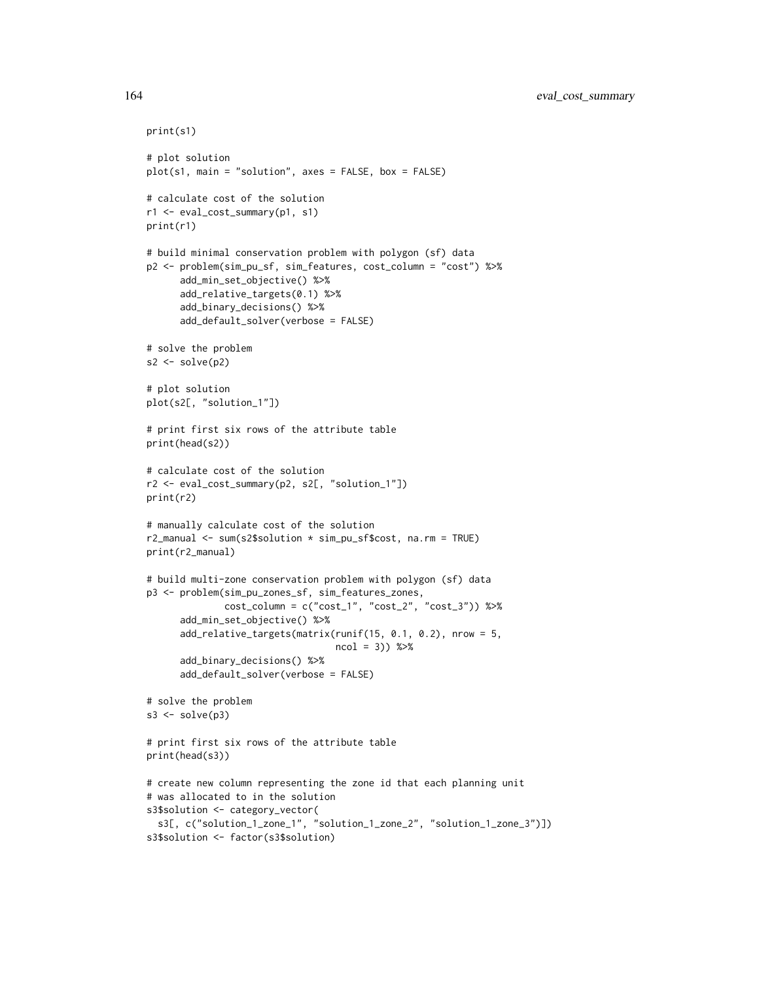```
print(s1)
# plot solution
plot(s1, main = "solution", axes = FALSE, box = FALSE)
# calculate cost of the solution
r1 <- eval_cost_summary(p1, s1)
print(r1)
# build minimal conservation problem with polygon (sf) data
p2 <- problem(sim_pu_sf, sim_features, cost_column = "cost") %>%
      add_min_set_objective() %>%
      add_relative_targets(0.1) %>%
      add_binary_decisions() %>%
      add_default_solver(verbose = FALSE)
# solve the problem
s2 \leftarrow solve(p2)# plot solution
plot(s2[, "solution_1"])
# print first six rows of the attribute table
print(head(s2))
# calculate cost of the solution
r2 <- eval_cost_summary(p2, s2[, "solution_1"])
print(r2)
# manually calculate cost of the solution
r2_manual <- sum(s2$solution * sim_pu_sf$cost, na.rm = TRUE)
print(r2_manual)
# build multi-zone conservation problem with polygon (sf) data
p3 <- problem(sim_pu_zones_sf, sim_features_zones,
              cost_column = c("cost_1", "cost_2", "cost_3")) %>%
      add_min_set_objective() %>%
      add_relative_targets(matrix(runif(15, 0.1, 0.2), nrow = 5,
                                  ncol = 3) %>%
      add_binary_decisions() %>%
      add_default_solver(verbose = FALSE)
# solve the problem
s3 \leq solve(p3)# print first six rows of the attribute table
print(head(s3))
# create new column representing the zone id that each planning unit
# was allocated to in the solution
s3$solution <- category_vector(
  s3[, c("solution_1_zone_1", "solution_1_zone_2", "solution_1_zone_3")])
s3$solution <- factor(s3$solution)
```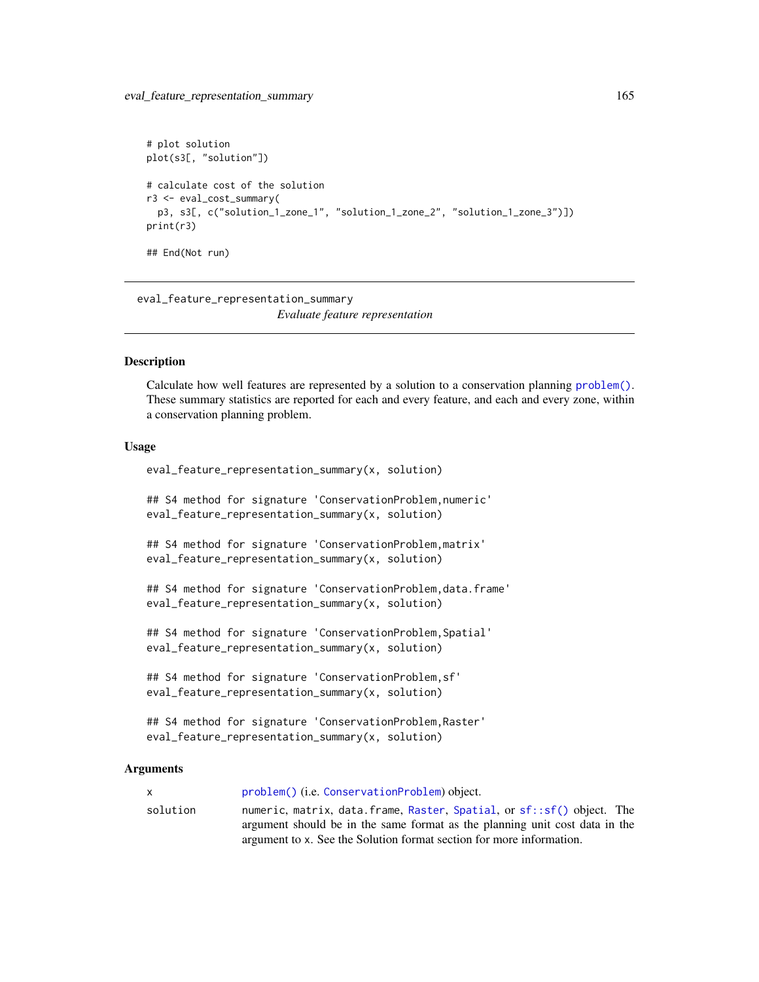```
# plot solution
plot(s3[, "solution"])
# calculate cost of the solution
r3 <- eval_cost_summary(
 p3, s3[, c("solution_1_zone_1", "solution_1_zone_2", "solution_1_zone_3")])
print(r3)
## End(Not run)
```
<span id="page-164-0"></span>eval\_feature\_representation\_summary *Evaluate feature representation*

# **Description**

Calculate how well features are represented by a solution to a conservation planning [problem\(\)](#page-238-0). These summary statistics are reported for each and every feature, and each and every zone, within a conservation planning problem.

#### Usage

```
eval_feature_representation_summary(x, solution)
## S4 method for signature 'ConservationProblem,numeric'
eval_feature_representation_summary(x, solution)
## S4 method for signature 'ConservationProblem,matrix'
eval_feature_representation_summary(x, solution)
## S4 method for signature 'ConservationProblem, data.frame'
eval_feature_representation_summary(x, solution)
## S4 method for signature 'ConservationProblem,Spatial'
eval_feature_representation_summary(x, solution)
## S4 method for signature 'ConservationProblem,sf'
eval_feature_representation_summary(x, solution)
## S4 method for signature 'ConservationProblem,Raster'
eval_feature_representation_summary(x, solution)
```
# Arguments

| x.       | problem() (i.e. ConservationProblem) object.                                |
|----------|-----------------------------------------------------------------------------|
| solution | numeric, matrix, data.frame, Raster, Spatial, or sf::sf() object. The       |
|          | argument should be in the same format as the planning unit cost data in the |
|          | argument to x. See the Solution format section for more information.        |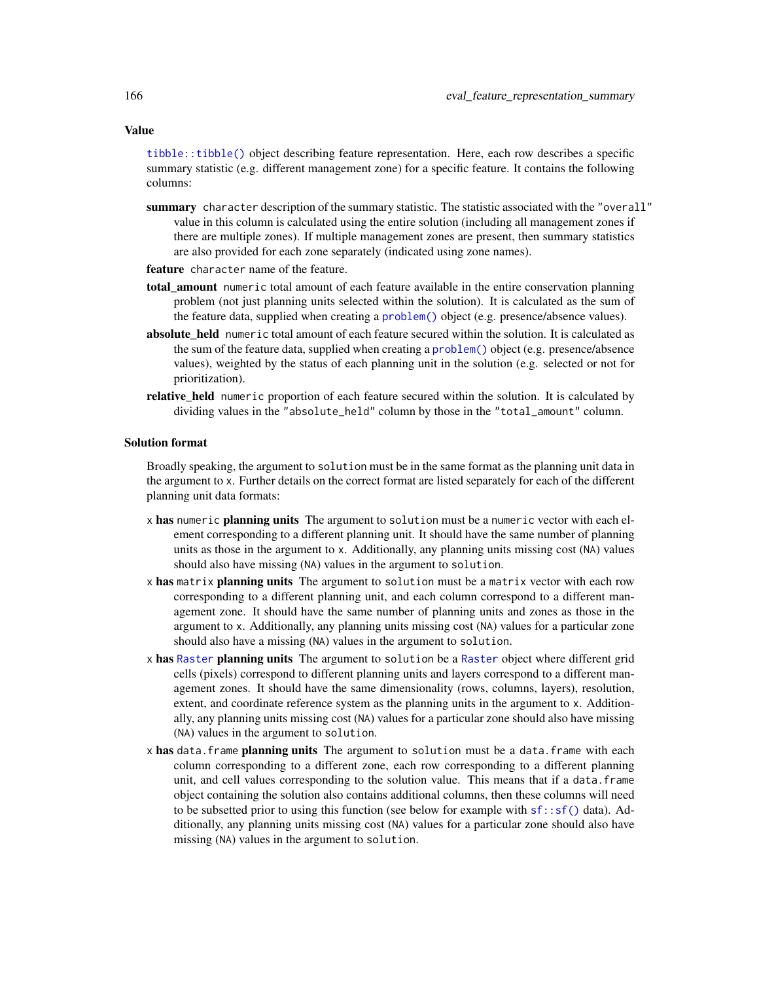Value

[tibble::tibble\(\)](#page-0-0) object describing feature representation. Here, each row describes a specific summary statistic (e.g. different management zone) for a specific feature. It contains the following columns:

- summary character description of the summary statistic. The statistic associated with the "overall" value in this column is calculated using the entire solution (including all management zones if there are multiple zones). If multiple management zones are present, then summary statistics are also provided for each zone separately (indicated using zone names).
- feature character name of the feature.
- total\_amount numeric total amount of each feature available in the entire conservation planning problem (not just planning units selected within the solution). It is calculated as the sum of the feature data, supplied when creating a [problem\(\)](#page-238-0) object (e.g. presence/absence values).
- absolute\_held numeric total amount of each feature secured within the solution. It is calculated as the sum of the feature data, supplied when creating a [problem\(\)](#page-238-0) object (e.g. presence/absence values), weighted by the status of each planning unit in the solution (e.g. selected or not for prioritization).
- relative\_held numeric proportion of each feature secured within the solution. It is calculated by dividing values in the "absolute\_held" column by those in the "total\_amount" column.

# Solution format

Broadly speaking, the argument to solution must be in the same format as the planning unit data in the argument to x. Further details on the correct format are listed separately for each of the different planning unit data formats:

- x has numeric planning units The argument to solution must be a numeric vector with each element corresponding to a different planning unit. It should have the same number of planning units as those in the argument to x. Additionally, any planning units missing cost (NA) values should also have missing (NA) values in the argument to solution.
- x has matrix planning units The argument to solution must be a matrix vector with each row corresponding to a different planning unit, and each column correspond to a different management zone. It should have the same number of planning units and zones as those in the argument to x. Additionally, any planning units missing cost (NA) values for a particular zone should also have a missing (NA) values in the argument to solution.
- x has [Raster](#page-0-0) planning units The argument to solution be a Raster object where different grid cells (pixels) correspond to different planning units and layers correspond to a different management zones. It should have the same dimensionality (rows, columns, layers), resolution, extent, and coordinate reference system as the planning units in the argument to x. Additionally, any planning units missing cost (NA) values for a particular zone should also have missing (NA) values in the argument to solution.
- x has data. frame planning units The argument to solution must be a data. frame with each column corresponding to a different zone, each row corresponding to a different planning unit, and cell values corresponding to the solution value. This means that if a data.frame object containing the solution also contains additional columns, then these columns will need to be subsetted prior to using this function (see below for example with  $sf::sf()$  data). Additionally, any planning units missing cost (NA) values for a particular zone should also have missing (NA) values in the argument to solution.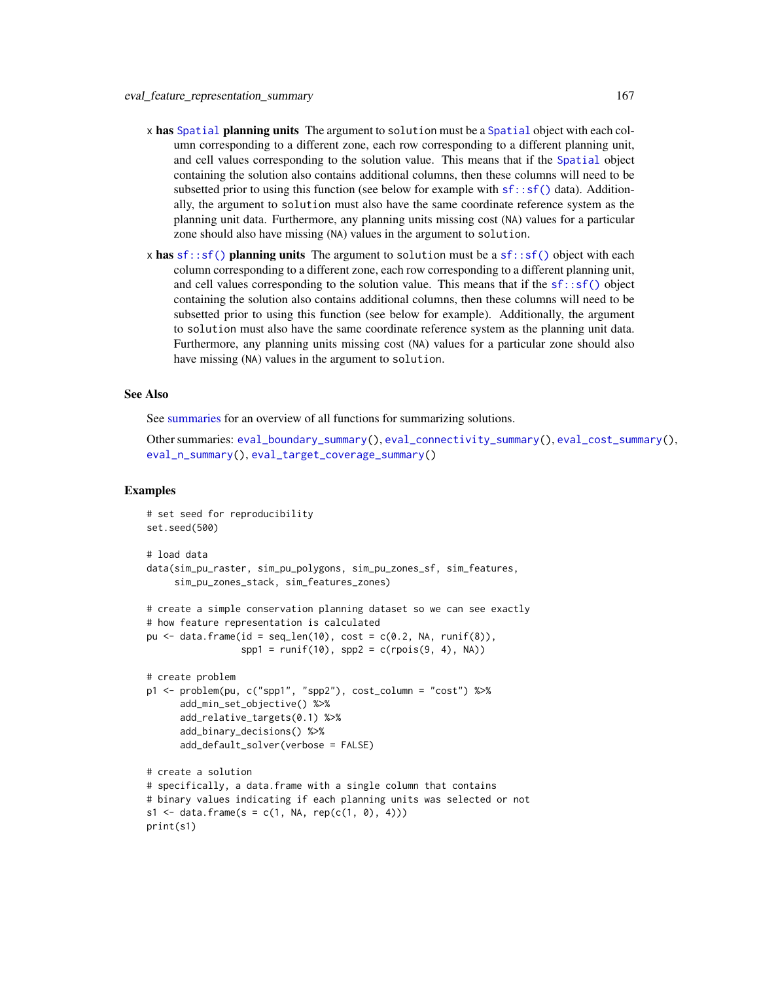- x has [Spatial](#page-0-0) planning units The argument to solution must be a Spatial object with each column corresponding to a different zone, each row corresponding to a different planning unit, and cell values corresponding to the solution value. This means that if the [Spatial](#page-0-0) object containing the solution also contains additional columns, then these columns will need to be subsetted prior to using this function (see below for example with  $sf::sf()$  data). Additionally, the argument to solution must also have the same coordinate reference system as the planning unit data. Furthermore, any planning units missing cost (NA) values for a particular zone should also have missing (NA) values in the argument to solution.
- x has  $sf::sf()$  planning units The argument to solution must be a  $sf::sf()$  object with each column corresponding to a different zone, each row corresponding to a different planning unit, and cell values corresponding to the solution value. This means that if the  $sf::sf()$  object containing the solution also contains additional columns, then these columns will need to be subsetted prior to using this function (see below for example). Additionally, the argument to solution must also have the same coordinate reference system as the planning unit data. Furthermore, any planning units missing cost (NA) values for a particular zone should also have missing (NA) values in the argument to solution.

## See Also

See [summaries](#page-269-0) for an overview of all functions for summarizing solutions.

Other summaries: [eval\\_boundary\\_summary\(](#page-149-0)), [eval\\_connectivity\\_summary\(](#page-155-0)), [eval\\_cost\\_summary\(](#page-160-0)), [eval\\_n\\_summary\(](#page-173-0)), [eval\\_target\\_coverage\\_summary\(](#page-185-0))

```
# set seed for reproducibility
set.seed(500)
# load data
data(sim_pu_raster, sim_pu_polygons, sim_pu_zones_sf, sim_features,
     sim_pu_zones_stack, sim_features_zones)
# create a simple conservation planning dataset so we can see exactly
# how feature representation is calculated
pu \le data.frame(id = seq_len(10), cost = c(0.2, NA, runif(8)),
                 spp1 = runif(10), spp2 = c (rpois(9, 4), NA))# create problem
p1 <- problem(pu, c("spp1", "spp2"), cost_column = "cost") %>%
     add_min_set_objective() %>%
      add_relative_targets(0.1) %>%
      add_binary_decisions() %>%
      add_default_solver(verbose = FALSE)
# create a solution
# specifically, a data.frame with a single column that contains
# binary values indicating if each planning units was selected or not
s1 \leq data. frame(s = c(1, NA, rep(c(1, 0), 4)))
print(s1)
```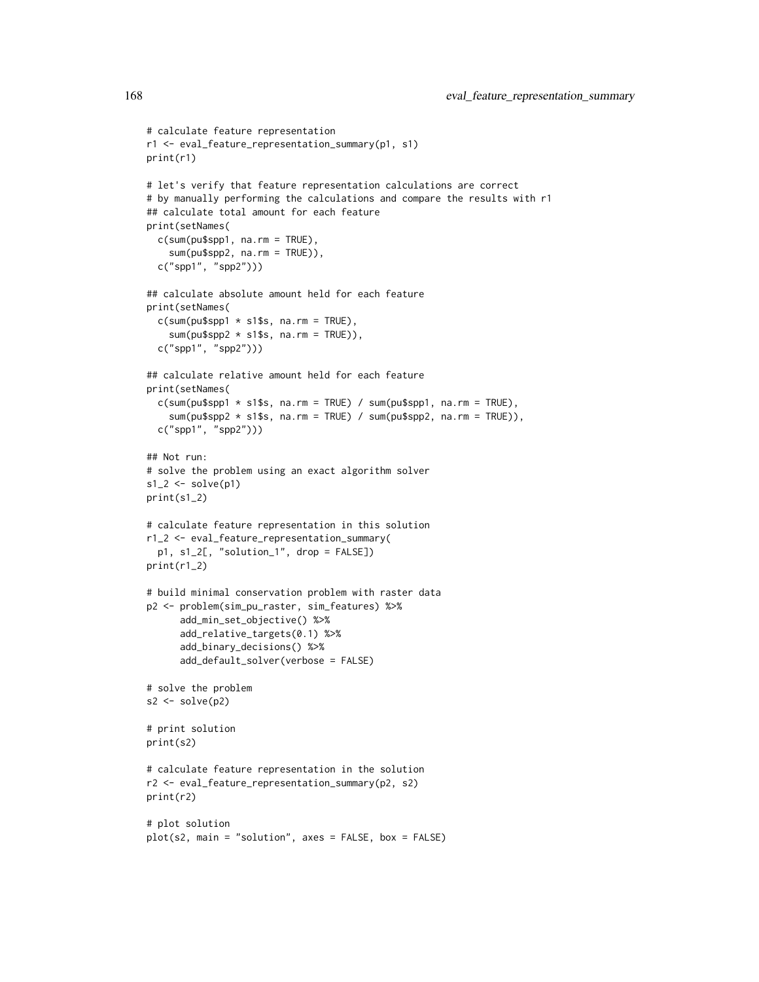```
# calculate feature representation
r1 <- eval_feature_representation_summary(p1, s1)
print(r1)
# let's verify that feature representation calculations are correct
# by manually performing the calculations and compare the results with r1
## calculate total amount for each feature
print(setNames(
  c(sum(pu$spp1, na.rm = TRUE),
    sum(pu$spp2, na.rm = TRUE)),
  c("spp1", "spp2")))
## calculate absolute amount held for each feature
print(setNames(
  c(sum(pu$spp1 * s1$s, na.rm = TRUE),sum(pu$spp2 * s1$s, na.rm = TRUE)),c("spp1", "spp2")))
## calculate relative amount held for each feature
print(setNames(
  c(sum(pu$spp1 * s1$s, na.rm = TRUE) / sum(pu$spp1, na.rm = TRUE),sum(pu$spp2 * s1$s, na.rm = TRUE) / sum(pu$spp2, na.rm = TRUE)),
  c("spp1", "spp2")))
## Not run:
# solve the problem using an exact algorithm solver
s1_2 \leftarrow solve(p1)print(s1_2)
# calculate feature representation in this solution
r1_2 <- eval_feature_representation_summary(
  p1, s1_2[, "solution_1", drop = FALSE])
print(r1_2)
# build minimal conservation problem with raster data
p2 <- problem(sim_pu_raster, sim_features) %>%
      add_min_set_objective() %>%
      add_relative_targets(0.1) %>%
      add_binary_decisions() %>%
      add_default_solver(verbose = FALSE)
# solve the problem
s2 \leftarrow solve(p2)# print solution
print(s2)
# calculate feature representation in the solution
r2 <- eval_feature_representation_summary(p2, s2)
print(r2)
# plot solution
plot(s2, main = "solution", axes = FALSE, box = FALSE)
```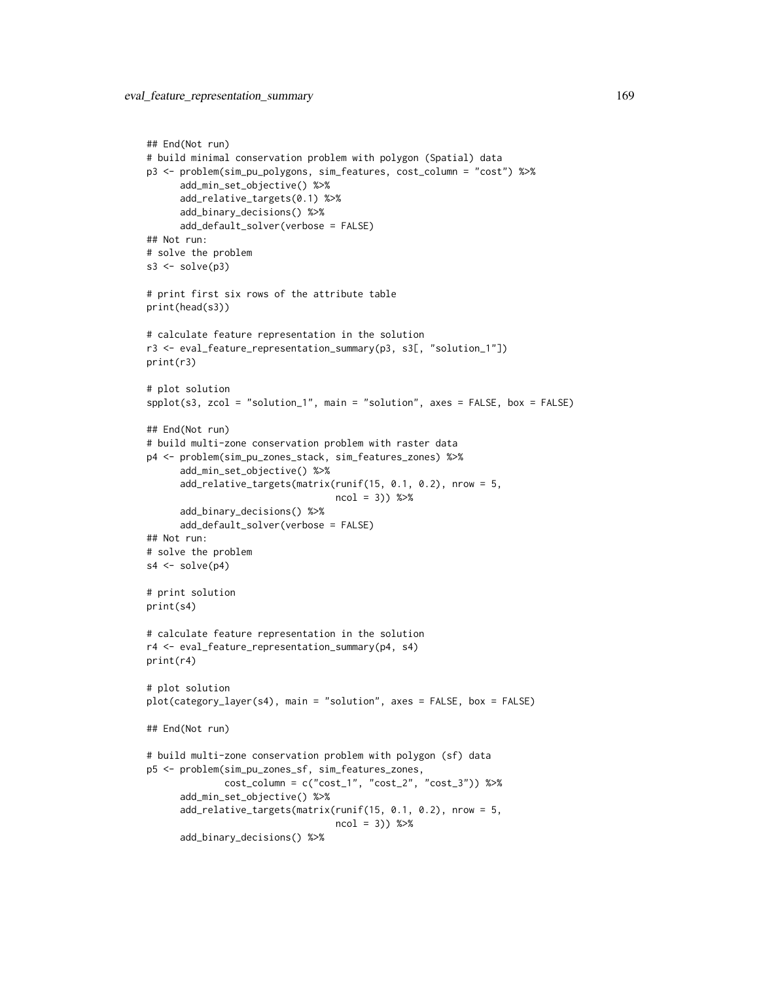```
## End(Not run)
# build minimal conservation problem with polygon (Spatial) data
p3 <- problem(sim_pu_polygons, sim_features, cost_column = "cost") %>%
      add_min_set_objective() %>%
      add_relative_targets(0.1) %>%
      add_binary_decisions() %>%
      add_default_solver(verbose = FALSE)
## Not run:
# solve the problem
s3 \leq solve(p3)# print first six rows of the attribute table
print(head(s3))
# calculate feature representation in the solution
r3 <- eval_feature_representation_summary(p3, s3[, "solution_1"])
print(r3)
# plot solution
spplot(s3, zcol = "solution_1", main = "solution", axes = FALSE, box = FALSE)
## End(Not run)
# build multi-zone conservation problem with raster data
p4 <- problem(sim_pu_zones_stack, sim_features_zones) %>%
      add_min_set_objective() %>%
      add_relative_targets(matrix(runif(15, 0.1, 0.2), nrow = 5,
                                  ncol = 3)) %>%
      add_binary_decisions() %>%
      add_default_solver(verbose = FALSE)
## Not run:
# solve the problem
s4 \leftarrow solve(p4)# print solution
print(s4)
# calculate feature representation in the solution
r4 <- eval_feature_representation_summary(p4, s4)
print(r4)
# plot solution
plot(category_layer(s4), main = "solution", axes = FALSE, box = FALSE)
## End(Not run)
# build multi-zone conservation problem with polygon (sf) data
p5 <- problem(sim_pu_zones_sf, sim_features_zones,
              cost_column = c("cost_1", "cost_2", "cost_3")) %>%
      add_min_set_objective() %>%
      add_relative_targets(matrix(runif(15, 0.1, 0.2), nrow = 5,
                                  ncol = 3) %>%
      add_binary_decisions() %>%
```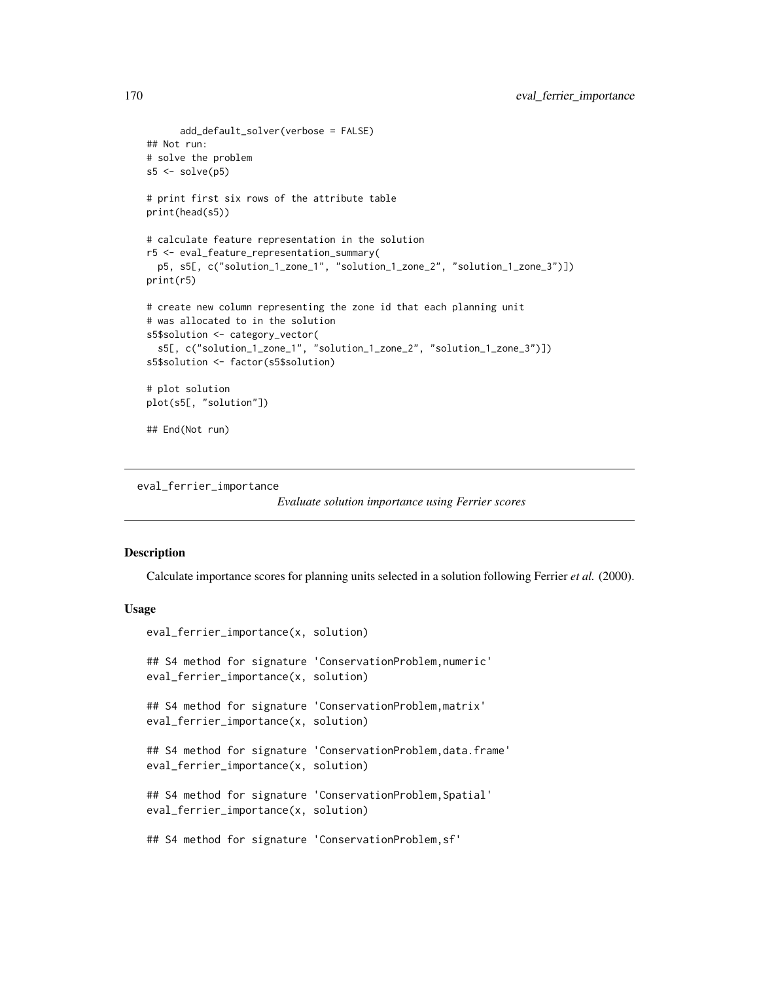```
add_default_solver(verbose = FALSE)
## Not run:
# solve the problem
s5 \leq solve(p5)# print first six rows of the attribute table
print(head(s5))
# calculate feature representation in the solution
r5 <- eval_feature_representation_summary(
  p5, s5[, c("solution_1_zone_1", "solution_1_zone_2", "solution_1_zone_3")])
print(r5)
# create new column representing the zone id that each planning unit
# was allocated to in the solution
s5$solution <- category_vector(
  s5[, c("solution_1_zone_1", "solution_1_zone_2", "solution_1_zone_3")])
s5$solution <- factor(s5$solution)
# plot solution
plot(s5[, "solution"])
## End(Not run)
```
<span id="page-169-0"></span>eval\_ferrier\_importance

*Evaluate solution importance using Ferrier scores*

# **Description**

Calculate importance scores for planning units selected in a solution following Ferrier *et al.* (2000).

## Usage

```
eval_ferrier_importance(x, solution)
## S4 method for signature 'ConservationProblem, numeric'
eval_ferrier_importance(x, solution)
## S4 method for signature 'ConservationProblem,matrix'
eval_ferrier_importance(x, solution)
## S4 method for signature 'ConservationProblem, data.frame'
eval_ferrier_importance(x, solution)
## S4 method for signature 'ConservationProblem,Spatial'
eval_ferrier_importance(x, solution)
## S4 method for signature 'ConservationProblem,sf'
```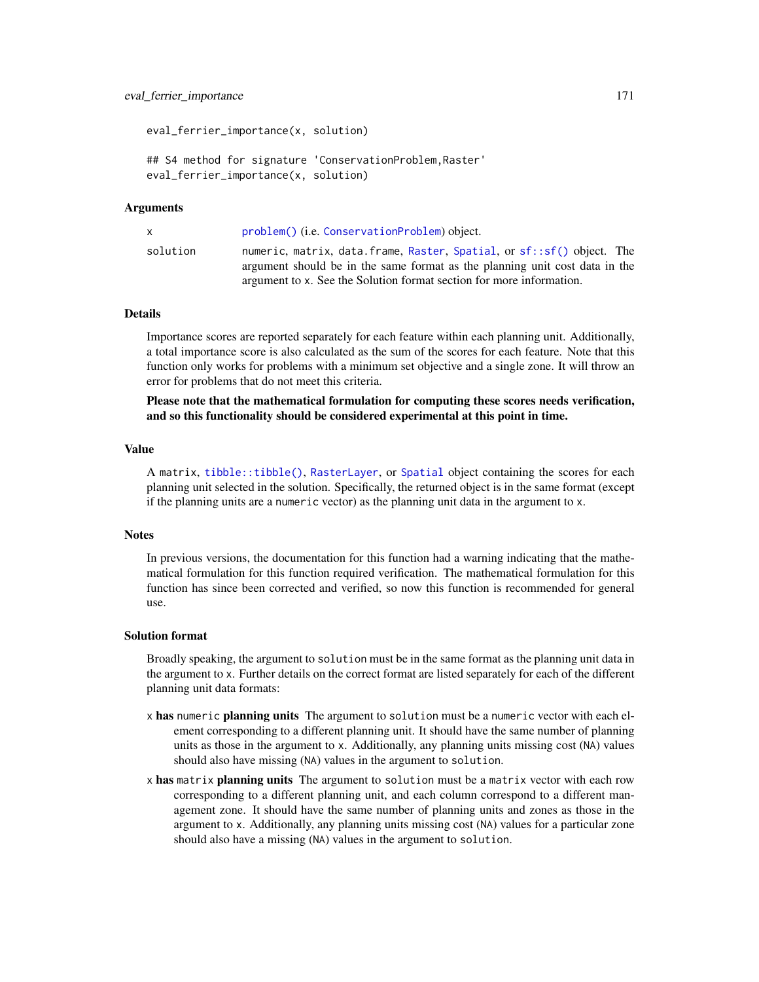eval\_ferrier\_importance(x, solution) ## S4 method for signature 'ConservationProblem,Raster'

eval\_ferrier\_importance(x, solution)

#### Arguments

| $\mathsf{X}$ | problem() (i.e. ConservationProblem) object.                                                                                                                                                                                 |
|--------------|------------------------------------------------------------------------------------------------------------------------------------------------------------------------------------------------------------------------------|
| solution     | numeric, matrix, data.frame, Raster, Spatial, or sf::sf() object. The<br>argument should be in the same format as the planning unit cost data in the<br>argument to x. See the Solution format section for more information. |

# Details

Importance scores are reported separately for each feature within each planning unit. Additionally, a total importance score is also calculated as the sum of the scores for each feature. Note that this function only works for problems with a minimum set objective and a single zone. It will throw an error for problems that do not meet this criteria.

Please note that the mathematical formulation for computing these scores needs verification, and so this functionality should be considered experimental at this point in time.

# Value

A matrix, [tibble::tibble\(\)](#page-0-0), [RasterLayer](#page-0-0), or [Spatial](#page-0-0) object containing the scores for each planning unit selected in the solution. Specifically, the returned object is in the same format (except if the planning units are a numeric vector) as the planning unit data in the argument to x.

# **Notes**

In previous versions, the documentation for this function had a warning indicating that the mathematical formulation for this function required verification. The mathematical formulation for this function has since been corrected and verified, so now this function is recommended for general use.

# Solution format

Broadly speaking, the argument to solution must be in the same format as the planning unit data in the argument to x. Further details on the correct format are listed separately for each of the different planning unit data formats:

- x has numeric planning units The argument to solution must be a numeric vector with each element corresponding to a different planning unit. It should have the same number of planning units as those in the argument to x. Additionally, any planning units missing cost (NA) values should also have missing (NA) values in the argument to solution.
- x has matrix planning units The argument to solution must be a matrix vector with each row corresponding to a different planning unit, and each column correspond to a different management zone. It should have the same number of planning units and zones as those in the argument to x. Additionally, any planning units missing cost (NA) values for a particular zone should also have a missing (NA) values in the argument to solution.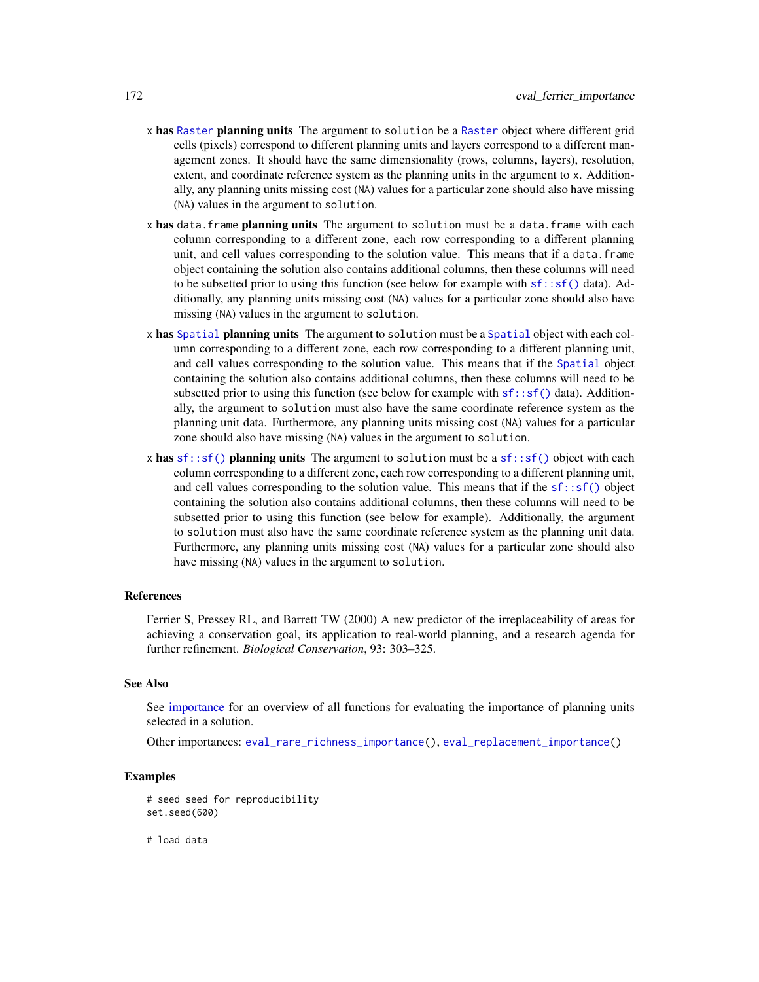- x has [Raster](#page-0-0) planning units The argument to solution be a Raster object where different grid cells (pixels) correspond to different planning units and layers correspond to a different management zones. It should have the same dimensionality (rows, columns, layers), resolution, extent, and coordinate reference system as the planning units in the argument to x. Additionally, any planning units missing cost (NA) values for a particular zone should also have missing (NA) values in the argument to solution.
- x has data.frame planning units The argument to solution must be a data.frame with each column corresponding to a different zone, each row corresponding to a different planning unit, and cell values corresponding to the solution value. This means that if a data.frame object containing the solution also contains additional columns, then these columns will need to be subsetted prior to using this function (see below for example with  $sf::sf()$  data). Additionally, any planning units missing cost (NA) values for a particular zone should also have missing (NA) values in the argument to solution.
- x has [Spatial](#page-0-0) planning units The argument to solution must be a Spatial object with each column corresponding to a different zone, each row corresponding to a different planning unit, and cell values corresponding to the solution value. This means that if the [Spatial](#page-0-0) object containing the solution also contains additional columns, then these columns will need to be subsetted prior to using this function (see below for example with  $sf::sf()$  data). Additionally, the argument to solution must also have the same coordinate reference system as the planning unit data. Furthermore, any planning units missing cost (NA) values for a particular zone should also have missing (NA) values in the argument to solution.
- x has  $sf::sf()$  planning units The argument to solution must be a  $sf::sf()$  object with each column corresponding to a different zone, each row corresponding to a different planning unit, and cell values corresponding to the solution value. This means that if the  $sf::sf()$  object containing the solution also contains additional columns, then these columns will need to be subsetted prior to using this function (see below for example). Additionally, the argument to solution must also have the same coordinate reference system as the planning unit data. Furthermore, any planning units missing cost (NA) values for a particular zone should also have missing (NA) values in the argument to solution.

#### References

Ferrier S, Pressey RL, and Barrett TW (2000) A new predictor of the irreplaceability of areas for achieving a conservation goal, its application to real-world planning, and a research agenda for further refinement. *Biological Conservation*, 93: 303–325.

## See Also

See [importance](#page-195-0) for an overview of all functions for evaluating the importance of planning units selected in a solution.

Other importances: [eval\\_rare\\_richness\\_importance\(](#page-176-0)), [eval\\_replacement\\_importance\(](#page-180-0))

# Examples

```
# seed seed for reproducibility
set.seed(600)
```
# load data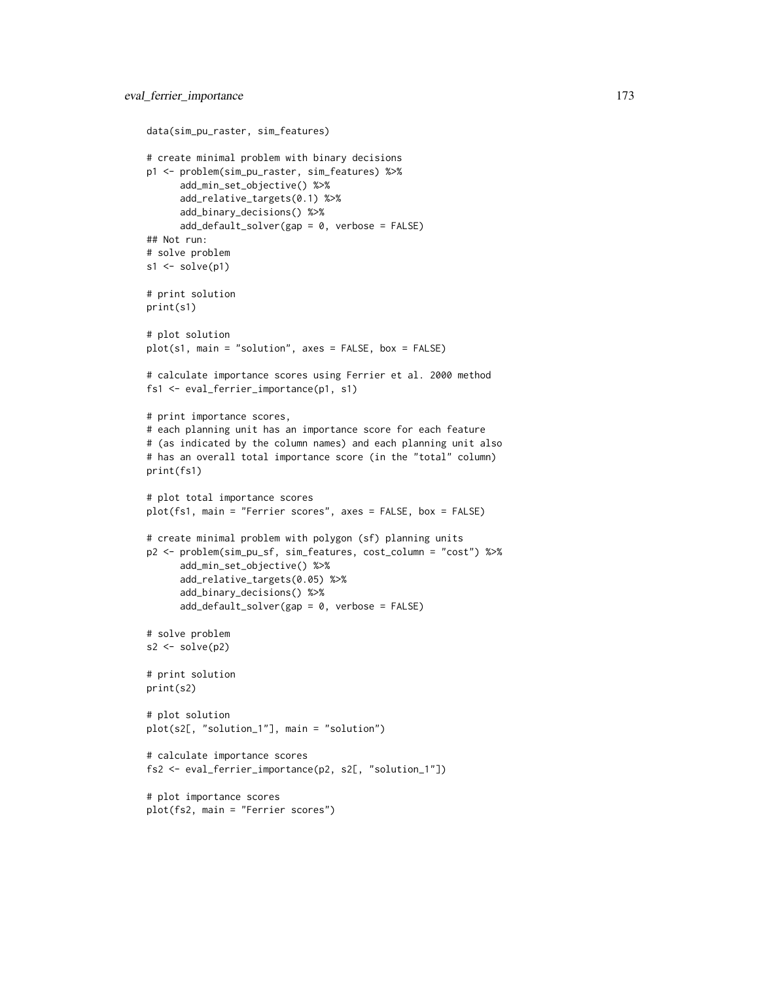```
data(sim_pu_raster, sim_features)
# create minimal problem with binary decisions
p1 <- problem(sim_pu_raster, sim_features) %>%
      add_min_set_objective() %>%
      add_relative_targets(0.1) %>%
      add_binary_decisions() %>%
      add_default_solver(gap = 0, verbose = FALSE)
## Not run:
# solve problem
s1 \leftarrow solve(p1)# print solution
print(s1)
# plot solution
plot(s1, main = "solution", axes = FALSE, box = FALSE)
# calculate importance scores using Ferrier et al. 2000 method
fs1 <- eval_ferrier_importance(p1, s1)
# print importance scores,
# each planning unit has an importance score for each feature
# (as indicated by the column names) and each planning unit also
# has an overall total importance score (in the "total" column)
print(fs1)
# plot total importance scores
plot(fs1, main = "Ferrier scores", axes = FALSE, box = FALSE)
# create minimal problem with polygon (sf) planning units
p2 <- problem(sim_pu_sf, sim_features, cost_column = "cost") %>%
      add_min_set_objective() %>%
      add_relative_targets(0.05) %>%
      add_binary_decisions() %>%
      add_default_solver(gap = 0, verbose = FALSE)
# solve problem
s2 \leftarrow solve(p2)# print solution
print(s2)
# plot solution
plot(s2[, "solution_1"], main = "solution")
# calculate importance scores
fs2 <- eval_ferrier_importance(p2, s2[, "solution_1"])
# plot importance scores
plot(fs2, main = "Ferrier scores")
```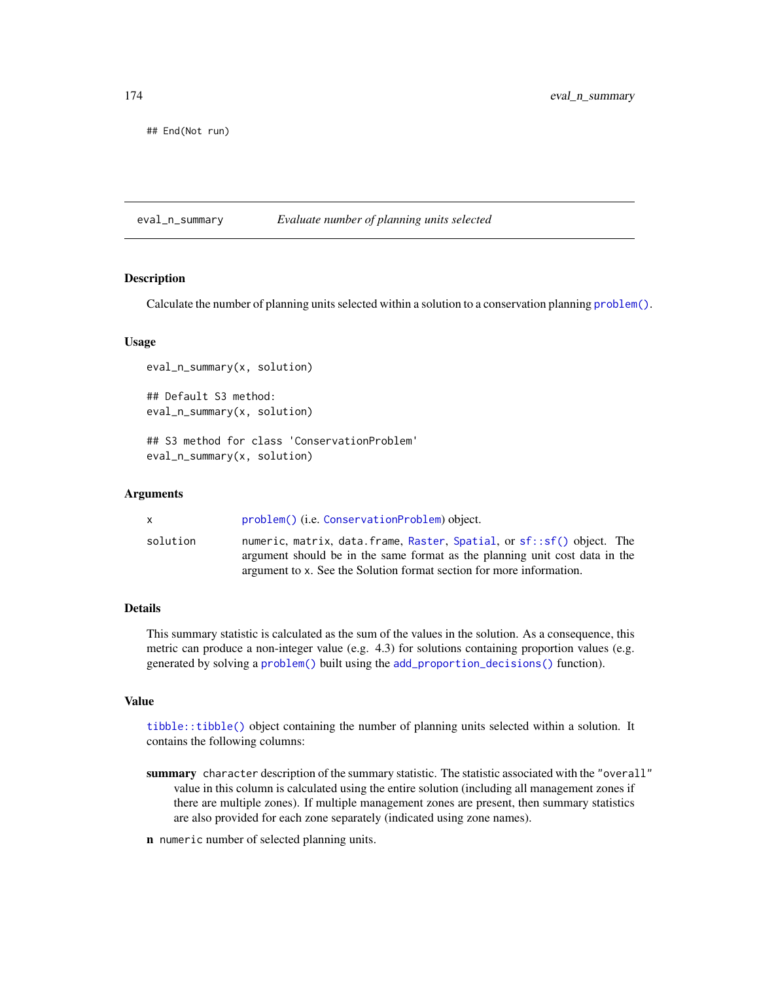## End(Not run)

<span id="page-173-0"></span>eval\_n\_summary *Evaluate number of planning units selected*

# Description

Calculate the number of planning units selected within a solution to a conservation planning [problem\(\)](#page-238-0).

# Usage

```
eval_n_summary(x, solution)
## Default S3 method:
eval_n_summary(x, solution)
## S3 method for class 'ConservationProblem'
eval_n_summary(x, solution)
```
## Arguments

| x.       | problem() (i.e. ConservationProblem) object.                                                                                                                                                                                 |
|----------|------------------------------------------------------------------------------------------------------------------------------------------------------------------------------------------------------------------------------|
| solution | numeric, matrix, data.frame, Raster, Spatial, or sf::sf() object. The<br>argument should be in the same format as the planning unit cost data in the<br>argument to x. See the Solution format section for more information. |

# Details

This summary statistic is calculated as the sum of the values in the solution. As a consequence, this metric can produce a non-integer value (e.g. 4.3) for solutions containing proportion values (e.g. generated by solving a [problem\(\)](#page-238-0) built using the [add\\_proportion\\_decisions\(\)](#page-109-0) function).

# Value

[tibble::tibble\(\)](#page-0-0) object containing the number of planning units selected within a solution. It contains the following columns:

- summary character description of the summary statistic. The statistic associated with the "overall" value in this column is calculated using the entire solution (including all management zones if there are multiple zones). If multiple management zones are present, then summary statistics are also provided for each zone separately (indicated using zone names).
- n numeric number of selected planning units.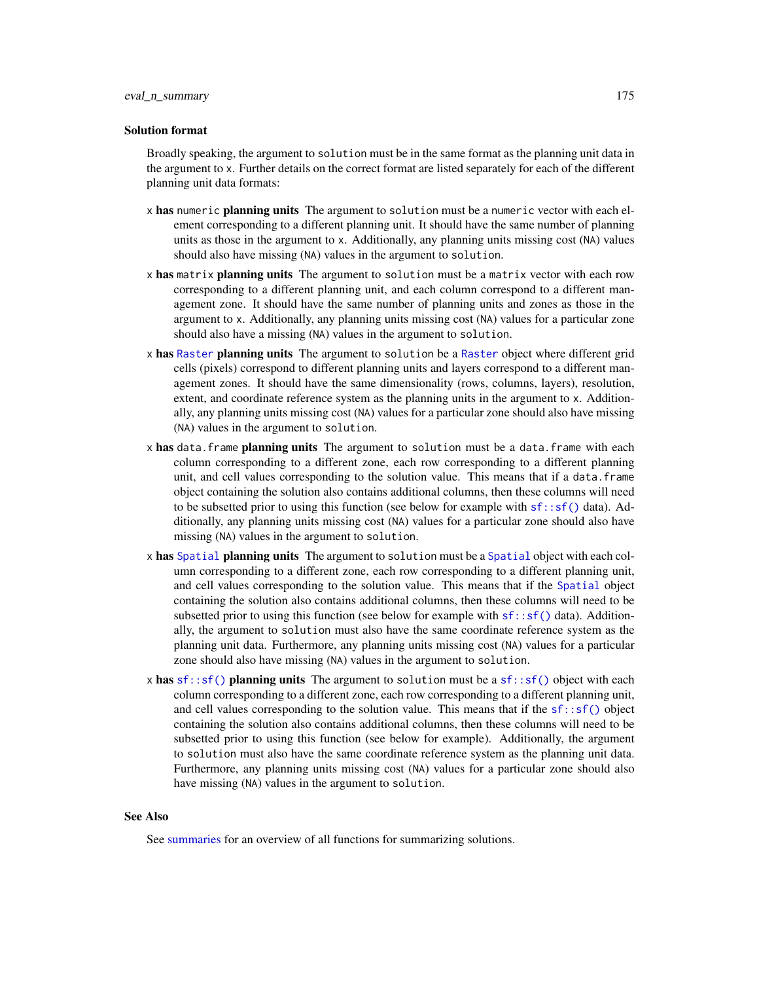## Solution format

Broadly speaking, the argument to solution must be in the same format as the planning unit data in the argument to x. Further details on the correct format are listed separately for each of the different planning unit data formats:

- x has numeric planning units The argument to solution must be a numeric vector with each element corresponding to a different planning unit. It should have the same number of planning units as those in the argument to x. Additionally, any planning units missing cost (NA) values should also have missing (NA) values in the argument to solution.
- x has matrix planning units The argument to solution must be a matrix vector with each row corresponding to a different planning unit, and each column correspond to a different management zone. It should have the same number of planning units and zones as those in the argument to x. Additionally, any planning units missing cost (NA) values for a particular zone should also have a missing (NA) values in the argument to solution.
- x has [Raster](#page-0-0) planning units The argument to solution be a Raster object where different grid cells (pixels) correspond to different planning units and layers correspond to a different management zones. It should have the same dimensionality (rows, columns, layers), resolution, extent, and coordinate reference system as the planning units in the argument to x. Additionally, any planning units missing cost (NA) values for a particular zone should also have missing (NA) values in the argument to solution.
- x has data. frame planning units The argument to solution must be a data. frame with each column corresponding to a different zone, each row corresponding to a different planning unit, and cell values corresponding to the solution value. This means that if a data.frame object containing the solution also contains additional columns, then these columns will need to be subsetted prior to using this function (see below for example with  $sf::sf()$  data). Additionally, any planning units missing cost (NA) values for a particular zone should also have missing (NA) values in the argument to solution.
- x has [Spatial](#page-0-0) planning units The argument to solution must be a Spatial object with each column corresponding to a different zone, each row corresponding to a different planning unit, and cell values corresponding to the solution value. This means that if the [Spatial](#page-0-0) object containing the solution also contains additional columns, then these columns will need to be subsetted prior to using this function (see below for example with  $sf::sf()$  data). Additionally, the argument to solution must also have the same coordinate reference system as the planning unit data. Furthermore, any planning units missing cost (NA) values for a particular zone should also have missing (NA) values in the argument to solution.
- x has  $sf::sf()$  planning units The argument to solution must be a  $sf::sf()$  object with each column corresponding to a different zone, each row corresponding to a different planning unit, and cell values corresponding to the solution value. This means that if the  $sf::sf()$  object containing the solution also contains additional columns, then these columns will need to be subsetted prior to using this function (see below for example). Additionally, the argument to solution must also have the same coordinate reference system as the planning unit data. Furthermore, any planning units missing cost (NA) values for a particular zone should also have missing (NA) values in the argument to solution.

## See Also

See [summaries](#page-269-0) for an overview of all functions for summarizing solutions.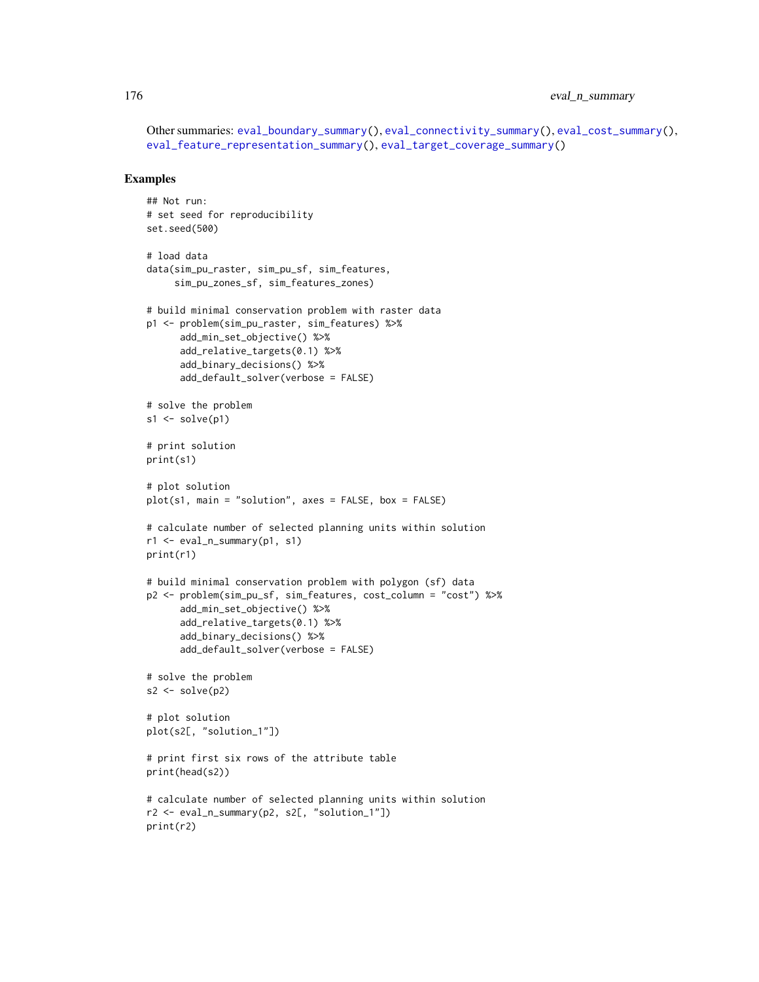# 176 eval\_n\_summary

Other summaries: [eval\\_boundary\\_summary\(](#page-149-0)), [eval\\_connectivity\\_summary\(](#page-155-0)), [eval\\_cost\\_summary\(](#page-160-0)), [eval\\_feature\\_representation\\_summary\(](#page-164-0)), [eval\\_target\\_coverage\\_summary\(](#page-185-0))

```
## Not run:
# set seed for reproducibility
set.seed(500)
# load data
data(sim_pu_raster, sim_pu_sf, sim_features,
     sim_pu_zones_sf, sim_features_zones)
# build minimal conservation problem with raster data
p1 <- problem(sim_pu_raster, sim_features) %>%
      add_min_set_objective() %>%
      add_relative_targets(0.1) %>%
      add_binary_decisions() %>%
      add_default_solver(verbose = FALSE)
# solve the problem
s1 \leftarrow solve(p1)# print solution
print(s1)
# plot solution
plot(s1, main = "solution", axes = FALSE, box = FALSE)# calculate number of selected planning units within solution
r1 <- eval_n_summary(p1, s1)
print(r1)
# build minimal conservation problem with polygon (sf) data
p2 <- problem(sim_pu_sf, sim_features, cost_column = "cost") %>%
      add_min_set_objective() %>%
      add_relative_targets(0.1) %>%
      add_binary_decisions() %>%
      add_default_solver(verbose = FALSE)
# solve the problem
s2 \leftarrow solve(p2)# plot solution
plot(s2[, "solution_1"])
# print first six rows of the attribute table
print(head(s2))
# calculate number of selected planning units within solution
r2 <- eval_n_summary(p2, s2[, "solution_1"])
print(r2)
```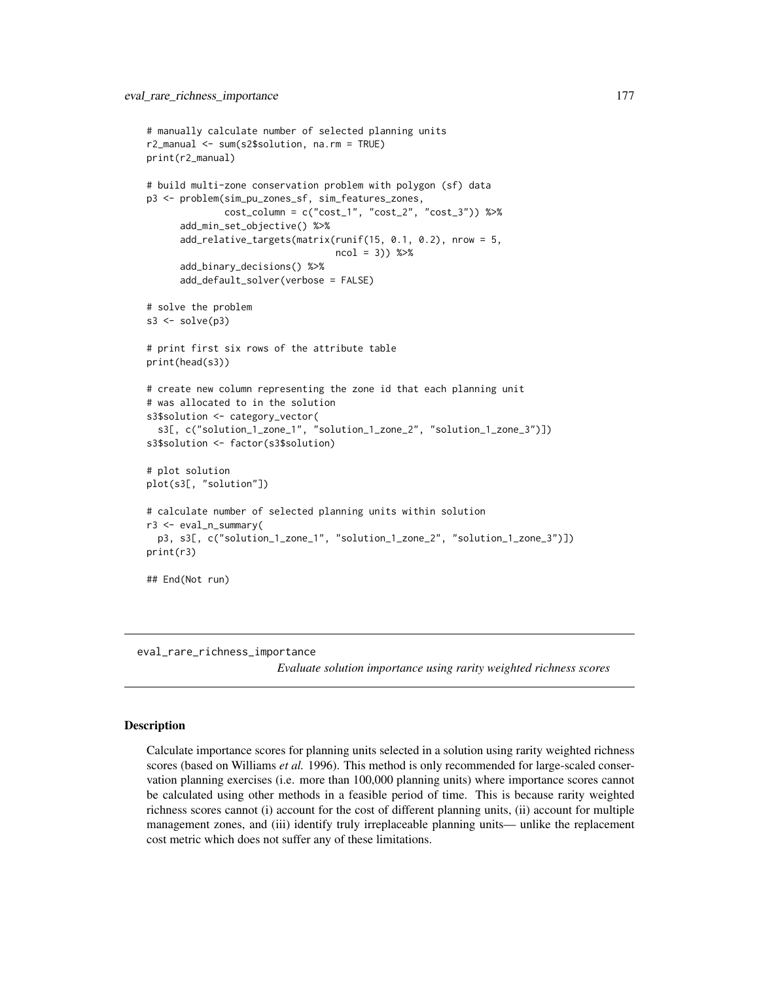```
# manually calculate number of selected planning units
r2_manual <- sum(s2$solution, na.rm = TRUE)
print(r2_manual)
# build multi-zone conservation problem with polygon (sf) data
p3 <- problem(sim_pu_zones_sf, sim_features_zones,
              cost_column = c("cost_1", "cost_2", "cost_3")) %>%
      add_min_set_objective() %>%
      add_relative_targets(matrix(runif(15, 0.1, 0.2), nrow = 5,
                                  ncol = 3) %>%
      add_binary_decisions() %>%
      add_default_solver(verbose = FALSE)
# solve the problem
s3 \leq solve(p3)# print first six rows of the attribute table
print(head(s3))
# create new column representing the zone id that each planning unit
# was allocated to in the solution
s3$solution <- category_vector(
 s3[, c("solution_1_zone_1", "solution_1_zone_2", "solution_1_zone_3")])
s3$solution <- factor(s3$solution)
# plot solution
plot(s3[, "solution"])
# calculate number of selected planning units within solution
r3 <- eval_n_summary(
 p3, s3[, c("solution_1_zone_1", "solution_1_zone_2", "solution_1_zone_3")])
print(r3)
## End(Not run)
```
<span id="page-176-0"></span>eval\_rare\_richness\_importance

*Evaluate solution importance using rarity weighted richness scores*

# **Description**

Calculate importance scores for planning units selected in a solution using rarity weighted richness scores (based on Williams *et al.* 1996). This method is only recommended for large-scaled conservation planning exercises (i.e. more than 100,000 planning units) where importance scores cannot be calculated using other methods in a feasible period of time. This is because rarity weighted richness scores cannot (i) account for the cost of different planning units, (ii) account for multiple management zones, and (iii) identify truly irreplaceable planning units— unlike the replacement cost metric which does not suffer any of these limitations.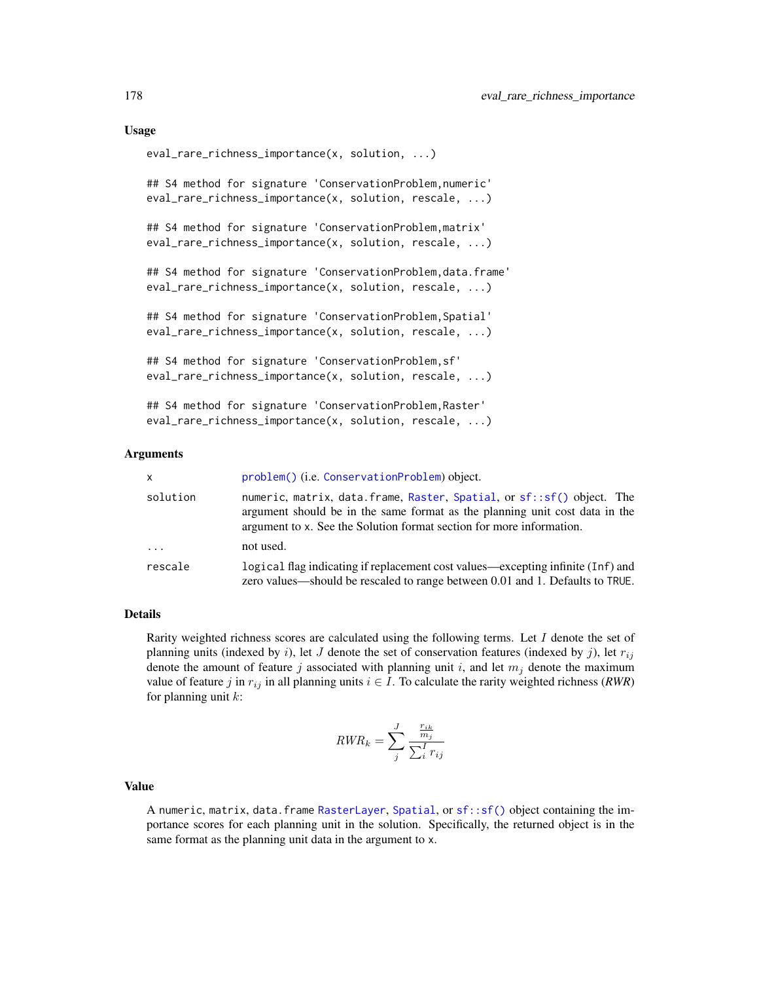## Usage

```
eval_rare_richness_importance(x, solution, ...)
## S4 method for signature 'ConservationProblem,numeric'
eval_rare_richness_importance(x, solution, rescale, ...)
## S4 method for signature 'ConservationProblem,matrix'
eval_rare_richness_importance(x, solution, rescale, ...)
## S4 method for signature 'ConservationProblem, data.frame'
eval_rare_richness_importance(x, solution, rescale, ...)
## S4 method for signature 'ConservationProblem,Spatial'
eval_rare_richness_importance(x, solution, rescale, ...)
## S4 method for signature 'ConservationProblem,sf'
eval_rare_richness_importance(x, solution, rescale, ...)
## S4 method for signature 'ConservationProblem,Raster'
eval_rare_richness_importance(x, solution, rescale, ...)
```
#### Arguments

| <b>x</b> | problem() (i.e. ConservationProblem) object.                                                                                                                                                                                 |
|----------|------------------------------------------------------------------------------------------------------------------------------------------------------------------------------------------------------------------------------|
| solution | numeric, matrix, data.frame, Raster, Spatial, or sf::sf() object. The<br>argument should be in the same format as the planning unit cost data in the<br>argument to x. See the Solution format section for more information. |
| $\cdots$ | not used.                                                                                                                                                                                                                    |
| rescale  | logical flag indicating if replacement cost values—excepting infinite (Inf) and<br>zero values—should be rescaled to range between 0.01 and 1. Defaults to TRUE.                                                             |

# Details

Rarity weighted richness scores are calculated using the following terms. Let  $I$  denote the set of planning units (indexed by i), let J denote the set of conservation features (indexed by j), let  $r_{ij}$ denote the amount of feature j associated with planning unit i, and let  $m_j$  denote the maximum value of feature j in  $r_{ij}$  in all planning units  $i \in I$ . To calculate the rarity weighted richness (*RWR*) for planning unit  $k$ :

$$
RWR_k = \sum_{j}^{J} \frac{\frac{r_{ik}}{m_j}}{\sum_{i}^{I} r_{ij}}
$$

# Value

A numeric, matrix, data.frame [RasterLayer](#page-0-0), [Spatial](#page-0-0), or [sf::sf\(\)](#page-0-0) object containing the importance scores for each planning unit in the solution. Specifically, the returned object is in the same format as the planning unit data in the argument to x.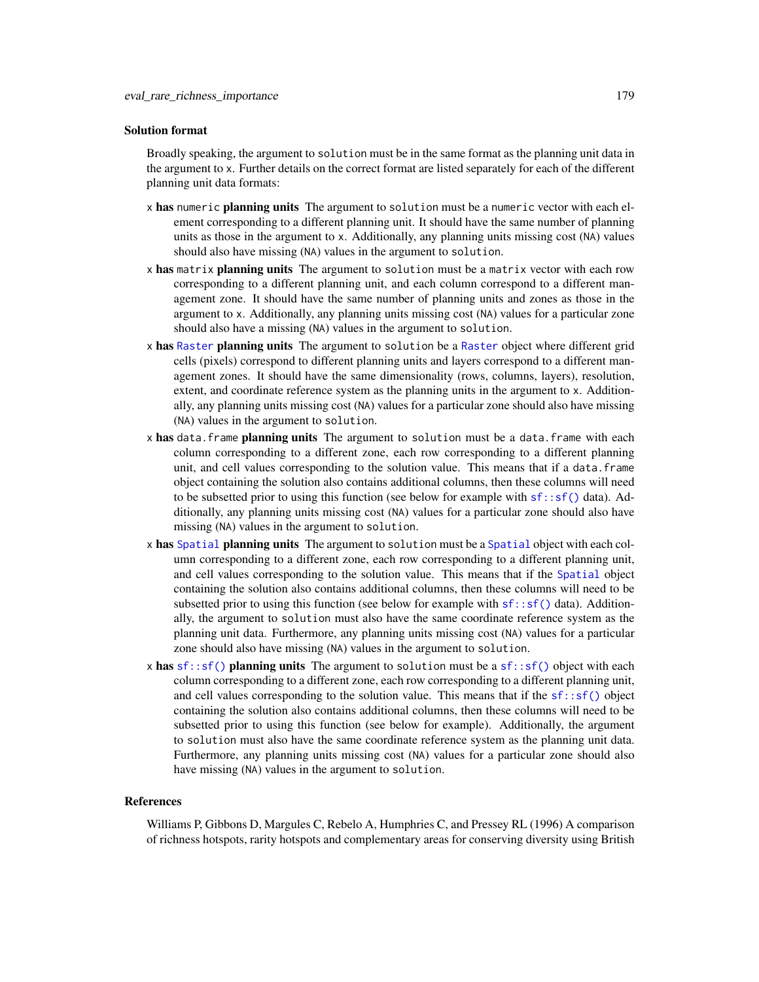## Solution format

Broadly speaking, the argument to solution must be in the same format as the planning unit data in the argument to x. Further details on the correct format are listed separately for each of the different planning unit data formats:

- x has numeric planning units The argument to solution must be a numeric vector with each element corresponding to a different planning unit. It should have the same number of planning units as those in the argument to x. Additionally, any planning units missing cost (NA) values should also have missing (NA) values in the argument to solution.
- x has matrix planning units The argument to solution must be a matrix vector with each row corresponding to a different planning unit, and each column correspond to a different management zone. It should have the same number of planning units and zones as those in the argument to x. Additionally, any planning units missing cost (NA) values for a particular zone should also have a missing (NA) values in the argument to solution.
- x has [Raster](#page-0-0) planning units The argument to solution be a Raster object where different grid cells (pixels) correspond to different planning units and layers correspond to a different management zones. It should have the same dimensionality (rows, columns, layers), resolution, extent, and coordinate reference system as the planning units in the argument to x. Additionally, any planning units missing cost (NA) values for a particular zone should also have missing (NA) values in the argument to solution.
- x has data. frame planning units The argument to solution must be a data. frame with each column corresponding to a different zone, each row corresponding to a different planning unit, and cell values corresponding to the solution value. This means that if a data.frame object containing the solution also contains additional columns, then these columns will need to be subsetted prior to using this function (see below for example with  $sf::sf()$  data). Additionally, any planning units missing cost (NA) values for a particular zone should also have missing (NA) values in the argument to solution.
- x has [Spatial](#page-0-0) planning units The argument to solution must be a Spatial object with each column corresponding to a different zone, each row corresponding to a different planning unit, and cell values corresponding to the solution value. This means that if the [Spatial](#page-0-0) object containing the solution also contains additional columns, then these columns will need to be subsetted prior to using this function (see below for example with  $sf::sf()$  data). Additionally, the argument to solution must also have the same coordinate reference system as the planning unit data. Furthermore, any planning units missing cost (NA) values for a particular zone should also have missing (NA) values in the argument to solution.
- x has  $sf::sf()$  planning units The argument to solution must be a  $sf::sf()$  object with each column corresponding to a different zone, each row corresponding to a different planning unit, and cell values corresponding to the solution value. This means that if the  $sf::sf()$  object containing the solution also contains additional columns, then these columns will need to be subsetted prior to using this function (see below for example). Additionally, the argument to solution must also have the same coordinate reference system as the planning unit data. Furthermore, any planning units missing cost (NA) values for a particular zone should also have missing (NA) values in the argument to solution.

#### References

Williams P, Gibbons D, Margules C, Rebelo A, Humphries C, and Pressey RL (1996) A comparison of richness hotspots, rarity hotspots and complementary areas for conserving diversity using British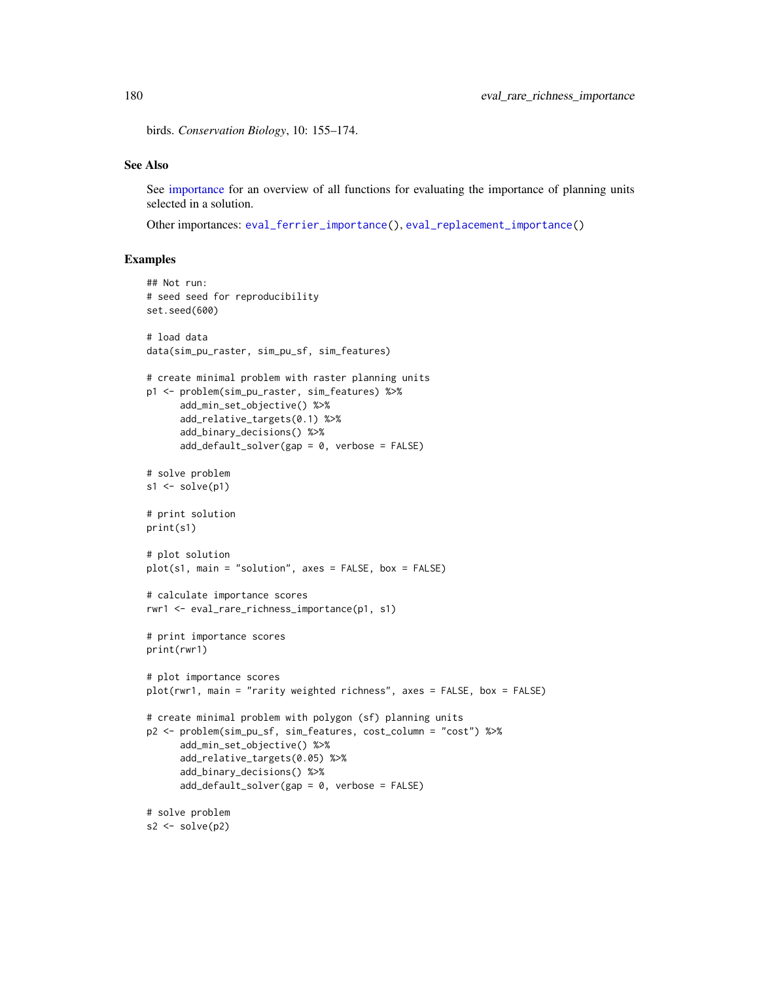birds. *Conservation Biology*, 10: 155–174.

# See Also

See [importance](#page-195-0) for an overview of all functions for evaluating the importance of planning units selected in a solution.

Other importances: [eval\\_ferrier\\_importance\(](#page-169-0)), [eval\\_replacement\\_importance\(](#page-180-0))

```
## Not run:
# seed seed for reproducibility
set.seed(600)
# load data
data(sim_pu_raster, sim_pu_sf, sim_features)
# create minimal problem with raster planning units
p1 <- problem(sim_pu_raster, sim_features) %>%
      add_min_set_objective() %>%
      add_relative_targets(0.1) %>%
      add_binary_decisions() %>%
      add_default_solver(gap = 0, verbose = FALSE)
# solve problem
s1 \leftarrow solve(p1)# print solution
print(s1)
# plot solution
plot(s1, main = "solution", axes = FALSE, box = FALSE)
# calculate importance scores
rwr1 <- eval_rare_richness_importance(p1, s1)
# print importance scores
print(rwr1)
# plot importance scores
plot(rwr1, main = "rarity weighted richness", axes = FALSE, box = FALSE)
# create minimal problem with polygon (sf) planning units
p2 <- problem(sim_pu_sf, sim_features, cost_column = "cost") %>%
      add_min_set_objective() %>%
      add_relative_targets(0.05) %>%
      add_binary_decisions() %>%
      add_default_solver(gap = 0, verbose = FALSE)
# solve problem
s2 \leftarrow solve(p2)
```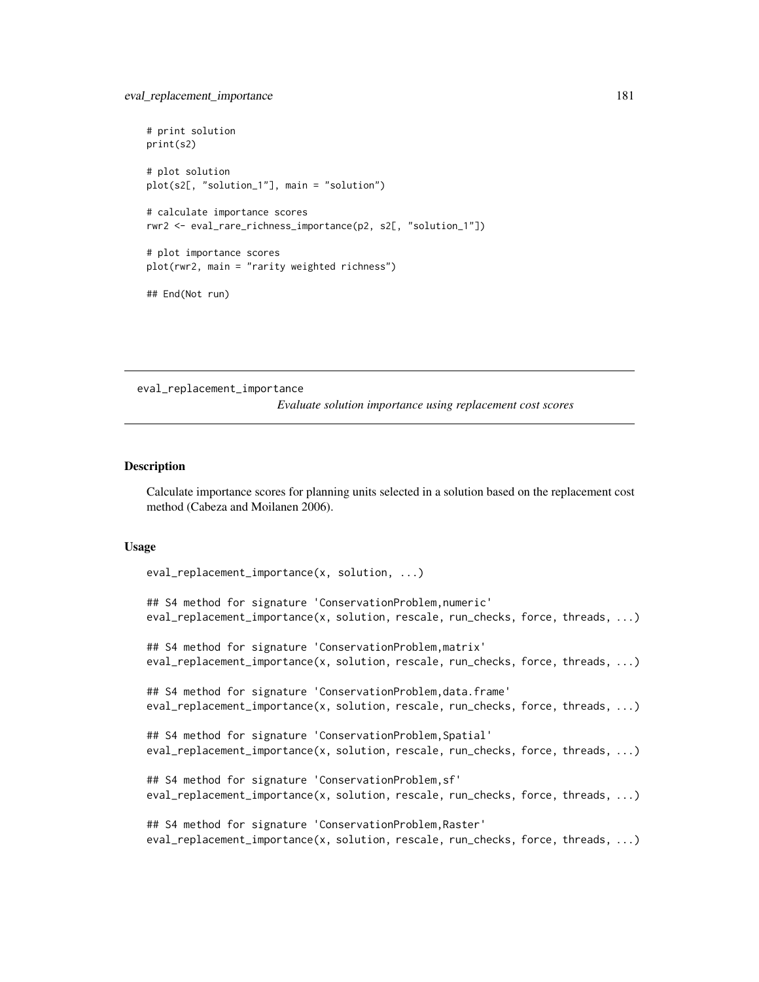```
# print solution
print(s2)
# plot solution
plot(s2[, "solution_1"], main = "solution")
# calculate importance scores
rwr2 <- eval_rare_richness_importance(p2, s2[, "solution_1"])
# plot importance scores
plot(rwr2, main = "rarity weighted richness")
## End(Not run)
```
<span id="page-180-0"></span>eval\_replacement\_importance

*Evaluate solution importance using replacement cost scores*

#### Description

Calculate importance scores for planning units selected in a solution based on the replacement cost method (Cabeza and Moilanen 2006).

#### Usage

```
eval_replacement_importance(x, solution, ...)
```
## S4 method for signature 'ConservationProblem,numeric' eval\_replacement\_importance(x, solution, rescale, run\_checks, force, threads, ...)

## S4 method for signature 'ConservationProblem,matrix' eval\_replacement\_importance(x, solution, rescale, run\_checks, force, threads, ...)

## S4 method for signature 'ConservationProblem,data.frame' eval\_replacement\_importance(x, solution, rescale, run\_checks, force, threads, ...)

```
## S4 method for signature 'ConservationProblem, Spatial'
eval_replacement_importance(x, solution, rescale, run_checks, force, threads, ...)
```

```
## S4 method for signature 'ConservationProblem,sf'
eval_replacement_importance(x, solution, rescale, run_checks, force, threads, ...)
```

```
## S4 method for signature 'ConservationProblem,Raster'
eval_replacement_importance(x, solution, rescale, run_checks, force, threads, ...)
```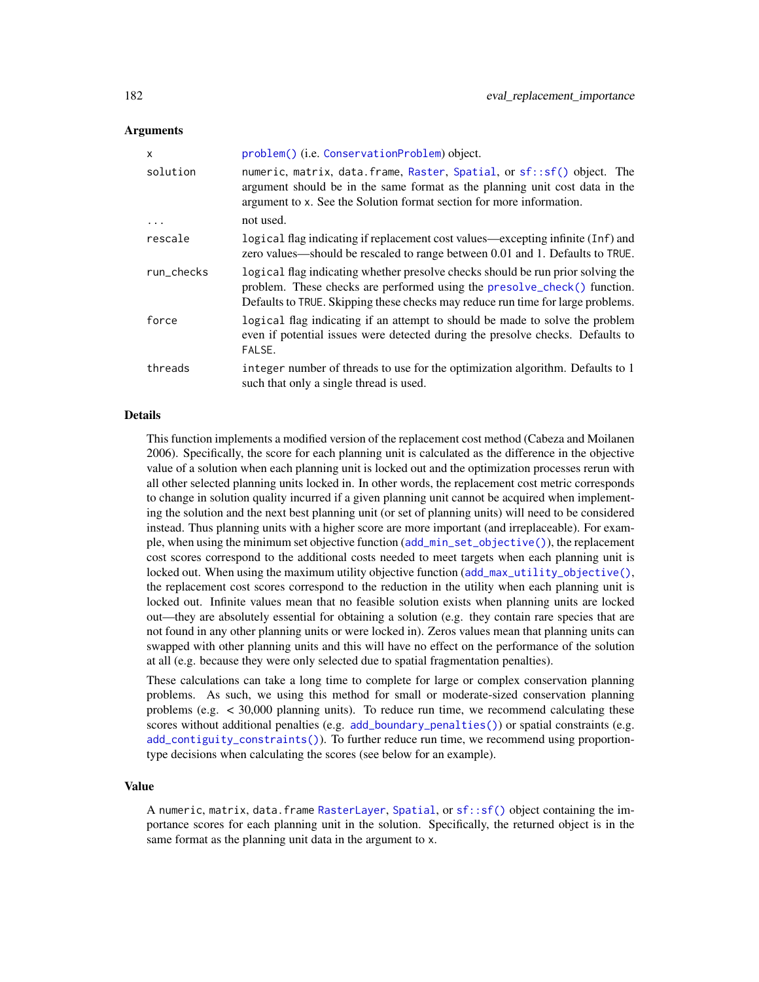## Arguments

| X          | problem() (i.e. ConservationProblem) object.                                                                                                                                                                                                   |
|------------|------------------------------------------------------------------------------------------------------------------------------------------------------------------------------------------------------------------------------------------------|
| solution   | numeric, matrix, data.frame, Raster, Spatial, or sf::sf() object. The<br>argument should be in the same format as the planning unit cost data in the<br>argument to x. See the Solution format section for more information.                   |
| $\cdots$   | not used.                                                                                                                                                                                                                                      |
| rescale    | logical flag indicating if replacement cost values—excepting infinite (Inf) and<br>zero values—should be rescaled to range between 0.01 and 1. Defaults to TRUE.                                                                               |
| run checks | logical flag indicating whether presolve checks should be run prior solving the<br>problem. These checks are performed using the presolve_check() function.<br>Defaults to TRUE. Skipping these checks may reduce run time for large problems. |
| force      | logical flag indicating if an attempt to should be made to solve the problem<br>even if potential issues were detected during the presolve checks. Defaults to<br>FALSE.                                                                       |
| threads    | integer number of threads to use for the optimization algorithm. Defaults to 1<br>such that only a single thread is used.                                                                                                                      |

## Details

This function implements a modified version of the replacement cost method (Cabeza and Moilanen 2006). Specifically, the score for each planning unit is calculated as the difference in the objective value of a solution when each planning unit is locked out and the optimization processes rerun with all other selected planning units locked in. In other words, the replacement cost metric corresponds to change in solution quality incurred if a given planning unit cannot be acquired when implementing the solution and the next best planning unit (or set of planning units) will need to be considered instead. Thus planning units with a higher score are more important (and irreplaceable). For example, when using the minimum set objective function ([add\\_min\\_set\\_objective\(\)](#page-101-0)), the replacement cost scores correspond to the additional costs needed to meet targets when each planning unit is locked out. When using the maximum utility objective function ([add\\_max\\_utility\\_objective\(\)](#page-97-0), the replacement cost scores correspond to the reduction in the utility when each planning unit is locked out. Infinite values mean that no feasible solution exists when planning units are locked out—they are absolutely essential for obtaining a solution (e.g. they contain rare species that are not found in any other planning units or were locked in). Zeros values mean that planning units can swapped with other planning units and this will have no effect on the performance of the solution at all (e.g. because they were only selected due to spatial fragmentation penalties).

These calculations can take a long time to complete for large or complex conservation planning problems. As such, we using this method for small or moderate-sized conservation planning problems (e.g. < 30,000 planning units). To reduce run time, we recommend calculating these scores without additional penalties (e.g. [add\\_boundary\\_penalties\(\)](#page-9-0)) or spatial constraints (e.g. [add\\_contiguity\\_constraints\(\)](#page-25-0)). To further reduce run time, we recommend using proportiontype decisions when calculating the scores (see below for an example).

## Value

A numeric, matrix, data.frame [RasterLayer](#page-0-0), [Spatial](#page-0-0), or [sf::sf\(\)](#page-0-0) object containing the importance scores for each planning unit in the solution. Specifically, the returned object is in the same format as the planning unit data in the argument to x.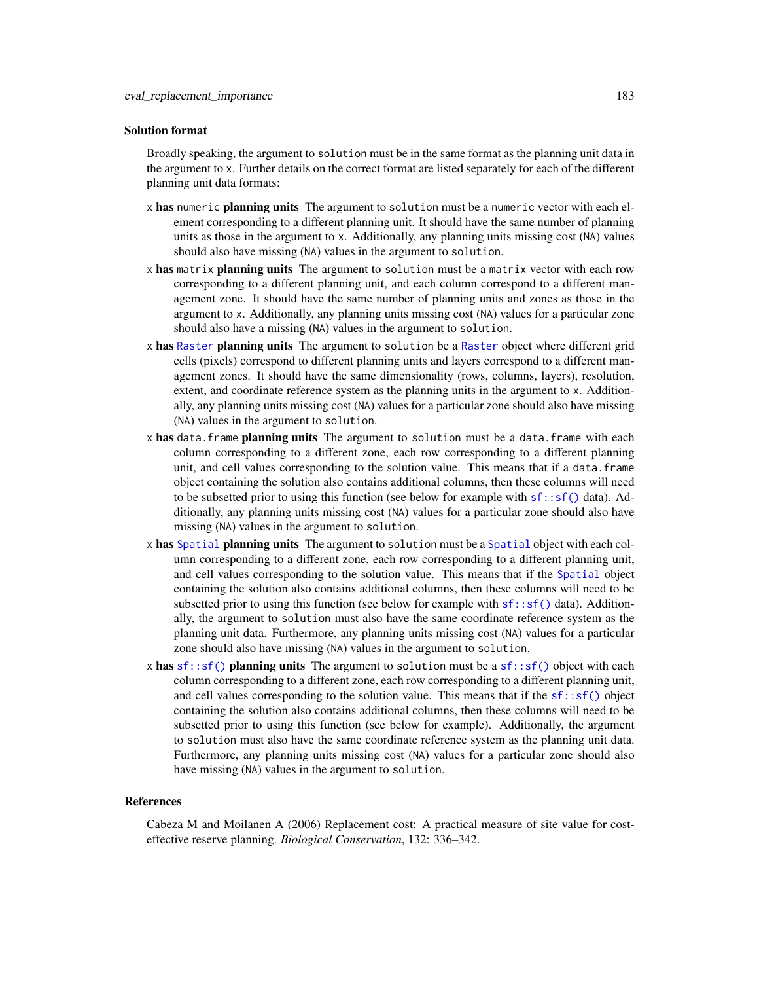#### Solution format

Broadly speaking, the argument to solution must be in the same format as the planning unit data in the argument to x. Further details on the correct format are listed separately for each of the different planning unit data formats:

- x has numeric planning units The argument to solution must be a numeric vector with each element corresponding to a different planning unit. It should have the same number of planning units as those in the argument to x. Additionally, any planning units missing cost (NA) values should also have missing (NA) values in the argument to solution.
- x has matrix planning units The argument to solution must be a matrix vector with each row corresponding to a different planning unit, and each column correspond to a different management zone. It should have the same number of planning units and zones as those in the argument to x. Additionally, any planning units missing cost (NA) values for a particular zone should also have a missing (NA) values in the argument to solution.
- x has [Raster](#page-0-0) planning units The argument to solution be a Raster object where different grid cells (pixels) correspond to different planning units and layers correspond to a different management zones. It should have the same dimensionality (rows, columns, layers), resolution, extent, and coordinate reference system as the planning units in the argument to x. Additionally, any planning units missing cost (NA) values for a particular zone should also have missing (NA) values in the argument to solution.
- x has data. frame planning units The argument to solution must be a data. frame with each column corresponding to a different zone, each row corresponding to a different planning unit, and cell values corresponding to the solution value. This means that if a data.frame object containing the solution also contains additional columns, then these columns will need to be subsetted prior to using this function (see below for example with  $sf::sf()$  data). Additionally, any planning units missing cost (NA) values for a particular zone should also have missing (NA) values in the argument to solution.
- x has [Spatial](#page-0-0) planning units The argument to solution must be a Spatial object with each column corresponding to a different zone, each row corresponding to a different planning unit, and cell values corresponding to the solution value. This means that if the [Spatial](#page-0-0) object containing the solution also contains additional columns, then these columns will need to be subsetted prior to using this function (see below for example with  $sf::sf()$  data). Additionally, the argument to solution must also have the same coordinate reference system as the planning unit data. Furthermore, any planning units missing cost (NA) values for a particular zone should also have missing (NA) values in the argument to solution.
- x has  $sf::sf()$  planning units The argument to solution must be a  $sf::sf()$  object with each column corresponding to a different zone, each row corresponding to a different planning unit, and cell values corresponding to the solution value. This means that if the  $sf::sf()$  object containing the solution also contains additional columns, then these columns will need to be subsetted prior to using this function (see below for example). Additionally, the argument to solution must also have the same coordinate reference system as the planning unit data. Furthermore, any planning units missing cost (NA) values for a particular zone should also have missing (NA) values in the argument to solution.

#### References

Cabeza M and Moilanen A (2006) Replacement cost: A practical measure of site value for costeffective reserve planning. *Biological Conservation*, 132: 336–342.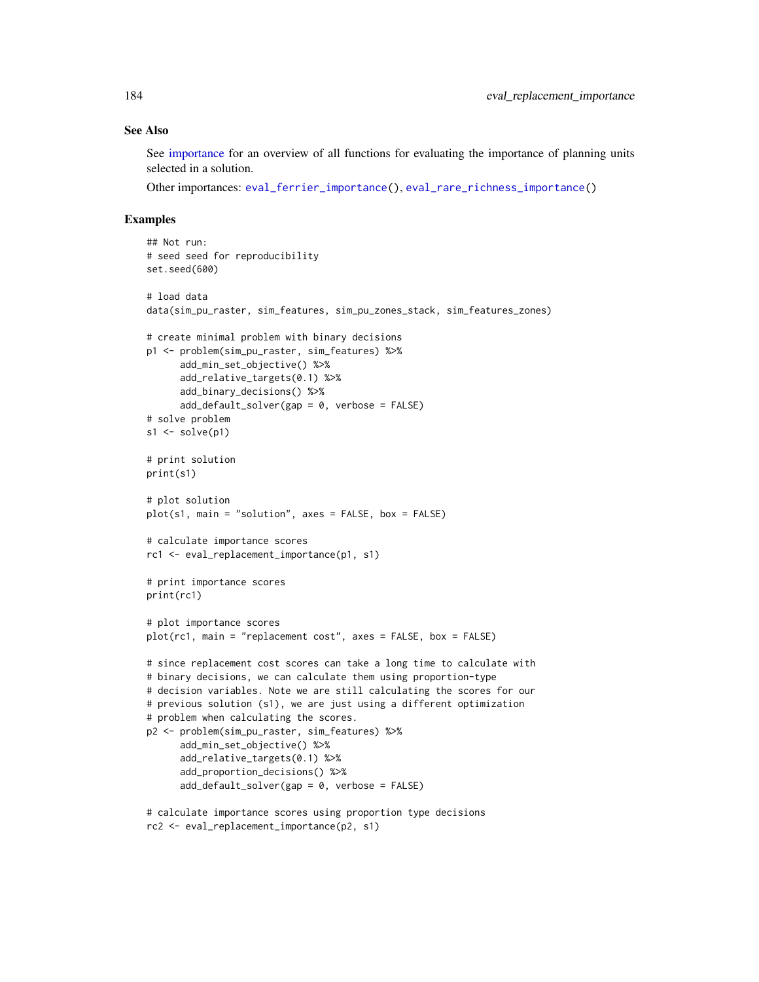## See Also

See [importance](#page-195-0) for an overview of all functions for evaluating the importance of planning units selected in a solution.

Other importances: [eval\\_ferrier\\_importance\(](#page-169-0)), [eval\\_rare\\_richness\\_importance\(](#page-176-0))

```
## Not run:
# seed seed for reproducibility
set.seed(600)
# load data
data(sim_pu_raster, sim_features, sim_pu_zones_stack, sim_features_zones)
# create minimal problem with binary decisions
p1 <- problem(sim_pu_raster, sim_features) %>%
     add_min_set_objective() %>%
     add_relative_targets(0.1) %>%
      add_binary_decisions() %>%
      add_default_solver(gap = 0, verbose = FALSE)
# solve problem
s1 \leftarrow solve(p1)# print solution
print(s1)
# plot solution
plot(s1, main = "solution", axes = FALSE, box = FALSE)# calculate importance scores
rc1 <- eval_replacement_importance(p1, s1)
# print importance scores
print(rc1)
# plot importance scores
plot(rc1, main = "replacement cost", axes = FALSE, box = FALSE)
# since replacement cost scores can take a long time to calculate with
# binary decisions, we can calculate them using proportion-type
# decision variables. Note we are still calculating the scores for our
# previous solution (s1), we are just using a different optimization
# problem when calculating the scores.
p2 <- problem(sim_pu_raster, sim_features) %>%
     add_min_set_objective() %>%
      add_relative_targets(0.1) %>%
      add_proportion_decisions() %>%
      add_default_solver(gap = 0, verbose = FALSE)
# calculate importance scores using proportion type decisions
rc2 <- eval_replacement_importance(p2, s1)
```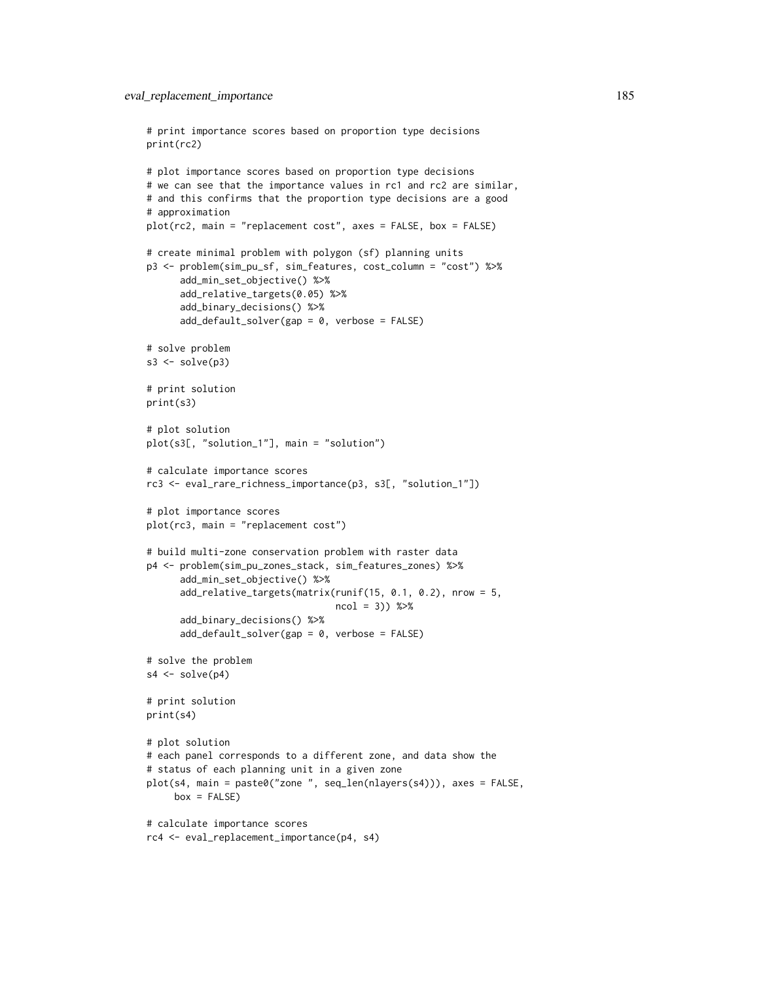```
print(rc2)
# plot importance scores based on proportion type decisions
# we can see that the importance values in rc1 and rc2 are similar,
# and this confirms that the proportion type decisions are a good
# approximation
plot(rc2, main = "replacement cost", axes = FALSE, box = FALSE)
# create minimal problem with polygon (sf) planning units
p3 <- problem(sim_pu_sf, sim_features, cost_column = "cost") %>%
      add_min_set_objective() %>%
      add_relative_targets(0.05) %>%
      add_binary_decisions() %>%
      add_default_solver(gap = 0, verbose = FALSE)
# solve problem
s3 \leq -solve(p3)# print solution
print(s3)
# plot solution
plot(s3[, "solution_1"], main = "solution")
# calculate importance scores
rc3 <- eval_rare_richness_importance(p3, s3[, "solution_1"])
# plot importance scores
plot(rc3, main = "replacement cost")
# build multi-zone conservation problem with raster data
p4 <- problem(sim_pu_zones_stack, sim_features_zones) %>%
      add_min_set_objective() %>%
      add_relative_targets(matrix(runif(15, 0.1, 0.2), nrow = 5,
                                  ncol = 3) %>%
      add_binary_decisions() %>%
      add_default_solver(gap = 0, verbose = FALSE)
# solve the problem
s4 \leftarrow solve(p4)# print solution
print(s4)
# plot solution
# each panel corresponds to a different zone, and data show the
# status of each planning unit in a given zone
plot(s4, main = paste0("zone ", seq_len(nlayers(s4))), axes = FALSE,
     box = FALSE)# calculate importance scores
rc4 <- eval_replacement_importance(p4, s4)
```
# print importance scores based on proportion type decisions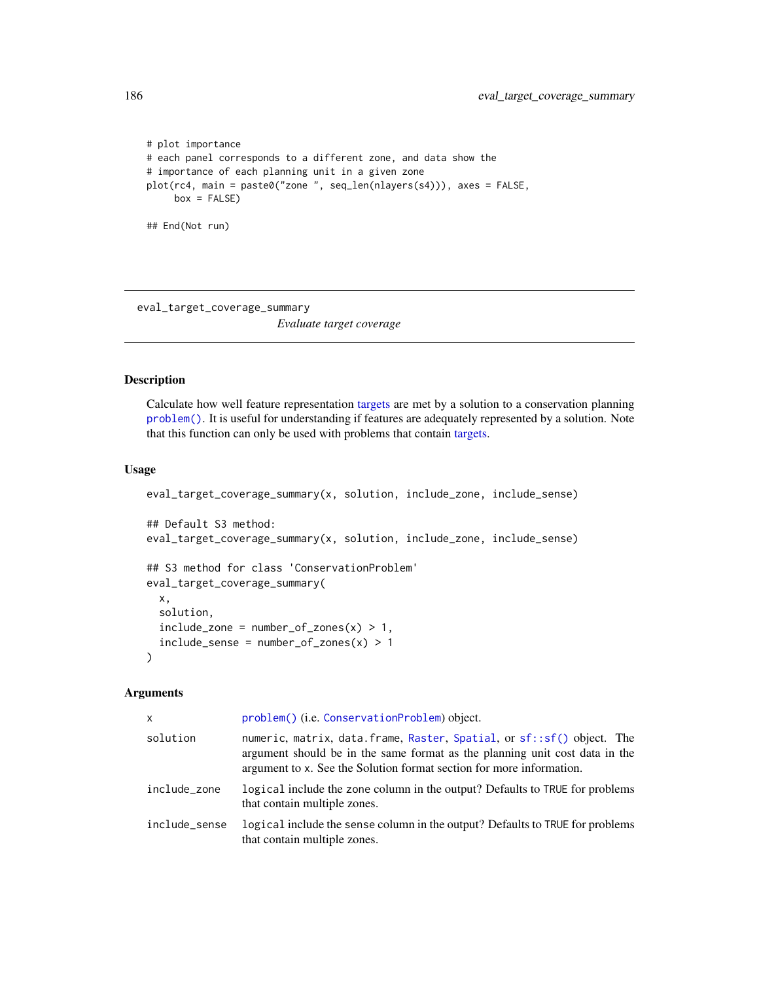```
# plot importance
# each panel corresponds to a different zone, and data show the
# importance of each planning unit in a given zone
plot(rc4, main = paste0("zone ", seq_len(nlayers(s4))), axes = FALSE,
     box = FALSE)## End(Not run)
```
eval\_target\_coverage\_summary

*Evaluate target coverage*

# Description

Calculate how well feature representation [targets](#page-271-0) are met by a solution to a conservation planning [problem\(\)](#page-238-0). It is useful for understanding if features are adequately represented by a solution. Note that this function can only be used with problems that contain [targets.](#page-271-0)

## Usage

```
eval_target_coverage_summary(x, solution, include_zone, include_sense)
## Default S3 method:
eval_target_coverage_summary(x, solution, include_zone, include_sense)
## S3 method for class 'ConservationProblem'
eval_target_coverage_summary(
  x,
  solution,
  include\_zone = number_of\_zones(x) > 1,include\_sense = number_of\_zones(x) > 1)
```
## Arguments

| X             | problem() (i.e. ConservationProblem) object.                                                                                                                                                                                 |
|---------------|------------------------------------------------------------------------------------------------------------------------------------------------------------------------------------------------------------------------------|
| solution      | numeric, matrix, data.frame, Raster, Spatial, or sf::sf() object. The<br>argument should be in the same format as the planning unit cost data in the<br>argument to x. See the Solution format section for more information. |
| include zone  | logical include the zone column in the output? Defaults to TRUE for problems<br>that contain multiple zones.                                                                                                                 |
| include_sense | logical include the sense column in the output? Defaults to TRUE for problems<br>that contain multiple zones.                                                                                                                |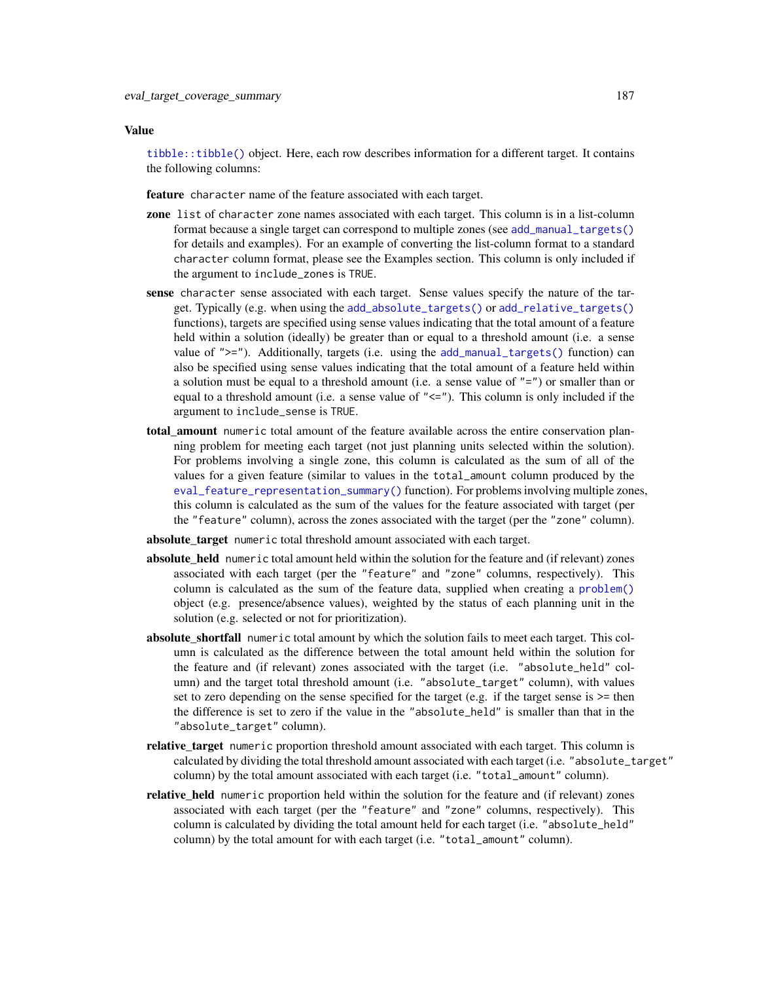#### Value

[tibble::tibble\(\)](#page-0-0) object. Here, each row describes information for a different target. It contains the following columns:

feature character name of the feature associated with each target.

- zone list of character zone names associated with each target. This column is in a list-column format because a single target can correspond to multiple zones (see [add\\_manual\\_targets\(\)](#page-79-0) for details and examples). For an example of converting the list-column format to a standard character column format, please see the Examples section. This column is only included if the argument to include\_zones is TRUE.
- sense character sense associated with each target. Sense values specify the nature of the target. Typically (e.g. when using the [add\\_absolute\\_targets\(\)](#page-5-0) or [add\\_relative\\_targets\(\)](#page-111-0) functions), targets are specified using sense values indicating that the total amount of a feature held within a solution (ideally) be greater than or equal to a threshold amount (i.e. a sense value of ">="). Additionally, targets (i.e. using the [add\\_manual\\_targets\(\)](#page-79-0) function) can also be specified using sense values indicating that the total amount of a feature held within a solution must be equal to a threshold amount (i.e. a sense value of "=") or smaller than or equal to a threshold amount (i.e. a sense value of  $"<="$ ). This column is only included if the argument to include\_sense is TRUE.
- total amount numeric total amount of the feature available across the entire conservation planning problem for meeting each target (not just planning units selected within the solution). For problems involving a single zone, this column is calculated as the sum of all of the values for a given feature (similar to values in the total\_amount column produced by the [eval\\_feature\\_representation\\_summary\(\)](#page-164-0) function). For problems involving multiple zones, this column is calculated as the sum of the values for the feature associated with target (per the "feature" column), across the zones associated with the target (per the "zone" column).
- absolute\_target numeric total threshold amount associated with each target.
- absolute\_held numeric total amount held within the solution for the feature and (if relevant) zones associated with each target (per the "feature" and "zone" columns, respectively). This column is calculated as the sum of the feature data, supplied when creating a [problem\(\)](#page-238-0) object (e.g. presence/absence values), weighted by the status of each planning unit in the solution (e.g. selected or not for prioritization).
- **absolute shortfall** numeric total amount by which the solution fails to meet each target. This column is calculated as the difference between the total amount held within the solution for the feature and (if relevant) zones associated with the target (i.e. "absolute\_held" column) and the target total threshold amount (i.e. "absolute\_target" column), with values set to zero depending on the sense specified for the target (e.g. if the target sense is  $\geq$ = then the difference is set to zero if the value in the "absolute\_held" is smaller than that in the "absolute\_target" column).
- relative\_target numeric proportion threshold amount associated with each target. This column is calculated by dividing the total threshold amount associated with each target (i.e. "absolute\_target" column) by the total amount associated with each target (i.e. "total\_amount" column).
- relative held numeric proportion held within the solution for the feature and (if relevant) zones associated with each target (per the "feature" and "zone" columns, respectively). This column is calculated by dividing the total amount held for each target (i.e. "absolute\_held" column) by the total amount for with each target (i.e. "total\_amount" column).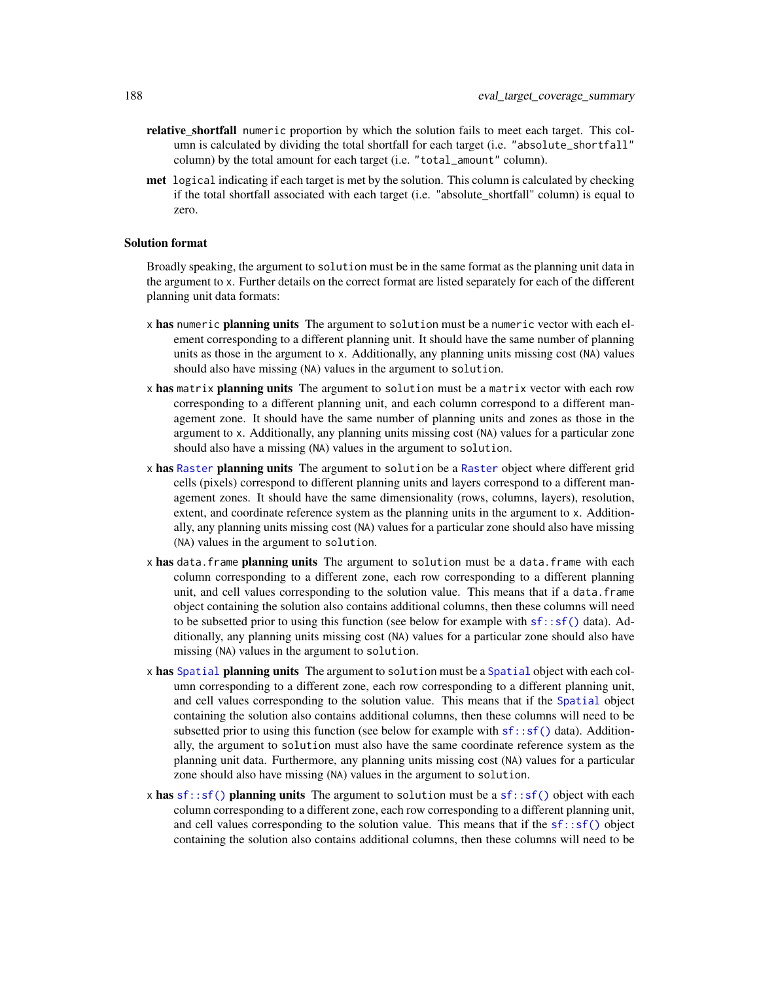- relative\_shortfall numeric proportion by which the solution fails to meet each target. This column is calculated by dividing the total shortfall for each target (i.e. "absolute\_shortfall" column) by the total amount for each target (i.e. "total\_amount" column).
- met logical indicating if each target is met by the solution. This column is calculated by checking if the total shortfall associated with each target (i.e. "absolute\_shortfall" column) is equal to zero.

#### Solution format

Broadly speaking, the argument to solution must be in the same format as the planning unit data in the argument to x. Further details on the correct format are listed separately for each of the different planning unit data formats:

- x has numeric planning units The argument to solution must be a numeric vector with each element corresponding to a different planning unit. It should have the same number of planning units as those in the argument to x. Additionally, any planning units missing cost (NA) values should also have missing (NA) values in the argument to solution.
- x has matrix planning units The argument to solution must be a matrix vector with each row corresponding to a different planning unit, and each column correspond to a different management zone. It should have the same number of planning units and zones as those in the argument to x. Additionally, any planning units missing cost (NA) values for a particular zone should also have a missing (NA) values in the argument to solution.
- x has [Raster](#page-0-0) planning units The argument to solution be a Raster object where different grid cells (pixels) correspond to different planning units and layers correspond to a different management zones. It should have the same dimensionality (rows, columns, layers), resolution, extent, and coordinate reference system as the planning units in the argument to x. Additionally, any planning units missing cost (NA) values for a particular zone should also have missing (NA) values in the argument to solution.
- x has data. frame planning units The argument to solution must be a data. frame with each column corresponding to a different zone, each row corresponding to a different planning unit, and cell values corresponding to the solution value. This means that if a data.frame object containing the solution also contains additional columns, then these columns will need to be subsetted prior to using this function (see below for example with  $sf::sf()$  data). Additionally, any planning units missing cost (NA) values for a particular zone should also have missing (NA) values in the argument to solution.
- x has [Spatial](#page-0-0) planning units The argument to solution must be a Spatial object with each column corresponding to a different zone, each row corresponding to a different planning unit, and cell values corresponding to the solution value. This means that if the [Spatial](#page-0-0) object containing the solution also contains additional columns, then these columns will need to be subsetted prior to using this function (see below for example with  $sf::sf()$  data). Additionally, the argument to solution must also have the same coordinate reference system as the planning unit data. Furthermore, any planning units missing cost (NA) values for a particular zone should also have missing (NA) values in the argument to solution.
- x has [sf::sf\(\)](#page-0-0) planning units The argument to solution must be a sf::sf() object with each column corresponding to a different zone, each row corresponding to a different planning unit, and cell values corresponding to the solution value. This means that if the  $sf::sf()$  object containing the solution also contains additional columns, then these columns will need to be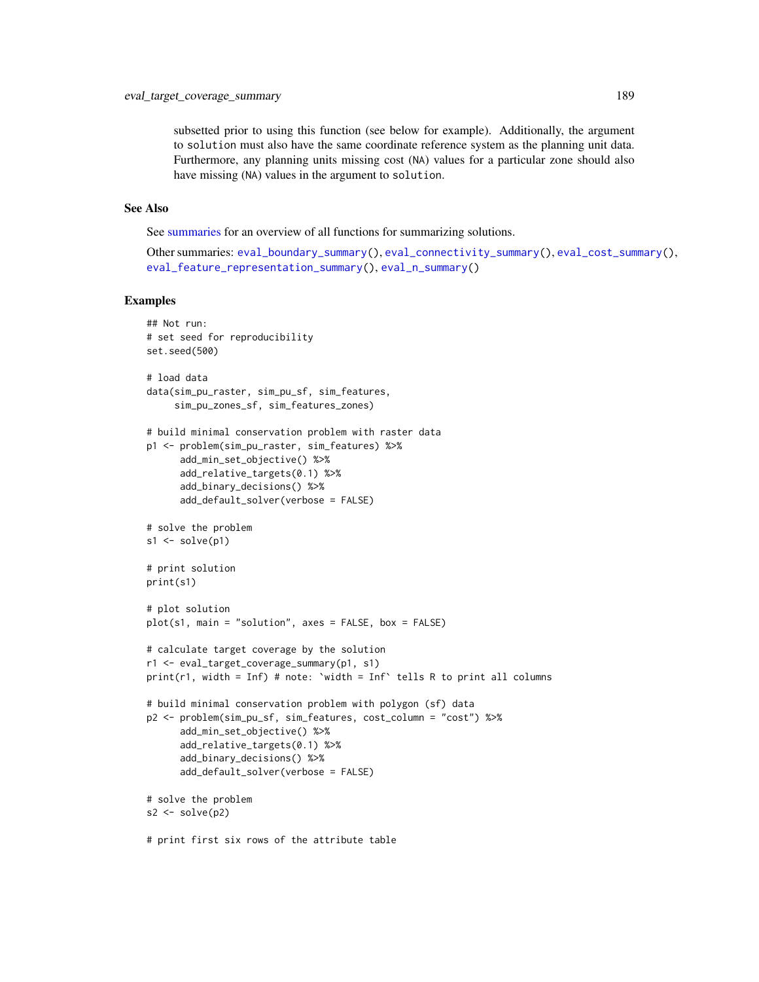subsetted prior to using this function (see below for example). Additionally, the argument to solution must also have the same coordinate reference system as the planning unit data. Furthermore, any planning units missing cost (NA) values for a particular zone should also have missing (NA) values in the argument to solution.

## See Also

See [summaries](#page-269-0) for an overview of all functions for summarizing solutions.

Other summaries: [eval\\_boundary\\_summary\(](#page-149-0)), [eval\\_connectivity\\_summary\(](#page-155-0)), [eval\\_cost\\_summary\(](#page-160-0)), [eval\\_feature\\_representation\\_summary\(](#page-164-0)), [eval\\_n\\_summary\(](#page-173-0))

```
## Not run:
# set seed for reproducibility
set.seed(500)
# load data
data(sim_pu_raster, sim_pu_sf, sim_features,
     sim_pu_zones_sf, sim_features_zones)
# build minimal conservation problem with raster data
p1 <- problem(sim_pu_raster, sim_features) %>%
      add_min_set_objective() %>%
      add_relative_targets(0.1) %>%
      add_binary_decisions() %>%
      add_default_solver(verbose = FALSE)
# solve the problem
s1 \leftarrow solve(p1)# print solution
print(s1)
# plot solution
plot(s1, main = "solution", axes = FALSE, box = FALSE)
# calculate target coverage by the solution
r1 <- eval_target_coverage_summary(p1, s1)
print(r1, width = Inf) # note: 'width = Inf' tells R to print all columns
# build minimal conservation problem with polygon (sf) data
p2 <- problem(sim_pu_sf, sim_features, cost_column = "cost") %>%
      add_min_set_objective() %>%
      add_relative_targets(0.1) %>%
      add_binary_decisions() %>%
      add_default_solver(verbose = FALSE)
# solve the problem
s2 \leftarrow solve(p2)# print first six rows of the attribute table
```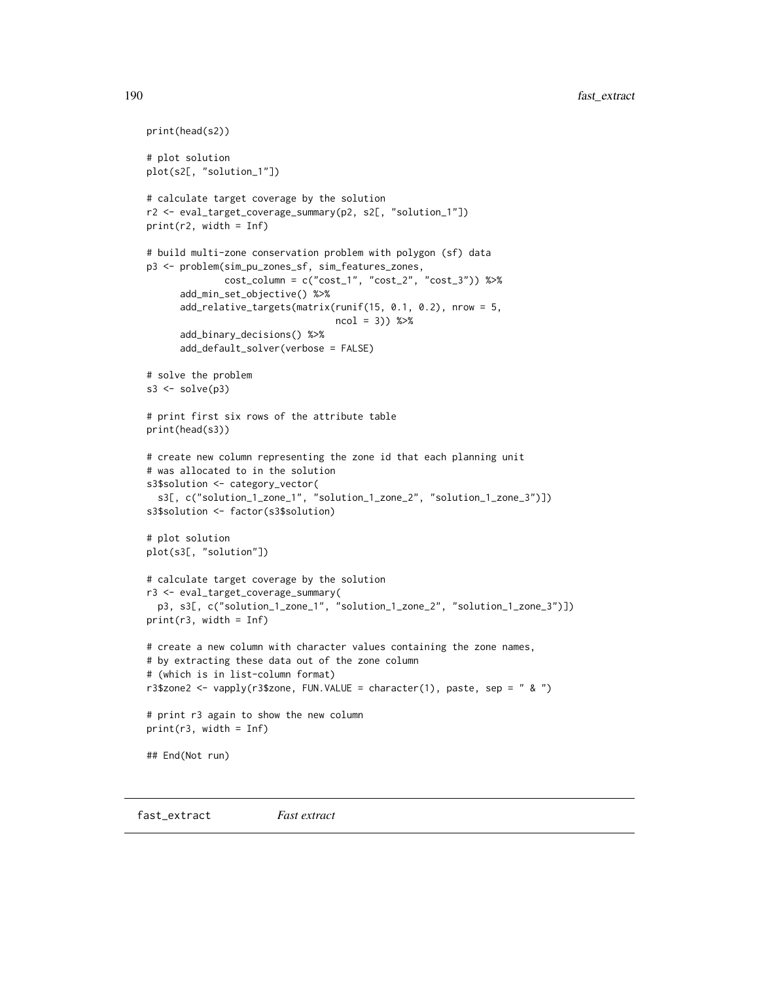```
print(head(s2))
# plot solution
plot(s2[, "solution_1"])
# calculate target coverage by the solution
r2 <- eval_target_coverage_summary(p2, s2[, "solution_1"])
print(r2, width = Inf)
# build multi-zone conservation problem with polygon (sf) data
p3 <- problem(sim_pu_zones_sf, sim_features_zones,
              cost\_column = c("cost_1", "cost_2", "cost_3")) %>%
      add_min_set_objective() %>%
      add_relative_targets(matrix(runif(15, 0.1, 0.2), nrow = 5,
                                  ncol = 3)) %>%
      add_binary_decisions() %>%
      add_default_solver(verbose = FALSE)
# solve the problem
s3 \leq -solve(p3)# print first six rows of the attribute table
print(head(s3))
# create new column representing the zone id that each planning unit
# was allocated to in the solution
s3$solution <- category_vector(
 s3[, c("solution_1_zone_1", "solution_1_zone_2", "solution_1_zone_3")])
s3$solution <- factor(s3$solution)
# plot solution
plot(s3[, "solution"])
# calculate target coverage by the solution
r3 <- eval_target_coverage_summary(
 p3, s3[, c("solution_1_zone_1", "solution_1_zone_2", "solution_1_zone_3")])
print(r3, width = Inf)# create a new column with character values containing the zone names,
# by extracting these data out of the zone column
# (which is in list-column format)
r3$zone2 <- vapply(r3$zone, FUN.VALUE = character(1), paste, sep = " & ")
# print r3 again to show the new column
print(r3, width = Inf)## End(Not run)
```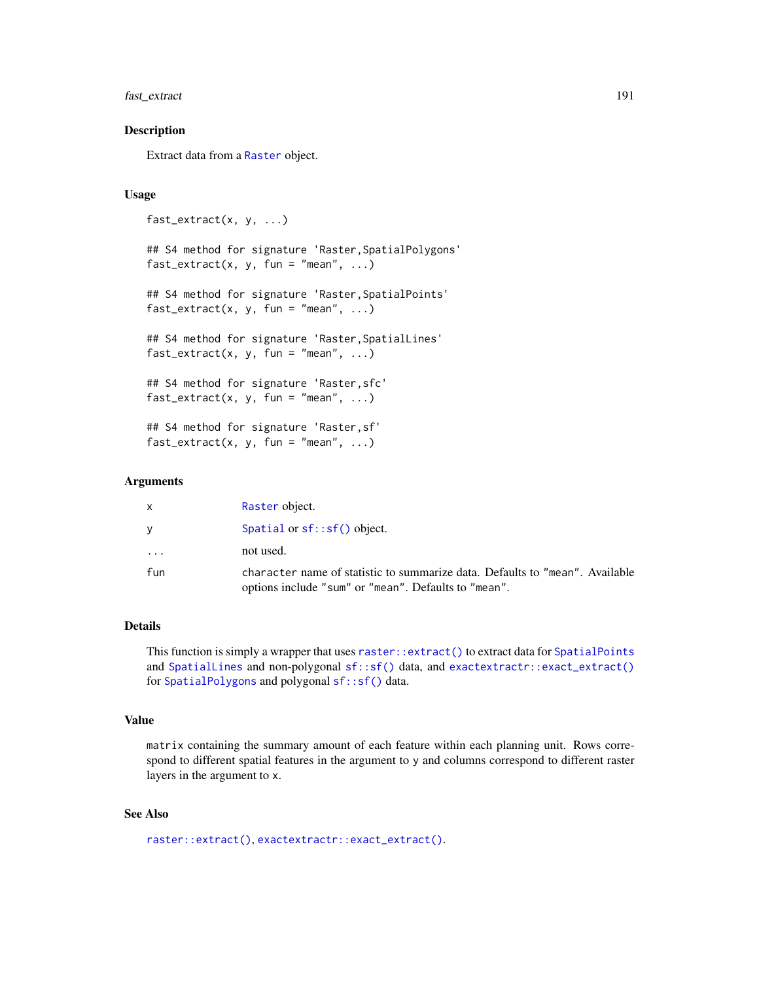# fast\_extract 191

## **Description**

Extract data from a [Raster](#page-0-0) object.

#### Usage

```
fast_extract(x, y, ...)
## S4 method for signature 'Raster,SpatialPolygons'
fast_extract(x, y, fun = "mean", \ldots)
## S4 method for signature 'Raster, SpatialPoints'
fast\_extract(x, y, fun = "mean", ...)## S4 method for signature 'Raster,SpatialLines'
fast\_extract(x, y, fun = "mean", ...)## S4 method for signature 'Raster,sfc'
fast\_extract(x, y, fun = "mean", ...)## S4 method for signature 'Raster,sf'
```
 $fast\_extract(x, y, fun = "mean", ...)$ 

#### Arguments

|                         | Raster object.                                                                                                                       |
|-------------------------|--------------------------------------------------------------------------------------------------------------------------------------|
|                         | Spatial or $sf::sf()$ object.                                                                                                        |
| $\cdot$ $\cdot$ $\cdot$ | not used.                                                                                                                            |
| fun                     | character name of statistic to summarize data. Defaults to "mean". Available<br>options include "sum" or "mean". Defaults to "mean". |

# Details

This function is simply a wrapper that uses [raster::extract\(\)](#page-0-0) to extract data for [SpatialPoints](#page-0-0) and [SpatialLines](#page-0-0) and non-polygonal [sf::sf\(\)](#page-0-0) data, and [exactextractr::exact\\_extract\(\)](#page-0-0) for [SpatialPolygons](#page-0-0) and polygonal [sf::sf\(\)](#page-0-0) data.

#### Value

matrix containing the summary amount of each feature within each planning unit. Rows correspond to different spatial features in the argument to y and columns correspond to different raster layers in the argument to x.

## See Also

```
raster::extract(), exactextractr::exact_extract().
```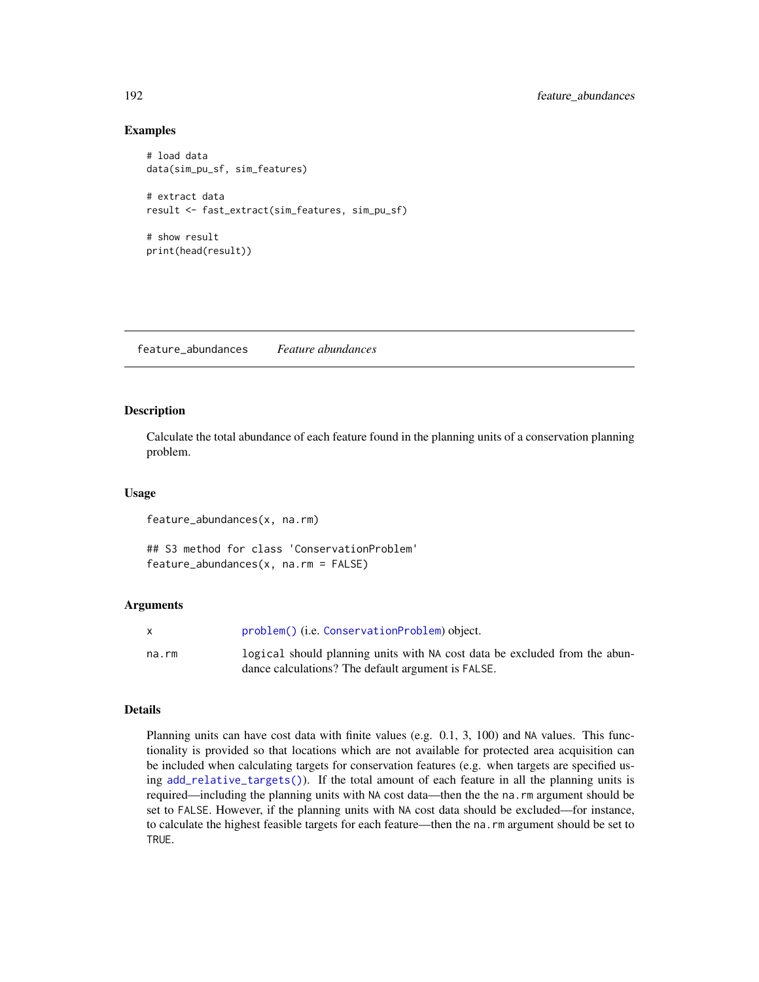## Examples

```
# load data
data(sim_pu_sf, sim_features)
# extract data
result <- fast_extract(sim_features, sim_pu_sf)
# show result
print(head(result))
```
feature\_abundances *Feature abundances*

## Description

Calculate the total abundance of each feature found in the planning units of a conservation planning problem.

#### Usage

feature\_abundances(x, na.rm)

## S3 method for class 'ConservationProblem' feature\_abundances(x, na.rm = FALSE)

## Arguments

|       | problem() (i.e. ConservationProblem) object.                               |
|-------|----------------------------------------------------------------------------|
| na.rm | logical should planning units with NA cost data be excluded from the abun- |
|       | dance calculations? The default argument is FALSE.                         |

## Details

Planning units can have cost data with finite values (e.g. 0.1, 3, 100) and NA values. This functionality is provided so that locations which are not available for protected area acquisition can be included when calculating targets for conservation features (e.g. when targets are specified using [add\\_relative\\_targets\(\)](#page-111-0)). If the total amount of each feature in all the planning units is required—including the planning units with NA cost data—then the the na.rm argument should be set to FALSE. However, if the planning units with NA cost data should be excluded—for instance, to calculate the highest feasible targets for each feature—then the na.rm argument should be set to TRUE.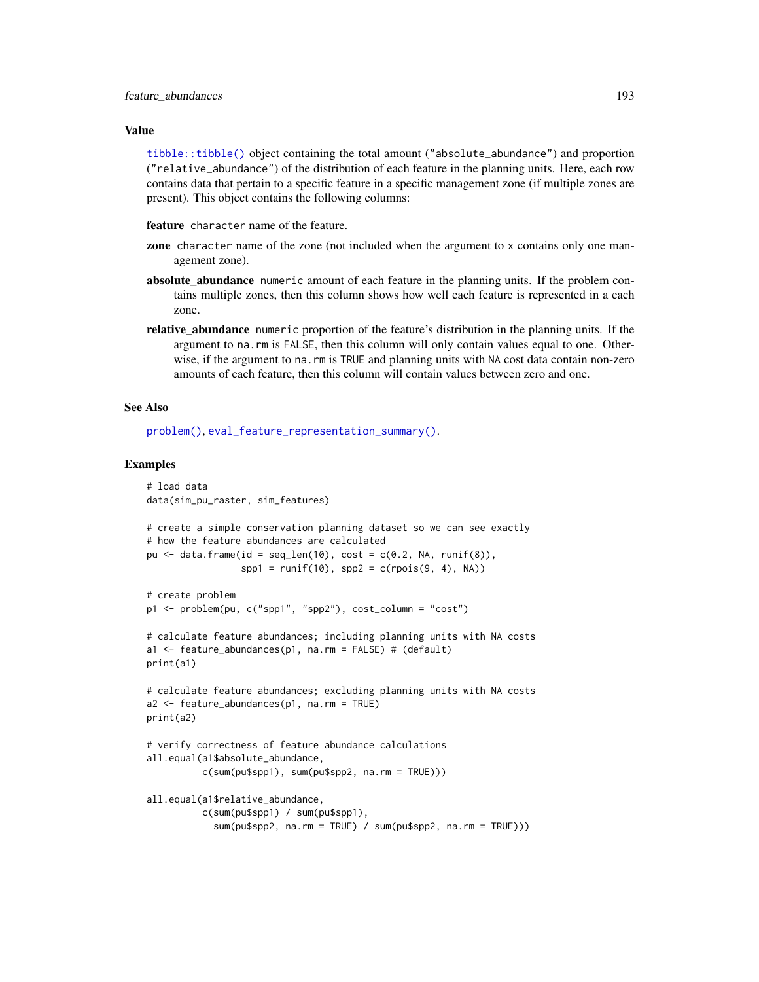#### Value

[tibble::tibble\(\)](#page-0-0) object containing the total amount ("absolute\_abundance") and proportion ("relative\_abundance") of the distribution of each feature in the planning units. Here, each row contains data that pertain to a specific feature in a specific management zone (if multiple zones are present). This object contains the following columns:

feature character name of the feature.

- zone character name of the zone (not included when the argument to x contains only one management zone).
- absolute\_abundance numeric amount of each feature in the planning units. If the problem contains multiple zones, then this column shows how well each feature is represented in a each zone.
- **relative abundance** numeric proportion of the feature's distribution in the planning units. If the argument to na.rm is FALSE, then this column will only contain values equal to one. Otherwise, if the argument to na. rm is TRUE and planning units with NA cost data contain non-zero amounts of each feature, then this column will contain values between zero and one.

## See Also

[problem\(\)](#page-238-0), [eval\\_feature\\_representation\\_summary\(\)](#page-164-0).

```
# load data
data(sim_pu_raster, sim_features)
# create a simple conservation planning dataset so we can see exactly
# how the feature abundances are calculated
pu \le data.frame(id = seq_len(10), cost = c(0.2, NA, runif(8)),
                 spp1 = runif(10), spp2 = c (rpois(9, 4), NA)# create problem
p1 <- problem(pu, c("spp1", "spp2"), cost_column = "cost")
# calculate feature abundances; including planning units with NA costs
a1 <- feature_abundances(p1, na.rm = FALSE) # (default)
print(a1)
# calculate feature abundances; excluding planning units with NA costs
a2 <- feature_abundances(p1, na.rm = TRUE)
print(a2)
# verify correctness of feature abundance calculations
all.equal(a1$absolute_abundance,
          c(sum(pu$spp1), sum(pu$spp2, na.rm = TRUE)))
all.equal(a1$relative_abundance,
         c(sum(pu$spp1) / sum(pu$spp1),
            sum(pu$spp2, na.rm = TRUE) / sum(pu$spp2, na.rm = TRUE)))
```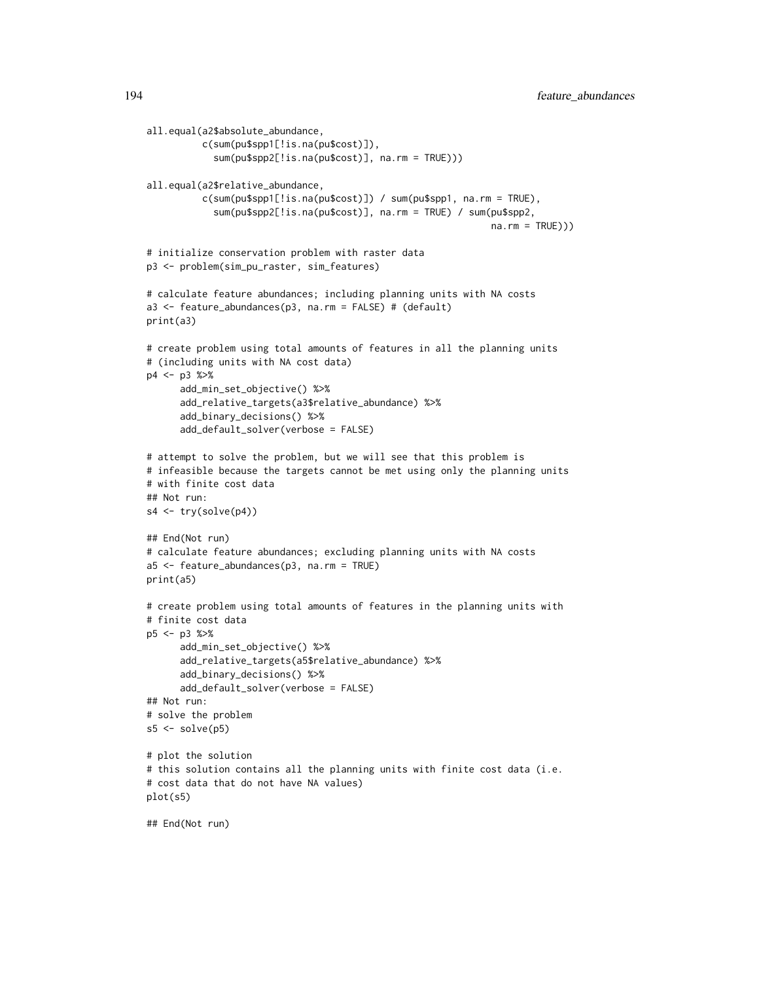```
all.equal(a2$absolute_abundance,
          c(sum(pu$spp1[!is.na(pu$cost)]),
            sum(pu$spp2[!is.na(pu$cost)], na.rm = TRUE)))
all.equal(a2$relative_abundance,
          c(sum(pu$spp1[!is.na(pu$cost)]) / sum(pu$spp1, na.rm = TRUE),
            sum(pu$spp2[!is.na(pu$cost)], na.rm = TRUE) / sum(pu$spp2,
                                                              na.rm = TRUE))# initialize conservation problem with raster data
p3 <- problem(sim_pu_raster, sim_features)
# calculate feature abundances; including planning units with NA costs
a3 <- feature_abundances(p3, na.rm = FALSE) # (default)
print(a3)
# create problem using total amounts of features in all the planning units
# (including units with NA cost data)
p4 <- p3 %>%
      add_min_set_objective() %>%
      add_relative_targets(a3$relative_abundance) %>%
      add_binary_decisions() %>%
      add_default_solver(verbose = FALSE)
# attempt to solve the problem, but we will see that this problem is
# infeasible because the targets cannot be met using only the planning units
# with finite cost data
## Not run:
s4 <- try(solve(p4))
## End(Not run)
# calculate feature abundances; excluding planning units with NA costs
a5 <- feature_abundances(p3, na.rm = TRUE)
print(a5)
# create problem using total amounts of features in the planning units with
# finite cost data
p5 <- p3 %>%
      add_min_set_objective() %>%
      add_relative_targets(a5$relative_abundance) %>%
      add_binary_decisions() %>%
      add_default_solver(verbose = FALSE)
## Not run:
# solve the problem
s5 \leq -solve(p5)# plot the solution
# this solution contains all the planning units with finite cost data (i.e.
# cost data that do not have NA values)
plot(s5)
```
## End(Not run)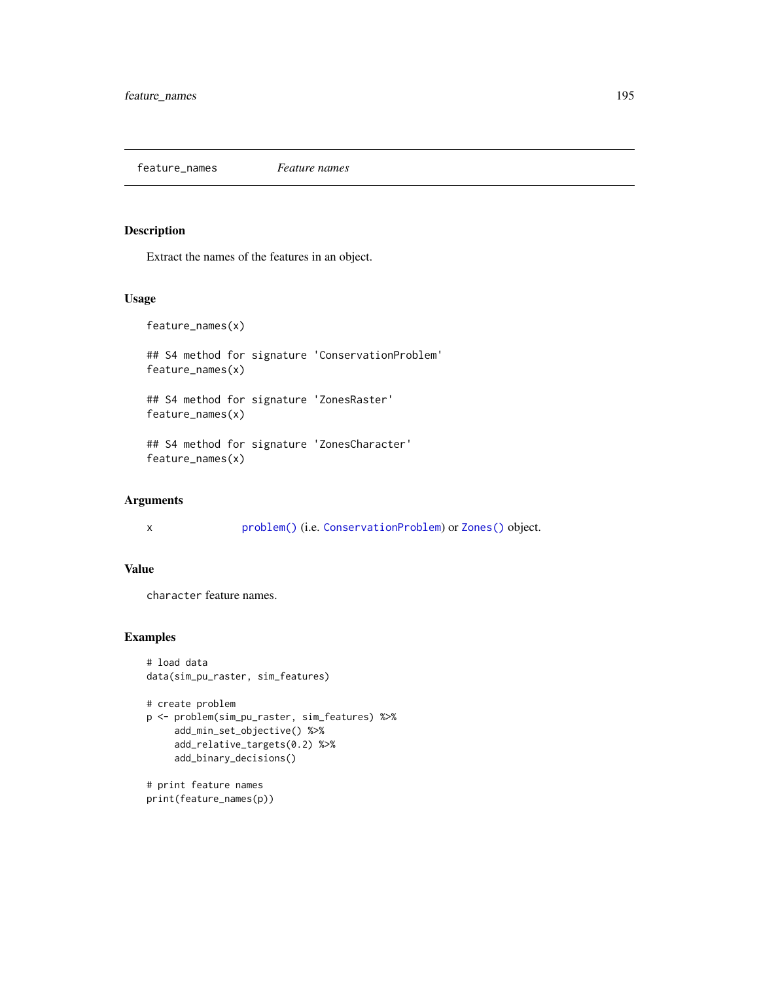feature\_names *Feature names*

# Description

Extract the names of the features in an object.

## Usage

feature\_names(x)

## S4 method for signature 'ConservationProblem' feature\_names(x)

## S4 method for signature 'ZonesRaster' feature\_names(x)

## S4 method for signature 'ZonesCharacter' feature\_names(x)

## Arguments

x [problem\(\)](#page-238-0) (i.e. [ConservationProblem](#page-141-0)) or [Zones\(\)](#page-274-0) object.

# Value

character feature names.

## Examples

```
# load data
data(sim_pu_raster, sim_features)
```

```
# create problem
p <- problem(sim_pu_raster, sim_features) %>%
    add_min_set_objective() %>%
     add_relative_targets(0.2) %>%
     add_binary_decisions()
```
# print feature names print(feature\_names(p))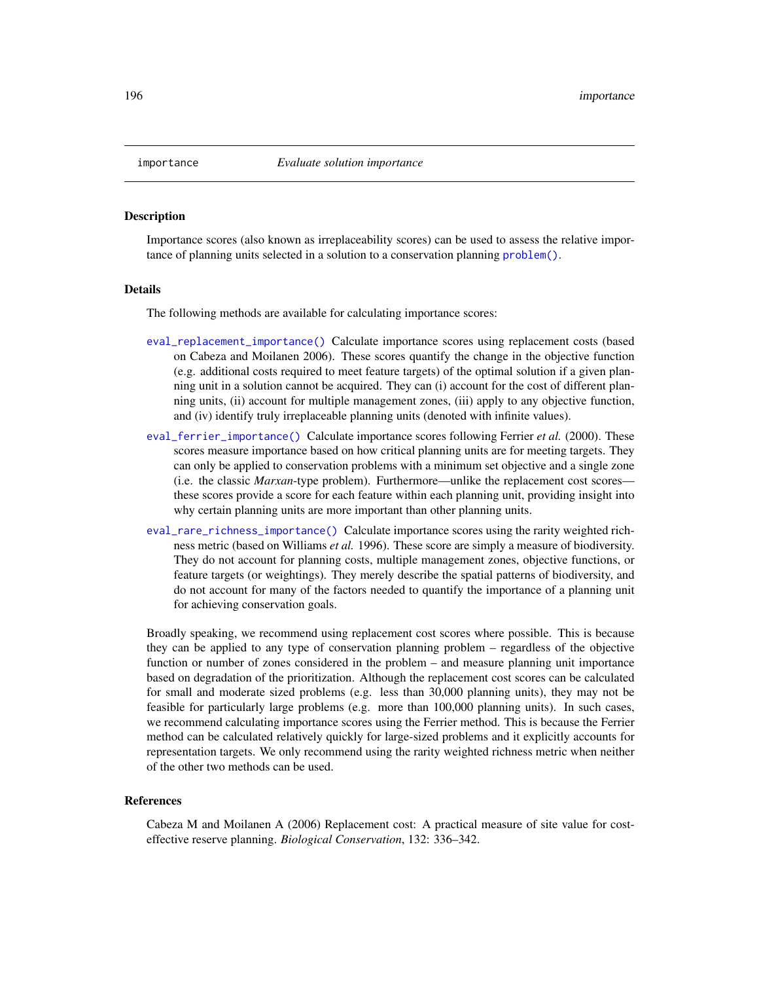<span id="page-195-0"></span>

#### **Description**

Importance scores (also known as irreplaceability scores) can be used to assess the relative importance of planning units selected in a solution to a conservation planning [problem\(\)](#page-238-0).

#### Details

The following methods are available for calculating importance scores:

- [eval\\_replacement\\_importance\(\)](#page-180-0) Calculate importance scores using replacement costs (based on Cabeza and Moilanen 2006). These scores quantify the change in the objective function (e.g. additional costs required to meet feature targets) of the optimal solution if a given planning unit in a solution cannot be acquired. They can (i) account for the cost of different planning units, (ii) account for multiple management zones, (iii) apply to any objective function, and (iv) identify truly irreplaceable planning units (denoted with infinite values).
- [eval\\_ferrier\\_importance\(\)](#page-169-0) Calculate importance scores following Ferrier *et al.* (2000). These scores measure importance based on how critical planning units are for meeting targets. They can only be applied to conservation problems with a minimum set objective and a single zone (i.e. the classic *Marxan*-type problem). Furthermore—unlike the replacement cost scores these scores provide a score for each feature within each planning unit, providing insight into why certain planning units are more important than other planning units.
- [eval\\_rare\\_richness\\_importance\(\)](#page-176-0) Calculate importance scores using the rarity weighted richness metric (based on Williams *et al.* 1996). These score are simply a measure of biodiversity. They do not account for planning costs, multiple management zones, objective functions, or feature targets (or weightings). They merely describe the spatial patterns of biodiversity, and do not account for many of the factors needed to quantify the importance of a planning unit for achieving conservation goals.

Broadly speaking, we recommend using replacement cost scores where possible. This is because they can be applied to any type of conservation planning problem – regardless of the objective function or number of zones considered in the problem – and measure planning unit importance based on degradation of the prioritization. Although the replacement cost scores can be calculated for small and moderate sized problems (e.g. less than 30,000 planning units), they may not be feasible for particularly large problems (e.g. more than 100,000 planning units). In such cases, we recommend calculating importance scores using the Ferrier method. This is because the Ferrier method can be calculated relatively quickly for large-sized problems and it explicitly accounts for representation targets. We only recommend using the rarity weighted richness metric when neither of the other two methods can be used.

#### References

Cabeza M and Moilanen A (2006) Replacement cost: A practical measure of site value for costeffective reserve planning. *Biological Conservation*, 132: 336–342.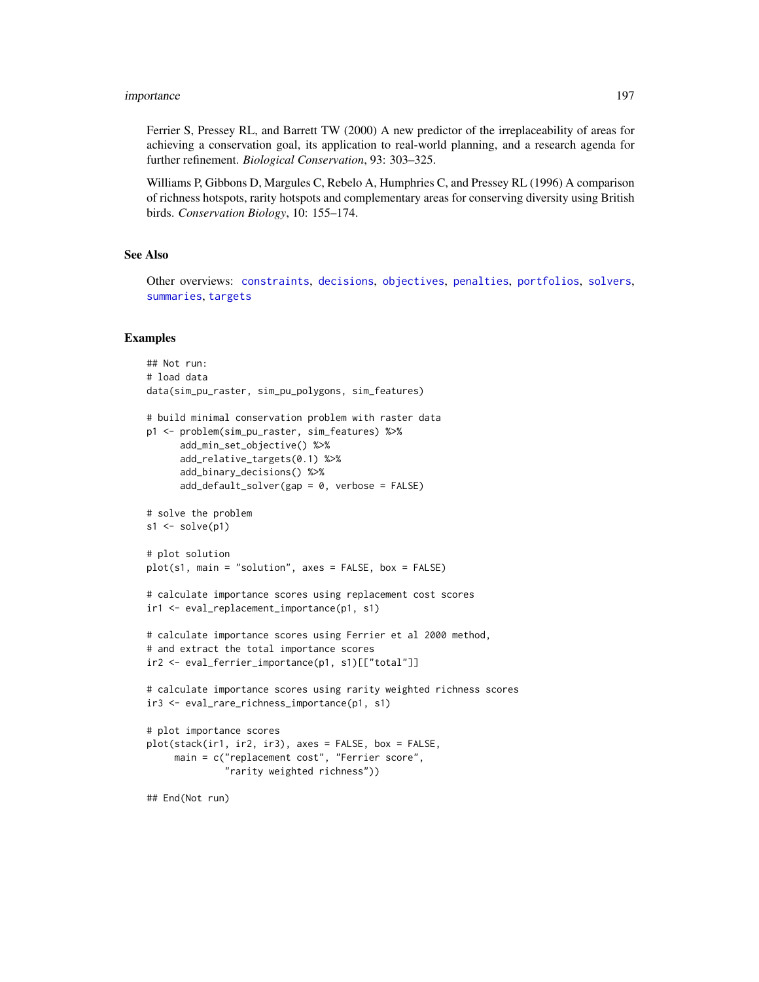## importance 197

Ferrier S, Pressey RL, and Barrett TW (2000) A new predictor of the irreplaceability of areas for achieving a conservation goal, its application to real-world planning, and a research agenda for further refinement. *Biological Conservation*, 93: 303–325.

Williams P, Gibbons D, Margules C, Rebelo A, Humphries C, and Pressey RL (1996) A comparison of richness hotspots, rarity hotspots and complementary areas for conserving diversity using British birds. *Conservation Biology*, 10: 155–174.

#### See Also

Other overviews: [constraints](#page-145-0), [decisions](#page-147-0), [objectives](#page-215-0), [penalties](#page-224-0), [portfolios](#page-227-0), [solvers](#page-267-0), [summaries](#page-269-0), [targets](#page-271-0)

```
## Not run:
# load data
data(sim_pu_raster, sim_pu_polygons, sim_features)
# build minimal conservation problem with raster data
p1 <- problem(sim_pu_raster, sim_features) %>%
     add_min_set_objective() %>%
     add_relative_targets(0.1) %>%
     add_binary_decisions() %>%
     add_default_solver(gap = 0, verbose = FALSE)
# solve the problem
s1 \leftarrow solve(p1)# plot solution
plot(s1, main = "solution", axes = FALSE, box = FALSE)
# calculate importance scores using replacement cost scores
ir1 <- eval_replacement_importance(p1, s1)
# calculate importance scores using Ferrier et al 2000 method,
# and extract the total importance scores
ir2 <- eval_ferrier_importance(p1, s1)[["total"]]
# calculate importance scores using rarity weighted richness scores
ir3 <- eval_rare_richness_importance(p1, s1)
# plot importance scores
plot(stack(ir1, ir2, ir3), axes = FALSE, box = FALSE,
     main = c("replacement cost", "Ferrier score",
              "rarity weighted richness"))
## End(Not run)
```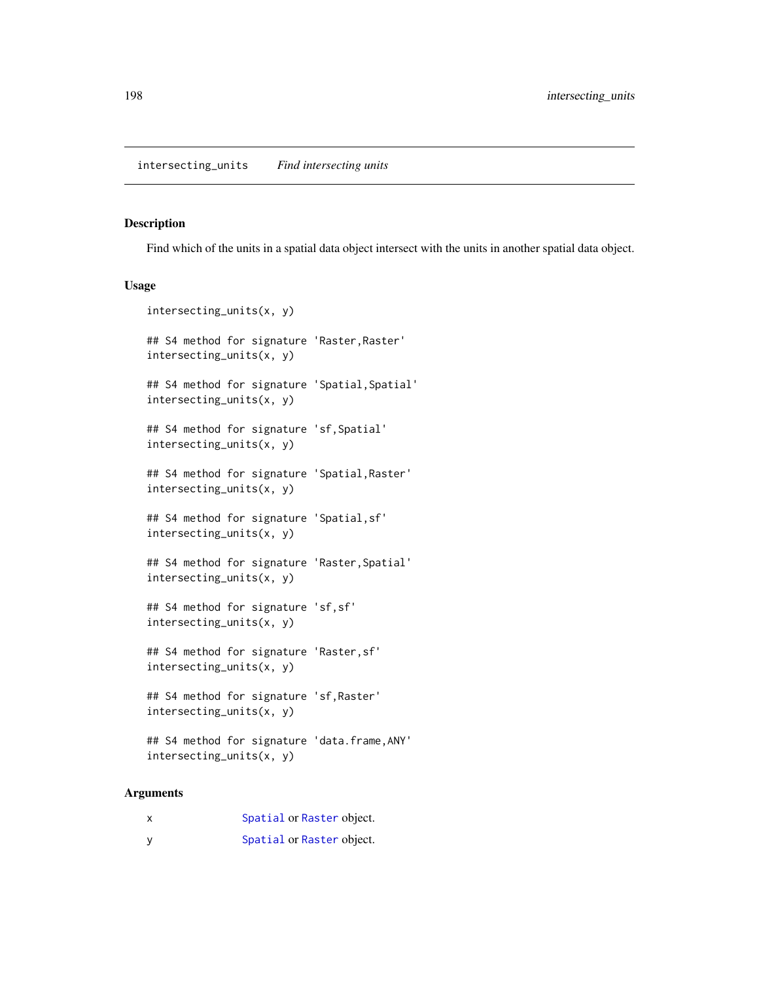#### Description

Find which of the units in a spatial data object intersect with the units in another spatial data object.

# Usage

```
intersecting_units(x, y)
## S4 method for signature 'Raster, Raster'
intersecting_units(x, y)
## S4 method for signature 'Spatial, Spatial'
intersecting_units(x, y)
## S4 method for signature 'sf,Spatial'
intersecting_units(x, y)
## S4 method for signature 'Spatial,Raster'
intersecting_units(x, y)
## S4 method for signature 'Spatial,sf'
intersecting_units(x, y)
## S4 method for signature 'Raster,Spatial'
intersecting_units(x, y)
## S4 method for signature 'sf,sf'
intersecting_units(x, y)
## S4 method for signature 'Raster,sf'
intersecting_units(x, y)
## S4 method for signature 'sf,Raster'
intersecting_units(x, y)
## S4 method for signature 'data.frame,ANY'
intersecting_units(x, y)
```
# Arguments

| x | Spatial or Raster object. |  |
|---|---------------------------|--|
|   | Spatial or Raster object. |  |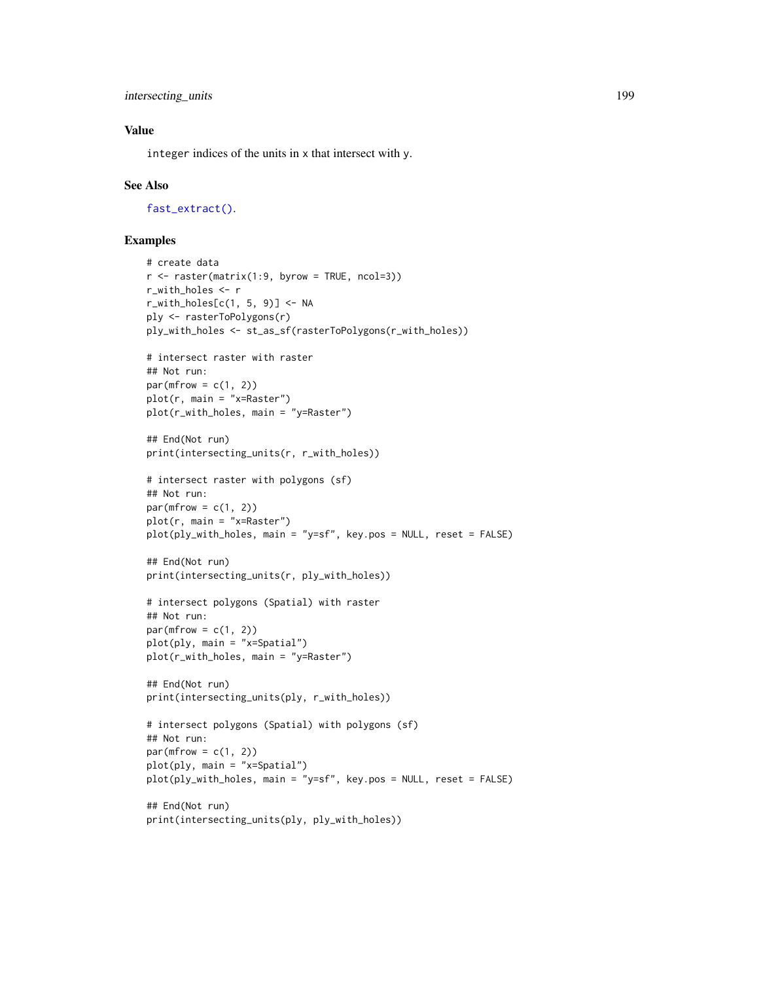```
intersecting_units 199
```
# Value

integer indices of the units in x that intersect with y.

## See Also

[fast\\_extract\(\)](#page-189-0).

```
# create data
r <- raster(matrix(1:9, byrow = TRUE, ncol=3))
r_with_holes <- r
r_with\_holes[c(1, 5, 9)] \leftarrow NAply <- rasterToPolygons(r)
ply_with_holes <- st_as_sf(rasterToPolygons(r_with_holes))
# intersect raster with raster
## Not run:
par(mfrow = c(1, 2))plot(r, main = "x=Raster")
plot(r_with_holes, main = "y=Raster")
## End(Not run)
print(intersecting_units(r, r_with_holes))
# intersect raster with polygons (sf)
## Not run:
par(mfrow = c(1, 2))plot(r, main = "x=Raster")
plot(ply_with_holes, main = "y=sf", key.pos = NULL, reset = FALSE)
## End(Not run)
print(intersecting_units(r, ply_with_holes))
# intersect polygons (Spatial) with raster
## Not run:
par(mfrow = c(1, 2))plot(ply, main = "x=Spatial")
plot(r_with_holes, main = "y=Raster")
## End(Not run)
print(intersecting_units(ply, r_with_holes))
# intersect polygons (Spatial) with polygons (sf)
## Not run:
par(mfrow = c(1, 2))plot(ply, main = "x=Spatial")
plot(ply_with_holes, main = "y=sf", key.pos = NULL, reset = FALSE)
## End(Not run)
print(intersecting_units(ply, ply_with_holes))
```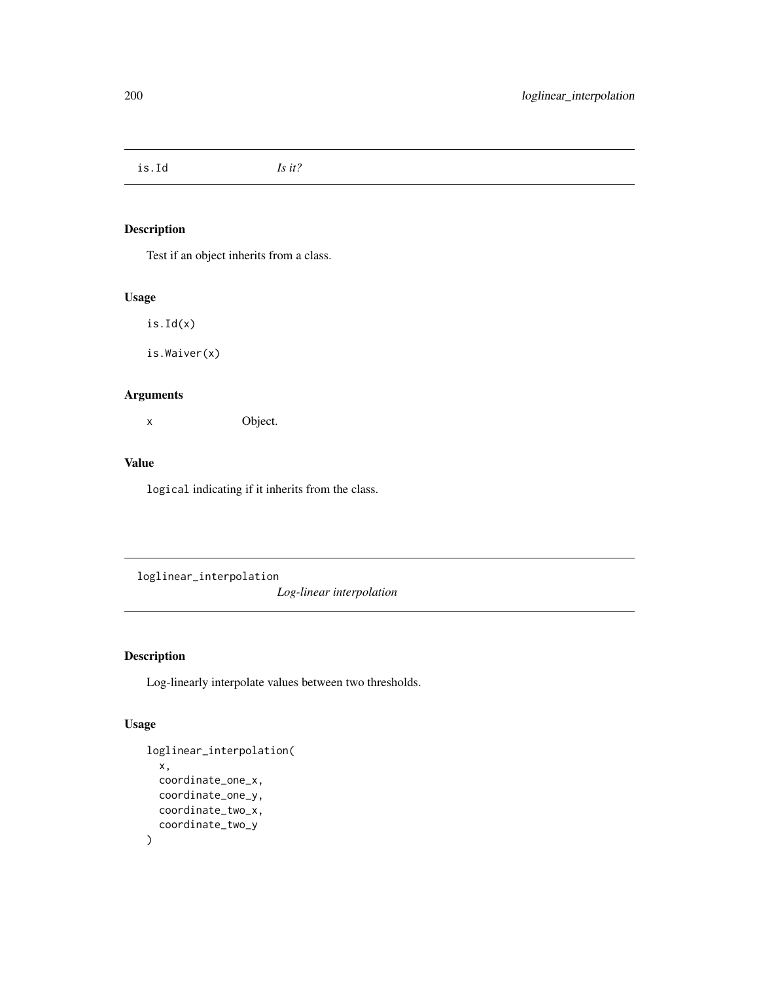is.Id *Is it?*

# Description

Test if an object inherits from a class.

## Usage

is.Id(x)

is.Waiver(x)

# Arguments

x Object.

## Value

logical indicating if it inherits from the class.

loglinear\_interpolation

*Log-linear interpolation*

# Description

Log-linearly interpolate values between two thresholds.

# Usage

```
loglinear_interpolation(
  x,
  coordinate_one_x,
  coordinate_one_y,
  coordinate_two_x,
  coordinate_two_y
\mathcal{E}
```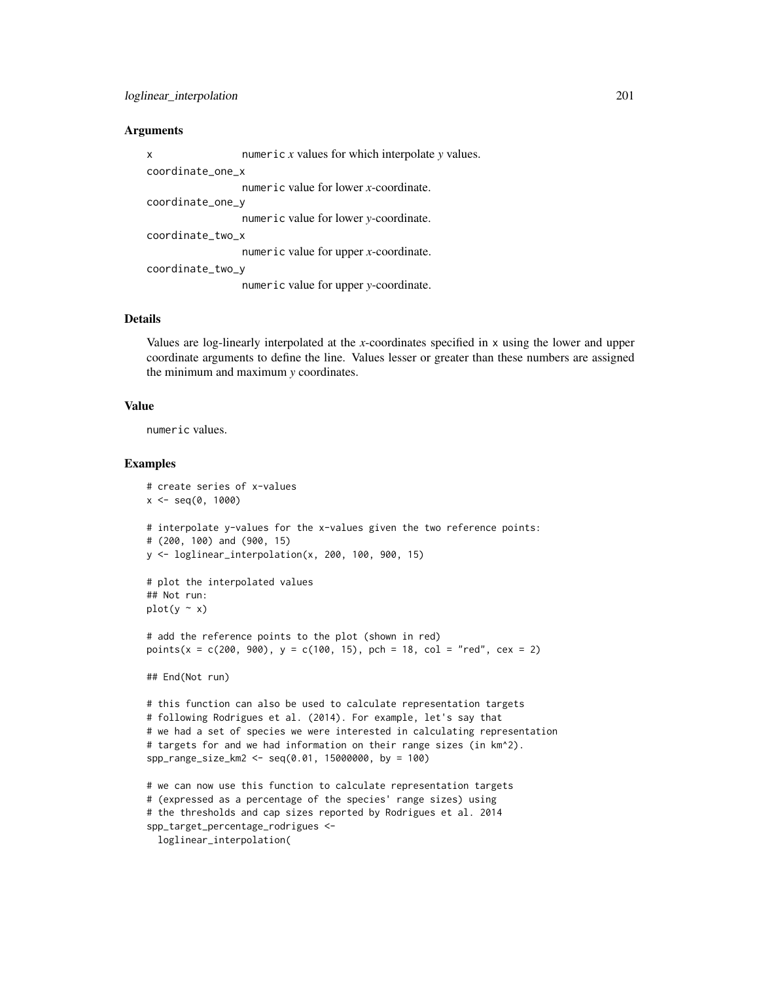#### **Arguments**

| $\mathsf{x}$     | numeric $x$ values for which interpolate $y$ values. |
|------------------|------------------------------------------------------|
| coordinate_one_x |                                                      |
|                  | numeric value for lower x-coordinate.                |
| coordinate_one_y |                                                      |
|                  | numeric value for lower y-coordinate.                |
| coordinate_two_x |                                                      |
|                  | numeric value for upper $x$ -coordinate.             |
| coordinate_two_y |                                                      |
|                  | numeric value for upper y-coordinate.                |
|                  |                                                      |

## **Details**

Values are log-linearly interpolated at the *x*-coordinates specified in x using the lower and upper coordinate arguments to define the line. Values lesser or greater than these numbers are assigned the minimum and maximum *y* coordinates.

#### Value

numeric values.

```
# create series of x-values
x \le - seq(0, 1000)
# interpolate y-values for the x-values given the two reference points:
# (200, 100) and (900, 15)
y <- loglinear_interpolation(x, 200, 100, 900, 15)
# plot the interpolated values
## Not run:
plot(y \sim x)# add the reference points to the plot (shown in red)
points(x = c(200, 900), y = c(100, 15), pch = 18, col = "red", cex = 2)## End(Not run)
# this function can also be used to calculate representation targets
# following Rodrigues et al. (2014). For example, let's say that
# we had a set of species we were interested in calculating representation
# targets for and we had information on their range sizes (in km^2).
spp_range_size_km2 <- seq(0.01, 15000000, by = 100)
# we can now use this function to calculate representation targets
# (expressed as a percentage of the species' range sizes) using
# the thresholds and cap sizes reported by Rodrigues et al. 2014
spp_target_percentage_rodrigues <-
  loglinear_interpolation(
```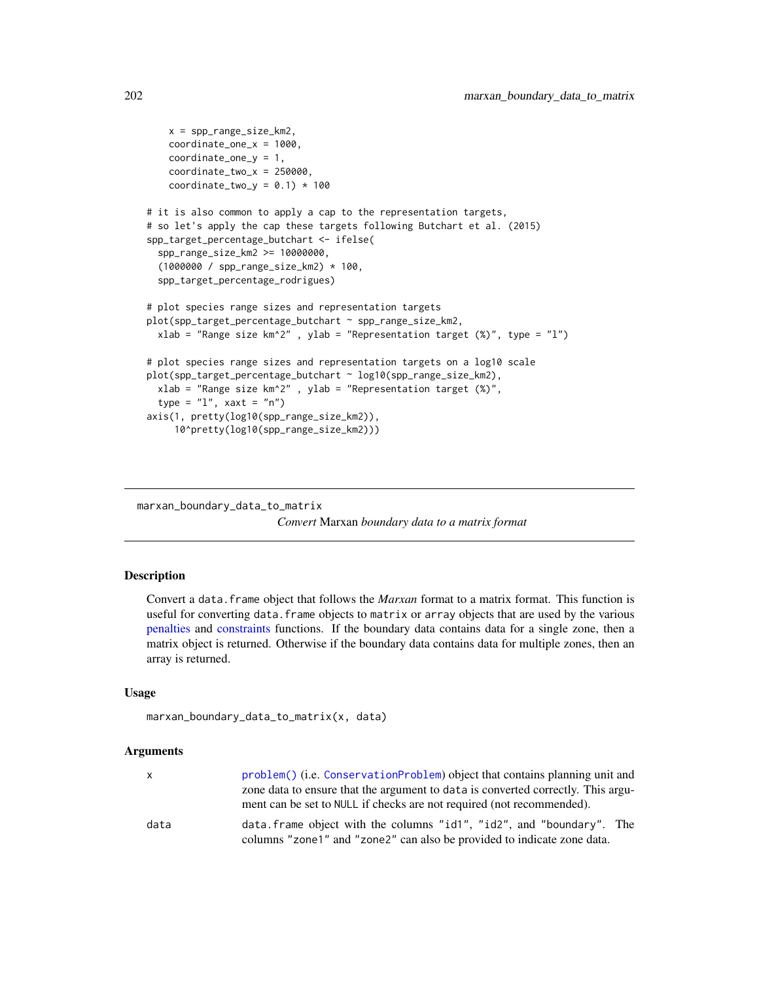```
x = spp_range_size_km2,
    coordinate_one_x = 1000,
    coordinate_one_y = 1,
    coordinate\_two_x = 250000,
   coordinate_two_y = 0.1) * 100
# it is also common to apply a cap to the representation targets,
# so let's apply the cap these targets following Butchart et al. (2015)
spp_target_percentage_butchart <- ifelse(
 spp_range_size_km2 >= 10000000,
  (1000000 / spp_range_size_km2) * 100,
 spp_target_percentage_rodrigues)
# plot species range sizes and representation targets
plot(spp_target_percentage_butchart ~ spp_range_size_km2,
 xlab = "Range size km^2" , ylab = "Representation target (\%)", type = "l")
# plot species range sizes and representation targets on a log10 scale
plot(spp_target_percentage_butchart ~ log10(spp_range_size_km2),
 xlab = "Range size km^2", ylab = "Representation target (\%)",
 type = "l", xaxt = "n")axis(1, pretty(log10(spp_range_size_km2)),
     10^pretty(log10(spp_range_size_km2)))
```
marxan\_boundary\_data\_to\_matrix *Convert* Marxan *boundary data to a matrix format*

## **Description**

Convert a data.frame object that follows the *Marxan* format to a matrix format. This function is useful for converting data. frame objects to matrix or array objects that are used by the various [penalties](#page-224-0) and [constraints](#page-145-0) functions. If the boundary data contains data for a single zone, then a matrix object is returned. Otherwise if the boundary data contains data for multiple zones, then an array is returned.

## Usage

```
marxan_boundary_data_to_matrix(x, data)
```
#### Arguments

| x.   | problem() (i.e. ConservationProblem) object that contains planning unit and      |
|------|----------------------------------------------------------------------------------|
|      | zone data to ensure that the argument to data is converted correctly. This argu- |
|      | ment can be set to NULL if checks are not required (not recommended).            |
| data | data. frame object with the columns "id1", "id2", and "boundary". The            |
|      | columns "zone1" and "zone2" can also be provided to indicate zone data.          |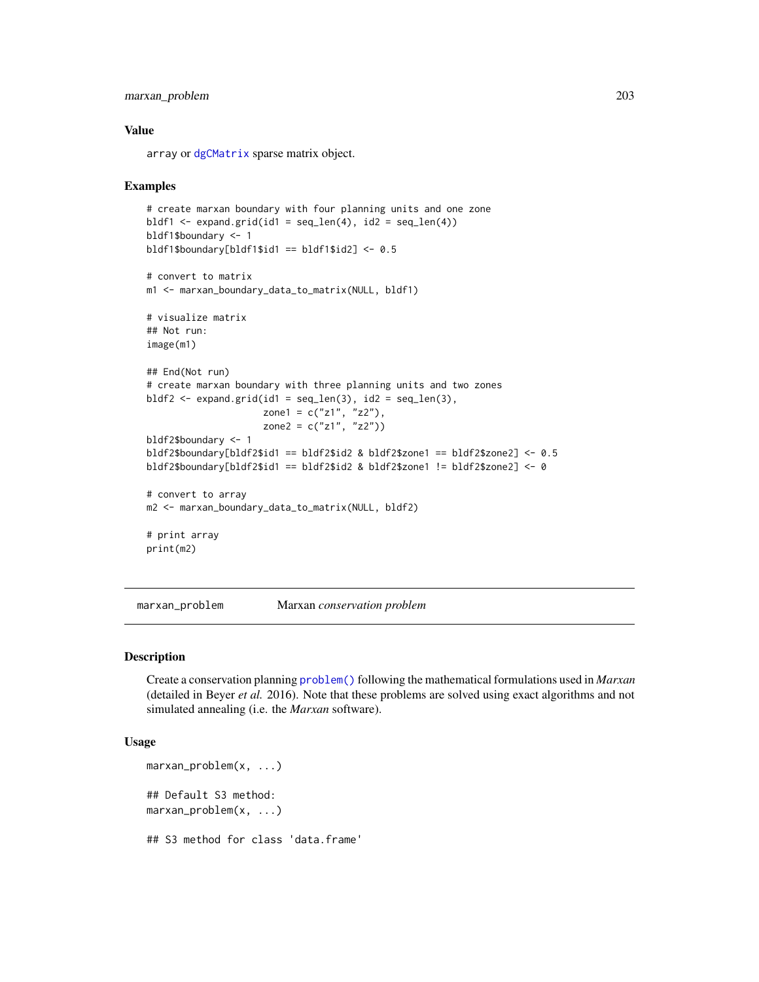# marxan\_problem 203

#### Value

array or [dgCMatrix](#page-0-0) sparse matrix object.

#### Examples

```
# create marxan boundary with four planning units and one zone
bldf1 <- expand.grid(id1 = seq_len(4), id2 = seq_len(4))
bldf1$boundary <- 1
bldf1$boundary[bldf1$id1 == bldf1$id2] <- 0.5
# convert to matrix
m1 <- marxan_boundary_data_to_matrix(NULL, bldf1)
# visualize matrix
## Not run:
image(m1)
## End(Not run)
# create marxan boundary with three planning units and two zones
bldf2 \leq expand.grid(id1 = seq_len(3), id2 = seq_len(3),
                     zone1 = c("z1", "z2"),
                     zone2 = c("z1", "z2"))
bldf2$boundary <- 1
bldf2$boundary[bldf2$id1 == bldf2$id2 & bldf2$zone1 == bldf2$zone2] <- 0.5
bldf2$boundary[bldf2$id1 == bldf2$id2 & bldf2$zone1 != bldf2$zone2] <- 0
# convert to array
m2 <- marxan_boundary_data_to_matrix(NULL, bldf2)
# print array
print(m2)
```
marxan\_problem Marxan *conservation problem*

#### Description

Create a conservation planning [problem\(\)](#page-238-0) following the mathematical formulations used in *Marxan* (detailed in Beyer *et al.* 2016). Note that these problems are solved using exact algorithms and not simulated annealing (i.e. the *Marxan* software).

## Usage

```
marxan_problem(x, ...)
## Default S3 method:
marxan_problem(x, ...)
## S3 method for class 'data.frame'
```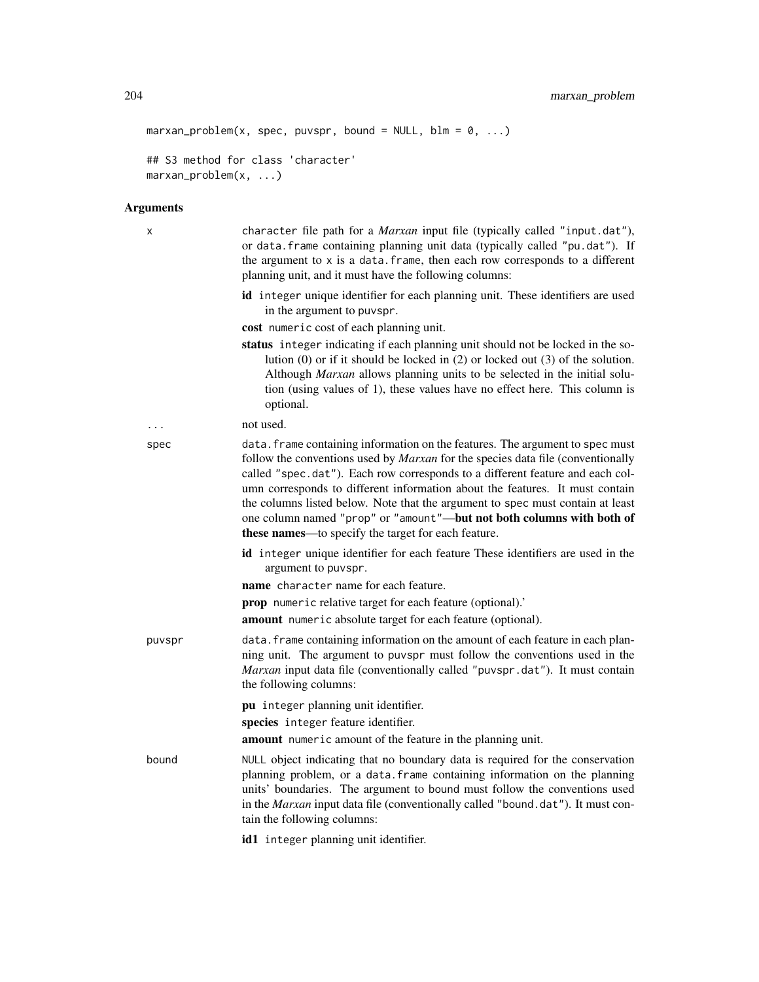```
marxan_problem(x, spec, puvspr, bound = NULL, blm = 0, ...)## S3 method for class 'character'
marxan_problem(x, ...)
```
#### Arguments

x character file path for a *Marxan* input file (typically called "input.dat"), or data.frame containing planning unit data (typically called "pu.dat"). If the argument to  $x$  is a data. frame, then each row corresponds to a different planning unit, and it must have the following columns:

> id integer unique identifier for each planning unit. These identifiers are used in the argument to puvspr.

cost numeric cost of each planning unit.

status integer indicating if each planning unit should not be locked in the solution (0) or if it should be locked in (2) or locked out (3) of the solution. Although *Marxan* allows planning units to be selected in the initial solution (using values of 1), these values have no effect here. This column is optional.

```
... not used.
```
spec data.frame containing information on the features. The argument to spec must follow the conventions used by *Marxan* for the species data file (conventionally called "spec.dat"). Each row corresponds to a different feature and each column corresponds to different information about the features. It must contain the columns listed below. Note that the argument to spec must contain at least one column named "prop" or "amount"—but not both columns with both of these names—to specify the target for each feature.

- id integer unique identifier for each feature These identifiers are used in the argument to puvspr.
- name character name for each feature.
- prop numeric relative target for each feature (optional).'

amount numeric absolute target for each feature (optional).

puvspr data.frame containing information on the amount of each feature in each planning unit. The argument to puvspr must follow the conventions used in the *Marxan* input data file (conventionally called "puvspr.dat"). It must contain the following columns:

pu integer planning unit identifier.

species integer feature identifier.

amount numeric amount of the feature in the planning unit.

bound NULL object indicating that no boundary data is required for the conservation planning problem, or a data.frame containing information on the planning units' boundaries. The argument to bound must follow the conventions used in the *Marxan* input data file (conventionally called "bound.dat"). It must contain the following columns:

id1 integer planning unit identifier.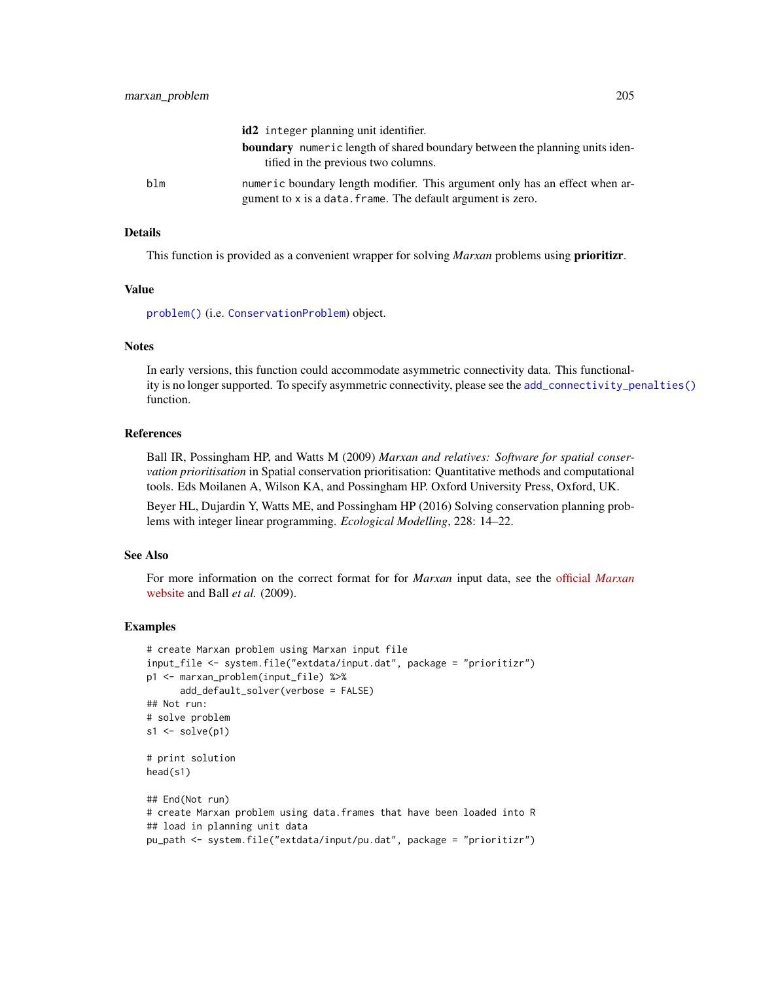|     | id2 integer planning unit identifier.                                                                                                      |
|-----|--------------------------------------------------------------------------------------------------------------------------------------------|
|     | <b>boundary</b> numeric length of shared boundary between the planning units iden-<br>tified in the previous two columns.                  |
| blm | numeric boundary length modifier. This argument only has an effect when ar-<br>gument to x is a data. frame. The default argument is zero. |

#### Details

This function is provided as a convenient wrapper for solving *Marxan* problems using prioritizr.

#### Value

[problem\(\)](#page-238-0) (i.e. [ConservationProblem](#page-141-0)) object.

## **Notes**

In early versions, this function could accommodate asymmetric connectivity data. This functionality is no longer supported. To specify asymmetric connectivity, please see the [add\\_connectivity\\_penalties\(\)](#page-17-0) function.

#### **References**

Ball IR, Possingham HP, and Watts M (2009) *Marxan and relatives: Software for spatial conservation prioritisation* in Spatial conservation prioritisation: Quantitative methods and computational tools. Eds Moilanen A, Wilson KA, and Possingham HP. Oxford University Press, Oxford, UK.

Beyer HL, Dujardin Y, Watts ME, and Possingham HP (2016) Solving conservation planning problems with integer linear programming. *Ecological Modelling*, 228: 14–22.

## See Also

For more information on the correct format for for *Marxan* input data, see the official *[Marxan](https://marxansolutions.org)* [website](https://marxansolutions.org) and Ball *et al.* (2009).

```
# create Marxan problem using Marxan input file
input_file <- system.file("extdata/input.dat", package = "prioritizr")
p1 <- marxan_problem(input_file) %>%
      add_default_solver(verbose = FALSE)
## Not run:
# solve problem
s1 \leftarrow solve(p1)# print solution
head(s1)
## End(Not run)
# create Marxan problem using data.frames that have been loaded into R
## load in planning unit data
pu_path <- system.file("extdata/input/pu.dat", package = "prioritizr")
```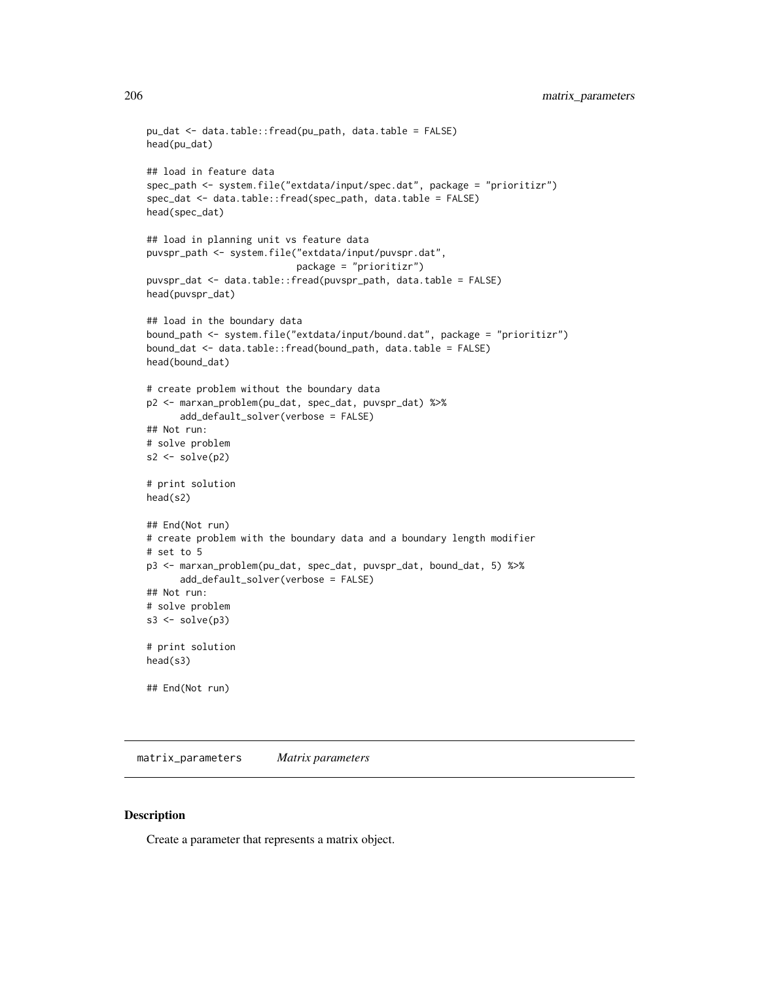```
pu_dat <- data.table::fread(pu_path, data.table = FALSE)
head(pu_dat)
## load in feature data
spec_path <- system.file("extdata/input/spec.dat", package = "prioritizr")
spec_dat <- data.table::fread(spec_path, data.table = FALSE)
head(spec_dat)
## load in planning unit vs feature data
puvspr_path <- system.file("extdata/input/puvspr.dat",
                           package = "prioritizr")
puvspr_dat <- data.table::fread(puvspr_path, data.table = FALSE)
head(puvspr_dat)
## load in the boundary data
bound_path <- system.file("extdata/input/bound.dat", package = "prioritizr")
bound_dat <- data.table::fread(bound_path, data.table = FALSE)
head(bound_dat)
# create problem without the boundary data
p2 <- marxan_problem(pu_dat, spec_dat, puvspr_dat) %>%
      add_default_solver(verbose = FALSE)
## Not run:
# solve problem
s2 \leftarrow solve(p2)# print solution
head(s2)
## End(Not run)
# create problem with the boundary data and a boundary length modifier
# set to 5
p3 <- marxan_problem(pu_dat, spec_dat, puvspr_dat, bound_dat, 5) %>%
      add_default_solver(verbose = FALSE)
## Not run:
# solve problem
s3 \leq solve(p3)# print solution
head(s3)
## End(Not run)
```
matrix\_parameters *Matrix parameters*

#### Description

Create a parameter that represents a matrix object.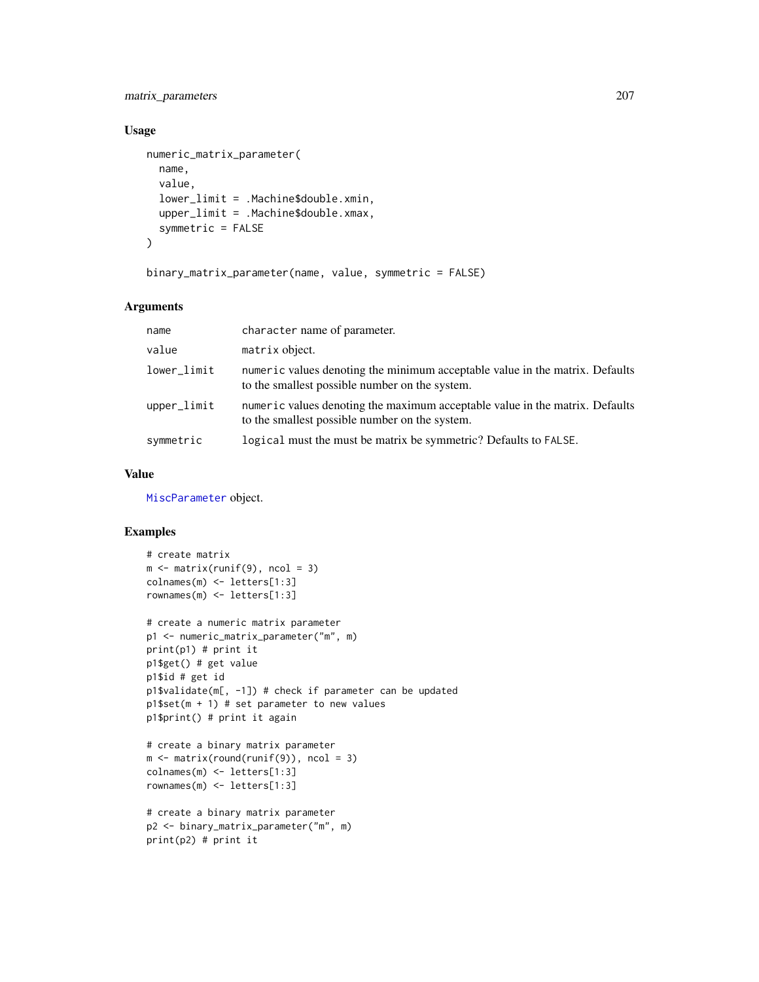# matrix\_parameters 207

# Usage

```
numeric_matrix_parameter(
  name,
  value,
  lower_limit = .Machine$double.xmin,
  upper_limit = .Machine$double.xmax,
  symmetric = FALSE
\lambda
```

```
binary_matrix_parameter(name, value, symmetric = FALSE)
```
# Arguments

| name          | character name of parameter.                                                                                                   |
|---------------|--------------------------------------------------------------------------------------------------------------------------------|
| value         | matrix object.                                                                                                                 |
| lower_limit   | numeric values denoting the minimum acceptable value in the matrix. Defaults<br>to the smallest possible number on the system. |
| $upper$ limit | numeric values denoting the maximum acceptable value in the matrix. Defaults<br>to the smallest possible number on the system. |
| symmetric     | logical must the must be matrix be symmetric? Defaults to FALSE.                                                               |

## Value

[MiscParameter](#page-207-0) object.

```
# create matrix
m \leftarrow matrix(runif(9), ncol = 3)colnames(m) <- letters[1:3]
rownames(m) <- letters[1:3]
# create a numeric matrix parameter
p1 <- numeric_matrix_parameter("m", m)
print(p1) # print it
p1$get() # get value
p1$id # get id
p1$validate(m[, -1]) # check if parameter can be updated
p1$set(m + 1) # set parameter to new values
p1$print() # print it again
# create a binary matrix parameter
m \leftarrow matrix(round(runif(9)), ncol = 3)colnames(m) <- letters[1:3]
rownames(m) <- letters[1:3]
```

```
# create a binary matrix parameter
p2 <- binary_matrix_parameter("m", m)
print(p2) # print it
```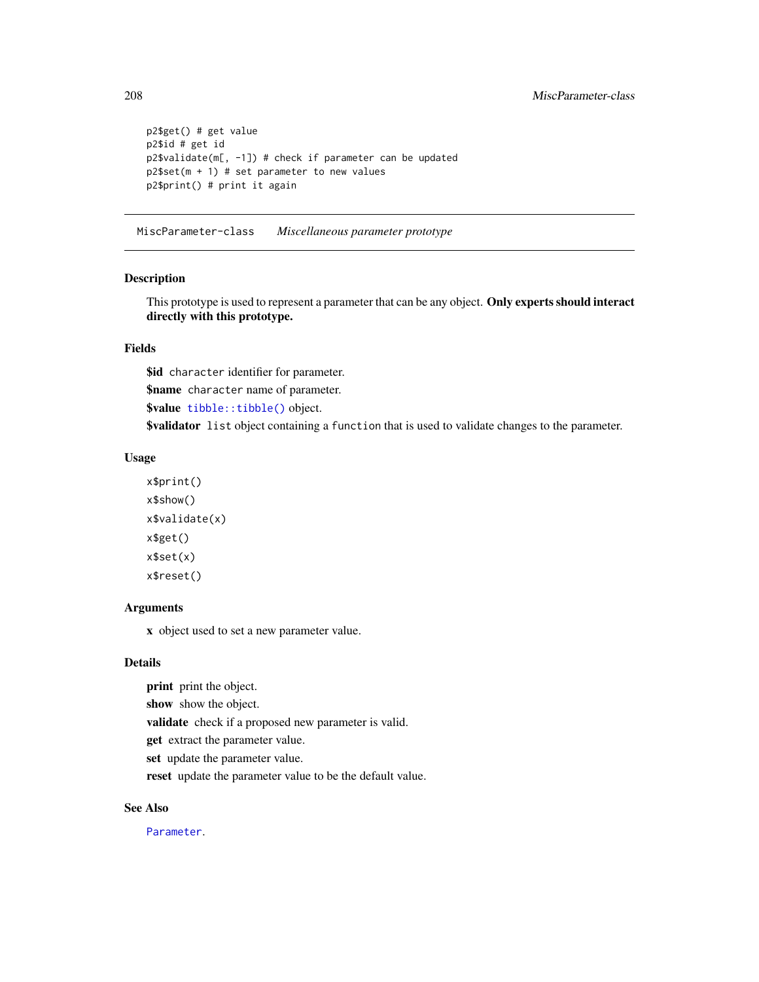```
p2$get() # get value
p2$id # get id
p2$validate(m[, -1]) # check if parameter can be updated
p2$set(m + 1) # set parameter to new values
p2$print() # print it again
```
<span id="page-207-0"></span>MiscParameter-class *Miscellaneous parameter prototype*

## Description

This prototype is used to represent a parameter that can be any object. Only experts should interact directly with this prototype.

# Fields

\$id character identifier for parameter.

\$name character name of parameter.

\$value [tibble::tibble\(\)](#page-0-0) object.

\$validator list object containing a function that is used to validate changes to the parameter.

## Usage

```
x$print()
x$show()
x$validate(x)
x$get()
x$set(x)
x$reset()
```
#### Arguments

x object used to set a new parameter value.

# Details

print print the object.

show show the object.

validate check if a proposed new parameter is valid.

get extract the parameter value.

set update the parameter value.

reset update the parameter value to be the default value.

#### See Also

[Parameter](#page-221-0).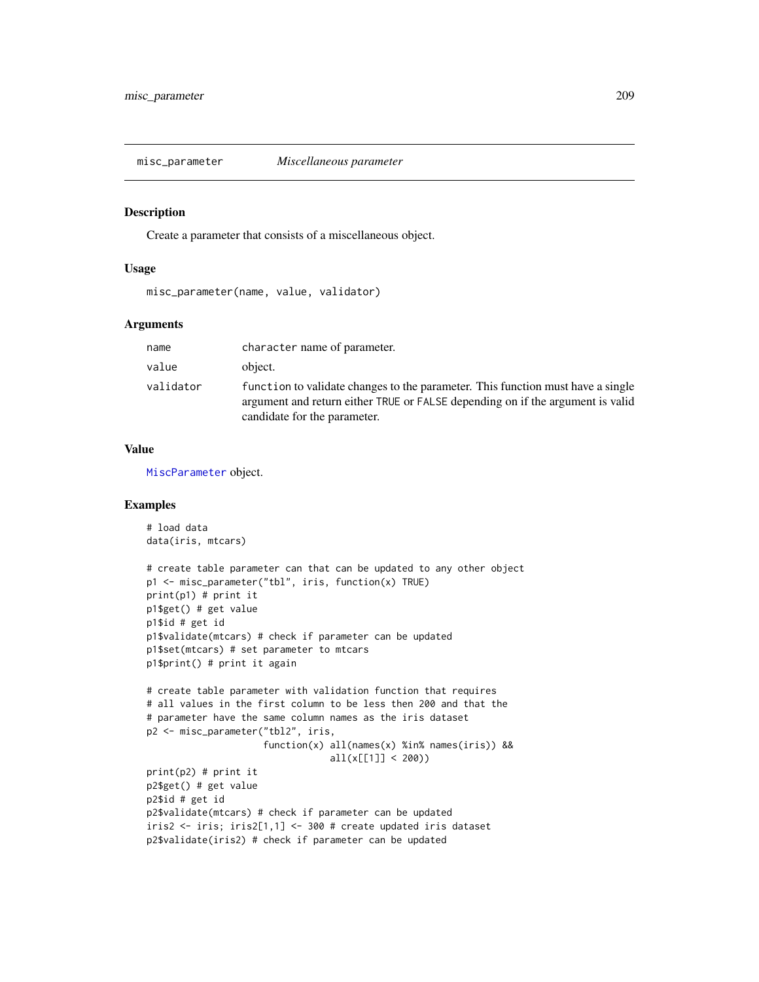misc\_parameter *Miscellaneous parameter*

#### Description

Create a parameter that consists of a miscellaneous object.

#### Usage

```
misc_parameter(name, value, validator)
```
## Arguments

| name      | character name of parameter.                                                                                                                                                                      |
|-----------|---------------------------------------------------------------------------------------------------------------------------------------------------------------------------------------------------|
| value     | object.                                                                                                                                                                                           |
| validator | function to validate changes to the parameter. This function must have a single<br>argument and return either TRUE or FALSE depending on if the argument is valid<br>candidate for the parameter. |

# Value

[MiscParameter](#page-207-0) object.

```
# load data
data(iris, mtcars)
# create table parameter can that can be updated to any other object
p1 <- misc_parameter("tbl", iris, function(x) TRUE)
print(p1) # print it
p1$get() # get value
p1$id # get id
p1$validate(mtcars) # check if parameter can be updated
p1$set(mtcars) # set parameter to mtcars
p1$print() # print it again
# create table parameter with validation function that requires
# all values in the first column to be less then 200 and that the
# parameter have the same column names as the iris dataset
p2 <- misc_parameter("tbl2", iris,
                     function(x) all(names(x) %in% names(iris)) &&
                                 all(x[[1]] < 200)print(p2) # print it
p2$get() # get value
p2$id # get id
p2$validate(mtcars) # check if parameter can be updated
iris2 <- iris; iris2[1,1] <- 300 # create updated iris dataset
p2$validate(iris2) # check if parameter can be updated
```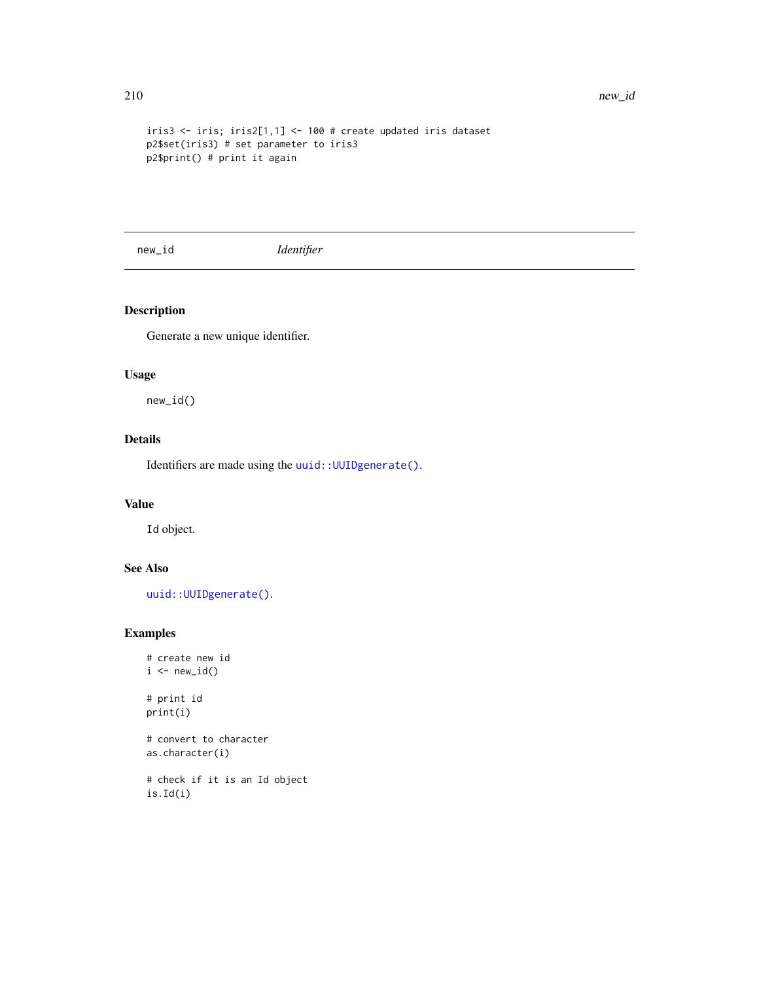```
iris3 <- iris; iris2[1,1] <- 100 # create updated iris dataset
p2$set(iris3) # set parameter to iris3
p2$print() # print it again
```
new\_id *Identifier*

# Description

Generate a new unique identifier.

# Usage

new\_id()

# Details

Identifiers are made using the [uuid::UUIDgenerate\(\)](#page-0-0).

# Value

Id object.

# See Also

uuid:: UUIDgenerate().

```
# create new id
i \leftarrow \text{new_id}()# print id
print(i)
# convert to character
as.character(i)
# check if it is an Id object
is.Id(i)
```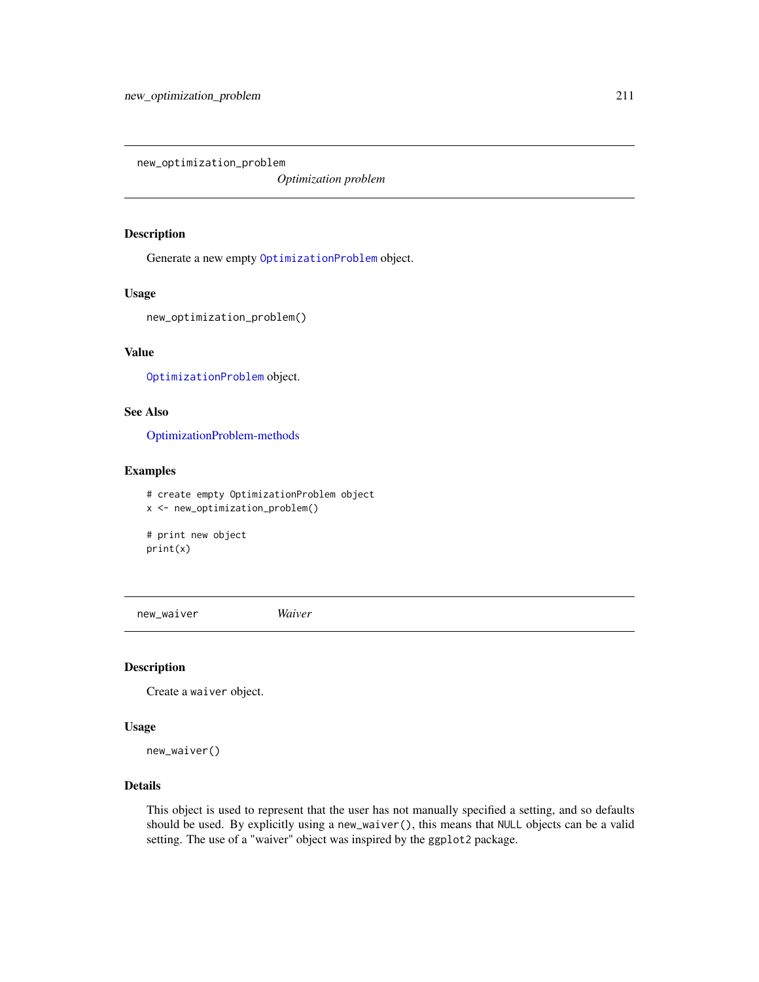new\_optimization\_problem

*Optimization problem*

## Description

Generate a new empty [OptimizationProblem](#page-217-0) object.

#### Usage

new\_optimization\_problem()

# Value

[OptimizationProblem](#page-217-0) object.

# See Also

[OptimizationProblem-methods](#page-219-0)

# Examples

```
# create empty OptimizationProblem object
x <- new_optimization_problem()
# print new object
print(x)
```
new\_waiver *Waiver*

## Description

Create a waiver object.

#### Usage

new\_waiver()

## Details

This object is used to represent that the user has not manually specified a setting, and so defaults should be used. By explicitly using a new\_waiver(), this means that NULL objects can be a valid setting. The use of a "waiver" object was inspired by the ggplot2 package.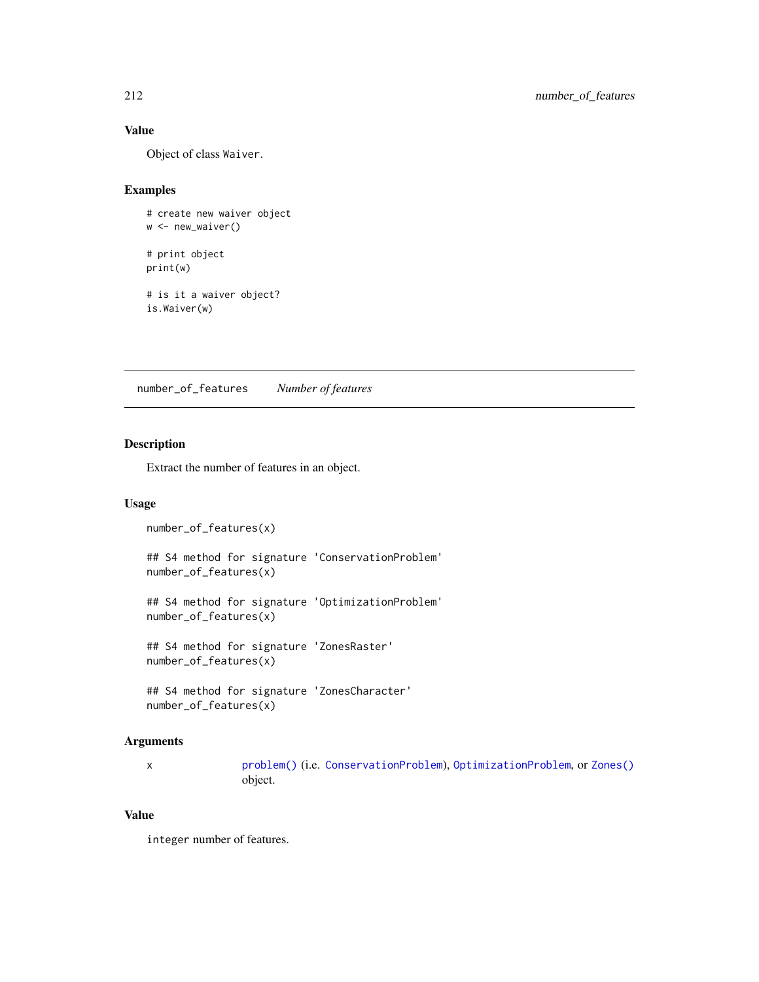# Value

Object of class Waiver.

# Examples

```
# create new waiver object
w <- new_waiver()
# print object
print(w)
# is it a waiver object?
is.Waiver(w)
```
number\_of\_features *Number of features*

# Description

Extract the number of features in an object.

# Usage

```
number_of_features(x)
## S4 method for signature 'ConservationProblem'
number_of_features(x)
## S4 method for signature 'OptimizationProblem'
number_of_features(x)
## S4 method for signature 'ZonesRaster'
```
number\_of\_features(x)

```
## S4 method for signature 'ZonesCharacter'
number_of_features(x)
```
## Arguments

x [problem\(\)](#page-238-0) (i.e. [ConservationProblem](#page-141-0)), [OptimizationProblem](#page-217-0), or [Zones\(\)](#page-274-0) object.

#### Value

integer number of features.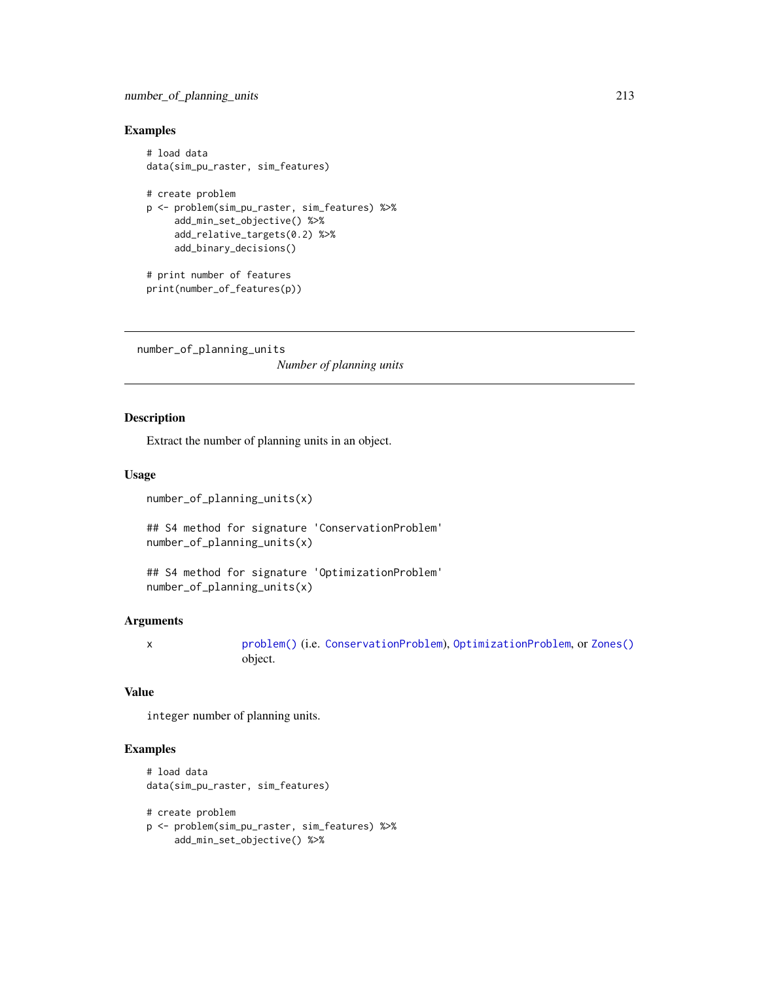# number\_of\_planning\_units 213

# Examples

```
# load data
data(sim_pu_raster, sim_features)
# create problem
p <- problem(sim_pu_raster, sim_features) %>%
    add_min_set_objective() %>%
     add_relative_targets(0.2) %>%
     add_binary_decisions()
# print number of features
print(number_of_features(p))
```
number\_of\_planning\_units

*Number of planning units*

## Description

Extract the number of planning units in an object.

## Usage

number\_of\_planning\_units(x)

## S4 method for signature 'ConservationProblem' number\_of\_planning\_units(x)

```
## S4 method for signature 'OptimizationProblem'
number_of_planning_units(x)
```
## Arguments

x [problem\(\)](#page-238-0) (i.e. [ConservationProblem](#page-141-0)), [OptimizationProblem](#page-217-0), or [Zones\(\)](#page-274-0) object.

# Value

integer number of planning units.

## Examples

```
# load data
data(sim_pu_raster, sim_features)
```
# create problem p <- problem(sim\_pu\_raster, sim\_features) %>% add\_min\_set\_objective() %>%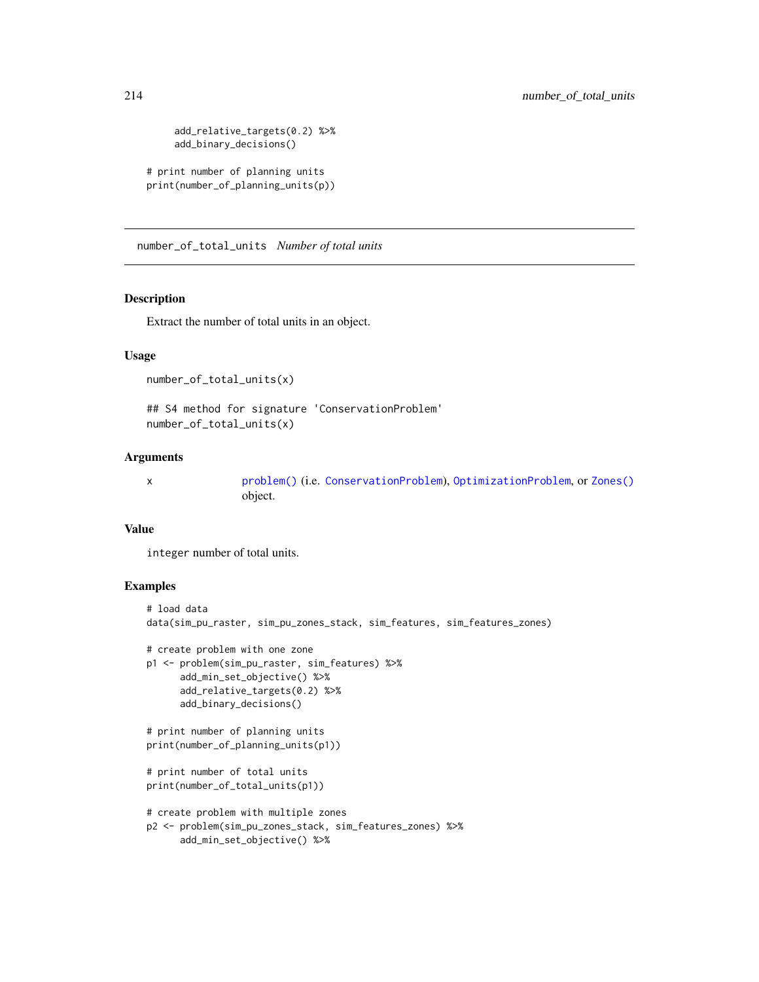```
add_relative_targets(0.2) %>%
     add_binary_decisions()
# print number of planning units
print(number_of_planning_units(p))
```
number\_of\_total\_units *Number of total units*

#### Description

Extract the number of total units in an object.

## Usage

number\_of\_total\_units(x)

## S4 method for signature 'ConservationProblem' number\_of\_total\_units(x)

## Arguments

x [problem\(\)](#page-238-0) (i.e. [ConservationProblem](#page-141-0)), [OptimizationProblem](#page-217-0), or [Zones\(\)](#page-274-0) object.

## Value

integer number of total units.

```
# load data
data(sim_pu_raster, sim_pu_zones_stack, sim_features, sim_features_zones)
# create problem with one zone
p1 <- problem(sim_pu_raster, sim_features) %>%
     add_min_set_objective() %>%
     add_relative_targets(0.2) %>%
     add_binary_decisions()
# print number of planning units
print(number_of_planning_units(p1))
# print number of total units
print(number_of_total_units(p1))
# create problem with multiple zones
p2 <- problem(sim_pu_zones_stack, sim_features_zones) %>%
     add_min_set_objective() %>%
```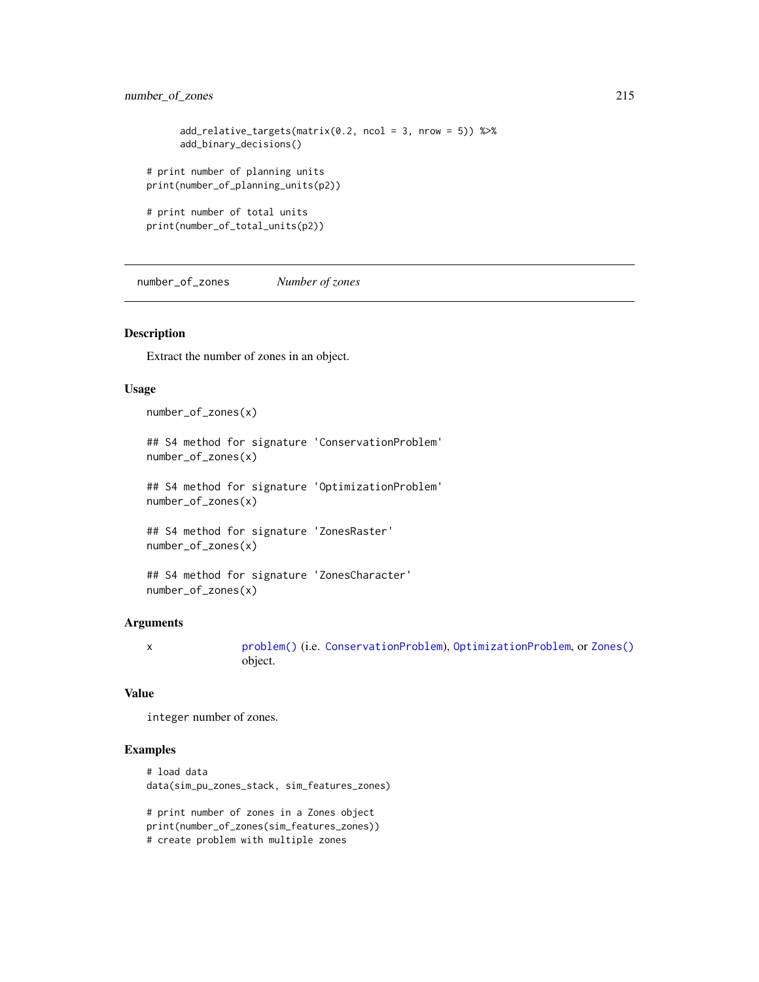```
add_relative_targets(matrix(0.2, ncol = 3, nrow = 5)) %>%
     add_binary_decisions()
# print number of planning units
print(number_of_planning_units(p2))
# print number of total units
print(number_of_total_units(p2))
```
number\_of\_zones *Number of zones*

# Description

Extract the number of zones in an object.

## Usage

number\_of\_zones(x)

## S4 method for signature 'ConservationProblem' number\_of\_zones(x)

## S4 method for signature 'OptimizationProblem' number\_of\_zones(x)

## S4 method for signature 'ZonesRaster' number\_of\_zones(x)

```
## S4 method for signature 'ZonesCharacter'
number_of_zones(x)
```
#### Arguments

x [problem\(\)](#page-238-0) (i.e. [ConservationProblem](#page-141-0)), [OptimizationProblem](#page-217-0), or [Zones\(\)](#page-274-0) object.

## Value

integer number of zones.

## Examples

# load data data(sim\_pu\_zones\_stack, sim\_features\_zones)

# print number of zones in a Zones object print(number\_of\_zones(sim\_features\_zones)) # create problem with multiple zones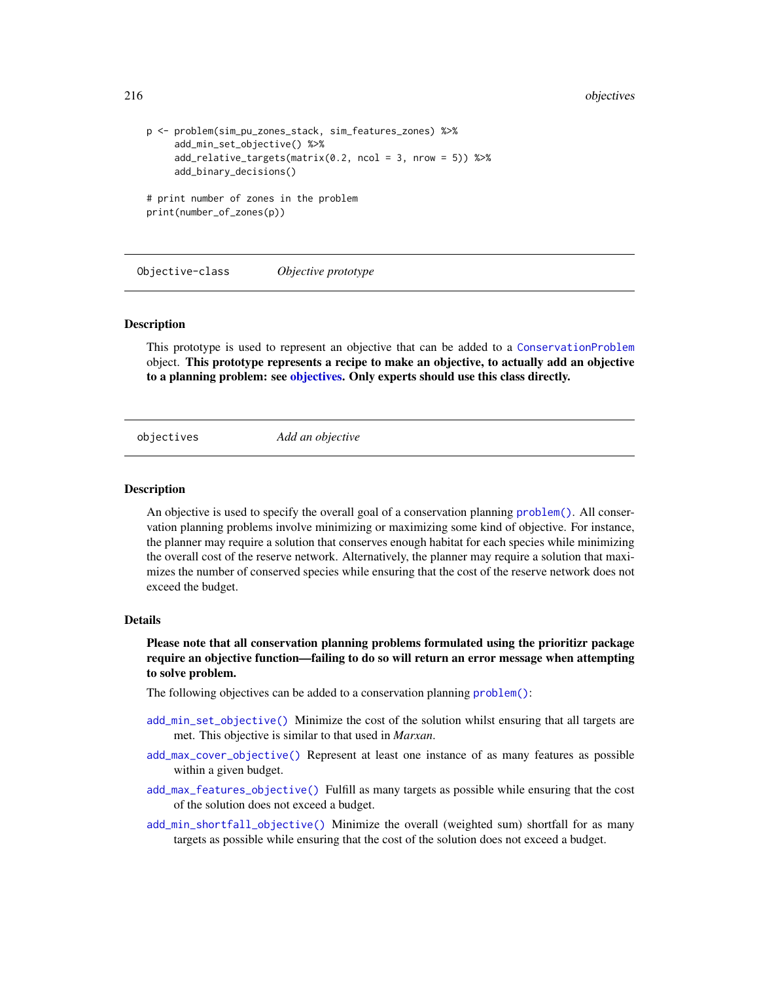```
216 objectives
```

```
p <- problem(sim_pu_zones_stack, sim_features_zones) %>%
     add_min_set_objective() %>%
    add_relative_targets(matrix(0.2, ncol = 3, nrow = 5)) %>%
    add_binary_decisions()
# print number of zones in the problem
print(number_of_zones(p))
```
Objective-class *Objective prototype*

#### **Description**

This prototype is used to represent an objective that can be added to a [ConservationProblem](#page-141-0) object. This prototype represents a recipe to make an objective, to actually add an objective to a planning problem: see [objectives.](#page-215-0) Only experts should use this class directly.

<span id="page-215-0"></span>

objectives *Add an objective*

#### Description

An objective is used to specify the overall goal of a conservation planning [problem\(\)](#page-238-0). All conservation planning problems involve minimizing or maximizing some kind of objective. For instance, the planner may require a solution that conserves enough habitat for each species while minimizing the overall cost of the reserve network. Alternatively, the planner may require a solution that maximizes the number of conserved species while ensuring that the cost of the reserve network does not exceed the budget.

#### Details

Please note that all conservation planning problems formulated using the prioritizr package require an objective function—failing to do so will return an error message when attempting to solve problem.

The following objectives can be added to a conservation planning [problem\(\)](#page-238-0):

- [add\\_min\\_set\\_objective\(\)](#page-101-0) Minimize the cost of the solution whilst ensuring that all targets are met. This objective is similar to that used in *Marxan*.
- [add\\_max\\_cover\\_objective\(\)](#page-84-0) Represent at least one instance of as many features as possible within a given budget.
- [add\\_max\\_features\\_objective\(\)](#page-86-0) Fulfill as many targets as possible while ensuring that the cost of the solution does not exceed a budget.
- [add\\_min\\_shortfall\\_objective\(\)](#page-103-0) Minimize the overall (weighted sum) shortfall for as many targets as possible while ensuring that the cost of the solution does not exceed a budget.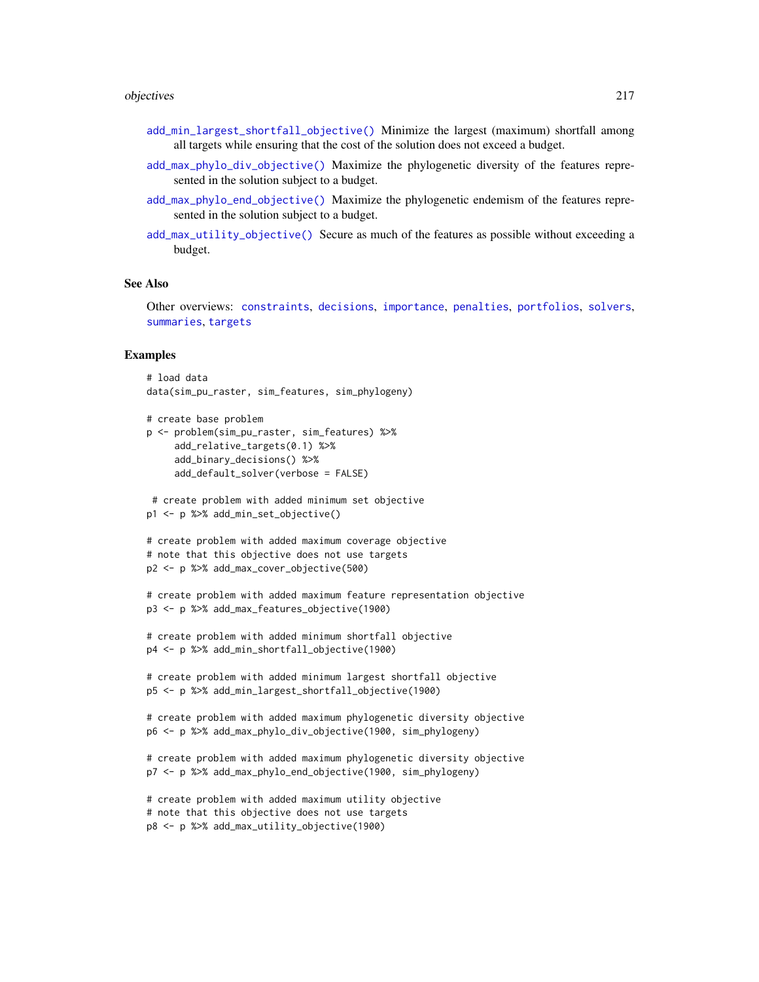#### objectives 217

- [add\\_min\\_largest\\_shortfall\\_objective\(\)](#page-99-0) Minimize the largest (maximum) shortfall among all targets while ensuring that the cost of the solution does not exceed a budget.
- [add\\_max\\_phylo\\_div\\_objective\(\)](#page-89-0) Maximize the phylogenetic diversity of the features represented in the solution subject to a budget.
- [add\\_max\\_phylo\\_end\\_objective\(\)](#page-93-0) Maximize the phylogenetic endemism of the features represented in the solution subject to a budget.
- [add\\_max\\_utility\\_objective\(\)](#page-97-0) Secure as much of the features as possible without exceeding a budget.

#### See Also

Other overviews: [constraints](#page-145-0), [decisions](#page-147-0), [importance](#page-195-0), [penalties](#page-224-0), [portfolios](#page-227-0), [solvers](#page-267-0), [summaries](#page-269-0), [targets](#page-271-0)

```
# load data
data(sim_pu_raster, sim_features, sim_phylogeny)
```

```
# create base problem
p <- problem(sim_pu_raster, sim_features) %>%
    add_relative_targets(0.1) %>%
    add_binary_decisions() %>%
    add_default_solver(verbose = FALSE)
```

```
# create problem with added minimum set objective
p1 <- p %>% add_min_set_objective()
```

```
# create problem with added maximum coverage objective
# note that this objective does not use targets
p2 <- p %>% add_max_cover_objective(500)
```

```
# create problem with added maximum feature representation objective
p3 <- p %>% add_max_features_objective(1900)
```

```
# create problem with added minimum shortfall objective
p4 <- p %>% add_min_shortfall_objective(1900)
```

```
# create problem with added minimum largest shortfall objective
p5 <- p %>% add_min_largest_shortfall_objective(1900)
```

```
# create problem with added maximum phylogenetic diversity objective
p6 <- p %>% add_max_phylo_div_objective(1900, sim_phylogeny)
```

```
# create problem with added maximum phylogenetic diversity objective
p7 <- p %>% add_max_phylo_end_objective(1900, sim_phylogeny)
```

```
# create problem with added maximum utility objective
# note that this objective does not use targets
p8 <- p %>% add_max_utility_objective(1900)
```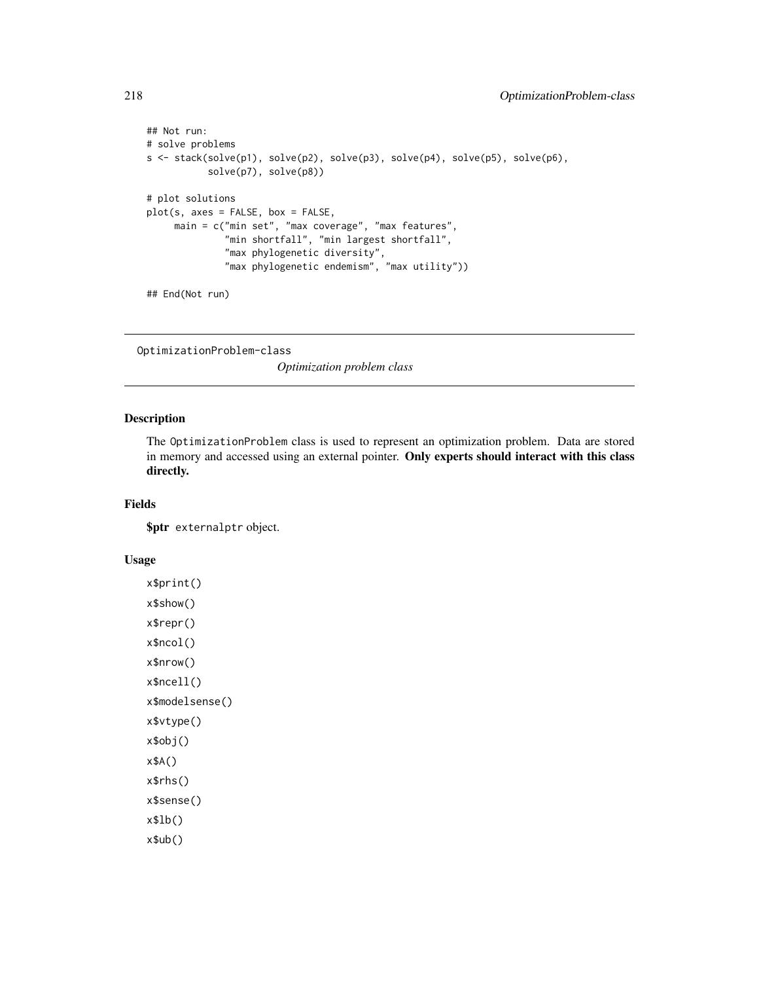```
## Not run:
# solve problems
s <- stack(solve(p1), solve(p2), solve(p3), solve(p4), solve(p5), solve(p6),
           solve(p7), solve(p8))
# plot solutions
plot(s, axes = FALSE, box = FALSE,
    main = c("min set", "max coverage", "max features",
              "min shortfall", "min largest shortfall",
              "max phylogenetic diversity",
              "max phylogenetic endemism", "max utility"))
## End(Not run)
```
<span id="page-217-0"></span>OptimizationProblem-class

*Optimization problem class*

#### Description

The OptimizationProblem class is used to represent an optimization problem. Data are stored in memory and accessed using an external pointer. Only experts should interact with this class directly.

## Fields

\$ptr externalptr object.

# Usage

```
x$print()
x$show()
x$repr()
x$ncol()
x$nrow()
x$ncell()
x$modelsense()
x$vtype()
x$obj()
x$A()
x$rhs()
x$sense()
x$lb()
x$ub()
```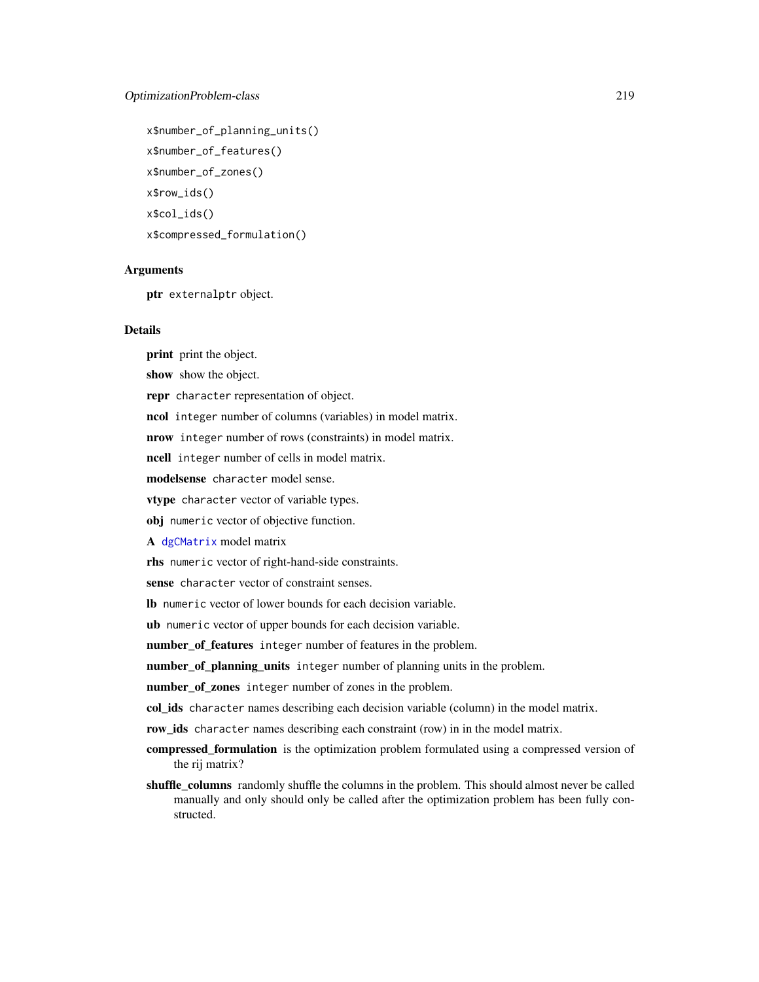# OptimizationProblem-class 219

```
x$number_of_planning_units()
x$number_of_features()
x$number_of_zones()
x$row_ids()
x$col_ids()
x$compressed_formulation()
```
# Arguments

ptr externalptr object.

#### Details

print print the object.

show show the object.

repr character representation of object.

ncol integer number of columns (variables) in model matrix.

nrow integer number of rows (constraints) in model matrix.

ncell integer number of cells in model matrix.

modelsense character model sense.

vtype character vector of variable types.

obj numeric vector of objective function.

A [dgCMatrix](#page-0-0) model matrix

rhs numeric vector of right-hand-side constraints.

sense character vector of constraint senses.

lb numeric vector of lower bounds for each decision variable.

ub numeric vector of upper bounds for each decision variable.

number\_of\_features integer number of features in the problem.

number\_of\_planning\_units integer number of planning units in the problem.

number\_of\_zones integer number of zones in the problem.

col\_ids character names describing each decision variable (column) in the model matrix.

row\_ids character names describing each constraint (row) in in the model matrix.

- compressed\_formulation is the optimization problem formulated using a compressed version of the rij matrix?
- shuffle\_columns randomly shuffle the columns in the problem. This should almost never be called manually and only should only be called after the optimization problem has been fully constructed.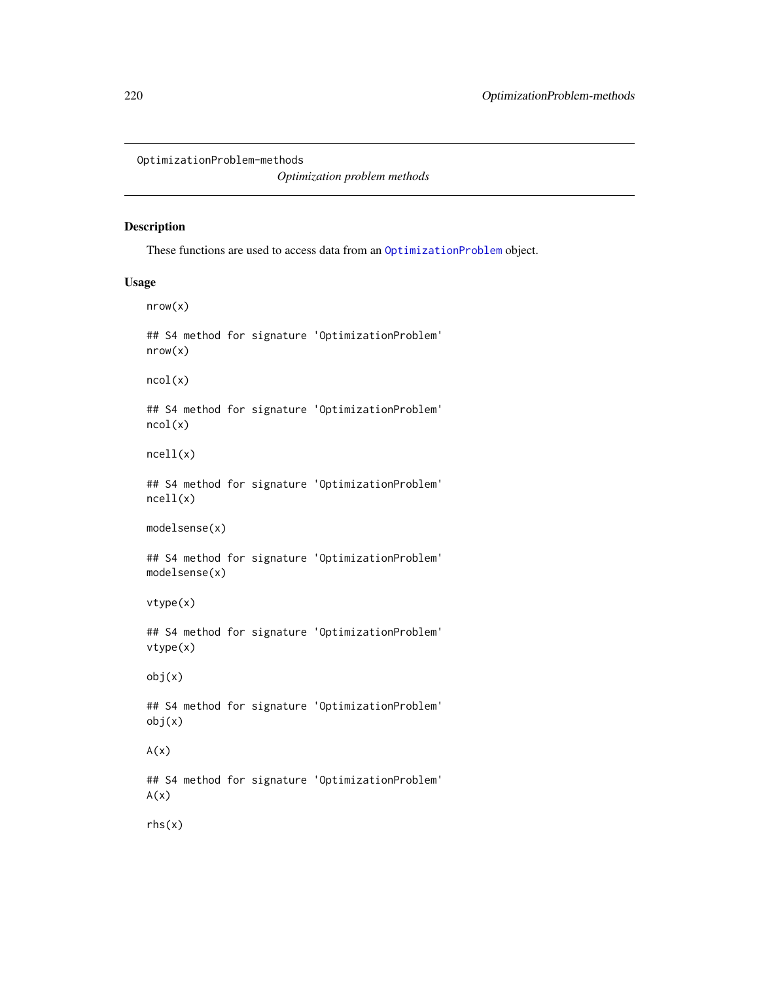OptimizationProblem-methods

*Optimization problem methods*

# Description

These functions are used to access data from an [OptimizationProblem](#page-217-0) object.

## Usage

nrow(x) ## S4 method for signature 'OptimizationProblem' nrow(x) ncol(x) ## S4 method for signature 'OptimizationProblem' ncol(x) ncell(x) ## S4 method for signature 'OptimizationProblem' ncell(x) modelsense(x) ## S4 method for signature 'OptimizationProblem' modelsense(x) vtype(x) ## S4 method for signature 'OptimizationProblem' vtype(x) obj(x) ## S4 method for signature 'OptimizationProblem' obj(x)  $A(x)$ ## S4 method for signature 'OptimizationProblem'  $A(x)$ rhs(x)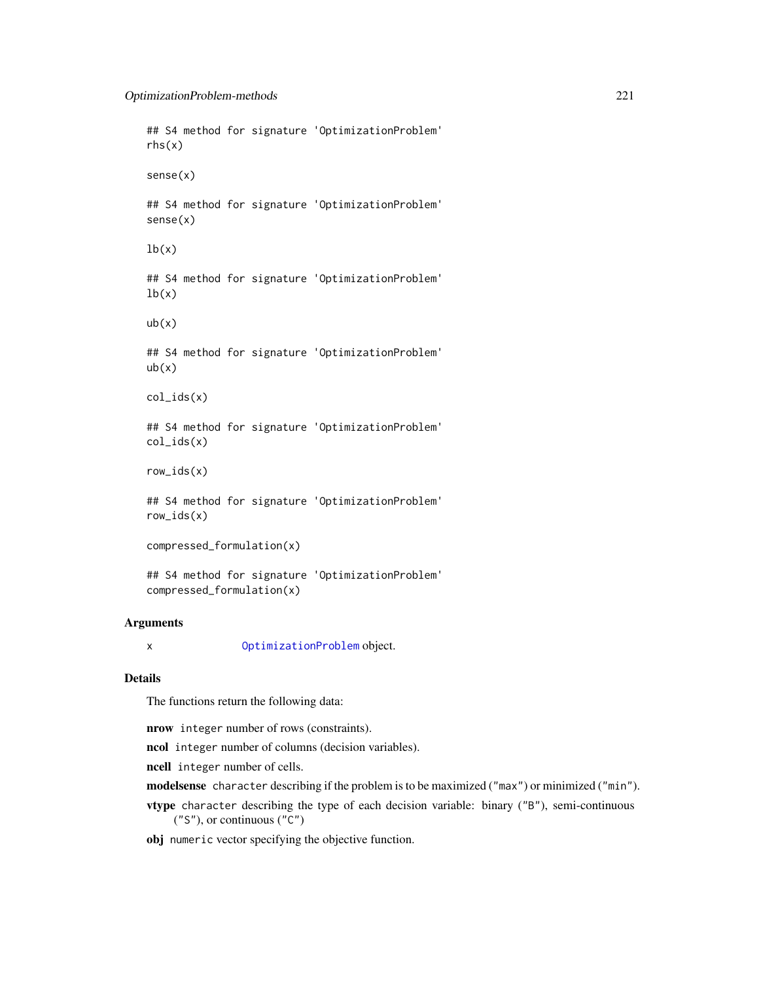## S4 method for signature 'OptimizationProblem' rhs(x) sense(x) ## S4 method for signature 'OptimizationProblem' sense(x)  $lb(x)$ ## S4 method for signature 'OptimizationProblem'  $lb(x)$  $ub(x)$ ## S4 method for signature 'OptimizationProblem'  $ub(x)$ col\_ids(x) ## S4 method for signature 'OptimizationProblem' col\_ids(x) row\_ids(x) ## S4 method for signature 'OptimizationProblem' row\_ids(x) compressed\_formulation(x)

## S4 method for signature 'OptimizationProblem' compressed\_formulation(x)

# Arguments

x [OptimizationProblem](#page-217-0) object.

## Details

The functions return the following data:

nrow integer number of rows (constraints).

ncol integer number of columns (decision variables).

ncell integer number of cells.

modelsense character describing if the problem is to be maximized ("max") or minimized ("min").

vtype character describing the type of each decision variable: binary ("B"), semi-continuous ("S"), or continuous ("C")

obj numeric vector specifying the objective function.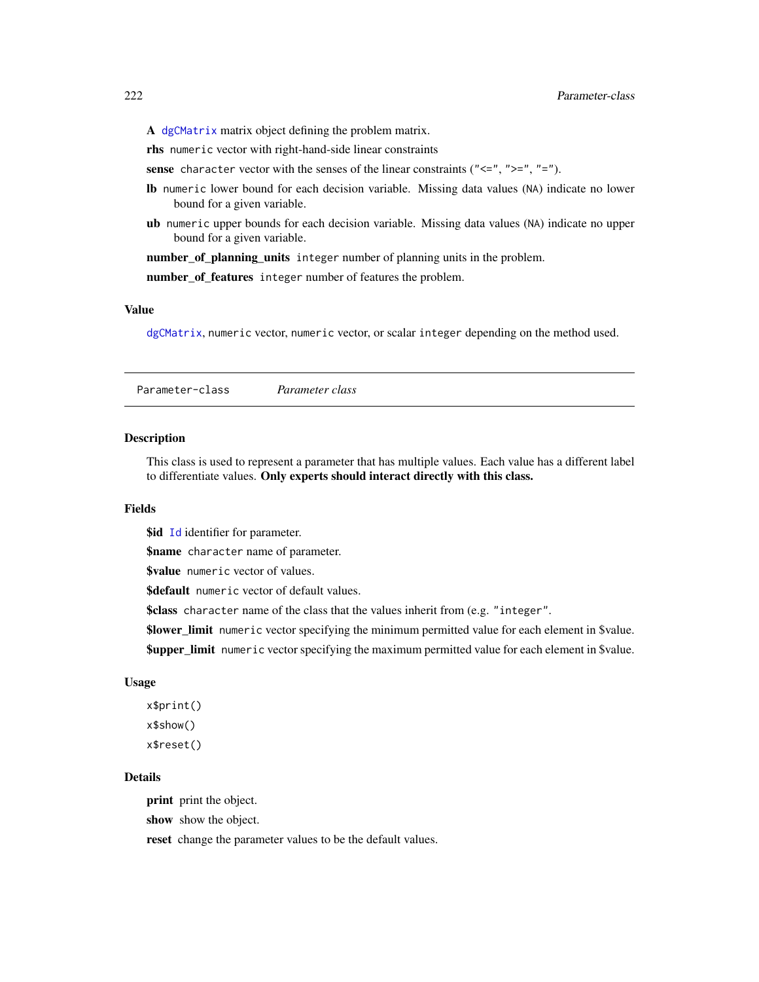A [dgCMatrix](#page-0-0) matrix object defining the problem matrix.

rhs numeric vector with right-hand-side linear constraints

sense character vector with the senses of the linear constraints (" $\leq$ ", " $>$ =", "=").

- lb numeric lower bound for each decision variable. Missing data values (NA) indicate no lower bound for a given variable.
- ub numeric upper bounds for each decision variable. Missing data values (NA) indicate no upper bound for a given variable.

number\_of\_planning\_units integer number of planning units in the problem.

number\_of\_features integer number of features the problem.

## Value

[dgCMatrix](#page-0-0), numeric vector, numeric vector, or scalar integer depending on the method used.

<span id="page-221-0"></span>Parameter-class *Parameter class*

#### Description

This class is used to represent a parameter that has multiple values. Each value has a different label to differentiate values. Only experts should interact directly with this class.

#### Fields

**\$id** [Id](#page-209-0) identifier for parameter.

\$name character name of parameter.

\$value numeric vector of values.

\$default numeric vector of default values.

\$class character name of the class that the values inherit from (e.g. "integer".

\$lower\_limit numeric vector specifying the minimum permitted value for each element in \$value.

**\$upper\_limit** numeric vector specifying the maximum permitted value for each element in \$value.

#### Usage

x\$print() x\$show() x\$reset()

# Details

print print the object.

show show the object.

reset change the parameter values to be the default values.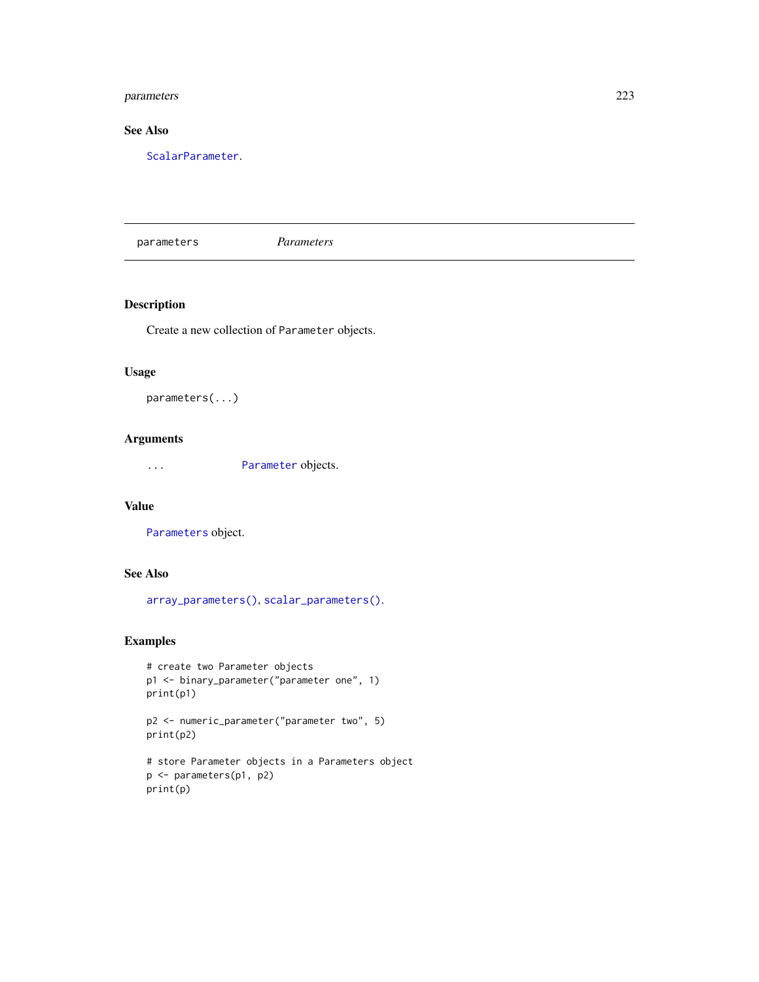# parameters 223

# See Also

[ScalarParameter](#page-252-0).

parameters *Parameters*

# Description

Create a new collection of Parameter objects.

# Usage

parameters(...)

# Arguments

... [Parameter](#page-221-0) objects.

# Value

[Parameters](#page-223-0) object.

# See Also

[array\\_parameters\(\)](#page-124-0), [scalar\\_parameters\(\)](#page-253-0).

```
# create two Parameter objects
p1 <- binary_parameter("parameter one", 1)
print(p1)
```

```
p2 <- numeric_parameter("parameter two", 5)
print(p2)
```

```
# store Parameter objects in a Parameters object
p <- parameters(p1, p2)
print(p)
```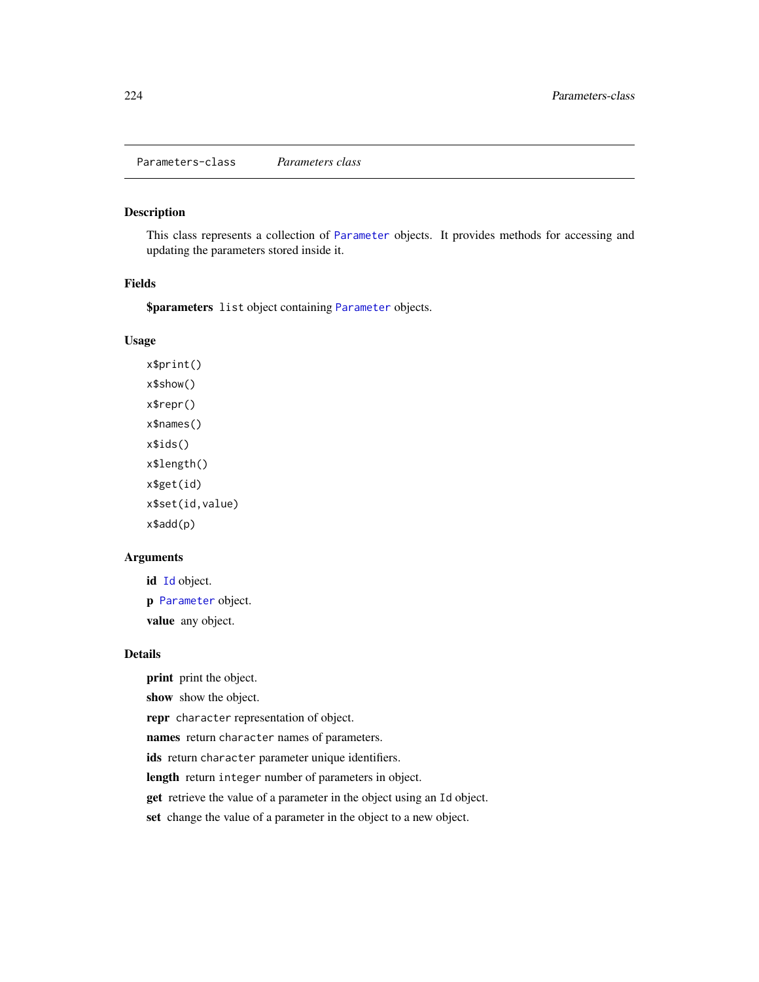<span id="page-223-0"></span>Parameters-class *Parameters class*

# Description

This class represents a collection of [Parameter](#page-221-0) objects. It provides methods for accessing and updating the parameters stored inside it.

## Fields

\$parameters list object containing [Parameter](#page-221-0) objects.

# Usage

x\$print() x\$show() x\$repr() x\$names() x\$ids() x\$length() x\$get(id) x\$set(id,value) x\$add(p)

## Arguments

id [Id](#page-209-0) object. p [Parameter](#page-221-0) object. value any object.

## Details

print print the object.

show show the object.

repr character representation of object.

names return character names of parameters.

ids return character parameter unique identifiers.

length return integer number of parameters in object.

get retrieve the value of a parameter in the object using an Id object.

set change the value of a parameter in the object to a new object.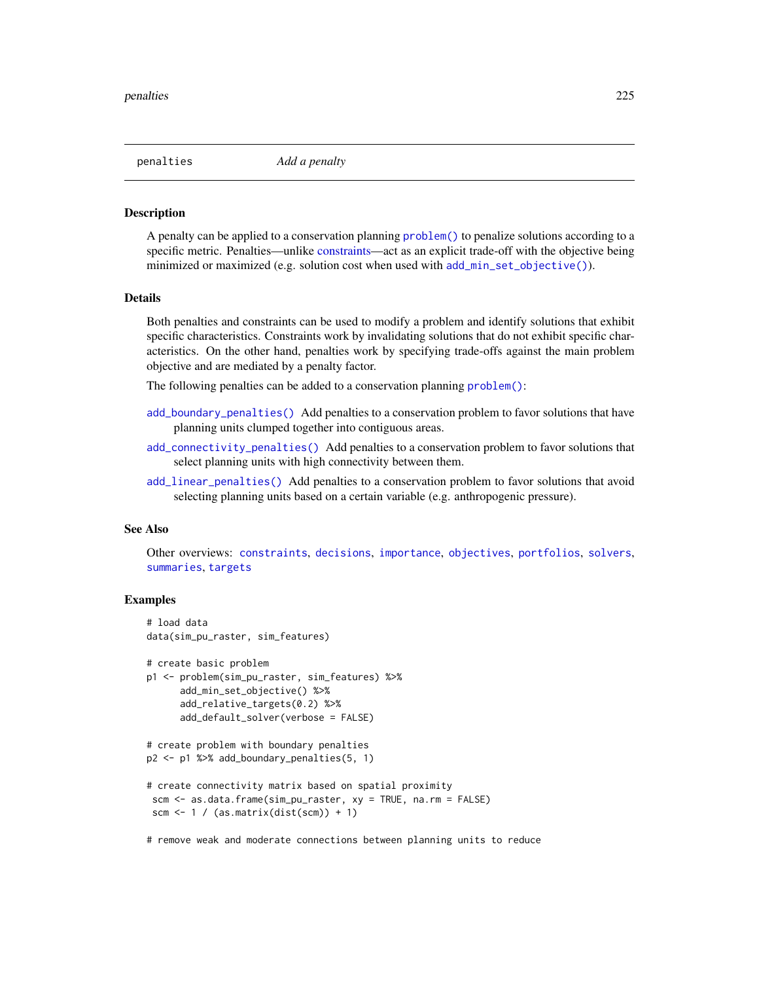<span id="page-224-0"></span>penalties *Add a penalty*

## **Description**

A penalty can be applied to a conservation planning [problem\(\)](#page-238-0) to penalize solutions according to a specific metric. Penalties—unlike [constraints—](#page-145-0)act as an explicit trade-off with the objective being minimized or maximized (e.g. solution cost when used with [add\\_min\\_set\\_objective\(\)](#page-101-0)).

#### Details

Both penalties and constraints can be used to modify a problem and identify solutions that exhibit specific characteristics. Constraints work by invalidating solutions that do not exhibit specific characteristics. On the other hand, penalties work by specifying trade-offs against the main problem objective and are mediated by a penalty factor.

The following penalties can be added to a conservation planning [problem\(\)](#page-238-0):

- [add\\_boundary\\_penalties\(\)](#page-9-0) Add penalties to a conservation problem to favor solutions that have planning units clumped together into contiguous areas.
- [add\\_connectivity\\_penalties\(\)](#page-17-0) Add penalties to a conservation problem to favor solutions that select planning units with high connectivity between them.
- [add\\_linear\\_penalties\(\)](#page-55-0) Add penalties to a conservation problem to favor solutions that avoid selecting planning units based on a certain variable (e.g. anthropogenic pressure).

## See Also

Other overviews: [constraints](#page-145-0), [decisions](#page-147-0), [importance](#page-195-0), [objectives](#page-215-0), [portfolios](#page-227-0), [solvers](#page-267-0), [summaries](#page-269-0), [targets](#page-271-0)

# Examples

```
# load data
data(sim_pu_raster, sim_features)
# create basic problem
p1 <- problem(sim_pu_raster, sim_features) %>%
      add_min_set_objective() %>%
      add_relative_targets(0.2) %>%
      add_default_solver(verbose = FALSE)
# create problem with boundary penalties
p2 <- p1 %>% add_boundary_penalties(5, 1)
# create connectivity matrix based on spatial proximity
scm <- as.data.frame(sim_pu_raster, xy = TRUE, na.rm = FALSE)
scm \leftarrow 1 / (as.matrix(dist(scm)) + 1)
```
# remove weak and moderate connections between planning units to reduce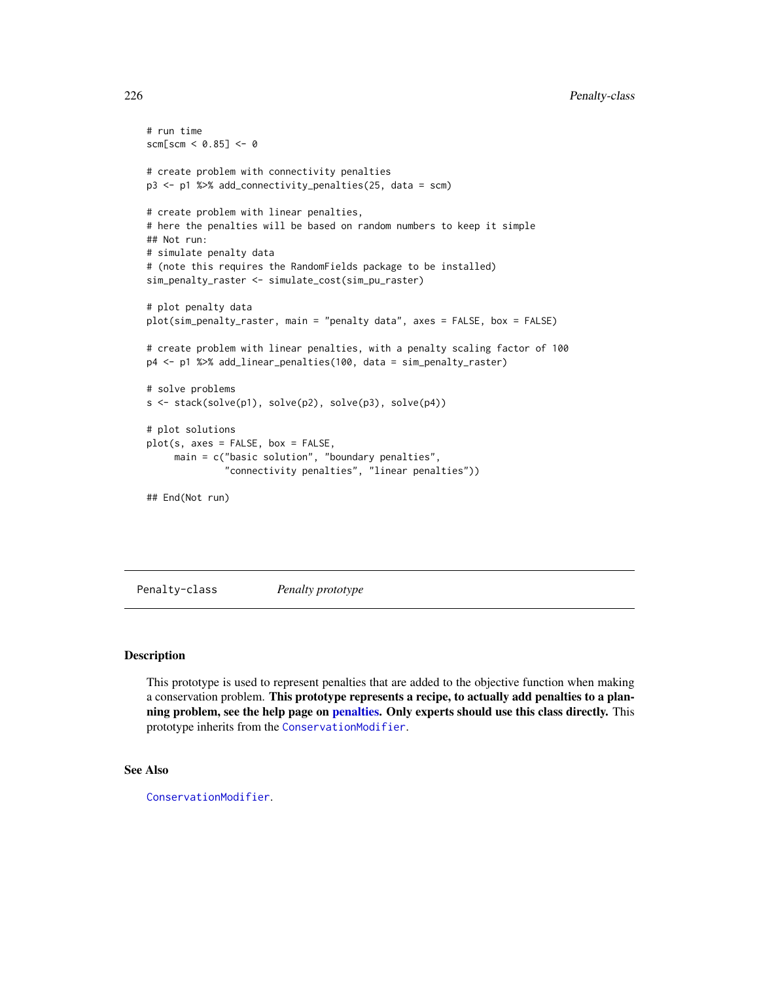```
# run time
scm[scm < 0.85] < -0# create problem with connectivity penalties
p3 <- p1 %>% add_connectivity_penalties(25, data = scm)
# create problem with linear penalties,
# here the penalties will be based on random numbers to keep it simple
## Not run:
# simulate penalty data
# (note this requires the RandomFields package to be installed)
sim_penalty_raster <- simulate_cost(sim_pu_raster)
# plot penalty data
plot(sim_penalty_raster, main = "penalty data", axes = FALSE, box = FALSE)
# create problem with linear penalties, with a penalty scaling factor of 100
p4 <- p1 %>% add_linear_penalties(100, data = sim_penalty_raster)
# solve problems
s <- stack(solve(p1), solve(p2), solve(p3), solve(p4))
# plot solutions
plot(s, axes = FALSE, box = FALSE,
     main = c("basic solution", "boundary penalties",
              "connectivity penalties", "linear penalties"))
## End(Not run)
```

```
Penalty-class Penalty prototype
```
This prototype is used to represent penalties that are added to the objective function when making a conservation problem. This prototype represents a recipe, to actually add penalties to a planning problem, see the help page on [penalties.](#page-224-0) Only experts should use this class directly. This prototype inherits from the [ConservationModifier](#page-139-0).

# See Also

[ConservationModifier](#page-139-0).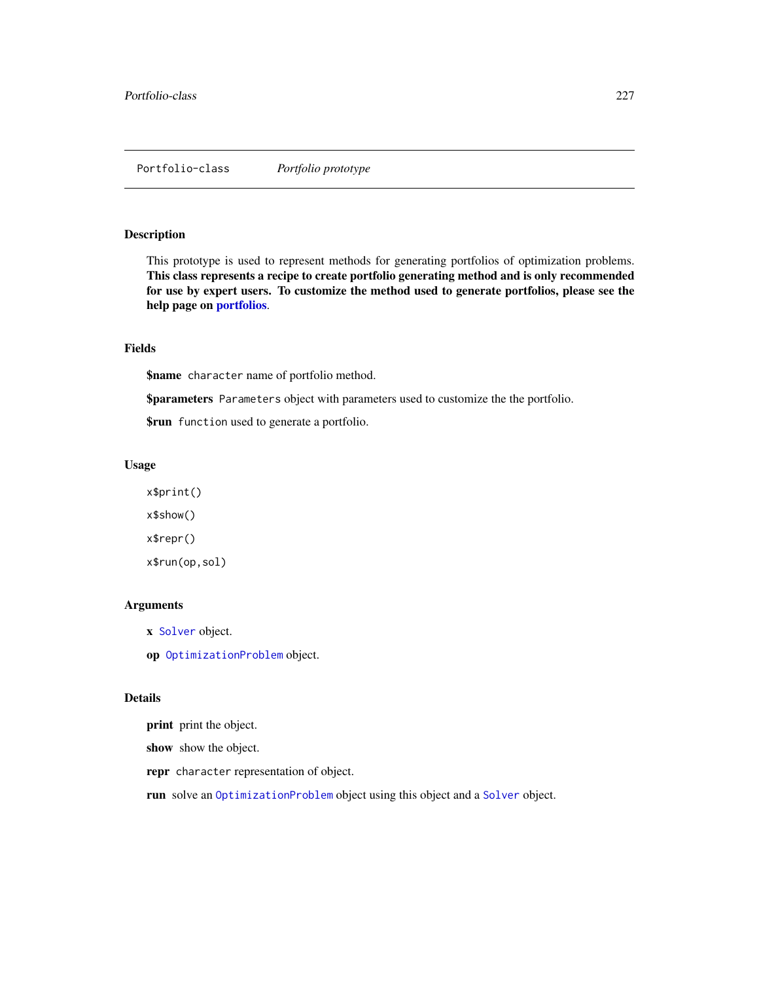This prototype is used to represent methods for generating portfolios of optimization problems. This class represents a recipe to create portfolio generating method and is only recommended for use by expert users. To customize the method used to generate portfolios, please see the help page on [portfolios](#page-227-0).

# Fields

\$name character name of portfolio method.

\$parameters Parameters object with parameters used to customize the the portfolio.

\$run function used to generate a portfolio.

## Usage

x\$print() x\$show() x\$repr() x\$run(op,sol)

## Arguments

x [Solver](#page-266-0) object.

op [OptimizationProblem](#page-217-0) object.

# Details

print print the object.

show show the object.

repr character representation of object.

run solve an [OptimizationProblem](#page-217-0) object using this object and a [Solver](#page-266-0) object.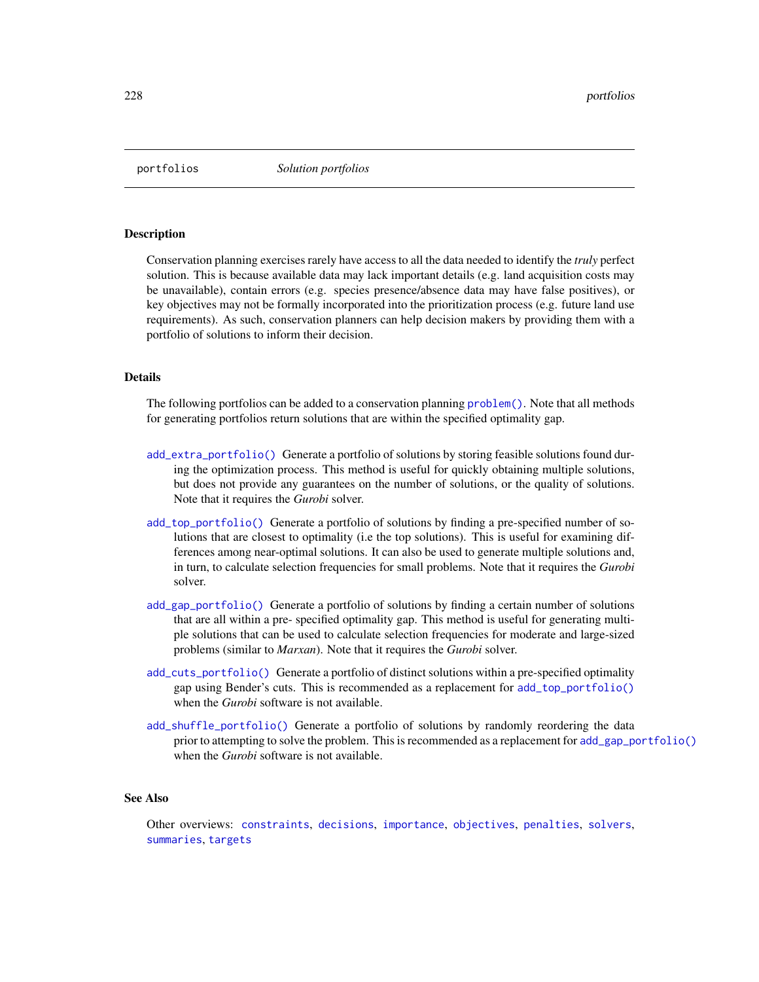<span id="page-227-0"></span>

Conservation planning exercises rarely have access to all the data needed to identify the *truly* perfect solution. This is because available data may lack important details (e.g. land acquisition costs may be unavailable), contain errors (e.g. species presence/absence data may have false positives), or key objectives may not be formally incorporated into the prioritization process (e.g. future land use requirements). As such, conservation planners can help decision makers by providing them with a portfolio of solutions to inform their decision.

# Details

The following portfolios can be added to a conservation planning [problem\(\)](#page-238-0). Note that all methods for generating portfolios return solutions that are within the specified optimality gap.

- [add\\_extra\\_portfolio\(\)](#page-34-0) Generate a portfolio of solutions by storing feasible solutions found during the optimization process. This method is useful for quickly obtaining multiple solutions, but does not provide any guarantees on the number of solutions, or the quality of solutions. Note that it requires the *Gurobi* solver.
- [add\\_top\\_portfolio\(\)](#page-119-0) Generate a portfolio of solutions by finding a pre-specified number of solutions that are closest to optimality (i.e the top solutions). This is useful for examining differences among near-optimal solutions. It can also be used to generate multiple solutions and, in turn, to calculate selection frequencies for small problems. Note that it requires the *Gurobi* solver.
- [add\\_gap\\_portfolio\(\)](#page-44-0) Generate a portfolio of solutions by finding a certain number of solutions that are all within a pre- specified optimality gap. This method is useful for generating multiple solutions that can be used to calculate selection frequencies for moderate and large-sized problems (similar to *Marxan*). Note that it requires the *Gurobi* solver.
- [add\\_cuts\\_portfolio\(\)](#page-31-0) Generate a portfolio of distinct solutions within a pre-specified optimality gap using Bender's cuts. This is recommended as a replacement for [add\\_top\\_portfolio\(\)](#page-119-0) when the *Gurobi* software is not available.
- [add\\_shuffle\\_portfolio\(\)](#page-117-0) Generate a portfolio of solutions by randomly reordering the data prior to attempting to solve the problem. This is recommended as a replacement for [add\\_gap\\_portfolio\(\)](#page-44-0) when the *Gurobi* software is not available.

#### See Also

Other overviews: [constraints](#page-145-0), [decisions](#page-147-0), [importance](#page-195-0), [objectives](#page-215-0), [penalties](#page-224-0), [solvers](#page-267-0), [summaries](#page-269-0), [targets](#page-271-0)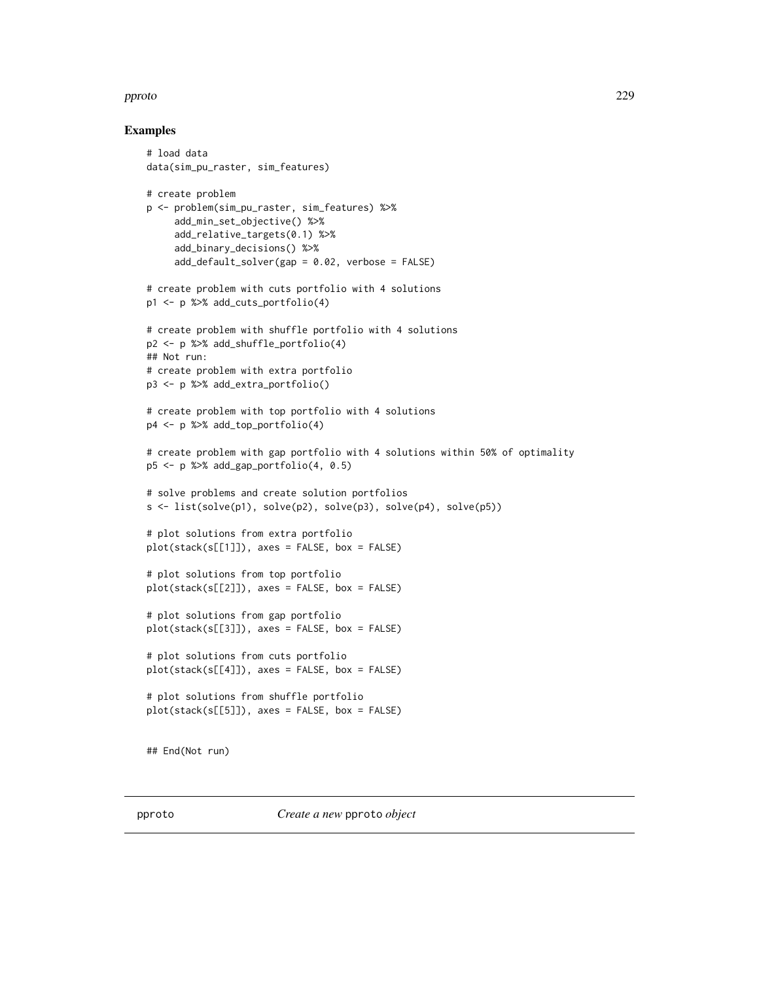## pproto the contract of the contract of the contract of the contract of the contract of the contract of the contract of the contract of the contract of the contract of the contract of the contract of the contract of the con

## Examples

```
# load data
data(sim_pu_raster, sim_features)
# create problem
p <- problem(sim_pu_raster, sim_features) %>%
     add_min_set_objective() %>%
     add_relative_targets(0.1) %>%
     add_binary_decisions() %>%
     add\_default\_solver(gap = 0.02, verbose = FALSE)# create problem with cuts portfolio with 4 solutions
p1 <- p %>% add_cuts_portfolio(4)
# create problem with shuffle portfolio with 4 solutions
p2 <- p %>% add_shuffle_portfolio(4)
## Not run:
# create problem with extra portfolio
p3 <- p %>% add_extra_portfolio()
# create problem with top portfolio with 4 solutions
p4 <- p %>% add_top_portfolio(4)
# create problem with gap portfolio with 4 solutions within 50% of optimality
p5 <- p %>% add_gap_portfolio(4, 0.5)
# solve problems and create solution portfolios
s \leftarrow \text{list}(\text{solve}(p1), \text{solve}(p2), \text{solve}(p3), \text{solve}(p4), \text{solve}(p5))# plot solutions from extra portfolio
plot(stack(s[[1]]), axes = FALSE, box = FALSE)
# plot solutions from top portfolio
plot(stack(s[[2]]), axes = FALSE, box = FALSE)
# plot solutions from gap portfolio
plot(stack(s[[3]]), axes = FALSE, box = FALSE)
# plot solutions from cuts portfolio
plot(stack(s[[4]]), axes = FALSE, box = FALSE)
# plot solutions from shuffle portfolio
plot(stack(s[[5]]), axes = FALSE, box = FALSE)
## End(Not run)
```
pproto *Create a new* pproto *object*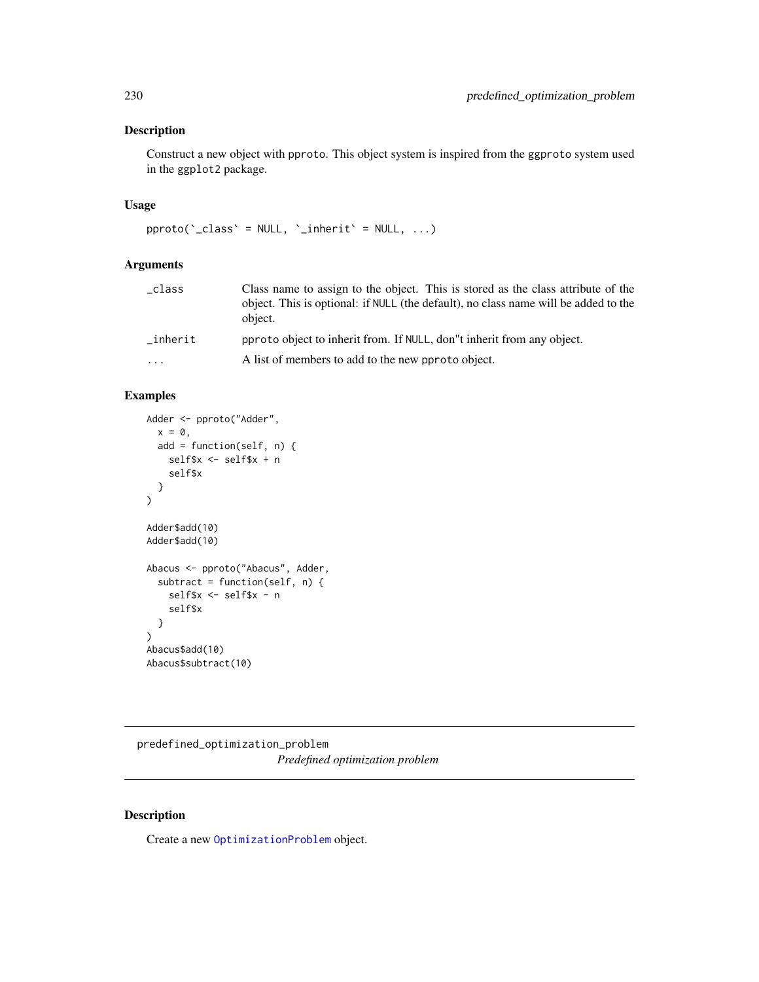Construct a new object with pproto. This object system is inspired from the ggproto system used in the ggplot2 package.

# Usage

```
pproto('_{class}' = NULL, '_{inherit}' = NULL, ...)
```
# Arguments

| _class  | Class name to assign to the object. This is stored as the class attribute of the<br>object. This is optional: if NULL (the default), no class name will be added to the<br>object. |
|---------|------------------------------------------------------------------------------------------------------------------------------------------------------------------------------------|
| inherit | pproto object to inherit from. If NULL, don't inherit from any object.                                                                                                             |
| .       | A list of members to add to the new pproto object.                                                                                                                                 |
|         |                                                                                                                                                                                    |

# Examples

```
Adder <- pproto("Adder",
  x = 0,
  add = function(self, n) {
    self$x <- self$x + n
    self$x
  }
\lambdaAdder$add(10)
Adder$add(10)
Abacus <- pproto("Abacus", Adder,
  subtract = function(self, n) {
    self$x <- self$x - n
    self$x
  }
)
Abacus$add(10)
Abacus$subtract(10)
```
predefined\_optimization\_problem *Predefined optimization problem*

# Description

Create a new [OptimizationProblem](#page-217-0) object.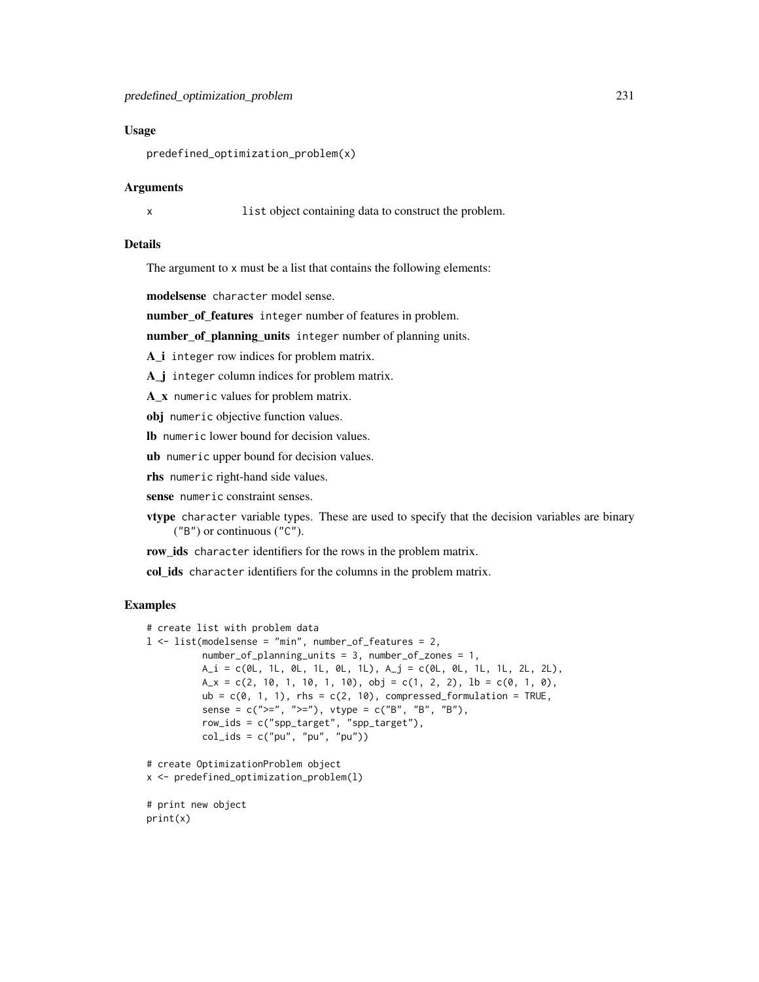### Usage

predefined\_optimization\_problem(x)

#### Arguments

x list object containing data to construct the problem.

# Details

The argument to x must be a list that contains the following elements:

modelsense character model sense.

number\_of\_features integer number of features in problem.

number\_of\_planning\_units integer number of planning units.

A *i* integer row indices for problem matrix.

A\_j integer column indices for problem matrix.

A\_x numeric values for problem matrix.

obj numeric objective function values.

lb numeric lower bound for decision values.

ub numeric upper bound for decision values.

rhs numeric right-hand side values.

sense numeric constraint senses.

vtype character variable types. These are used to specify that the decision variables are binary ("B") or continuous ("C").

row\_ids character identifiers for the rows in the problem matrix.

col\_ids character identifiers for the columns in the problem matrix.

```
# create list with problem data
l <- list(modelsense = "min", number_of_features = 2,
         number_of_planning_units = 3, number_of_zones = 1,
         A_i = c(0L, 1L, 0L, 1L, 0L, 1L), A_j = c(0L, 0L, 1L, 1L, 2L, 2L),A_x = c(2, 10, 1, 10, 1, 10), obj = c(1, 2, 2), lb = c(0, 1, 0),
         ub = c(0, 1, 1), rhs = c(2, 10), compressed_formulation = TRUE,
          sense = c(">=", ">="), vtype = c("B", "B", "B"),
         row_ids = c("spp_target", "spp_target"),
         col\_ids = c("pu", "pu", "pu")# create OptimizationProblem object
x <- predefined_optimization_problem(l)
# print new object
print(x)
```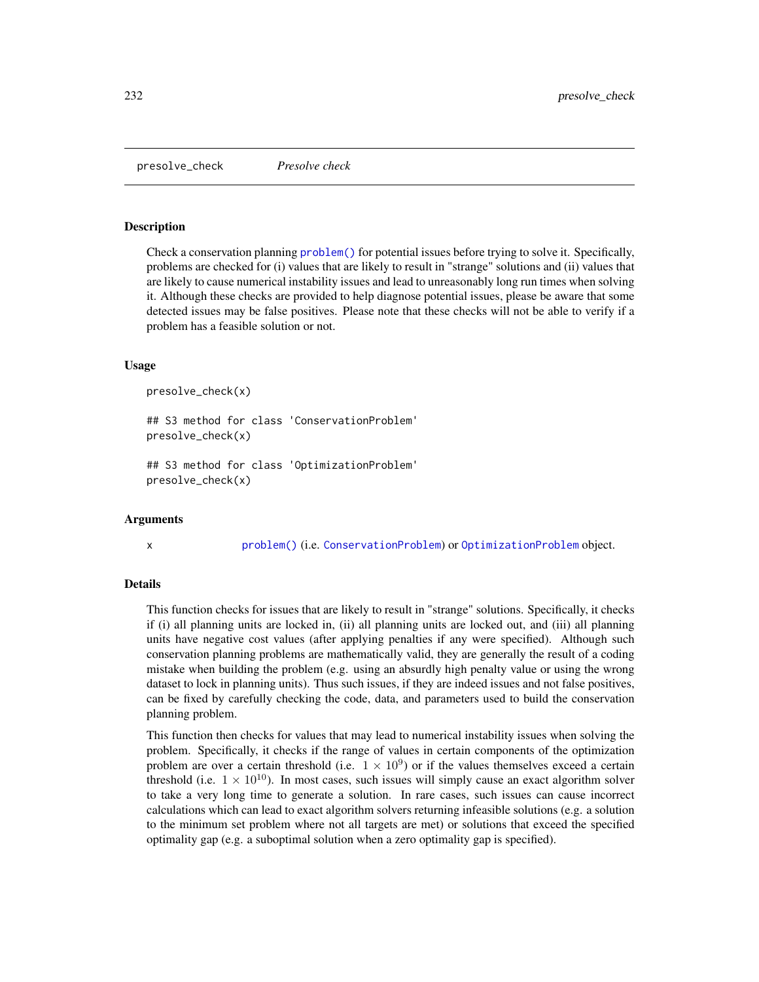presolve\_check *Presolve check*

## **Description**

Check a conservation planning [problem\(\)](#page-238-0) for potential issues before trying to solve it. Specifically, problems are checked for (i) values that are likely to result in "strange" solutions and (ii) values that are likely to cause numerical instability issues and lead to unreasonably long run times when solving it. Although these checks are provided to help diagnose potential issues, please be aware that some detected issues may be false positives. Please note that these checks will not be able to verify if a problem has a feasible solution or not.

#### Usage

```
presolve_check(x)
```

```
## S3 method for class 'ConservationProblem'
presolve_check(x)
```

```
## S3 method for class 'OptimizationProblem'
presolve_check(x)
```
#### Arguments

x [problem\(\)](#page-238-0) (i.e. [ConservationProblem](#page-141-0)) or [OptimizationProblem](#page-217-0) object.

## Details

This function checks for issues that are likely to result in "strange" solutions. Specifically, it checks if (i) all planning units are locked in, (ii) all planning units are locked out, and (iii) all planning units have negative cost values (after applying penalties if any were specified). Although such conservation planning problems are mathematically valid, they are generally the result of a coding mistake when building the problem (e.g. using an absurdly high penalty value or using the wrong dataset to lock in planning units). Thus such issues, if they are indeed issues and not false positives, can be fixed by carefully checking the code, data, and parameters used to build the conservation planning problem.

This function then checks for values that may lead to numerical instability issues when solving the problem. Specifically, it checks if the range of values in certain components of the optimization problem are over a certain threshold (i.e.  $1 \times 10^9$ ) or if the values themselves exceed a certain threshold (i.e.  $1 \times 10^{10}$ ). In most cases, such issues will simply cause an exact algorithm solver to take a very long time to generate a solution. In rare cases, such issues can cause incorrect calculations which can lead to exact algorithm solvers returning infeasible solutions (e.g. a solution to the minimum set problem where not all targets are met) or solutions that exceed the specified optimality gap (e.g. a suboptimal solution when a zero optimality gap is specified).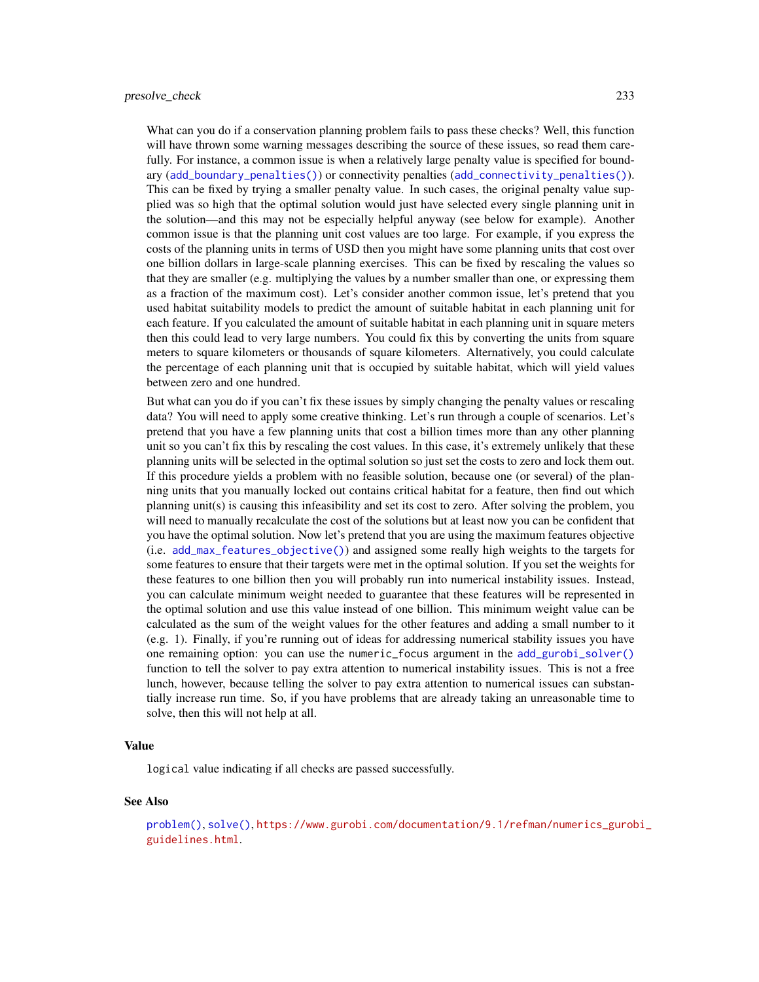What can you do if a conservation planning problem fails to pass these checks? Well, this function will have thrown some warning messages describing the source of these issues, so read them carefully. For instance, a common issue is when a relatively large penalty value is specified for boundary ([add\\_boundary\\_penalties\(\)](#page-9-0)) or connectivity penalties ([add\\_connectivity\\_penalties\(\)](#page-17-0)). This can be fixed by trying a smaller penalty value. In such cases, the original penalty value supplied was so high that the optimal solution would just have selected every single planning unit in the solution—and this may not be especially helpful anyway (see below for example). Another common issue is that the planning unit cost values are too large. For example, if you express the costs of the planning units in terms of USD then you might have some planning units that cost over one billion dollars in large-scale planning exercises. This can be fixed by rescaling the values so that they are smaller (e.g. multiplying the values by a number smaller than one, or expressing them as a fraction of the maximum cost). Let's consider another common issue, let's pretend that you used habitat suitability models to predict the amount of suitable habitat in each planning unit for each feature. If you calculated the amount of suitable habitat in each planning unit in square meters then this could lead to very large numbers. You could fix this by converting the units from square meters to square kilometers or thousands of square kilometers. Alternatively, you could calculate the percentage of each planning unit that is occupied by suitable habitat, which will yield values between zero and one hundred.

But what can you do if you can't fix these issues by simply changing the penalty values or rescaling data? You will need to apply some creative thinking. Let's run through a couple of scenarios. Let's pretend that you have a few planning units that cost a billion times more than any other planning unit so you can't fix this by rescaling the cost values. In this case, it's extremely unlikely that these planning units will be selected in the optimal solution so just set the costs to zero and lock them out. If this procedure yields a problem with no feasible solution, because one (or several) of the planning units that you manually locked out contains critical habitat for a feature, then find out which planning unit(s) is causing this infeasibility and set its cost to zero. After solving the problem, you will need to manually recalculate the cost of the solutions but at least now you can be confident that you have the optimal solution. Now let's pretend that you are using the maximum features objective (i.e. [add\\_max\\_features\\_objective\(\)](#page-86-0)) and assigned some really high weights to the targets for some features to ensure that their targets were met in the optimal solution. If you set the weights for these features to one billion then you will probably run into numerical instability issues. Instead, you can calculate minimum weight needed to guarantee that these features will be represented in the optimal solution and use this value instead of one billion. This minimum weight value can be calculated as the sum of the weight values for the other features and adding a small number to it (e.g. 1). Finally, if you're running out of ideas for addressing numerical stability issues you have one remaining option: you can use the numeric\_focus argument in the [add\\_gurobi\\_solver\(\)](#page-46-0) function to tell the solver to pay extra attention to numerical instability issues. This is not a free lunch, however, because telling the solver to pay extra attention to numerical issues can substantially increase run time. So, if you have problems that are already taking an unreasonable time to solve, then this will not help at all.

#### Value

logical value indicating if all checks are passed successfully.

#### See Also

[problem\(\)](#page-238-0), [solve\(\)](#page-261-0), [https://www.gurobi.com/documentation/9.1/refman/numerics\\_gurob](https://www.gurobi.com/documentation/9.1/refman/numerics_gurobi_guidelines.html)i\_ [guidelines.html](https://www.gurobi.com/documentation/9.1/refman/numerics_gurobi_guidelines.html).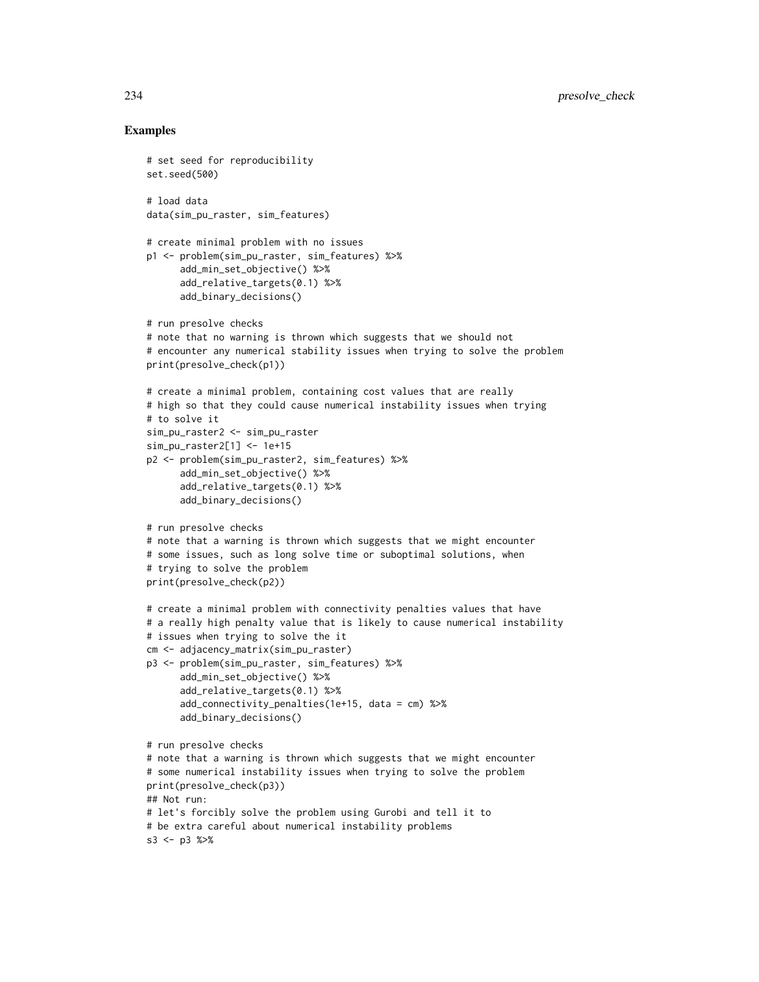```
# set seed for reproducibility
set.seed(500)
# load data
data(sim_pu_raster, sim_features)
# create minimal problem with no issues
p1 <- problem(sim_pu_raster, sim_features) %>%
      add_min_set_objective() %>%
      add_relative_targets(0.1) %>%
      add_binary_decisions()
# run presolve checks
# note that no warning is thrown which suggests that we should not
# encounter any numerical stability issues when trying to solve the problem
print(presolve_check(p1))
# create a minimal problem, containing cost values that are really
# high so that they could cause numerical instability issues when trying
# to solve it
sim_pu_raster2 <- sim_pu_raster
sim_pu_raster2[1] <- 1e+15
p2 <- problem(sim_pu_raster2, sim_features) %>%
      add_min_set_objective() %>%
      add_relative_targets(0.1) %>%
      add_binary_decisions()
# run presolve checks
# note that a warning is thrown which suggests that we might encounter
# some issues, such as long solve time or suboptimal solutions, when
# trying to solve the problem
print(presolve_check(p2))
# create a minimal problem with connectivity penalties values that have
# a really high penalty value that is likely to cause numerical instability
# issues when trying to solve the it
cm <- adjacency_matrix(sim_pu_raster)
p3 <- problem(sim_pu_raster, sim_features) %>%
      add_min_set_objective() %>%
      add_relative_targets(0.1) %>%
      add_connectivity_penalties(1e+15, data = cm) %>%
      add_binary_decisions()
# run presolve checks
# note that a warning is thrown which suggests that we might encounter
# some numerical instability issues when trying to solve the problem
print(presolve_check(p3))
## Not run:
# let's forcibly solve the problem using Gurobi and tell it to
# be extra careful about numerical instability problems
s3 <- p3 %>%
```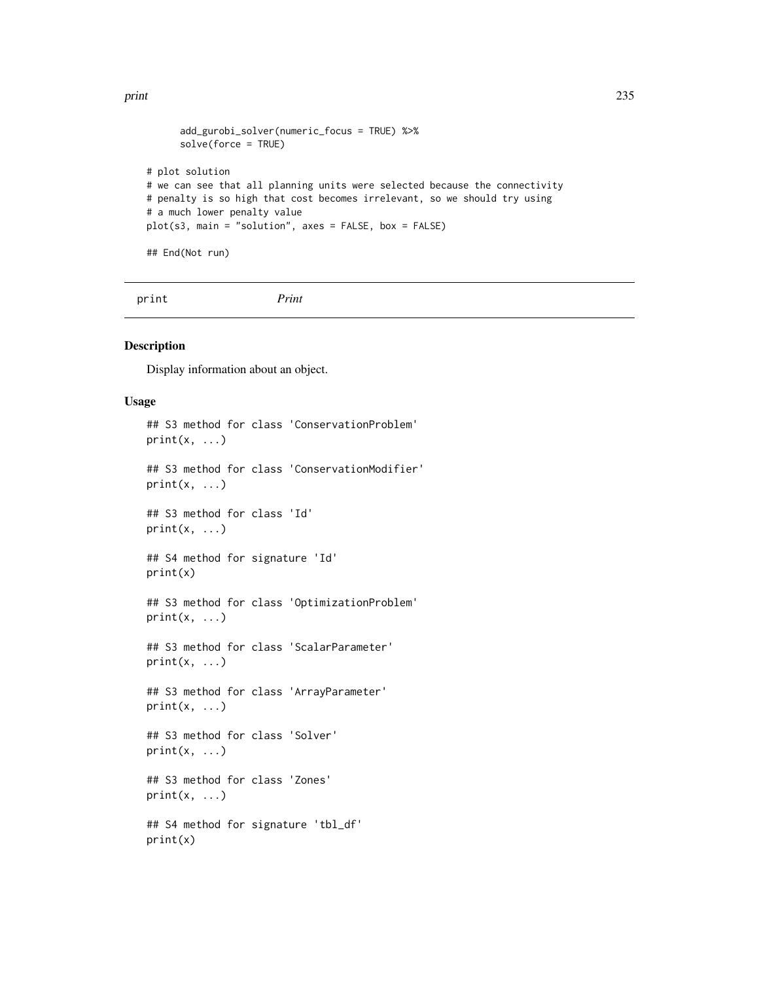```
add_gurobi_solver(numeric_focus = TRUE) %>%
      solve(force = TRUE)
# plot solution
# we can see that all planning units were selected because the connectivity
# penalty is so high that cost becomes irrelevant, so we should try using
# a much lower penalty value
plot(s3, main = "solution", axes = FALSE, box = FALSE)
## End(Not run)
```
print *Print*

# Description

Display information about an object.

# Usage

```
## S3 method for class 'ConservationProblem'
print(x, \ldots)## S3 method for class 'ConservationModifier'
print(x, \ldots)## S3 method for class 'Id'
print(x, \ldots)## S4 method for signature 'Id'
print(x)
## S3 method for class 'OptimizationProblem'
print(x, \ldots)## S3 method for class 'ScalarParameter'
print(x, \ldots)## S3 method for class 'ArrayParameter'
print(x, \ldots)## S3 method for class 'Solver'
print(x, \ldots)## S3 method for class 'Zones'
print(x, \ldots)## S4 method for signature 'tbl_df'
print(x)
```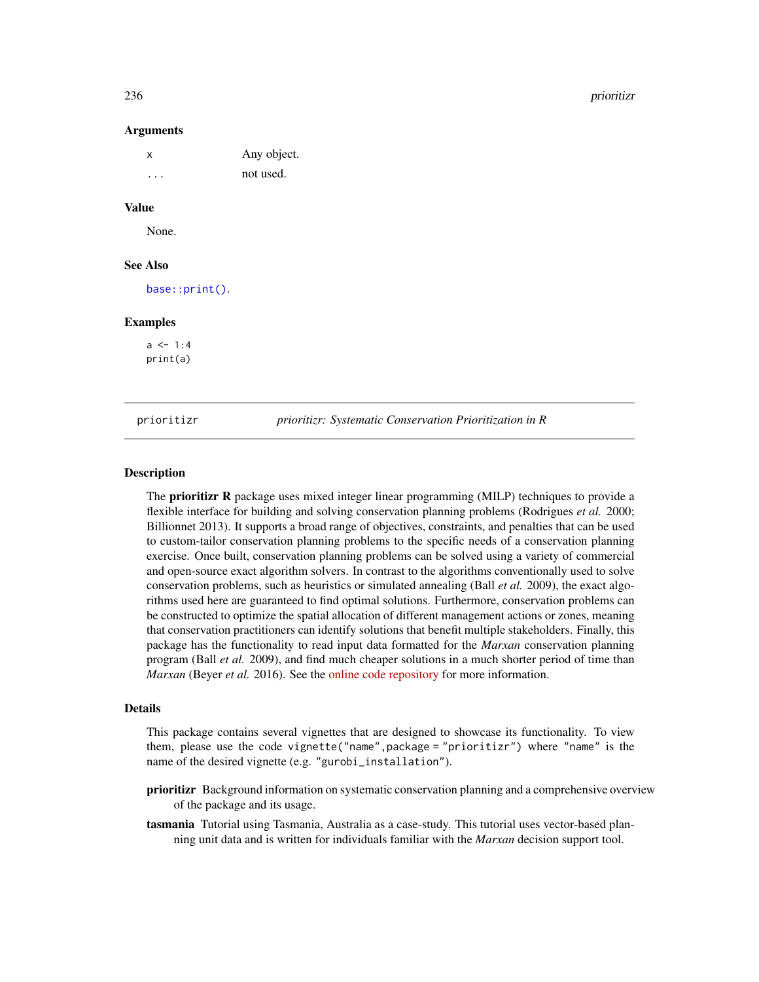236 prioritizr

#### Arguments

| $\times$ | Any object. |
|----------|-------------|
| $\cdot$  | not used.   |

# Value

None.

## See Also

[base::print\(\)](#page-0-0).

## Examples

 $a \leq 1:4$ print(a)

prioritizr *prioritizr: Systematic Conservation Prioritization in R*

### Description

The **prioritizr R** package uses mixed integer linear programming (MILP) techniques to provide a flexible interface for building and solving conservation planning problems (Rodrigues *et al.* 2000; Billionnet 2013). It supports a broad range of objectives, constraints, and penalties that can be used to custom-tailor conservation planning problems to the specific needs of a conservation planning exercise. Once built, conservation planning problems can be solved using a variety of commercial and open-source exact algorithm solvers. In contrast to the algorithms conventionally used to solve conservation problems, such as heuristics or simulated annealing (Ball *et al.* 2009), the exact algorithms used here are guaranteed to find optimal solutions. Furthermore, conservation problems can be constructed to optimize the spatial allocation of different management actions or zones, meaning that conservation practitioners can identify solutions that benefit multiple stakeholders. Finally, this package has the functionality to read input data formatted for the *Marxan* conservation planning program (Ball *et al.* 2009), and find much cheaper solutions in a much shorter period of time than *Marxan* (Beyer *et al.* 2016). See the [online code repository](https://github.com/prioritizr/prioritizr) for more information.

# Details

This package contains several vignettes that are designed to showcase its functionality. To view them, please use the code vignette("name",package = "prioritizr") where "name" is the name of the desired vignette (e.g. "gurobi\_installation").

- prioritizr Background information on systematic conservation planning and a comprehensive overview of the package and its usage.
- tasmania Tutorial using Tasmania, Australia as a case-study. This tutorial uses vector-based planning unit data and is written for individuals familiar with the *Marxan* decision support tool.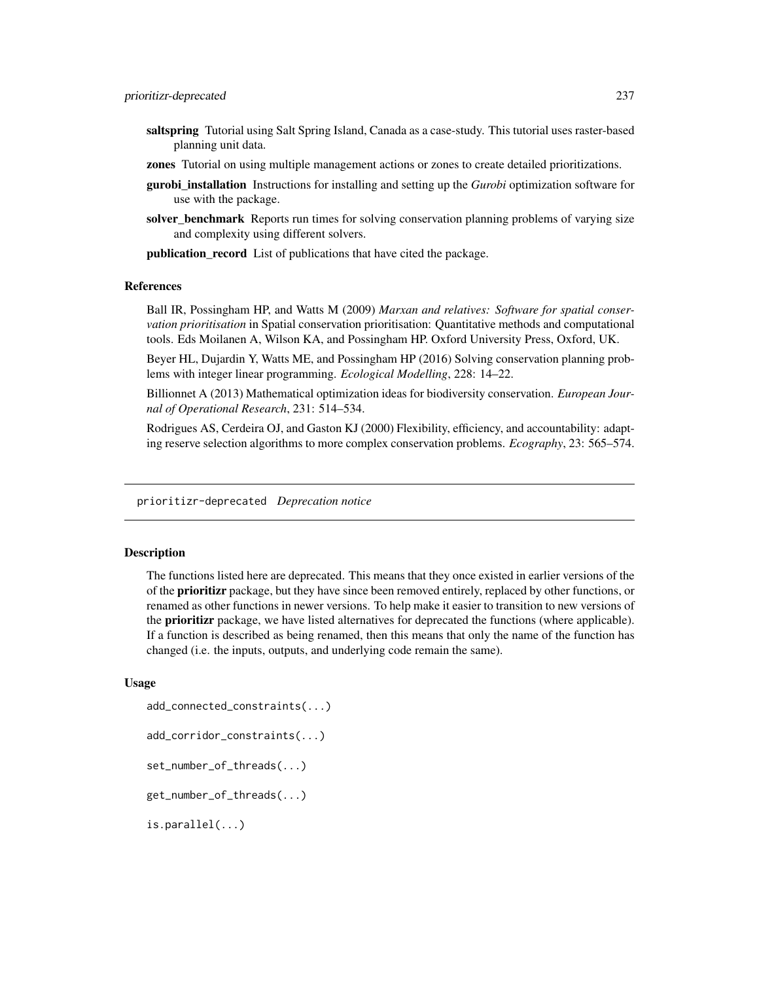- saltspring Tutorial using Salt Spring Island, Canada as a case-study. This tutorial uses raster-based planning unit data.
- zones Tutorial on using multiple management actions or zones to create detailed prioritizations.
- gurobi\_installation Instructions for installing and setting up the *Gurobi* optimization software for use with the package.
- solver benchmark Reports run times for solving conservation planning problems of varying size and complexity using different solvers.

publication\_record List of publications that have cited the package.

#### References

Ball IR, Possingham HP, and Watts M (2009) *Marxan and relatives: Software for spatial conservation prioritisation* in Spatial conservation prioritisation: Quantitative methods and computational tools. Eds Moilanen A, Wilson KA, and Possingham HP. Oxford University Press, Oxford, UK.

Beyer HL, Dujardin Y, Watts ME, and Possingham HP (2016) Solving conservation planning problems with integer linear programming. *Ecological Modelling*, 228: 14–22.

Billionnet A (2013) Mathematical optimization ideas for biodiversity conservation. *European Journal of Operational Research*, 231: 514–534.

Rodrigues AS, Cerdeira OJ, and Gaston KJ (2000) Flexibility, efficiency, and accountability: adapting reserve selection algorithms to more complex conservation problems. *Ecography*, 23: 565–574.

prioritizr-deprecated *Deprecation notice*

# **Description**

The functions listed here are deprecated. This means that they once existed in earlier versions of the of the **prioritizr** package, but they have since been removed entirely, replaced by other functions, or renamed as other functions in newer versions. To help make it easier to transition to new versions of the **prioritizr** package, we have listed alternatives for deprecated the functions (where applicable). If a function is described as being renamed, then this means that only the name of the function has changed (i.e. the inputs, outputs, and underlying code remain the same).

#### Usage

```
add_connected_constraints(...)
add_corridor_constraints(...)
set_number_of_threads(...)
get_number_of_threads(...)
is.parallel(...)
```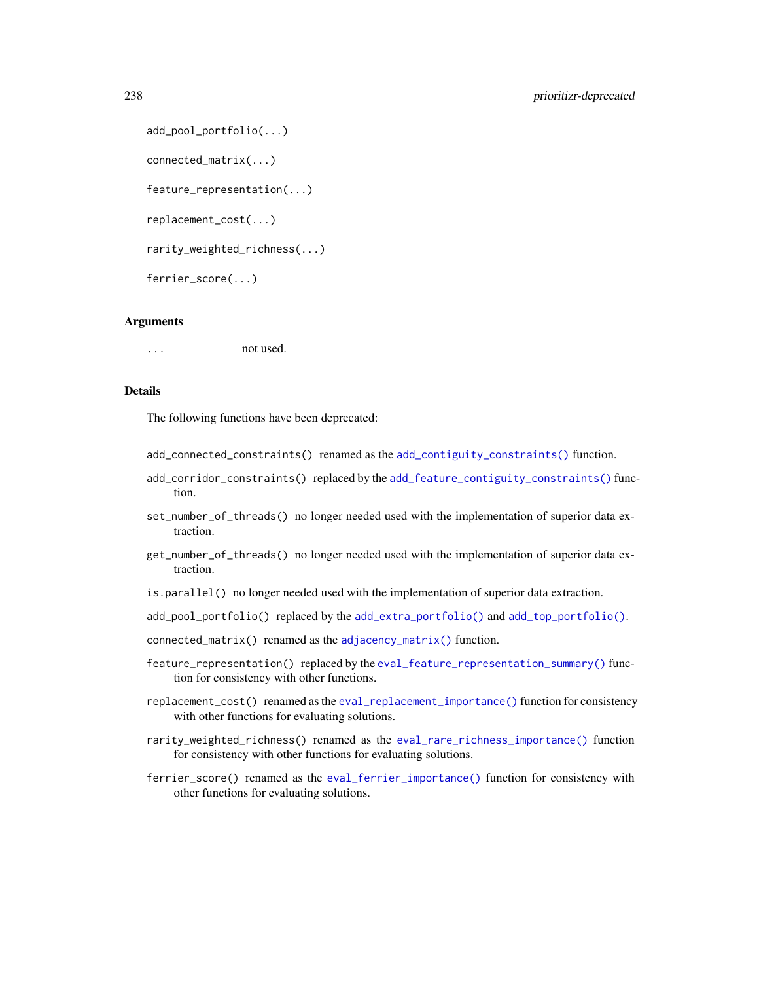```
add_pool_portfolio(...)
connected_matrix(...)
feature_representation(...)
replacement_cost(...)
rarity_weighted_richness(...)
ferrier_score(...)
```
## Arguments

... not used.

# Details

The following functions have been deprecated:

- add\_connected\_constraints() renamed as the [add\\_contiguity\\_constraints\(\)](#page-25-0) function.
- add\_corridor\_constraints() replaced by the [add\\_feature\\_contiguity\\_constraints\(\)](#page-36-0) function.
- set\_number\_of\_threads() no longer needed used with the implementation of superior data extraction.
- get\_number\_of\_threads() no longer needed used with the implementation of superior data extraction.
- is.parallel() no longer needed used with the implementation of superior data extraction.
- add\_pool\_portfolio() replaced by the [add\\_extra\\_portfolio\(\)](#page-34-0) and [add\\_top\\_portfolio\(\)](#page-119-0).

connected\_matrix() renamed as the [adjacency\\_matrix\(\)](#page-120-0) function.

- feature\_representation() replaced by the [eval\\_feature\\_representation\\_summary\(\)](#page-164-0) function for consistency with other functions.
- replacement\_cost() renamed as the [eval\\_replacement\\_importance\(\)](#page-180-0) function for consistency with other functions for evaluating solutions.
- rarity\_weighted\_richness() renamed as the [eval\\_rare\\_richness\\_importance\(\)](#page-176-0) function for consistency with other functions for evaluating solutions.
- ferrier\_score() renamed as the [eval\\_ferrier\\_importance\(\)](#page-169-0) function for consistency with other functions for evaluating solutions.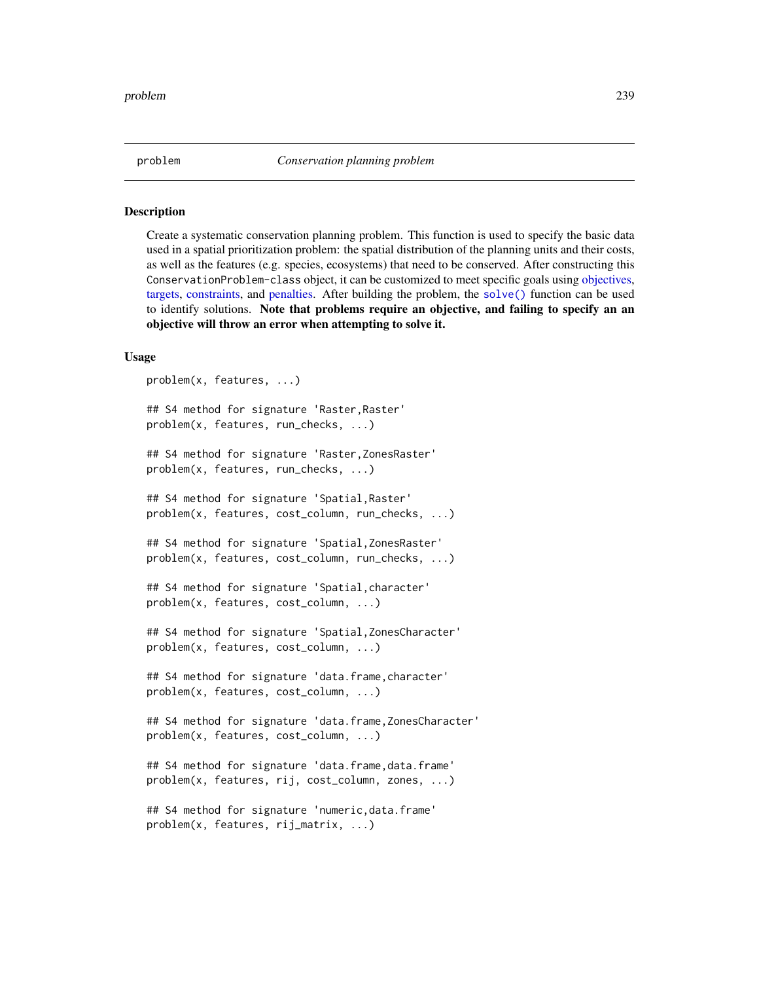<span id="page-238-0"></span>

Create a systematic conservation planning problem. This function is used to specify the basic data used in a spatial prioritization problem: the spatial distribution of the planning units and their costs, as well as the features (e.g. species, ecosystems) that need to be conserved. After constructing this ConservationProblem-class object, it can be customized to meet specific goals using [objectives,](#page-215-0) [targets,](#page-271-0) [constraints,](#page-145-0) and [penalties.](#page-224-0) After building the problem, the [solve\(\)](#page-261-0) function can be used to identify solutions. Note that problems require an objective, and failing to specify an an objective will throw an error when attempting to solve it.

## Usage

```
problem(x, features, ...)
## S4 method for signature 'Raster,Raster'
problem(x, features, run_checks, ...)
## S4 method for signature 'Raster,ZonesRaster'
problem(x, features, run_checks, ...)
## S4 method for signature 'Spatial,Raster'
problem(x, features, cost_column, run_checks, ...)
## S4 method for signature 'Spatial,ZonesRaster'
problem(x, features, cost_column, run_checks, ...)
## S4 method for signature 'Spatial,character'
problem(x, features, cost_column, ...)
## S4 method for signature 'Spatial,ZonesCharacter'
problem(x, features, cost_column, ...)
## S4 method for signature 'data.frame,character'
problem(x, features, cost_column, ...)
## S4 method for signature 'data.frame,ZonesCharacter'
problem(x, features, cost_column, ...)
## S4 method for signature 'data.frame,data.frame'
problem(x, features, rij, cost_column, zones, ...)
## S4 method for signature 'numeric,data.frame'
problem(x, features, rij_matrix, ...)
```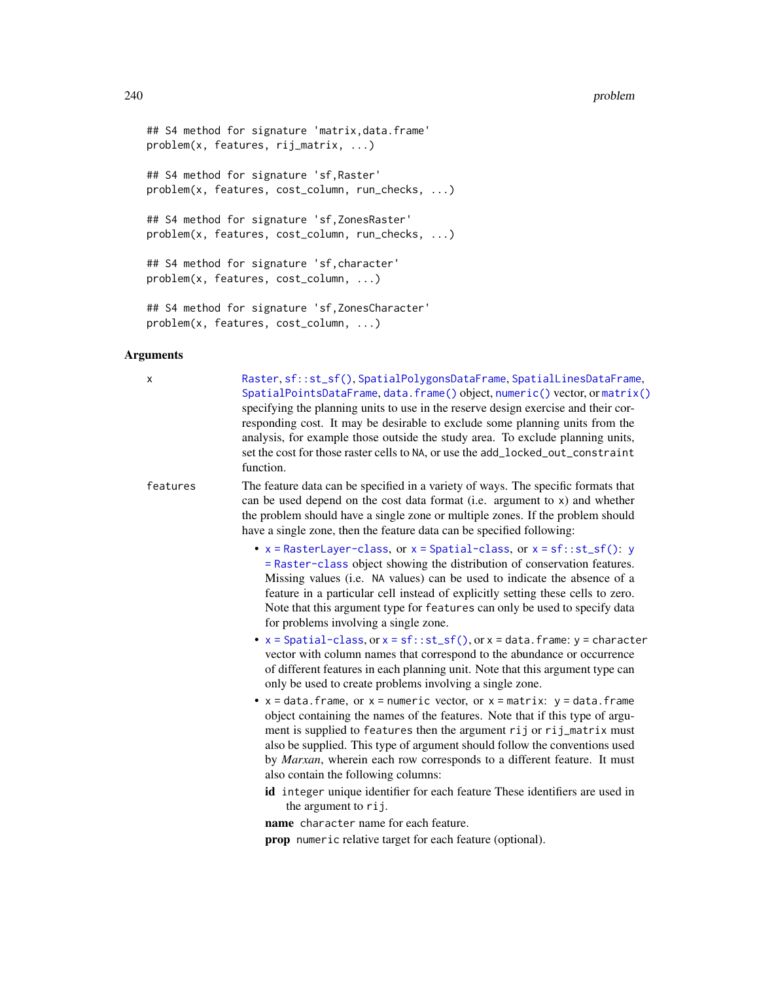```
## S4 method for signature 'matrix,data.frame'
problem(x, features, rij_matrix, ...)
## S4 method for signature 'sf,Raster'
problem(x, features, cost_column, run_checks, ...)
## S4 method for signature 'sf,ZonesRaster'
problem(x, features, cost_column, run_checks, ...)
## S4 method for signature 'sf,character'
problem(x, features, cost_column, ...)
```

```
## S4 method for signature 'sf,ZonesCharacter'
problem(x, features, cost_column, ...)
```
## Arguments

x [Raster](#page-0-0), [sf::st\\_sf\(\)](#page-0-0), [SpatialPolygonsDataFrame](#page-0-0), [SpatialLinesDataFrame](#page-0-0), [SpatialPointsDataFrame](#page-0-0), [data.frame\(\)](#page-0-0) object, [numeric\(\)](#page-0-0) vector, or [matrix\(\)](#page-0-0) specifying the planning units to use in the reserve design exercise and their corresponding cost. It may be desirable to exclude some planning units from the analysis, for example those outside the study area. To exclude planning units, set the cost for those raster cells to NA, or use the add\_locked\_out\_constraint function.

features The feature data can be specified in a variety of ways. The specific formats that can be used depend on the cost data format (i.e. argument to x) and whether the problem should have a single zone or multiple zones. If the problem should have a single zone, then the feature data can be specified following:

- $x =$ RasterLa[y](#page-0-0)er-class, or  $x =$ Spatial-class, or  $x =$ sf::st\_sf(): y [= Raster-class](#page-0-0) object showing the distribution of conservation features. Missing values (i.e. NA values) can be used to indicate the absence of a feature in a particular cell instead of explicitly setting these cells to zero. Note that this argument type for features can only be used to specify data for problems involving a single zone.
- $x = Spatial-class, or x = sf::st_sf(), or x = data frame: y = character$  $x = Spatial-class, or x = sf::st_sf(), or x = data frame: y = character$  $x = Spatial-class, or x = sf::st_sf(), or x = data frame: y = character$  $x = Spatial-class, or x = sf::st_sf(), or x = data frame: y = character$ vector with column names that correspond to the abundance or occurrence of different features in each planning unit. Note that this argument type can only be used to create problems involving a single zone.
- $x =$  data. frame, or  $x =$  numeric vector, or  $x =$  matrix:  $y =$  data. frame object containing the names of the features. Note that if this type of argument is supplied to features then the argument rij or rij\_matrix must also be supplied. This type of argument should follow the conventions used by *Marxan*, wherein each row corresponds to a different feature. It must also contain the following columns:
	- id integer unique identifier for each feature These identifiers are used in the argument to rij.

name character name for each feature.

prop numeric relative target for each feature (optional).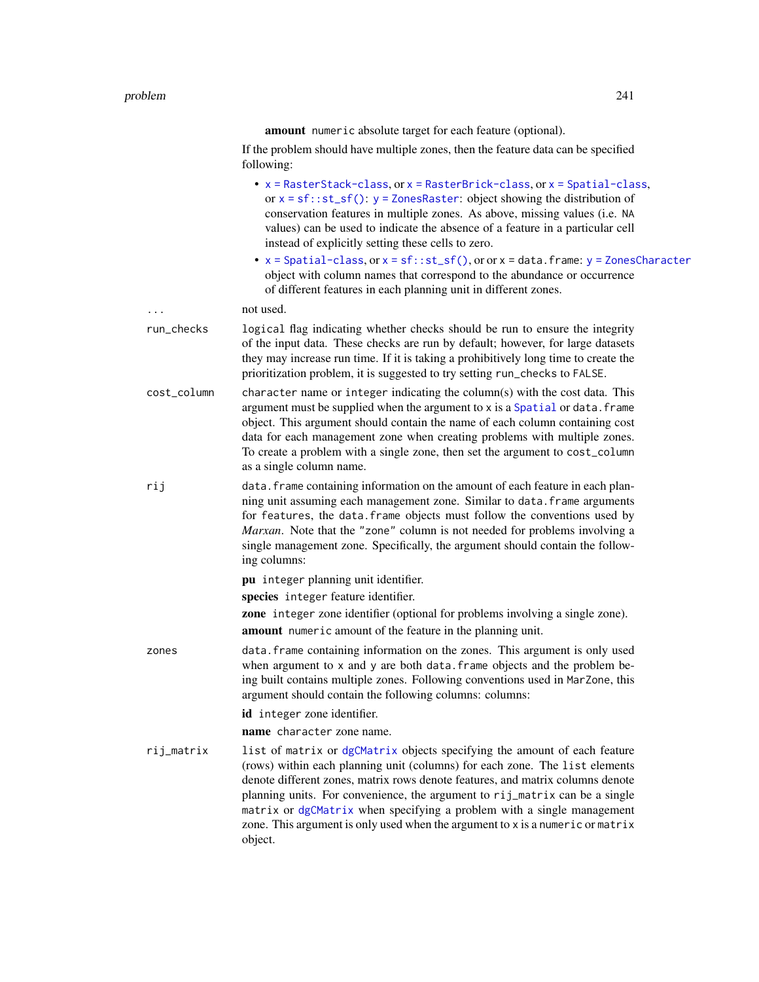amount numeric absolute target for each feature (optional).

If the problem should have multiple zones, then the feature data can be specified following:

- [x = RasterStack-class](#page-0-0), or [x = RasterBrick-class](#page-0-0), or [x = Spatial-class](#page-0-0), or  $x = sf$ :: $st_s(f)$ :  $y = Z$ onesRaster: object showing the distribution of conservation features in multiple zones. As above, missing values (i.e. NA values) can be used to indicate the absence of a feature in a particular cell instead of explicitly setting these cells to zero.
- $x = Spatial-class, or x = sf::st_sf(), or or x = data-frame: y = ZonesCharacter$  $x = Spatial-class, or x = sf::st_sf(), or or x = data-frame: y = ZonesCharacter$  $x = Spatial-class, or x = sf::st_sf(), or or x = data-frame: y = ZonesCharacter$  $x = Spatial-class, or x = sf::st_sf(), or or x = data-frame: y = ZonesCharacter$  $x = Spatial-class, or x = sf::st_sf(), or or x = data-frame: y = ZonesCharacter$ object with column names that correspond to the abundance or occurrence of different features in each planning unit in different zones.

... not used.

- run\_checks logical flag indicating whether checks should be run to ensure the integrity of the input data. These checks are run by default; however, for large datasets they may increase run time. If it is taking a prohibitively long time to create the prioritization problem, it is suggested to try setting run\_checks to FALSE.
- cost\_column character name or integer indicating the column(s) with the cost data. This argument must be supplied when the argument to  $x$  is a [Spatial](#page-0-0) or data. frame object. This argument should contain the name of each column containing cost data for each management zone when creating problems with multiple zones. To create a problem with a single zone, then set the argument to cost\_column as a single column name.
- rij data.frame containing information on the amount of each feature in each planning unit assuming each management zone. Similar to data.frame arguments for features, the data.frame objects must follow the conventions used by *Marxan*. Note that the "zone" column is not needed for problems involving a single management zone. Specifically, the argument should contain the following columns:

pu integer planning unit identifier.

species integer feature identifier.

zone integer zone identifier (optional for problems involving a single zone). amount numeric amount of the feature in the planning unit.

zones data.frame containing information on the zones. This argument is only used when argument to  $x$  and  $y$  are both data. frame objects and the problem being built contains multiple zones. Following conventions used in MarZone, this argument should contain the following columns: columns:

id integer zone identifier.

name character zone name.

rij\_matrix list of matrix or [dgCMatrix](#page-0-0) objects specifying the amount of each feature (rows) within each planning unit (columns) for each zone. The list elements denote different zones, matrix rows denote features, and matrix columns denote planning units. For convenience, the argument to rij\_matrix can be a single matrix or [dgCMatrix](#page-0-0) when specifying a problem with a single management zone. This argument is only used when the argument to x is a numeric or matrix object.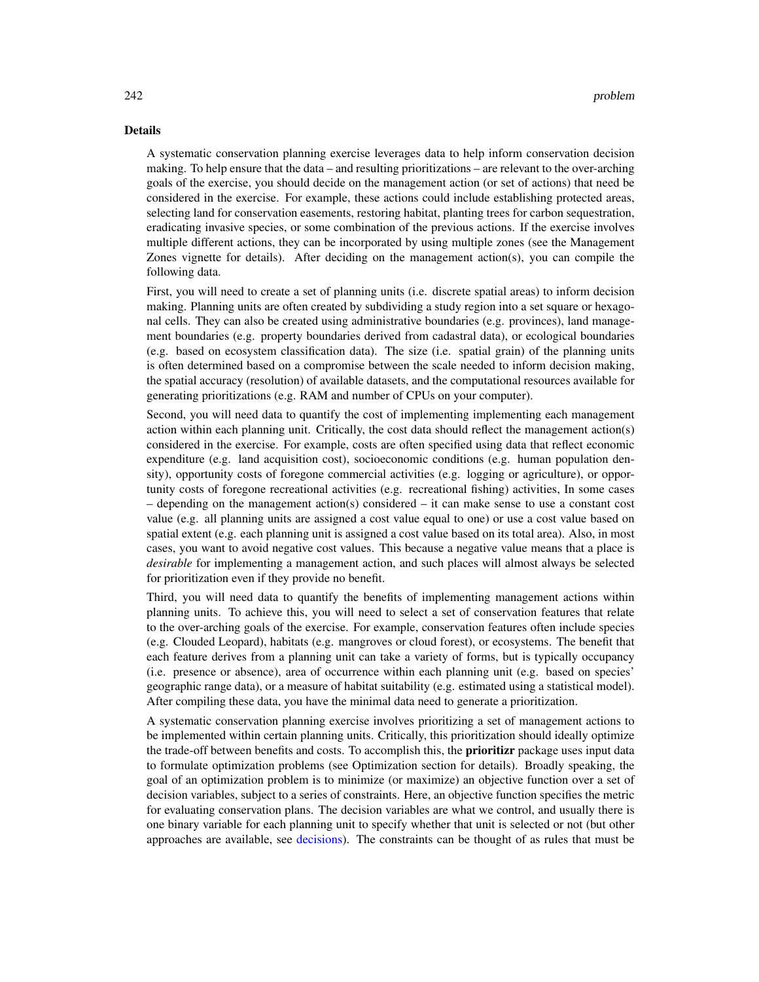## Details

A systematic conservation planning exercise leverages data to help inform conservation decision making. To help ensure that the data – and resulting prioritizations – are relevant to the over-arching goals of the exercise, you should decide on the management action (or set of actions) that need be considered in the exercise. For example, these actions could include establishing protected areas, selecting land for conservation easements, restoring habitat, planting trees for carbon sequestration, eradicating invasive species, or some combination of the previous actions. If the exercise involves multiple different actions, they can be incorporated by using multiple zones (see the Management Zones vignette for details). After deciding on the management action(s), you can compile the following data.

First, you will need to create a set of planning units (i.e. discrete spatial areas) to inform decision making. Planning units are often created by subdividing a study region into a set square or hexagonal cells. They can also be created using administrative boundaries (e.g. provinces), land management boundaries (e.g. property boundaries derived from cadastral data), or ecological boundaries (e.g. based on ecosystem classification data). The size (i.e. spatial grain) of the planning units is often determined based on a compromise between the scale needed to inform decision making, the spatial accuracy (resolution) of available datasets, and the computational resources available for generating prioritizations (e.g. RAM and number of CPUs on your computer).

Second, you will need data to quantify the cost of implementing implementing each management action within each planning unit. Critically, the cost data should reflect the management action(s) considered in the exercise. For example, costs are often specified using data that reflect economic expenditure (e.g. land acquisition cost), socioeconomic conditions (e.g. human population density), opportunity costs of foregone commercial activities (e.g. logging or agriculture), or opportunity costs of foregone recreational activities (e.g. recreational fishing) activities, In some cases – depending on the management action(s) considered – it can make sense to use a constant cost value (e.g. all planning units are assigned a cost value equal to one) or use a cost value based on spatial extent (e.g. each planning unit is assigned a cost value based on its total area). Also, in most cases, you want to avoid negative cost values. This because a negative value means that a place is *desirable* for implementing a management action, and such places will almost always be selected for prioritization even if they provide no benefit.

Third, you will need data to quantify the benefits of implementing management actions within planning units. To achieve this, you will need to select a set of conservation features that relate to the over-arching goals of the exercise. For example, conservation features often include species (e.g. Clouded Leopard), habitats (e.g. mangroves or cloud forest), or ecosystems. The benefit that each feature derives from a planning unit can take a variety of forms, but is typically occupancy (i.e. presence or absence), area of occurrence within each planning unit (e.g. based on species' geographic range data), or a measure of habitat suitability (e.g. estimated using a statistical model). After compiling these data, you have the minimal data need to generate a prioritization.

A systematic conservation planning exercise involves prioritizing a set of management actions to be implemented within certain planning units. Critically, this prioritization should ideally optimize the trade-off between benefits and costs. To accomplish this, the **prioritizr** package uses input data to formulate optimization problems (see Optimization section for details). Broadly speaking, the goal of an optimization problem is to minimize (or maximize) an objective function over a set of decision variables, subject to a series of constraints. Here, an objective function specifies the metric for evaluating conservation plans. The decision variables are what we control, and usually there is one binary variable for each planning unit to specify whether that unit is selected or not (but other approaches are available, see [decisions\)](#page-147-0). The constraints can be thought of as rules that must be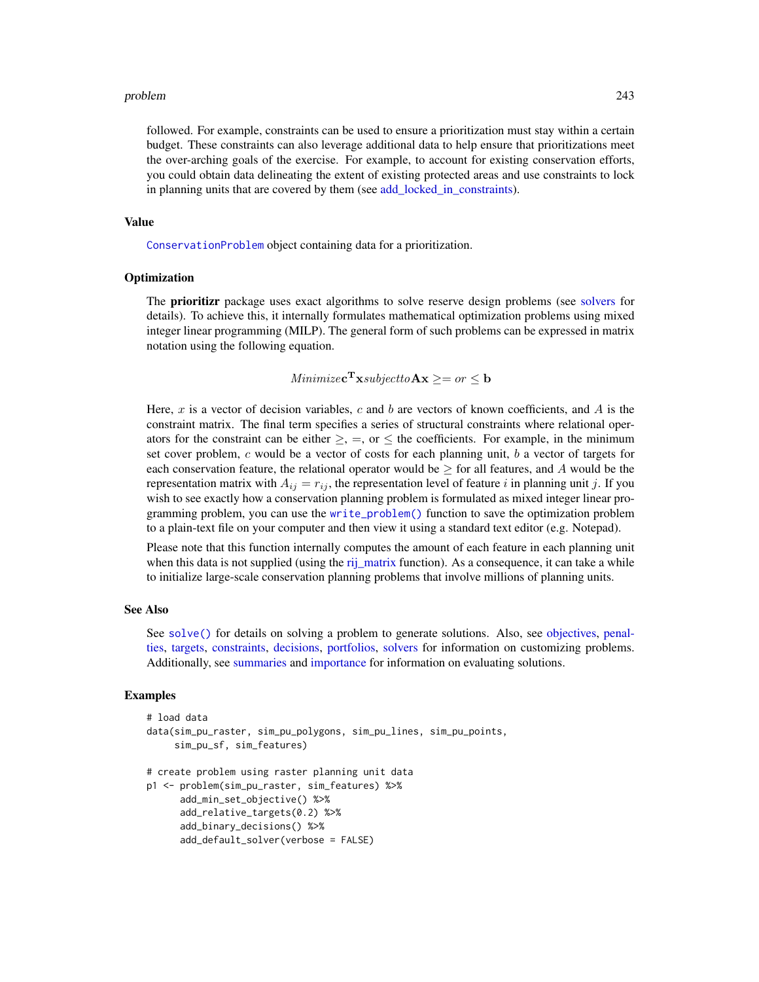followed. For example, constraints can be used to ensure a prioritization must stay within a certain budget. These constraints can also leverage additional data to help ensure that prioritizations meet the over-arching goals of the exercise. For example, to account for existing conservation efforts, you could obtain data delineating the extent of existing protected areas and use constraints to lock in planning units that are covered by them (see add locked in constraints).

#### Value

[ConservationProblem](#page-141-0) object containing data for a prioritization.

## **Optimization**

The **prioritizr** package uses exact algorithms to solve reserve design problems (see [solvers](#page-267-0) for details). To achieve this, it internally formulates mathematical optimization problems using mixed integer linear programming (MILP). The general form of such problems can be expressed in matrix notation using the following equation.

# Minimize**c**<sup>T</sup>**x**subjectto**Ax**  $\geq$  = or  $\leq$  **b**

Here, x is a vector of decision variables, c and b are vectors of known coefficients, and A is the constraint matrix. The final term specifies a series of structural constraints where relational operators for the constraint can be either  $\geq$ ,  $=$ , or  $\leq$  the coefficients. For example, in the minimum set cover problem,  $c$  would be a vector of costs for each planning unit,  $b$  a vector of targets for each conservation feature, the relational operator would be  $\geq$  for all features, and A would be the representation matrix with  $A_{ij} = r_{ij}$ , the representation level of feature i in planning unit j. If you wish to see exactly how a conservation planning problem is formulated as mixed integer linear programming problem, you can use the [write\\_problem\(\)](#page-273-0) function to save the optimization problem to a plain-text file on your computer and then view it using a standard text editor (e.g. Notepad).

Please note that this function internally computes the amount of each feature in each planning unit when this data is not supplied (using the [rij\\_matrix](#page-249-0) function). As a consequence, it can take a while to initialize large-scale conservation planning problems that involve millions of planning units.

## See Also

See [solve\(\)](#page-261-0) for details on solving a problem to generate solutions. Also, see [objectives,](#page-215-0) [penal](#page-224-0)[ties,](#page-224-0) [targets,](#page-271-0) [constraints,](#page-145-0) [decisions,](#page-147-0) [portfolios,](#page-227-0) [solvers](#page-267-0) for information on customizing problems. Additionally, see [summaries](#page-269-0) and [importance](#page-195-0) for information on evaluating solutions.

```
# load data
data(sim_pu_raster, sim_pu_polygons, sim_pu_lines, sim_pu_points,
    sim_pu_sf, sim_features)
# create problem using raster planning unit data
p1 <- problem(sim_pu_raster, sim_features) %>%
     add_min_set_objective() %>%
     add_relative_targets(0.2) %>%
     add_binary_decisions() %>%
     add_default_solver(verbose = FALSE)
```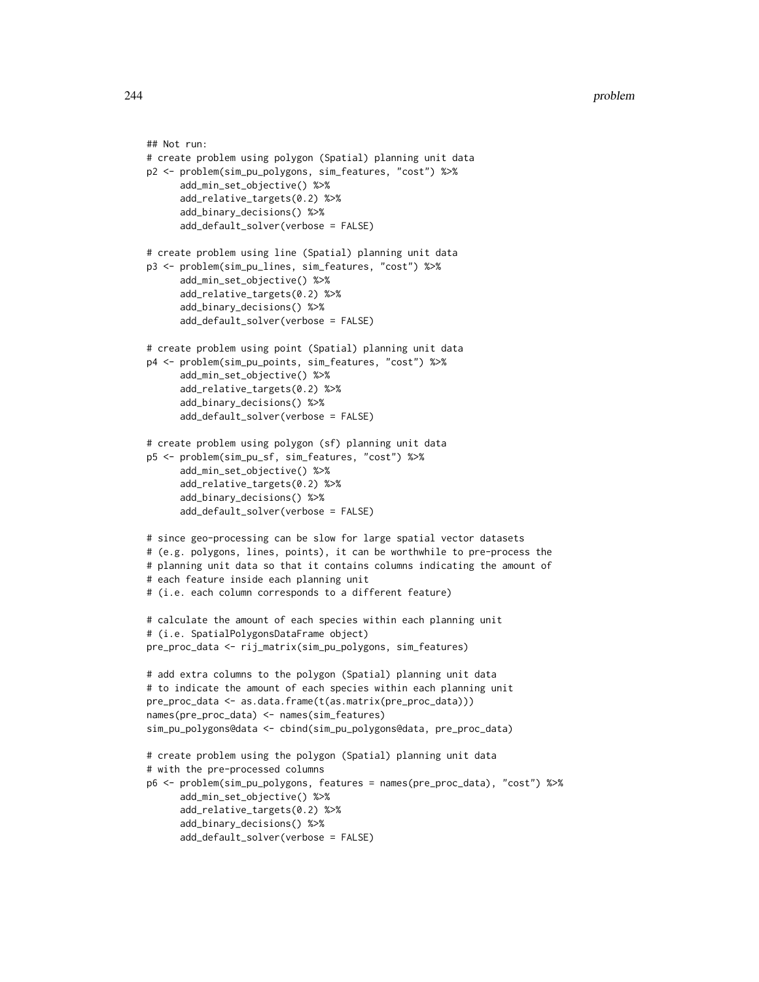```
## Not run:
# create problem using polygon (Spatial) planning unit data
p2 <- problem(sim_pu_polygons, sim_features, "cost") %>%
      add_min_set_objective() %>%
      add_relative_targets(0.2) %>%
      add_binary_decisions() %>%
      add_default_solver(verbose = FALSE)
# create problem using line (Spatial) planning unit data
p3 <- problem(sim_pu_lines, sim_features, "cost") %>%
      add_min_set_objective() %>%
      add_relative_targets(0.2) %>%
      add_binary_decisions() %>%
      add_default_solver(verbose = FALSE)
# create problem using point (Spatial) planning unit data
p4 <- problem(sim_pu_points, sim_features, "cost") %>%
      add_min_set_objective() %>%
      add_relative_targets(0.2) %>%
      add_binary_decisions() %>%
      add_default_solver(verbose = FALSE)
# create problem using polygon (sf) planning unit data
p5 <- problem(sim_pu_sf, sim_features, "cost") %>%
      add_min_set_objective() %>%
      add_relative_targets(0.2) %>%
      add_binary_decisions() %>%
      add_default_solver(verbose = FALSE)
# since geo-processing can be slow for large spatial vector datasets
# (e.g. polygons, lines, points), it can be worthwhile to pre-process the
# planning unit data so that it contains columns indicating the amount of
# each feature inside each planning unit
# (i.e. each column corresponds to a different feature)
# calculate the amount of each species within each planning unit
# (i.e. SpatialPolygonsDataFrame object)
pre_proc_data <- rij_matrix(sim_pu_polygons, sim_features)
# add extra columns to the polygon (Spatial) planning unit data
# to indicate the amount of each species within each planning unit
pre_proc_data <- as.data.frame(t(as.matrix(pre_proc_data)))
names(pre_proc_data) <- names(sim_features)
sim_pu_polygons@data <- cbind(sim_pu_polygons@data, pre_proc_data)
# create problem using the polygon (Spatial) planning unit data
# with the pre-processed columns
p6 <- problem(sim_pu_polygons, features = names(pre_proc_data), "cost") %>%
      add_min_set_objective() %>%
      add_relative_targets(0.2) %>%
      add_binary_decisions() %>%
      add_default_solver(verbose = FALSE)
```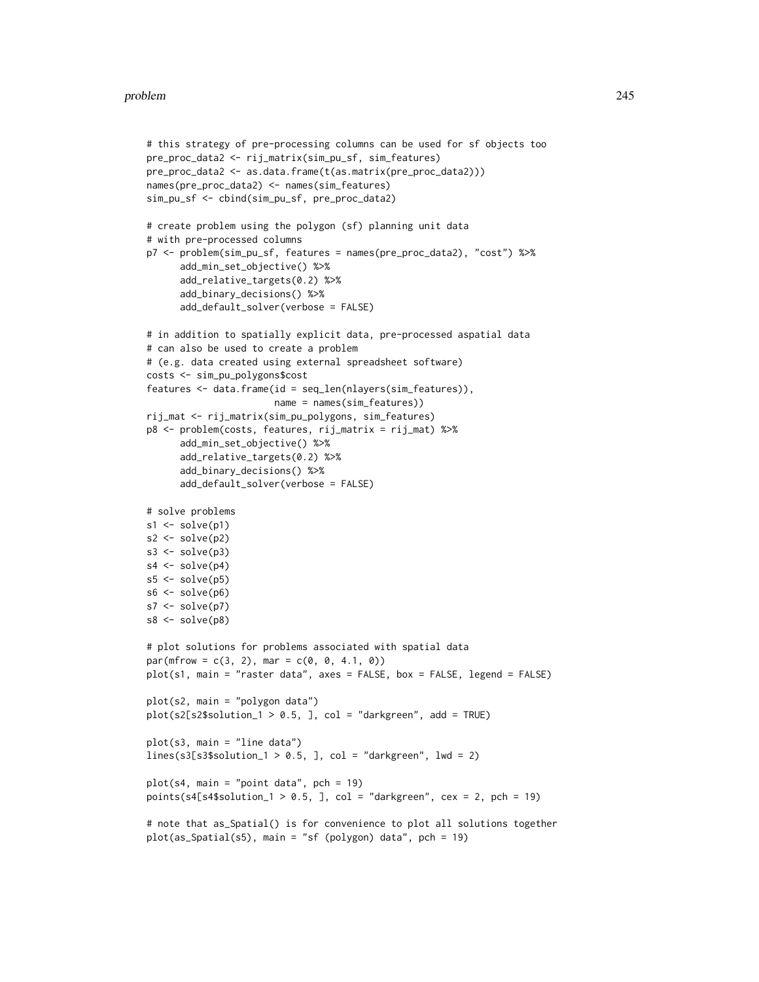```
# this strategy of pre-processing columns can be used for sf objects too
pre_proc_data2 <- rij_matrix(sim_pu_sf, sim_features)
pre_proc_data2 <- as.data.frame(t(as.matrix(pre_proc_data2)))
names(pre_proc_data2) <- names(sim_features)
sim_pu_sf <- cbind(sim_pu_sf, pre_proc_data2)
# create problem using the polygon (sf) planning unit data
# with pre-processed columns
p7 <- problem(sim_pu_sf, features = names(pre_proc_data2), "cost") %>%
      add_min_set_objective() %>%
      add_relative_targets(0.2) %>%
      add_binary_decisions() %>%
      add_default_solver(verbose = FALSE)
# in addition to spatially explicit data, pre-processed aspatial data
# can also be used to create a problem
# (e.g. data created using external spreadsheet software)
costs <- sim_pu_polygons$cost
features <- data.frame(id = seq_len(nlayers(sim_features)),
                       name = names(sim_features))
rij_mat <- rij_matrix(sim_pu_polygons, sim_features)
p8 <- problem(costs, features, rij_matrix = rij_mat) %>%
      add_min_set_objective() %>%
      add_relative_targets(0.2) %>%
      add_binary_decisions() %>%
      add_default_solver(verbose = FALSE)
# solve problems
s1 \leftarrow solve(p1)s2 \leftarrow solve(p2)s3 \leq solve(p3)s4 \leftarrow solve(p4)s5 \leq solve(p5)s6 \leftarrow solve(p6)s7 <- solve(p7)
s8 \leftarrow solve(p8)# plot solutions for problems associated with spatial data
par(mfrow = c(3, 2), mar = c(0, 0, 4.1, 0))plot(s1, main = "raster data", axes = FALSE, box = FALSE, legend = FALSE)
plot(s2, main = "polygon data")
plot(s2[s2$solution_1 > 0.5, ], col = "darkgreen", add = TRUE)plot(s3, main = "line data")
lines(s3[s3$solution_1 > 0.5, ], col = "darkgreen", lw = 2)plot(s4, main = "point data", pch = 19)
points(s4[s4$solution_1 > 0.5, ], col = "darkgreen", cex = 2, pch = 19)
# note that as_Spatial() is for convenience to plot all solutions together
plot(as_Spatial(s5), main = "sf (polygon) data", pch = 19)
```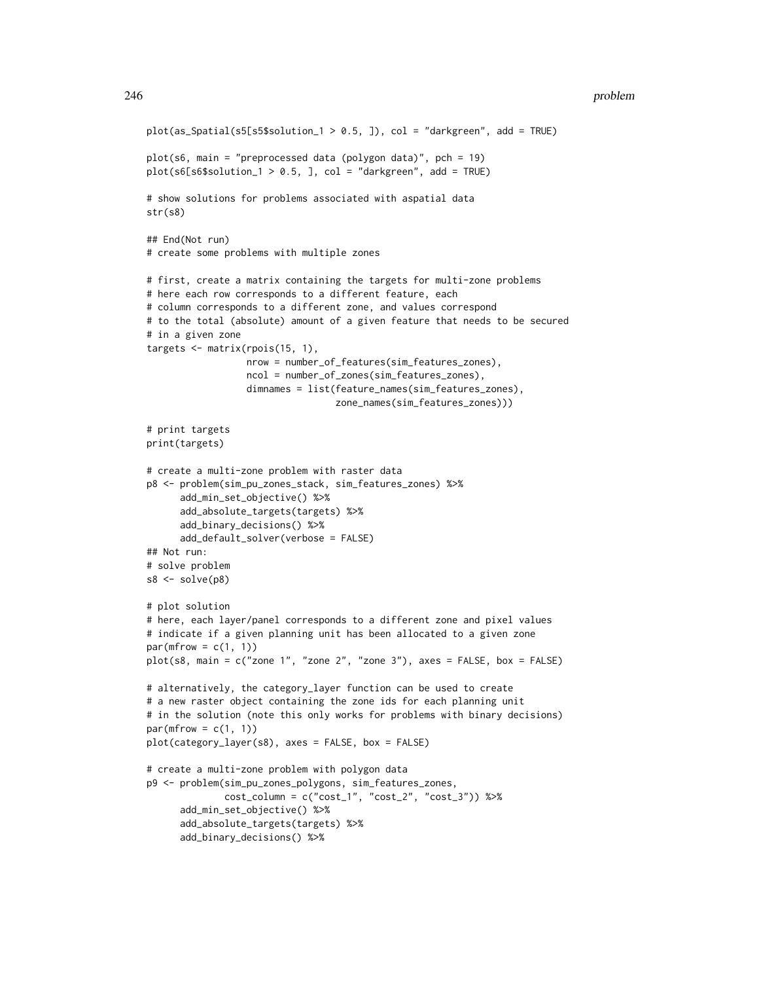```
plot(as_Spatial(s5[s5$solution_1 > 0.5, ]), col = "darkgreen", add = TRUE)
plot(s6, main = "preprocessed data (polygon data)", pch = 19)
plot(s6[s6$solution_1 > 0.5, ], col = "darkgreen", add = TRUE)# show solutions for problems associated with aspatial data
str(s8)
## End(Not run)
# create some problems with multiple zones
# first, create a matrix containing the targets for multi-zone problems
# here each row corresponds to a different feature, each
# column corresponds to a different zone, and values correspond
# to the total (absolute) amount of a given feature that needs to be secured
# in a given zone
targets <- matrix(rpois(15, 1),
                  nrow = number_of_features(sim_features_zones),
                  ncol = number_of_zones(sim_features_zones),
                  dimnames = list(feature_names(sim_features_zones),
                                  zone_names(sim_features_zones)))
# print targets
print(targets)
# create a multi-zone problem with raster data
p8 <- problem(sim_pu_zones_stack, sim_features_zones) %>%
      add_min_set_objective() %>%
      add_absolute_targets(targets) %>%
      add_binary_decisions() %>%
     add_default_solver(verbose = FALSE)
## Not run:
# solve problem
s8 \leftarrow solve(p8)# plot solution
# here, each layer/panel corresponds to a different zone and pixel values
# indicate if a given planning unit has been allocated to a given zone
par(mfrow = c(1, 1))plot(s8, main = c("zone 1", "zone 2", "zone 3"), axes = FALSE, box = FALSE)
# alternatively, the category_layer function can be used to create
# a new raster object containing the zone ids for each planning unit
# in the solution (note this only works for problems with binary decisions)
par(mfrow = c(1, 1))plot(category_layer(s8), axes = FALSE, box = FALSE)
# create a multi-zone problem with polygon data
p9 <- problem(sim_pu_zones_polygons, sim_features_zones,
              cost_column = c("cost_1", "cost_2", "cost_3")) %>%
      add_min_set_objective() %>%
      add_absolute_targets(targets) %>%
      add_binary_decisions() %>%
```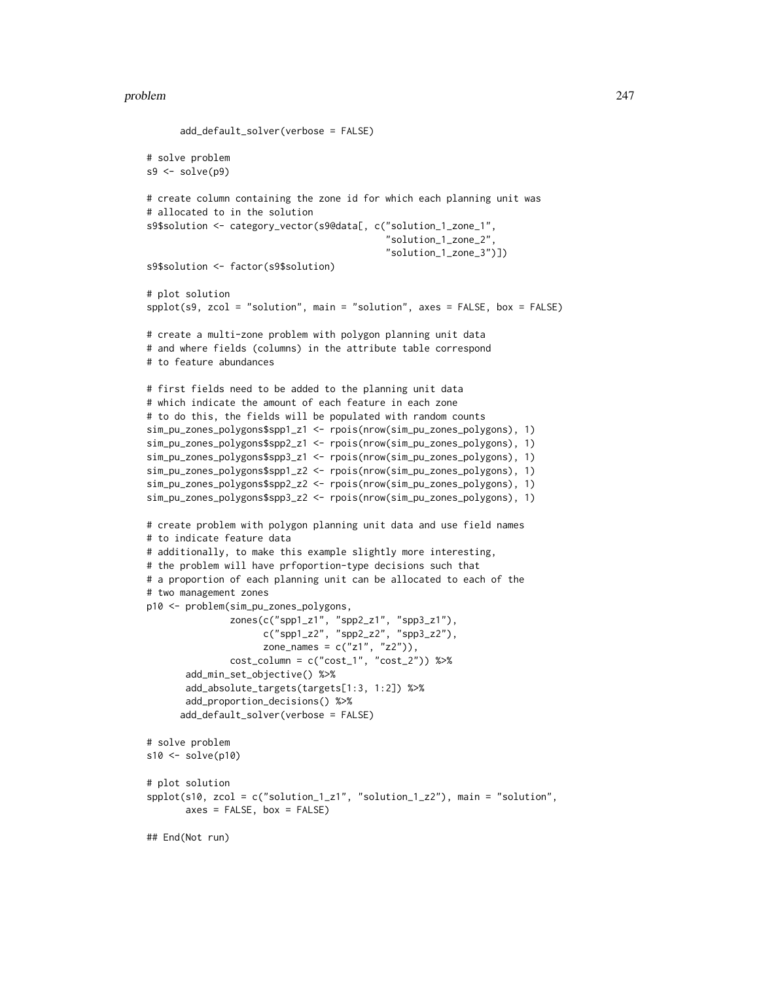```
add_default_solver(verbose = FALSE)
# solve problem
s9 \leftarrow solve(p9)# create column containing the zone id for which each planning unit was
# allocated to in the solution
s9$solution <- category_vector(s9@data[, c("solution_1_zone_1",
                                            "solution_1_zone_2",
                                           "solution_1_zone_3")])
s9$solution <- factor(s9$solution)
# plot solution
spplot(s9, zcol = "solution", main = "solution", axes = FALSE, box = FALSE)
# create a multi-zone problem with polygon planning unit data
# and where fields (columns) in the attribute table correspond
# to feature abundances
# first fields need to be added to the planning unit data
# which indicate the amount of each feature in each zone
# to do this, the fields will be populated with random counts
sim_pu_zones_polygons$spp1_z1 <- rpois(nrow(sim_pu_zones_polygons), 1)
sim_pu_zones_polygons$spp2_z1 <- rpois(nrow(sim_pu_zones_polygons), 1)
sim_pu_zones_polygons$spp3_z1 <- rpois(nrow(sim_pu_zones_polygons), 1)
sim_pu_zones_polygons$spp1_z2 <- rpois(nrow(sim_pu_zones_polygons), 1)
sim_pu_zones_polygons$spp2_z2 <- rpois(nrow(sim_pu_zones_polygons), 1)
sim_pu_zones_polygons$spp3_z2 <- rpois(nrow(sim_pu_zones_polygons), 1)
# create problem with polygon planning unit data and use field names
# to indicate feature data
# additionally, to make this example slightly more interesting,
# the problem will have prfoportion-type decisions such that
# a proportion of each planning unit can be allocated to each of the
# two management zones
p10 <- problem(sim_pu_zones_polygons,
               zones(c("spp1_z1", "spp2_z1", "spp3_z1"),
                     c("spp1_z2", "spp2_z2", "spp3_z2"),
                     zone_names = c("z1", "z2")),
               cost\_column = c("cost_1", "cost_2")) %>%
      add_min_set_objective() %>%
      add_absolute_targets(targets[1:3, 1:2]) %>%
      add_proportion_decisions() %>%
      add_default_solver(verbose = FALSE)
# solve problem
s10 \leftarrow solve(p10)# plot solution
spplot(s10, zcol = c("solution_1_z1", "solution_1_z2"), main = "solution",
      axes = FALSE, box = FALSE)## End(Not run)
```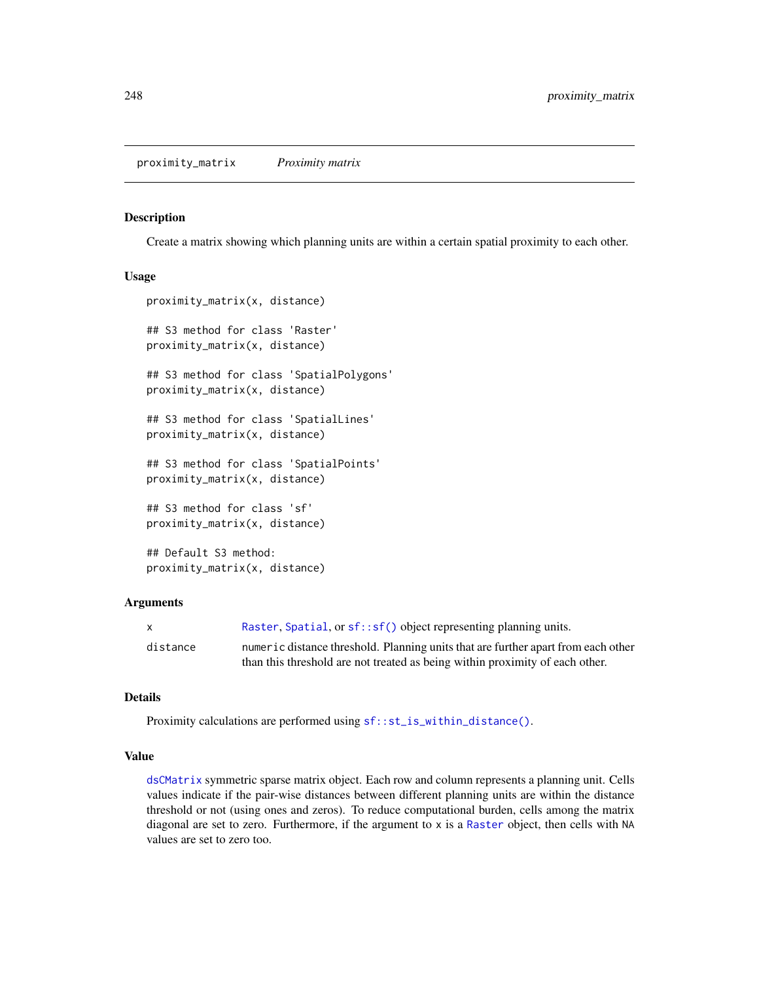Create a matrix showing which planning units are within a certain spatial proximity to each other.

#### Usage

```
proximity_matrix(x, distance)
## S3 method for class 'Raster'
proximity_matrix(x, distance)
## S3 method for class 'SpatialPolygons'
proximity_matrix(x, distance)
## S3 method for class 'SpatialLines'
proximity_matrix(x, distance)
## S3 method for class 'SpatialPoints'
proximity_matrix(x, distance)
## S3 method for class 'sf'
proximity_matrix(x, distance)
## Default S3 method:
proximity_matrix(x, distance)
```
#### Arguments

| X        | Raster, Spatial, or $sf::sf()$ object representing planning units.                |
|----------|-----------------------------------------------------------------------------------|
| distance | numeric distance threshold. Planning units that are further apart from each other |
|          | than this threshold are not treated as being within proximity of each other.      |

### Details

Proximity calculations are performed using  $sf::st_is_within\_distance()$ .

# Value

[dsCMatrix](#page-0-0) symmetric sparse matrix object. Each row and column represents a planning unit. Cells values indicate if the pair-wise distances between different planning units are within the distance threshold or not (using ones and zeros). To reduce computational burden, cells among the matrix diagonal are set to zero. Furthermore, if the argument to x is a [Raster](#page-0-0) object, then cells with NA values are set to zero too.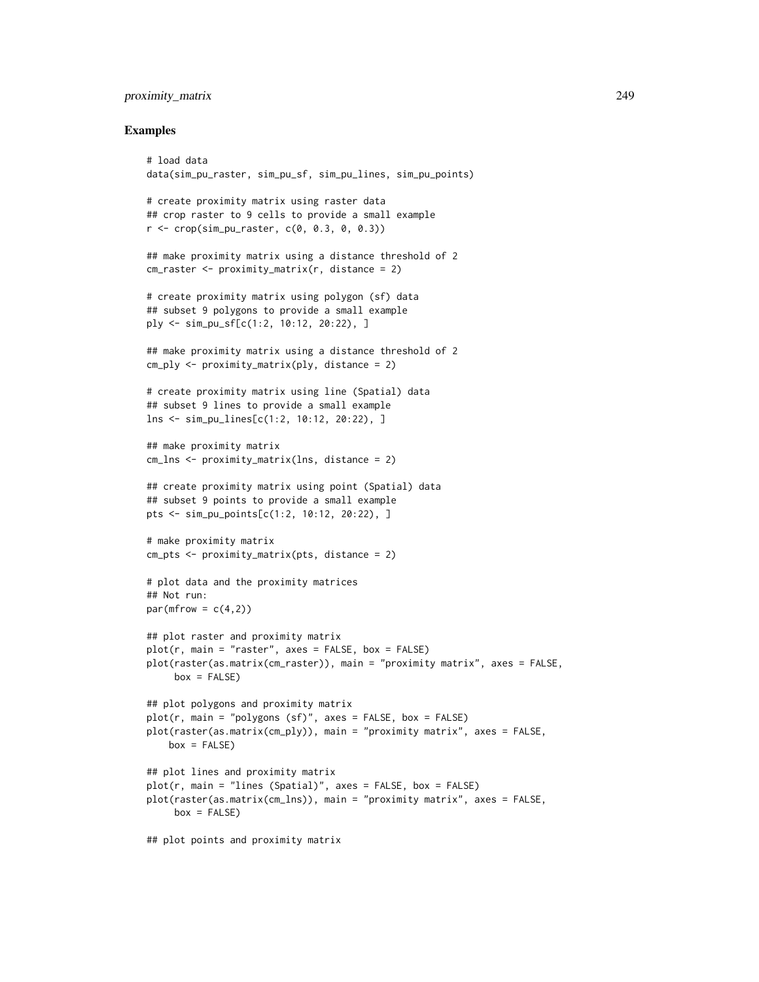# proximity\_matrix 249

```
# load data
data(sim_pu_raster, sim_pu_sf, sim_pu_lines, sim_pu_points)
# create proximity matrix using raster data
## crop raster to 9 cells to provide a small example
r <- crop(sim_pu_raster, c(0, 0.3, 0, 0.3))
## make proximity matrix using a distance threshold of 2
cm\_raster \leq -proximity\_matrix(r, distance = 2)# create proximity matrix using polygon (sf) data
## subset 9 polygons to provide a small example
ply <- sim_pu_sf[c(1:2, 10:12, 20:22), ]
## make proximity matrix using a distance threshold of 2
cm_ply <- proximity_matrix(ply, distance = 2)
# create proximity matrix using line (Spatial) data
## subset 9 lines to provide a small example
lns <- sim_pu_lines[c(1:2, 10:12, 20:22), ]
## make proximity matrix
cm_lns <- proximity_matrix(lns, distance = 2)
## create proximity matrix using point (Spatial) data
## subset 9 points to provide a small example
pts <- sim_pu_points[c(1:2, 10:12, 20:22), ]
# make proximity matrix
cm_pts <- proximity_matrix(pts, distance = 2)
# plot data and the proximity matrices
## Not run:
par(mfrow = c(4,2))## plot raster and proximity matrix
plot(r, main = "raster", axes = FALSE, box = FALSE)plot(raster(as.matrix(cm_raster)), main = "proximity matrix", axes = FALSE,
     box = FALSE)## plot polygons and proximity matrix
plot(r, main = "polygons (sf)", axes = FALSE, box = FALSE)
plot(raster(as.matrix(cm_ply)), main = "proximity matrix", axes = FALSE,
   box = FALSE)## plot lines and proximity matrix
plot(r, main = "lines (Spatial)", axes = FALSE, box = FALSE)
plot(raster(as.matrix(cm_lns)), main = "proximity matrix", axes = FALSE,
    box = FALSE)## plot points and proximity matrix
```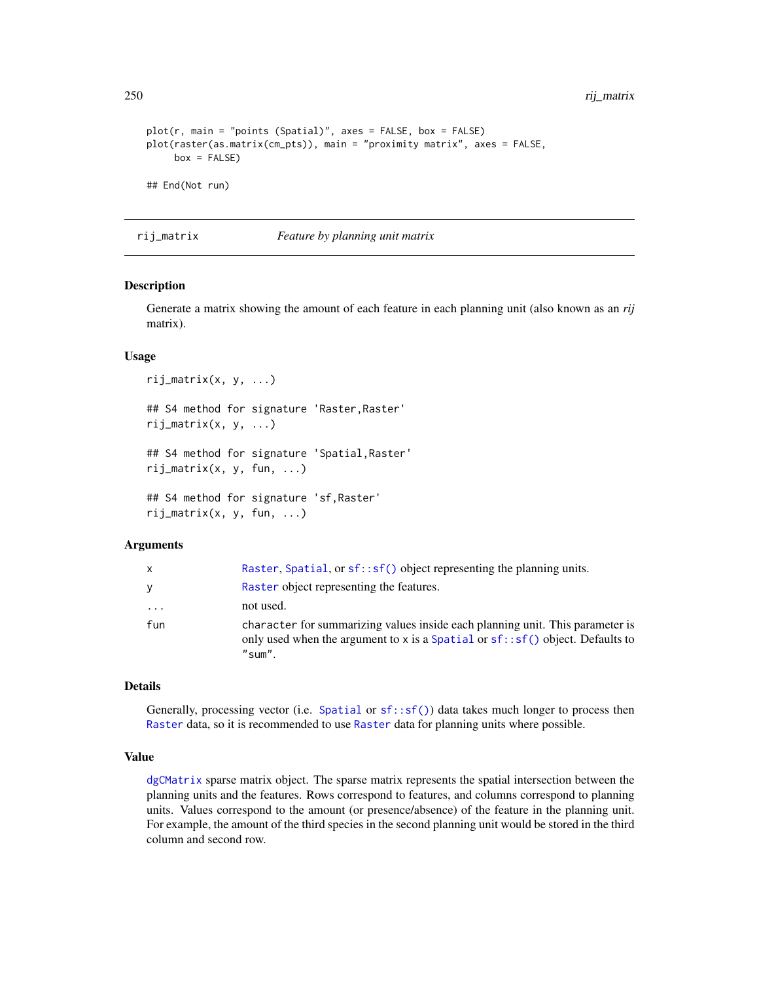250 rij\_matrix

```
plot(r, main = "points (Spatial)", axes = FALSE, box = FALSE)
plot(raster(as.matrix(cm_pts)), main = "proximity matrix", axes = FALSE,
     box = FALSE)## End(Not run)
```
<span id="page-249-0"></span>rij\_matrix *Feature by planning unit matrix*

#### Description

Generate a matrix showing the amount of each feature in each planning unit (also known as an *rij* matrix).

## Usage

```
rij_matrix(x, y, ...)## S4 method for signature 'Raster,Raster'
rij_matrix(x, y, ...)## S4 method for signature 'Spatial,Raster'
rij_matrix(x, y, fun, ...)
## S4 method for signature 'sf,Raster'
rij_matrix(x, y, fun, ...)
```
### **Arguments**

| X        | Raster, Spatial, or $sf::sf()$ object representing the planning units.                                                                                                        |
|----------|-------------------------------------------------------------------------------------------------------------------------------------------------------------------------------|
| y        | Raster object representing the features.                                                                                                                                      |
| $\cdots$ | not used.                                                                                                                                                                     |
| fun      | character for summarizing values inside each planning unit. This parameter is<br>only used when the argument to x is a Spatial or $sf::sf()$ object. Defaults to<br>$"sum"$ . |

#### Details

Generally, processing vector (i.e. [Spatial](#page-0-0) or  $sf::sf()$ ) data takes much longer to process then [Raster](#page-0-0) data, so it is recommended to use [Raster](#page-0-0) data for planning units where possible.

# Value

[dgCMatrix](#page-0-0) sparse matrix object. The sparse matrix represents the spatial intersection between the planning units and the features. Rows correspond to features, and columns correspond to planning units. Values correspond to the amount (or presence/absence) of the feature in the planning unit. For example, the amount of the third species in the second planning unit would be stored in the third column and second row.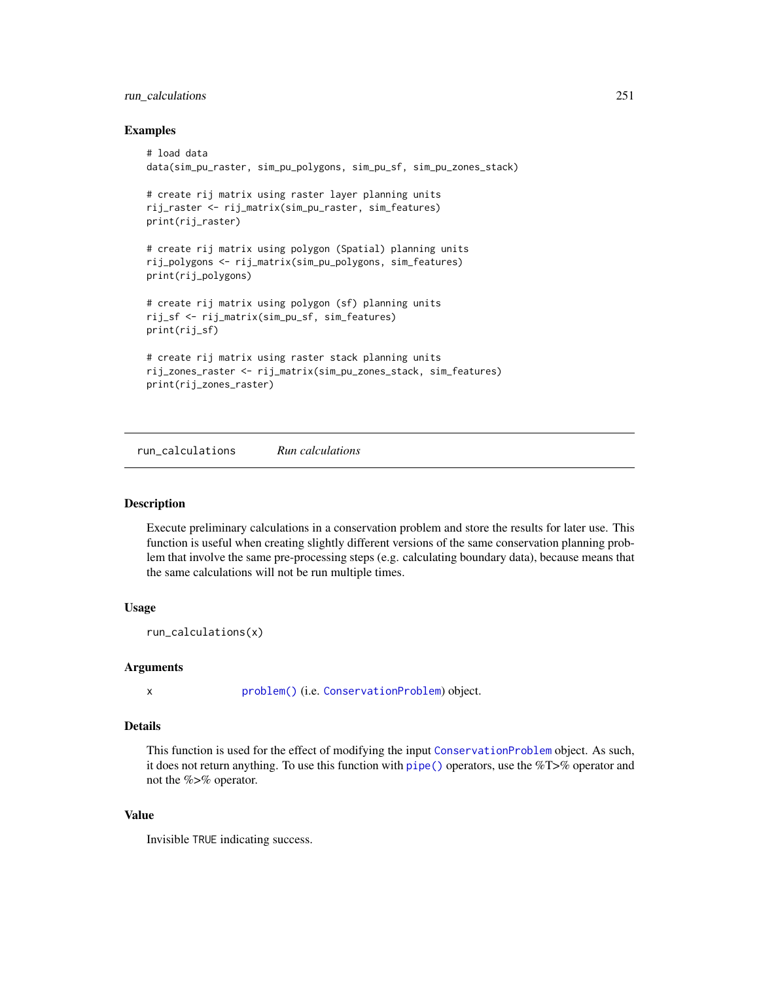# run\_calculations 251

## Examples

```
# load data
data(sim_pu_raster, sim_pu_polygons, sim_pu_sf, sim_pu_zones_stack)
# create rij matrix using raster layer planning units
rij_raster <- rij_matrix(sim_pu_raster, sim_features)
print(rij_raster)
# create rij matrix using polygon (Spatial) planning units
rij_polygons <- rij_matrix(sim_pu_polygons, sim_features)
print(rij_polygons)
# create rij matrix using polygon (sf) planning units
rij_sf <- rij_matrix(sim_pu_sf, sim_features)
print(rij_sf)
# create rij matrix using raster stack planning units
rij_zones_raster <- rij_matrix(sim_pu_zones_stack, sim_features)
print(rij_zones_raster)
```
run\_calculations *Run calculations*

# Description

Execute preliminary calculations in a conservation problem and store the results for later use. This function is useful when creating slightly different versions of the same conservation planning problem that involve the same pre-processing steps (e.g. calculating boundary data), because means that the same calculations will not be run multiple times.

# Usage

```
run_calculations(x)
```
## Arguments

x [problem\(\)](#page-238-0) (i.e. [ConservationProblem](#page-141-0)) object.

### Details

This function is used for the effect of modifying the input [ConservationProblem](#page-141-0) object. As such, it does not return anything. To use this function with [pipe\(\)](#page-277-0) operators, use the %T>% operator and not the %>% operator.

# Value

Invisible TRUE indicating success.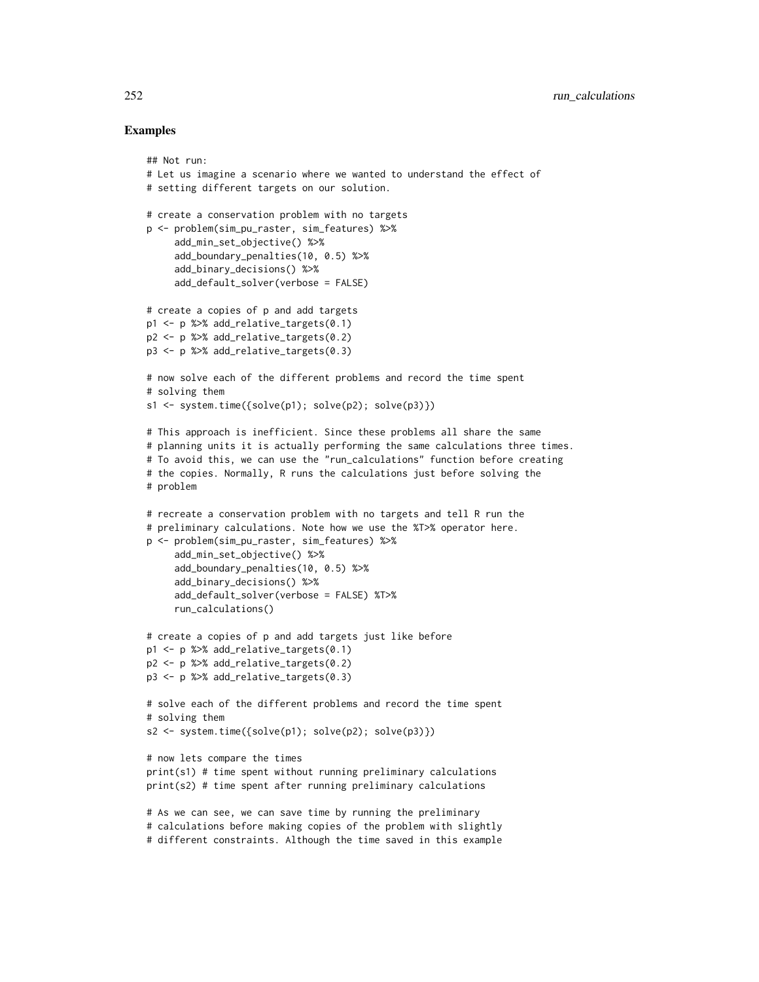```
## Not run:
# Let us imagine a scenario where we wanted to understand the effect of
# setting different targets on our solution.
# create a conservation problem with no targets
p <- problem(sim_pu_raster, sim_features) %>%
     add_min_set_objective() %>%
     add_boundary_penalties(10, 0.5) %>%
     add_binary_decisions() %>%
     add_default_solver(verbose = FALSE)
# create a copies of p and add targets
p1 <- p %>% add_relative_targets(0.1)
p2 <- p %>% add_relative_targets(0.2)
p3 <- p %>% add_relative_targets(0.3)
# now solve each of the different problems and record the time spent
# solving them
s1 <- system.time(\{solve(p1); solve(p2); solve(p3)\}))
# This approach is inefficient. Since these problems all share the same
# planning units it is actually performing the same calculations three times.
# To avoid this, we can use the "run_calculations" function before creating
# the copies. Normally, R runs the calculations just before solving the
# problem
# recreate a conservation problem with no targets and tell R run the
# preliminary calculations. Note how we use the %T>% operator here.
p <- problem(sim_pu_raster, sim_features) %>%
     add_min_set_objective() %>%
     add_boundary_penalties(10, 0.5) %>%
     add_binary_decisions() %>%
     add_default_solver(verbose = FALSE) %T>%
     run_calculations()
# create a copies of p and add targets just like before
p1 <- p %>% add_relative_targets(0.1)
p2 <- p %>% add_relative_targets(0.2)
p3 <- p %>% add_relative_targets(0.3)
# solve each of the different problems and record the time spent
# solving them
s2 <- system.time({solve(p1); solve(p2); solve(p3)})
# now lets compare the times
print(s1) # time spent without running preliminary calculations
print(s2) # time spent after running preliminary calculations
# As we can see, we can save time by running the preliminary
# calculations before making copies of the problem with slightly
# different constraints. Although the time saved in this example
```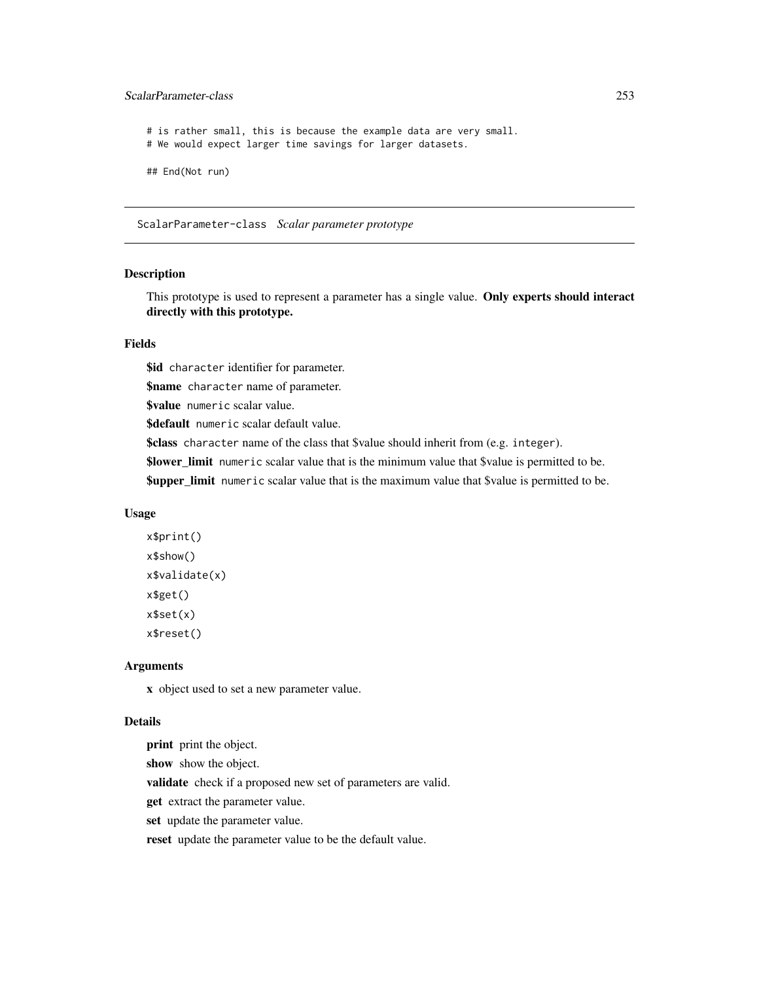# ScalarParameter-class 253

# is rather small, this is because the example data are very small. # We would expect larger time savings for larger datasets. ## End(Not run)

<span id="page-252-0"></span>ScalarParameter-class *Scalar parameter prototype*

#### Description

This prototype is used to represent a parameter has a single value. Only experts should interact directly with this prototype.

#### Fields

\$id character identifier for parameter.

\$name character name of parameter.

\$value numeric scalar value.

\$default numeric scalar default value.

\$class character name of the class that \$value should inherit from (e.g. integer).

\$lower\_limit numeric scalar value that is the minimum value that \$value is permitted to be.

**\$upper\_limit** numeric scalar value that is the maximum value that \$value is permitted to be.

#### Usage

```
x$print()
x$show()
x$validate(x)
x$get()
x$set(x)
x$reset()
```
# Arguments

x object used to set a new parameter value.

#### Details

print print the object. show show the object. validate check if a proposed new set of parameters are valid. get extract the parameter value. set update the parameter value. reset update the parameter value to be the default value.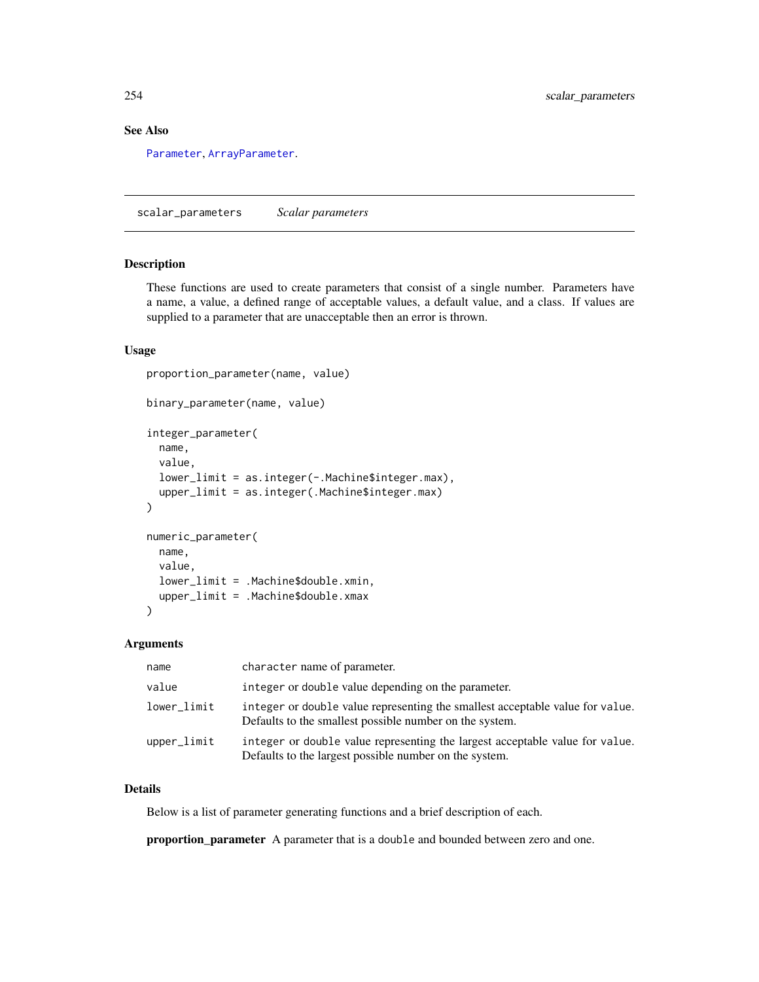# <span id="page-253-0"></span>See Also

[Parameter](#page-221-0), [ArrayParameter](#page-122-0).

scalar\_parameters *Scalar parameters*

# Description

These functions are used to create parameters that consist of a single number. Parameters have a name, a value, a defined range of acceptable values, a default value, and a class. If values are supplied to a parameter that are unacceptable then an error is thrown.

#### Usage

```
proportion_parameter(name, value)
binary_parameter(name, value)
integer_parameter(
  name,
  value,
  lower_limit = as.integer(-.Machine$integer.max),
  upper_limit = as.integer(.Machine$integer.max)
)
numeric_parameter(
  name,
  value,
  lower_limit = .Machine$double.xmin,
  upper_limit = .Machine$double.xmax
)
```
#### Arguments

| name        | character name of parameter.                                                                                                             |
|-------------|------------------------------------------------------------------------------------------------------------------------------------------|
| value       | integer or double value depending on the parameter.                                                                                      |
| lower_limit | integer or double value representing the smallest acceptable value for value.<br>Defaults to the smallest possible number on the system. |
| upper_limit | integer or double value representing the largest acceptable value for value.<br>Defaults to the largest possible number on the system.   |

#### Details

Below is a list of parameter generating functions and a brief description of each.

proportion\_parameter A parameter that is a double and bounded between zero and one.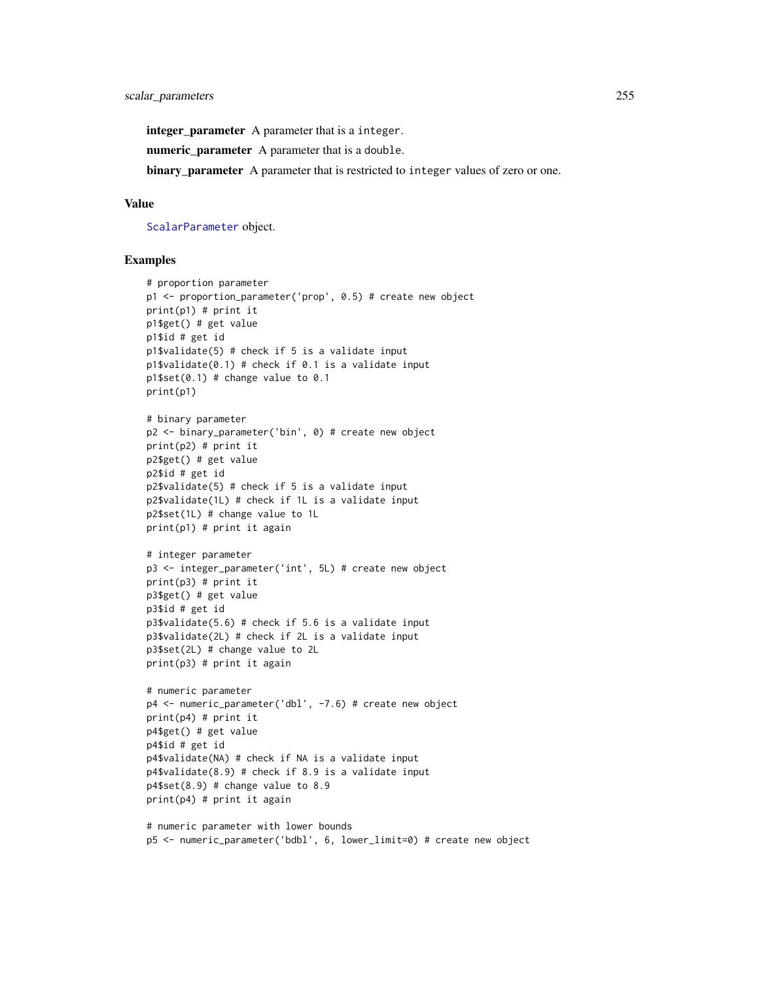integer\_parameter A parameter that is a integer.

numeric\_parameter A parameter that is a double.

binary\_parameter A parameter that is restricted to integer values of zero or one.

# Value

[ScalarParameter](#page-252-0) object.

```
# proportion parameter
p1 <- proportion_parameter('prop', 0.5) # create new object
print(p1) # print it
p1$get() # get value
p1$id # get id
p1$validate(5) # check if 5 is a validate input
p1$validate(0.1) # check if 0.1 is a validate input
p1$set(0.1) # change value to 0.1
print(p1)
# binary parameter
p2 <- binary_parameter('bin', 0) # create new object
print(p2) # print it
p2$get() # get value
p2$id # get id
p2$validate(5) # check if 5 is a validate input
p2$validate(1L) # check if 1L is a validate input
p2$set(1L) # change value to 1L
print(p1) # print it again
# integer parameter
p3 <- integer_parameter('int', 5L) # create new object
print(p3) # print it
p3$get() # get value
p3$id # get id
p3$validate(5.6) # check if 5.6 is a validate input
p3$validate(2L) # check if 2L is a validate input
p3$set(2L) # change value to 2L
print(p3) # print it again
# numeric parameter
p4 <- numeric_parameter('dbl', -7.6) # create new object
print(p4) # print it
p4$get() # get value
p4$id # get id
p4$validate(NA) # check if NA is a validate input
p4$validate(8.9) # check if 8.9 is a validate input
p4$set(8.9) # change value to 8.9print(p4) # print it again
```

```
# numeric parameter with lower bounds
p5 <- numeric_parameter('bdbl', 6, lower_limit=0) # create new object
```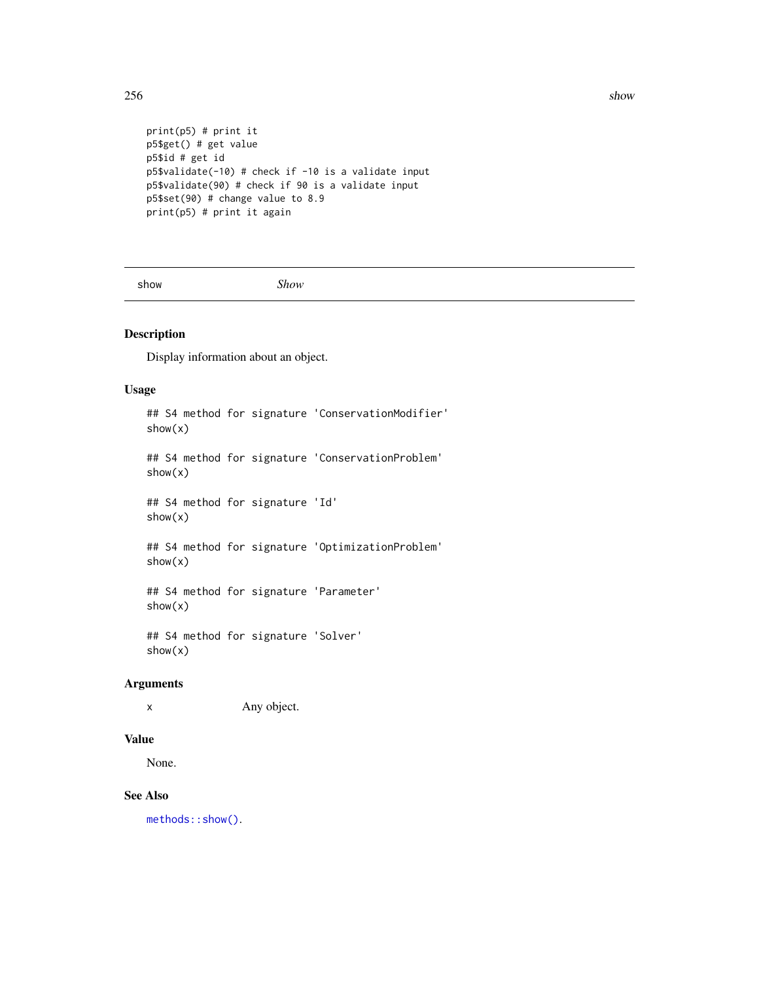```
print(p5) # print it
p5$get() # get value
p5$id # get id
p5$validate(-10) # check if -10 is a validate input
p5$validate(90) # check if 90 is a validate input
p5$set(90) # change value to 8.9
print(p5) # print it again
```
show *Show*

# Description

Display information about an object.

# Usage

```
## S4 method for signature 'ConservationModifier'
show(x)
```
## S4 method for signature 'ConservationProblem' show(x)

## S4 method for signature 'Id' show(x)

## S4 method for signature 'OptimizationProblem' show(x)

## S4 method for signature 'Parameter' show(x)

## S4 method for signature 'Solver' show(x)

# Arguments

x Any object.

# Value

None.

#### See Also

[methods::show\(\)](#page-0-0).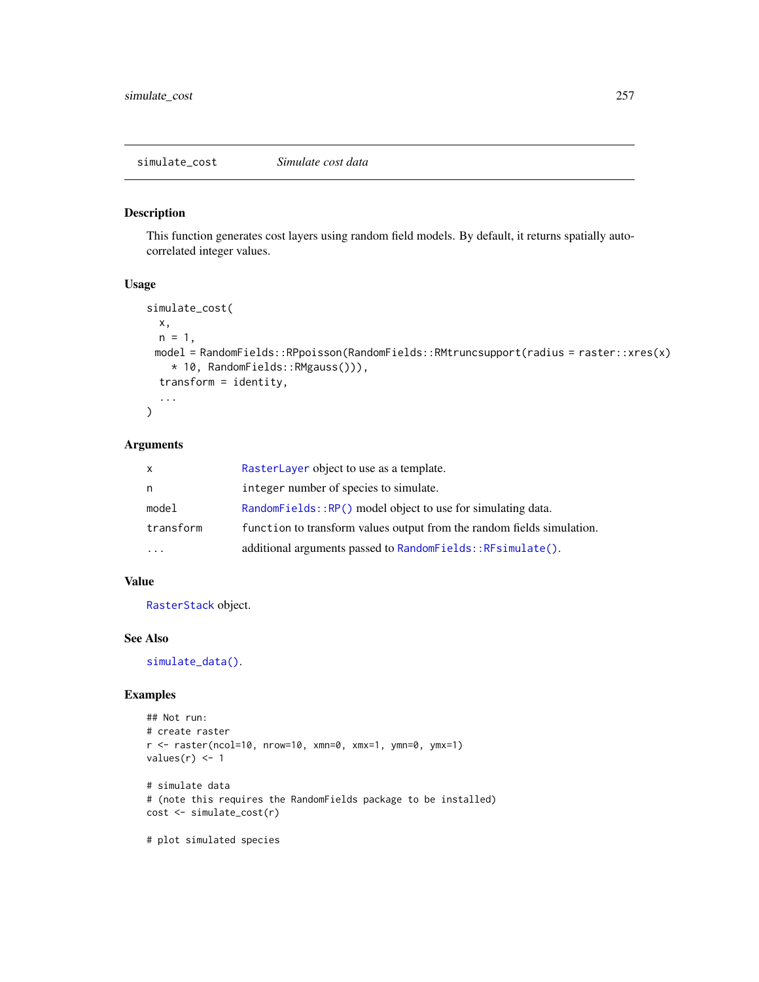# <span id="page-256-0"></span>Description

This function generates cost layers using random field models. By default, it returns spatially autocorrelated integer values.

# Usage

```
simulate_cost(
 x,
 n = 1,
 model = RandomFields::RPpoisson(RandomFields::RMtruncsupport(radius = raster::xres(x)
    * 10, RandomFields::RMgauss())),
  transform = identity,
  ...
\mathcal{L}
```
# Arguments

| X         | RasterLayer object to use as a template.                               |
|-----------|------------------------------------------------------------------------|
| n         | integer number of species to simulate.                                 |
| model     | RandomFields:: $RP()$ model object to use for simulating data.         |
| transform | function to transform values output from the random fields simulation. |
| $\ddotsc$ | additional arguments passed to RandomFields::RFsimulate().             |

# Value

[RasterStack](#page-0-0) object.

#### See Also

[simulate\\_data\(\)](#page-257-0).

```
## Not run:
# create raster
r <- raster(ncol=10, nrow=10, xmn=0, xmx=1, ymn=0, ymx=1)
values(r) <- 1
# simulate data
# (note this requires the RandomFields package to be installed)
cost <- simulate_cost(r)
# plot simulated species
```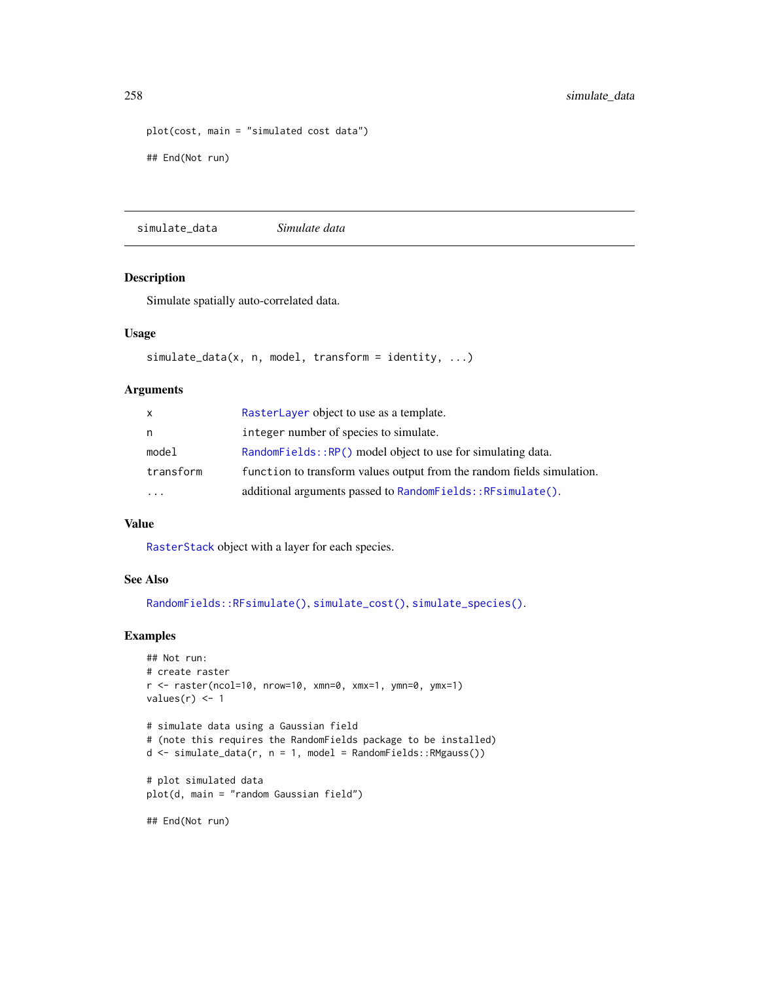```
plot(cost, main = "simulated cost data")
## End(Not run)
```
<span id="page-257-0"></span>simulate\_data *Simulate data*

#### Description

Simulate spatially auto-correlated data.

#### Usage

```
simulate_data(x, n, model, transform = identity, ...)
```
# Arguments

| x         | RasterLayer object to use as a template.                               |
|-----------|------------------------------------------------------------------------|
| n         | integer number of species to simulate.                                 |
| model     | RandomFields::RP() model object to use for simulating data.            |
| transform | function to transform values output from the random fields simulation. |
| $\ddotsc$ | additional arguments passed to RandomFields:: RFsimulate().            |

# Value

[RasterStack](#page-0-0) object with a layer for each species.

# See Also

```
RandomFields::RFsimulate(), simulate_cost(), simulate_species().
```
# Examples

```
## Not run:
# create raster
r <- raster(ncol=10, nrow=10, xmn=0, xmx=1, ymn=0, ymx=1)
values(r) < -1# simulate data using a Gaussian field
```

```
# (note this requires the RandomFields package to be installed)
d \leq simulate_data(r, n = 1, model = RandomFields::RMgauss())
```

```
# plot simulated data
plot(d, main = "random Gaussian field")
```
## End(Not run)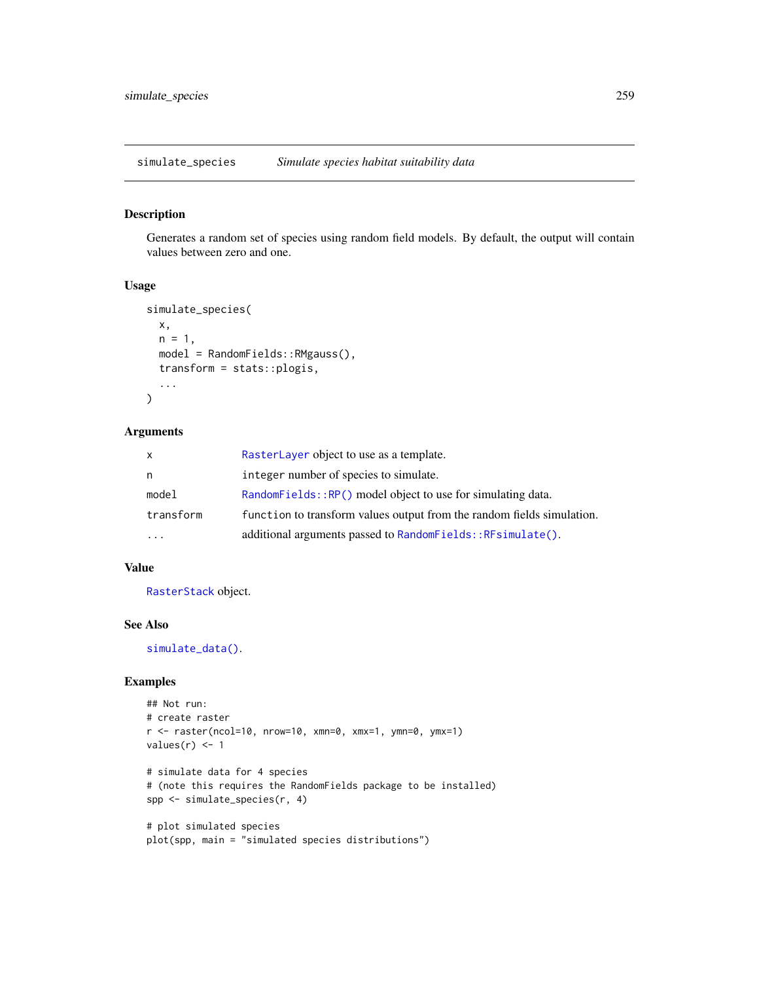<span id="page-258-0"></span>simulate\_species *Simulate species habitat suitability data*

# Description

Generates a random set of species using random field models. By default, the output will contain values between zero and one.

# Usage

```
simulate_species(
  x,
 n = 1,
 model = RandomFields::RMgauss(),
 transform = stats::plogis,
  ...
\mathcal{L}
```
# Arguments

| $\mathsf{x}$            | RasterLayer object to use as a template.                               |
|-------------------------|------------------------------------------------------------------------|
| n                       | integer number of species to simulate.                                 |
| model                   | RandomFields::RP() model object to use for simulating data.            |
| transform               | function to transform values output from the random fields simulation. |
| $\cdot$ $\cdot$ $\cdot$ | additional arguments passed to RandomFields:: RFsimulate().            |

# Value

[RasterStack](#page-0-0) object.

# See Also

[simulate\\_data\(\)](#page-257-0).

```
## Not run:
# create raster
r <- raster(ncol=10, nrow=10, xmn=0, xmx=1, ymn=0, ymx=1)
values(r) < -1# simulate data for 4 species
# (note this requires the RandomFields package to be installed)
spp <- simulate_species(r, 4)
```

```
# plot simulated species
plot(spp, main = "simulated species distributions")
```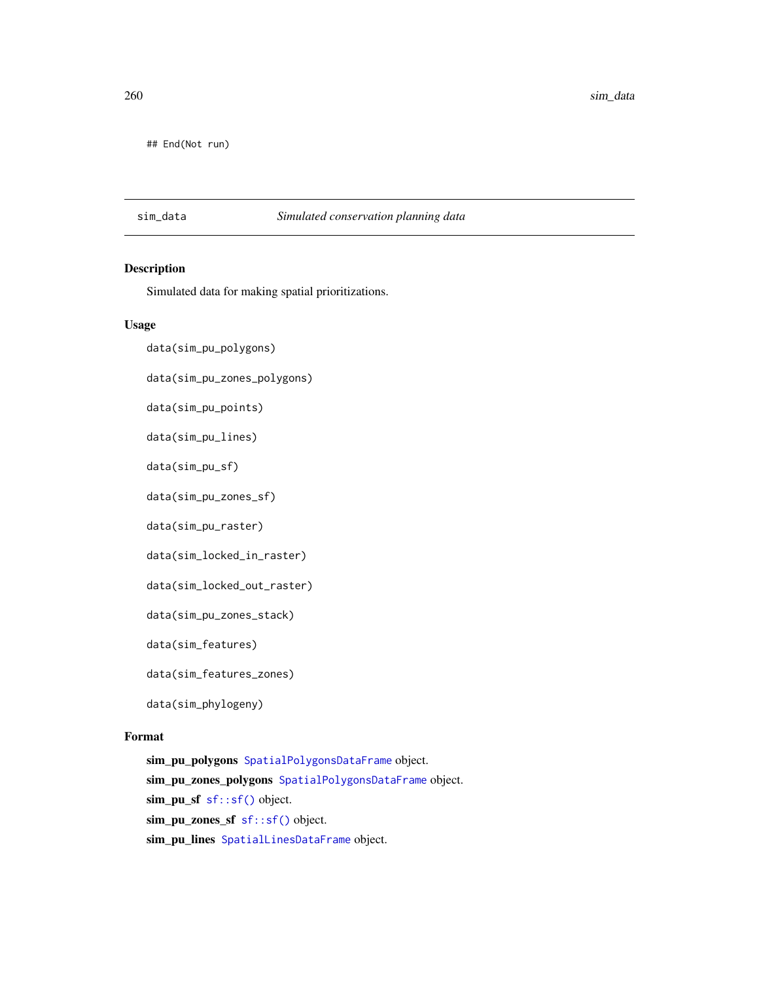<span id="page-259-0"></span>260 sim\_data and simple and simple and simple and simple and simple and simple and simple and simple and simple and simple and simple and simple and simple and simple and simple and simple and simple and simple and simple

## End(Not run)

# sim\_data *Simulated conservation planning data*

# Description

Simulated data for making spatial prioritizations.

# Usage

```
data(sim_pu_polygons)
```
data(sim\_pu\_zones\_polygons)

data(sim\_pu\_points)

data(sim\_pu\_lines)

data(sim\_pu\_sf)

data(sim\_pu\_zones\_sf)

data(sim\_pu\_raster)

data(sim\_locked\_in\_raster)

data(sim\_locked\_out\_raster)

data(sim\_pu\_zones\_stack)

data(sim\_features)

data(sim\_features\_zones)

data(sim\_phylogeny)

# Format

sim\_pu\_polygons [SpatialPolygonsDataFrame](#page-0-0) object. sim\_pu\_zones\_polygons [SpatialPolygonsDataFrame](#page-0-0) object. sim\_pu\_sf [sf::sf\(\)](#page-0-0) object. sim\_pu\_zones\_sf [sf::sf\(\)](#page-0-0) object. sim\_pu\_lines [SpatialLinesDataFrame](#page-0-0) object.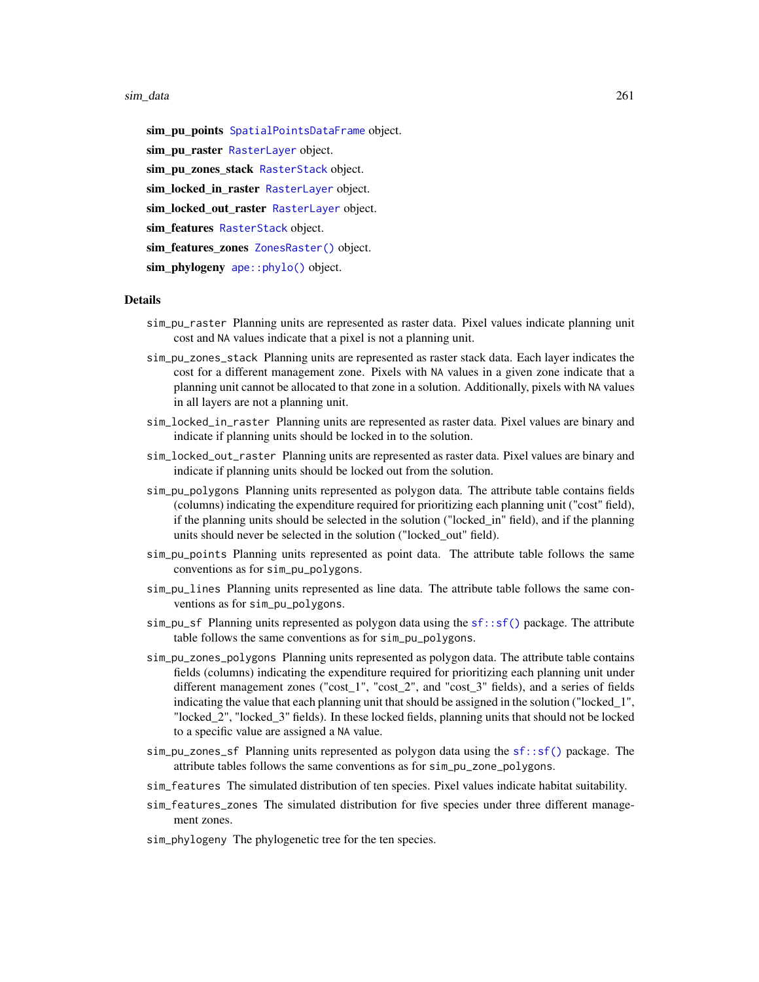#### <span id="page-260-0"></span>sim\_data 261

sim\_pu\_points [SpatialPointsDataFrame](#page-0-0) object. sim\_pu\_raster [RasterLayer](#page-0-0) object. sim\_pu\_zones\_stack [RasterStack](#page-0-0) object. sim\_locked\_in\_raster [RasterLayer](#page-0-0) object. sim\_locked\_out\_raster [RasterLayer](#page-0-0) object. sim\_features [RasterStack](#page-0-0) object. sim\_features\_zones [ZonesRaster\(\)](#page-274-0) object. sim\_phylogeny [ape::phylo\(\)](#page-0-0) object.

# Details

- sim\_pu\_raster Planning units are represented as raster data. Pixel values indicate planning unit cost and NA values indicate that a pixel is not a planning unit.
- sim\_pu\_zones\_stack Planning units are represented as raster stack data. Each layer indicates the cost for a different management zone. Pixels with NA values in a given zone indicate that a planning unit cannot be allocated to that zone in a solution. Additionally, pixels with NA values in all layers are not a planning unit.
- sim\_locked\_in\_raster Planning units are represented as raster data. Pixel values are binary and indicate if planning units should be locked in to the solution.
- sim\_locked\_out\_raster Planning units are represented as raster data. Pixel values are binary and indicate if planning units should be locked out from the solution.
- sim\_pu\_polygons Planning units represented as polygon data. The attribute table contains fields (columns) indicating the expenditure required for prioritizing each planning unit ("cost" field), if the planning units should be selected in the solution ("locked\_in" field), and if the planning units should never be selected in the solution ("locked\_out" field).
- sim\_pu\_points Planning units represented as point data. The attribute table follows the same conventions as for sim\_pu\_polygons.
- sim\_pu\_lines Planning units represented as line data. The attribute table follows the same conventions as for sim\_pu\_polygons.
- $sim\_p$  Planning units represented as polygon data using the  $sf::sf()$  package. The attribute table follows the same conventions as for sim\_pu\_polygons.
- sim\_pu\_zones\_polygons Planning units represented as polygon data. The attribute table contains fields (columns) indicating the expenditure required for prioritizing each planning unit under different management zones ("cost\_1", "cost\_2", and "cost\_3" fields), and a series of fields indicating the value that each planning unit that should be assigned in the solution ("locked\_1", "locked\_2", "locked\_3" fields). In these locked fields, planning units that should not be locked to a specific value are assigned a NA value.
- sim\_pu\_zones\_sf Planning units represented as polygon data using the [sf::sf\(\)](#page-0-0) package. The attribute tables follows the same conventions as for sim\_pu\_zone\_polygons.
- sim\_features The simulated distribution of ten species. Pixel values indicate habitat suitability.
- sim\_features\_zones The simulated distribution for five species under three different management zones.
- sim\_phylogeny The phylogenetic tree for the ten species.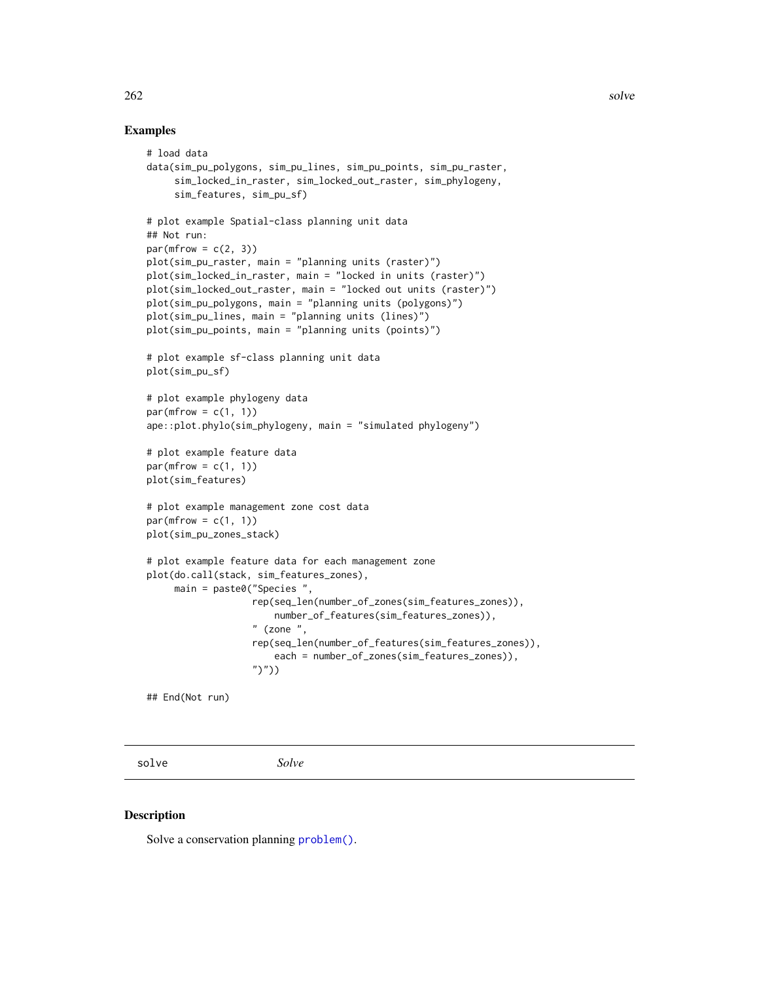# Examples

```
# load data
data(sim_pu_polygons, sim_pu_lines, sim_pu_points, sim_pu_raster,
     sim_locked_in_raster, sim_locked_out_raster, sim_phylogeny,
     sim_features, sim_pu_sf)
# plot example Spatial-class planning unit data
## Not run:
par(mfrow = c(2, 3))plot(sim_pu_raster, main = "planning units (raster)")
plot(sim_locked_in_raster, main = "locked in units (raster)")
plot(sim_locked_out_raster, main = "locked out units (raster)")
plot(sim_pu_polygons, main = "planning units (polygons)")
plot(sim_pu_lines, main = "planning units (lines)")
plot(sim_pu_points, main = "planning units (points)")
# plot example sf-class planning unit data
plot(sim_pu_sf)
# plot example phylogeny data
par(mfrow = c(1, 1))ape::plot.phylo(sim_phylogeny, main = "simulated phylogeny")
# plot example feature data
par(mfrow = c(1, 1))plot(sim_features)
# plot example management zone cost data
par(mfrow = c(1, 1))plot(sim_pu_zones_stack)
# plot example feature data for each management zone
plot(do.call(stack, sim_features_zones),
     main = paste0("Species ",
                   rep(seq_len(number_of_zones(sim_features_zones)),
                       number_of_features(sim_features_zones)),
                   " (zone ",
                   rep(seq_len(number_of_features(sim_features_zones)),
                       each = number_of_zones(sim_features_zones)),
                   ")"))
## End(Not run)
```
solve *Solve*

#### Description

Solve a conservation planning [problem\(\)](#page-238-0).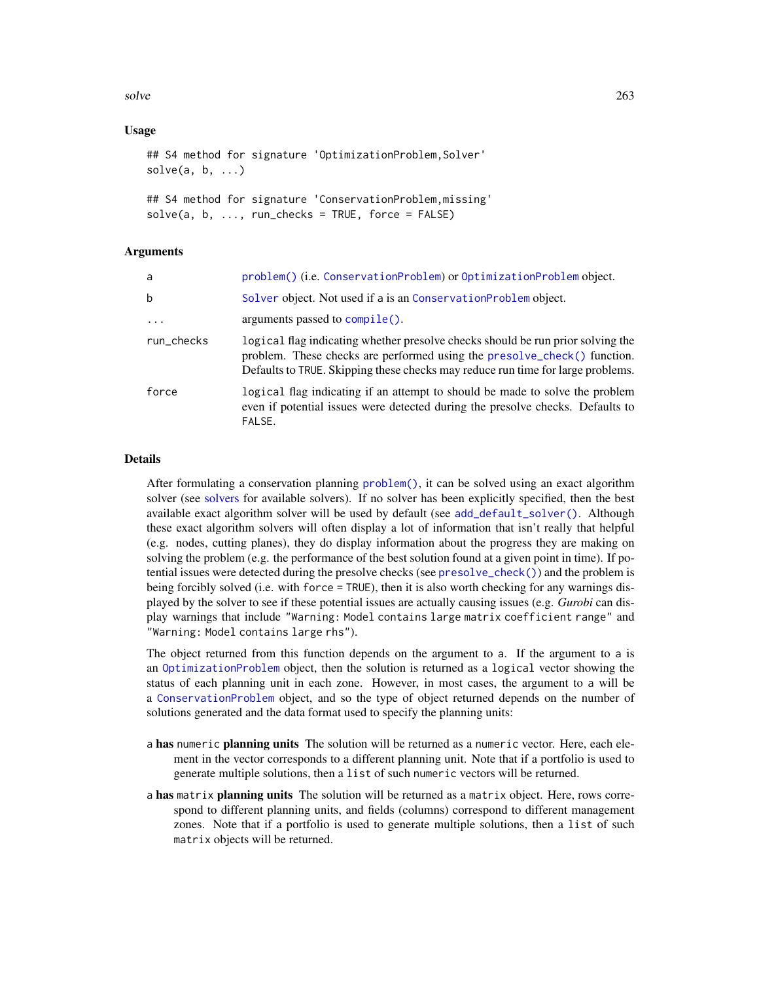<span id="page-262-0"></span>solve 263

# Usage

```
## S4 method for signature 'OptimizationProblem, Solver'
solve(a, b, \ldots)
```

```
## S4 method for signature 'ConservationProblem,missing'
solve(a, b, ..., run_{checks} = TRUE, force = FALSE)
```
# Arguments

| a          | problem() (i.e. ConservationProblem) or OptimizationProblem object.                                                                                                                                                                            |
|------------|------------------------------------------------------------------------------------------------------------------------------------------------------------------------------------------------------------------------------------------------|
| b          | Solver object. Not used if a is an ConservationProblem object.                                                                                                                                                                                 |
| $\ddots$ . | arguments passed to $\text{compile}()$ .                                                                                                                                                                                                       |
| run_checks | logical flag indicating whether presolve checks should be run prior solving the<br>problem. These checks are performed using the presolve_check() function.<br>Defaults to TRUE. Skipping these checks may reduce run time for large problems. |
| force      | logical flag indicating if an attempt to should be made to solve the problem<br>even if potential issues were detected during the presolve checks. Defaults to<br>FALSE.                                                                       |

# Details

After formulating a conservation planning [problem\(\)](#page-238-0), it can be solved using an exact algorithm solver (see [solvers](#page-267-0) for available solvers). If no solver has been explicitly specified, then the best available exact algorithm solver will be used by default (see [add\\_default\\_solver\(\)](#page-33-0). Although these exact algorithm solvers will often display a lot of information that isn't really that helpful (e.g. nodes, cutting planes), they do display information about the progress they are making on solving the problem (e.g. the performance of the best solution found at a given point in time). If potential issues were detected during the presolve checks (see [presolve\\_check\(\)](#page-231-0)) and the problem is being forcibly solved (i.e. with force = TRUE), then it is also worth checking for any warnings displayed by the solver to see if these potential issues are actually causing issues (e.g. *Gurobi* can display warnings that include "Warning: Model contains large matrix coefficient range" and "Warning: Model contains large rhs").

The object returned from this function depends on the argument to a. If the argument to a is an [OptimizationProblem](#page-217-0) object, then the solution is returned as a logical vector showing the status of each planning unit in each zone. However, in most cases, the argument to a will be a [ConservationProblem](#page-141-0) object, and so the type of object returned depends on the number of solutions generated and the data format used to specify the planning units:

- a has numeric planning units The solution will be returned as a numeric vector. Here, each element in the vector corresponds to a different planning unit. Note that if a portfolio is used to generate multiple solutions, then a list of such numeric vectors will be returned.
- a has matrix planning units The solution will be returned as a matrix object. Here, rows correspond to different planning units, and fields (columns) correspond to different management zones. Note that if a portfolio is used to generate multiple solutions, then a list of such matrix objects will be returned.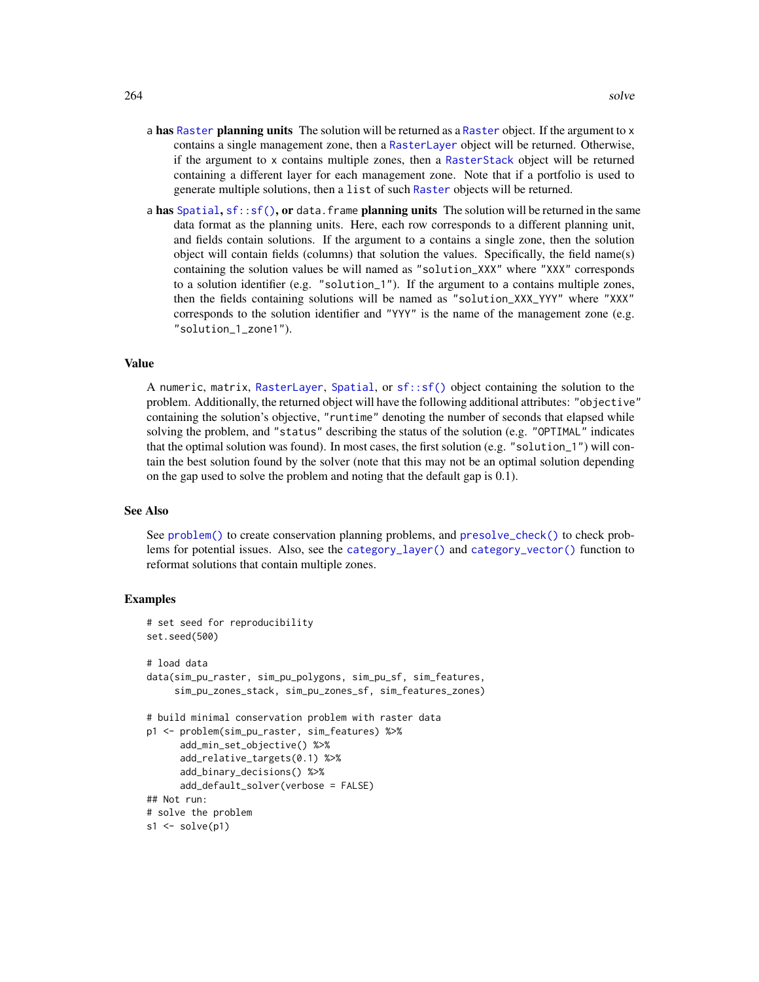- <span id="page-263-0"></span>a has [Raster](#page-0-0) planning units The solution will be returned as a Raster object. If the argument to x contains a single management zone, then a [RasterLayer](#page-0-0) object will be returned. Otherwise, if the argument to x contains multiple zones, then a [RasterStack](#page-0-0) object will be returned containing a different layer for each management zone. Note that if a portfolio is used to generate multiple solutions, then a list of such [Raster](#page-0-0) objects will be returned.
- a has [Spatial](#page-0-0),  $sf::sf()$ , or data. frame planning units The solution will be returned in the same data format as the planning units. Here, each row corresponds to a different planning unit, and fields contain solutions. If the argument to a contains a single zone, then the solution object will contain fields (columns) that solution the values. Specifically, the field name(s) containing the solution values be will named as "solution\_XXX" where "XXX" corresponds to a solution identifier (e.g. "solution\_1"). If the argument to a contains multiple zones, then the fields containing solutions will be named as "solution\_XXX\_YYY" where "XXX" corresponds to the solution identifier and "YYY" is the name of the management zone (e.g. "solution\_1\_zone1").

#### Value

A numeric, matrix, [RasterLayer](#page-0-0), [Spatial](#page-0-0), or [sf::sf\(\)](#page-0-0) object containing the solution to the problem. Additionally, the returned object will have the following additional attributes: "objective" containing the solution's objective, "runtime" denoting the number of seconds that elapsed while solving the problem, and "status" describing the status of the solution (e.g. "OPTIMAL" indicates that the optimal solution was found). In most cases, the first solution (e.g. "solution\_1") will contain the best solution found by the solver (note that this may not be an optimal solution depending on the gap used to solve the problem and noting that the default gap is 0.1).

#### See Also

See [problem\(\)](#page-238-0) to create conservation planning problems, and [presolve\\_check\(\)](#page-231-0) to check problems for potential issues. Also, see the [category\\_layer\(\)](#page-131-0) and [category\\_vector\(\)](#page-132-0) function to reformat solutions that contain multiple zones.

```
# set seed for reproducibility
set.seed(500)
# load data
data(sim_pu_raster, sim_pu_polygons, sim_pu_sf, sim_features,
     sim_pu_zones_stack, sim_pu_zones_sf, sim_features_zones)
# build minimal conservation problem with raster data
p1 <- problem(sim_pu_raster, sim_features) %>%
     add_min_set_objective() %>%
      add_relative_targets(0.1) %>%
      add_binary_decisions() %>%
      add_default_solver(verbose = FALSE)
## Not run:
# solve the problem
s1 \leftarrow solve(p1)
```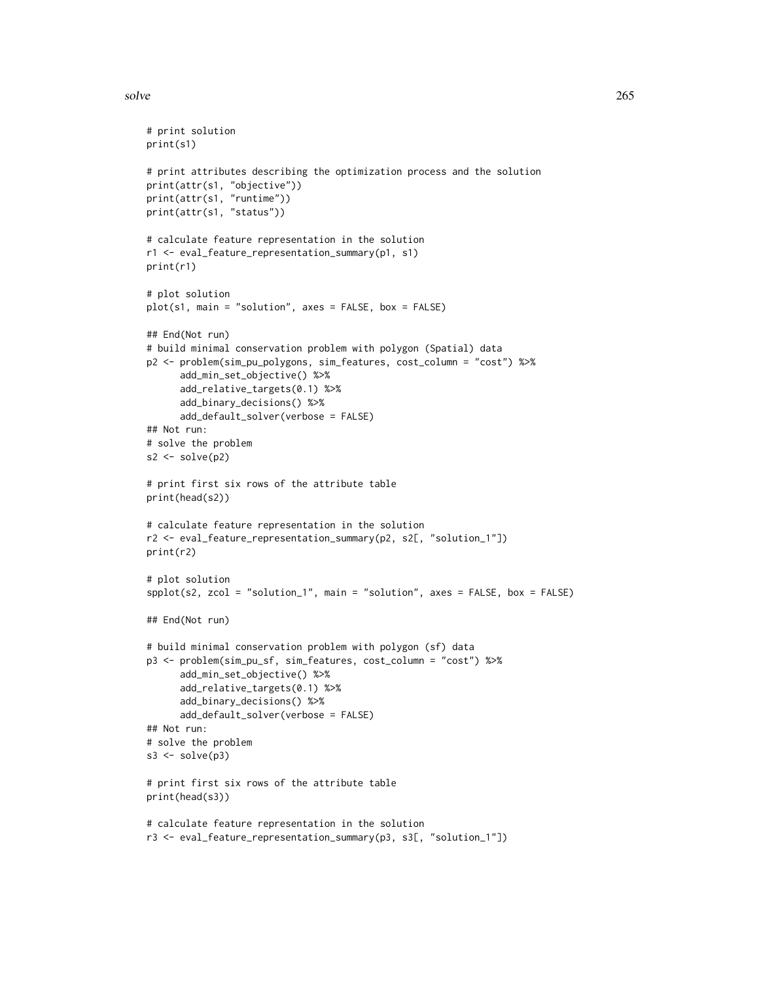#### solve 265

```
# print solution
print(s1)
# print attributes describing the optimization process and the solution
print(attr(s1, "objective"))
print(attr(s1, "runtime"))
print(attr(s1, "status"))
# calculate feature representation in the solution
r1 <- eval_feature_representation_summary(p1, s1)
print(r1)
# plot solution
plot(s1, main = "solution", axes = FALSE, box = FALSE)
## End(Not run)
# build minimal conservation problem with polygon (Spatial) data
p2 <- problem(sim_pu_polygons, sim_features, cost_column = "cost") %>%
      add_min_set_objective() %>%
      add_relative_targets(0.1) %>%
      add_binary_decisions() %>%
      add_default_solver(verbose = FALSE)
## Not run:
# solve the problem
s2 \leftarrow solve(p2)# print first six rows of the attribute table
print(head(s2))
# calculate feature representation in the solution
r2 <- eval_feature_representation_summary(p2, s2[, "solution_1"])
print(r2)
# plot solution
spplot(s2, zcol = "solution_1", main = "solution", axes = FALSE, box = FALSE)
## End(Not run)
# build minimal conservation problem with polygon (sf) data
p3 <- problem(sim_pu_sf, sim_features, cost_column = "cost") %>%
      add_min_set_objective() %>%
      add_relative_targets(0.1) %>%
      add_binary_decisions() %>%
      add_default_solver(verbose = FALSE)
## Not run:
# solve the problem
s3 \leftarrow solve(p3)# print first six rows of the attribute table
print(head(s3))
# calculate feature representation in the solution
r3 <- eval_feature_representation_summary(p3, s3[, "solution_1"])
```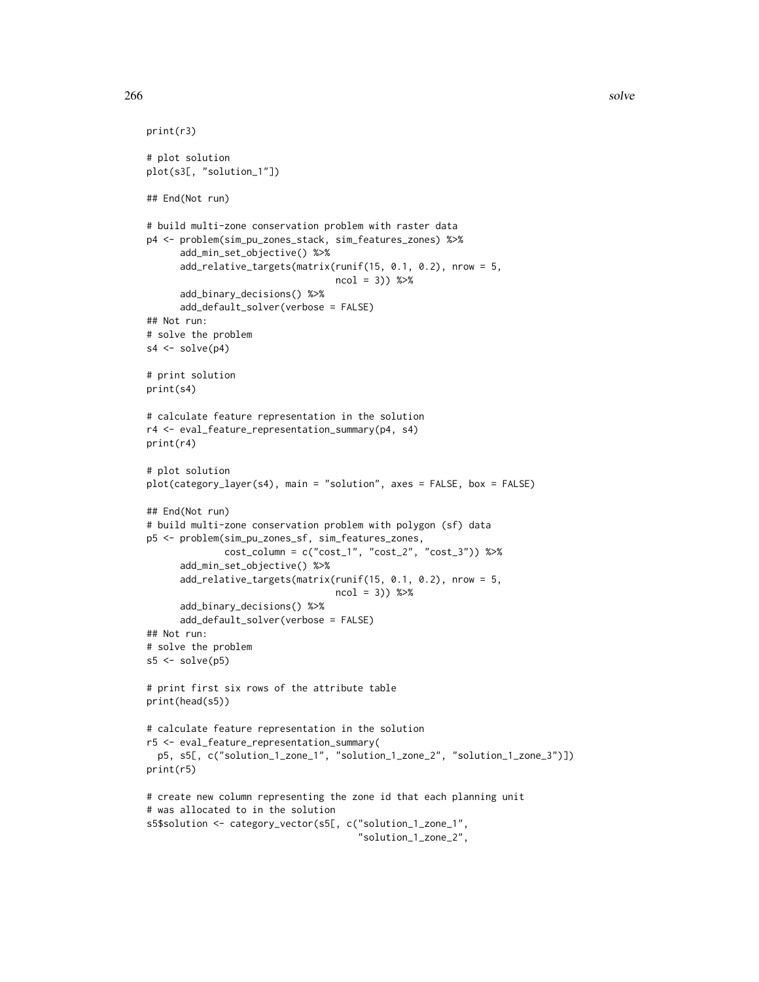```
print(r3)
# plot solution
plot(s3[, "solution_1"])
## End(Not run)
# build multi-zone conservation problem with raster data
p4 <- problem(sim_pu_zones_stack, sim_features_zones) %>%
      add_min_set_objective() %>%
      add_relative_targets(matrix(runif(15, 0.1, 0.2), nrow = 5,
                                  ncol = 3) %>%
      add_binary_decisions() %>%
      add_default_solver(verbose = FALSE)
## Not run:
# solve the problem
s4 \leftarrow solve(p4)# print solution
print(s4)
# calculate feature representation in the solution
r4 <- eval_feature_representation_summary(p4, s4)
print(r4)
# plot solution
plot(category_layer(s4), main = "solution", axes = FALSE, box = FALSE)
## End(Not run)
# build multi-zone conservation problem with polygon (sf) data
p5 <- problem(sim_pu_zones_sf, sim_features_zones,
              cost_column = c("cost_1", "cost_2", "cost_3")) %>%
      add_min_set_objective() %>%
      add_relative_targets(matrix(runif(15, 0.1, 0.2), nrow = 5,
                                  ncol = 3)) %>%
      add_binary_decisions() %>%
      add_default_solver(verbose = FALSE)
## Not run:
# solve the problem
s5 \leq -solve(p5)# print first six rows of the attribute table
print(head(s5))
# calculate feature representation in the solution
r5 <- eval_feature_representation_summary(
  p5, s5[, c("solution_1_zone_1", "solution_1_zone_2", "solution_1_zone_3")])
print(r5)
# create new column representing the zone id that each planning unit
# was allocated to in the solution
s5$solution <- category_vector(s5[, c("solution_1_zone_1",
                                       "solution_1_zone_2",
```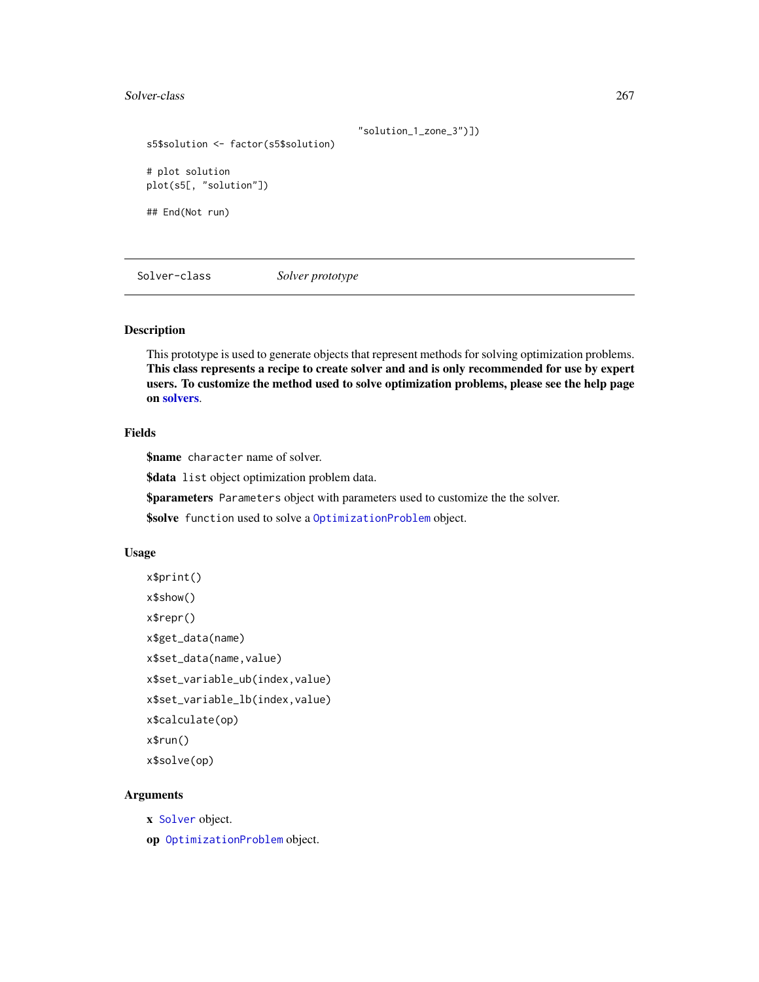#### <span id="page-266-1"></span>Solver-class 267

```
"solution_1_zone_3")])
s5$solution <- factor(s5$solution)
# plot solution
plot(s5[, "solution"])
## End(Not run)
```
<span id="page-266-0"></span>Solver-class *Solver prototype*

#### Description

This prototype is used to generate objects that represent methods for solving optimization problems. This class represents a recipe to create solver and and is only recommended for use by expert users. To customize the method used to solve optimization problems, please see the help page on [solvers](#page-267-0).

# Fields

\$name character name of solver.

\$data list object optimization problem data.

\$parameters Parameters object with parameters used to customize the the solver.

\$solve function used to solve a [OptimizationProblem](#page-217-0) object.

#### Usage

```
x$print()
x$show()
x$repr()
x$get_data(name)
x$set_data(name,value)
x$set_variable_ub(index,value)
x$set_variable_lb(index,value)
x$calculate(op)
x$run()
x$solve(op)
```
# Arguments

x [Solver](#page-266-0) object.

op [OptimizationProblem](#page-217-0) object.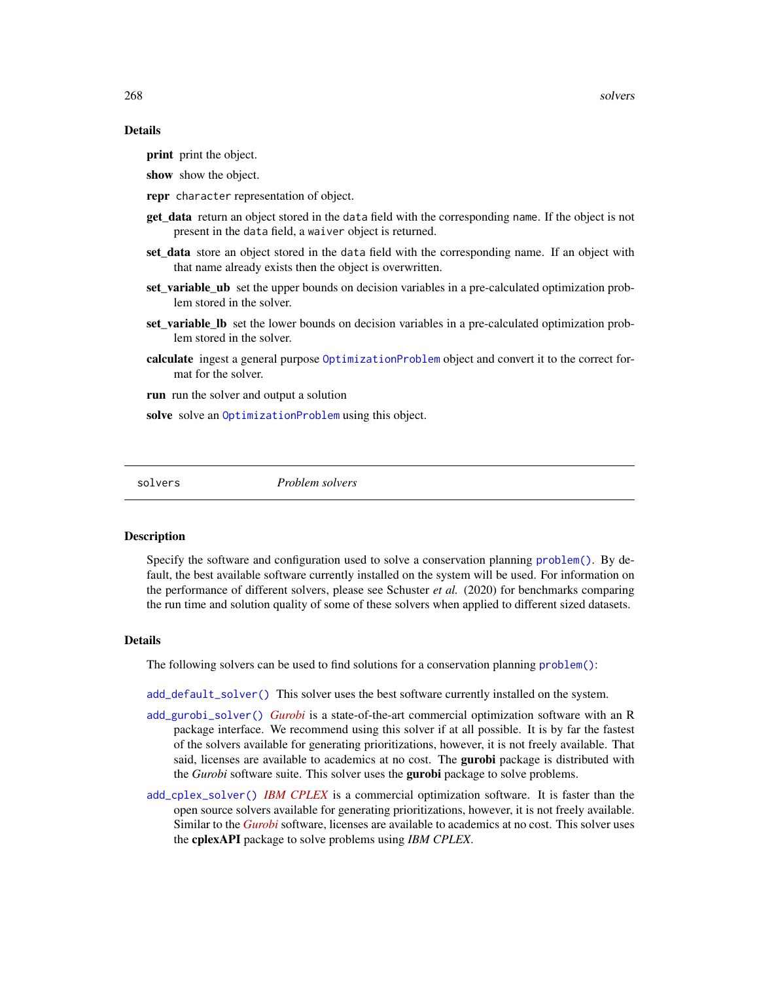#### <span id="page-267-1"></span>Details

print print the object.

show show the object.

- repr character representation of object.
- get\_data return an object stored in the data field with the corresponding name. If the object is not present in the data field, a waiver object is returned.
- set\_data store an object stored in the data field with the corresponding name. If an object with that name already exists then the object is overwritten.
- set variable ub set the upper bounds on decision variables in a pre-calculated optimization problem stored in the solver.
- set variable Ib set the lower bounds on decision variables in a pre-calculated optimization problem stored in the solver.
- calculate ingest a general purpose [OptimizationProblem](#page-217-0) object and convert it to the correct format for the solver.
- run run the solver and output a solution

solve solve an [OptimizationProblem](#page-217-0) using this object.

<span id="page-267-0"></span>solvers *Problem solvers*

#### **Description**

Specify the software and configuration used to solve a conservation planning [problem\(\)](#page-238-0). By default, the best available software currently installed on the system will be used. For information on the performance of different solvers, please see Schuster *et al.* (2020) for benchmarks comparing the run time and solution quality of some of these solvers when applied to different sized datasets.

#### Details

The following solvers can be used to find solutions for a conservation planning [problem\(\)](#page-238-0):

[add\\_default\\_solver\(\)](#page-33-0) This solver uses the best software currently installed on the system.

- [add\\_gurobi\\_solver\(\)](#page-46-0) *[Gurobi](https://www.gurobi.com/)* is a state-of-the-art commercial optimization software with an R package interface. We recommend using this solver if at all possible. It is by far the fastest of the solvers available for generating prioritizations, however, it is not freely available. That said, licenses are available to academics at no cost. The gurobi package is distributed with the *Gurobi* software suite. This solver uses the gurobi package to solve problems.
- [add\\_cplex\\_solver\(\)](#page-29-0) *[IBM CPLEX](https://www.ibm.com/analytics/cplex-optimizer)* is a commercial optimization software. It is faster than the open source solvers available for generating prioritizations, however, it is not freely available. Similar to the *[Gurobi](https://www.gurobi.com/)* software, licenses are available to academics at no cost. This solver uses the cplexAPI package to solve problems using *IBM CPLEX*.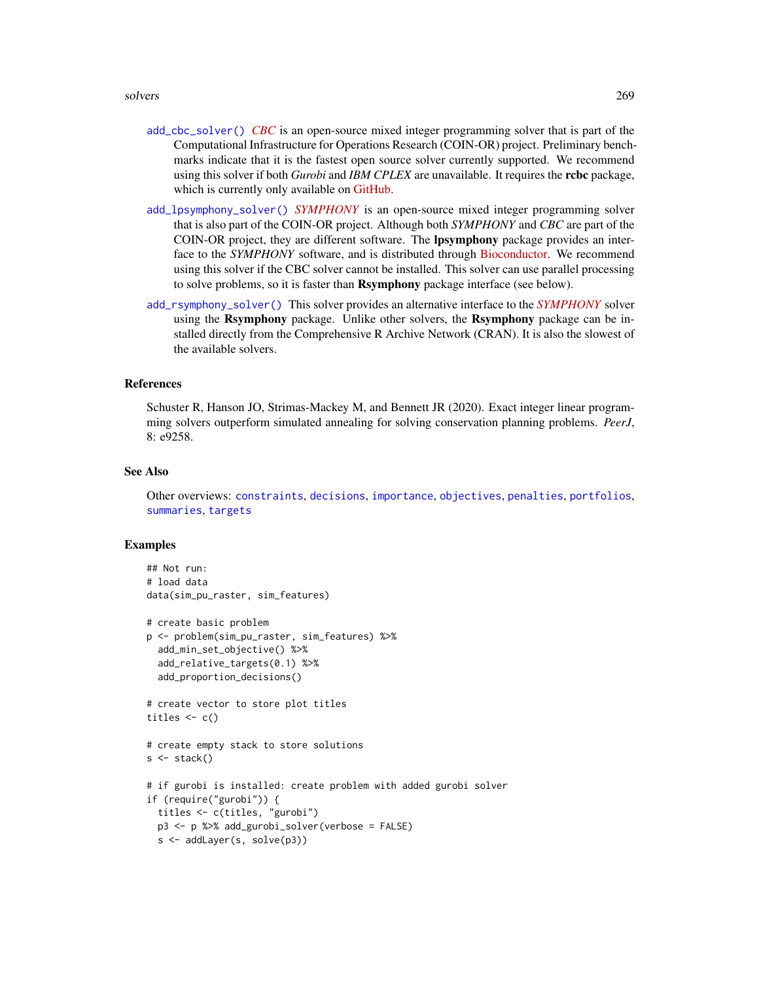#### <span id="page-268-0"></span>solvers 269

- [add\\_cbc\\_solver\(\)](#page-14-0) *[CBC](https://projects.coin-or.org/Cbc)* is an open-source mixed integer programming solver that is part of the Computational Infrastructure for Operations Research (COIN-OR) project. Preliminary benchmarks indicate that it is the fastest open source solver currently supported. We recommend using this solver if both *Gurobi* and *IBM CPLEX* are unavailable. It requires the rcbc package, which is currently only available on [GitHub.](https://github.com/dirkschumacher/rcbc)
- [add\\_lpsymphony\\_solver\(\)](#page-70-0) *[SYMPHONY](https://projects.coin-or.org/SYMPHONY)* is an open-source mixed integer programming solver that is also part of the COIN-OR project. Although both *SYMPHONY* and *CBC* are part of the COIN-OR project, they are different software. The lpsymphony package provides an interface to the *SYMPHONY* software, and is distributed through [Bioconductor.](https://doi.org/doi:10.18129/B9.bioc.lpsymphony) We recommend using this solver if the CBC solver cannot be installed. This solver can use parallel processing to solve problems, so it is faster than **Rsymphony** package interface (see below).
- [add\\_rsymphony\\_solver\(\)](#page-113-0) This solver provides an alternative interface to the *[SYMPHONY](https://projects.coin-or.org/SYMPHONY)* solver using the Rsymphony package. Unlike other solvers, the Rsymphony package can be installed directly from the Comprehensive R Archive Network (CRAN). It is also the slowest of the available solvers.

#### References

Schuster R, Hanson JO, Strimas-Mackey M, and Bennett JR (2020). Exact integer linear programming solvers outperform simulated annealing for solving conservation planning problems. *PeerJ*, 8: e9258.

#### See Also

Other overviews: [constraints](#page-145-0), [decisions](#page-147-0), [importance](#page-195-0), [objectives](#page-215-0), [penalties](#page-224-0), [portfolios](#page-227-0), [summaries](#page-269-0), [targets](#page-271-0)

```
## Not run:
# load data
data(sim_pu_raster, sim_features)
# create basic problem
p <- problem(sim_pu_raster, sim_features) %>%
 add_min_set_objective() %>%
 add_relative_targets(0.1) %>%
 add_proportion_decisions()
# create vector to store plot titles
titles \leftarrow c()
# create empty stack to store solutions
s \leftarrow stack()
# if gurobi is installed: create problem with added gurobi solver
if (require("gurobi")) {
 titles <- c(titles, "gurobi")
 p3 <- p %>% add_gurobi_solver(verbose = FALSE)
 s <- addLayer(s, solve(p3))
```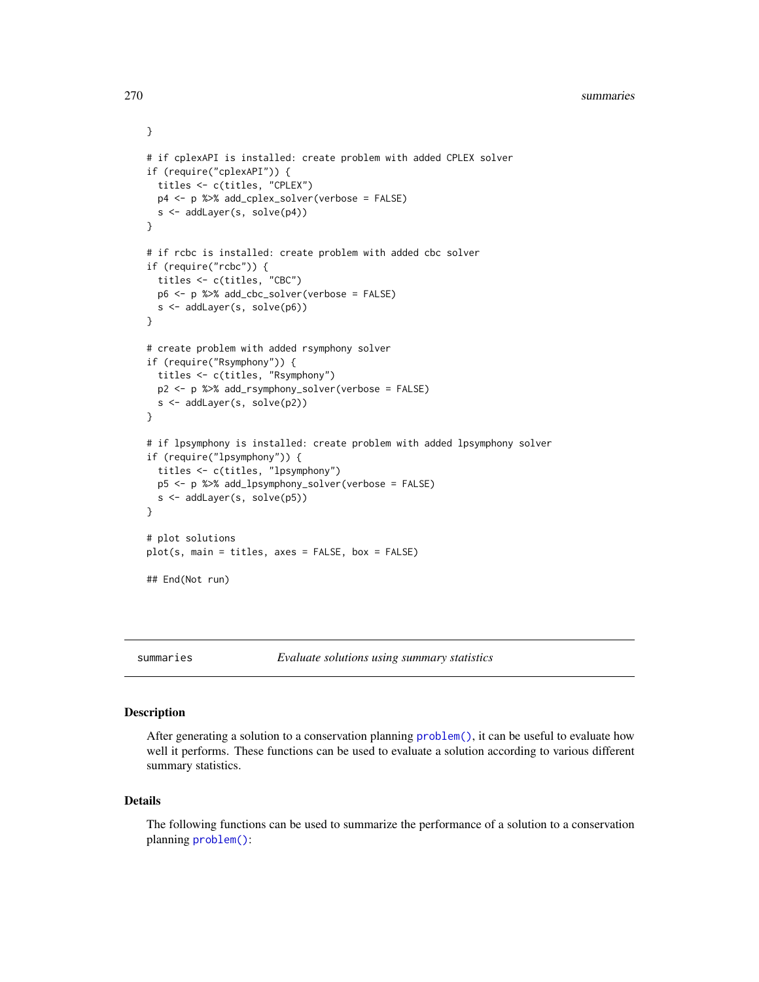```
# if cplexAPI is installed: create problem with added CPLEX solver
if (require("cplexAPI")) {
 titles <- c(titles, "CPLEX")
 p4 <- p %>% add_cplex_solver(verbose = FALSE)
 s <- addLayer(s, solve(p4))
}
# if rcbc is installed: create problem with added cbc solver
if (require("rcbc")) {
 titles <- c(titles, "CBC")
 p6 <- p %>% add_cbc_solver(verbose = FALSE)
 s <- addLayer(s, solve(p6))
}
# create problem with added rsymphony solver
if (require("Rsymphony")) {
 titles <- c(titles, "Rsymphony")
 p2 <- p %>% add_rsymphony_solver(verbose = FALSE)
 s <- addLayer(s, solve(p2))
}
# if lpsymphony is installed: create problem with added lpsymphony solver
if (require("lpsymphony")) {
 titles <- c(titles, "lpsymphony")
 p5 <- p %>% add_lpsymphony_solver(verbose = FALSE)
 s <- addLayer(s, solve(p5))
}
# plot solutions
plot(s, main = titles, axes = FALSE, box = FALSE)
## End(Not run)
```
<span id="page-269-0"></span>

summaries *Evaluate solutions using summary statistics*

#### **Description**

After generating a solution to a conservation planning [problem\(\)](#page-238-0), it can be useful to evaluate how well it performs. These functions can be used to evaluate a solution according to various different summary statistics.

#### Details

The following functions can be used to summarize the performance of a solution to a conservation planning [problem\(\)](#page-238-0):

<span id="page-269-1"></span>

}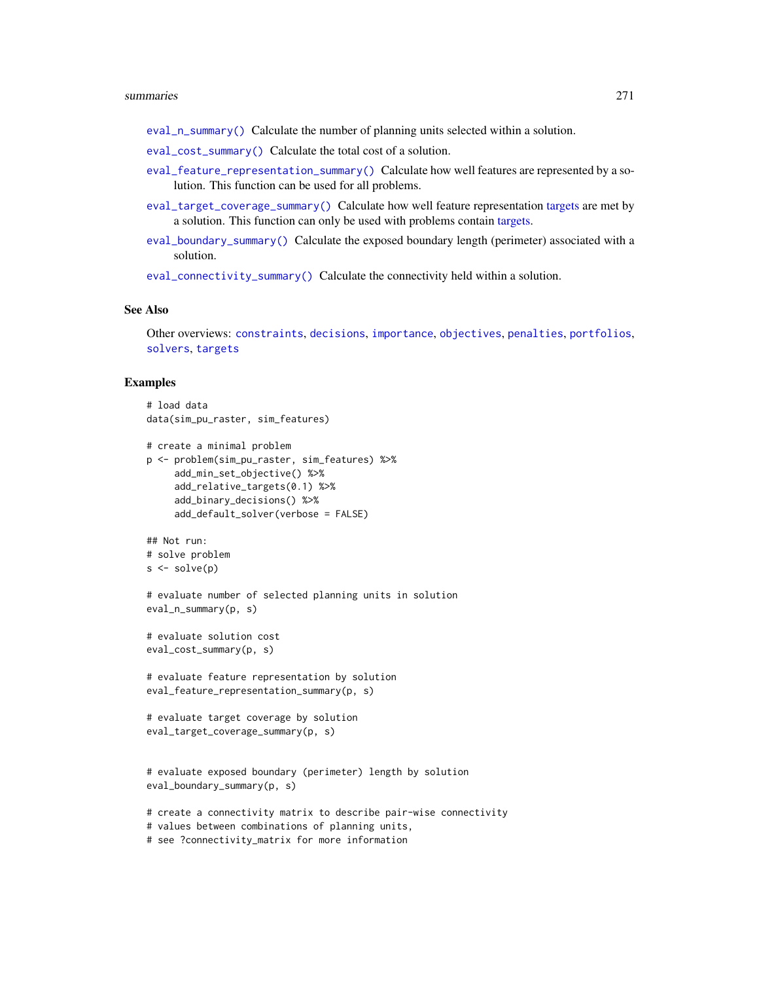#### <span id="page-270-0"></span>summaries 271

- [eval\\_n\\_summary\(\)](#page-173-0) Calculate the number of planning units selected within a solution.
- [eval\\_cost\\_summary\(\)](#page-160-0) Calculate the total cost of a solution.
- [eval\\_feature\\_representation\\_summary\(\)](#page-164-0) Calculate how well features are represented by a solution. This function can be used for all problems.
- [eval\\_target\\_coverage\\_summary\(\)](#page-185-0) Calculate how well feature representation [targets](#page-271-0) are met by a solution. This function can only be used with problems contain [targets.](#page-271-0)
- [eval\\_boundary\\_summary\(\)](#page-149-0) Calculate the exposed boundary length (perimeter) associated with a solution.

[eval\\_connectivity\\_summary\(\)](#page-155-0) Calculate the connectivity held within a solution.

#### See Also

Other overviews: [constraints](#page-145-0), [decisions](#page-147-0), [importance](#page-195-0), [objectives](#page-215-0), [penalties](#page-224-0), [portfolios](#page-227-0), [solvers](#page-267-0), [targets](#page-271-0)

```
# load data
data(sim_pu_raster, sim_features)
# create a minimal problem
p <- problem(sim_pu_raster, sim_features) %>%
     add_min_set_objective() %>%
     add_relative_targets(0.1) %>%
     add_binary_decisions() %>%
     add_default_solver(verbose = FALSE)
## Not run:
# solve problem
s \leftarrow solve(p)# evaluate number of selected planning units in solution
eval_n_summary(p, s)
# evaluate solution cost
eval_cost_summary(p, s)
# evaluate feature representation by solution
eval_feature_representation_summary(p, s)
# evaluate target coverage by solution
eval_target_coverage_summary(p, s)
# evaluate exposed boundary (perimeter) length by solution
eval_boundary_summary(p, s)
# create a connectivity matrix to describe pair-wise connectivity
# values between combinations of planning units,
```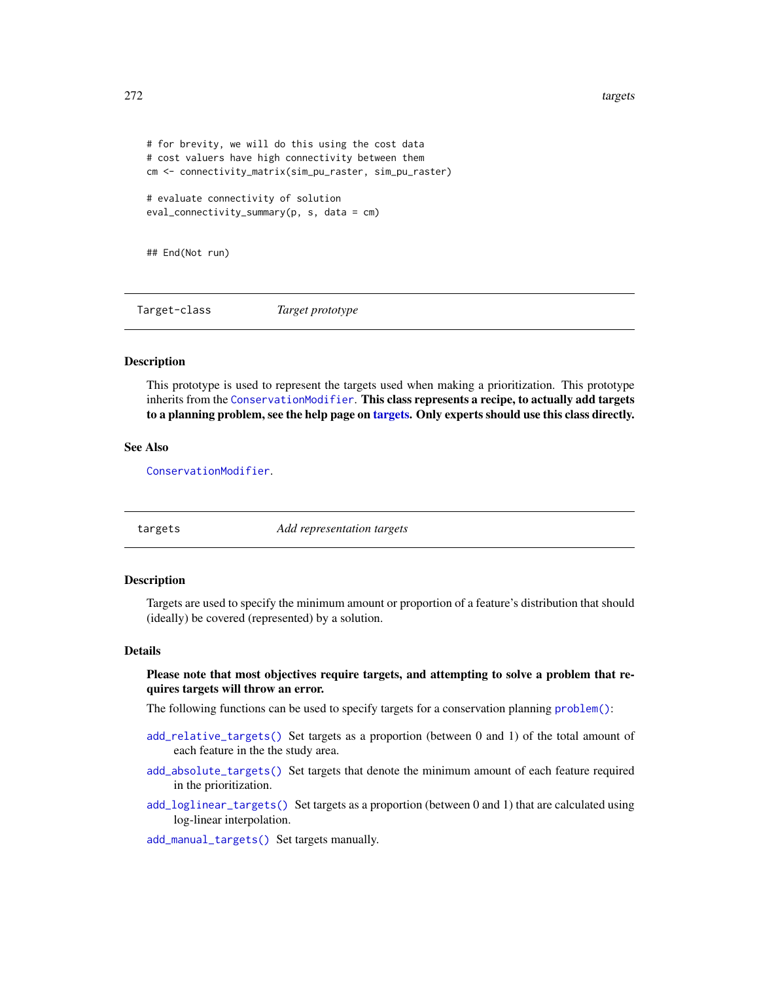```
# for brevity, we will do this using the cost data
# cost valuers have high connectivity between them
cm <- connectivity_matrix(sim_pu_raster, sim_pu_raster)
# evaluate connectivity of solution
eval_connectivity_summary(p, s, data = cm)
```
## End(Not run)

Target-class *Target prototype*

# Description

This prototype is used to represent the targets used when making a prioritization. This prototype inherits from the [ConservationModifier](#page-139-0). This class represents a recipe, to actually add targets to a planning problem, see the help page on [targets.](#page-271-0) Only experts should use this class directly.

#### See Also

[ConservationModifier](#page-139-0).

<span id="page-271-0"></span>targets *Add representation targets*

# Description

Targets are used to specify the minimum amount or proportion of a feature's distribution that should (ideally) be covered (represented) by a solution.

#### Details

# Please note that most objectives require targets, and attempting to solve a problem that requires targets will throw an error.

The following functions can be used to specify targets for a conservation planning [problem\(\)](#page-238-0):

- [add\\_relative\\_targets\(\)](#page-111-0) Set targets as a proportion (between 0 and 1) of the total amount of each feature in the the study area.
- [add\\_absolute\\_targets\(\)](#page-5-0) Set targets that denote the minimum amount of each feature required in the prioritization.
- [add\\_loglinear\\_targets\(\)](#page-68-0) Set targets as a proportion (between 0 and 1) that are calculated using log-linear interpolation.

[add\\_manual\\_targets\(\)](#page-79-0) Set targets manually.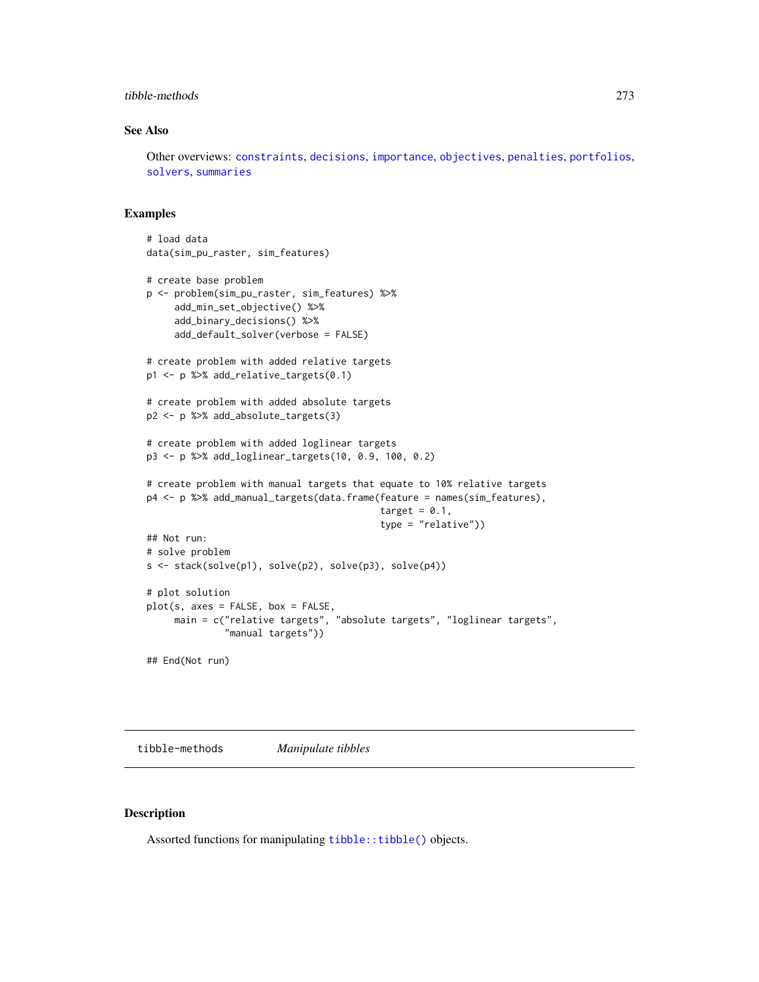# <span id="page-272-0"></span>tibble-methods 273

# See Also

Other overviews: [constraints](#page-145-0), [decisions](#page-147-0), [importance](#page-195-0), [objectives](#page-215-0), [penalties](#page-224-0), [portfolios](#page-227-0), [solvers](#page-267-0), [summaries](#page-269-0)

# Examples

```
# load data
data(sim_pu_raster, sim_features)
# create base problem
p <- problem(sim_pu_raster, sim_features) %>%
     add_min_set_objective() %>%
     add_binary_decisions() %>%
     add_default_solver(verbose = FALSE)
# create problem with added relative targets
p1 <- p %>% add_relative_targets(0.1)
# create problem with added absolute targets
p2 <- p %>% add_absolute_targets(3)
# create problem with added loglinear targets
p3 <- p %>% add_loglinear_targets(10, 0.9, 100, 0.2)
# create problem with manual targets that equate to 10% relative targets
p4 <- p %>% add_manual_targets(data.frame(feature = names(sim_features),
                                          target = 0.1,
                                          type = "relative"))
## Not run:
# solve problem
s <- stack(solve(p1), solve(p2), solve(p3), solve(p4))
# plot solution
plot(s, axes = FALSE, box = FALSE,
     main = c("relative targets", "absolute targets", "loglinear targets",
              "manual targets"))
## End(Not run)
```
tibble-methods *Manipulate tibbles*

#### Description

Assorted functions for manipulating [tibble::tibble\(\)](#page-0-0) objects.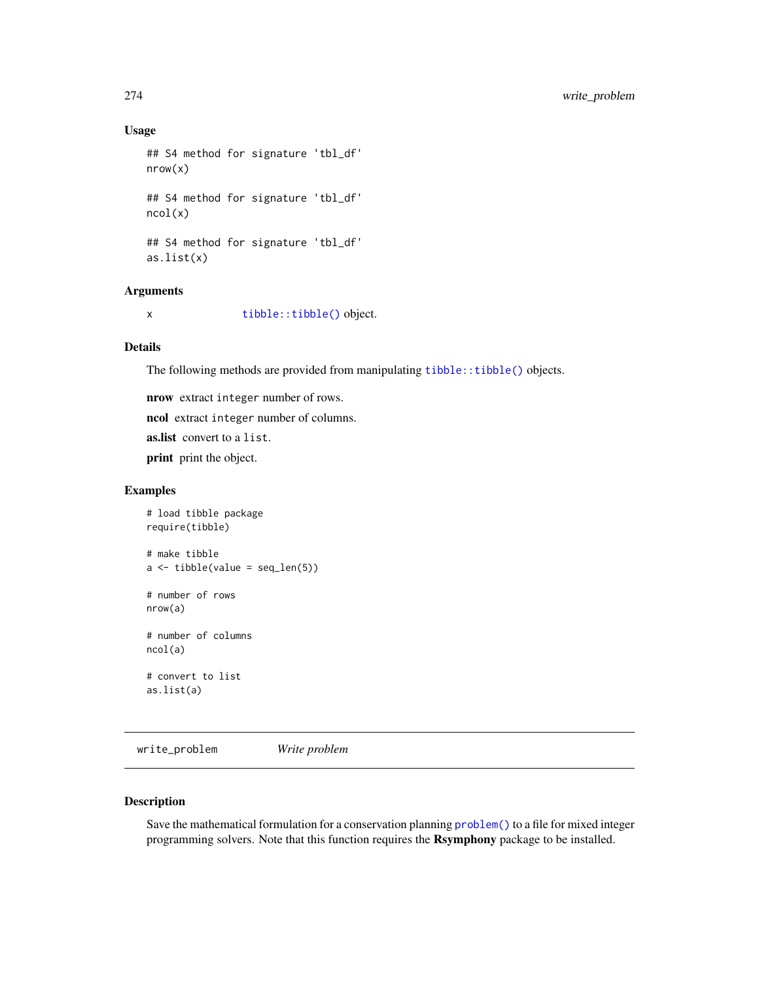# Usage

```
## S4 method for signature 'tbl_df'
nrow(x)
## S4 method for signature 'tbl_df'
ncol(x)
## S4 method for signature 'tbl_df'
as.list(x)
```
# Arguments

x [tibble::tibble\(\)](#page-0-0) object.

# Details

The following methods are provided from manipulating [tibble::tibble\(\)](#page-0-0) objects.

nrow extract integer number of rows.

ncol extract integer number of columns.

as.list convert to a list.

print print the object.

# Examples

```
# load tibble package
require(tibble)
# make tibble
a \leftarrow \text{tible}(\text{value} = \text{seq\_len}(5))# number of rows
nrow(a)
# number of columns
ncol(a)
# convert to list
as.list(a)
```
write\_problem *Write problem*

#### Description

Save the mathematical formulation for a conservation planning [problem\(\)](#page-238-0) to a file for mixed integer programming solvers. Note that this function requires the Rsymphony package to be installed.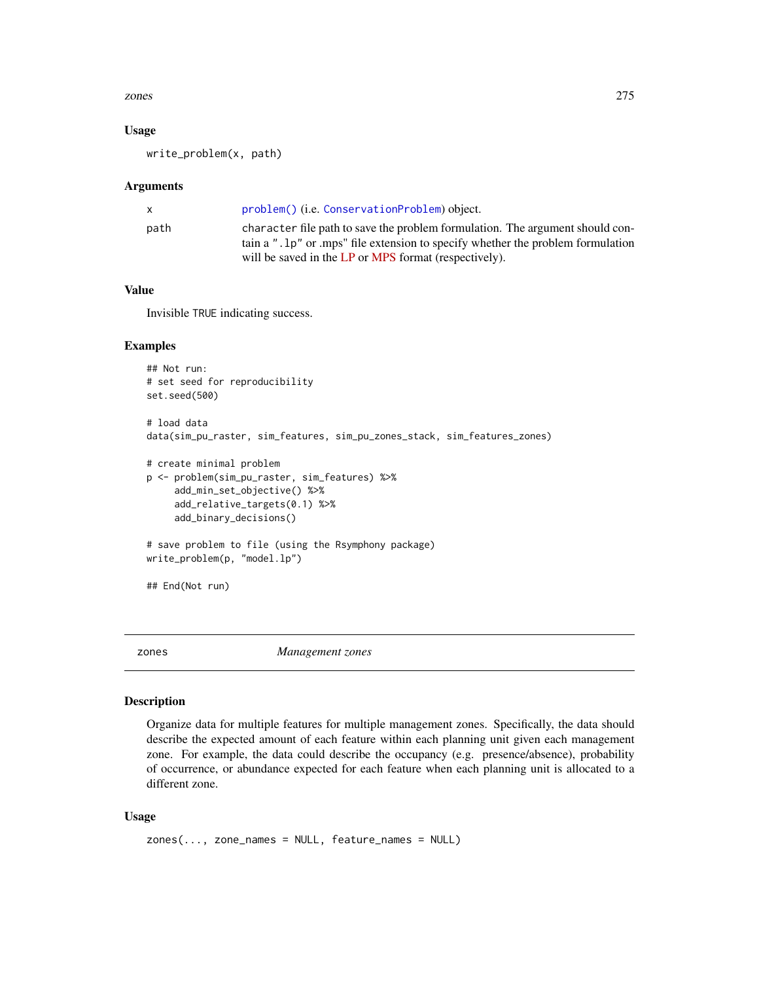#### <span id="page-274-1"></span>zones 275

# Usage

write\_problem(x, path)

#### **Arguments**

|      | problem() (i.e. ConservationProblem) object.                                     |
|------|----------------------------------------------------------------------------------|
| path | character file path to save the problem formulation. The argument should con-    |
|      | tain a ". 1p" or .mps" file extension to specify whether the problem formulation |
|      | will be saved in the LP or MPS format (respectively).                            |

#### Value

Invisible TRUE indicating success.

# Examples

```
## Not run:
# set seed for reproducibility
set.seed(500)
# load data
data(sim_pu_raster, sim_features, sim_pu_zones_stack, sim_features_zones)
# create minimal problem
p <- problem(sim_pu_raster, sim_features) %>%
     add_min_set_objective() %>%
     add_relative_targets(0.1) %>%
     add_binary_decisions()
# save problem to file (using the Rsymphony package)
write_problem(p, "model.lp")
## End(Not run)
```

```
zones Management zones
```
# <span id="page-274-0"></span>Description

Organize data for multiple features for multiple management zones. Specifically, the data should describe the expected amount of each feature within each planning unit given each management zone. For example, the data could describe the occupancy (e.g. presence/absence), probability of occurrence, or abundance expected for each feature when each planning unit is allocated to a different zone.

#### Usage

```
zones(..., zone_names = NULL, feature_names = NULL)
```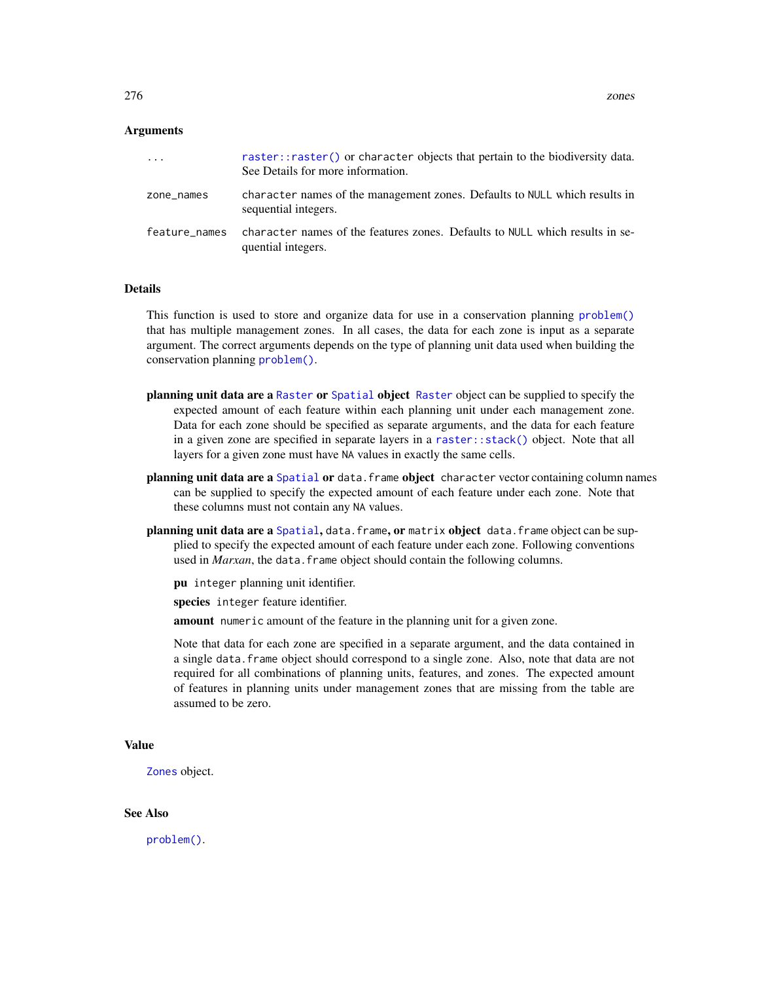# **Arguments**

| .             | raster::raster() or character objects that pertain to the biodiversity data.<br>See Details for more information. |
|---------------|-------------------------------------------------------------------------------------------------------------------|
| zone_names    | character names of the management zones. Defaults to NULL which results in<br>sequential integers.                |
| feature names | character names of the features zones. Defaults to NULL which results in se-<br>quential integers.                |

# Details

This function is used to store and organize data for use in a conservation planning [problem\(\)](#page-238-0) that has multiple management zones. In all cases, the data for each zone is input as a separate argument. The correct arguments depends on the type of planning unit data used when building the conservation planning [problem\(\)](#page-238-0).

- planning unit data are a [Raster](#page-0-0) or [Spatial](#page-0-0) object Raster object can be supplied to specify the expected amount of each feature within each planning unit under each management zone. Data for each zone should be specified as separate arguments, and the data for each feature in a given zone are specified in separate layers in a [raster::stack\(\)](#page-0-0) object. Note that all layers for a given zone must have NA values in exactly the same cells.
- planning unit data are a [Spatial](#page-0-0) or data. frame object character vector containing column names can be supplied to specify the expected amount of each feature under each zone. Note that these columns must not contain any NA values.
- planning unit data are a [Spatial](#page-0-0), data.frame, or matrix object data.frame object can be supplied to specify the expected amount of each feature under each zone. Following conventions used in *Marxan*, the data. frame object should contain the following columns.
	- pu integer planning unit identifier.

species integer feature identifier.

amount numeric amount of the feature in the planning unit for a given zone.

Note that data for each zone are specified in a separate argument, and the data contained in a single data.frame object should correspond to a single zone. Also, note that data are not required for all combinations of planning units, features, and zones. The expected amount of features in planning units under management zones that are missing from the table are assumed to be zero.

#### Value

[Zones](#page-274-0) object.

# See Also

[problem\(\)](#page-238-0).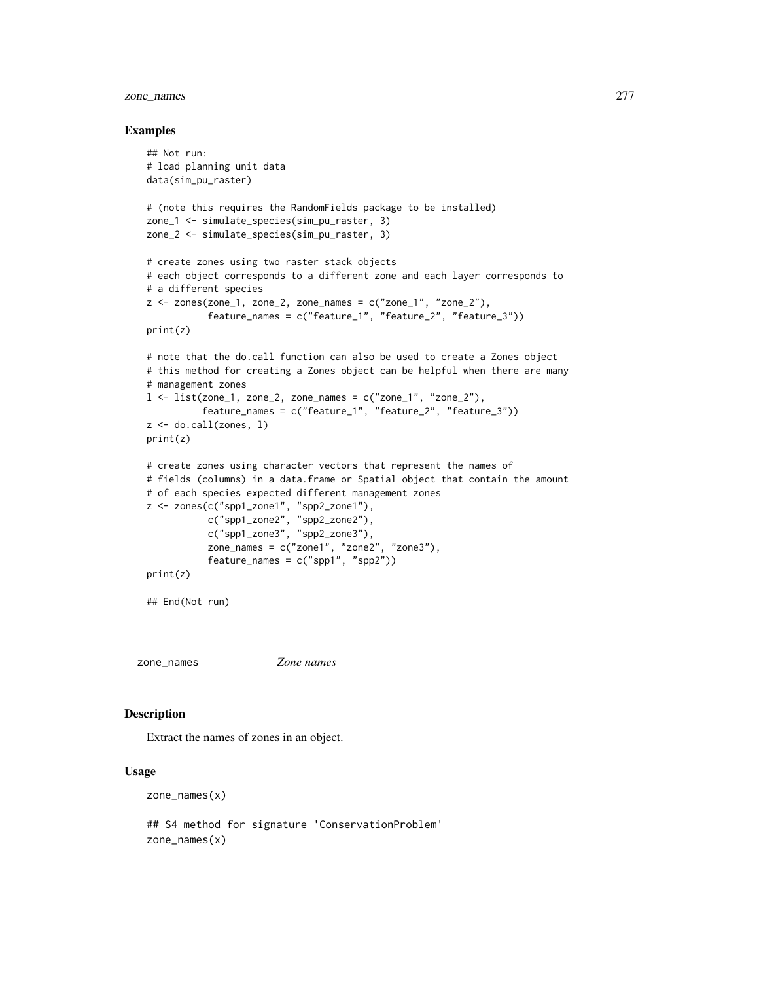# zone\_names 277

#### Examples

```
## Not run:
# load planning unit data
data(sim_pu_raster)
# (note this requires the RandomFields package to be installed)
zone_1 <- simulate_species(sim_pu_raster, 3)
zone_2 <- simulate_species(sim_pu_raster, 3)
# create zones using two raster stack objects
# each object corresponds to a different zone and each layer corresponds to
# a different species
z \le zones(zone_1, zone_2, zone_names = c("zone_1", "zone_2"),feature_names = c("feature_1", "feature_2", "feature_3"))
print(z)
# note that the do.call function can also be used to create a Zones object
# this method for creating a Zones object can be helpful when there are many
# management zones
l \le list(zone_1, zone_2, zone_names = c("zone_1", "zone_2"),feature_names = c("feature_1", "feature_2", "feature_3"))
z \leftarrow do.call(zones, 1)
print(z)
# create zones using character vectors that represent the names of
# fields (columns) in a data.frame or Spatial object that contain the amount
# of each species expected different management zones
z <- zones(c("spp1_zone1", "spp2_zone1"),
           c("spp1_zone2", "spp2_zone2"),
           c("spp1_zone3", "spp2_zone3"),
           zone_names = c("zone1", "zone2", "zone3"),
           feature_names = c("spp1", "spp2"))
print(z)
## End(Not run)
```
zone\_names *Zone names*

#### Description

Extract the names of zones in an object.

#### Usage

zone\_names(x)

## S4 method for signature 'ConservationProblem' zone\_names(x)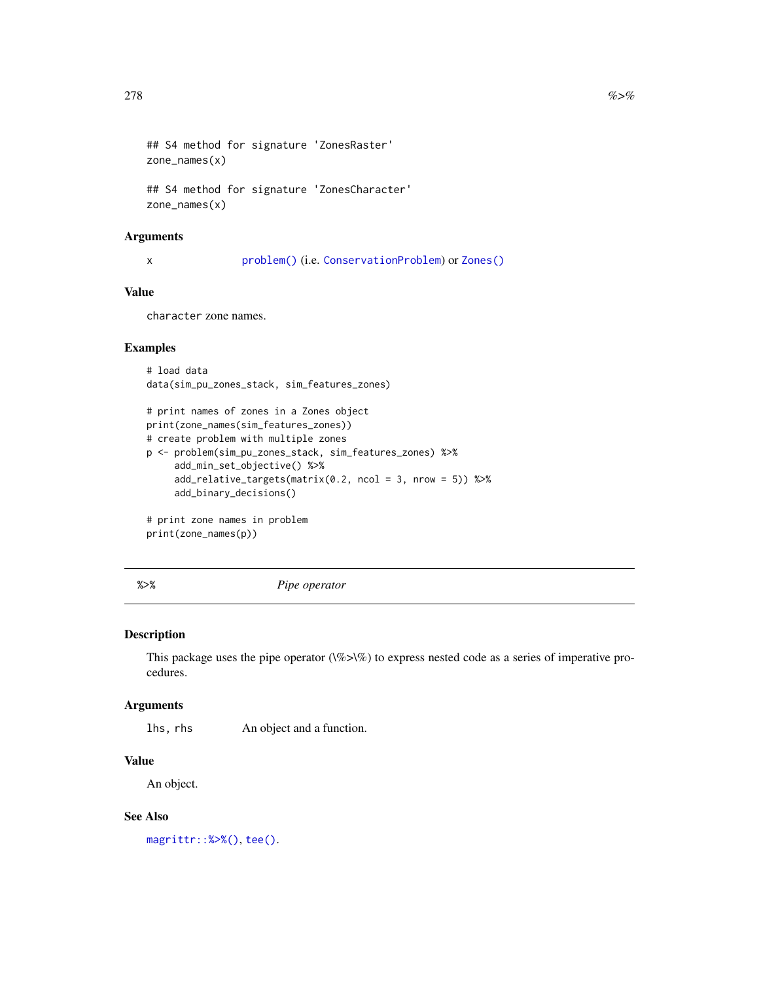```
## S4 method for signature 'ZonesRaster'
zone_names(x)
```
## S4 method for signature 'ZonesCharacter' zone\_names(x)

# Arguments

x [problem\(\)](#page-238-0) (i.e. [ConservationProblem](#page-141-0)) or [Zones\(\)](#page-274-0)

# Value

character zone names.

# Examples

```
# load data
data(sim_pu_zones_stack, sim_features_zones)
```

```
# print names of zones in a Zones object
print(zone_names(sim_features_zones))
# create problem with multiple zones
p <- problem(sim_pu_zones_stack, sim_features_zones) %>%
     add_min_set_objective() %>%
     add_relative_targets(matrix(0.2, ncol = 3, nrow = 5)) %>%
     add_binary_decisions()
# print zone names in problem
```
print(zone\_names(p))

%>% *Pipe operator*

# <span id="page-277-0"></span>Description

This package uses the pipe operator  $(\%>\%)$  to express nested code as a series of imperative procedures.

# Arguments

lhs, rhs An object and a function.

# Value

An object.

# See Also

[magrittr::%>%\(\)](#page-0-0), [tee\(\)](#page-278-0).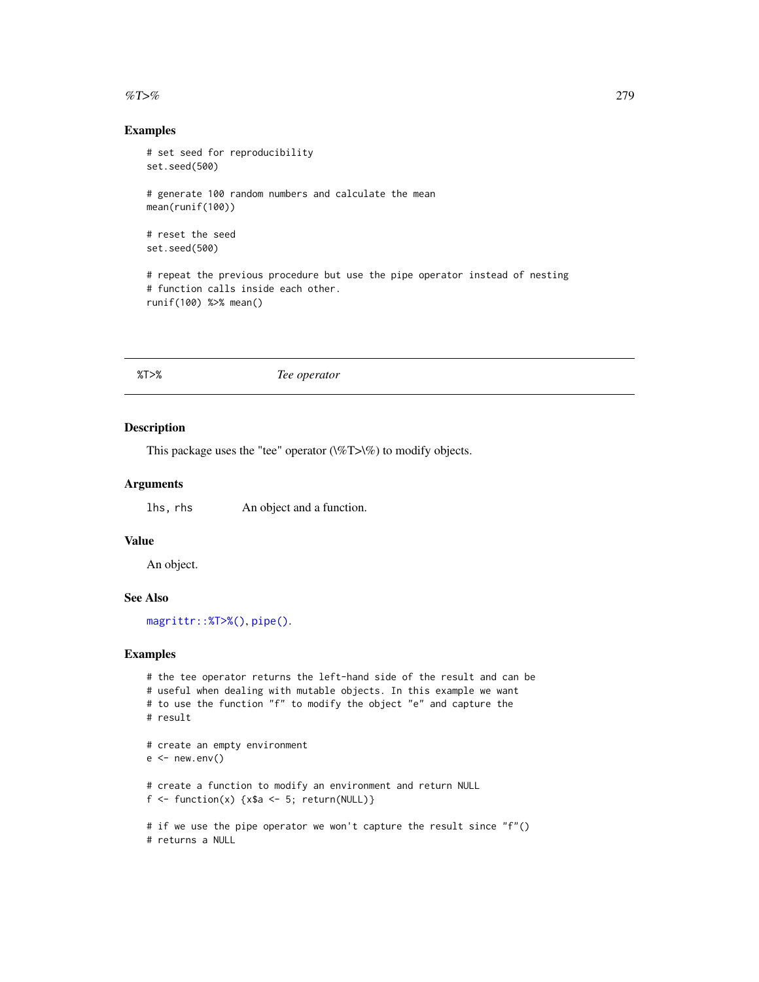#### <span id="page-278-1"></span>% T>% 279

# Examples

```
# set seed for reproducibility
set.seed(500)
# generate 100 random numbers and calculate the mean
mean(runif(100))
# reset the seed
set.seed(500)
# repeat the previous procedure but use the pipe operator instead of nesting
# function calls inside each other.
runif(100) %>% mean()
```
%T>% *Tee operator*

# <span id="page-278-0"></span>Description

This package uses the "tee" operator  $(\%T> \%)$  to modify objects.

# Arguments

lhs, rhs An object and a function.

# Value

An object.

# See Also

[magrittr::%T>%\(\)](#page-0-0), [pipe\(\)](#page-277-0).

```
# the tee operator returns the left-hand side of the result and can be
# useful when dealing with mutable objects. In this example we want
# to use the function "f" to modify the object "e" and capture the
# result
# create an empty environment
e < - new.env()
# create a function to modify an environment and return NULL
f \leftarrow function(x) \{x\a <- 5; return(NULL)}
# if we use the pipe operator we won't capture the result since "f"()
# returns a NULL
```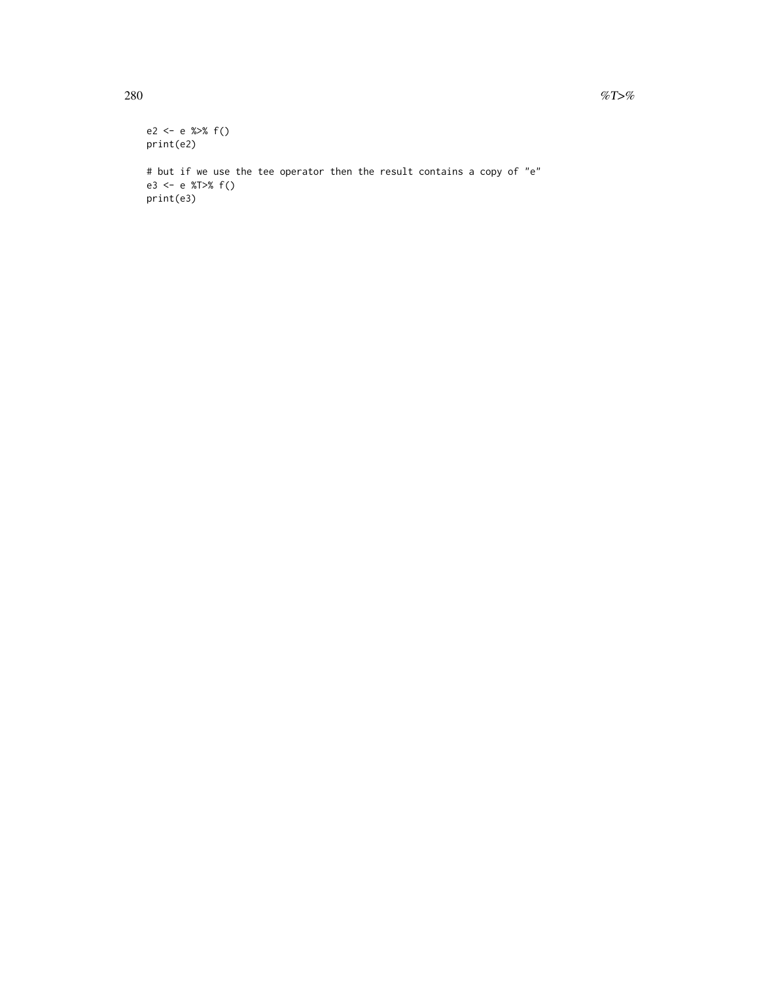```
e2 <- e %>% f()
print(e2)
# but if we use the tee operator then the result contains a copy of "e"
e3 <- e %T>% f()
print(e3)
```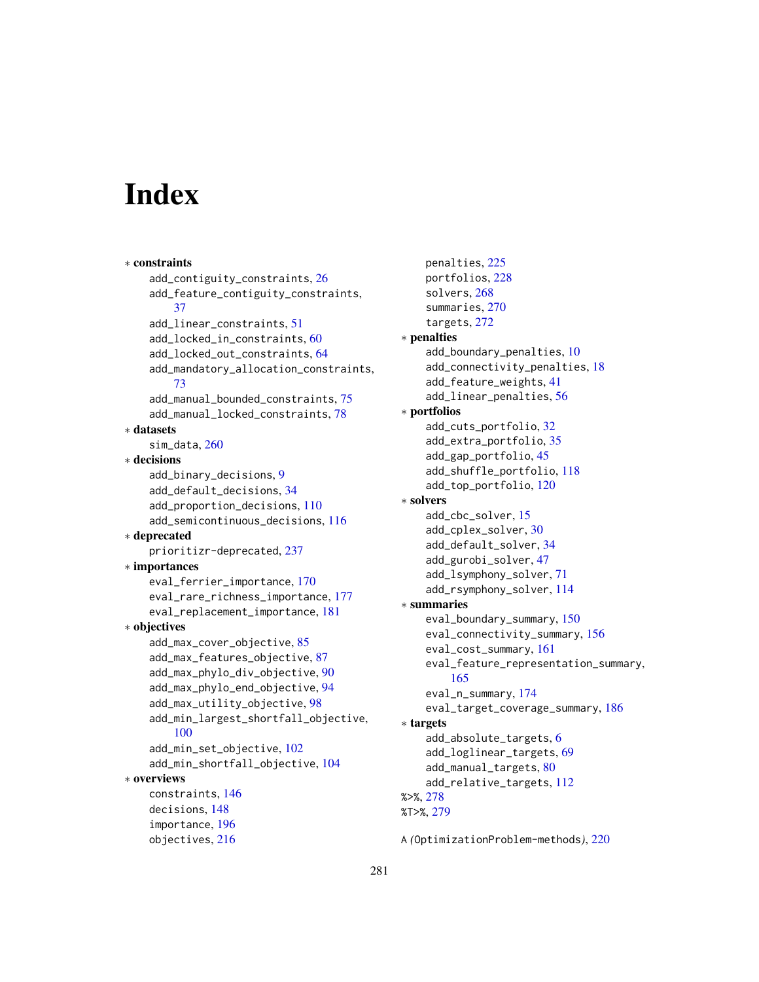# **Index**

∗ constraints add\_contiguity\_constraints, [26](#page-25-0) add\_feature\_contiguity\_constraints, [37](#page-36-0) add\_linear\_constraints, [51](#page-50-0) add\_locked\_in\_constraints, [60](#page-59-0) add\_locked\_out\_constraints, [64](#page-63-0) add\_mandatory\_allocation\_constraints, [73](#page-72-0) add\_manual\_bounded\_constraints, [75](#page-74-0) add\_manual\_locked\_constraints, [78](#page-77-0) ∗ datasets sim\_data, [260](#page-259-0) ∗ decisions add\_binary\_decisions, [9](#page-8-0) add\_default\_decisions, [34](#page-33-1) add\_proportion\_decisions, [110](#page-109-0) add\_semicontinuous\_decisions, [116](#page-115-0) ∗ deprecated prioritizr-deprecated, [237](#page-236-0) ∗ importances eval\_ferrier\_importance, [170](#page-169-0) eval\_rare\_richness\_importance, [177](#page-176-0) eval\_replacement\_importance, [181](#page-180-0) ∗ objectives add\_max\_cover\_objective, [85](#page-84-0) add\_max\_features\_objective, [87](#page-86-0) add\_max\_phylo\_div\_objective, [90](#page-89-0) add\_max\_phylo\_end\_objective, [94](#page-93-0) add\_max\_utility\_objective, [98](#page-97-0) add\_min\_largest\_shortfall\_objective, [100](#page-99-0) add\_min\_set\_objective, [102](#page-101-0) add\_min\_shortfall\_objective, [104](#page-103-0) ∗ overviews constraints, [146](#page-145-1) decisions, [148](#page-147-1) importance, [196](#page-195-1) objectives, [216](#page-215-1)

penalties, [225](#page-224-1) portfolios, [228](#page-227-1) solvers, [268](#page-267-1) summaries, [270](#page-269-1) targets, [272](#page-271-1) ∗ penalties add\_boundary\_penalties, [10](#page-9-0) add\_connectivity\_penalties, [18](#page-17-0) add\_feature\_weights, [41](#page-40-0) add\_linear\_penalties, [56](#page-55-0) ∗ portfolios add\_cuts\_portfolio, [32](#page-31-0) add\_extra\_portfolio, [35](#page-34-0) add\_gap\_portfolio, [45](#page-44-0) add\_shuffle\_portfolio, [118](#page-117-0) add\_top\_portfolio, [120](#page-119-0) ∗ solvers add\_cbc\_solver, [15](#page-14-1) add\_cplex\_solver, [30](#page-29-1) add\_default\_solver, [34](#page-33-1) add\_gurobi\_solver, [47](#page-46-1) add\_lsymphony\_solver, [71](#page-70-1) add\_rsymphony\_solver, [114](#page-113-1) ∗ summaries eval\_boundary\_summary, [150](#page-149-1) eval\_connectivity\_summary, [156](#page-155-1) eval\_cost\_summary, [161](#page-160-1) eval\_feature\_representation\_summary, [165](#page-164-1) eval\_n\_summary, [174](#page-173-1) eval\_target\_coverage\_summary, [186](#page-185-1) ∗ targets add\_absolute\_targets, [6](#page-5-1) add\_loglinear\_targets, [69](#page-68-1) add\_manual\_targets, [80](#page-79-1) add\_relative\_targets, [112](#page-111-1) %>%, [278](#page-277-1) %T>%, [279](#page-278-1)

A *(*OptimizationProblem-methods*)*, [220](#page-219-0)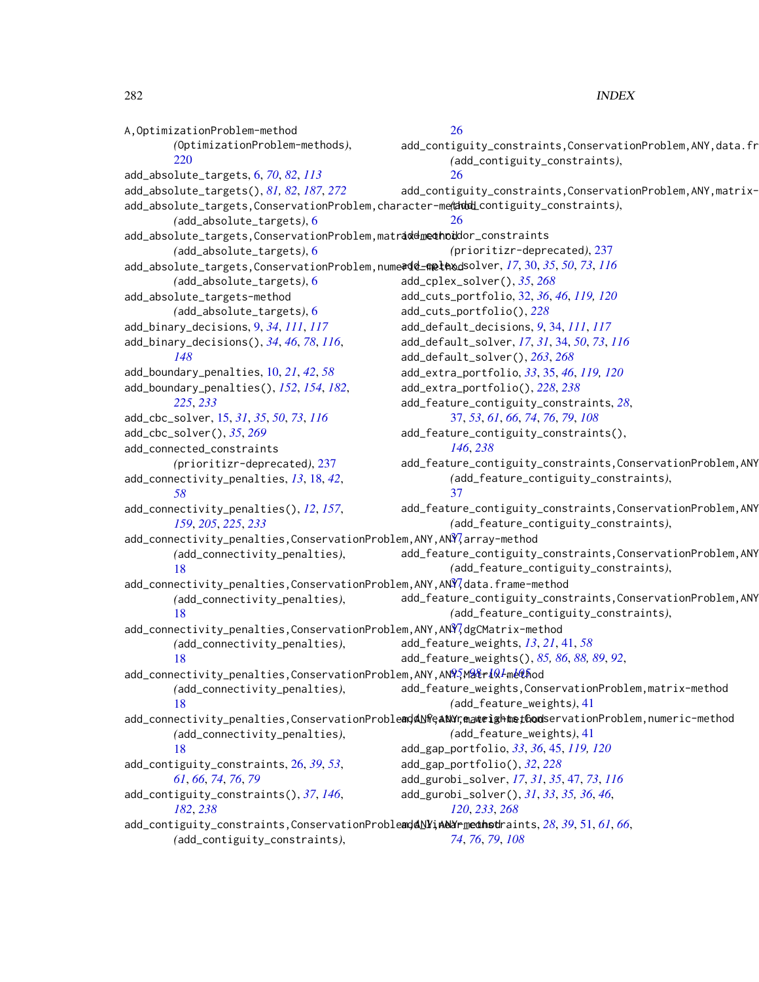A,OptimizationProblem-method *(*OptimizationProblem-methods*)*, [220](#page-219-0) add\_absolute\_targets, [6,](#page-5-1) *[70](#page-69-0)*, *[82](#page-81-0)*, *[113](#page-112-0)* add\_absolute\_targets(), *[81,](#page-80-0) [82](#page-81-0)*, *[187](#page-186-0)*, *[272](#page-271-1)* add\_absolute\_targets,ConservationProblem,character-method *(*add\_contiguity\_constraints*)*, *(*add\_absolute\_targets*)*, [6](#page-5-1) add\_absolute\_targets,ConservationProblem,matr**addmechod**dor\_constraints *(*add\_absolute\_targets*)*, [6](#page-5-1) add\_absolute\_targets,ConservationProblem,numeric-method add\_cplex\_solver, *[17](#page-16-0)*, [30,](#page-29-1) *[35](#page-34-0)*, *[50](#page-49-0)*, *[73](#page-72-0)*, *[116](#page-115-0) (*add\_absolute\_targets*)*, [6](#page-5-1) add\_absolute\_targets-method *(*add\_absolute\_targets*)*, [6](#page-5-1) add\_binary\_decisions, [9,](#page-8-0) *[34](#page-33-1)*, *[111](#page-110-0)*, *[117](#page-116-0)* add\_binary\_decisions(), *[34](#page-33-1)*, *[46](#page-45-0)*, *[78](#page-77-0)*, *[116](#page-115-0)*, *[148](#page-147-1)* add\_boundary\_penalties, [10,](#page-9-0) *[21](#page-20-0)*, *[42](#page-41-0)*, *[58](#page-57-0)* add\_boundary\_penalties(), *[152](#page-151-0)*, *[154](#page-153-0)*, *[182](#page-181-0)*, *[225](#page-224-1)*, *[233](#page-232-0)* add\_cbc\_solver, [15,](#page-14-1) *[31](#page-30-0)*, *[35](#page-34-0)*, *[50](#page-49-0)*, *[73](#page-72-0)*, *[116](#page-115-0)* add\_cbc\_solver(), *[35](#page-34-0)*, *[269](#page-268-0)* add\_connected\_constraints *(*prioritizr-deprecated*)*, [237](#page-236-0) add\_connectivity\_penalties, *[13](#page-12-0)*, [18,](#page-17-0) *[42](#page-41-0)*, *[58](#page-57-0)* add\_connectivity\_penalties(), *[12](#page-11-0)*, *[157](#page-156-0)*, *[159](#page-158-0)*, *[205](#page-204-0)*, *[225](#page-224-1)*, *[233](#page-232-0)* add\_connectivity\_penalties,ConservationProblem,A[NY,](#page-36-0)ANY,array-method *(*add\_connectivity\_penalties*)*, [18](#page-17-0) add\_connectivity\_penalties,ConservationProblem,A[NY,](#page-36-0)ANY,data.frame-method *(*add\_connectivity\_penalties*)*, [18](#page-17-0) add\_connectivity\_penalties,ConservationProblem,ANY,AN $\widehat{Y}$ dgCMatrix-method *(*add\_connectivity\_penalties*)*, [18](#page-17-0) add\_connectivity\_penalties,ConservationProblem,A[NY,](#page-94-0)AN<mark>93Ma&r*i*Q*l*-[meth](#page-104-0)od</mark> *(*add\_connectivity\_penalties*)*, [18](#page-17-0) add\_connectivity\_penalties,ConservationProble**ad&NfeaNYraateightetGoo**lservationProblem,numeric-method *(*add\_connectivity\_penalties*)*, [18](#page-17-0) add\_contiguity\_constraints, [26,](#page-25-0) *[39](#page-38-0)*, *[53](#page-52-0)*, *[61](#page-60-0)*, *[66](#page-65-0)*, *[74](#page-73-0)*, *[76](#page-75-0)*, *[79](#page-78-0)* add\_contiguity\_constraints(), *[37](#page-36-0)*, *[146](#page-145-1)*, *[182](#page-181-0)*, *[238](#page-237-0)* add\_contiguity\_constraints,ConservationProblead&NYinedAnedinatints, [28](#page-27-0), [39](#page-38-0), [51,](#page-50-0) [61](#page-60-0), [66](#page-65-0), *(*add\_contiguity\_constraints*)*, [26](#page-25-0) add\_contiguity\_constraints,ConservationProblem,ANY,data.fr *(*add\_contiguity\_constraints*)*, [26](#page-25-0) add\_contiguity\_constraints,ConservationProblem,ANY,matrix-[26](#page-25-0) *(*prioritizr-deprecated*)*, [237](#page-236-0) add\_cplex\_solver(), *[35](#page-34-0)*, *[268](#page-267-1)* add\_cuts\_portfolio, [32,](#page-31-0) *[36](#page-35-0)*, *[46](#page-45-0)*, *[119,](#page-118-0) [120](#page-119-0)* add\_cuts\_portfolio(), *[228](#page-227-1)* add\_default\_decisions, *[9](#page-8-0)*, [34,](#page-33-1) *[111](#page-110-0)*, *[117](#page-116-0)* add\_default\_solver, *[17](#page-16-0)*, *[31](#page-30-0)*, [34,](#page-33-1) *[50](#page-49-0)*, *[73](#page-72-0)*, *[116](#page-115-0)* add\_default\_solver(), *[263](#page-262-0)*, *[268](#page-267-1)* add\_extra\_portfolio, *[33](#page-32-0)*, [35,](#page-34-0) *[46](#page-45-0)*, *[119,](#page-118-0) [120](#page-119-0)* add\_extra\_portfolio(), *[228](#page-227-1)*, *[238](#page-237-0)* add\_feature\_contiguity\_constraints, *[28](#page-27-0)*, [37,](#page-36-0) *[53](#page-52-0)*, *[61](#page-60-0)*, *[66](#page-65-0)*, *[74](#page-73-0)*, *[76](#page-75-0)*, *[79](#page-78-0)*, *[108](#page-107-0)* add\_feature\_contiguity\_constraints(), *[146](#page-145-1)*, *[238](#page-237-0)* add\_feature\_contiguity\_constraints, ConservationProblem, ANY *(*add\_feature\_contiguity\_constraints*)*, [37](#page-36-0) add\_feature\_contiguity\_constraints, ConservationProblem, ANY *(*add\_feature\_contiguity\_constraints*)*, add\_feature\_contiguity\_constraints, ConservationProblem, ANY *(*add\_feature\_contiguity\_constraints*)*, add\_feature\_contiguity\_constraints, ConservationProblem, ANY *(*add\_feature\_contiguity\_constraints*)*, add\_feature\_weights, *[13](#page-12-0)*, *[21](#page-20-0)*, [41,](#page-40-0) *[58](#page-57-0)* add\_feature\_weights(), *[85,](#page-84-0) [86](#page-85-0)*, *[88,](#page-87-0) [89](#page-88-0)*, *[92](#page-91-0)*, add\_feature\_weights,ConservationProblem,matrix-method *(*add\_feature\_weights*)*, [41](#page-40-0) *(*add\_feature\_weights*)*, [41](#page-40-0) add\_gap\_portfolio, *[33](#page-32-0)*, *[36](#page-35-0)*, [45,](#page-44-0) *[119,](#page-118-0) [120](#page-119-0)* add\_gap\_portfolio(), *[32](#page-31-0)*, *[228](#page-227-1)* add\_gurobi\_solver, *[17](#page-16-0)*, *[31](#page-30-0)*, *[35](#page-34-0)*, [47,](#page-46-1) *[73](#page-72-0)*, *[116](#page-115-0)* add\_gurobi\_solver(), *[31](#page-30-0)*, *[33](#page-32-0)*, *[35,](#page-34-0) [36](#page-35-0)*, *[46](#page-45-0)*, *[120](#page-119-0)*, *[233](#page-232-0)*, *[268](#page-267-1) [74](#page-73-0)*, *[76](#page-75-0)*, *[79](#page-78-0)*, *[108](#page-107-0)*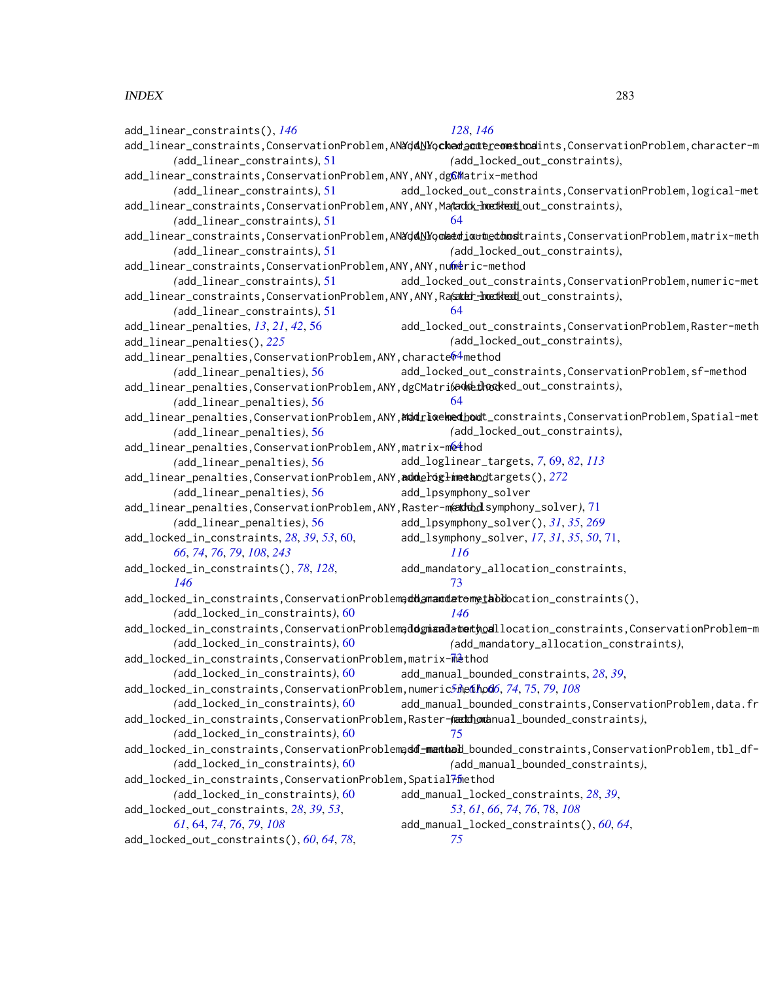add\_linear\_constraints(), *[146](#page-145-1)* add\_linear\_constraints,ConservationProblem,AN<mark>XdANYo**ckedactereomsthod**ints</mark>,ConservationProblem,character-m *(*add\_linear\_constraints*)*, [51](#page-50-0) add\_linear\_constraints,ConservationProblem,ANY,ANY,d[gCM](#page-63-0)atrix-method *(*add\_linear\_constraints*)*, [51](#page-50-0) add\_linear\_constraints,ConservationProblem,ANY,ANY,Matrix-method *(*add\_locked\_out\_constraints*)*, *(*add\_linear\_constraints*)*, [51](#page-50-0) add\_linear\_constraints,ConservationProblem,AN**YdANYomeedioxthedhost**raints,ConservationProblem,matrix-meth *(*add\_linear\_constraints*)*, [51](#page-50-0) add\_linear\_constraints,ConservationProblem,ANY,ANY,n[ume](#page-63-0)tic-method *(*add\_linear\_constraints*)*, [51](#page-50-0) add\_linear\_constraints,ConservationProblem,ANY,ANY,Raster-method *(*add\_locked\_out\_constraints*)*, *(*add\_linear\_constraints*)*, [51](#page-50-0) add\_linear\_penalties, *[13](#page-12-0)*, *[21](#page-20-0)*, *[42](#page-41-0)*, [56](#page-55-0) add\_linear\_penalties(), *[225](#page-224-1)* add\_linear\_penalties,ConservationProblem,ANY,characte®4method *(*add\_linear\_penalties*)*, [56](#page-55-0) add\_linear\_penalties,ConservationProblem,ANY,dgCMatrix-method *(*add\_locked\_out\_constraints*)*, *(*add\_linear\_penalties*)*, [56](#page-55-0) add\_linear\_penalties,ConservationProblem,ANY,**¤ddri¤∈hedbou**t\_constraints,ConservationProblem,Spatial-met *(*add\_linear\_penalties*)*, [56](#page-55-0) add\_linear\_penalties,ConservationProblem,ANY,matrix-method *(*add\_linear\_penalties*)*, [56](#page-55-0) add\_linear\_penalties,ConservationProblem,ANY,**addeliglinetao**dtargets(),2*72 (*add\_linear\_penalties*)*, [56](#page-55-0) add\_linear\_penalties,ConservationProblem,ANY,Raster-method *(*add\_lsymphony\_solver*)*, [71](#page-70-1) *(*add\_linear\_penalties*)*, [56](#page-55-0) add\_locked\_in\_constraints, *[28](#page-27-0)*, *[39](#page-38-0)*, *[53](#page-52-0)*, [60,](#page-59-0) *[66](#page-65-0)*, *[74](#page-73-0)*, *[76](#page-75-0)*, *[79](#page-78-0)*, *[108](#page-107-0)*, *[243](#page-242-0)* add\_locked\_in\_constraints(), *[78](#page-77-0)*, *[128](#page-127-0)*, *[146](#page-145-1)* add\_locked\_in\_constraints,ConservationProblemaddamandatomythodocation\_constraints(), *(*add\_locked\_in\_constraints*)*, [60](#page-59-0) add\_locked\_in\_constraints,ConservationProblemaddgiaadatethodllocation\_constraints,ConservationProblem-m *(*add\_locked\_in\_constraints*)*, [60](#page-59-0) add\_locked\_in\_constraints,ConservationProblem,matrix[-me](#page-72-0)thod *(*add\_locked\_in\_constraints*)*, [60](#page-59-0) add\_locked\_in\_constraints,ConservationProblem,numeri[c-m](#page-52-0)[eth](#page-60-0)od *53*, *61*, *[66](#page-65-0)*, *[74](#page-73-0)*, [75,](#page-74-0) *[79](#page-78-0)*, *[108](#page-107-0) (*add\_locked\_in\_constraints*)*, [60](#page-59-0) add\_locked\_in\_constraints,ConservationProblem,Raster-(methomanual\_bounded\_constraints), *(*add\_locked\_in\_constraints*)*, [60](#page-59-0) add\_locked\_in\_constraints,ConservationProblemaddf-method\_bounded\_constraints,ConservationProblem,tbl\_df-*(*add\_locked\_in\_constraints*)*, [60](#page-59-0) add\_locked\_in\_constraints,ConservationProblem,Spatial<sup>7</sup>fmethod *(*add\_locked\_in\_constraints*)*, [60](#page-59-0) add\_locked\_out\_constraints, *[28](#page-27-0)*, *[39](#page-38-0)*, *[53](#page-52-0)*, *[61](#page-60-0)*, [64,](#page-63-0) *[74](#page-73-0)*, *[76](#page-75-0)*, *[79](#page-78-0)*, *[108](#page-107-0)* add\_locked\_out\_constraints(), *[60](#page-59-0)*, *[64](#page-63-0)*, *[78](#page-77-0)*, *[128](#page-127-0)*, *[146](#page-145-1) (*add\_locked\_out\_constraints*)*, add\_locked\_out\_constraints,ConservationProblem,logical-met [64](#page-63-0) *(*add\_locked\_out\_constraints*)*, add\_locked\_out\_constraints,ConservationProblem,numeric-met [64](#page-63-0) add\_locked\_out\_constraints,ConservationProblem,Raster-meth *(*add\_locked\_out\_constraints*)*, add\_locked\_out\_constraints,ConservationProblem,sf-method [64](#page-63-0) *(*add\_locked\_out\_constraints*)*, add\_loglinear\_targets, *[7](#page-6-0)*, [69,](#page-68-1) *[82](#page-81-0)*, *[113](#page-112-0)* add\_lpsymphony\_solver add\_lpsymphony\_solver(), *[31](#page-30-0)*, *[35](#page-34-0)*, *[269](#page-268-0)* add\_lsymphony\_solver, *[17](#page-16-0)*, *[31](#page-30-0)*, *[35](#page-34-0)*, *[50](#page-49-0)*, [71,](#page-70-1) *[116](#page-115-0)* add\_mandatory\_allocation\_constraints, [73](#page-72-0) *[146](#page-145-1) (*add\_mandatory\_allocation\_constraints*)*, add\_manual\_bounded\_constraints, *[28](#page-27-0)*, *[39](#page-38-0)*, add\_manual\_bounded\_constraints,ConservationProblem,data.fr [75](#page-74-0) *(*add\_manual\_bounded\_constraints*)*, add\_manual\_locked\_constraints, *[28](#page-27-0)*, *[39](#page-38-0)*, *[53](#page-52-0)*, *[61](#page-60-0)*, *[66](#page-65-0)*, *[74](#page-73-0)*, *[76](#page-75-0)*, [78,](#page-77-0) *[108](#page-107-0)* add\_manual\_locked\_constraints(), *[60](#page-59-0)*, *[64](#page-63-0)*, *[75](#page-74-0)*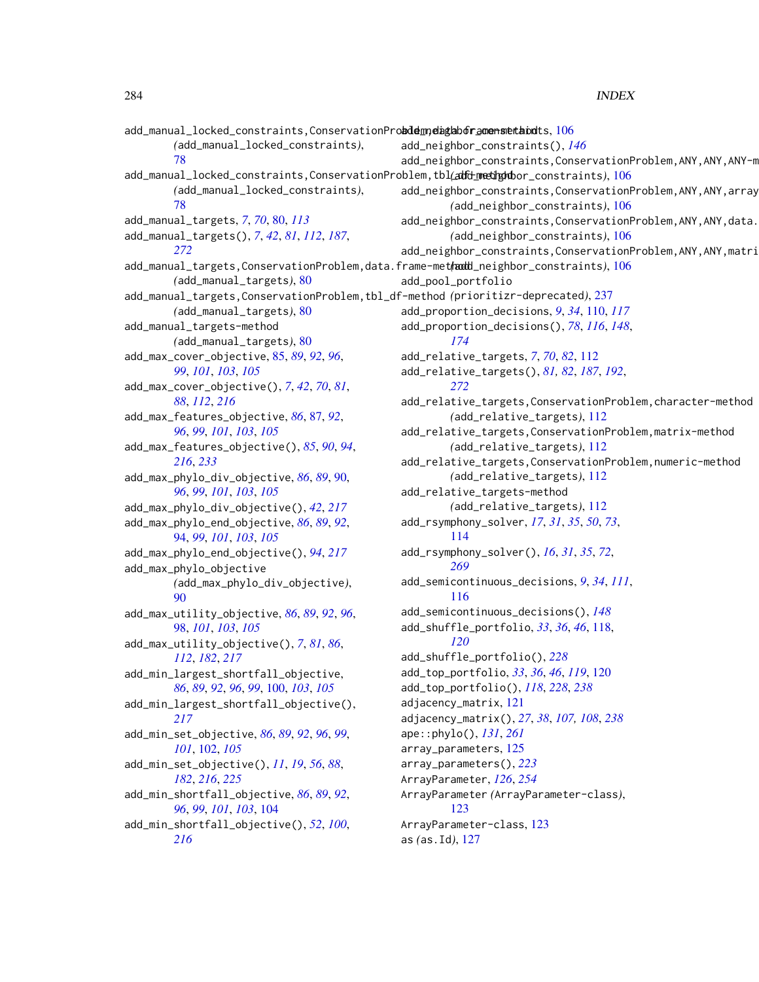add\_manual\_locked\_constraints,ConservationProbddem,edighboframensnethodts, [106](#page-105-0) *(*add\_manual\_locked\_constraints*)*, [78](#page-77-0) add\_manual\_locked\_constraints,ConservationProblem,tbl(adfd-methodor\_constraints),[106](#page-105-0) *(*add\_manual\_locked\_constraints*)*, [78](#page-77-0) add\_manual\_targets, *[7](#page-6-0)*, *[70](#page-69-0)*, [80,](#page-79-1) *[113](#page-112-0)* add\_manual\_targets(), *[7](#page-6-0)*, *[42](#page-41-0)*, *[81](#page-80-0)*, *[112](#page-111-1)*, *[187](#page-186-0)*, *[272](#page-271-1)* add\_manual\_targets,ConservationProblem,data.frame-method *(*add\_neighbor\_constraints*)*, [106](#page-105-0) *(*add\_manual\_targets*)*, [80](#page-79-1) add\_manual\_targets,ConservationProblem,tbl\_df-method *(*prioritizr-deprecated*)*, [237](#page-236-0) *(*add\_manual\_targets*)*, [80](#page-79-1) add\_manual\_targets-method *(*add\_manual\_targets*)*, [80](#page-79-1) add\_max\_cover\_objective, [85,](#page-84-0) *[89](#page-88-0)*, *[92](#page-91-0)*, *[96](#page-95-0)*, *[99](#page-98-0)*, *[101](#page-100-0)*, *[103](#page-102-0)*, *[105](#page-104-0)* add\_max\_cover\_objective(), *[7](#page-6-0)*, *[42](#page-41-0)*, *[70](#page-69-0)*, *[81](#page-80-0)*, *[88](#page-87-0)*, *[112](#page-111-1)*, *[216](#page-215-1)* add\_max\_features\_objective, *[86](#page-85-0)*, [87,](#page-86-0) *[92](#page-91-0)*, *[96](#page-95-0)*, *[99](#page-98-0)*, *[101](#page-100-0)*, *[103](#page-102-0)*, *[105](#page-104-0)* add\_max\_features\_objective(), *[85](#page-84-0)*, *[90](#page-89-0)*, *[94](#page-93-0)*, *[216](#page-215-1)*, *[233](#page-232-0)* add\_max\_phylo\_div\_objective, *[86](#page-85-0)*, *[89](#page-88-0)*, [90,](#page-89-0) *[96](#page-95-0)*, *[99](#page-98-0)*, *[101](#page-100-0)*, *[103](#page-102-0)*, *[105](#page-104-0)* add\_max\_phylo\_div\_objective(), *[42](#page-41-0)*, *[217](#page-216-0)* add\_max\_phylo\_end\_objective, *[86](#page-85-0)*, *[89](#page-88-0)*, *[92](#page-91-0)*, [94,](#page-93-0) *[99](#page-98-0)*, *[101](#page-100-0)*, *[103](#page-102-0)*, *[105](#page-104-0)* add\_max\_phylo\_end\_objective(), *[94](#page-93-0)*, *[217](#page-216-0)* add\_max\_phylo\_objective *(*add\_max\_phylo\_div\_objective*)*, [90](#page-89-0) add\_max\_utility\_objective, *[86](#page-85-0)*, *[89](#page-88-0)*, *[92](#page-91-0)*, *[96](#page-95-0)*, [98,](#page-97-0) *[101](#page-100-0)*, *[103](#page-102-0)*, *[105](#page-104-0)* add\_max\_utility\_objective(), *[7](#page-6-0)*, *[81](#page-80-0)*, *[86](#page-85-0)*, *[112](#page-111-1)*, *[182](#page-181-0)*, *[217](#page-216-0)* add\_min\_largest\_shortfall\_objective, *[86](#page-85-0)*, *[89](#page-88-0)*, *[92](#page-91-0)*, *[96](#page-95-0)*, *[99](#page-98-0)*, [100,](#page-99-0) *[103](#page-102-0)*, *[105](#page-104-0)* add\_min\_largest\_shortfall\_objective(), *[217](#page-216-0)* add\_min\_set\_objective, *[86](#page-85-0)*, *[89](#page-88-0)*, *[92](#page-91-0)*, *[96](#page-95-0)*, *[99](#page-98-0)*, *[101](#page-100-0)*, [102,](#page-101-0) *[105](#page-104-0)* add\_min\_set\_objective(), *[11](#page-10-0)*, *[19](#page-18-0)*, *[56](#page-55-0)*, *[88](#page-87-0)*, *[182](#page-181-0)*, *[216](#page-215-1)*, *[225](#page-224-1)* add\_min\_shortfall\_objective, *[86](#page-85-0)*, *[89](#page-88-0)*, *[92](#page-91-0)*, *[96](#page-95-0)*, *[99](#page-98-0)*, *[101](#page-100-0)*, *[103](#page-102-0)*, [104](#page-103-0) add\_min\_shortfall\_objective(), *[52](#page-51-0)*, *[100](#page-99-0)*, *[216](#page-215-1)* add\_neighbor\_constraints(), *[146](#page-145-1)* add\_neighbor\_constraints,ConservationProblem,ANY,ANY,ANY-m add\_neighbor\_constraints,ConservationProblem,ANY,ANY,array *(*add\_neighbor\_constraints*)*, [106](#page-105-0) add\_neighbor\_constraints,ConservationProblem,ANY,ANY,data. *(*add\_neighbor\_constraints*)*, [106](#page-105-0) add\_neighbor\_constraints,ConservationProblem,ANY,ANY,matri add\_pool\_portfolio add\_proportion\_decisions, *[9](#page-8-0)*, *[34](#page-33-1)*, [110,](#page-109-0) *[117](#page-116-0)* add\_proportion\_decisions(), *[78](#page-77-0)*, *[116](#page-115-0)*, *[148](#page-147-1)*, *[174](#page-173-1)* add\_relative\_targets, *[7](#page-6-0)*, *[70](#page-69-0)*, *[82](#page-81-0)*, [112](#page-111-1) add\_relative\_targets(), *[81,](#page-80-0) [82](#page-81-0)*, *[187](#page-186-0)*, *[192](#page-191-0)*, *[272](#page-271-1)* add\_relative\_targets,ConservationProblem,character-method *(*add\_relative\_targets*)*, [112](#page-111-1) add\_relative\_targets,ConservationProblem,matrix-method *(*add\_relative\_targets*)*, [112](#page-111-1) add\_relative\_targets,ConservationProblem,numeric-method *(*add\_relative\_targets*)*, [112](#page-111-1) add\_relative\_targets-method *(*add\_relative\_targets*)*, [112](#page-111-1) add\_rsymphony\_solver, *[17](#page-16-0)*, *[31](#page-30-0)*, *[35](#page-34-0)*, *[50](#page-49-0)*, *[73](#page-72-0)*, [114](#page-113-1) add\_rsymphony\_solver(), *[16](#page-15-0)*, *[31](#page-30-0)*, *[35](#page-34-0)*, *[72](#page-71-0)*, *[269](#page-268-0)* add\_semicontinuous\_decisions, *[9](#page-8-0)*, *[34](#page-33-1)*, *[111](#page-110-0)*, [116](#page-115-0) add\_semicontinuous\_decisions(), *[148](#page-147-1)* add\_shuffle\_portfolio, *[33](#page-32-0)*, *[36](#page-35-0)*, *[46](#page-45-0)*, [118,](#page-117-0) *[120](#page-119-0)* add\_shuffle\_portfolio(), *[228](#page-227-1)* add\_top\_portfolio, *[33](#page-32-0)*, *[36](#page-35-0)*, *[46](#page-45-0)*, *[119](#page-118-0)*, [120](#page-119-0) add\_top\_portfolio(), *[118](#page-117-0)*, *[228](#page-227-1)*, *[238](#page-237-0)* adjacency\_matrix, [121](#page-120-0) adjacency\_matrix(), *[27](#page-26-0)*, *[38](#page-37-0)*, *[107,](#page-106-0) [108](#page-107-0)*, *[238](#page-237-0)* ape::phylo(), *[131](#page-130-0)*, *[261](#page-260-0)* array\_parameters, [125](#page-124-0) array\_parameters(), *[223](#page-222-0)* ArrayParameter, *[126](#page-125-0)*, *[254](#page-253-0)* ArrayParameter *(*ArrayParameter-class*)*, [123](#page-122-1) ArrayParameter-class, [123](#page-122-1) as *(*as.Id*)*, [127](#page-126-0)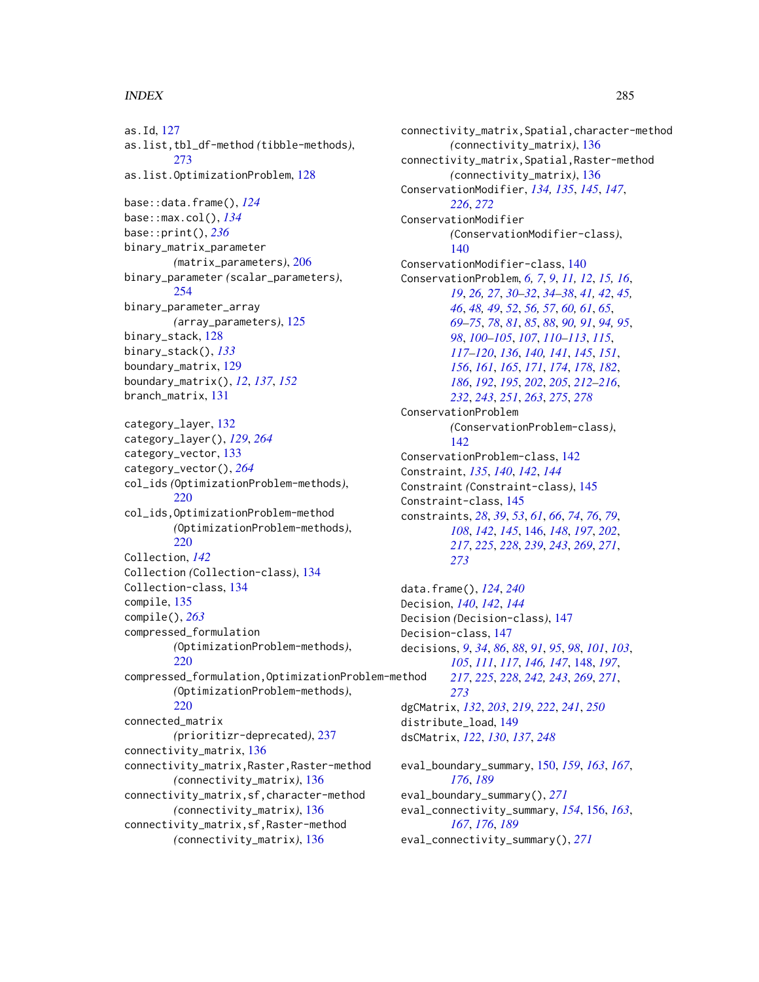as.Id, [127](#page-126-0) as.list,tbl\_df-method *(*tibble-methods*)*, [273](#page-272-0) as.list.OptimizationProblem, [128](#page-127-0) base::data.frame(), *[124](#page-123-0)* base::max.col(), *[134](#page-133-0)* base::print(), *[236](#page-235-0)* binary\_matrix\_parameter *(*matrix\_parameters*)*, [206](#page-205-0) binary\_parameter *(*scalar\_parameters*)*, [254](#page-253-0) binary\_parameter\_array *(*array\_parameters*)*, [125](#page-124-0) binary\_stack, [128](#page-127-0) binary\_stack(), *[133](#page-132-1)* boundary\_matrix, [129](#page-128-0) boundary\_matrix(), *[12](#page-11-0)*, *[137](#page-136-0)*, *[152](#page-151-0)* branch\_matrix, [131](#page-130-0) category\_layer, [132](#page-131-1) category\_layer(), *[129](#page-128-0)*, *[264](#page-263-0)* category\_vector, [133](#page-132-1) category\_vector(), *[264](#page-263-0)* col\_ids *(*OptimizationProblem-methods*)*, [220](#page-219-0) col\_ids,OptimizationProblem-method *(*OptimizationProblem-methods*)*, [220](#page-219-0) Collection, *[142](#page-141-1)* Collection *(*Collection-class*)*, [134](#page-133-0) Collection-class, [134](#page-133-0) compile, [135](#page-134-1) compile(), *[263](#page-262-0)* compressed\_formulation *(*OptimizationProblem-methods*)*, [220](#page-219-0) compressed\_formulation,OptimizationProblem-method *(*OptimizationProblem-methods*)*, [220](#page-219-0) connected\_matrix *(*prioritizr-deprecated*)*, [237](#page-236-0) connectivity\_matrix, [136](#page-135-0) connectivity\_matrix,Raster,Raster-method *(*connectivity\_matrix*)*, [136](#page-135-0) connectivity\_matrix,sf,character-method *(*connectivity\_matrix*)*, [136](#page-135-0) connectivity\_matrix,sf,Raster-method *(*connectivity\_matrix*)*, [136](#page-135-0)

connectivity\_matrix,Spatial,character-method *(*connectivity\_matrix*)*, [136](#page-135-0) connectivity\_matrix,Spatial,Raster-method *(*connectivity\_matrix*)*, [136](#page-135-0) ConservationModifier, *[134,](#page-133-0) [135](#page-134-1)*, *[145](#page-144-0)*, *[147](#page-146-0)*, *[226](#page-225-0)*, *[272](#page-271-1)* ConservationModifier *(*ConservationModifier-class*)*, [140](#page-139-1) ConservationModifier-class, [140](#page-139-1) ConservationProblem, *[6,](#page-5-1) [7](#page-6-0)*, *[9](#page-8-0)*, *[11,](#page-10-0) [12](#page-11-0)*, *[15,](#page-14-1) [16](#page-15-0)*, *[19](#page-18-0)*, *[26,](#page-25-0) [27](#page-26-0)*, *[30](#page-29-1)[–32](#page-31-0)*, *[34](#page-33-1)[–38](#page-37-0)*, *[41,](#page-40-0) [42](#page-41-0)*, *[45,](#page-44-0) [46](#page-45-0)*, *[48,](#page-47-0) [49](#page-48-0)*, *[52](#page-51-0)*, *[56,](#page-55-0) [57](#page-56-0)*, *[60,](#page-59-0) [61](#page-60-0)*, *[65](#page-64-0)*, *[69](#page-68-1)[–75](#page-74-0)*, *[78](#page-77-0)*, *[81](#page-80-0)*, *[85](#page-84-0)*, *[88](#page-87-0)*, *[90,](#page-89-0) [91](#page-90-0)*, *[94,](#page-93-0) [95](#page-94-0)*, *[98](#page-97-0)*, *[100](#page-99-0)[–105](#page-104-0)*, *[107](#page-106-0)*, *[110](#page-109-0)[–113](#page-112-0)*, *[115](#page-114-0)*, *[117](#page-116-0)[–120](#page-119-0)*, *[136](#page-135-0)*, *[140,](#page-139-1) [141](#page-140-0)*, *[145](#page-144-0)*, *[151](#page-150-0)*, *[156](#page-155-1)*, *[161](#page-160-1)*, *[165](#page-164-1)*, *[171](#page-170-0)*, *[174](#page-173-1)*, *[178](#page-177-0)*, *[182](#page-181-0)*, *[186](#page-185-1)*, *[192](#page-191-0)*, *[195](#page-194-0)*, *[202](#page-201-0)*, *[205](#page-204-0)*, *[212](#page-211-0)[–216](#page-215-1)*, *[232](#page-231-1)*, *[243](#page-242-0)*, *[251](#page-250-0)*, *[263](#page-262-0)*, *[275](#page-274-1)*, *[278](#page-277-1)* ConservationProblem *(*ConservationProblem-class*)*,  $142$ ConservationProblem-class, [142](#page-141-1) Constraint, *[135](#page-134-1)*, *[140](#page-139-1)*, *[142](#page-141-1)*, *[144](#page-143-0)* Constraint *(*Constraint-class*)*, [145](#page-144-0) Constraint-class, [145](#page-144-0) constraints, *[28](#page-27-0)*, *[39](#page-38-0)*, *[53](#page-52-0)*, *[61](#page-60-0)*, *[66](#page-65-0)*, *[74](#page-73-0)*, *[76](#page-75-0)*, *[79](#page-78-0)*, *[108](#page-107-0)*, *[142](#page-141-1)*, *[145](#page-144-0)*, [146,](#page-145-1) *[148](#page-147-1)*, *[197](#page-196-0)*, *[202](#page-201-0)*, *[217](#page-216-0)*, *[225](#page-224-1)*, *[228](#page-227-1)*, *[239](#page-238-1)*, *[243](#page-242-0)*, *[269](#page-268-0)*, *[271](#page-270-0)*, *[273](#page-272-0)* data.frame(), *[124](#page-123-0)*, *[240](#page-239-0)*

Decision, *[140](#page-139-1)*, *[142](#page-141-1)*, *[144](#page-143-0)* Decision *(*Decision-class*)*, [147](#page-146-0) Decision-class, [147](#page-146-0) decisions, *[9](#page-8-0)*, *[34](#page-33-1)*, *[86](#page-85-0)*, *[88](#page-87-0)*, *[91](#page-90-0)*, *[95](#page-94-0)*, *[98](#page-97-0)*, *[101](#page-100-0)*, *[103](#page-102-0)*, *[105](#page-104-0)*, *[111](#page-110-0)*, *[117](#page-116-0)*, *[146,](#page-145-1) [147](#page-146-0)*, [148,](#page-147-1) *[197](#page-196-0)*, *[217](#page-216-0)*, *[225](#page-224-1)*, *[228](#page-227-1)*, *[242,](#page-241-0) [243](#page-242-0)*, *[269](#page-268-0)*, *[271](#page-270-0)*, *[273](#page-272-0)* dgCMatrix, *[132](#page-131-1)*, *[203](#page-202-0)*, *[219](#page-218-0)*, *[222](#page-221-1)*, *[241](#page-240-0)*, *[250](#page-249-0)* distribute\_load, [149](#page-148-0) dsCMatrix, *[122](#page-121-0)*, *[130](#page-129-0)*, *[137](#page-136-0)*, *[248](#page-247-0)*

eval\_boundary\_summary, [150,](#page-149-1) *[159](#page-158-0)*, *[163](#page-162-0)*, *[167](#page-166-0)*, *[176](#page-175-0)*, *[189](#page-188-0)* eval\_boundary\_summary(), *[271](#page-270-0)* eval\_connectivity\_summary, *[154](#page-153-0)*, [156,](#page-155-1) *[163](#page-162-0)*, *[167](#page-166-0)*, *[176](#page-175-0)*, *[189](#page-188-0)* eval\_connectivity\_summary(), *[271](#page-270-0)*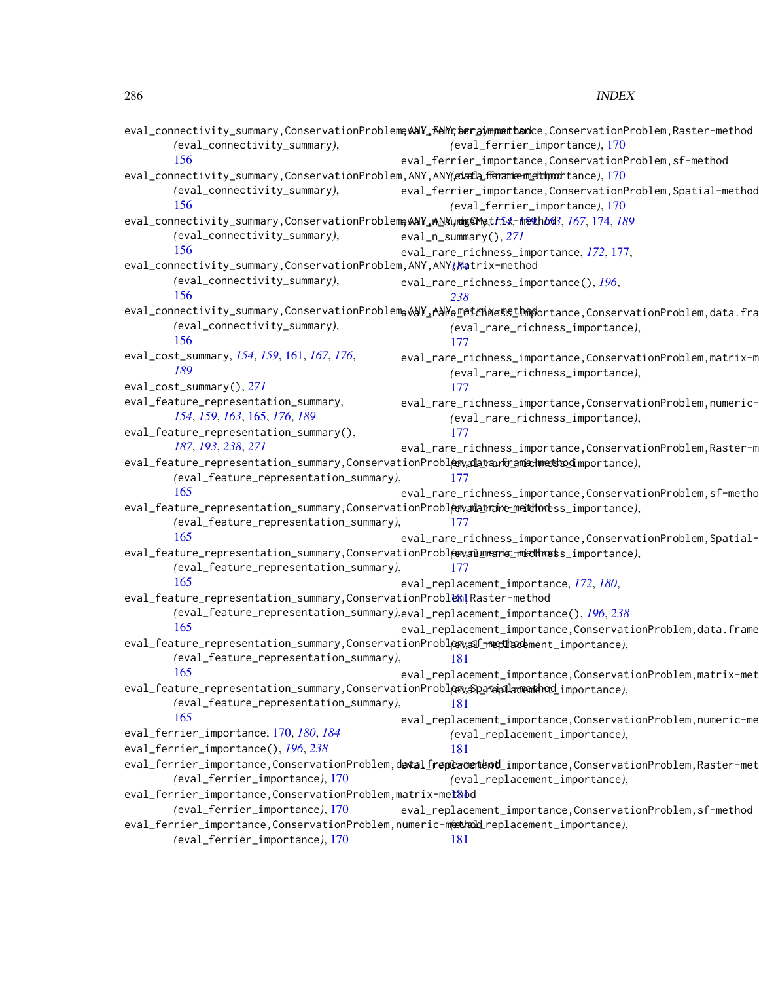|                                                                                                                                        | eval_connectivity_summary,ConservationProbleme <b>xalY_f&amp;Mrcaer_gymperthanc</b> e,ConservationProblem,Raster-method       |
|----------------------------------------------------------------------------------------------------------------------------------------|-------------------------------------------------------------------------------------------------------------------------------|
| (eval_connectivity_summary),                                                                                                           | (eval_ferrier_importance), 170                                                                                                |
| 156                                                                                                                                    | eval_ferrier_importance,ConservationProblem,sf-method                                                                         |
| eval_connectivity_summary,ConservationProblem,ANY,ANY( <del>cuatla fferamie meithpod</del> tance),170                                  |                                                                                                                               |
| (eval_connectivity_summary),<br>156                                                                                                    | eval_ferrier_importance,ConservationProblem,Spatial-method                                                                    |
|                                                                                                                                        | (eval_ferrier_importance), 170                                                                                                |
| eval_connectivity_summary,ConservationProbleme <mark>vANY_ANYundg&amp;Mat<i>fi</i>X-meth<i>b</i>d3,</mark> <i>I67</i> ,174, <i>I89</i> |                                                                                                                               |
| (eval_connectivity_summary),<br>156                                                                                                    | $eval_n\_summary(), 271$                                                                                                      |
| eval_connectivity_summary,ConservationProblem,ANY,ANY,Matrix-method                                                                    | eval_rare_richness_importance, 172, 177,                                                                                      |
| (eval_connectivity_summary),                                                                                                           | eval_rare_richness_importance(), 196,                                                                                         |
| 156                                                                                                                                    | 238                                                                                                                           |
|                                                                                                                                        | eval_connectivity_summary,ConservationProblem <sub>0</sub> AAY_AAYe <u>m</u> atchxessthoportance,ConservationProblem,data.fra |
| (eval_connectivity_summary),                                                                                                           | (eval_rare_richness_importance),                                                                                              |
| 156                                                                                                                                    | 177                                                                                                                           |
| eval_cost_summary, 154, 159, 161, 167, 176,                                                                                            | eval_rare_richness_importance,ConservationProblem,matrix-m                                                                    |
| 189                                                                                                                                    | (eval_rare_richness_importance),                                                                                              |
| eval_cost_summary(), 271                                                                                                               | 177                                                                                                                           |
| eval_feature_representation_summary,                                                                                                   | eval_rare_richness_importance,ConservationProblem,numeric-                                                                    |
| 154, 159, 163, 165, 176, 189                                                                                                           | (eval_rare_richness_importance),                                                                                              |
| eval_feature_representation_summary(),                                                                                                 | 177                                                                                                                           |
| 187, 193, 238, 271                                                                                                                     | eval_rare_richness_importance,ConservationProblem,Raster-m                                                                    |
| eval_feature_representation_summary,ConservationProbl <del>@w,alatrane_amechnedsbo</del> dimportance),                                 |                                                                                                                               |
| (eval_feature_representation_summary),                                                                                                 | 177                                                                                                                           |
| 165                                                                                                                                    | eval_rare_richness_importance,ConservationProblem,sf-metho                                                                    |
| eval_feature_representation_summary,ConservationProblenvamentare_metthodess_importance),                                               |                                                                                                                               |
| (eval_feature_representation_summary),                                                                                                 | 177                                                                                                                           |
| 165                                                                                                                                    | eval_rare_richness_importance,ConservationProblem,Spatial-                                                                    |
| eval_feature_representation_summary,ConservationProblex,amlimente_mmethoess_importance),                                               |                                                                                                                               |
| (eval_feature_representation_summary),                                                                                                 | 177                                                                                                                           |
| 165                                                                                                                                    | eval_replacement_importance, 172, 180,                                                                                        |
| eval_feature_representation_summary,ConservationProble81,Raster-method                                                                 |                                                                                                                               |
|                                                                                                                                        | (eval_feature_representation_summary), eval_replacement_importance(), 196, 238                                                |
| 165                                                                                                                                    | eval_replacement_importance,ConservationProblem,data.frame                                                                    |
| eval_feature_representation_summary,ConservationProbl@walf_ <del>nepdhace</del> ment_importance),                                      |                                                                                                                               |
| (eval_feature_representation_summary),                                                                                                 | 181                                                                                                                           |
| 165<br>eval_feature_representation_summary,ConservationProblen <sub>v</sub> ap_atepala <del>cente</del> nd_importance),                | eval_replacement_importance,ConservationProblem,matrix-met                                                                    |
| (eval_feature_representation_summary),                                                                                                 | 181                                                                                                                           |
| 165                                                                                                                                    | eval_replacement_importance,ConservationProblem,numeric-me                                                                    |
| eval_ferrier_importance, 170, 180, 184                                                                                                 | (eval_replacement_importance),                                                                                                |
| eval_ferrier_importance(), 196, 238                                                                                                    | 181                                                                                                                           |
|                                                                                                                                        | eval_ferrier_importance,ConservationProblem,d <mark>e¢al_frepèamemendot</mark> _importance,ConservationProblem,Raster-met     |
| (eval_ferrier_importance), 170                                                                                                         | (eval_replacement_importance),                                                                                                |
| eval_ferrier_importance,ConservationProblem,matrix-met&bd                                                                              |                                                                                                                               |
| (eval_ferrier_importance), 170                                                                                                         | eval_replacement_importance,ConservationProblem,sf-method                                                                     |
| eval_ferrier_importance,ConservationProblem,numeric-meethald_replacement_importance),                                                  |                                                                                                                               |
| (eval_ferrier_importance), 170                                                                                                         | 181                                                                                                                           |
|                                                                                                                                        |                                                                                                                               |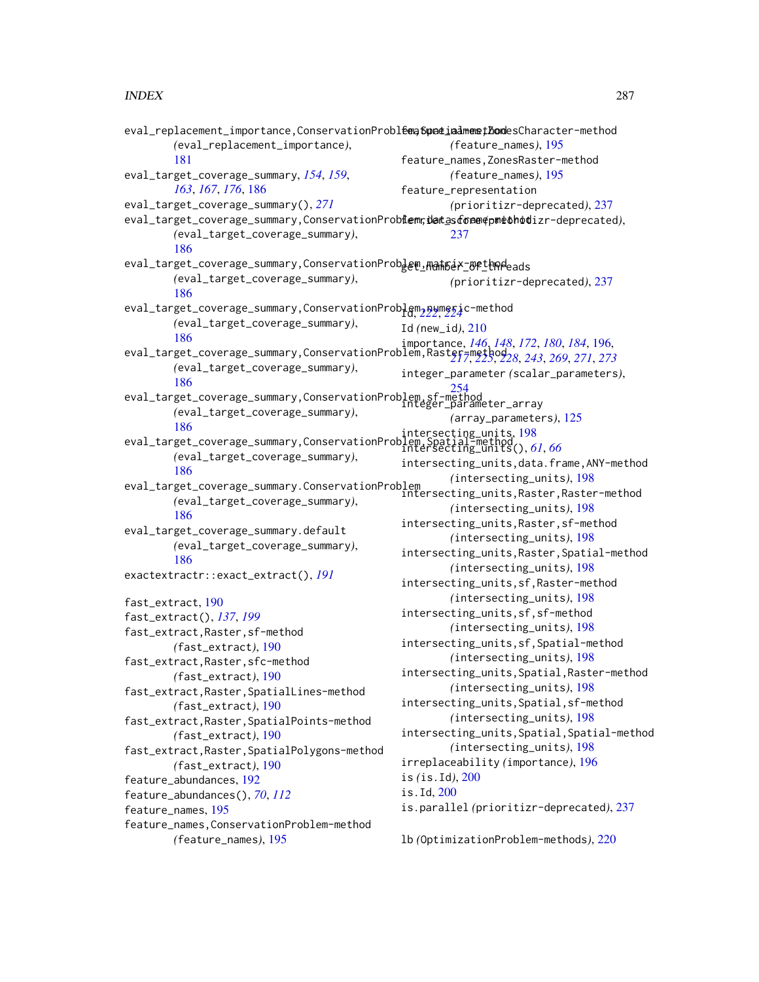| eval_replacement_importance,ConservationProbleap6padiadmemethodesCharacter-method                                                                                                      |                                             |
|----------------------------------------------------------------------------------------------------------------------------------------------------------------------------------------|---------------------------------------------|
| (eval_replacement_importance),                                                                                                                                                         | (feature_names), 195                        |
| 181                                                                                                                                                                                    | feature_names, ZonesRaster-method           |
| eval_target_coverage_summary, 154, 159,                                                                                                                                                | (feature_names), 195                        |
| 163, 167, 176, 186                                                                                                                                                                     | feature_representation                      |
| eval_target_coverage_summary(), 271                                                                                                                                                    | (prioritizr-deprecated), 237                |
| eval_target_coverage_summary,ConservationProbiem,detastone@pmethodizr-deprecated),                                                                                                     |                                             |
| (eval_target_coverage_summary),                                                                                                                                                        | 237                                         |
| 186                                                                                                                                                                                    |                                             |
| eval_target_coverage_summary,ConservationProbdem_Manh5eX_BethRdeads                                                                                                                    |                                             |
| (eval_target_coverage_summary),                                                                                                                                                        | (prioritizr-deprecated), 237                |
| 186                                                                                                                                                                                    |                                             |
| eval_target_coverage_summary,ConservationProblem_pumeric-method                                                                                                                        |                                             |
| (eval_target_coverage_summary),                                                                                                                                                        | Id (new_id), $210$                          |
| 186                                                                                                                                                                                    |                                             |
| 100<br>eval_target_coverage_summary,ConservationProblem,Raster=method228, 172, 180, 184, 196,<br>eval_target_coverage_summary,ConservationProblem,Raster=method228, 243, 269, 271, 273 |                                             |
| (eval_target_coverage_summary),                                                                                                                                                        | integer_parameter (scalar_parameters),      |
| 186                                                                                                                                                                                    |                                             |
| eval_target_coverage_summary,ConservationProblem.sf-method_<br>integer_parameter_array                                                                                                 |                                             |
| (eval_target_coverage_summary),                                                                                                                                                        | (array_parameters), 125                     |
| 186                                                                                                                                                                                    |                                             |
| 180<br>eval_target_coverage_summary,ConservationProblem,Spatial-method<br>intersecting_units(), 61, 66                                                                                 |                                             |
| (eval_target_coverage_summary),                                                                                                                                                        | intersecting_units, data.frame, ANY-method  |
| 186                                                                                                                                                                                    | (intersecting_units), 198                   |
| eval_target_coverage_summary.ConservationProblem<br>intersecting_units,Raster,Raster-method<br>Conservation                                                                            |                                             |
| (eval_target_coverage_summary),<br>186                                                                                                                                                 | (intersecting_units), 198                   |
|                                                                                                                                                                                        | intersecting_units, Raster, sf-method       |
| eval_target_coverage_summary.default                                                                                                                                                   | (intersecting_units), 198                   |
| (eval_target_coverage_summary),<br>186                                                                                                                                                 | intersecting_units, Raster, Spatial-method  |
|                                                                                                                                                                                        | (intersecting_units), 198                   |
| exactextractr::exact_extract(), 191                                                                                                                                                    | intersecting_units, sf, Raster-method       |
| fast_extract, 190                                                                                                                                                                      | (intersecting_units), 198                   |
| fast_extract(), 137, 199                                                                                                                                                               | intersecting_units, sf, sf-method           |
| fast_extract, Raster, sf-method                                                                                                                                                        | (intersecting_units), 198                   |
| (fast_extract), 190                                                                                                                                                                    | intersecting_units, sf, Spatial-method      |
| fast_extract, Raster, sfc-method                                                                                                                                                       | (intersecting_units), 198                   |
| (fast_extract), 190                                                                                                                                                                    | intersecting_units, Spatial, Raster-method  |
| fast_extract, Raster, SpatialLines-method                                                                                                                                              | (intersecting_units), 198                   |
| (fast_extract), 190                                                                                                                                                                    | intersecting_units, Spatial, sf-method      |
| fast_extract, Raster, SpatialPoints-method                                                                                                                                             | (intersecting_units), 198                   |
| (fast_extract), 190                                                                                                                                                                    | intersecting_units, Spatial, Spatial-method |
| fast_extract, Raster, SpatialPolygons-method                                                                                                                                           | (intersecting_units), 198                   |
| (fast_extract), 190                                                                                                                                                                    | irreplaceability (importance), 196          |
| feature_abundances, 192                                                                                                                                                                | is $(is.Id), 200$                           |
| feature_abundances(), 70, 112                                                                                                                                                          | is. Id, 200                                 |
| feature_names, 195                                                                                                                                                                     | is.parallel(prioritizr-deprecated), 237     |
| feature_names, ConservationProblem-method                                                                                                                                              |                                             |
| (feature_names), 195                                                                                                                                                                   | 1b (OptimizationProblem-methods), 220       |
|                                                                                                                                                                                        |                                             |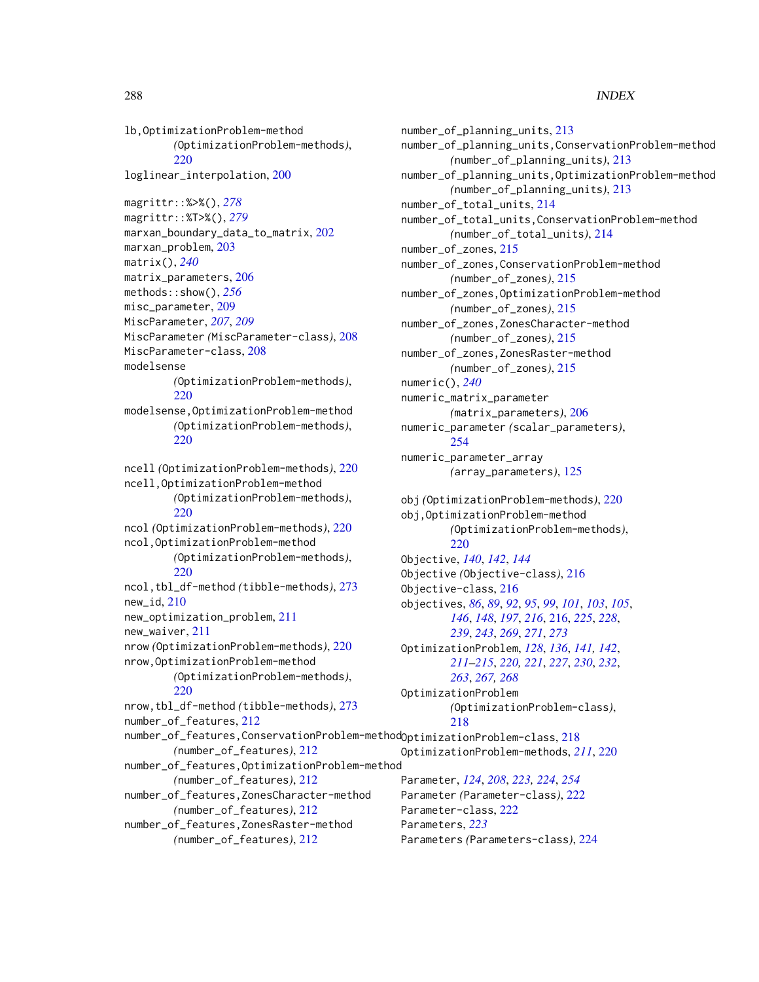lb,OptimizationProblem-method *(*OptimizationProblem-methods*)*, [220](#page-219-0) loglinear\_interpolation, [200](#page-199-0) magrittr::%>%(), *[278](#page-277-1)* magrittr::%T>%(), *[279](#page-278-1)* marxan\_boundary\_data\_to\_matrix, [202](#page-201-0) marxan\_problem, [203](#page-202-0) matrix(), *[240](#page-239-0)* matrix\_parameters, [206](#page-205-0) methods::show(), *[256](#page-255-0)* misc\_parameter, [209](#page-208-0) MiscParameter, *[207](#page-206-0)*, *[209](#page-208-0)* MiscParameter *(*MiscParameter-class*)*, [208](#page-207-0) MiscParameter-class, [208](#page-207-0) modelsense *(*OptimizationProblem-methods*)*, [220](#page-219-0) modelsense,OptimizationProblem-method *(*OptimizationProblem-methods*)*, [220](#page-219-0) ncell *(*OptimizationProblem-methods*)*, [220](#page-219-0) ncell,OptimizationProblem-method *(*OptimizationProblem-methods*)*, [220](#page-219-0) ncol *(*OptimizationProblem-methods*)*, [220](#page-219-0) ncol,OptimizationProblem-method *(*OptimizationProblem-methods*)*, [220](#page-219-0) ncol,tbl\_df-method *(*tibble-methods*)*, [273](#page-272-0)  $new_id, 210$  $new_id, 210$ new\_optimization\_problem, [211](#page-210-0) new\_waiver, [211](#page-210-0) nrow *(*OptimizationProblem-methods*)*, [220](#page-219-0) nrow,OptimizationProblem-method *(*OptimizationProblem-methods*)*, [220](#page-219-0) nrow,tbl\_df-method *(*tibble-methods*)*, [273](#page-272-0) number\_of\_features, [212](#page-211-0) number\_of\_features,ConservationProblem-method OptimizationProblem-class, [218](#page-217-1) *(*number\_of\_features*)*, [212](#page-211-0) number\_of\_features,OptimizationProblem-method *(*number\_of\_features*)*, [212](#page-211-0) number\_of\_features,ZonesCharacter-method *(*number\_of\_features*)*, [212](#page-211-0) number\_of\_features,ZonesRaster-method

*(*number\_of\_features*)*, [212](#page-211-0)

number\_of\_planning\_units, [213](#page-212-0) number\_of\_planning\_units,ConservationProblem-method *(*number\_of\_planning\_units*)*, [213](#page-212-0) number\_of\_planning\_units,OptimizationProblem-method *(*number\_of\_planning\_units*)*, [213](#page-212-0) number\_of\_total\_units, [214](#page-213-0) number\_of\_total\_units,ConservationProblem-method *(*number\_of\_total\_units*)*, [214](#page-213-0) number\_of\_zones, [215](#page-214-0) number\_of\_zones,ConservationProblem-method *(*number\_of\_zones*)*, [215](#page-214-0) number\_of\_zones,OptimizationProblem-method *(*number\_of\_zones*)*, [215](#page-214-0) number\_of\_zones,ZonesCharacter-method *(*number\_of\_zones*)*, [215](#page-214-0) number\_of\_zones,ZonesRaster-method *(*number\_of\_zones*)*, [215](#page-214-0) numeric(), *[240](#page-239-0)* numeric\_matrix\_parameter *(*matrix\_parameters*)*, [206](#page-205-0) numeric\_parameter *(*scalar\_parameters*)*, [254](#page-253-0) numeric\_parameter\_array *(*array\_parameters*)*, [125](#page-124-0) obj *(*OptimizationProblem-methods*)*, [220](#page-219-0) obj,OptimizationProblem-method *(*OptimizationProblem-methods*)*, [220](#page-219-0) Objective, *[140](#page-139-1)*, *[142](#page-141-1)*, *[144](#page-143-0)* Objective *(*Objective-class*)*, [216](#page-215-1) Objective-class, [216](#page-215-1) objectives, *[86](#page-85-0)*, *[89](#page-88-0)*, *[92](#page-91-0)*, *[95](#page-94-0)*, *[99](#page-98-0)*, *[101](#page-100-0)*, *[103](#page-102-0)*, *[105](#page-104-0)*, *[146](#page-145-1)*, *[148](#page-147-1)*, *[197](#page-196-0)*, *[216](#page-215-1)*, [216,](#page-215-1) *[225](#page-224-1)*, *[228](#page-227-1)*, *[239](#page-238-1)*, *[243](#page-242-0)*, *[269](#page-268-0)*, *[271](#page-270-0)*, *[273](#page-272-0)* OptimizationProblem, *[128](#page-127-0)*, *[136](#page-135-0)*, *[141,](#page-140-0) [142](#page-141-1)*, *[211](#page-210-0)[–215](#page-214-0)*, *[220,](#page-219-0) [221](#page-220-0)*, *[227](#page-226-0)*, *[230](#page-229-0)*, *[232](#page-231-1)*, *[263](#page-262-0)*, *[267,](#page-266-1) [268](#page-267-1)* OptimizationProblem *(*OptimizationProblem-class*)*, [218](#page-217-1) OptimizationProblem-methods, *[211](#page-210-0)*, [220](#page-219-0) Parameter, *[124](#page-123-0)*, *[208](#page-207-0)*, *[223,](#page-222-0) [224](#page-223-0)*, *[254](#page-253-0)* Parameter *(*Parameter-class*)*, [222](#page-221-1) Parameter-class, [222](#page-221-1) Parameters, *[223](#page-222-0)* Parameters *(*Parameters-class*)*, [224](#page-223-0)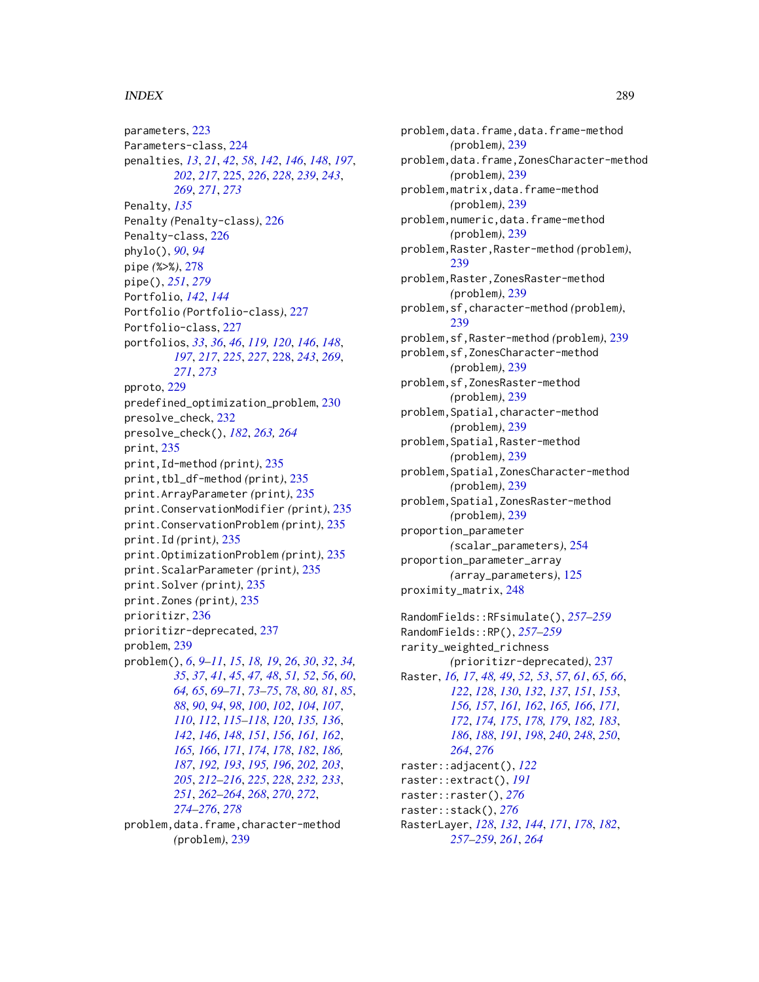## INDEX 289

parameters, [223](#page-222-0) Parameters-class, [224](#page-223-0) penalties, *[13](#page-12-0)*, *[21](#page-20-0)*, *[42](#page-41-0)*, *[58](#page-57-0)*, *[142](#page-141-0)*, *[146](#page-145-0)*, *[148](#page-147-0)*, *[197](#page-196-0)*, *[202](#page-201-0)*, *[217](#page-216-0)*, [225,](#page-224-0) *[226](#page-225-0)*, *[228](#page-227-0)*, *[239](#page-238-0)*, *[243](#page-242-0)*, *[269](#page-268-0)*, *[271](#page-270-0)*, *[273](#page-272-0)* Penalty, *[135](#page-134-0)* Penalty *(*Penalty-class*)*, [226](#page-225-0) Penalty-class, [226](#page-225-0) phylo(), *[90](#page-89-0)*, *[94](#page-93-0)* pipe *(*%>%*)*, [278](#page-277-0) pipe(), *[251](#page-250-0)*, *[279](#page-278-0)* Portfolio, *[142](#page-141-0)*, *[144](#page-143-0)* Portfolio *(*Portfolio-class*)*, [227](#page-226-0) Portfolio-class, [227](#page-226-0) portfolios, *[33](#page-32-0)*, *[36](#page-35-0)*, *[46](#page-45-0)*, *[119,](#page-118-0) [120](#page-119-0)*, *[146](#page-145-0)*, *[148](#page-147-0)*, *[197](#page-196-0)*, *[217](#page-216-0)*, *[225](#page-224-0)*, *[227](#page-226-0)*, [228,](#page-227-0) *[243](#page-242-0)*, *[269](#page-268-0)*, *[271](#page-270-0)*, *[273](#page-272-0)* pproto, [229](#page-228-0) predefined\_optimization\_problem, [230](#page-229-0) presolve\_check, [232](#page-231-0) presolve\_check(), *[182](#page-181-0)*, *[263,](#page-262-0) [264](#page-263-0)* print, [235](#page-234-0) print,Id-method *(*print*)*, [235](#page-234-0) print,tbl\_df-method *(*print*)*, [235](#page-234-0) print.ArrayParameter *(*print*)*, [235](#page-234-0) print.ConservationModifier *(*print*)*, [235](#page-234-0) print.ConservationProblem *(*print*)*, [235](#page-234-0) print.Id *(*print*)*, [235](#page-234-0) print.OptimizationProblem *(*print*)*, [235](#page-234-0) print.ScalarParameter *(*print*)*, [235](#page-234-0) print.Solver *(*print*)*, [235](#page-234-0) print.Zones *(*print*)*, [235](#page-234-0) prioritizr, [236](#page-235-0) prioritizr-deprecated, [237](#page-236-0) problem, [239](#page-238-0) problem(), *[6](#page-5-0)*, *[9](#page-8-0)[–11](#page-10-0)*, *[15](#page-14-0)*, *[18,](#page-17-0) [19](#page-18-0)*, *[26](#page-25-0)*, *[30](#page-29-0)*, *[32](#page-31-0)*, *[34,](#page-33-0) [35](#page-34-0)*, *[37](#page-36-0)*, *[41](#page-40-0)*, *[45](#page-44-0)*, *[47,](#page-46-0) [48](#page-47-0)*, *[51,](#page-50-0) [52](#page-51-0)*, *[56](#page-55-0)*, *[60](#page-59-0)*, *[64,](#page-63-0) [65](#page-64-0)*, *[69](#page-68-0)[–71](#page-70-0)*, *[73–](#page-72-0)[75](#page-74-0)*, *[78](#page-77-0)*, *[80,](#page-79-0) [81](#page-80-0)*, *[85](#page-84-0)*, *[88](#page-87-0)*, *[90](#page-89-0)*, *[94](#page-93-0)*, *[98](#page-97-0)*, *[100](#page-99-0)*, *[102](#page-101-0)*, *[104](#page-103-0)*, *[107](#page-106-0)*, *[110](#page-109-0)*, *[112](#page-111-0)*, *[115–](#page-114-0)[118](#page-117-0)*, *[120](#page-119-0)*, *[135,](#page-134-0) [136](#page-135-0)*, *[142](#page-141-0)*, *[146](#page-145-0)*, *[148](#page-147-0)*, *[151](#page-150-0)*, *[156](#page-155-0)*, *[161,](#page-160-0) [162](#page-161-0)*, *[165,](#page-164-0) [166](#page-165-0)*, *[171](#page-170-0)*, *[174](#page-173-0)*, *[178](#page-177-0)*, *[182](#page-181-0)*, *[186,](#page-185-0) [187](#page-186-0)*, *[192,](#page-191-0) [193](#page-192-0)*, *[195,](#page-194-0) [196](#page-195-0)*, *[202,](#page-201-0) [203](#page-202-0)*, *[205](#page-204-0)*, *[212](#page-211-0)[–216](#page-215-0)*, *[225](#page-224-0)*, *[228](#page-227-0)*, *[232,](#page-231-0) [233](#page-232-0)*, *[251](#page-250-0)*, *[262](#page-261-0)[–264](#page-263-0)*, *[268](#page-267-0)*, *[270](#page-269-0)*, *[272](#page-271-0)*, *[274](#page-273-0)[–276](#page-275-0)*, *[278](#page-277-0)* problem,data.frame,character-method *(*problem*)*, [239](#page-238-0)

problem,data.frame,data.frame-method *(*problem*)*, [239](#page-238-0) problem,data.frame,ZonesCharacter-method *(*problem*)*, [239](#page-238-0) problem,matrix,data.frame-method *(*problem*)*, [239](#page-238-0) problem,numeric,data.frame-method *(*problem*)*, [239](#page-238-0) problem,Raster,Raster-method *(*problem*)*, [239](#page-238-0) problem,Raster,ZonesRaster-method *(*problem*)*, [239](#page-238-0) problem,sf,character-method *(*problem*)*, [239](#page-238-0) problem,sf,Raster-method *(*problem*)*, [239](#page-238-0) problem,sf,ZonesCharacter-method *(*problem*)*, [239](#page-238-0) problem,sf,ZonesRaster-method *(*problem*)*, [239](#page-238-0) problem,Spatial,character-method *(*problem*)*, [239](#page-238-0) problem,Spatial,Raster-method *(*problem*)*, [239](#page-238-0) problem,Spatial,ZonesCharacter-method *(*problem*)*, [239](#page-238-0) problem,Spatial,ZonesRaster-method *(*problem*)*, [239](#page-238-0) proportion\_parameter *(*scalar\_parameters*)*, [254](#page-253-0) proportion\_parameter\_array *(*array\_parameters*)*, [125](#page-124-0) proximity\_matrix, [248](#page-247-0) RandomFields::RFsimulate(), *[257](#page-256-0)[–259](#page-258-0)* RandomFields::RP(), *[257](#page-256-0)[–259](#page-258-0)* rarity\_weighted\_richness *(*prioritizr-deprecated*)*, [237](#page-236-0) Raster, *[16,](#page-15-0) [17](#page-16-0)*, *[48,](#page-47-0) [49](#page-48-0)*, *[52,](#page-51-0) [53](#page-52-0)*, *[57](#page-56-0)*, *[61](#page-60-0)*, *[65,](#page-64-0) [66](#page-65-0)*, *[122](#page-121-0)*, *[128](#page-127-0)*, *[130](#page-129-0)*, *[132](#page-131-0)*, *[137](#page-136-0)*, *[151](#page-150-0)*, *[153](#page-152-0)*, *[156,](#page-155-0) [157](#page-156-0)*, *[161,](#page-160-0) [162](#page-161-0)*, *[165,](#page-164-0) [166](#page-165-0)*, *[171,](#page-170-0) [172](#page-171-0)*, *[174,](#page-173-0) [175](#page-174-0)*, *[178,](#page-177-0) [179](#page-178-0)*, *[182,](#page-181-0) [183](#page-182-0)*, *[186](#page-185-0)*, *[188](#page-187-0)*, *[191](#page-190-0)*, *[198](#page-197-0)*, *[240](#page-239-0)*, *[248](#page-247-0)*, *[250](#page-249-0)*, *[264](#page-263-0)*, *[276](#page-275-0)* raster::adjacent(), *[122](#page-121-0)* raster::extract(), *[191](#page-190-0)*

raster::stack(), *[276](#page-275-0)*

raster::raster(), *[276](#page-275-0)*

RasterLayer, *[128](#page-127-0)*, *[132](#page-131-0)*, *[144](#page-143-0)*, *[171](#page-170-0)*, *[178](#page-177-0)*, *[182](#page-181-0)*, *[257](#page-256-0)[–259](#page-258-0)*, *[261](#page-260-0)*, *[264](#page-263-0)*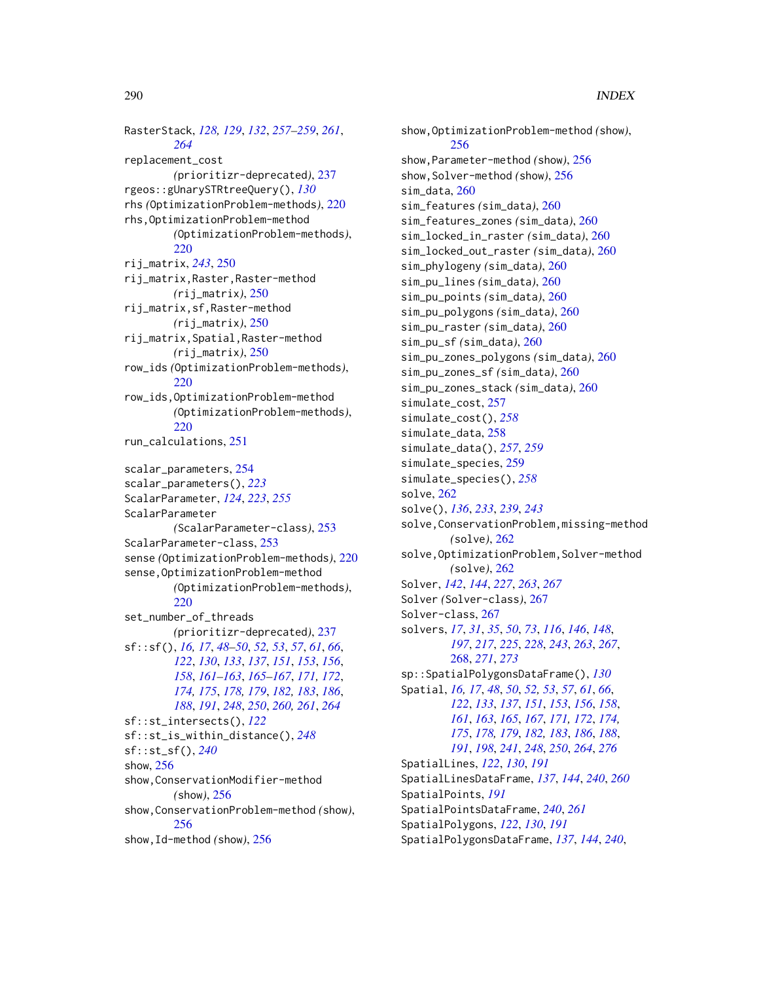RasterStack, *[128,](#page-127-0) [129](#page-128-0)*, *[132](#page-131-0)*, *[257–](#page-256-0)[259](#page-258-0)*, *[261](#page-260-0)*, *[264](#page-263-0)* replacement\_cost *(*prioritizr-deprecated*)*, [237](#page-236-0) rgeos::gUnarySTRtreeQuery(), *[130](#page-129-0)* rhs *(*OptimizationProblem-methods*)*, [220](#page-219-0) rhs,OptimizationProblem-method *(*OptimizationProblem-methods*)*, [220](#page-219-0) rij\_matrix, *[243](#page-242-0)*, [250](#page-249-0) rij\_matrix,Raster,Raster-method *(*rij\_matrix*)*, [250](#page-249-0) rij\_matrix,sf,Raster-method *(*rij\_matrix*)*, [250](#page-249-0) rij\_matrix,Spatial,Raster-method *(*rij\_matrix*)*, [250](#page-249-0) row\_ids *(*OptimizationProblem-methods*)*, [220](#page-219-0) row\_ids,OptimizationProblem-method *(*OptimizationProblem-methods*)*, [220](#page-219-0) run\_calculations, [251](#page-250-0) scalar\_parameters, [254](#page-253-0) scalar\_parameters(), *[223](#page-222-0)* ScalarParameter, *[124](#page-123-0)*, *[223](#page-222-0)*, *[255](#page-254-0)* ScalarParameter *(*ScalarParameter-class*)*, [253](#page-252-0) ScalarParameter-class, [253](#page-252-0) sense *(*OptimizationProblem-methods*)*, [220](#page-219-0) sense,OptimizationProblem-method *(*OptimizationProblem-methods*)*, [220](#page-219-0) set\_number\_of\_threads *(*prioritizr-deprecated*)*, [237](#page-236-0) sf::sf(), *[16,](#page-15-0) [17](#page-16-0)*, *[48](#page-47-0)[–50](#page-49-0)*, *[52,](#page-51-0) [53](#page-52-0)*, *[57](#page-56-0)*, *[61](#page-60-0)*, *[66](#page-65-0)*, *[122](#page-121-0)*, *[130](#page-129-0)*, *[133](#page-132-0)*, *[137](#page-136-0)*, *[151](#page-150-0)*, *[153](#page-152-0)*, *[156](#page-155-0)*, *[158](#page-157-0)*, *[161](#page-160-0)[–163](#page-162-0)*, *[165–](#page-164-0)[167](#page-166-0)*, *[171,](#page-170-0) [172](#page-171-0)*, *[174,](#page-173-0) [175](#page-174-0)*, *[178,](#page-177-0) [179](#page-178-0)*, *[182,](#page-181-0) [183](#page-182-0)*, *[186](#page-185-0)*, *[188](#page-187-0)*, *[191](#page-190-0)*, *[248](#page-247-0)*, *[250](#page-249-0)*, *[260,](#page-259-0) [261](#page-260-0)*, *[264](#page-263-0)* sf::st\_intersects(), *[122](#page-121-0)* sf::st\_is\_within\_distance(), *[248](#page-247-0)* sf::st\_sf(), *[240](#page-239-0)* show, [256](#page-255-0) show,ConservationModifier-method *(*show*)*, [256](#page-255-0) show,ConservationProblem-method *(*show*)*, [256](#page-255-0) show,Id-method *(*show*)*, [256](#page-255-0)

show,OptimizationProblem-method *(*show*)*, [256](#page-255-0) show,Parameter-method *(*show*)*, [256](#page-255-0) show,Solver-method *(*show*)*, [256](#page-255-0) sim\_data, [260](#page-259-0) sim\_features *(*sim\_data*)*, [260](#page-259-0) sim\_features\_zones *(*sim\_data*)*, [260](#page-259-0) sim\_locked\_in\_raster *(*sim\_data*)*, [260](#page-259-0) sim\_locked\_out\_raster *(*sim\_data*)*, [260](#page-259-0) sim\_phylogeny *(*sim\_data*)*, [260](#page-259-0) sim\_pu\_lines *(*sim\_data*)*, [260](#page-259-0) sim\_pu\_points *(*sim\_data*)*, [260](#page-259-0) sim\_pu\_polygons *(*sim\_data*)*, [260](#page-259-0) sim\_pu\_raster *(*sim\_data*)*, [260](#page-259-0) sim\_pu\_sf *(*sim\_data*)*, [260](#page-259-0) sim\_pu\_zones\_polygons *(*sim\_data*)*, [260](#page-259-0) sim\_pu\_zones\_sf *(*sim\_data*)*, [260](#page-259-0) sim\_pu\_zones\_stack *(*sim\_data*)*, [260](#page-259-0) simulate\_cost, [257](#page-256-0) simulate\_cost(), *[258](#page-257-0)* simulate\_data, [258](#page-257-0) simulate\_data(), *[257](#page-256-0)*, *[259](#page-258-0)* simulate\_species, [259](#page-258-0) simulate\_species(), *[258](#page-257-0)* solve, [262](#page-261-0) solve(), *[136](#page-135-0)*, *[233](#page-232-0)*, *[239](#page-238-0)*, *[243](#page-242-0)* solve,ConservationProblem,missing-method *(*solve*)*, [262](#page-261-0) solve,OptimizationProblem,Solver-method *(*solve*)*, [262](#page-261-0) Solver, *[142](#page-141-0)*, *[144](#page-143-0)*, *[227](#page-226-0)*, *[263](#page-262-0)*, *[267](#page-266-0)* Solver *(*Solver-class*)*, [267](#page-266-0) Solver-class, [267](#page-266-0) solvers, *[17](#page-16-0)*, *[31](#page-30-0)*, *[35](#page-34-0)*, *[50](#page-49-0)*, *[73](#page-72-0)*, *[116](#page-115-0)*, *[146](#page-145-0)*, *[148](#page-147-0)*, *[197](#page-196-0)*, *[217](#page-216-0)*, *[225](#page-224-0)*, *[228](#page-227-0)*, *[243](#page-242-0)*, *[263](#page-262-0)*, *[267](#page-266-0)*, [268,](#page-267-0) *[271](#page-270-0)*, *[273](#page-272-0)* sp::SpatialPolygonsDataFrame(), *[130](#page-129-0)* Spatial, *[16,](#page-15-0) [17](#page-16-0)*, *[48](#page-47-0)*, *[50](#page-49-0)*, *[52,](#page-51-0) [53](#page-52-0)*, *[57](#page-56-0)*, *[61](#page-60-0)*, *[66](#page-65-0)*, *[122](#page-121-0)*, *[133](#page-132-0)*, *[137](#page-136-0)*, *[151](#page-150-0)*, *[153](#page-152-0)*, *[156](#page-155-0)*, *[158](#page-157-0)*, *[161](#page-160-0)*, *[163](#page-162-0)*, *[165](#page-164-0)*, *[167](#page-166-0)*, *[171,](#page-170-0) [172](#page-171-0)*, *[174,](#page-173-0) [175](#page-174-0)*, *[178,](#page-177-0) [179](#page-178-0)*, *[182,](#page-181-0) [183](#page-182-0)*, *[186](#page-185-0)*, *[188](#page-187-0)*, *[191](#page-190-0)*, *[198](#page-197-0)*, *[241](#page-240-0)*, *[248](#page-247-0)*, *[250](#page-249-0)*, *[264](#page-263-0)*, *[276](#page-275-0)* SpatialLines, *[122](#page-121-0)*, *[130](#page-129-0)*, *[191](#page-190-0)* SpatialLinesDataFrame, *[137](#page-136-0)*, *[144](#page-143-0)*, *[240](#page-239-0)*, *[260](#page-259-0)* SpatialPoints, *[191](#page-190-0)* SpatialPointsDataFrame, *[240](#page-239-0)*, *[261](#page-260-0)* SpatialPolygons, *[122](#page-121-0)*, *[130](#page-129-0)*, *[191](#page-190-0)* SpatialPolygonsDataFrame, *[137](#page-136-0)*, *[144](#page-143-0)*, *[240](#page-239-0)*,